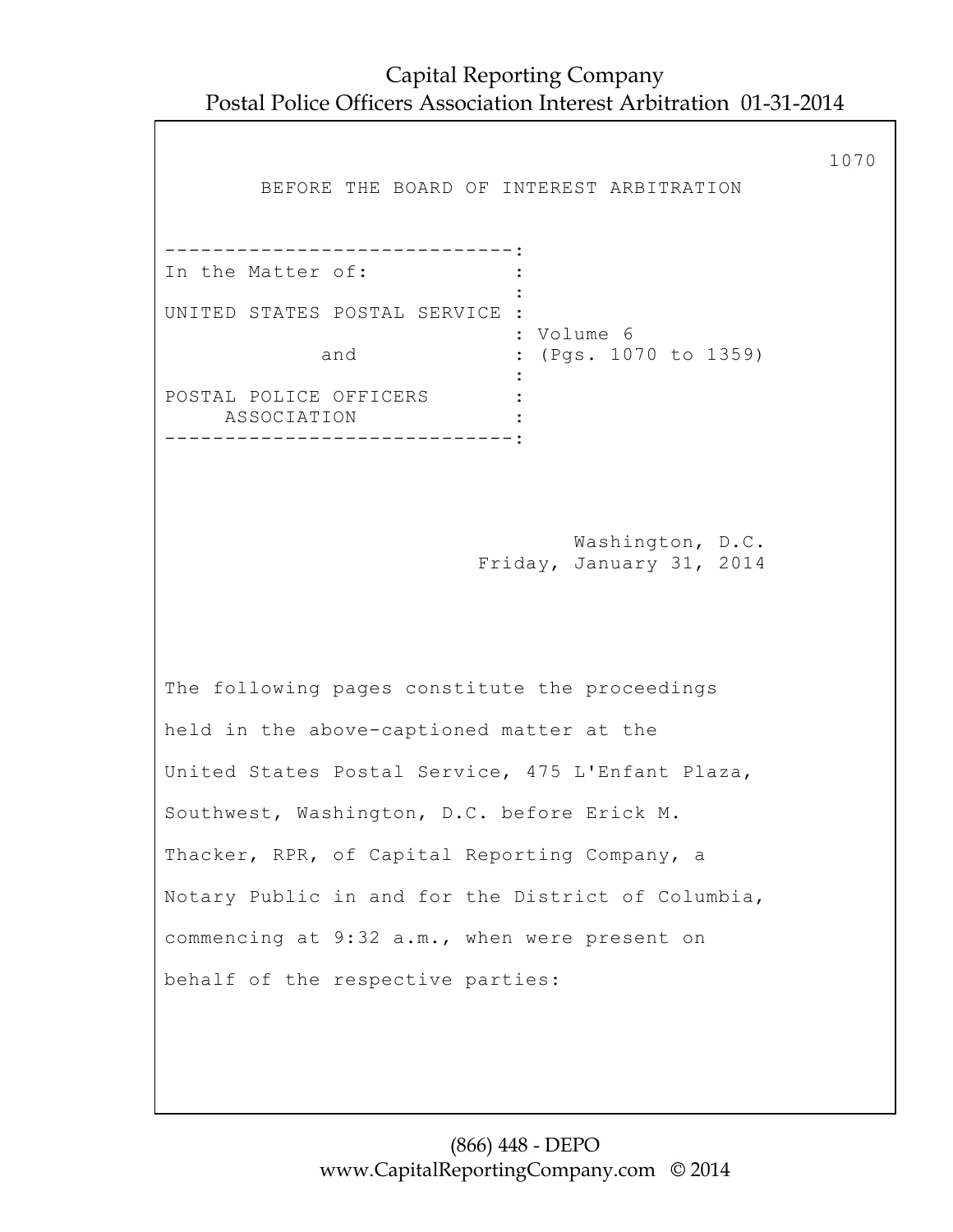| BEFORE THE BOARD OF INTEREST ARBITRATION                                                                                                                                                                                                                                                                                                                                                     | 1070 |
|----------------------------------------------------------------------------------------------------------------------------------------------------------------------------------------------------------------------------------------------------------------------------------------------------------------------------------------------------------------------------------------------|------|
| --------------------------<br>In the Matter of:<br>UNITED STATES POSTAL SERVICE :<br>: Volume 6<br>: (Pgs. 1070 to 1359)<br>and<br>POSTAL POLICE OFFICERS<br>ASSOCIATION<br>---------------------------                                                                                                                                                                                      |      |
| Washington, D.C.<br>Friday, January 31, 2014                                                                                                                                                                                                                                                                                                                                                 |      |
| The following pages constitute the proceedings<br>held in the above-captioned matter at the<br>United States Postal Service, 475 L'Enfant Plaza,<br>Southwest, Washington, D.C. before Erick M.<br>Thacker, RPR, of Capital Reporting Company, a<br>Notary Public in and for the District of Columbia,<br>commencing at 9:32 a.m., when were present on<br>behalf of the respective parties: |      |
|                                                                                                                                                                                                                                                                                                                                                                                              |      |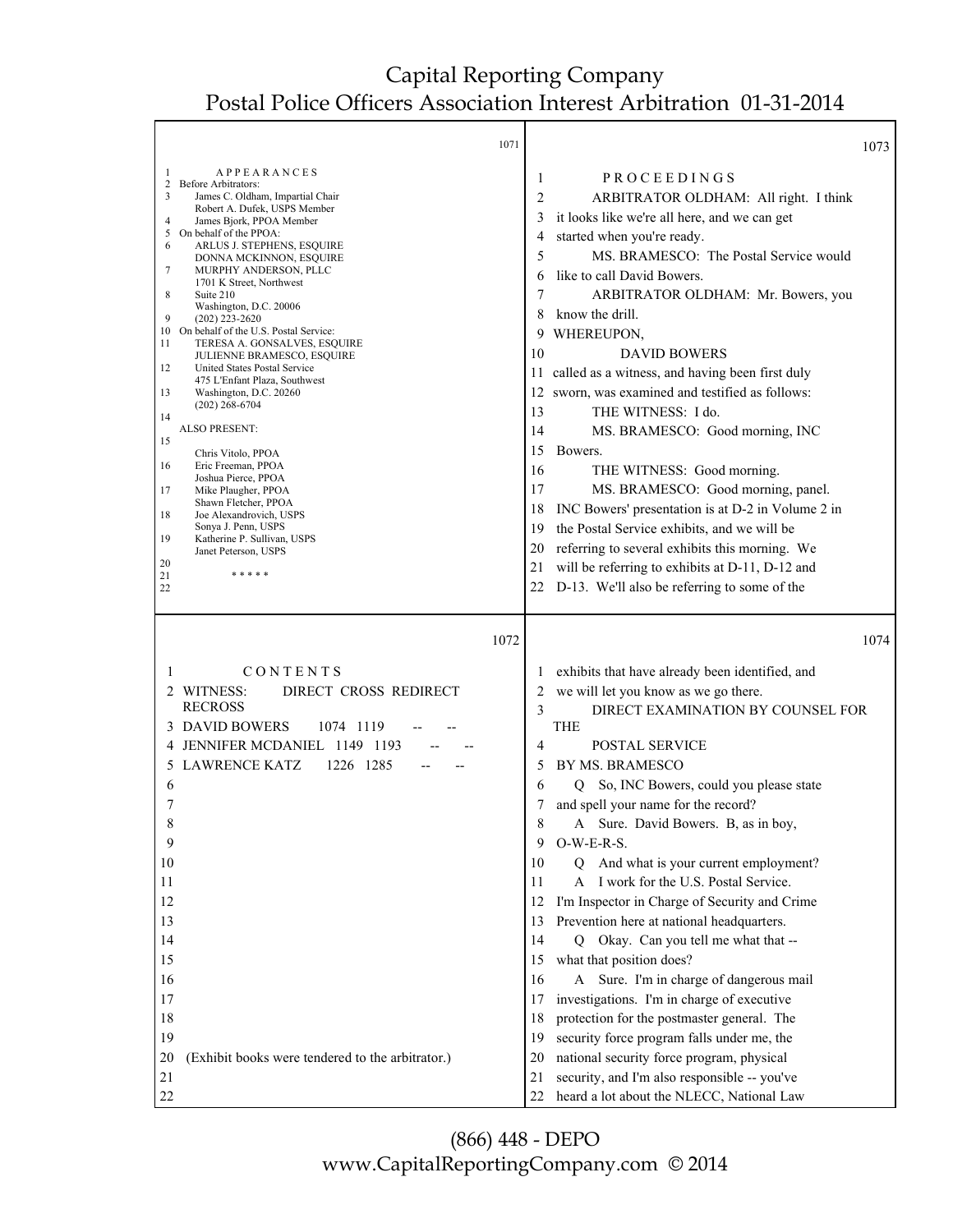┯

٦

Г

|                                                                                                                                 | 1071                                                                                                                                                                                                                                                                                                                                                                                                                                                                                                                                                                                                                                                                                                                                                                                                                                         |                                                                                                                         | 1073                                                                                                                                                                                                                                                                                                                                                                                                                                                                                                                                                                                                                                                                                                                                                                                                          |
|---------------------------------------------------------------------------------------------------------------------------------|----------------------------------------------------------------------------------------------------------------------------------------------------------------------------------------------------------------------------------------------------------------------------------------------------------------------------------------------------------------------------------------------------------------------------------------------------------------------------------------------------------------------------------------------------------------------------------------------------------------------------------------------------------------------------------------------------------------------------------------------------------------------------------------------------------------------------------------------|-------------------------------------------------------------------------------------------------------------------------|---------------------------------------------------------------------------------------------------------------------------------------------------------------------------------------------------------------------------------------------------------------------------------------------------------------------------------------------------------------------------------------------------------------------------------------------------------------------------------------------------------------------------------------------------------------------------------------------------------------------------------------------------------------------------------------------------------------------------------------------------------------------------------------------------------------|
| -1<br>2<br>3<br>$\overline{4}$<br>5<br>6<br>7<br>8<br>9<br>11<br>12<br>13<br>14<br>15<br>16<br>17<br>18<br>19<br>20<br>21<br>22 | <b>APPEARANCES</b><br><b>Before Arbitrators:</b><br>James C. Oldham, Impartial Chair<br>Robert A. Dufek, USPS Member<br>James Bjork, PPOA Member<br>On behalf of the PPOA:<br>ARLUS J. STEPHENS, ESQUIRE<br>DONNA MCKINNON, ESQUIRE<br>MURPHY ANDERSON, PLLC<br>1701 K Street, Northwest<br>Suite 210<br>Washington, D.C. 20006<br>$(202)$ 223-2620<br>10 On behalf of the U.S. Postal Service:<br>TERESA A. GONSALVES, ESQUIRE<br>JULIENNE BRAMESCO, ESQUIRE<br>United States Postal Service<br>475 L'Enfant Plaza, Southwest<br>Washington, D.C. 20260<br>$(202)$ 268-6704<br><b>ALSO PRESENT:</b><br>Chris Vitolo, PPOA<br>Eric Freeman, PPOA<br>Joshua Pierce, PPOA<br>Mike Plaugher, PPOA<br>Shawn Fletcher, PPOA<br>Joe Alexandrovich, USPS<br>Sonya J. Penn, USPS<br>Katherine P. Sullivan, USPS<br>Janet Peterson, USPS<br>* * * * * | 1<br>2<br>3<br>4<br>5<br>6<br>7<br>8<br>9<br>10<br>11<br>12<br>13<br>14<br>15<br>16<br>17<br>18<br>19<br>20<br>21<br>22 | PROCEEDINGS<br>ARBITRATOR OLDHAM: All right. I think<br>it looks like we're all here, and we can get<br>started when you're ready.<br>MS. BRAMESCO: The Postal Service would<br>like to call David Bowers.<br>ARBITRATOR OLDHAM: Mr. Bowers, you<br>know the drill.<br>WHEREUPON,<br><b>DAVID BOWERS</b><br>called as a witness, and having been first duly<br>sworn, was examined and testified as follows:<br>THE WITNESS: I do.<br>MS. BRAMESCO: Good morning, INC<br>Bowers.<br>THE WITNESS: Good morning.<br>MS. BRAMESCO: Good morning, panel.<br>INC Bowers' presentation is at D-2 in Volume 2 in<br>the Postal Service exhibits, and we will be<br>referring to several exhibits this morning. We<br>will be referring to exhibits at D-11, D-12 and<br>D-13. We'll also be referring to some of the |
| 1<br>4<br>5<br>6<br>7<br>8<br>9<br>10<br>11                                                                                     | 1072<br>CONTENTS<br>2 WITNESS:<br>DIRECT CROSS REDIRECT<br><b>RECROSS</b><br>3 DAVID BOWERS<br>1074 1119<br>JENNIFER MCDANIEL 1149 1193<br><b>LAWRENCE KATZ</b><br>1226 1285                                                                                                                                                                                                                                                                                                                                                                                                                                                                                                                                                                                                                                                                 | 1<br>2<br>3<br>4<br>5<br>6<br>8<br>9<br>10<br>11                                                                        | 1074<br>exhibits that have already been identified, and<br>we will let you know as we go there.<br>DIRECT EXAMINATION BY COUNSEL FOR<br><b>THE</b><br>POSTAL SERVICE<br>BY MS. BRAMESCO<br>Q So, INC Bowers, could you please state<br>and spell your name for the record?<br>A Sure. David Bowers. B, as in boy,<br>$O-W-E-R-S$ .<br>And what is your current employment?<br>$\overline{Q}$<br>I work for the U.S. Postal Service.<br>$\mathsf{A}$                                                                                                                                                                                                                                                                                                                                                           |
| 12<br>13<br>14<br>15<br>16<br>17<br>18                                                                                          |                                                                                                                                                                                                                                                                                                                                                                                                                                                                                                                                                                                                                                                                                                                                                                                                                                              | 12<br>13<br>14<br>15<br>16<br>17                                                                                        | I'm Inspector in Charge of Security and Crime<br>Prevention here at national headquarters.<br>Q Okay. Can you tell me what that --<br>what that position does?<br>A Sure. I'm in charge of dangerous mail<br>investigations. I'm in charge of executive                                                                                                                                                                                                                                                                                                                                                                                                                                                                                                                                                       |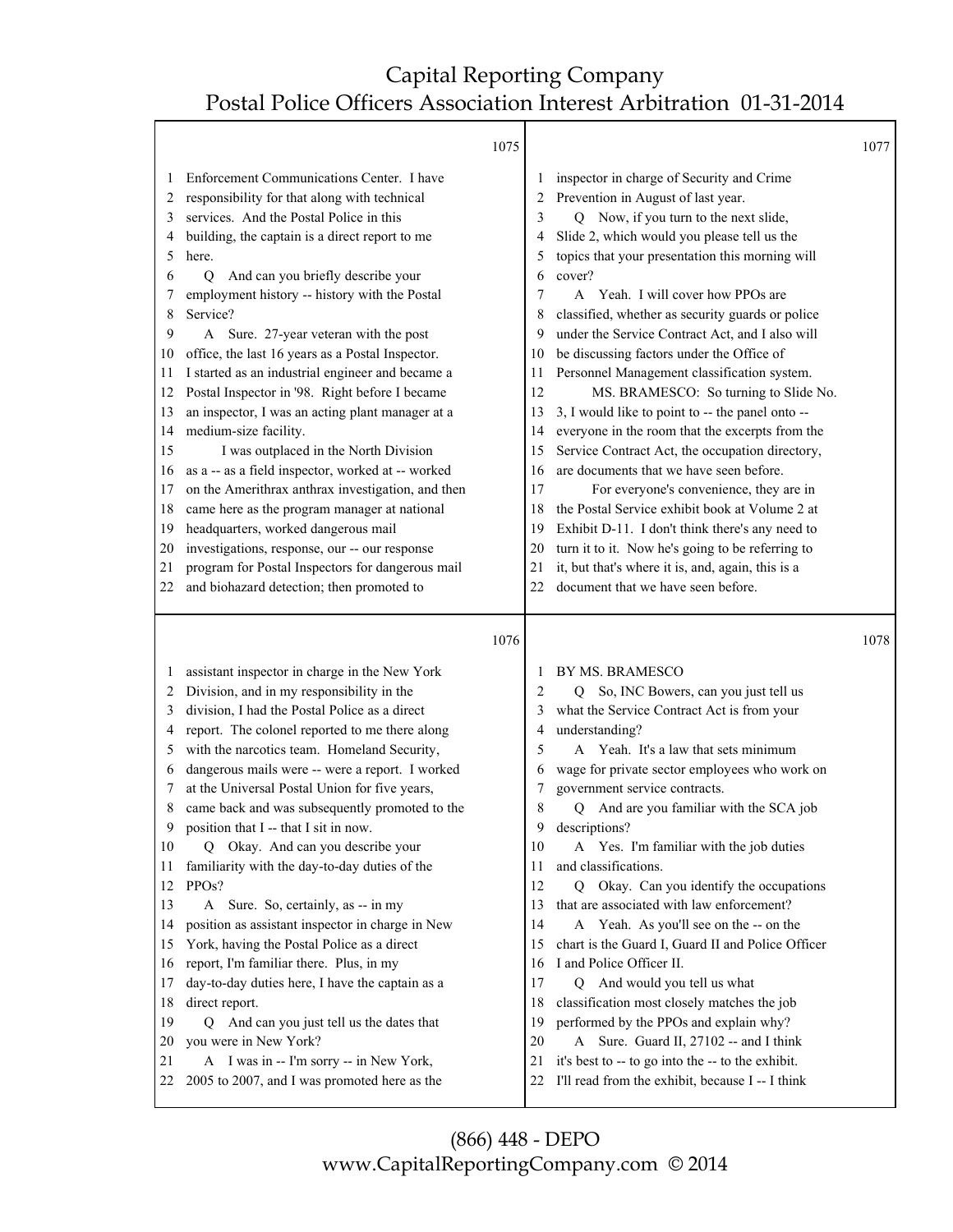|          |                                                                                         | 1075 |          |                                                                                                       | 1077 |
|----------|-----------------------------------------------------------------------------------------|------|----------|-------------------------------------------------------------------------------------------------------|------|
| 1        | Enforcement Communications Center. I have                                               |      |          | inspector in charge of Security and Crime                                                             |      |
| 2        | responsibility for that along with technical                                            |      | 2        | Prevention in August of last year.                                                                    |      |
| 3        | services. And the Postal Police in this                                                 |      | 3        | Q Now, if you turn to the next slide,                                                                 |      |
| 4        | building, the captain is a direct report to me                                          |      | 4        | Slide 2, which would you please tell us the                                                           |      |
| 5        | here.                                                                                   |      | 5        | topics that your presentation this morning will                                                       |      |
| 6        | And can you briefly describe your<br>Q                                                  |      | 6        | cover?                                                                                                |      |
| 7        | employment history -- history with the Postal                                           |      | 7        | A Yeah. I will cover how PPOs are                                                                     |      |
| 8        | Service?                                                                                |      | 8        | classified, whether as security guards or police                                                      |      |
| 9        | A Sure. 27-year veteran with the post                                                   |      | 9        | under the Service Contract Act, and I also will                                                       |      |
| 10       | office, the last 16 years as a Postal Inspector.                                        |      | 10       | be discussing factors under the Office of                                                             |      |
| 11       | I started as an industrial engineer and became a                                        |      | 11       | Personnel Management classification system.                                                           |      |
| 12       | Postal Inspector in '98. Right before I became                                          |      | 12       | MS. BRAMESCO: So turning to Slide No.                                                                 |      |
| 13       | an inspector, I was an acting plant manager at a                                        |      | 13       | 3, I would like to point to -- the panel onto --                                                      |      |
| 14       | medium-size facility.                                                                   |      | 14       | everyone in the room that the excerpts from the                                                       |      |
| 15       | I was outplaced in the North Division                                                   |      | 15       | Service Contract Act, the occupation directory,                                                       |      |
| 16       | as a -- as a field inspector, worked at -- worked                                       |      | 16       | are documents that we have seen before.                                                               |      |
| 17       | on the Amerithrax anthrax investigation, and then                                       |      | 17       | For everyone's convenience, they are in                                                               |      |
| 18       | came here as the program manager at national                                            |      | 18       | the Postal Service exhibit book at Volume 2 at                                                        |      |
| 19       | headquarters, worked dangerous mail                                                     |      | 19       | Exhibit D-11. I don't think there's any need to                                                       |      |
| 20       | investigations, response, our -- our response                                           |      | 20       | turn it to it. Now he's going to be referring to                                                      |      |
| 21       | program for Postal Inspectors for dangerous mail                                        |      | 21       | it, but that's where it is, and, again, this is a                                                     |      |
| 22       | and biohazard detection; then promoted to                                               |      | 22       | document that we have seen before.                                                                    |      |
|          |                                                                                         |      |          |                                                                                                       |      |
|          |                                                                                         | 1076 |          |                                                                                                       | 1078 |
| 1        | assistant inspector in charge in the New York                                           |      |          | BY MS. BRAMESCO                                                                                       |      |
| 2        | Division, and in my responsibility in the                                               |      | 2        | So, INC Bowers, can you just tell us<br>Q                                                             |      |
| 3        | division, I had the Postal Police as a direct                                           |      |          | what the Service Contract Act is from your                                                            |      |
| 4        | report. The colonel reported to me there along                                          |      | 4        | understanding?                                                                                        |      |
| 5        | with the narcotics team. Homeland Security,                                             |      | 5        | A Yeah. It's a law that sets minimum                                                                  |      |
| 6        | dangerous mails were -- were a report. I worked                                         |      | 6        | wage for private sector employees who work on                                                         |      |
| 7        | at the Universal Postal Union for five years,                                           |      | 7        | government service contracts.                                                                         |      |
| 8        | came back and was subsequently promoted to the                                          |      | 8        | Q And are you familiar with the SCA job                                                               |      |
|          | position that I -- that I sit in now.                                                   |      | 9        | descriptions?                                                                                         |      |
| 10       | Q Okay. And can you describe your                                                       |      | 10       | A Yes. I'm familiar with the job duties                                                               |      |
| 11       | familiarity with the day-to-day duties of the                                           |      | 11       | and classifications.                                                                                  |      |
| 12       | PPOs?                                                                                   |      | 12       | Okay. Can you identify the occupations<br>Q                                                           |      |
| 13       | Sure. So, certainly, as -- in my<br>A                                                   |      | 13       | that are associated with law enforcement?                                                             |      |
| 14       | position as assistant inspector in charge in New                                        |      | 14       | A Yeah. As you'll see on the -- on the                                                                |      |
| 15       | York, having the Postal Police as a direct                                              |      | 15       | chart is the Guard I, Guard II and Police Officer                                                     |      |
| 16       | report, I'm familiar there. Plus, in my                                                 |      | 16       | I and Police Officer II.                                                                              |      |
| 17       | day-to-day duties here, I have the captain as a                                         |      | 17       | And would you tell us what<br>Q                                                                       |      |
| 18       | direct report.                                                                          |      | 18       | classification most closely matches the job                                                           |      |
| 19       | And can you just tell us the dates that<br>Q                                            |      | 19       | performed by the PPOs and explain why?                                                                |      |
| 20       | you were in New York?                                                                   |      | 20       | A Sure. Guard II, 27102 -- and I think                                                                |      |
| 21<br>22 | A I was in -- I'm sorry -- in New York,<br>2005 to 2007, and I was promoted here as the |      | 21<br>22 | it's best to -- to go into the -- to the exhibit.<br>I'll read from the exhibit, because I -- I think |      |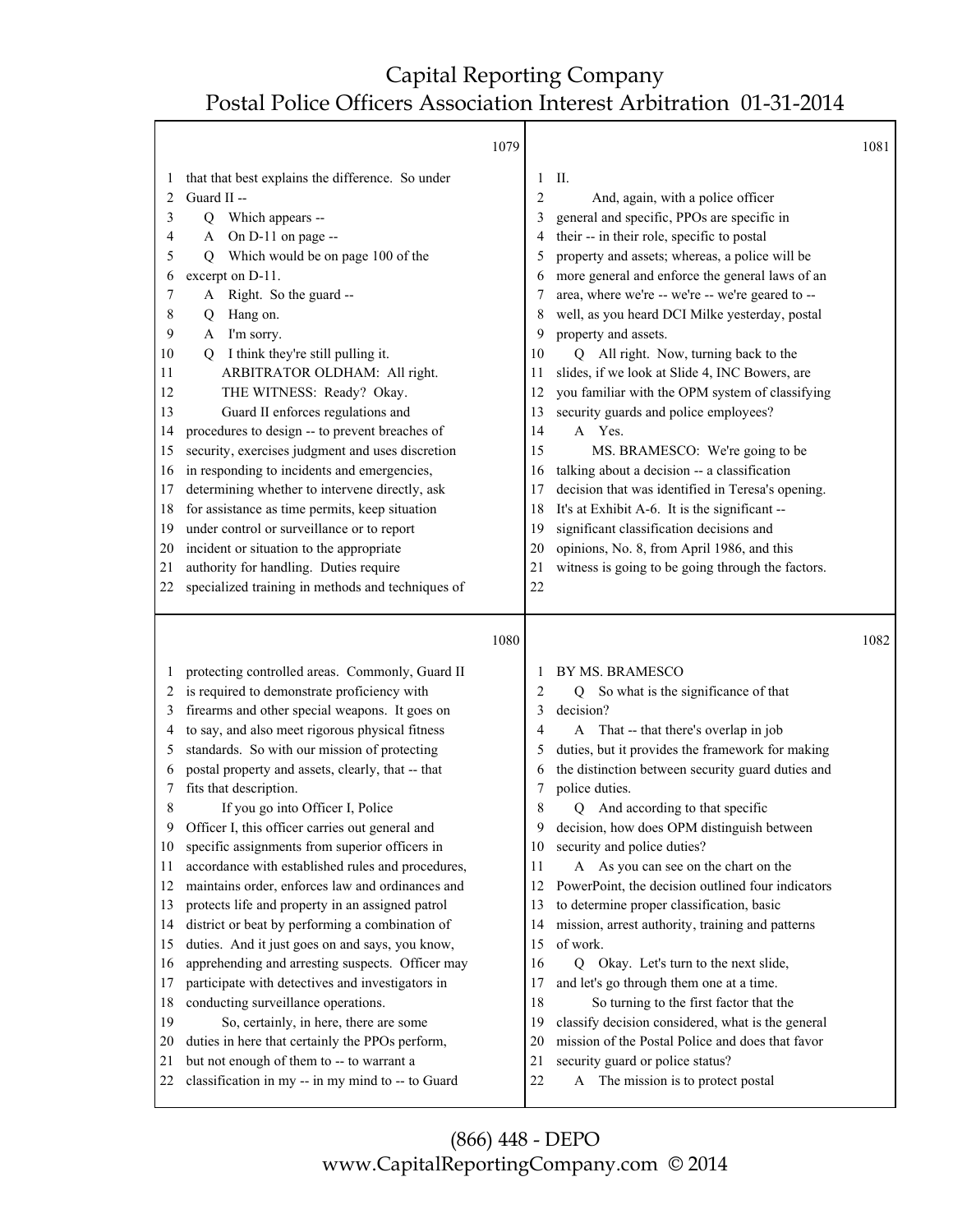|              |                                                   | 1079 |                |                                                       | 1081 |
|--------------|---------------------------------------------------|------|----------------|-------------------------------------------------------|------|
| $\mathbf{I}$ | that that best explains the difference. So under  |      | 1              | П.                                                    |      |
| 2            | Guard II --                                       |      | $\overline{2}$ | And, again, with a police officer                     |      |
| 3            | Which appears --<br>Q                             |      | 3              | general and specific, PPOs are specific in            |      |
| 4            | On D-11 on page --<br>A                           |      |                | their -- in their role, specific to postal            |      |
| 5            | Which would be on page 100 of the<br>Q            |      | 5              | property and assets; whereas, a police will be        |      |
| 6            | excerpt on D-11.                                  |      |                | more general and enforce the general laws of an       |      |
| 7            | Right. So the guard --<br>A                       |      | 7              | area, where we're -- we're -- we're geared to --      |      |
| 8            | Hang on.<br>Q                                     |      | 8              | well, as you heard DCI Milke yesterday, postal        |      |
| 9            | I'm sorry.<br>A                                   |      | 9              | property and assets.                                  |      |
| 10           | I think they're still pulling it.<br>O            |      | 10             | Q All right. Now, turning back to the                 |      |
| 11           | ARBITRATOR OLDHAM: All right.                     |      | 11             | slides, if we look at Slide 4, INC Bowers, are        |      |
| 12           | THE WITNESS: Ready? Okay.                         |      | 12             | you familiar with the OPM system of classifying       |      |
| 13           | Guard II enforces regulations and                 |      | 13             | security guards and police employees?                 |      |
| 14           | procedures to design -- to prevent breaches of    |      | 14             | A Yes.                                                |      |
| 15           | security, exercises judgment and uses discretion  |      | 15             | MS. BRAMESCO: We're going to be                       |      |
| 16           | in responding to incidents and emergencies,       |      | 16             | talking about a decision -- a classification          |      |
| 17           | determining whether to intervene directly, ask    |      | 17             | decision that was identified in Teresa's opening.     |      |
| 18           | for assistance as time permits, keep situation    |      | 18             | It's at Exhibit A-6. It is the significant --         |      |
| 19           | under control or surveillance or to report        |      | 19             | significant classification decisions and              |      |
| 20           | incident or situation to the appropriate          |      | 20             | opinions, No. 8, from April 1986, and this            |      |
| 21           | authority for handling. Duties require            |      | 21             | witness is going to be going through the factors.     |      |
| 22           | specialized training in methods and techniques of |      | 22             |                                                       |      |
|              |                                                   |      |                |                                                       |      |
|              |                                                   | 1080 |                |                                                       | 1082 |
|              |                                                   |      |                |                                                       |      |
|              | protecting controlled areas. Commonly, Guard II   |      |                | BY MS. BRAMESCO                                       |      |
| 2            | is required to demonstrate proficiency with       |      | 2              | So what is the significance of that<br>$\overline{Q}$ |      |
| 3            | firearms and other special weapons. It goes on    |      | 3              | decision?                                             |      |
| 4            | to say, and also meet rigorous physical fitness   |      | 4              | That -- that there's overlap in job<br>A              |      |
| 5            | standards. So with our mission of protecting      |      | 5              | duties, but it provides the framework for making      |      |
| 6            | postal property and assets, clearly, that -- that |      | 6              | the distinction between security guard duties and     |      |
| 7            | fits that description.                            |      | 7              | police duties.                                        |      |
| 8            | If you go into Officer I, Police                  |      | 8              | And according to that specific<br>O                   |      |
| 9            | Officer I, this officer carries out general and   |      | 9              | decision, how does OPM distinguish between            |      |

- 9 decision, how does OPM distinguish between
- 10 security and police duties?
- 11 A As you can see on the chart on the
- 12 PowerPoint, the decision outlined four indicators
- 13 to determine proper classification, basic
- 14 mission, arrest authority, training and patterns 15 of work.
- 16 Q Okay. Let's turn to the next slide,
- 17 and let's go through them one at a time.
- 18 So turning to the first factor that the
- 19 classify decision considered, what is the general
- 20 mission of the Postal Police and does that favor
- 21 security guard or police status?
- 22 A The mission is to protect postal

10 specific assignments from superior officers in 11 accordance with established rules and procedures, 12 maintains order, enforces law and ordinances and 13 protects life and property in an assigned patrol 14 district or beat by performing a combination of 15 duties. And it just goes on and says, you know, 16 apprehending and arresting suspects. Officer may 17 participate with detectives and investigators in

18 conducting surveillance operations. 19 So, certainly, in here, there are some 20 duties in here that certainly the PPOs perform, 21 but not enough of them to -- to warrant a 22 classification in my -- in my mind to -- to Guard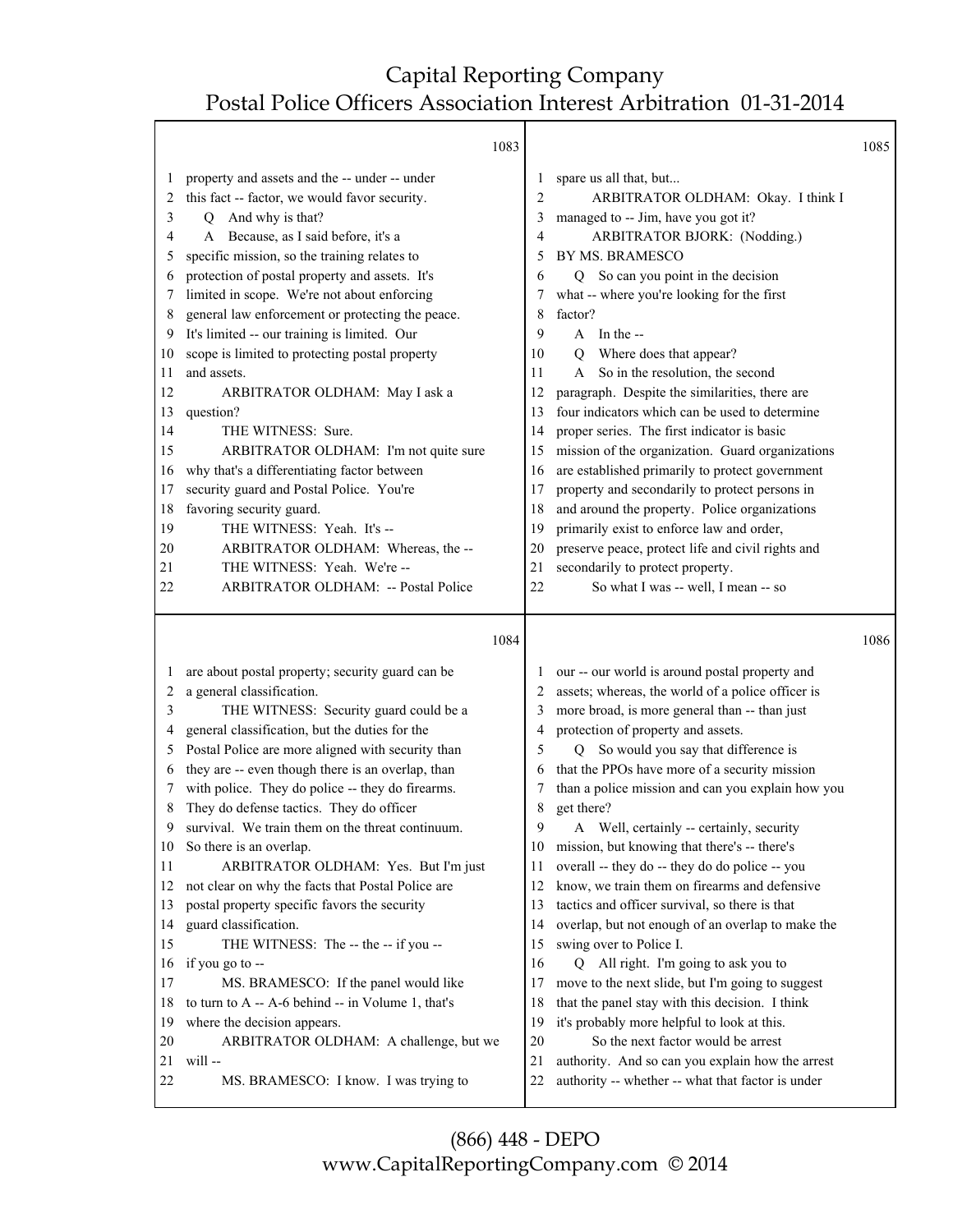|                                                                                                                         | 1083                                                                                                                                                                                                                                                                                                                                                                                                                                                                                                                                                                                                                                                                                                                                                                                                                                                                |                                                                                                                         |                                                                                                                                                                                                                                                                                                                                                                                                                                                                                                                                                                                                                                                                                                                                                                                                                                                                                                           | 1085 |
|-------------------------------------------------------------------------------------------------------------------------|---------------------------------------------------------------------------------------------------------------------------------------------------------------------------------------------------------------------------------------------------------------------------------------------------------------------------------------------------------------------------------------------------------------------------------------------------------------------------------------------------------------------------------------------------------------------------------------------------------------------------------------------------------------------------------------------------------------------------------------------------------------------------------------------------------------------------------------------------------------------|-------------------------------------------------------------------------------------------------------------------------|-----------------------------------------------------------------------------------------------------------------------------------------------------------------------------------------------------------------------------------------------------------------------------------------------------------------------------------------------------------------------------------------------------------------------------------------------------------------------------------------------------------------------------------------------------------------------------------------------------------------------------------------------------------------------------------------------------------------------------------------------------------------------------------------------------------------------------------------------------------------------------------------------------------|------|
| 1<br>2<br>3<br>4<br>5<br>6<br>7<br>8<br>9<br>10<br>11<br>12<br>13<br>14<br>15<br>16<br>17<br>18<br>19<br>20<br>21<br>22 | property and assets and the -- under -- under<br>this fact -- factor, we would favor security.<br>And why is that?<br>O<br>A Because, as I said before, it's a<br>specific mission, so the training relates to<br>protection of postal property and assets. It's<br>limited in scope. We're not about enforcing<br>general law enforcement or protecting the peace.<br>It's limited -- our training is limited. Our<br>scope is limited to protecting postal property<br>and assets.<br>ARBITRATOR OLDHAM: May I ask a<br>question?<br>THE WITNESS: Sure.<br>ARBITRATOR OLDHAM: I'm not quite sure<br>why that's a differentiating factor between<br>security guard and Postal Police. You're<br>favoring security guard.<br>THE WITNESS: Yeah. It's --<br>ARBITRATOR OLDHAM: Whereas, the --<br>THE WITNESS: Yeah. We're --<br>ARBITRATOR OLDHAM: -- Postal Police | 1<br>2<br>3<br>4<br>5<br>6<br>7<br>8<br>9<br>10<br>11<br>12<br>13<br>14<br>15<br>16<br>17<br>18<br>19<br>20<br>21<br>22 | spare us all that, but<br>ARBITRATOR OLDHAM: Okay. I think I<br>managed to -- Jim, have you got it?<br>ARBITRATOR BJORK: (Nodding.)<br>BY MS. BRAMESCO<br>So can you point in the decision<br>Q<br>what -- where you're looking for the first<br>factor?<br>$A$ In the --<br>Where does that appear?<br>$\overline{Q}$<br>So in the resolution, the second<br>A<br>paragraph. Despite the similarities, there are<br>four indicators which can be used to determine<br>proper series. The first indicator is basic<br>mission of the organization. Guard organizations<br>are established primarily to protect government<br>property and secondarily to protect persons in<br>and around the property. Police organizations<br>primarily exist to enforce law and order,<br>preserve peace, protect life and civil rights and<br>secondarily to protect property.<br>So what I was -- well, I mean -- so |      |
|                                                                                                                         | 1084                                                                                                                                                                                                                                                                                                                                                                                                                                                                                                                                                                                                                                                                                                                                                                                                                                                                |                                                                                                                         |                                                                                                                                                                                                                                                                                                                                                                                                                                                                                                                                                                                                                                                                                                                                                                                                                                                                                                           | 1086 |
| 1<br>2<br>3<br>4<br>5<br>6<br>7<br>8                                                                                    | are about postal property; security guard can be<br>a general classification.<br>THE WITNESS: Security guard could be a<br>general classification, but the duties for the<br>Postal Police are more aligned with security than<br>they are -- even though there is an overlap, than<br>with police. They do police -- they do firearms.<br>They do defense tactics. They do officer                                                                                                                                                                                                                                                                                                                                                                                                                                                                                 | 2<br>3<br>4<br>5<br>6<br>7<br>8                                                                                         | our -- our world is around postal property and<br>assets; whereas, the world of a police officer is<br>more broad, is more general than -- than just<br>protection of property and assets.<br>So would you say that difference is<br>$\overline{O}$<br>that the PPOs have more of a security mission<br>than a police mission and can you explain how you<br>get there?                                                                                                                                                                                                                                                                                                                                                                                                                                                                                                                                   |      |

9 survival. We train them on the threat continuum.

- 10 So there is an overlap.
- 11 ARBITRATOR OLDHAM: Yes. But I'm just 12 not clear on why the facts that Postal Police are 13 postal property specific favors the security 14 guard classification. 15 THE WITNESS: The -- the -- if you --16 if you go to -- 17 MS. BRAMESCO: If the panel would like 18 to turn to A -- A-6 behind -- in Volume 1, that's 19 where the decision appears. 15 swing over to Police I.
- 20 ARBITRATOR OLDHAM: A challenge, but we 21 will -- 22 MS. BRAMESCO: I know. I was trying to
- 9 A Well, certainly -- certainly, security
- 10 mission, but knowing that there's -- there's
- 11 overall -- they do -- they do do police -- you
- 12 know, we train them on firearms and defensive
- 13 tactics and officer survival, so there is that
- 14 overlap, but not enough of an overlap to make the
- 16 Q All right. I'm going to ask you to
- 17 move to the next slide, but I'm going to suggest
- 18 that the panel stay with this decision. I think
- 19 it's probably more helpful to look at this.
- 20 So the next factor would be arrest
- 21 authority. And so can you explain how the arrest
- 22 authority -- whether -- what that factor is under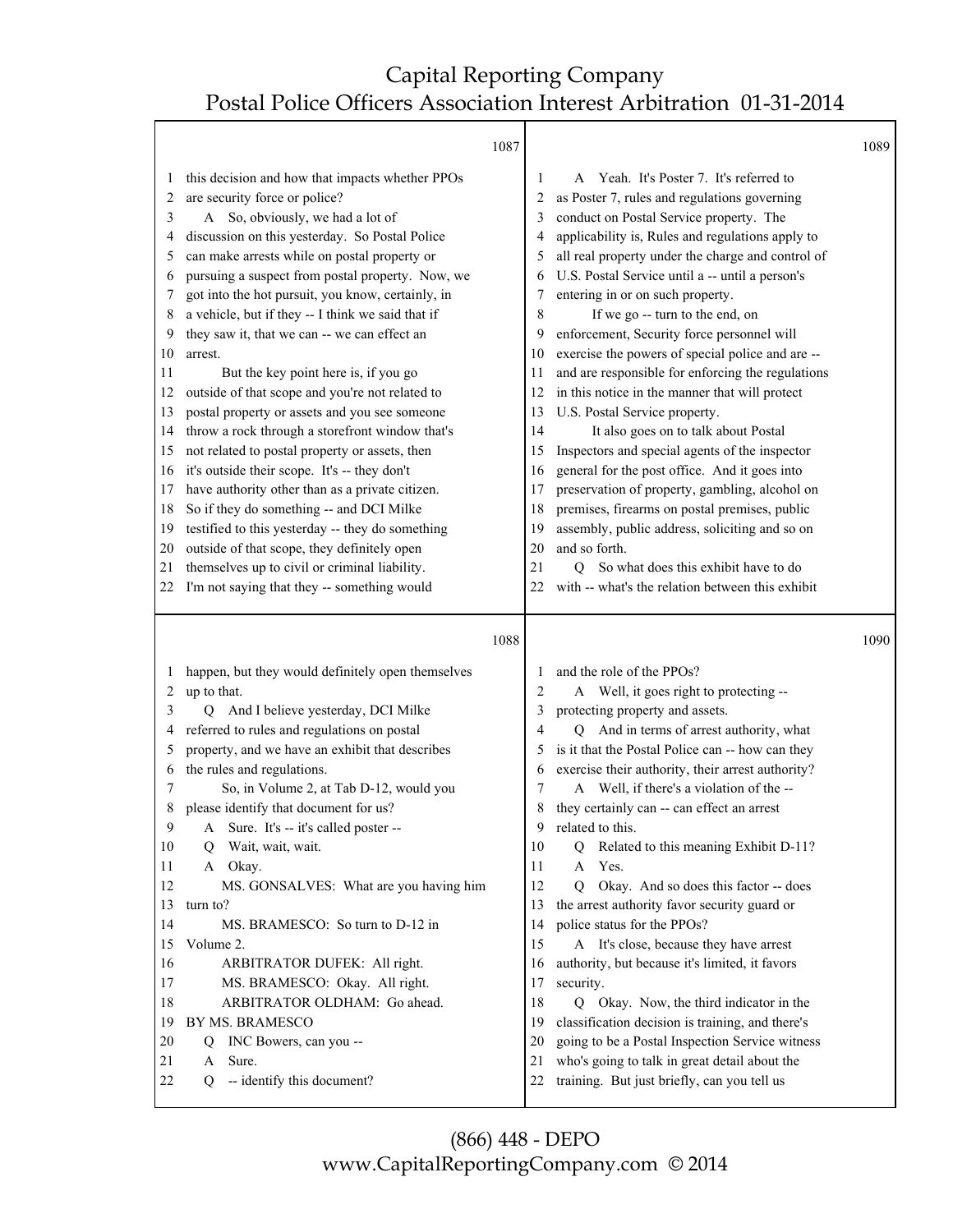Τ

 $\overline{\phantom{a}}$ 

|          | 1087                                                    |          |                                                                                              | 1089 |
|----------|---------------------------------------------------------|----------|----------------------------------------------------------------------------------------------|------|
| 1        | this decision and how that impacts whether PPOs         | 1        | Yeah. It's Poster 7. It's referred to<br>A                                                   |      |
| 2        | are security force or police?                           | 2        | as Poster 7, rules and regulations governing                                                 |      |
| 3        | So, obviously, we had a lot of<br>A                     | 3        | conduct on Postal Service property. The                                                      |      |
| 4        | discussion on this yesterday. So Postal Police          | 4        | applicability is, Rules and regulations apply to                                             |      |
| 5        | can make arrests while on postal property or            | 5        | all real property under the charge and control of                                            |      |
| 6        | pursuing a suspect from postal property. Now, we        | 6        | U.S. Postal Service until a -- until a person's                                              |      |
| 7        | got into the hot pursuit, you know, certainly, in       | 7        | entering in or on such property.                                                             |      |
| 8        | a vehicle, but if they -- I think we said that if       | 8        | If we go -- turn to the end, on                                                              |      |
| 9        | they saw it, that we can -- we can effect an            | 9        | enforcement, Security force personnel will                                                   |      |
| 10       | arrest.                                                 | 10       | exercise the powers of special police and are --                                             |      |
| 11       | But the key point here is, if you go                    | 11       | and are responsible for enforcing the regulations                                            |      |
| 12       | outside of that scope and you're not related to         | 12       | in this notice in the manner that will protect                                               |      |
| 13       | postal property or assets and you see someone           | 13       | U.S. Postal Service property.                                                                |      |
| 14       | throw a rock through a storefront window that's         | 14       | It also goes on to talk about Postal                                                         |      |
| 15       | not related to postal property or assets, then          | 15       | Inspectors and special agents of the inspector                                               |      |
| 16       | it's outside their scope. It's -- they don't            | 16       | general for the post office. And it goes into                                                |      |
| 17       | have authority other than as a private citizen.         | 17       | preservation of property, gambling, alcohol on                                               |      |
| 18       | So if they do something -- and DCI Milke                | 18       | premises, firearms on postal premises, public                                                |      |
| 19       | testified to this yesterday -- they do something        | 19       | assembly, public address, soliciting and so on                                               |      |
| 20       | outside of that scope, they definitely open             | 20       | and so forth.                                                                                |      |
| 21       | themselves up to civil or criminal liability.           | 21       | Q So what does this exhibit have to do                                                       |      |
| 22       | I'm not saying that they -- something would             | 22       | with -- what's the relation between this exhibit                                             |      |
|          |                                                         |          |                                                                                              |      |
|          |                                                         |          |                                                                                              |      |
|          |                                                         |          |                                                                                              |      |
|          | 1088                                                    |          |                                                                                              | 1090 |
| 1        | happen, but they would definitely open themselves       | 1        | and the role of the PPOs?                                                                    |      |
| 2        | up to that.                                             | 2        | A Well, it goes right to protecting --                                                       |      |
| 3        | And I believe yesterday, DCI Milke<br>О                 | 3        | protecting property and assets.                                                              |      |
| 4        | referred to rules and regulations on postal             | 4        | Q And in terms of arrest authority, what                                                     |      |
| 5        | property, and we have an exhibit that describes         | 5        | is it that the Postal Police can -- how can they                                             |      |
| 6        | the rules and regulations.                              | 6        | exercise their authority, their arrest authority?                                            |      |
| 7        | So, in Volume 2, at Tab D-12, would you                 | 7        | A Well, if there's a violation of the --                                                     |      |
| 8        | please identify that document for us?                   | 8        | they certainly can -- can effect an arrest                                                   |      |
| 9        | A Sure. It's -- it's called poster --                   | 9        | related to this.                                                                             |      |
| 10       | Wait, wait, wait.<br>Q                                  | 10       | Related to this meaning Exhibit D-11?<br>Q                                                   |      |
| 11       | A Okay.                                                 | 11       | Yes.<br>A                                                                                    |      |
| 12       | MS. GONSALVES: What are you having him                  | 12       | Okay. And so does this factor -- does<br>$\overline{O}$                                      |      |
| 13       | turn to?                                                | 13       | the arrest authority favor security guard or                                                 |      |
| 14       | MS. BRAMESCO: So turn to D-12 in                        | 14       | police status for the PPOs?                                                                  |      |
| 15       | Volume 2.                                               | 15       | A It's close, because they have arrest                                                       |      |
| 16       | ARBITRATOR DUFEK: All right.                            | 16       | authority, but because it's limited, it favors                                               |      |
| 17       | MS. BRAMESCO: Okay. All right.                          | 17       | security.                                                                                    |      |
| 18       | ARBITRATOR OLDHAM: Go ahead.                            | 18       | Q Okay. Now, the third indicator in the                                                      |      |
| 19       | BY MS. BRAMESCO                                         | 19       | classification decision is training, and there's                                             |      |
| 20       | INC Bowers, can you --<br>Q                             | 20       | going to be a Postal Inspection Service witness                                              |      |
| 21<br>22 | Sure.<br>A<br>-- identify this document?<br>$\mathbf Q$ | 21<br>22 | who's going to talk in great detail about the<br>training. But just briefly, can you tell us |      |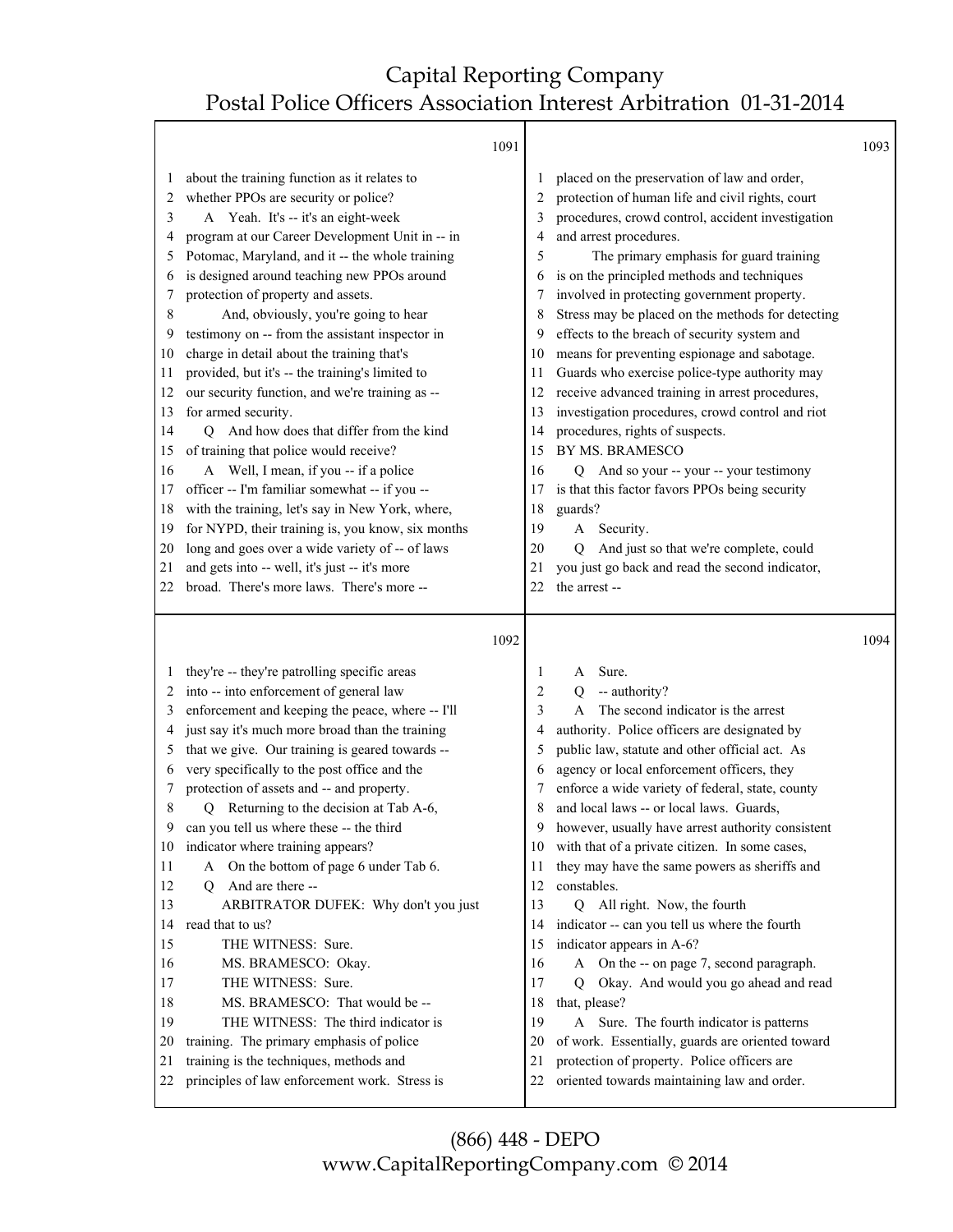┯

|              |                                                          | 1091 |                |                                                                       | 1093 |
|--------------|----------------------------------------------------------|------|----------------|-----------------------------------------------------------------------|------|
| $\mathbf{I}$ | about the training function as it relates to             |      |                | placed on the preservation of law and order,                          |      |
| 2            | whether PPOs are security or police?                     |      | 2              | protection of human life and civil rights, court                      |      |
| 3            | A Yeah. It's -- it's an eight-week                       |      | 3              | procedures, crowd control, accident investigation                     |      |
| 4            | program at our Career Development Unit in -- in          |      | 4              | and arrest procedures.                                                |      |
| 5            | Potomac, Maryland, and it -- the whole training          |      | 5              | The primary emphasis for guard training                               |      |
| 6            | is designed around teaching new PPOs around              |      | 6              | is on the principled methods and techniques                           |      |
| 7            | protection of property and assets.                       |      | 7              | involved in protecting government property.                           |      |
| 8            | And, obviously, you're going to hear                     |      | 8              | Stress may be placed on the methods for detecting                     |      |
| 9            | testimony on -- from the assistant inspector in          |      | 9              | effects to the breach of security system and                          |      |
| 10           | charge in detail about the training that's               |      | 10             | means for preventing espionage and sabotage.                          |      |
| 11           | provided, but it's -- the training's limited to          |      | 11             | Guards who exercise police-type authority may                         |      |
| 12           | our security function, and we're training as --          |      | 12             | receive advanced training in arrest procedures,                       |      |
| 13           | for armed security.                                      |      | 13             | investigation procedures, crowd control and riot                      |      |
| 14           | And how does that differ from the kind<br>О              |      | 14             | procedures, rights of suspects.                                       |      |
| 15           | of training that police would receive?                   |      | 15             | BY MS. BRAMESCO                                                       |      |
| 16           | A Well, I mean, if you -- if a police                    |      | 16             | And so your -- your -- your testimony<br>Q                            |      |
| 17           | officer -- I'm familiar somewhat -- if you --            |      | 17             | is that this factor favors PPOs being security                        |      |
| 18           | with the training, let's say in New York, where,         |      | 18             | guards?                                                               |      |
| 19           | for NYPD, their training is, you know, six months        |      | 19             | Security.<br>A                                                        |      |
| 20           | long and goes over a wide variety of -- of laws          |      | 20             | And just so that we're complete, could<br>Q                           |      |
| 21           | and gets into -- well, it's just -- it's more            |      | 21             | you just go back and read the second indicator,                       |      |
| 22           | broad. There's more laws. There's more --                |      | 22             | the arrest-                                                           |      |
|              |                                                          |      |                |                                                                       |      |
|              |                                                          | 1092 |                |                                                                       | 1094 |
|              |                                                          |      |                |                                                                       |      |
|              | they're -- they're patrolling specific areas             |      | 1              | Sure.<br>A                                                            |      |
| 2            | into -- into enforcement of general law                  |      | $\overline{c}$ | -- authority?<br>0                                                    |      |
| 3            | enforcement and keeping the peace, where -- I'll         |      | 3              | The second indicator is the arrest<br>A                               |      |
| 4            | just say it's much more broad than the training          |      | 4              | authority. Police officers are designated by                          |      |
| 5            | that we give. Our training is geared towards --          |      | 5              | public law, statute and other official act. As                        |      |
| 6            | very specifically to the post office and the             |      | 6              | agency or local enforcement officers, they                            |      |
| 7            | protection of assets and -- and property.                |      |                | enforce a wide variety of federal, state, county                      |      |
| 8            | Returning to the decision at Tab A-6,<br>Q               |      | 8<br>9         | and local laws -- or local laws. Guards,                              |      |
| 9<br>10      | can you tell us where these -- the third                 |      | 10             | however, usually have arrest authority consistent                     |      |
| 11           | indicator where training appears?                        |      | 11             | with that of a private citizen. In some cases,                        |      |
|              | A On the bottom of page 6 under Tab 6.                   |      | 12             | they may have the same powers as sheriffs and                         |      |
| 12<br>13     | Q And are there --                                       |      |                | constables.                                                           |      |
| 14           | ARBITRATOR DUFEK: Why don't you just<br>read that to us? |      | 13<br>14       | Q All right. Now, the fourth                                          |      |
|              |                                                          |      | 15             | indicator -- can you tell us where the fourth                         |      |
| 15<br>16     | THE WITNESS: Sure.<br>MS. BRAMESCO: Okay.                |      | 16             | indicator appears in A-6?<br>A On the -- on page 7, second paragraph. |      |
| 17           | THE WITNESS: Sure.                                       |      | 17             | Okay. And would you go ahead and read<br>Q                            |      |
| 18           | MS. BRAMESCO: That would be --                           |      | 18             | that, please?                                                         |      |
| 19           | THE WITNESS: The third indicator is                      |      | 19             | A Sure. The fourth indicator is patterns                              |      |
| 20           | training. The primary emphasis of police                 |      | 20             | of work. Essentially, guards are oriented toward                      |      |
| 21           | training is the techniques, methods and                  |      | 21             | protection of property. Police officers are                           |      |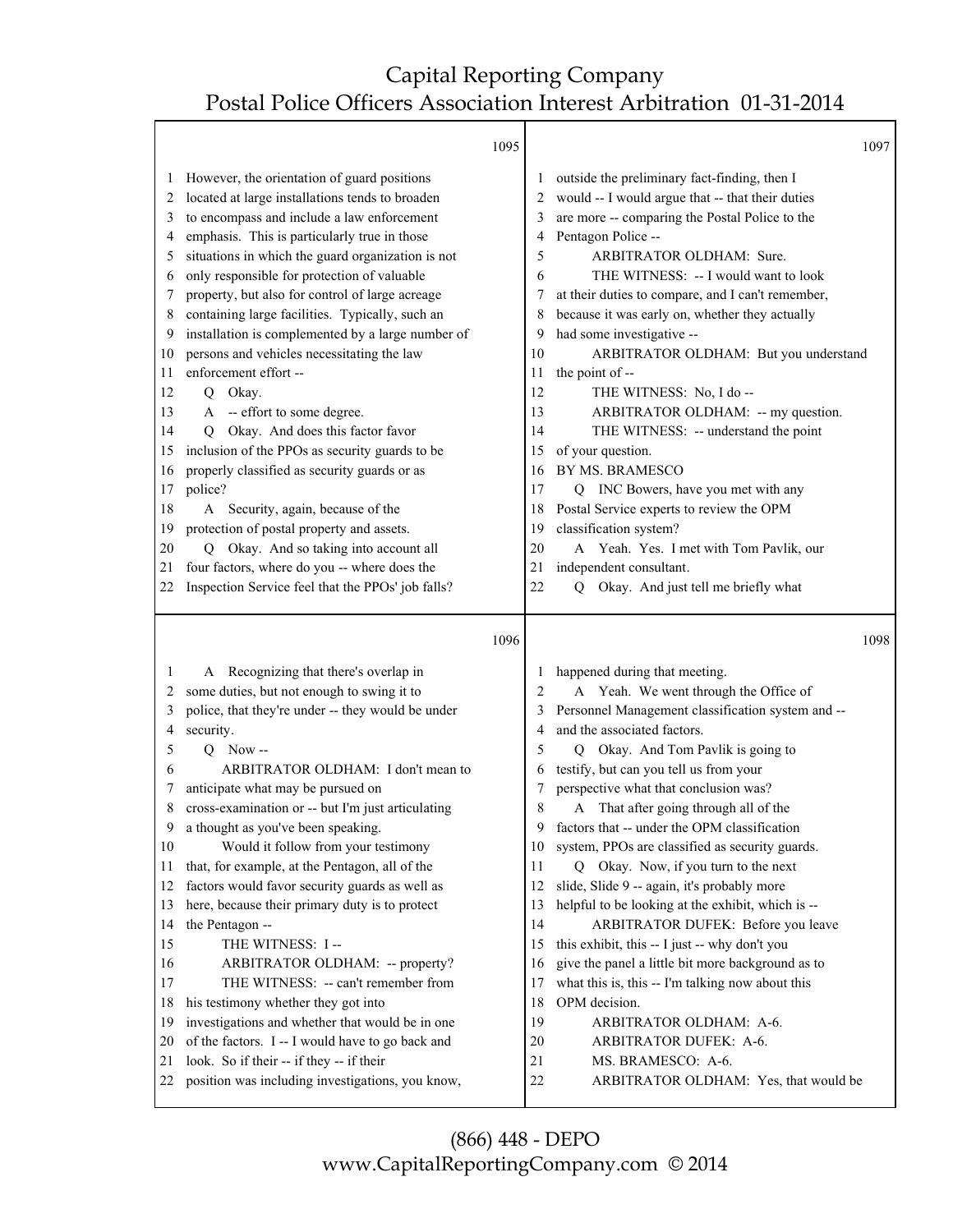Τ

|    |                                                   | 1095 |                | 1097                                              |
|----|---------------------------------------------------|------|----------------|---------------------------------------------------|
| 1  | However, the orientation of guard positions       |      | 1              | outside the preliminary fact-finding, then I      |
| 2  | located at large installations tends to broaden   |      | 2              | would -- I would argue that -- that their duties  |
| 3  | to encompass and include a law enforcement        |      | 3              | are more -- comparing the Postal Police to the    |
| 4  | emphasis. This is particularly true in those      |      | 4              | Pentagon Police --                                |
| 5  | situations in which the guard organization is not |      | 5              | ARBITRATOR OLDHAM: Sure.                          |
| 6  | only responsible for protection of valuable       |      | 6              | THE WITNESS: -- I would want to look              |
| 7  | property, but also for control of large acreage   |      | 7              | at their duties to compare, and I can't remember, |
| 8  | containing large facilities. Typically, such an   |      | 8              | because it was early on, whether they actually    |
| 9  | installation is complemented by a large number of |      | 9              | had some investigative --                         |
| 10 | persons and vehicles necessitating the law        |      | 10             | ARBITRATOR OLDHAM: But you understand             |
| 11 | enforcement effort --                             |      | 11             | the point of --                                   |
| 12 | Q Okay.                                           |      | 12             | THE WITNESS: No, I do --                          |
| 13 | A -- effort to some degree.                       |      | 13             | ARBITRATOR OLDHAM: -- my question.                |
| 14 | Okay. And does this factor favor<br>O             |      | 14             | THE WITNESS: -- understand the point              |
| 15 | inclusion of the PPOs as security guards to be    |      | 15             | of your question.                                 |
| 16 | properly classified as security guards or as      |      | 16             | BY MS. BRAMESCO                                   |
| 17 | police?                                           |      | 17             | INC Bowers, have you met with any<br>Q            |
| 18 | Security, again, because of the<br>A              |      | 18             | Postal Service experts to review the OPM          |
| 19 | protection of postal property and assets.         |      | 19             | classification system?                            |
| 20 | Okay. And so taking into account all<br>O         |      | 20             | A Yeah. Yes. I met with Tom Pavlik, our           |
| 21 | four factors, where do you -- where does the      |      | 21             | independent consultant.                           |
| 22 | Inspection Service feel that the PPOs' job falls? |      | 22             | Okay. And just tell me briefly what<br>Q          |
|    |                                                   |      |                |                                                   |
|    |                                                   | 1096 |                | 1098                                              |
| 1  | A Recognizing that there's overlap in             |      | 1              | happened during that meeting.                     |
|    |                                                   |      |                |                                                   |
| 2  | some duties, but not enough to swing it to        |      | $\overline{2}$ | A Yeah. We went through the Office of             |
| 3  | police, that they're under -- they would be under |      | 3              | Personnel Management classification system and -- |
| 4  | security.                                         |      | 4              | and the associated factors.                       |
| 5  | $Q$ Now --                                        |      | 5              | Okay. And Tom Pavlik is going to<br>O             |
| 6  | ARBITRATOR OLDHAM: I don't mean to                |      | 6              | testify, but can you tell us from your            |
| 7  | anticipate what may be pursued on                 |      | 7              | perspective what that conclusion was?             |
| 8  | cross-examination or -- but I'm just articulating |      | 8              | That after going through all of the<br>A          |
| 9  | a thought as you've been speaking.                |      | 9              | factors that -- under the OPM classification      |
| 10 | Would it follow from your testimony               |      | 10             | system, PPOs are classified as security guards.   |
| 11 | that, for example, at the Pentagon, all of the    |      | 11             | Q Okay. Now, if you turn to the next              |
| 12 | factors would favor security guards as well as    |      | 12             | slide, Slide 9 -- again, it's probably more       |
| 13 | here, because their primary duty is to protect    |      | 13             | helpful to be looking at the exhibit, which is -- |
| 14 | the Pentagon --                                   |      | 14             | ARBITRATOR DUFEK: Before you leave                |
| 15 | THE WITNESS: I --                                 |      | 15             | this exhibit, this -- I just -- why don't you     |
| 16 | ARBITRATOR OLDHAM: -- property?                   |      | 16             | give the panel a little bit more background as to |
| 17 | THE WITNESS: -- can't remember from               |      | 17             | what this is, this -- I'm talking now about this  |
| 18 | his testimony whether they got into               |      | 18             | OPM decision.                                     |
| 19 | investigations and whether that would be in one   |      | 19             | ARBITRATOR OLDHAM: A-6.                           |
| 20 | of the factors. I -- I would have to go back and  |      | 20             | ARBITRATOR DUFEK: A-6.                            |
| 21 | look. So if their -- if they -- if their          |      | 21<br>22       | MS. BRAMESCO: A-6.                                |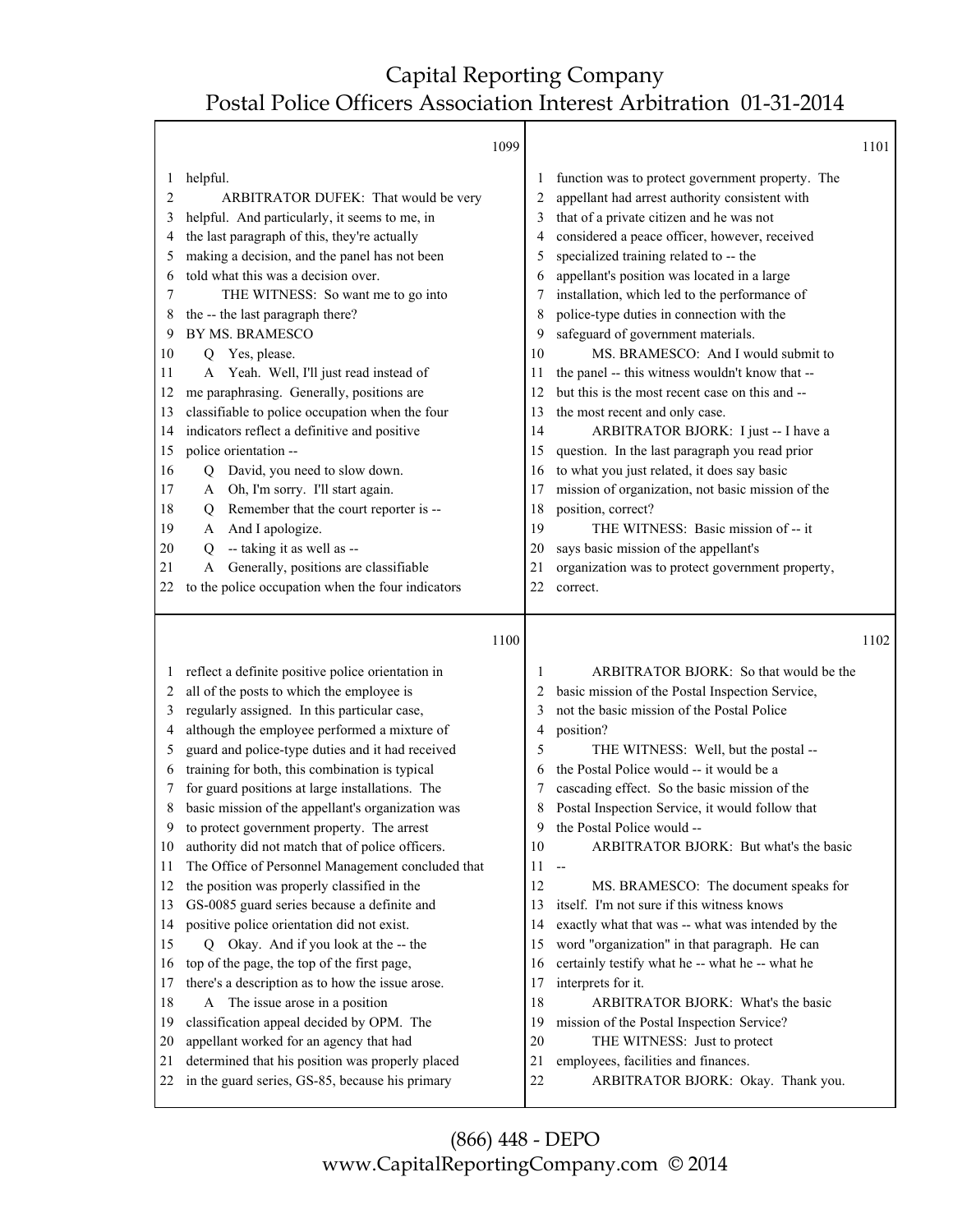Τ

|         |                                                   | 1099 |                                                       | 1101 |
|---------|---------------------------------------------------|------|-------------------------------------------------------|------|
| 1       | helpful.                                          |      | function was to protect government property. The<br>1 |      |
| 2       | ARBITRATOR DUFEK: That would be very              |      | appellant had arrest authority consistent with<br>2   |      |
| 3       | helpful. And particularly, it seems to me, in     |      | that of a private citizen and he was not<br>3         |      |
| 4       | the last paragraph of this, they're actually      |      | considered a peace officer, however, received<br>4    |      |
| 5       | making a decision, and the panel has not been     |      | specialized training related to -- the<br>5           |      |
| 6       | told what this was a decision over.               |      | appellant's position was located in a large<br>6      |      |
| 7       | THE WITNESS: So want me to go into                |      | installation, which led to the performance of<br>7    |      |
| 8       | the -- the last paragraph there?                  |      | police-type duties in connection with the<br>8        |      |
| 9       | BY MS. BRAMESCO                                   |      | safeguard of government materials.<br>9               |      |
| 10      | Q Yes, please.                                    | 10   | MS. BRAMESCO: And I would submit to                   |      |
| 11      | Yeah. Well, I'll just read instead of<br>A        | 11   | the panel -- this witness wouldn't know that --       |      |
| 12      | me paraphrasing. Generally, positions are         | 12   | but this is the most recent case on this and --       |      |
| 13      | classifiable to police occupation when the four   | 13   | the most recent and only case.                        |      |
| 14      | indicators reflect a definitive and positive      | 14   | ARBITRATOR BJORK: I just -- I have a                  |      |
| 15      | police orientation --                             | 15   | question. In the last paragraph you read prior        |      |
| 16      | David, you need to slow down.<br>Q                | 16   | to what you just related, it does say basic           |      |
| 17      | Oh, I'm sorry. I'll start again.<br>A             | 17   | mission of organization, not basic mission of the     |      |
| 18      | Remember that the court reporter is --<br>Q       | 18   | position, correct?                                    |      |
| 19      | And I apologize.<br>A                             | 19   | THE WITNESS: Basic mission of -- it                   |      |
| 20      | -- taking it as well as --<br>Q                   | 20   | says basic mission of the appellant's                 |      |
| 21      | Generally, positions are classifiable<br>A        | 21   | organization was to protect government property,      |      |
| 22      | to the police occupation when the four indicators | 22   | correct.                                              |      |
|         |                                                   |      |                                                       |      |
|         |                                                   |      |                                                       | 1102 |
|         |                                                   |      |                                                       |      |
|         |                                                   | 1100 |                                                       |      |
| $\perp$ | reflect a definite positive police orientation in |      | ARBITRATOR BJORK: So that would be the<br>1           |      |
| 2       | all of the posts to which the employee is         |      | basic mission of the Postal Inspection Service,<br>2  |      |
| 3       | regularly assigned. In this particular case,      |      | not the basic mission of the Postal Police<br>3       |      |
| 4       | although the employee performed a mixture of      |      | position?<br>4                                        |      |
| 5       | guard and police-type duties and it had received  |      | 5<br>THE WITNESS: Well, but the postal --             |      |
| 6       | training for both, this combination is typical    |      | the Postal Police would -- it would be a<br>6         |      |
| 7       | for guard positions at large installations. The   |      | cascading effect. So the basic mission of the<br>7    |      |
| 8       | basic mission of the appellant's organization was |      | Postal Inspection Service, it would follow that<br>8  |      |
| 9       | to protect government property. The arrest        |      | the Postal Police would --<br>9                       |      |
| 10      | authority did not match that of police officers.  | 10   | ARBITRATOR BJORK: But what's the basic                |      |
| 11      | The Office of Personnel Management concluded that | 11   | $\overline{\phantom{a}}$                              |      |
| 12      | the position was properly classified in the       | 12   | MS. BRAMESCO: The document speaks for                 |      |
| 13      | GS-0085 guard series because a definite and       | 13   | itself. I'm not sure if this witness knows            |      |
| 14      | positive police orientation did not exist.        | 14   | exactly what that was -- what was intended by the     |      |
| 15      | Q Okay. And if you look at the -- the             | 15   | word "organization" in that paragraph. He can         |      |
| 16      | top of the page, the top of the first page,       | 16   | certainly testify what he -- what he -- what he       |      |
| 17      | there's a description as to how the issue arose.  | 17   | interprets for it.                                    |      |
| 18      | A The issue arose in a position                   | 18   | ARBITRATOR BJORK: What's the basic                    |      |
| 19      | classification appeal decided by OPM. The         | 19   | mission of the Postal Inspection Service?             |      |
| 20      | appellant worked for an agency that had           | 20   | THE WITNESS: Just to protect                          |      |
| 21      | determined that his position was properly placed  | 21   | employees, facilities and finances.                   |      |
| 22      | in the guard series, GS-85, because his primary   | 22   | ARBITRATOR BJORK: Okay. Thank you.                    |      |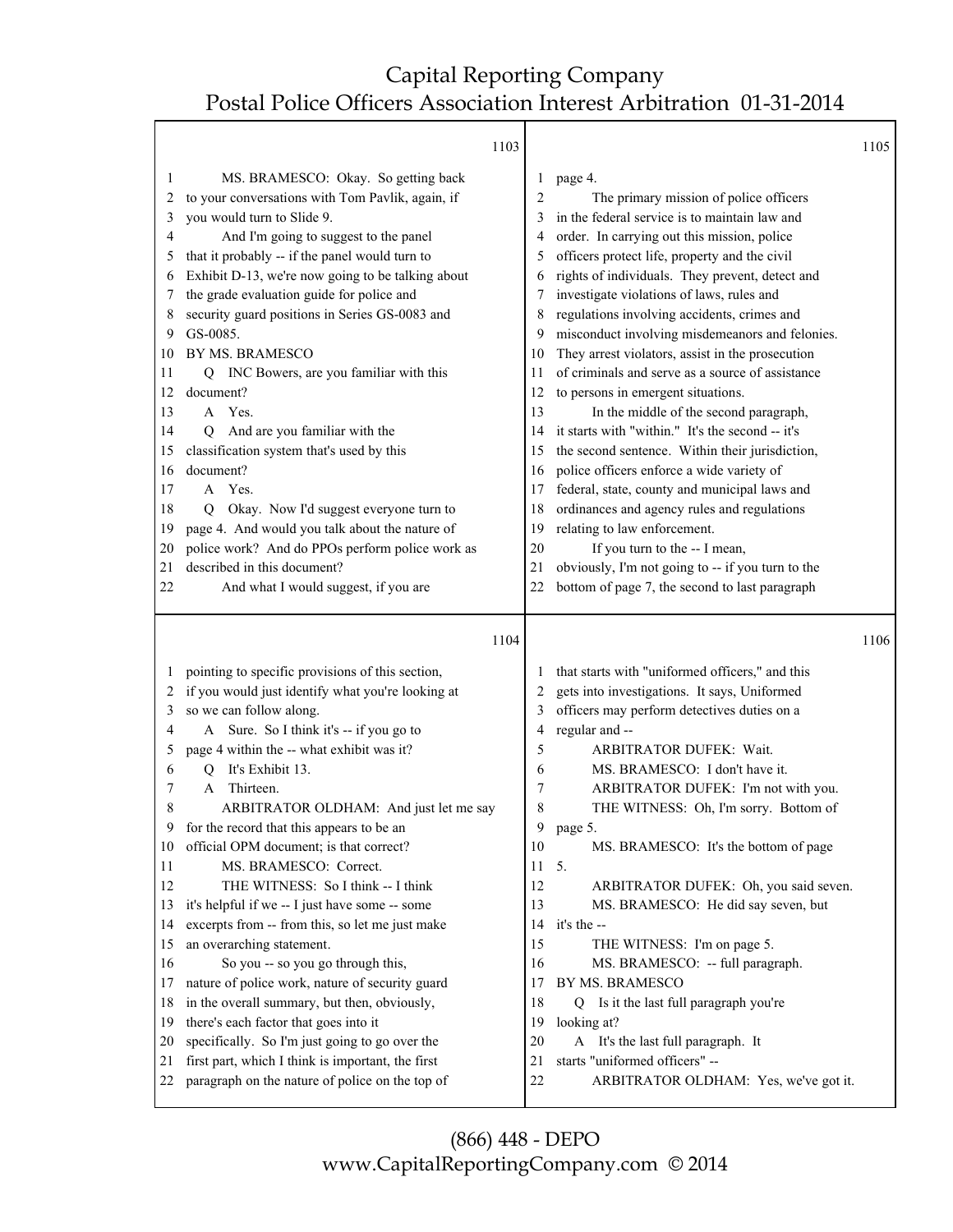$\top$ 

|          | 1103                                                                                                 |                |                                                                             | 1105 |
|----------|------------------------------------------------------------------------------------------------------|----------------|-----------------------------------------------------------------------------|------|
| 1        | MS. BRAMESCO: Okay. So getting back                                                                  | 1              | page 4.                                                                     |      |
| 2        | to your conversations with Tom Pavlik, again, if                                                     | $\overline{c}$ | The primary mission of police officers                                      |      |
| 3        | you would turn to Slide 9.                                                                           | 3              | in the federal service is to maintain law and                               |      |
| 4        | And I'm going to suggest to the panel                                                                | 4              | order. In carrying out this mission, police                                 |      |
| 5        | that it probably -- if the panel would turn to                                                       | 5              | officers protect life, property and the civil                               |      |
| 6        | Exhibit D-13, we're now going to be talking about                                                    | 6              | rights of individuals. They prevent, detect and                             |      |
| 7        | the grade evaluation guide for police and                                                            | 7              | investigate violations of laws, rules and                                   |      |
| 8        | security guard positions in Series GS-0083 and                                                       | 8              | regulations involving accidents, crimes and                                 |      |
| 9        | GS-0085.                                                                                             | 9              | misconduct involving misdemeanors and felonies.                             |      |
| 10       | BY MS. BRAMESCO                                                                                      | 10             | They arrest violators, assist in the prosecution                            |      |
| 11       | INC Bowers, are you familiar with this<br>О                                                          | 11             | of criminals and serve as a source of assistance                            |      |
| 12       | document?                                                                                            | 12             | to persons in emergent situations.                                          |      |
| 13       | A Yes.                                                                                               | 13             | In the middle of the second paragraph,                                      |      |
| 14       | And are you familiar with the<br>О                                                                   | 14             | it starts with "within." It's the second -- it's                            |      |
| 15       | classification system that's used by this                                                            | 15             | the second sentence. Within their jurisdiction,                             |      |
| 16       | document?                                                                                            | 16             | police officers enforce a wide variety of                                   |      |
| 17       | A Yes.                                                                                               | 17             | federal, state, county and municipal laws and                               |      |
| 18       |                                                                                                      |                |                                                                             |      |
|          | Okay. Now I'd suggest everyone turn to<br>0<br>page 4. And would you talk about the nature of        | 18<br>19       | ordinances and agency rules and regulations<br>relating to law enforcement. |      |
| 19       |                                                                                                      |                |                                                                             |      |
| 20<br>21 | police work? And do PPOs perform police work as<br>described in this document?                       | 20<br>21       | If you turn to the -- I mean,                                               |      |
| 22       |                                                                                                      | 22             | obviously, I'm not going to -- if you turn to the                           |      |
|          | And what I would suggest, if you are                                                                 |                | bottom of page 7, the second to last paragraph                              |      |
|          |                                                                                                      |                |                                                                             |      |
|          | 1104                                                                                                 |                |                                                                             | 1106 |
|          |                                                                                                      |                |                                                                             |      |
| 1        | pointing to specific provisions of this section,                                                     | 1              | that starts with "uniformed officers," and this                             |      |
| 2        | if you would just identify what you're looking at                                                    | 2              | gets into investigations. It says, Uniformed                                |      |
| 3        | so we can follow along.                                                                              | 3              | officers may perform detectives duties on a                                 |      |
| 4        | Sure. So I think it's -- if you go to<br>A                                                           | 4              | regular and --                                                              |      |
| 5        | page 4 within the -- what exhibit was it?                                                            | 5              | ARBITRATOR DUFEK: Wait.                                                     |      |
| 6        | It's Exhibit 13.<br>Q                                                                                | 6              | MS. BRAMESCO: I don't have it.                                              |      |
| 7        | Thirteen.<br>A                                                                                       | 7              | ARBITRATOR DUFEK: I'm not with you.                                         |      |
| 8        | ARBITRATOR OLDHAM: And just let me say                                                               | 8              | THE WITNESS: Oh, I'm sorry. Bottom of                                       |      |
| 9        | for the record that this appears to be an                                                            | 9              | page 5.                                                                     |      |
| 10       | official OPM document; is that correct?                                                              | 10             | MS. BRAMESCO: It's the bottom of page                                       |      |
| 11       | MS. BRAMESCO: Correct.                                                                               | 11             | 5.                                                                          |      |
| 12       | THE WITNESS: So I think -- I think                                                                   | 12             | ARBITRATOR DUFEK: Oh, you said seven.                                       |      |
| 13       | it's helpful if we -- I just have some -- some                                                       | 13             | MS. BRAMESCO: He did say seven, but                                         |      |
| 14       | excerpts from -- from this, so let me just make                                                      | 14             | it's the --                                                                 |      |
| 15       | an overarching statement.                                                                            | 15             | THE WITNESS: I'm on page 5.                                                 |      |
| 16       | So you -- so you go through this,                                                                    | 16             | MS. BRAMESCO: -- full paragraph.                                            |      |
| 17       | nature of police work, nature of security guard                                                      | 17             | BY MS. BRAMESCO                                                             |      |
| 18       | in the overall summary, but then, obviously,                                                         | 18             | Is it the last full paragraph you're<br>O                                   |      |
| 19       | there's each factor that goes into it                                                                | 19             | looking at?                                                                 |      |
| 20       | specifically. So I'm just going to go over the                                                       | 20             | A It's the last full paragraph. It                                          |      |
| 21<br>22 | first part, which I think is important, the first<br>paragraph on the nature of police on the top of | 21<br>22       | starts "uniformed officers" --<br>ARBITRATOR OLDHAM: Yes, we've got it.     |      |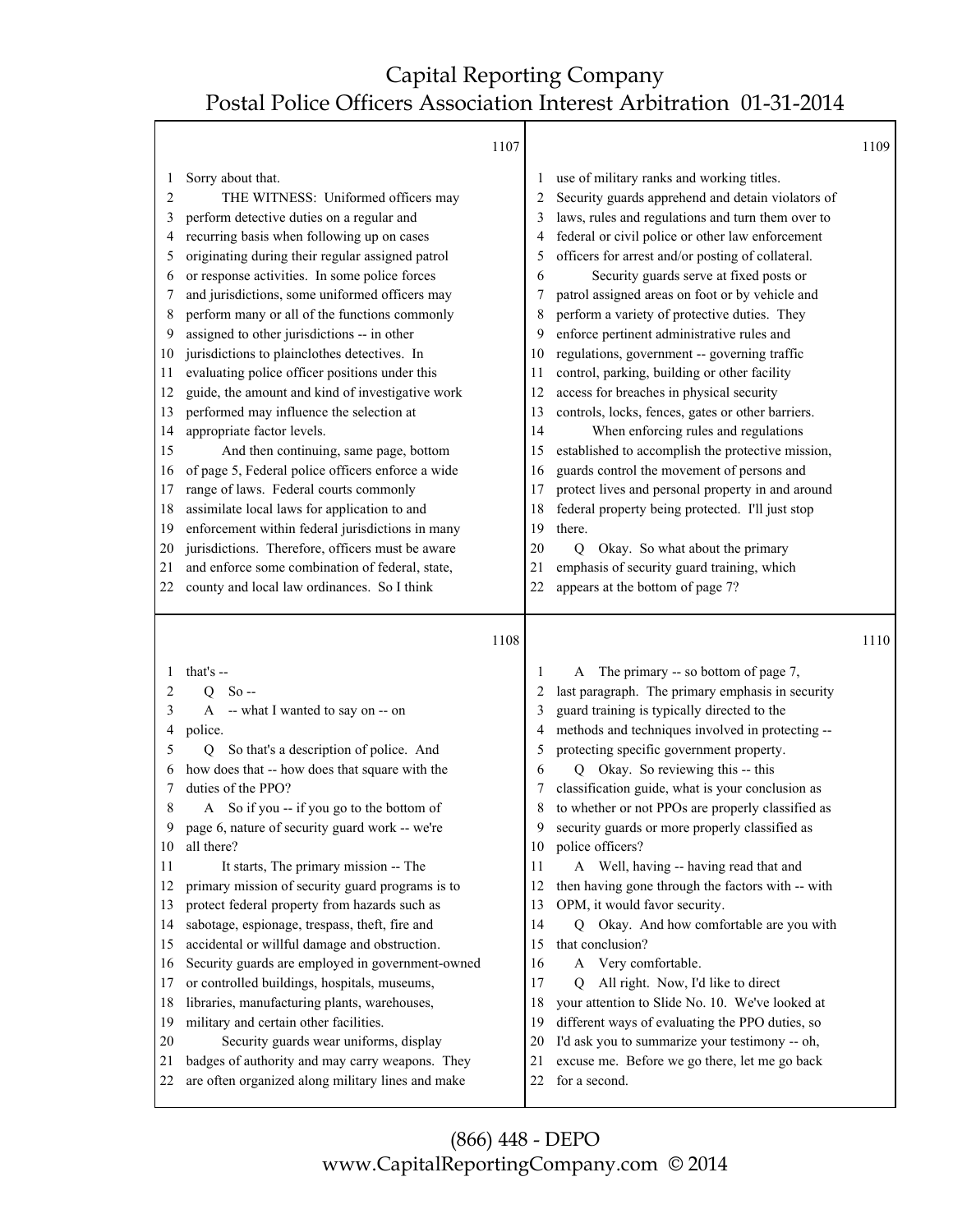|    |                                                                                          | 1107 |         |                                                                                     | 1109 |
|----|------------------------------------------------------------------------------------------|------|---------|-------------------------------------------------------------------------------------|------|
| 1  | Sorry about that.                                                                        |      | $\perp$ | use of military ranks and working titles.                                           |      |
| 2  | THE WITNESS: Uniformed officers may                                                      |      | 2       | Security guards apprehend and detain violators of                                   |      |
| 3  | perform detective duties on a regular and                                                |      | 3       | laws, rules and regulations and turn them over to                                   |      |
| 4  | recurring basis when following up on cases                                               |      | 4       | federal or civil police or other law enforcement                                    |      |
| 5  | originating during their regular assigned patrol                                         |      | 5       | officers for arrest and/or posting of collateral.                                   |      |
| 6  | or response activities. In some police forces                                            |      | 6       | Security guards serve at fixed posts or                                             |      |
| 7  | and jurisdictions, some uniformed officers may                                           |      | 7       | patrol assigned areas on foot or by vehicle and                                     |      |
| 8  | perform many or all of the functions commonly                                            |      | 8       | perform a variety of protective duties. They                                        |      |
| 9  | assigned to other jurisdictions -- in other                                              |      | 9       | enforce pertinent administrative rules and                                          |      |
| 10 | jurisdictions to plainclothes detectives. In                                             |      | 10      | regulations, government -- governing traffic                                        |      |
| 11 | evaluating police officer positions under this                                           |      | 11      | control, parking, building or other facility                                        |      |
| 12 | guide, the amount and kind of investigative work                                         |      | 12      | access for breaches in physical security                                            |      |
| 13 | performed may influence the selection at                                                 |      | 13      | controls, locks, fences, gates or other barriers.                                   |      |
| 14 | appropriate factor levels.                                                               |      | 14      | When enforcing rules and regulations                                                |      |
| 15 | And then continuing, same page, bottom                                                   |      | 15      | established to accomplish the protective mission,                                   |      |
| 16 | of page 5, Federal police officers enforce a wide                                        |      | 16      | guards control the movement of persons and                                          |      |
| 17 | range of laws. Federal courts commonly                                                   |      | 17      | protect lives and personal property in and around                                   |      |
| 18 | assimilate local laws for application to and                                             |      | 18      | federal property being protected. I'll just stop                                    |      |
| 19 | enforcement within federal jurisdictions in many                                         |      | 19      | there.                                                                              |      |
| 20 | jurisdictions. Therefore, officers must be aware                                         |      | 20      | Okay. So what about the primary<br>Q                                                |      |
| 21 | and enforce some combination of federal, state,                                          |      | 21      | emphasis of security guard training, which                                          |      |
| 22 | county and local law ordinances. So I think                                              |      | 22      | appears at the bottom of page 7?                                                    |      |
|    |                                                                                          |      |         |                                                                                     |      |
|    |                                                                                          | 1108 |         |                                                                                     | 1110 |
| 1  |                                                                                          |      | 1       |                                                                                     |      |
| 2  | that's --                                                                                |      | 2       | The primary -- so bottom of page 7,<br>A                                            |      |
| 3  | $Q$ So --                                                                                |      | 3       | last paragraph. The primary emphasis in security                                    |      |
| 4  | A -- what I wanted to say on -- on                                                       |      | 4       | guard training is typically directed to the                                         |      |
| 5  | police.<br>O                                                                             |      | 5       | methods and techniques involved in protecting --                                    |      |
| 6  | So that's a description of police. And<br>how does that -- how does that square with the |      | 6       | protecting specific government property.<br>Q                                       |      |
| 7  | duties of the PPO?                                                                       |      |         | Okay. So reviewing this -- this<br>classification guide, what is your conclusion as |      |
| 8  | A So if you -- if you go to the bottom of                                                |      | 8       | to whether or not PPOs are properly classified as                                   |      |
| 9  | page 6, nature of security guard work -- we're                                           |      | 9       | security guards or more properly classified as                                      |      |
| 10 | all there?                                                                               |      | 10      | police officers?                                                                    |      |
| 11 | It starts, The primary mission -- The                                                    |      | 11      | A Well, having -- having read that and                                              |      |
| 12 | primary mission of security guard programs is to                                         |      | 12      | then having gone through the factors with -- with                                   |      |
| 13 | protect federal property from hazards such as                                            |      | 13      | OPM, it would favor security.                                                       |      |
| 14 | sabotage, espionage, trespass, theft, fire and                                           |      | 14      | Q Okay. And how comfortable are you with                                            |      |
| 15 | accidental or willful damage and obstruction.                                            |      | 15      | that conclusion?                                                                    |      |
| 16 | Security guards are employed in government-owned                                         |      | 16      | Very comfortable.<br>A                                                              |      |
| 17 | or controlled buildings, hospitals, museums,                                             |      | 17      | All right. Now, I'd like to direct<br>Q                                             |      |
| 18 | libraries, manufacturing plants, warehouses,                                             |      | 18      | your attention to Slide No. 10. We've looked at                                     |      |
| 19 | military and certain other facilities.                                                   |      | 19      | different ways of evaluating the PPO duties, so                                     |      |
| 20 | Security guards wear uniforms, display                                                   |      | 20      | I'd ask you to summarize your testimony -- oh,                                      |      |
| 21 | badges of authority and may carry weapons. They                                          |      | 21      | excuse me. Before we go there, let me go back                                       |      |
| 22 | are often organized along military lines and make                                        |      | 22      | for a second.                                                                       |      |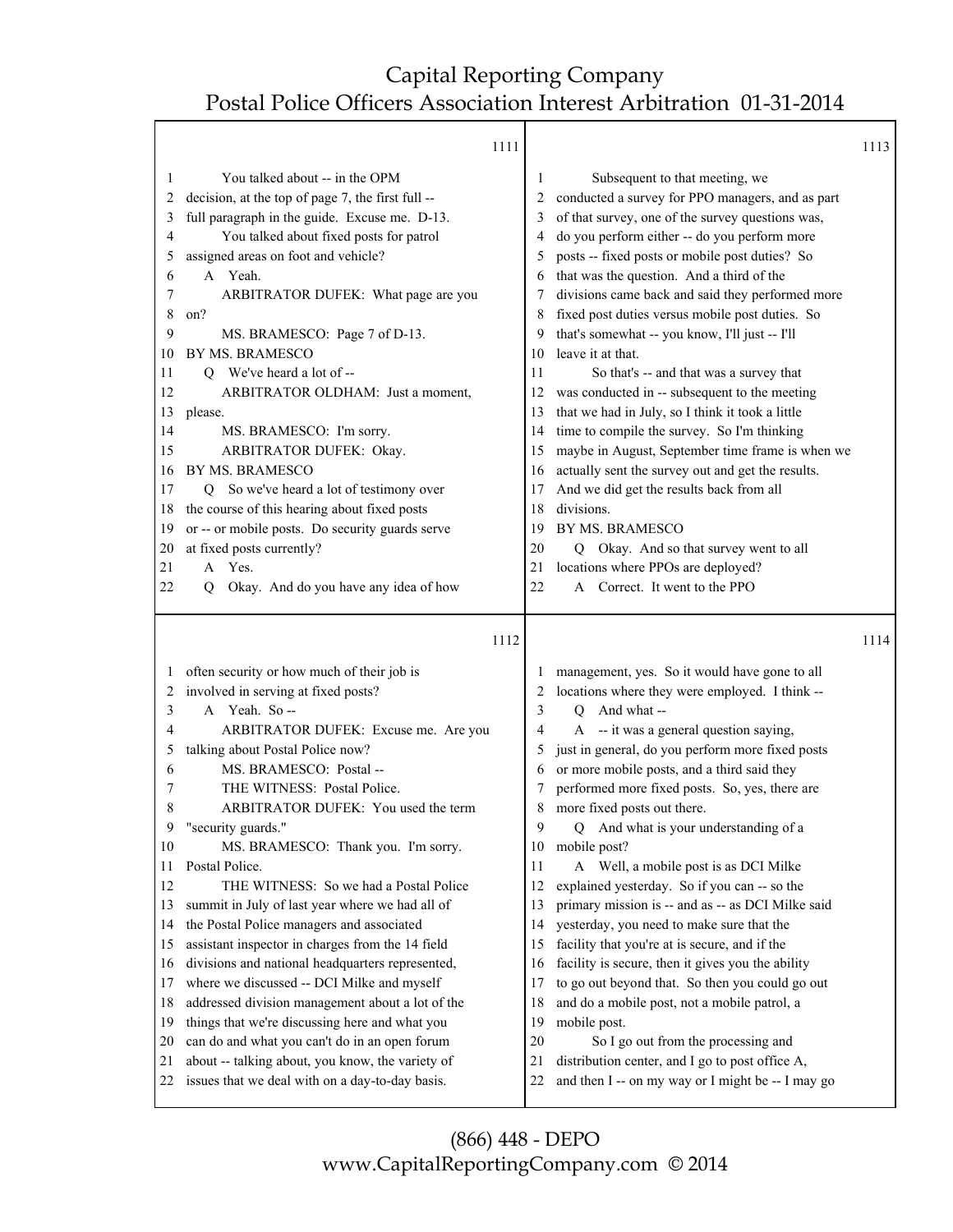Τ

ן

Г

|              | 1111                                                                                                |    |                                                                                                      | 1113 |
|--------------|-----------------------------------------------------------------------------------------------------|----|------------------------------------------------------------------------------------------------------|------|
| 1            | You talked about -- in the OPM                                                                      | 1  | Subsequent to that meeting, we                                                                       |      |
| 2            | decision, at the top of page 7, the first full --                                                   | 2  | conducted a survey for PPO managers, and as part                                                     |      |
| 3            | full paragraph in the guide. Excuse me. D-13.                                                       | 3  | of that survey, one of the survey questions was,                                                     |      |
| 4            | You talked about fixed posts for patrol                                                             | 4  | do you perform either -- do you perform more                                                         |      |
| 5            | assigned areas on foot and vehicle?                                                                 | 5  | posts -- fixed posts or mobile post duties? So                                                       |      |
| 6            | A Yeah.                                                                                             | 6  | that was the question. And a third of the                                                            |      |
| 7            | ARBITRATOR DUFEK: What page are you                                                                 | 7  | divisions came back and said they performed more                                                     |      |
| 8            | on?                                                                                                 | 8  | fixed post duties versus mobile post duties. So                                                      |      |
| 9            | MS. BRAMESCO: Page 7 of D-13.                                                                       | 9  | that's somewhat -- you know, I'll just -- I'll                                                       |      |
| 10           | BY MS. BRAMESCO                                                                                     | 10 | leave it at that.                                                                                    |      |
| 11           | Q We've heard a lot of --                                                                           | 11 | So that's -- and that was a survey that                                                              |      |
| 12           | ARBITRATOR OLDHAM: Just a moment,                                                                   | 12 | was conducted in -- subsequent to the meeting                                                        |      |
| 13           | please.                                                                                             | 13 | that we had in July, so I think it took a little                                                     |      |
| 14           | MS. BRAMESCO: I'm sorry.                                                                            | 14 | time to compile the survey. So I'm thinking                                                          |      |
| 15           | ARBITRATOR DUFEK: Okay.                                                                             | 15 | maybe in August, September time frame is when we                                                     |      |
| 16           | BY MS. BRAMESCO                                                                                     | 16 | actually sent the survey out and get the results.                                                    |      |
| 17           | So we've heard a lot of testimony over<br>O.                                                        | 17 | And we did get the results back from all                                                             |      |
| 18           | the course of this hearing about fixed posts                                                        | 18 | divisions.                                                                                           |      |
| 19           | or -- or mobile posts. Do security guards serve                                                     | 19 | BY MS. BRAMESCO                                                                                      |      |
| 20           | at fixed posts currently?                                                                           | 20 | Q Okay. And so that survey went to all                                                               |      |
| 21           | A Yes.                                                                                              | 21 | locations where PPOs are deployed?                                                                   |      |
| 22           | Okay. And do you have any idea of how<br>О                                                          | 22 | Correct. It went to the PPO<br>A                                                                     |      |
|              |                                                                                                     |    |                                                                                                      |      |
|              |                                                                                                     |    |                                                                                                      |      |
|              |                                                                                                     |    |                                                                                                      |      |
|              | 1112                                                                                                |    |                                                                                                      | 1114 |
| $\mathbf{I}$ |                                                                                                     |    |                                                                                                      |      |
| 2            | often security or how much of their job is<br>involved in serving at fixed posts?                   | 2  | management, yes. So it would have gone to all                                                        |      |
| 3            | A Yeah. So--                                                                                        | 3  | locations where they were employed. I think --<br>And what --<br>O                                   |      |
| 4            |                                                                                                     | 4  |                                                                                                      |      |
| 5            | ARBITRATOR DUFEK: Excuse me. Are you<br>talking about Postal Police now?                            | 5  | A -- it was a general question saying,                                                               |      |
| 6            | MS. BRAMESCO: Postal --                                                                             | 6  | just in general, do you perform more fixed posts                                                     |      |
| 7            | THE WITNESS: Postal Police.                                                                         | 7  | or more mobile posts, and a third said they                                                          |      |
| 8            | ARBITRATOR DUFEK: You used the term                                                                 | 8  | performed more fixed posts. So, yes, there are<br>more fixed posts out there.                        |      |
| 9            | "security guards."                                                                                  | 9  | And what is your understanding of a<br>Q                                                             |      |
| 10           | MS. BRAMESCO: Thank you. I'm sorry.                                                                 | 10 | mobile post?                                                                                         |      |
| 11           | Postal Police.                                                                                      | 11 |                                                                                                      |      |
| 12           | THE WITNESS: So we had a Postal Police                                                              | 12 | A Well, a mobile post is as DCI Milke                                                                |      |
| 13           | summit in July of last year where we had all of                                                     | 13 | explained yesterday. So if you can -- so the<br>primary mission is -- and as -- as DCI Milke said    |      |
| 14           | the Postal Police managers and associated                                                           | 14 | yesterday, you need to make sure that the                                                            |      |
| 15           | assistant inspector in charges from the 14 field                                                    | 15 |                                                                                                      |      |
| 16           |                                                                                                     | 16 | facility that you're at is secure, and if the                                                        |      |
| 17           | divisions and national headquarters represented,<br>where we discussed -- DCI Milke and myself      | 17 | facility is secure, then it gives you the ability                                                    |      |
| 18           |                                                                                                     | 18 | to go out beyond that. So then you could go out<br>and do a mobile post, not a mobile patrol, a      |      |
| 19           | addressed division management about a lot of the                                                    | 19 | mobile post.                                                                                         |      |
| 20           | things that we're discussing here and what you                                                      | 20 |                                                                                                      |      |
| 21           | can do and what you can't do in an open forum                                                       | 21 | So I go out from the processing and                                                                  |      |
| 22           | about -- talking about, you know, the variety of<br>issues that we deal with on a day-to-day basis. | 22 | distribution center, and I go to post office A,<br>and then I -- on my way or I might be -- I may go |      |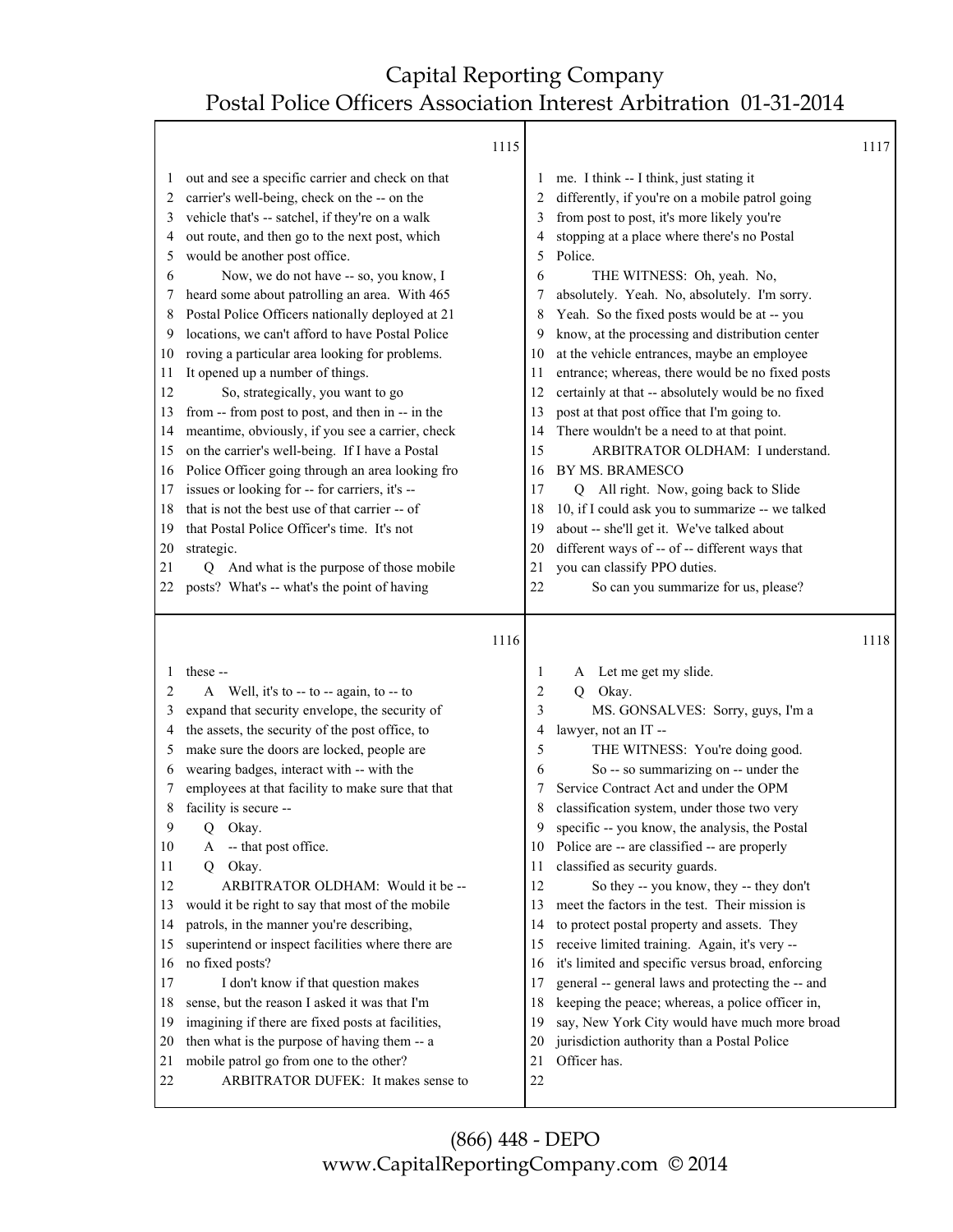Τ

|                                                                                                                              | 1115                                                                                                                                                                                                                                                                                                                                                                                                                                                                                                                                                                                                                                                                                                                                                                                                                                                                                                                                                                                                                                                |                                                                                                                          |                                                                                                                                                                                                                                                                                                                                                                                                                                                                                                                                                                                                                                                                                                                                                                                                                                                                                                                                                                        | 1117 |
|------------------------------------------------------------------------------------------------------------------------------|-----------------------------------------------------------------------------------------------------------------------------------------------------------------------------------------------------------------------------------------------------------------------------------------------------------------------------------------------------------------------------------------------------------------------------------------------------------------------------------------------------------------------------------------------------------------------------------------------------------------------------------------------------------------------------------------------------------------------------------------------------------------------------------------------------------------------------------------------------------------------------------------------------------------------------------------------------------------------------------------------------------------------------------------------------|--------------------------------------------------------------------------------------------------------------------------|------------------------------------------------------------------------------------------------------------------------------------------------------------------------------------------------------------------------------------------------------------------------------------------------------------------------------------------------------------------------------------------------------------------------------------------------------------------------------------------------------------------------------------------------------------------------------------------------------------------------------------------------------------------------------------------------------------------------------------------------------------------------------------------------------------------------------------------------------------------------------------------------------------------------------------------------------------------------|------|
| $\mathbf{I}$<br>2<br>3<br>4<br>5<br>6<br>7<br>8<br>9<br>10<br>11<br>12<br>13<br>14<br>15<br>16<br>17<br>18<br>19<br>20<br>21 | out and see a specific carrier and check on that<br>carrier's well-being, check on the -- on the<br>vehicle that's -- satchel, if they're on a walk<br>out route, and then go to the next post, which<br>would be another post office.<br>Now, we do not have -- so, you know, I<br>heard some about patrolling an area. With 465<br>Postal Police Officers nationally deployed at 21<br>locations, we can't afford to have Postal Police<br>roving a particular area looking for problems.<br>It opened up a number of things.<br>So, strategically, you want to go<br>from -- from post to post, and then in -- in the<br>meantime, obviously, if you see a carrier, check<br>on the carrier's well-being. If I have a Postal<br>Police Officer going through an area looking fro<br>issues or looking for -- for carriers, it's --<br>that is not the best use of that carrier -- of<br>that Postal Police Officer's time. It's not<br>strategic.<br>And what is the purpose of those mobile<br>Q<br>posts? What's -- what's the point of having | $\perp$<br>2<br>3<br>4<br>5<br>6<br>8<br>9<br>10<br>11<br>12<br>13<br>14<br>15<br>16<br>17<br>18<br>19<br>20<br>21<br>22 | me. I think -- I think, just stating it<br>differently, if you're on a mobile patrol going<br>from post to post, it's more likely you're<br>stopping at a place where there's no Postal<br>Police.<br>THE WITNESS: Oh, yeah. No,<br>absolutely. Yeah. No, absolutely. I'm sorry.<br>Yeah. So the fixed posts would be at -- you<br>know, at the processing and distribution center<br>at the vehicle entrances, maybe an employee<br>entrance; whereas, there would be no fixed posts<br>certainly at that -- absolutely would be no fixed<br>post at that post office that I'm going to.<br>There wouldn't be a need to at that point.<br>ARBITRATOR OLDHAM: I understand.<br>BY MS. BRAMESCO<br>All right. Now, going back to Slide<br>Q<br>10, if I could ask you to summarize -- we talked<br>about -- she'll get it. We've talked about<br>different ways of -- of -- different ways that<br>you can classify PPO duties.<br>So can you summarize for us, please? |      |
| 22                                                                                                                           |                                                                                                                                                                                                                                                                                                                                                                                                                                                                                                                                                                                                                                                                                                                                                                                                                                                                                                                                                                                                                                                     |                                                                                                                          |                                                                                                                                                                                                                                                                                                                                                                                                                                                                                                                                                                                                                                                                                                                                                                                                                                                                                                                                                                        |      |
|                                                                                                                              |                                                                                                                                                                                                                                                                                                                                                                                                                                                                                                                                                                                                                                                                                                                                                                                                                                                                                                                                                                                                                                                     |                                                                                                                          |                                                                                                                                                                                                                                                                                                                                                                                                                                                                                                                                                                                                                                                                                                                                                                                                                                                                                                                                                                        |      |
|                                                                                                                              | 1116                                                                                                                                                                                                                                                                                                                                                                                                                                                                                                                                                                                                                                                                                                                                                                                                                                                                                                                                                                                                                                                |                                                                                                                          |                                                                                                                                                                                                                                                                                                                                                                                                                                                                                                                                                                                                                                                                                                                                                                                                                                                                                                                                                                        | 1118 |
|                                                                                                                              | these --                                                                                                                                                                                                                                                                                                                                                                                                                                                                                                                                                                                                                                                                                                                                                                                                                                                                                                                                                                                                                                            | 1                                                                                                                        | Let me get my slide.<br>A                                                                                                                                                                                                                                                                                                                                                                                                                                                                                                                                                                                                                                                                                                                                                                                                                                                                                                                                              |      |
| 2                                                                                                                            | A Well, it's to -- to -- again, to -- to                                                                                                                                                                                                                                                                                                                                                                                                                                                                                                                                                                                                                                                                                                                                                                                                                                                                                                                                                                                                            | 2                                                                                                                        | Okay.<br>Q                                                                                                                                                                                                                                                                                                                                                                                                                                                                                                                                                                                                                                                                                                                                                                                                                                                                                                                                                             |      |
| 3                                                                                                                            | expand that security envelope, the security of                                                                                                                                                                                                                                                                                                                                                                                                                                                                                                                                                                                                                                                                                                                                                                                                                                                                                                                                                                                                      | 3                                                                                                                        | MS. GONSALVES: Sorry, guys, I'm a                                                                                                                                                                                                                                                                                                                                                                                                                                                                                                                                                                                                                                                                                                                                                                                                                                                                                                                                      |      |
| 4                                                                                                                            | the assets, the security of the post office, to                                                                                                                                                                                                                                                                                                                                                                                                                                                                                                                                                                                                                                                                                                                                                                                                                                                                                                                                                                                                     | 4                                                                                                                        | lawyer, not an IT --                                                                                                                                                                                                                                                                                                                                                                                                                                                                                                                                                                                                                                                                                                                                                                                                                                                                                                                                                   |      |
| 5                                                                                                                            | make sure the doors are locked, people are                                                                                                                                                                                                                                                                                                                                                                                                                                                                                                                                                                                                                                                                                                                                                                                                                                                                                                                                                                                                          | 5                                                                                                                        | THE WITNESS: You're doing good.                                                                                                                                                                                                                                                                                                                                                                                                                                                                                                                                                                                                                                                                                                                                                                                                                                                                                                                                        |      |
| 6<br>7                                                                                                                       | wearing badges, interact with -- with the                                                                                                                                                                                                                                                                                                                                                                                                                                                                                                                                                                                                                                                                                                                                                                                                                                                                                                                                                                                                           | 6<br>7                                                                                                                   | So -- so summarizing on -- under the<br>Service Contract Act and under the OPM                                                                                                                                                                                                                                                                                                                                                                                                                                                                                                                                                                                                                                                                                                                                                                                                                                                                                         |      |
| 8                                                                                                                            | employees at that facility to make sure that that                                                                                                                                                                                                                                                                                                                                                                                                                                                                                                                                                                                                                                                                                                                                                                                                                                                                                                                                                                                                   | 8                                                                                                                        |                                                                                                                                                                                                                                                                                                                                                                                                                                                                                                                                                                                                                                                                                                                                                                                                                                                                                                                                                                        |      |
| 9                                                                                                                            | facility is secure --<br>Q Okay.                                                                                                                                                                                                                                                                                                                                                                                                                                                                                                                                                                                                                                                                                                                                                                                                                                                                                                                                                                                                                    | 9                                                                                                                        | classification system, under those two very<br>specific -- you know, the analysis, the Postal                                                                                                                                                                                                                                                                                                                                                                                                                                                                                                                                                                                                                                                                                                                                                                                                                                                                          |      |
| 10                                                                                                                           | -- that post office.<br>A                                                                                                                                                                                                                                                                                                                                                                                                                                                                                                                                                                                                                                                                                                                                                                                                                                                                                                                                                                                                                           | 10                                                                                                                       | Police are -- are classified -- are properly                                                                                                                                                                                                                                                                                                                                                                                                                                                                                                                                                                                                                                                                                                                                                                                                                                                                                                                           |      |
| 11                                                                                                                           | Okay.<br>Q                                                                                                                                                                                                                                                                                                                                                                                                                                                                                                                                                                                                                                                                                                                                                                                                                                                                                                                                                                                                                                          | 11                                                                                                                       | classified as security guards.                                                                                                                                                                                                                                                                                                                                                                                                                                                                                                                                                                                                                                                                                                                                                                                                                                                                                                                                         |      |
| 12                                                                                                                           | ARBITRATOR OLDHAM: Would it be --                                                                                                                                                                                                                                                                                                                                                                                                                                                                                                                                                                                                                                                                                                                                                                                                                                                                                                                                                                                                                   | 12                                                                                                                       | So they -- you know, they -- they don't                                                                                                                                                                                                                                                                                                                                                                                                                                                                                                                                                                                                                                                                                                                                                                                                                                                                                                                                |      |
| 13                                                                                                                           | would it be right to say that most of the mobile                                                                                                                                                                                                                                                                                                                                                                                                                                                                                                                                                                                                                                                                                                                                                                                                                                                                                                                                                                                                    | 13                                                                                                                       | meet the factors in the test. Their mission is                                                                                                                                                                                                                                                                                                                                                                                                                                                                                                                                                                                                                                                                                                                                                                                                                                                                                                                         |      |
| 14                                                                                                                           | patrols, in the manner you're describing,                                                                                                                                                                                                                                                                                                                                                                                                                                                                                                                                                                                                                                                                                                                                                                                                                                                                                                                                                                                                           | 14                                                                                                                       | to protect postal property and assets. They                                                                                                                                                                                                                                                                                                                                                                                                                                                                                                                                                                                                                                                                                                                                                                                                                                                                                                                            |      |
| 15                                                                                                                           | superintend or inspect facilities where there are                                                                                                                                                                                                                                                                                                                                                                                                                                                                                                                                                                                                                                                                                                                                                                                                                                                                                                                                                                                                   | 15                                                                                                                       | receive limited training. Again, it's very --                                                                                                                                                                                                                                                                                                                                                                                                                                                                                                                                                                                                                                                                                                                                                                                                                                                                                                                          |      |
| 16                                                                                                                           | no fixed posts?                                                                                                                                                                                                                                                                                                                                                                                                                                                                                                                                                                                                                                                                                                                                                                                                                                                                                                                                                                                                                                     | 16                                                                                                                       | it's limited and specific versus broad, enforcing                                                                                                                                                                                                                                                                                                                                                                                                                                                                                                                                                                                                                                                                                                                                                                                                                                                                                                                      |      |
| 17                                                                                                                           | I don't know if that question makes                                                                                                                                                                                                                                                                                                                                                                                                                                                                                                                                                                                                                                                                                                                                                                                                                                                                                                                                                                                                                 | 17                                                                                                                       | general -- general laws and protecting the -- and                                                                                                                                                                                                                                                                                                                                                                                                                                                                                                                                                                                                                                                                                                                                                                                                                                                                                                                      |      |
| 18                                                                                                                           | sense, but the reason I asked it was that I'm                                                                                                                                                                                                                                                                                                                                                                                                                                                                                                                                                                                                                                                                                                                                                                                                                                                                                                                                                                                                       | 18                                                                                                                       | keeping the peace; whereas, a police officer in,                                                                                                                                                                                                                                                                                                                                                                                                                                                                                                                                                                                                                                                                                                                                                                                                                                                                                                                       |      |
| 19                                                                                                                           | imagining if there are fixed posts at facilities,                                                                                                                                                                                                                                                                                                                                                                                                                                                                                                                                                                                                                                                                                                                                                                                                                                                                                                                                                                                                   | 19                                                                                                                       | say, New York City would have much more broad                                                                                                                                                                                                                                                                                                                                                                                                                                                                                                                                                                                                                                                                                                                                                                                                                                                                                                                          |      |
| 20                                                                                                                           | then what is the purpose of having them -- a                                                                                                                                                                                                                                                                                                                                                                                                                                                                                                                                                                                                                                                                                                                                                                                                                                                                                                                                                                                                        | 20                                                                                                                       | jurisdiction authority than a Postal Police                                                                                                                                                                                                                                                                                                                                                                                                                                                                                                                                                                                                                                                                                                                                                                                                                                                                                                                            |      |
| 21<br>22                                                                                                                     | mobile patrol go from one to the other?<br>ARBITRATOR DUFEK: It makes sense to                                                                                                                                                                                                                                                                                                                                                                                                                                                                                                                                                                                                                                                                                                                                                                                                                                                                                                                                                                      | 21<br>22                                                                                                                 | Officer has.                                                                                                                                                                                                                                                                                                                                                                                                                                                                                                                                                                                                                                                                                                                                                                                                                                                                                                                                                           |      |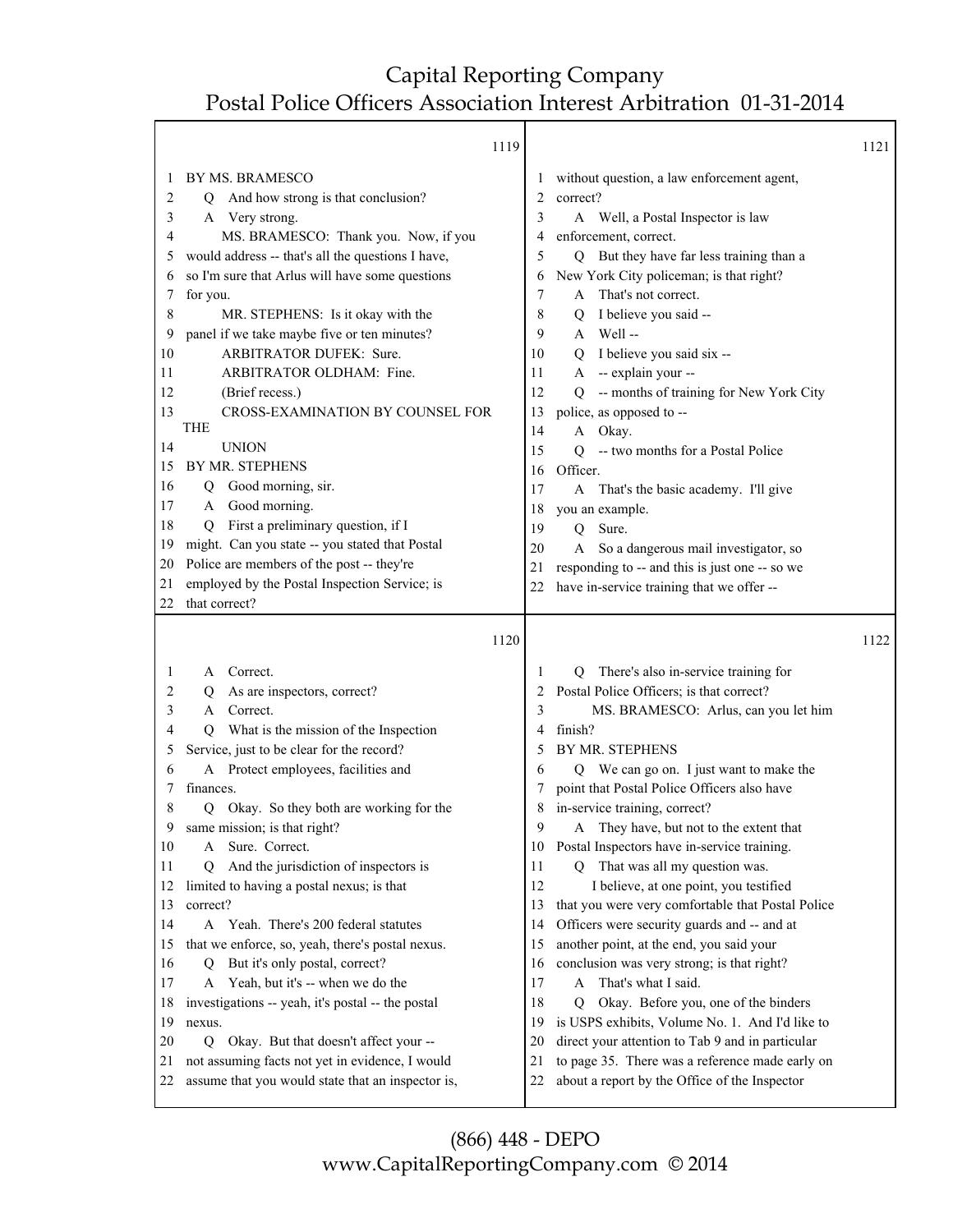Т

|              | 1119                                              |    |                                                   | 1121 |
|--------------|---------------------------------------------------|----|---------------------------------------------------|------|
| $\mathbf{I}$ | BY MS. BRAMESCO                                   |    | without question, a law enforcement agent,        |      |
| 2            | Q And how strong is that conclusion?              | 2  | correct?                                          |      |
| 3            | A Very strong.                                    | 3  | A Well, a Postal Inspector is law                 |      |
| 4            | MS. BRAMESCO: Thank you. Now, if you              | 4  | enforcement, correct.                             |      |
| 5            | would address -- that's all the questions I have, | 5  | But they have far less training than a<br>Q       |      |
| 6            | so I'm sure that Arlus will have some questions   | 6  | New York City policeman; is that right?           |      |
| 7            | for you.                                          | 7  | That's not correct.<br>A                          |      |
| 8            | MR. STEPHENS: Is it okay with the                 | 8  | I believe you said --<br>Q                        |      |
| 9            | panel if we take maybe five or ten minutes?       | 9  | A Well-                                           |      |
| 10           | ARBITRATOR DUFEK: Sure.                           | 10 | Q I believe you said six --                       |      |
| 11           | ARBITRATOR OLDHAM: Fine.                          | 11 | A -- explain your --                              |      |
| 12           | (Brief recess.)                                   | 12 | Q -- months of training for New York City         |      |
| 13           | CROSS-EXAMINATION BY COUNSEL FOR                  | 13 | police, as opposed to --                          |      |
|              | THE                                               | 14 | A Okay.                                           |      |
| 14           | <b>UNION</b>                                      | 15 | -- two months for a Postal Police<br>Q            |      |
| 15           | BY MR. STEPHENS                                   | 16 | Officer.                                          |      |
| 16           | Good morning, sir.<br>Q                           | 17 | A That's the basic academy. I'll give             |      |
| 17           | Good morning.<br>A                                | 18 | you an example.                                   |      |
| 18           | First a preliminary question, if I<br>Q           | 19 | Sure.<br>Q                                        |      |
| 19           | might. Can you state -- you stated that Postal    | 20 | A So a dangerous mail investigator, so            |      |
| 20           | Police are members of the post -- they're         | 21 | responding to -- and this is just one -- so we    |      |
| 21           | employed by the Postal Inspection Service; is     | 22 | have in-service training that we offer --         |      |
| 22           | that correct?                                     |    |                                                   |      |
|              |                                                   |    |                                                   |      |
|              |                                                   |    |                                                   |      |
|              | 1120                                              |    |                                                   | 1122 |
| $\mathbf{I}$ | Correct.<br>A                                     | 1  | Q There's also in-service training for            |      |
| 2            | As are inspectors, correct?<br>Q                  | 2  | Postal Police Officers; is that correct?          |      |
| 3            | Correct.<br>A                                     | 3  | MS. BRAMESCO: Arlus, can you let him              |      |
| 4            | What is the mission of the Inspection<br>O.       | 4  | finish?                                           |      |
| 5            | Service, just to be clear for the record?         | 5  | <b>BY MR. STEPHENS</b>                            |      |
| 6            | A Protect employees, facilities and               | 6  | Q We can go on. I just want to make the           |      |
| 7            | finances.                                         | 7  | point that Postal Police Officers also have       |      |
| 8            | Okay. So they both are working for the<br>Q       | 8  | in-service training, correct?                     |      |
| 9            | same mission; is that right?                      | 9  | A They have, but not to the extent that           |      |
| 10           | Sure. Correct.<br>A                               | 10 | Postal Inspectors have in-service training.       |      |
| 11           | And the jurisdiction of inspectors is<br>O        | 11 | Q That was all my question was.                   |      |
| 12           | limited to having a postal nexus; is that         | 12 | I believe, at one point, you testified            |      |
| 13           | correct?                                          | 13 | that you were very comfortable that Postal Police |      |
| 14           | A Yeah. There's 200 federal statutes              | 14 | Officers were security guards and -- and at       |      |
| 15           | that we enforce, so, yeah, there's postal nexus.  | 15 | another point, at the end, you said your          |      |
| 16           | But it's only postal, correct?<br>Q               | 16 | conclusion was very strong; is that right?        |      |
| 17           | A Yeah, but it's -- when we do the                | 17 | That's what I said.<br>A                          |      |
| 18           | investigations -- yeah, it's postal -- the postal | 18 | Okay. Before you, one of the binders<br>0         |      |
| 19           | nexus.                                            | 19 | is USPS exhibits, Volume No. 1. And I'd like to   |      |
| 20           | Q Okay. But that doesn't affect your --           | 20 | direct your attention to Tab 9 and in particular  |      |
| 21           | not assuming facts not yet in evidence, I would   | 21 | to page 35. There was a reference made early on   |      |
| 22           | assume that you would state that an inspector is, | 22 | about a report by the Office of the Inspector     |      |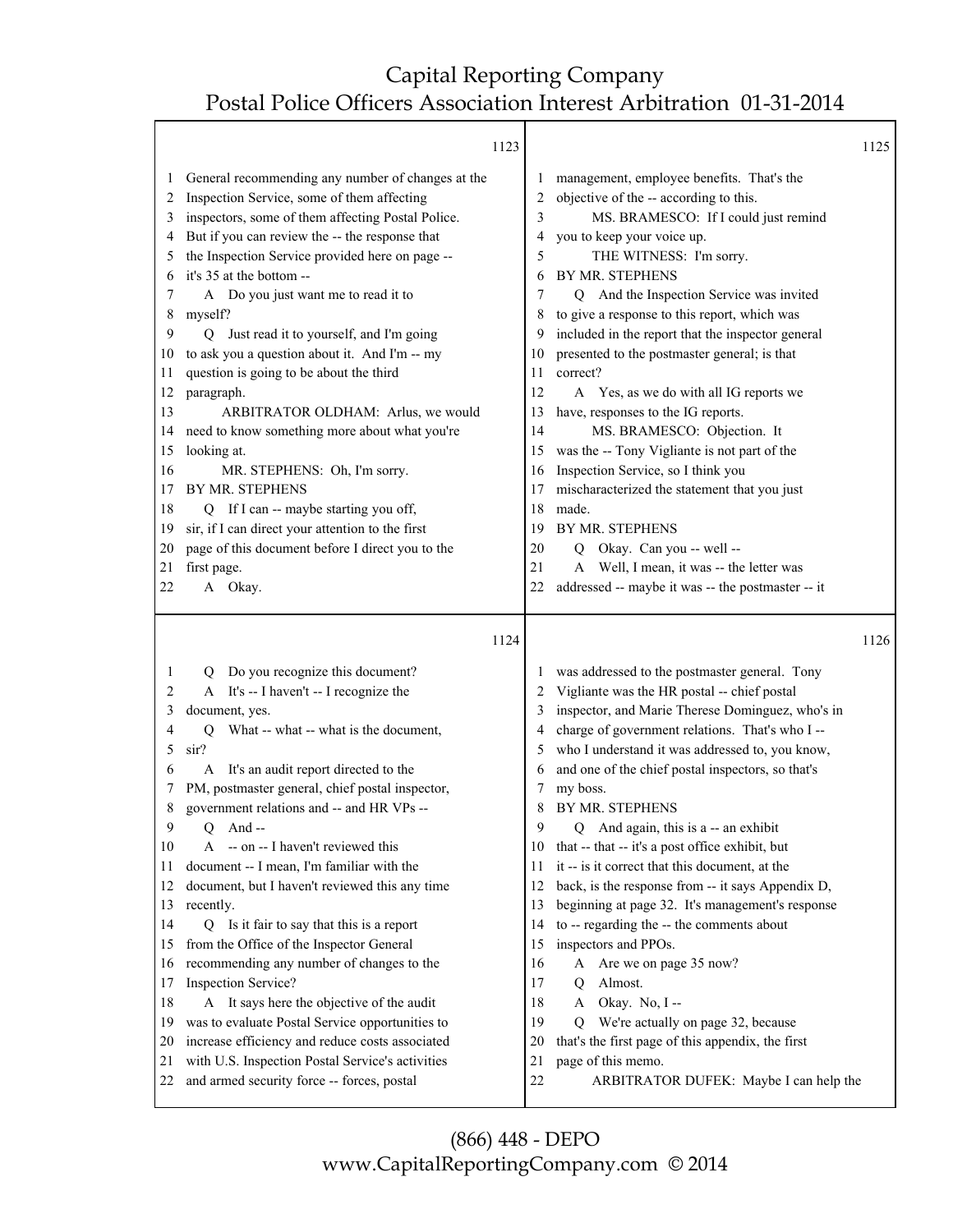#### 1123

|                                                                                                             | 1123                                                                                                                                                                                                                                                                                                                                                                                                                                                                                                                                                                                                                                                                                                                                                                                                         |                                                                                                             |                                                                                                                                                                                                                                                                                                                                                                                                                                                                                                                                                                                                                                                                                                                                        | 1125 |
|-------------------------------------------------------------------------------------------------------------|--------------------------------------------------------------------------------------------------------------------------------------------------------------------------------------------------------------------------------------------------------------------------------------------------------------------------------------------------------------------------------------------------------------------------------------------------------------------------------------------------------------------------------------------------------------------------------------------------------------------------------------------------------------------------------------------------------------------------------------------------------------------------------------------------------------|-------------------------------------------------------------------------------------------------------------|----------------------------------------------------------------------------------------------------------------------------------------------------------------------------------------------------------------------------------------------------------------------------------------------------------------------------------------------------------------------------------------------------------------------------------------------------------------------------------------------------------------------------------------------------------------------------------------------------------------------------------------------------------------------------------------------------------------------------------------|------|
| 1<br>2<br>3<br>4<br>5<br>6<br>7<br>8<br>9<br>10<br>11<br>12<br>13<br>14<br>15<br>16<br>17<br>18<br>19<br>20 | General recommending any number of changes at the<br>Inspection Service, some of them affecting<br>inspectors, some of them affecting Postal Police.<br>But if you can review the -- the response that<br>the Inspection Service provided here on page --<br>it's 35 at the bottom --<br>A Do you just want me to read it to<br>myself?<br>Just read it to yourself, and I'm going<br>O.<br>to ask you a question about it. And I'm -- my<br>question is going to be about the third<br>paragraph.<br>ARBITRATOR OLDHAM: Arlus, we would<br>need to know something more about what you're<br>looking at.<br>MR. STEPHENS: Oh, I'm sorry.<br>BY MR. STEPHENS<br>Q If I can -- maybe starting you off,<br>sir, if I can direct your attention to the first<br>page of this document before I direct you to the | 1<br>2<br>3<br>4<br>5<br>6<br>7<br>8<br>9<br>10<br>11<br>12<br>13<br>14<br>15<br>16<br>17<br>18<br>19<br>20 | management, employee benefits. That's the<br>objective of the -- according to this.<br>MS. BRAMESCO: If I could just remind<br>you to keep your voice up.<br>THE WITNESS: I'm sorry.<br>BY MR. STEPHENS<br>Q And the Inspection Service was invited<br>to give a response to this report, which was<br>included in the report that the inspector general<br>presented to the postmaster general; is that<br>correct?<br>A Yes, as we do with all IG reports we<br>have, responses to the IG reports.<br>MS. BRAMESCO: Objection. It<br>was the -- Tony Vigliante is not part of the<br>Inspection Service, so I think you<br>mischaracterized the statement that you just<br>made.<br>BY MR. STEPHENS<br>Okay. Can you -- well --<br>Q |      |
| 21                                                                                                          | first page.                                                                                                                                                                                                                                                                                                                                                                                                                                                                                                                                                                                                                                                                                                                                                                                                  | 21                                                                                                          | Well, I mean, it was -- the letter was<br>A                                                                                                                                                                                                                                                                                                                                                                                                                                                                                                                                                                                                                                                                                            |      |
| 22                                                                                                          | A Okay.                                                                                                                                                                                                                                                                                                                                                                                                                                                                                                                                                                                                                                                                                                                                                                                                      | 22                                                                                                          | addressed -- maybe it was -- the postmaster -- it                                                                                                                                                                                                                                                                                                                                                                                                                                                                                                                                                                                                                                                                                      |      |
|                                                                                                             |                                                                                                                                                                                                                                                                                                                                                                                                                                                                                                                                                                                                                                                                                                                                                                                                              |                                                                                                             |                                                                                                                                                                                                                                                                                                                                                                                                                                                                                                                                                                                                                                                                                                                                        |      |
|                                                                                                             | 1124                                                                                                                                                                                                                                                                                                                                                                                                                                                                                                                                                                                                                                                                                                                                                                                                         |                                                                                                             |                                                                                                                                                                                                                                                                                                                                                                                                                                                                                                                                                                                                                                                                                                                                        | 1126 |
| 1                                                                                                           | Do you recognize this document?<br>Q                                                                                                                                                                                                                                                                                                                                                                                                                                                                                                                                                                                                                                                                                                                                                                         | 1                                                                                                           | was addressed to the postmaster general. Tony                                                                                                                                                                                                                                                                                                                                                                                                                                                                                                                                                                                                                                                                                          |      |
| 2                                                                                                           | A It's -- I haven't -- I recognize the                                                                                                                                                                                                                                                                                                                                                                                                                                                                                                                                                                                                                                                                                                                                                                       | 2                                                                                                           | Vigliante was the HR postal -- chief postal                                                                                                                                                                                                                                                                                                                                                                                                                                                                                                                                                                                                                                                                                            |      |
| 3                                                                                                           | document, yes.                                                                                                                                                                                                                                                                                                                                                                                                                                                                                                                                                                                                                                                                                                                                                                                               | 3                                                                                                           | inspector, and Marie Therese Dominguez, who's in                                                                                                                                                                                                                                                                                                                                                                                                                                                                                                                                                                                                                                                                                       |      |
| 4                                                                                                           | What -- what -- what is the document,<br>Q                                                                                                                                                                                                                                                                                                                                                                                                                                                                                                                                                                                                                                                                                                                                                                   | 4                                                                                                           | charge of government relations. That's who I --                                                                                                                                                                                                                                                                                                                                                                                                                                                                                                                                                                                                                                                                                        |      |
| 5                                                                                                           | sir?                                                                                                                                                                                                                                                                                                                                                                                                                                                                                                                                                                                                                                                                                                                                                                                                         | 5                                                                                                           | who I understand it was addressed to, you know,                                                                                                                                                                                                                                                                                                                                                                                                                                                                                                                                                                                                                                                                                        |      |
| 6                                                                                                           | It's an audit report directed to the<br>A                                                                                                                                                                                                                                                                                                                                                                                                                                                                                                                                                                                                                                                                                                                                                                    | 6                                                                                                           | and one of the chief postal inspectors, so that's                                                                                                                                                                                                                                                                                                                                                                                                                                                                                                                                                                                                                                                                                      |      |
| 7                                                                                                           | PM, postmaster general, chief postal inspector,                                                                                                                                                                                                                                                                                                                                                                                                                                                                                                                                                                                                                                                                                                                                                              | 7                                                                                                           | my boss.                                                                                                                                                                                                                                                                                                                                                                                                                                                                                                                                                                                                                                                                                                                               |      |
| 8                                                                                                           | government relations and -- and HR VPs --                                                                                                                                                                                                                                                                                                                                                                                                                                                                                                                                                                                                                                                                                                                                                                    | 8                                                                                                           | BY MR. STEPHENS                                                                                                                                                                                                                                                                                                                                                                                                                                                                                                                                                                                                                                                                                                                        |      |
| 9                                                                                                           | Q<br>-- And                                                                                                                                                                                                                                                                                                                                                                                                                                                                                                                                                                                                                                                                                                                                                                                                  | 9                                                                                                           | And again, this is a -- an exhibit<br>O                                                                                                                                                                                                                                                                                                                                                                                                                                                                                                                                                                                                                                                                                                |      |
| 10                                                                                                          | A -- on -- I haven't reviewed this                                                                                                                                                                                                                                                                                                                                                                                                                                                                                                                                                                                                                                                                                                                                                                           | 10                                                                                                          | that -- that -- it's a post office exhibit, but                                                                                                                                                                                                                                                                                                                                                                                                                                                                                                                                                                                                                                                                                        |      |
| 11<br>12                                                                                                    | document -- I mean, I'm familiar with the<br>document, but I haven't reviewed this any time                                                                                                                                                                                                                                                                                                                                                                                                                                                                                                                                                                                                                                                                                                                  | 11<br>12                                                                                                    | it -- is it correct that this document, at the                                                                                                                                                                                                                                                                                                                                                                                                                                                                                                                                                                                                                                                                                         |      |
| 13                                                                                                          | recently.                                                                                                                                                                                                                                                                                                                                                                                                                                                                                                                                                                                                                                                                                                                                                                                                    | 13                                                                                                          | back, is the response from -- it says Appendix D,<br>beginning at page 32. It's management's response                                                                                                                                                                                                                                                                                                                                                                                                                                                                                                                                                                                                                                  |      |
| 14                                                                                                          | Is it fair to say that this is a report<br>Q                                                                                                                                                                                                                                                                                                                                                                                                                                                                                                                                                                                                                                                                                                                                                                 | 14                                                                                                          | to -- regarding the -- the comments about                                                                                                                                                                                                                                                                                                                                                                                                                                                                                                                                                                                                                                                                                              |      |
| 15                                                                                                          | from the Office of the Inspector General                                                                                                                                                                                                                                                                                                                                                                                                                                                                                                                                                                                                                                                                                                                                                                     | 15                                                                                                          | inspectors and PPOs.                                                                                                                                                                                                                                                                                                                                                                                                                                                                                                                                                                                                                                                                                                                   |      |
| 16                                                                                                          | recommending any number of changes to the                                                                                                                                                                                                                                                                                                                                                                                                                                                                                                                                                                                                                                                                                                                                                                    | 16                                                                                                          | Are we on page 35 now?<br>A                                                                                                                                                                                                                                                                                                                                                                                                                                                                                                                                                                                                                                                                                                            |      |
| 17                                                                                                          | Inspection Service?                                                                                                                                                                                                                                                                                                                                                                                                                                                                                                                                                                                                                                                                                                                                                                                          | 17                                                                                                          | Almost.<br>Q                                                                                                                                                                                                                                                                                                                                                                                                                                                                                                                                                                                                                                                                                                                           |      |
| 18                                                                                                          | A It says here the objective of the audit                                                                                                                                                                                                                                                                                                                                                                                                                                                                                                                                                                                                                                                                                                                                                                    | 18                                                                                                          | Okay. No, I--<br>A                                                                                                                                                                                                                                                                                                                                                                                                                                                                                                                                                                                                                                                                                                                     |      |
| 19                                                                                                          | was to evaluate Postal Service opportunities to                                                                                                                                                                                                                                                                                                                                                                                                                                                                                                                                                                                                                                                                                                                                                              | 19                                                                                                          | We're actually on page 32, because<br>Q                                                                                                                                                                                                                                                                                                                                                                                                                                                                                                                                                                                                                                                                                                |      |
| 20                                                                                                          | increase efficiency and reduce costs associated                                                                                                                                                                                                                                                                                                                                                                                                                                                                                                                                                                                                                                                                                                                                                              | 20                                                                                                          | that's the first page of this appendix, the first                                                                                                                                                                                                                                                                                                                                                                                                                                                                                                                                                                                                                                                                                      |      |
| 21<br>22                                                                                                    | with U.S. Inspection Postal Service's activities<br>and armed security force -- forces, postal                                                                                                                                                                                                                                                                                                                                                                                                                                                                                                                                                                                                                                                                                                               | 21<br>22                                                                                                    | page of this memo.<br>ARBITRATOR DUFEK: Maybe I can help the                                                                                                                                                                                                                                                                                                                                                                                                                                                                                                                                                                                                                                                                           |      |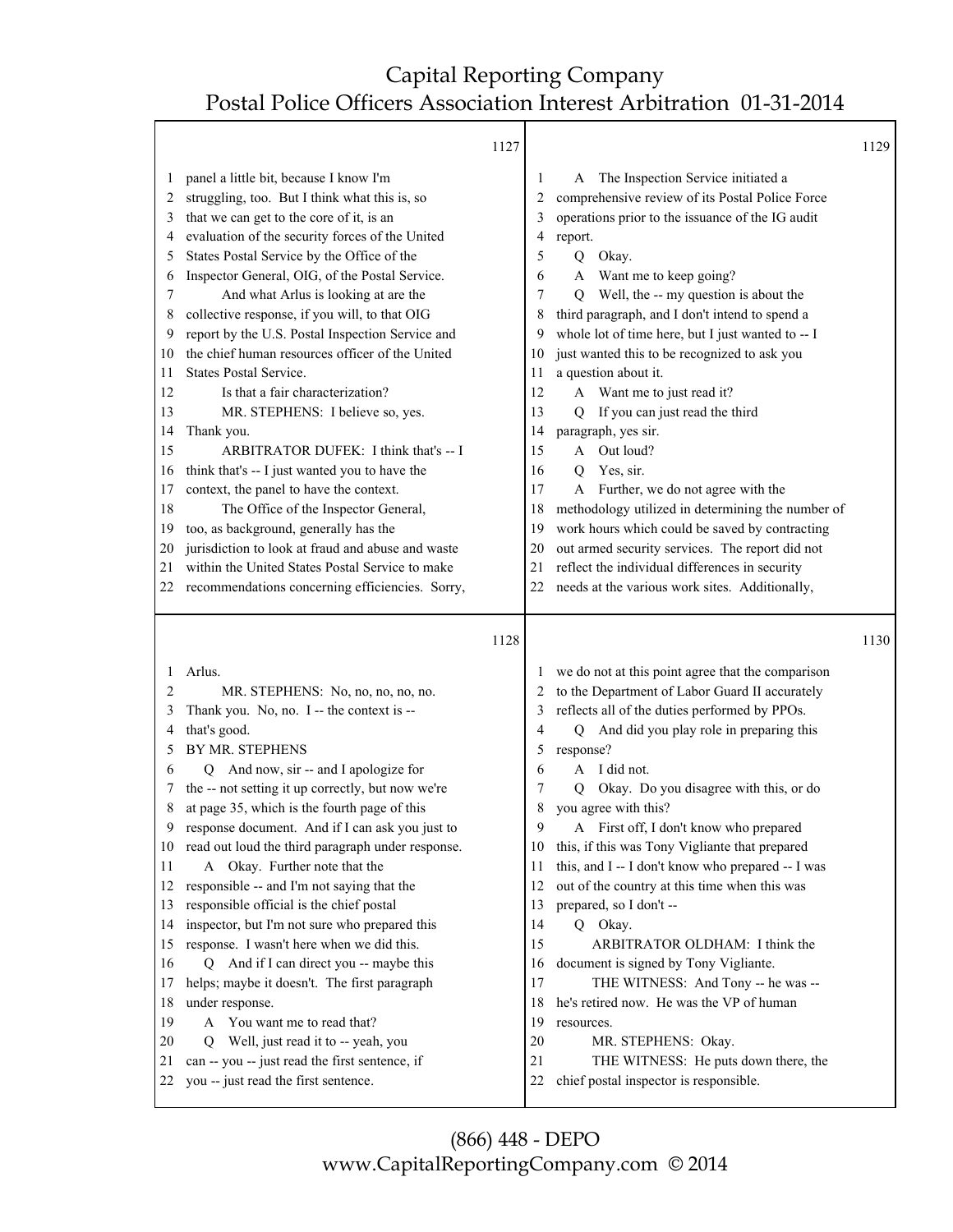Т

|                                                                                                                   |                                                                                                                                                                                                                                                                                                                                                                                                                                                                                                                                                                                                                                                                                                                                                                                                                                                                                                                                             | 1127 |                                                                                                                   |                                                                                                                                                                                                                                                                                                                                                                                                                                                                                                                                                                                                                                                                                                                                                                                                                           | 1129 |
|-------------------------------------------------------------------------------------------------------------------|---------------------------------------------------------------------------------------------------------------------------------------------------------------------------------------------------------------------------------------------------------------------------------------------------------------------------------------------------------------------------------------------------------------------------------------------------------------------------------------------------------------------------------------------------------------------------------------------------------------------------------------------------------------------------------------------------------------------------------------------------------------------------------------------------------------------------------------------------------------------------------------------------------------------------------------------|------|-------------------------------------------------------------------------------------------------------------------|---------------------------------------------------------------------------------------------------------------------------------------------------------------------------------------------------------------------------------------------------------------------------------------------------------------------------------------------------------------------------------------------------------------------------------------------------------------------------------------------------------------------------------------------------------------------------------------------------------------------------------------------------------------------------------------------------------------------------------------------------------------------------------------------------------------------------|------|
| 1<br>2<br>3<br>4<br>5<br>6<br>7<br>8<br>9<br>10<br>11<br>12<br>13<br>14<br>15<br>16<br>17<br>18<br>19<br>20<br>21 | panel a little bit, because I know I'm<br>struggling, too. But I think what this is, so<br>that we can get to the core of it, is an<br>evaluation of the security forces of the United<br>States Postal Service by the Office of the<br>Inspector General, OIG, of the Postal Service.<br>And what Arlus is looking at are the<br>collective response, if you will, to that OIG<br>report by the U.S. Postal Inspection Service and<br>the chief human resources officer of the United<br><b>States Postal Service.</b><br>Is that a fair characterization?<br>MR. STEPHENS: I believe so, yes.<br>Thank you.<br>ARBITRATOR DUFEK: I think that's -- I<br>think that's -- I just wanted you to have the<br>context, the panel to have the context.<br>The Office of the Inspector General,<br>too, as background, generally has the<br>jurisdiction to look at fraud and abuse and waste<br>within the United States Postal Service to make |      | 1<br>2<br>3<br>4<br>5<br>6<br>7<br>8<br>9<br>10<br>11<br>12<br>13<br>14<br>15<br>16<br>17<br>18<br>19<br>20<br>21 | The Inspection Service initiated a<br>A<br>comprehensive review of its Postal Police Force<br>operations prior to the issuance of the IG audit<br>report.<br>Okay.<br>Q<br>Want me to keep going?<br>A<br>Well, the -- my question is about the<br>Q<br>third paragraph, and I don't intend to spend a<br>whole lot of time here, but I just wanted to -- I<br>just wanted this to be recognized to ask you<br>a question about it.<br>A Want me to just read it?<br>If you can just read the third<br>Q<br>paragraph, yes sir.<br>Out loud?<br>A<br>Yes, sir.<br>Q<br>Further, we do not agree with the<br>A<br>methodology utilized in determining the number of<br>work hours which could be saved by contracting<br>out armed security services. The report did not<br>reflect the individual differences in security |      |
| 22                                                                                                                | recommendations concerning efficiencies. Sorry,                                                                                                                                                                                                                                                                                                                                                                                                                                                                                                                                                                                                                                                                                                                                                                                                                                                                                             |      | 22                                                                                                                | needs at the various work sites. Additionally,                                                                                                                                                                                                                                                                                                                                                                                                                                                                                                                                                                                                                                                                                                                                                                            |      |
|                                                                                                                   |                                                                                                                                                                                                                                                                                                                                                                                                                                                                                                                                                                                                                                                                                                                                                                                                                                                                                                                                             | 1128 |                                                                                                                   |                                                                                                                                                                                                                                                                                                                                                                                                                                                                                                                                                                                                                                                                                                                                                                                                                           | 1130 |
| 1<br>2                                                                                                            | Arlus.                                                                                                                                                                                                                                                                                                                                                                                                                                                                                                                                                                                                                                                                                                                                                                                                                                                                                                                                      |      |                                                                                                                   | we do not at this point agree that the comparison                                                                                                                                                                                                                                                                                                                                                                                                                                                                                                                                                                                                                                                                                                                                                                         |      |
| 3<br>4<br>5<br>6<br>7<br>8<br>9<br>10<br>11<br>12<br>13<br>14<br>15<br>16<br>17<br>18<br>19<br>20<br>21           | MR. STEPHENS: No, no, no, no, no.<br>Thank you. No, no. I -- the context is --<br>that's good.<br><b>BY MR. STEPHENS</b><br>Q And now, sir -- and I apologize for<br>the -- not setting it up correctly, but now we're<br>at page 35, which is the fourth page of this<br>response document. And if I can ask you just to<br>read out loud the third paragraph under response.<br>Okay. Further note that the<br>A<br>responsible -- and I'm not saying that the<br>responsible official is the chief postal<br>inspector, but I'm not sure who prepared this<br>response. I wasn't here when we did this.<br>Q And if I can direct you -- maybe this<br>helps; maybe it doesn't. The first paragraph<br>under response.<br>You want me to read that?<br>A<br>Well, just read it to -- yeah, you<br>O<br>can -- you -- just read the first sentence, if                                                                                     |      | 3<br>4<br>5<br>6<br>7<br>8<br>9<br>10<br>11<br>12<br>13<br>14<br>15<br>16<br>17<br>18<br>19<br>20<br>21           | to the Department of Labor Guard II accurately<br>reflects all of the duties performed by PPOs.<br>And did you play role in preparing this<br>Q<br>response?<br>A I did not.<br>Okay. Do you disagree with this, or do<br>Q<br>you agree with this?<br>A First off, I don't know who prepared<br>this, if this was Tony Vigliante that prepared<br>this, and I -- I don't know who prepared -- I was<br>out of the country at this time when this was<br>prepared, so I don't --<br>Q Okay.<br>ARBITRATOR OLDHAM: I think the<br>document is signed by Tony Vigliante.<br>THE WITNESS: And Tony -- he was --<br>he's retired now. He was the VP of human<br>resources.<br>MR. STEPHENS: Okay.<br>THE WITNESS: He puts down there, the                                                                                     |      |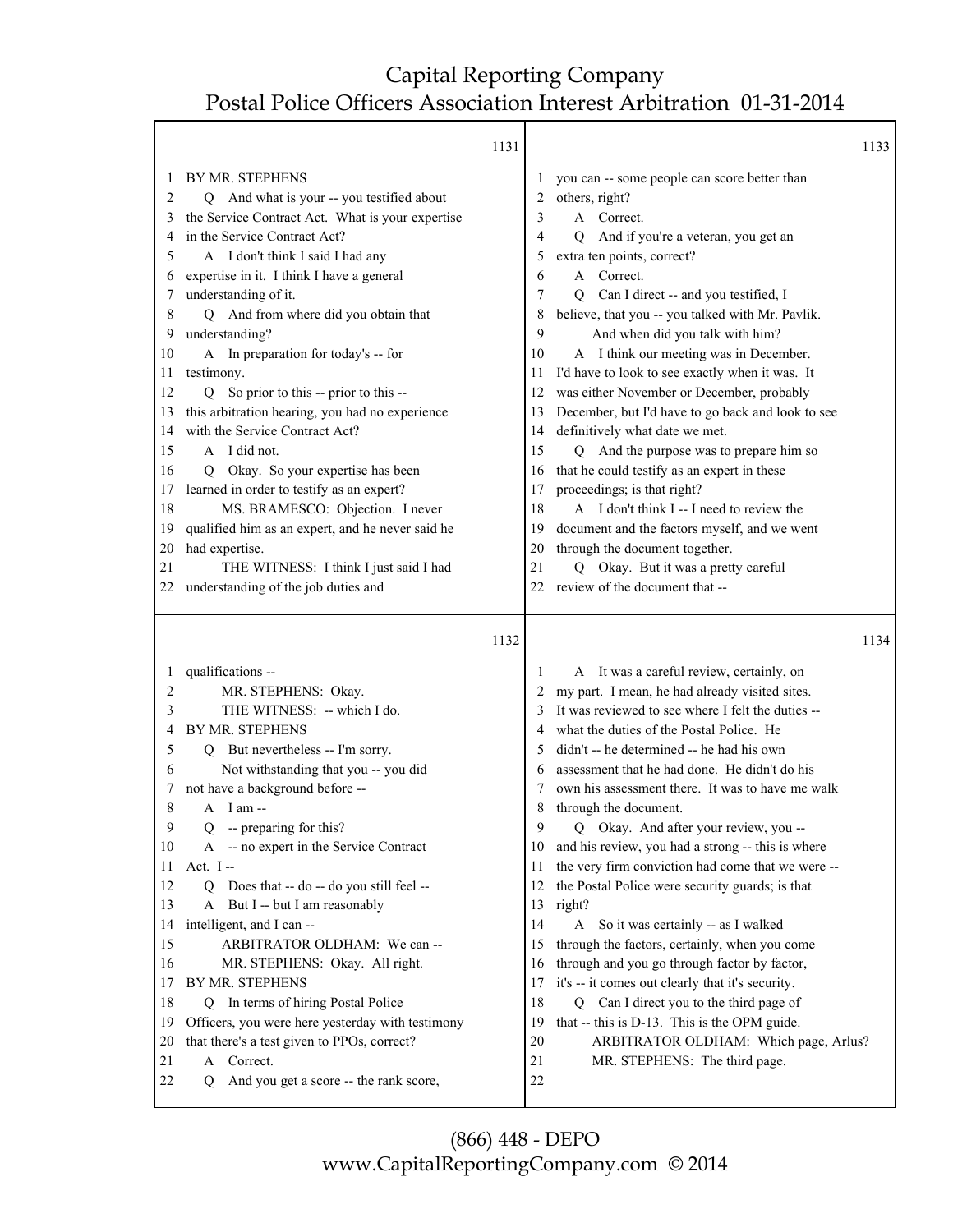1133

1131

|              | 1121                                                      |              |                                                                                       | 1122 |
|--------------|-----------------------------------------------------------|--------------|---------------------------------------------------------------------------------------|------|
|              | BY MR. STEPHENS                                           | $\mathbf{I}$ | you can -- some people can score better than                                          |      |
| 2            | Q And what is your -- you testified about                 | 2            | others, right?                                                                        |      |
| 3            | the Service Contract Act. What is your expertise          | 3            | A Correct.                                                                            |      |
| 4            | in the Service Contract Act?                              | 4            | And if you're a veteran, you get an<br>Q                                              |      |
| 5            | A I don't think I said I had any                          | 5            | extra ten points, correct?                                                            |      |
| 6            | expertise in it. I think I have a general                 | 6            | A Correct.                                                                            |      |
| 7            | understanding of it.                                      | 7            | Q Can I direct -- and you testified, I                                                |      |
| 8            | Q And from where did you obtain that                      | 8            | believe, that you -- you talked with Mr. Pavlik.                                      |      |
| 9            | understanding?                                            | 9            | And when did you talk with him?                                                       |      |
| 10           | A In preparation for today's -- for                       | 10           | A I think our meeting was in December.                                                |      |
| 11           | testimony.                                                | 11           | I'd have to look to see exactly when it was. It                                       |      |
| 12           | So prior to this -- prior to this --<br>O.                | 12           | was either November or December, probably                                             |      |
| 13           | this arbitration hearing, you had no experience           | 13           | December, but I'd have to go back and look to see                                     |      |
| 14           | with the Service Contract Act?                            | 14           | definitively what date we met.                                                        |      |
| 15           | A I did not.                                              | 15           | Q And the purpose was to prepare him so                                               |      |
| 16           | Okay. So your expertise has been<br>Q                     | 16           | that he could testify as an expert in these                                           |      |
| 17           | learned in order to testify as an expert?                 | 17           | proceedings; is that right?                                                           |      |
| 18           | MS. BRAMESCO: Objection. I never                          | 18           | A I don't think I -- I need to review the                                             |      |
| 19           | qualified him as an expert, and he never said he          | 19           | document and the factors myself, and we went                                          |      |
| 20           | had expertise.                                            | 20           | through the document together.                                                        |      |
| 21           | THE WITNESS: I think I just said I had                    | 21           | Q Okay. But it was a pretty careful                                                   |      |
| 22           | understanding of the job duties and                       | 22           | review of the document that --                                                        |      |
|              |                                                           |              |                                                                                       |      |
|              | 1132                                                      |              |                                                                                       | 1134 |
|              |                                                           |              |                                                                                       |      |
| $\mathbf{I}$ | qualifications --                                         | 1            | A It was a careful review, certainly, on                                              |      |
| 2            | MR. STEPHENS: Okay.                                       |              | my part. I mean, he had already visited sites.                                        |      |
| 3            | THE WITNESS: -- which I do.                               |              | It was reviewed to see where I felt the duties --                                     |      |
| 4            | BY MR. STEPHENS                                           | 4            | what the duties of the Postal Police. He                                              |      |
| 5            | Q But nevertheless -- I'm sorry.                          | 5            | didn't -- he determined -- he had his own                                             |      |
| 6            | Not withstanding that you -- you did                      | 6            | assessment that he had done. He didn't do his                                         |      |
| 7            | not have a background before --                           | 7            | own his assessment there. It was to have me walk                                      |      |
| 8            | $A$ I am $-$                                              | 8            | through the document.                                                                 |      |
| 9            | Q -- preparing for this?                                  | 9            | Q Okay. And after your review, you --                                                 |      |
| $10\,$       | A -- no expert in the Service Contract                    | 10           | and his review, you had a strong -- this is where                                     |      |
| 11           | Act. $I -$                                                | 11           | the very firm conviction had come that we were --                                     |      |
| 12           | Does that -- do -- do you still feel --<br>0              | 12           | the Postal Police were security guards; is that                                       |      |
| 13           | A But I -- but I am reasonably                            | 13           | right?                                                                                |      |
| 14           | intelligent, and I can --                                 | 14           | A So it was certainly -- as I walked<br>through the factors, certainly, when you come |      |
| 15           | ARBITRATOR OLDHAM: We can --                              | 15           |                                                                                       |      |
| 16           | MR. STEPHENS: Okay. All right.<br>BY MR. STEPHENS         | 16           | through and you go through factor by factor,                                          |      |
| 17           |                                                           | 17<br>18     | it's -- it comes out clearly that it's security.                                      |      |
| 18           | In terms of hiring Postal Police<br>Q                     | 19           | Q Can I direct you to the third page of                                               |      |
| 19           | Officers, you were here yesterday with testimony          | 20           | that -- this is D-13. This is the OPM guide.<br>ARBITRATOR OLDHAM: Which page, Arlus? |      |
| 20           |                                                           |              |                                                                                       |      |
|              | that there's a test given to PPOs, correct?               |              |                                                                                       |      |
| 21<br>22     | A Correct.<br>And you get a score -- the rank score,<br>О | 21<br>22     | MR. STEPHENS: The third page.                                                         |      |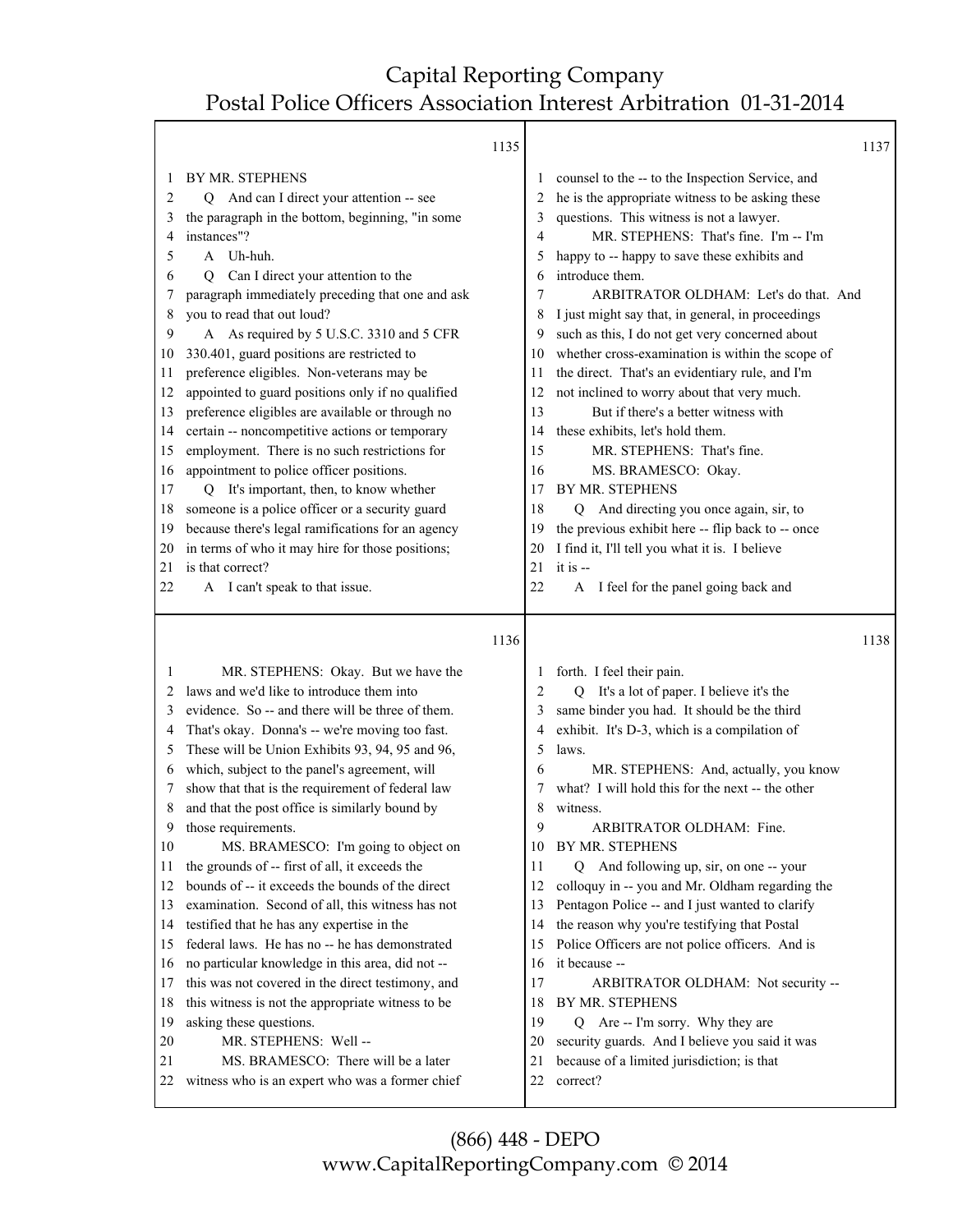|    |                                                   | 1135 |         |                                                                        | 1137 |
|----|---------------------------------------------------|------|---------|------------------------------------------------------------------------|------|
| 1  | BY MR. STEPHENS                                   |      | $\perp$ | counsel to the -- to the Inspection Service, and                       |      |
| 2  | Q And can I direct your attention -- see          |      | 2       | he is the appropriate witness to be asking these                       |      |
| 3  | the paragraph in the bottom, beginning, "in some  |      | 3       | questions. This witness is not a lawyer.                               |      |
| 4  | instances"?                                       |      | 4       | MR. STEPHENS: That's fine. I'm -- I'm                                  |      |
| 5  | A Uh-huh.                                         |      | 5       | happy to -- happy to save these exhibits and                           |      |
| 6  | Can I direct your attention to the<br>Q           |      | 6       | introduce them.                                                        |      |
| 7  | paragraph immediately preceding that one and ask  |      | 7       | ARBITRATOR OLDHAM: Let's do that. And                                  |      |
| 8  | you to read that out loud?                        |      | 8       | I just might say that, in general, in proceedings                      |      |
| 9  | A As required by 5 U.S.C. 3310 and 5 CFR          |      | 9       | such as this, I do not get very concerned about                        |      |
| 10 | 330.401, guard positions are restricted to        |      | 10      | whether cross-examination is within the scope of                       |      |
| 11 | preference eligibles. Non-veterans may be         |      | 11      | the direct. That's an evidentiary rule, and I'm                        |      |
| 12 | appointed to guard positions only if no qualified |      | 12      | not inclined to worry about that very much.                            |      |
| 13 | preference eligibles are available or through no  |      | 13      | But if there's a better witness with                                   |      |
| 14 | certain -- noncompetitive actions or temporary    |      | 14      | these exhibits, let's hold them.                                       |      |
| 15 | employment. There is no such restrictions for     |      | 15      | MR. STEPHENS: That's fine.                                             |      |
| 16 | appointment to police officer positions.          |      | 16      | MS. BRAMESCO: Okay.                                                    |      |
| 17 | It's important, then, to know whether<br>Q        |      | 17      | <b>BY MR. STEPHENS</b>                                                 |      |
| 18 | someone is a police officer or a security guard   |      | 18      | Q And directing you once again, sir, to                                |      |
| 19 | because there's legal ramifications for an agency |      | 19      | the previous exhibit here -- flip back to -- once                      |      |
| 20 | in terms of who it may hire for those positions;  |      | 20      | I find it, I'll tell you what it is. I believe                         |      |
| 21 | is that correct?                                  |      | 21      | it is --                                                               |      |
| 22 | A I can't speak to that issue.                    |      | 22      | I feel for the panel going back and<br>A                               |      |
|    |                                                   |      |         |                                                                        |      |
|    |                                                   |      |         |                                                                        |      |
|    |                                                   | 1136 |         |                                                                        | 1138 |
| 1  | MR. STEPHENS: Okay. But we have the               |      | $\perp$ |                                                                        |      |
| 2  | laws and we'd like to introduce them into         |      | 2       | forth. I feel their pain.<br>Q It's a lot of paper. I believe it's the |      |
| 3  | evidence. So -- and there will be three of them.  |      | 3       | same binder you had. It should be the third                            |      |
| 4  | That's okay. Donna's -- we're moving too fast.    |      | 4       | exhibit. It's D-3, which is a compilation of                           |      |
| 5  | These will be Union Exhibits 93, 94, 95 and 96,   |      | 5       | laws.                                                                  |      |
| 6  | which, subject to the panel's agreement, will     |      | 6       | MR. STEPHENS: And, actually, you know                                  |      |
| 7  | show that that is the requirement of federal law  |      | 7       | what? I will hold this for the next -- the other                       |      |
| 8  | and that the post office is similarly bound by    |      | 8       | witness.                                                               |      |
| 9  | those requirements.                               |      | 9       | ARBITRATOR OLDHAM: Fine.                                               |      |
| 10 | MS. BRAMESCO: I'm going to object on              |      | 10      | BY MR. STEPHENS                                                        |      |
| 11 | the grounds of -- first of all, it exceeds the    |      | 11      | Q And following up, sir, on one -- your                                |      |
| 12 | bounds of -- it exceeds the bounds of the direct  |      | 12      | colloquy in -- you and Mr. Oldham regarding the                        |      |
| 13 | examination. Second of all, this witness has not  |      | 13      | Pentagon Police -- and I just wanted to clarify                        |      |
| 14 | testified that he has any expertise in the        |      | 14      | the reason why you're testifying that Postal                           |      |
| 15 | federal laws. He has no -- he has demonstrated    |      | 15      | Police Officers are not police officers. And is                        |      |
| 16 | no particular knowledge in this area, did not --  |      | 16      | it because --                                                          |      |
| 17 | this was not covered in the direct testimony, and |      | 17      | ARBITRATOR OLDHAM: Not security --                                     |      |
| 18 | this witness is not the appropriate witness to be |      | 18      | BY MR. STEPHENS                                                        |      |
| 19 | asking these questions.                           |      | 19      | Q Are -- I'm sorry. Why they are                                       |      |
| 20 | MR. STEPHENS: Well-                               |      | 20      | security guards. And I believe you said it was                         |      |
| 21 | MS. BRAMESCO: There will be a later               |      | 21      | because of a limited jurisdiction; is that                             |      |
| 22 | witness who is an expert who was a former chief   |      | 22      | correct?                                                               |      |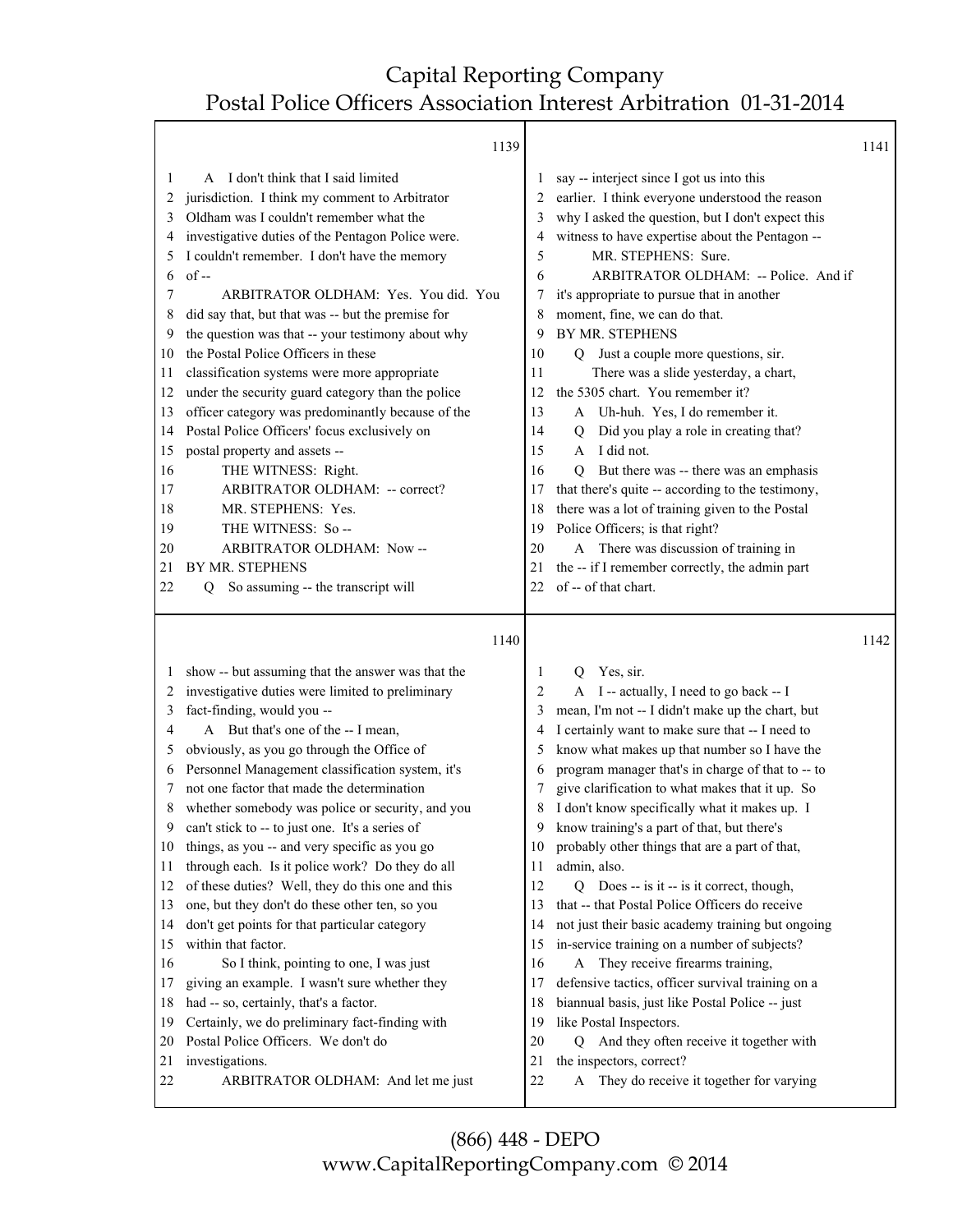т

|                                                                                                                         | 1139                                                                                                                                                                                                                                                                                                                                                                                                                                                                                                                                                                                                                                                                                                                                                                                                                                                                                         |                                                                                                                                 |                                                                                                                                                                                                                                                                                                                                                                                                                                                                                                                                                                                                                                                                                                                                                                                                                                                                                                                         | 1141 |
|-------------------------------------------------------------------------------------------------------------------------|----------------------------------------------------------------------------------------------------------------------------------------------------------------------------------------------------------------------------------------------------------------------------------------------------------------------------------------------------------------------------------------------------------------------------------------------------------------------------------------------------------------------------------------------------------------------------------------------------------------------------------------------------------------------------------------------------------------------------------------------------------------------------------------------------------------------------------------------------------------------------------------------|---------------------------------------------------------------------------------------------------------------------------------|-------------------------------------------------------------------------------------------------------------------------------------------------------------------------------------------------------------------------------------------------------------------------------------------------------------------------------------------------------------------------------------------------------------------------------------------------------------------------------------------------------------------------------------------------------------------------------------------------------------------------------------------------------------------------------------------------------------------------------------------------------------------------------------------------------------------------------------------------------------------------------------------------------------------------|------|
| 1<br>2<br>3<br>4<br>5<br>6<br>7<br>8<br>9<br>10<br>11<br>12<br>13<br>14<br>15<br>16<br>17<br>18<br>19<br>20<br>21<br>22 | I don't think that I said limited<br>A<br>jurisdiction. I think my comment to Arbitrator<br>Oldham was I couldn't remember what the<br>investigative duties of the Pentagon Police were.<br>I couldn't remember. I don't have the memory<br>$of -$<br>ARBITRATOR OLDHAM: Yes. You did. You<br>did say that, but that was -- but the premise for<br>the question was that -- your testimony about why<br>the Postal Police Officers in these<br>classification systems were more appropriate<br>under the security guard category than the police<br>officer category was predominantly because of the<br>Postal Police Officers' focus exclusively on<br>postal property and assets --<br>THE WITNESS: Right.<br>ARBITRATOR OLDHAM: -- correct?<br>MR. STEPHENS: Yes.<br>THE WITNESS: So --<br>ARBITRATOR OLDHAM: Now--<br><b>BY MR. STEPHENS</b><br>So assuming -- the transcript will<br>О | $\overline{c}$<br>3<br>4<br>5<br>6<br>7<br>8<br>9<br>10<br>11<br>12<br>13<br>14<br>15<br>16<br>17<br>18<br>19<br>20<br>21<br>22 | say -- interject since I got us into this<br>earlier. I think everyone understood the reason<br>why I asked the question, but I don't expect this<br>witness to have expertise about the Pentagon --<br>MR. STEPHENS: Sure.<br>ARBITRATOR OLDHAM: -- Police. And if<br>it's appropriate to pursue that in another<br>moment, fine, we can do that.<br>BY MR. STEPHENS<br>Q Just a couple more questions, sir.<br>There was a slide yesterday, a chart,<br>the 5305 chart. You remember it?<br>A Uh-huh. Yes, I do remember it.<br>Did you play a role in creating that?<br>O<br>I did not.<br>$\mathsf{A}$<br>But there was -- there was an emphasis<br>O<br>that there's quite -- according to the testimony,<br>there was a lot of training given to the Postal<br>Police Officers; is that right?<br>A There was discussion of training in<br>the -- if I remember correctly, the admin part<br>of -- of that chart. |      |
|                                                                                                                         | 1140                                                                                                                                                                                                                                                                                                                                                                                                                                                                                                                                                                                                                                                                                                                                                                                                                                                                                         |                                                                                                                                 |                                                                                                                                                                                                                                                                                                                                                                                                                                                                                                                                                                                                                                                                                                                                                                                                                                                                                                                         | 1142 |
| 1<br>2<br>3<br>4<br>5<br>6<br>7<br>8<br>9                                                                               | show -- but assuming that the answer was that the<br>investigative duties were limited to preliminary<br>fact-finding, would you --<br>A But that's one of the -- I mean,<br>obviously, as you go through the Office of<br>Personnel Management classification system, it's<br>not one factor that made the determination<br>whether somebody was police or security, and you<br>can't stick to -- to just one. It's a series of                                                                                                                                                                                                                                                                                                                                                                                                                                                             | 1<br>2<br>3<br>4<br>5<br>6<br>7<br>8<br>9                                                                                       | Yes, sir.<br>O<br>A I -- actually, I need to go back -- I<br>mean, I'm not -- I didn't make up the chart, but<br>I certainly want to make sure that -- I need to<br>know what makes up that number so I have the<br>program manager that's in charge of that to -- to<br>give clarification to what makes that it up. So<br>I don't know specifically what it makes up. I<br>know training's a part of that, but there's                                                                                                                                                                                                                                                                                                                                                                                                                                                                                                |      |

- 10 probably other things that are a part of that,
- 11 admin, also.
- 12 Q Does -- is it -- is it correct, though,
- 13 that -- that Postal Police Officers do receive
- 14 not just their basic academy training but ongoing
- 15 in-service training on a number of subjects?
- 16 A They receive firearms training,
- 17 defensive tactics, officer survival training on a
- 18 biannual basis, just like Postal Police -- just
- 19 like Postal Inspectors.
- 20 Q And they often receive it together with
- 21 the inspectors, correct?
- 22 A They do receive it together for varying

(866) 448 - DEPO www.CapitalReportingCompany.com © 2014

10 things, as you -- and very specific as you go 11 through each. Is it police work? Do they do all 12 of these duties? Well, they do this one and this 13 one, but they don't do these other ten, so you 14 don't get points for that particular category

16 So I think, pointing to one, I was just 17 giving an example. I wasn't sure whether they

19 Certainly, we do preliminary fact-finding with

22 ARBITRATOR OLDHAM: And let me just

18 had -- so, certainly, that's a factor.

20 Postal Police Officers. We don't do

15 within that factor.

21 investigations.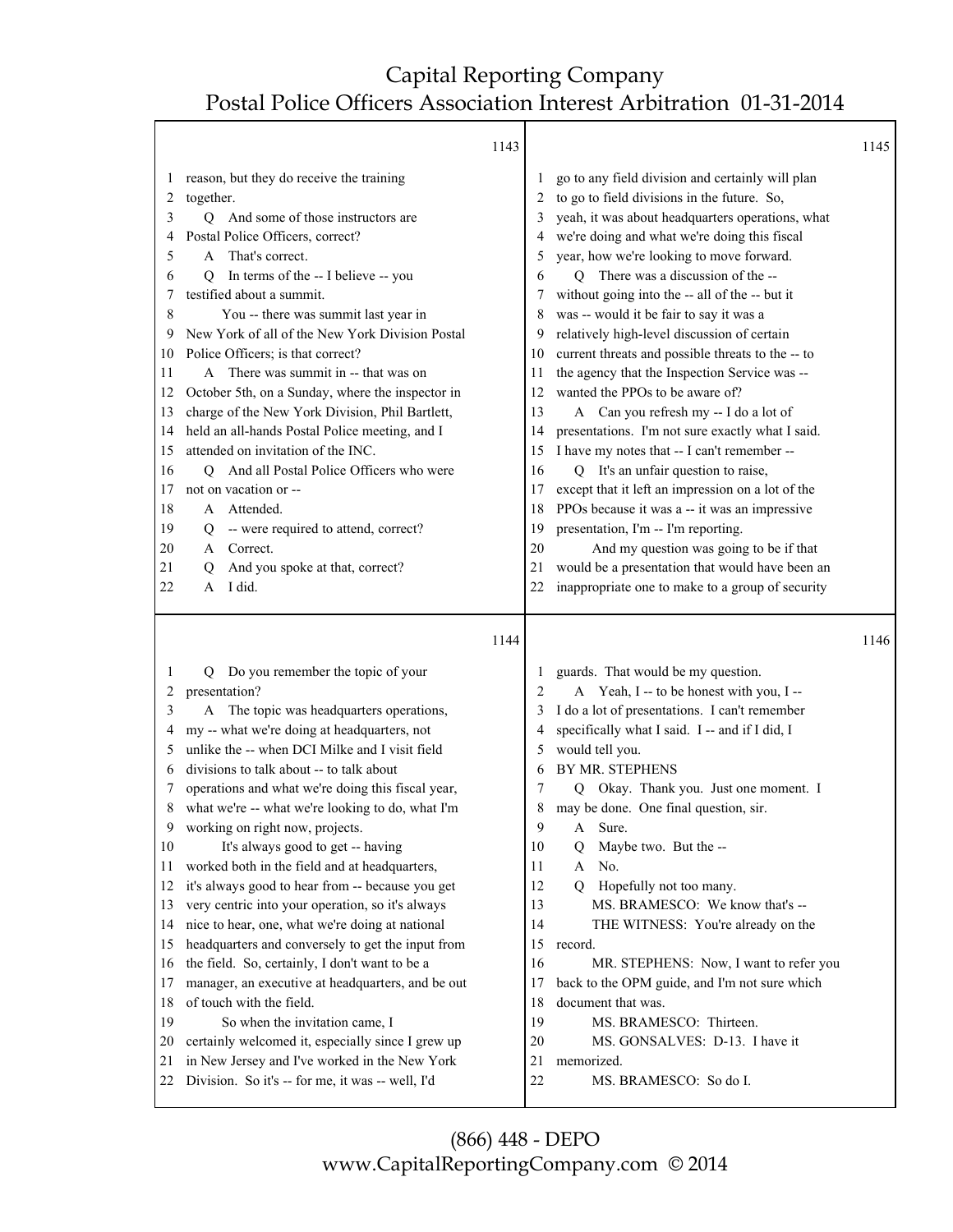Т

|              |                                                                                                   | 1143     |                                                   | 1145 |
|--------------|---------------------------------------------------------------------------------------------------|----------|---------------------------------------------------|------|
| $\mathbf{I}$ | reason, but they do receive the training                                                          |          | go to any field division and certainly will plan  |      |
| 2            | together.                                                                                         |          | to go to field divisions in the future. So,       |      |
| 3            | And some of those instructors are<br>O.                                                           | 3        | yeah, it was about headquarters operations, what  |      |
| 4            | Postal Police Officers, correct?                                                                  | 4        | we're doing and what we're doing this fiscal      |      |
| 5            | That's correct.<br>A                                                                              | 5        | year, how we're looking to move forward.          |      |
| 6            | In terms of the -- I believe -- you<br>Q                                                          | 6        | Q There was a discussion of the --                |      |
| 7            | testified about a summit.                                                                         | 7        | without going into the -- all of the -- but it    |      |
| 8            | You -- there was summit last year in                                                              | 8        | was -- would it be fair to say it was a           |      |
| 9            | New York of all of the New York Division Postal                                                   | 9        | relatively high-level discussion of certain       |      |
| 10           | Police Officers; is that correct?                                                                 | 10       | current threats and possible threats to the -- to |      |
| 11           | A There was summit in -- that was on                                                              | 11       | the agency that the Inspection Service was --     |      |
| 12           | October 5th, on a Sunday, where the inspector in                                                  | 12       | wanted the PPOs to be aware of?                   |      |
| 13           | charge of the New York Division, Phil Bartlett,                                                   | 13       | A Can you refresh my -- I do a lot of             |      |
| 14           | held an all-hands Postal Police meeting, and I                                                    | 14       | presentations. I'm not sure exactly what I said.  |      |
| 15           | attended on invitation of the INC.                                                                | 15       | I have my notes that -- I can't remember --       |      |
| 16           | Q And all Postal Police Officers who were                                                         | 16       | Q It's an unfair question to raise,               |      |
| 17           | not on vacation or --                                                                             | 17       | except that it left an impression on a lot of the |      |
| 18           | Attended.<br>A                                                                                    | 18       | PPOs because it was a -- it was an impressive     |      |
| 19           | -- were required to attend, correct?<br>Q                                                         | 19       | presentation, I'm -- I'm reporting.               |      |
| 20           | Correct.<br>A                                                                                     | 20       | And my question was going to be if that           |      |
| 21           | And you spoke at that, correct?<br>Q                                                              | 21       | would be a presentation that would have been an   |      |
| 22           | I did.<br>A                                                                                       | 22       | inappropriate one to make to a group of security  |      |
|              |                                                                                                   | 1144     |                                                   | 1146 |
| 1            | Q Do you remember the topic of your                                                               | 1        | guards. That would be my question.                |      |
| 2            | presentation?                                                                                     | 2        | A Yeah, I -- to be honest with you, I --          |      |
| 3            | A The topic was headquarters operations,                                                          | 3        | I do a lot of presentations. I can't remember     |      |
| 4            | my -- what we're doing at headquarters, not                                                       | 4        | specifically what I said. I -- and if I did, I    |      |
| 5            | unlike the -- when DCI Milke and I visit field                                                    | 5        | would tell you.                                   |      |
| 6            | divisions to talk about -- to talk about                                                          | 6        | BY MR. STEPHENS                                   |      |
| 7            | operations and what we're doing this fiscal year,                                                 | 7        | Q Okay. Thank you. Just one moment. I             |      |
| 8            | what we're -- what we're looking to do, what I'm                                                  | 8        | may be done. One final question, sir.             |      |
| 9            |                                                                                                   |          |                                                   |      |
| 10           |                                                                                                   |          |                                                   |      |
| 11           | working on right now, projects.                                                                   | 9        | A Sure.                                           |      |
|              | It's always good to get -- having                                                                 | 10       | Maybe two. But the --<br>Q                        |      |
|              | worked both in the field and at headquarters,                                                     | 11       | No.<br>A                                          |      |
| 12           | it's always good to hear from -- because you get                                                  | 12       | Hopefully not too many.<br>0                      |      |
| 13           | very centric into your operation, so it's always                                                  | 13       | MS. BRAMESCO: We know that's --                   |      |
| 14           | nice to hear, one, what we're doing at national                                                   | 14       | THE WITNESS: You're already on the                |      |
| 15           | headquarters and conversely to get the input from                                                 | 15       | record.                                           |      |
| 16           | the field. So, certainly, I don't want to be a                                                    | 16       | MR. STEPHENS: Now, I want to refer you            |      |
| 17           | manager, an executive at headquarters, and be out                                                 | 17       | back to the OPM guide, and I'm not sure which     |      |
| 18           | of touch with the field.                                                                          | 18       | document that was.                                |      |
| 19           | So when the invitation came, I                                                                    | 19       | MS. BRAMESCO: Thirteen.                           |      |
| 20           | certainly welcomed it, especially since I grew up                                                 | 20       | MS. GONSALVES: D-13. I have it                    |      |
| 21<br>22     | in New Jersey and I've worked in the New York<br>Division. So it's -- for me, it was -- well, I'd | 21<br>22 | memorized.<br>MS. BRAMESCO: So do I.              |      |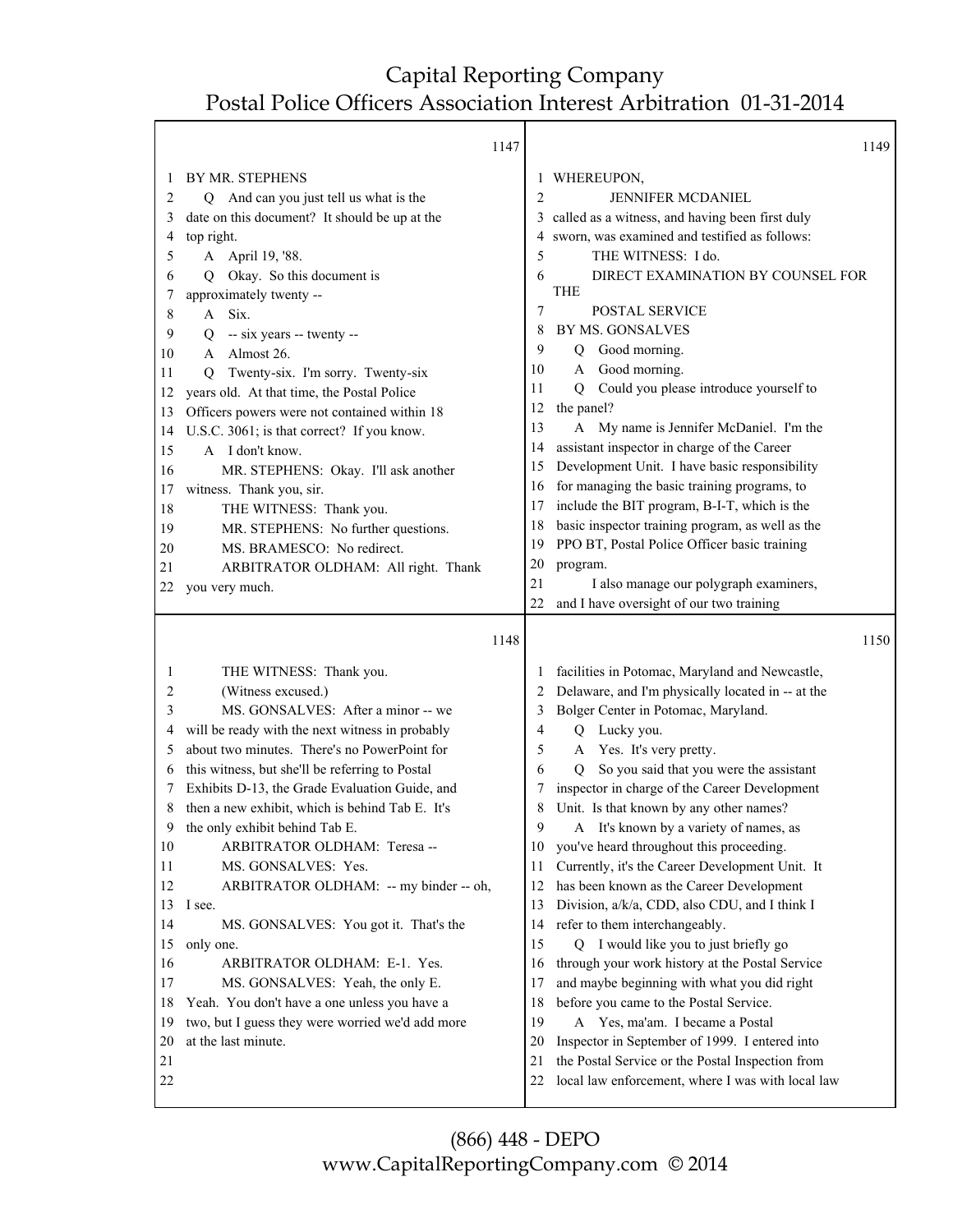Τ

|         | 1147                                             |                |                                                   | 1149 |
|---------|--------------------------------------------------|----------------|---------------------------------------------------|------|
| $\perp$ | BY MR. STEPHENS                                  | 1              | WHEREUPON,                                        |      |
| 2       | Q And can you just tell us what is the           | $\overline{2}$ | <b>JENNIFER MCDANIEL</b>                          |      |
| 3       | date on this document? It should be up at the    | 3              | called as a witness, and having been first duly   |      |
| 4       | top right.                                       |                | sworn, was examined and testified as follows:     |      |
| 5       | A April 19, '88.                                 | 5              | THE WITNESS: I do.                                |      |
| 6       | Okay. So this document is<br>Q                   | 6              | DIRECT EXAMINATION BY COUNSEL FOR                 |      |
| 7       | approximately twenty --                          |                | <b>THE</b>                                        |      |
| 8       | A Six.                                           | 7              | POSTAL SERVICE                                    |      |
| 9       | -- six years -- twenty --<br>Q                   | 8              | <b>BY MS. GONSALVES</b>                           |      |
| 10      | Almost 26.<br>A                                  | 9              | Good morning.<br>Q                                |      |
| 11      | Twenty-six. I'm sorry. Twenty-six<br>O           | 10             | Good morning.<br>A                                |      |
| 12      | years old. At that time, the Postal Police       | 11             | Could you please introduce yourself to<br>Q       |      |
| 13      | Officers powers were not contained within 18     | 12             | the panel?                                        |      |
| 14      | U.S.C. 3061; is that correct? If you know.       | 13             | My name is Jennifer McDaniel. I'm the<br>A        |      |
| 15      | A I don't know.                                  | 14             | assistant inspector in charge of the Career       |      |
| 16      | MR. STEPHENS: Okay. I'll ask another             | 15             | Development Unit. I have basic responsibility     |      |
| 17      | witness. Thank you, sir.                         | 16             | for managing the basic training programs, to      |      |
| 18      | THE WITNESS: Thank you.                          | 17             | include the BIT program, B-I-T, which is the      |      |
| 19      | MR. STEPHENS: No further questions.              | 18             | basic inspector training program, as well as the  |      |
| 20      | MS. BRAMESCO: No redirect.                       | 19             | PPO BT, Postal Police Officer basic training      |      |
| 21      | ARBITRATOR OLDHAM: All right. Thank              | 20             | program.                                          |      |
| 22      | you very much.                                   | 21             | I also manage our polygraph examiners,            |      |
|         |                                                  | 22             | and I have oversight of our two training          |      |
|         | 1148                                             |                |                                                   | 1150 |
|         |                                                  |                |                                                   |      |
| 1       | THE WITNESS: Thank you.                          | $\mathbf{I}$   | facilities in Potomac, Maryland and Newcastle,    |      |
| 2       | (Witness excused.)                               | 2              | Delaware, and I'm physically located in -- at the |      |
| 3       | MS. GONSALVES: After a minor -- we               | 3              |                                                   |      |
| 4       |                                                  |                | Bolger Center in Potomac, Maryland.               |      |
|         | will be ready with the next witness in probably  | 4              | Q Lucky you.                                      |      |
| 5       | about two minutes. There's no PowerPoint for     | 5              | Yes. It's very pretty.<br>A                       |      |
| 6       | this witness, but she'll be referring to Postal  | 6              | So you said that you were the assistant<br>Q      |      |
| 7       | Exhibits D-13, the Grade Evaluation Guide, and   | 7              | inspector in charge of the Career Development     |      |
| 8       | then a new exhibit, which is behind Tab E. It's  | 8              | Unit. Is that known by any other names?           |      |
| 9       | the only exhibit behind Tab E.                   | 9              | A It's known by a variety of names, as            |      |
| 10      | ARBITRATOR OLDHAM: Teresa --                     | 10             | you've heard throughout this proceeding.          |      |
| 11      | MS. GONSALVES: Yes.                              | 11             | Currently, it's the Career Development Unit. It   |      |
| 12      | ARBITRATOR OLDHAM: -- my binder -- oh,           | 12             | has been known as the Career Development          |      |
| 13      | I see.                                           | 13             | Division, a/k/a, CDD, also CDU, and I think I     |      |
| 14      | MS. GONSALVES: You got it. That's the            | 14             | refer to them interchangeably.                    |      |
| 15      | only one.                                        | 15             | Q I would like you to just briefly go             |      |
| 16      | ARBITRATOR OLDHAM: E-1. Yes.                     | 16             | through your work history at the Postal Service   |      |
| 17      | MS. GONSALVES: Yeah, the only E.                 | 17             | and maybe beginning with what you did right       |      |
| 18      | Yeah. You don't have a one unless you have a     | 18             | before you came to the Postal Service.            |      |
| 19      | two, but I guess they were worried we'd add more | 19             | A Yes, ma'am. I became a Postal                   |      |
| 20      | at the last minute.                              | 20             | Inspector in September of 1999. I entered into    |      |
| 21      |                                                  | 21             | the Postal Service or the Postal Inspection from  |      |
| 22      |                                                  | 22             | local law enforcement, where I was with local law |      |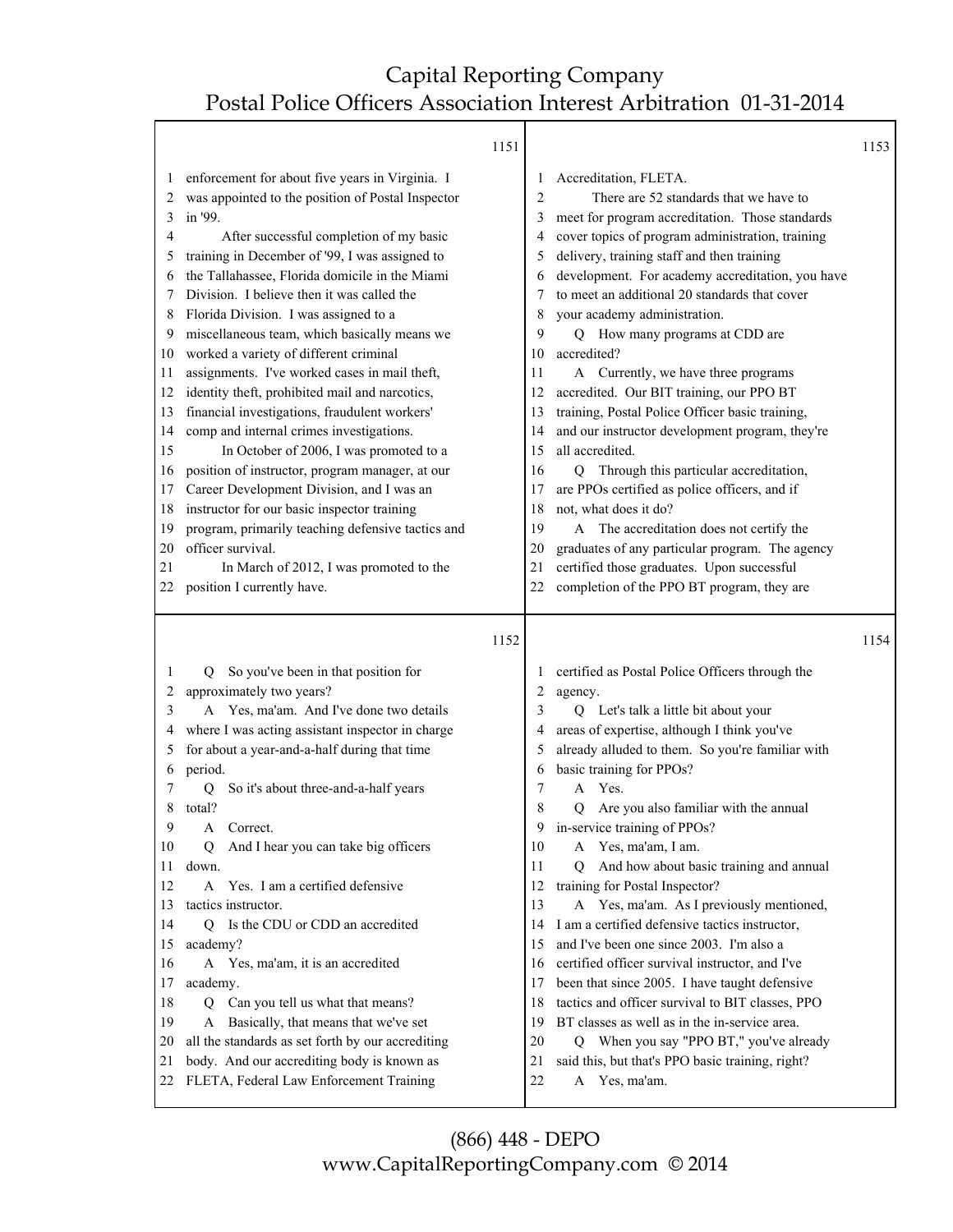#### 1151

|                                                                                                                         | 1151                                                                                                                                                                                                                                                                                                                                                                                                                                                                                                                                                                                                                                                                                                                                                                                                                                                                                                                                                           |                                                                                                                         |                                                                                                                                                                                                                                                                                                                                                                                                                                                                                                                                                                                                                                                                                                                                                                                                                                                                                                                             | 1153 |
|-------------------------------------------------------------------------------------------------------------------------|----------------------------------------------------------------------------------------------------------------------------------------------------------------------------------------------------------------------------------------------------------------------------------------------------------------------------------------------------------------------------------------------------------------------------------------------------------------------------------------------------------------------------------------------------------------------------------------------------------------------------------------------------------------------------------------------------------------------------------------------------------------------------------------------------------------------------------------------------------------------------------------------------------------------------------------------------------------|-------------------------------------------------------------------------------------------------------------------------|-----------------------------------------------------------------------------------------------------------------------------------------------------------------------------------------------------------------------------------------------------------------------------------------------------------------------------------------------------------------------------------------------------------------------------------------------------------------------------------------------------------------------------------------------------------------------------------------------------------------------------------------------------------------------------------------------------------------------------------------------------------------------------------------------------------------------------------------------------------------------------------------------------------------------------|------|
| 1<br>2<br>3<br>4<br>5<br>6<br>7<br>8<br>9<br>10<br>11<br>12<br>13<br>14<br>15<br>16<br>17<br>18<br>19<br>20<br>21       | enforcement for about five years in Virginia. I<br>was appointed to the position of Postal Inspector<br>in '99.<br>After successful completion of my basic<br>training in December of '99, I was assigned to<br>the Tallahassee, Florida domicile in the Miami<br>Division. I believe then it was called the<br>Florida Division. I was assigned to a<br>miscellaneous team, which basically means we<br>worked a variety of different criminal<br>assignments. I've worked cases in mail theft,<br>identity theft, prohibited mail and narcotics,<br>financial investigations, fraudulent workers'<br>comp and internal crimes investigations.<br>In October of 2006, I was promoted to a<br>position of instructor, program manager, at our<br>Career Development Division, and I was an<br>instructor for our basic inspector training<br>program, primarily teaching defensive tactics and<br>officer survival.<br>In March of 2012, I was promoted to the | 1<br>2<br>3<br>4<br>5<br>6<br>7<br>8<br>9<br>10<br>11<br>12<br>13<br>14<br>15<br>16<br>17<br>18<br>19<br>20<br>21       | Accreditation, FLETA.<br>There are 52 standards that we have to<br>meet for program accreditation. Those standards<br>cover topics of program administration, training<br>delivery, training staff and then training<br>development. For academy accreditation, you have<br>to meet an additional 20 standards that cover<br>your academy administration.<br>Q How many programs at CDD are<br>accredited?<br>A Currently, we have three programs<br>accredited. Our BIT training, our PPO BT<br>training, Postal Police Officer basic training,<br>and our instructor development program, they're<br>all accredited.<br>Through this particular accreditation,<br>$\overline{Q}$<br>are PPOs certified as police officers, and if<br>not, what does it do?<br>A The accreditation does not certify the<br>graduates of any particular program. The agency<br>certified those graduates. Upon successful                   |      |
| 22                                                                                                                      | position I currently have.                                                                                                                                                                                                                                                                                                                                                                                                                                                                                                                                                                                                                                                                                                                                                                                                                                                                                                                                     | 22                                                                                                                      | completion of the PPO BT program, they are                                                                                                                                                                                                                                                                                                                                                                                                                                                                                                                                                                                                                                                                                                                                                                                                                                                                                  |      |
|                                                                                                                         | 1152                                                                                                                                                                                                                                                                                                                                                                                                                                                                                                                                                                                                                                                                                                                                                                                                                                                                                                                                                           |                                                                                                                         |                                                                                                                                                                                                                                                                                                                                                                                                                                                                                                                                                                                                                                                                                                                                                                                                                                                                                                                             | 1154 |
| 1<br>2<br>3<br>4<br>5<br>6<br>7<br>8<br>9<br>10<br>11<br>12<br>13<br>14<br>15<br>16<br>17<br>18<br>19<br>20<br>21<br>22 | So you've been in that position for<br>O.<br>approximately two years?<br>A Yes, ma'am. And I've done two details<br>where I was acting assistant inspector in charge<br>for about a year-and-a-half during that time<br>period.<br>So it's about three-and-a-half years<br>О<br>total?<br>Correct.<br>A<br>And I hear you can take big officers<br>Q<br>down.<br>Yes. I am a certified defensive<br>A<br>tactics instructor.<br>Is the CDU or CDD an accredited<br>O.<br>academy?<br>A Yes, ma'am, it is an accredited<br>academy.<br>Can you tell us what that means?<br>Q<br>Basically, that means that we've set<br>A<br>all the standards as set forth by our accrediting<br>body. And our accrediting body is known as<br>FLETA, Federal Law Enforcement Training                                                                                                                                                                                         | 1<br>2<br>3<br>4<br>5<br>6<br>7<br>8<br>9<br>10<br>11<br>12<br>13<br>14<br>15<br>16<br>17<br>18<br>19<br>20<br>21<br>22 | certified as Postal Police Officers through the<br>agency.<br>Q Let's talk a little bit about your<br>areas of expertise, although I think you've<br>already alluded to them. So you're familiar with<br>basic training for PPOs?<br>Yes.<br>A<br>Are you also familiar with the annual<br>$\overline{O}$<br>in-service training of PPOs?<br>Yes, ma'am, I am.<br>A<br>And how about basic training and annual<br>О<br>training for Postal Inspector?<br>A Yes, ma'am. As I previously mentioned,<br>I am a certified defensive tactics instructor,<br>and I've been one since 2003. I'm also a<br>certified officer survival instructor, and I've<br>been that since 2005. I have taught defensive<br>tactics and officer survival to BIT classes, PPO<br>BT classes as well as in the in-service area.<br>Q When you say "PPO BT," you've already<br>said this, but that's PPO basic training, right?<br>Yes, ma'am.<br>A |      |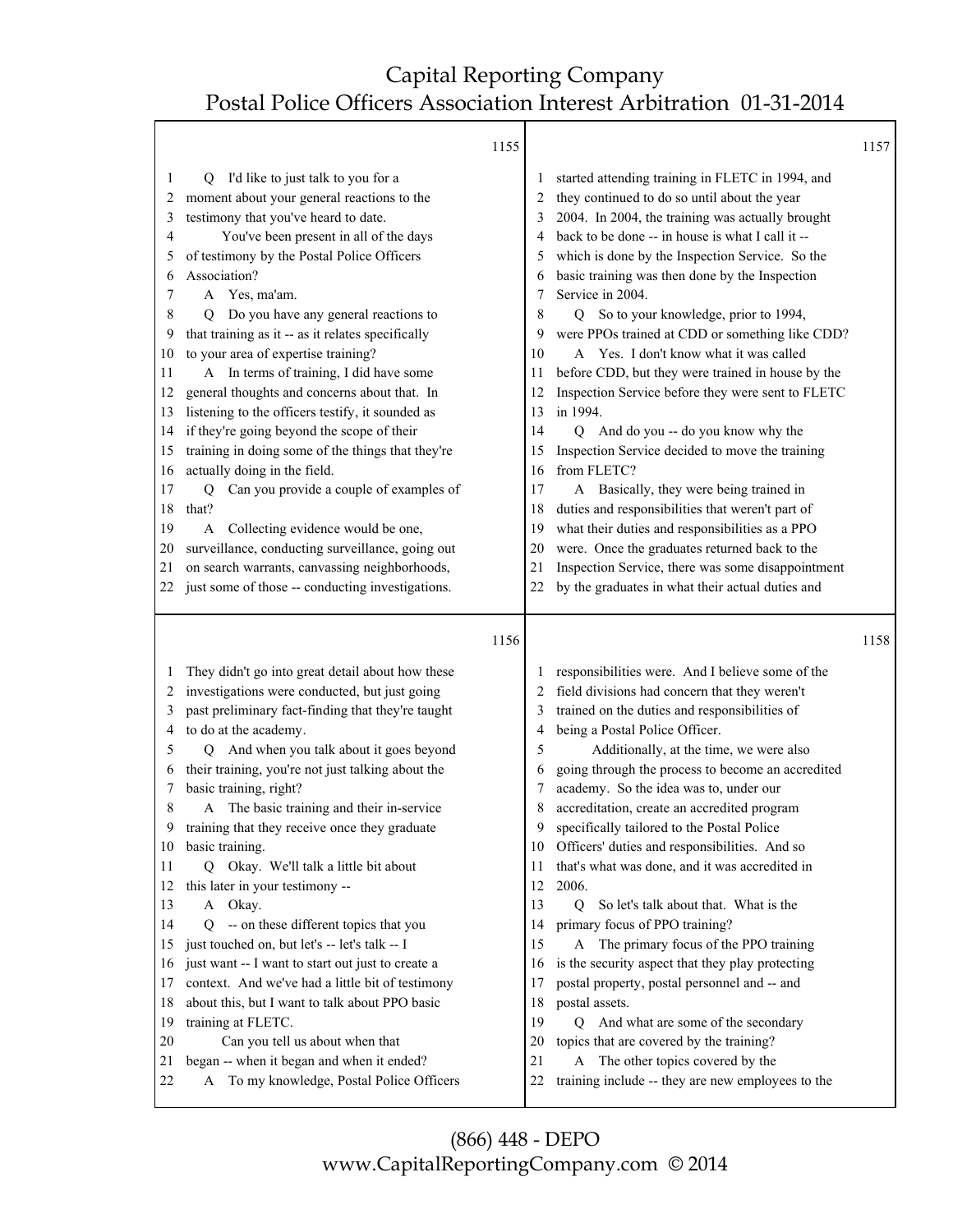Т

|                                                                                                                                                                                                                                                                                     |                                                                                                                                                                                                                                                                                                                                                                                                                                                                                                                                                                                                                                                                                                                                                                                                                                                 | 1155 |                                                                                                                    |                                                                                                                                                                                                                                                                                                                                                                                                                                                                                                                                                                                                                                                                                                                                                                                                                                                                                                                                                                                                                     | 1157 |
|-------------------------------------------------------------------------------------------------------------------------------------------------------------------------------------------------------------------------------------------------------------------------------------|-------------------------------------------------------------------------------------------------------------------------------------------------------------------------------------------------------------------------------------------------------------------------------------------------------------------------------------------------------------------------------------------------------------------------------------------------------------------------------------------------------------------------------------------------------------------------------------------------------------------------------------------------------------------------------------------------------------------------------------------------------------------------------------------------------------------------------------------------|------|--------------------------------------------------------------------------------------------------------------------|---------------------------------------------------------------------------------------------------------------------------------------------------------------------------------------------------------------------------------------------------------------------------------------------------------------------------------------------------------------------------------------------------------------------------------------------------------------------------------------------------------------------------------------------------------------------------------------------------------------------------------------------------------------------------------------------------------------------------------------------------------------------------------------------------------------------------------------------------------------------------------------------------------------------------------------------------------------------------------------------------------------------|------|
| 1<br>O.<br>2<br>3<br>4<br>5<br>Association?<br>6<br>A Yes, ma'am.<br>7<br>8<br>$\circ$<br>9<br>10<br>11<br>12<br>13<br>14<br>15<br>actually doing in the field.<br>16<br>17<br>Q<br>that?<br>18<br>19<br>A<br>20<br>21<br>22                                                        | I'd like to just talk to you for a<br>moment about your general reactions to the<br>testimony that you've heard to date.<br>You've been present in all of the days<br>of testimony by the Postal Police Officers<br>Do you have any general reactions to<br>that training as it -- as it relates specifically<br>to your area of expertise training?<br>A In terms of training, I did have some<br>general thoughts and concerns about that. In<br>listening to the officers testify, it sounded as<br>if they're going beyond the scope of their<br>training in doing some of the things that they're<br>Can you provide a couple of examples of<br>Collecting evidence would be one,<br>surveillance, conducting surveillance, going out<br>on search warrants, canvassing neighborhoods,<br>just some of those -- conducting investigations. |      | 2<br>3<br>4<br>5<br>6<br>7<br>8<br>9<br>10<br>11<br>12<br>13<br>14<br>15<br>16<br>17<br>18<br>19<br>20<br>21<br>22 | started attending training in FLETC in 1994, and<br>they continued to do so until about the year<br>2004. In 2004, the training was actually brought<br>back to be done -- in house is what I call it --<br>which is done by the Inspection Service. So the<br>basic training was then done by the Inspection<br>Service in 2004.<br>Q So to your knowledge, prior to 1994,<br>were PPOs trained at CDD or something like CDD?<br>A Yes. I don't know what it was called<br>before CDD, but they were trained in house by the<br>Inspection Service before they were sent to FLETC<br>in 1994.<br>Q And do you -- do you know why the<br>Inspection Service decided to move the training<br>from FLETC?<br>A Basically, they were being trained in<br>duties and responsibilities that weren't part of<br>what their duties and responsibilities as a PPO<br>were. Once the graduates returned back to the<br>Inspection Service, there was some disappointment<br>by the graduates in what their actual duties and |      |
|                                                                                                                                                                                                                                                                                     |                                                                                                                                                                                                                                                                                                                                                                                                                                                                                                                                                                                                                                                                                                                                                                                                                                                 | 1156 |                                                                                                                    |                                                                                                                                                                                                                                                                                                                                                                                                                                                                                                                                                                                                                                                                                                                                                                                                                                                                                                                                                                                                                     | 1158 |
| 1<br>2<br>3<br>to do at the academy.<br>4<br>5<br>О<br>6<br>basic training, right?<br>7<br>8<br>A<br>9<br>basic training.<br>10<br>11<br>this later in your testimony --<br>12<br>13<br>Okay.<br>A<br>14<br>Ő<br>15<br>16<br>17<br>18<br>training at FLETC.<br>19<br>20<br>21<br>22 | They didn't go into great detail about how these<br>investigations were conducted, but just going<br>past preliminary fact-finding that they're taught<br>And when you talk about it goes beyond<br>their training, you're not just talking about the<br>The basic training and their in-service<br>training that they receive once they graduate<br>Q Okay. We'll talk a little bit about<br>-- on these different topics that you<br>just touched on, but let's -- let's talk -- I<br>just want -- I want to start out just to create a<br>context. And we've had a little bit of testimony<br>about this, but I want to talk about PPO basic<br>Can you tell us about when that<br>began -- when it began and when it ended?<br>A To my knowledge, Postal Police Officers                                                                    |      | 2<br>3<br>4<br>5<br>6<br>7<br>8<br>9<br>10<br>11<br>12<br>13<br>14<br>15<br>16<br>17<br>18<br>19<br>20<br>21<br>22 | responsibilities were. And I believe some of the<br>field divisions had concern that they weren't<br>trained on the duties and responsibilities of<br>being a Postal Police Officer.<br>Additionally, at the time, we were also<br>going through the process to become an accredited<br>academy. So the idea was to, under our<br>accreditation, create an accredited program<br>specifically tailored to the Postal Police<br>Officers' duties and responsibilities. And so<br>that's what was done, and it was accredited in<br>2006.<br>Q<br>So let's talk about that. What is the<br>primary focus of PPO training?<br>A The primary focus of the PPO training<br>is the security aspect that they play protecting<br>postal property, postal personnel and -- and<br>postal assets.<br>Q And what are some of the secondary<br>topics that are covered by the training?<br>A The other topics covered by the<br>training include -- they are new employees to the                                              |      |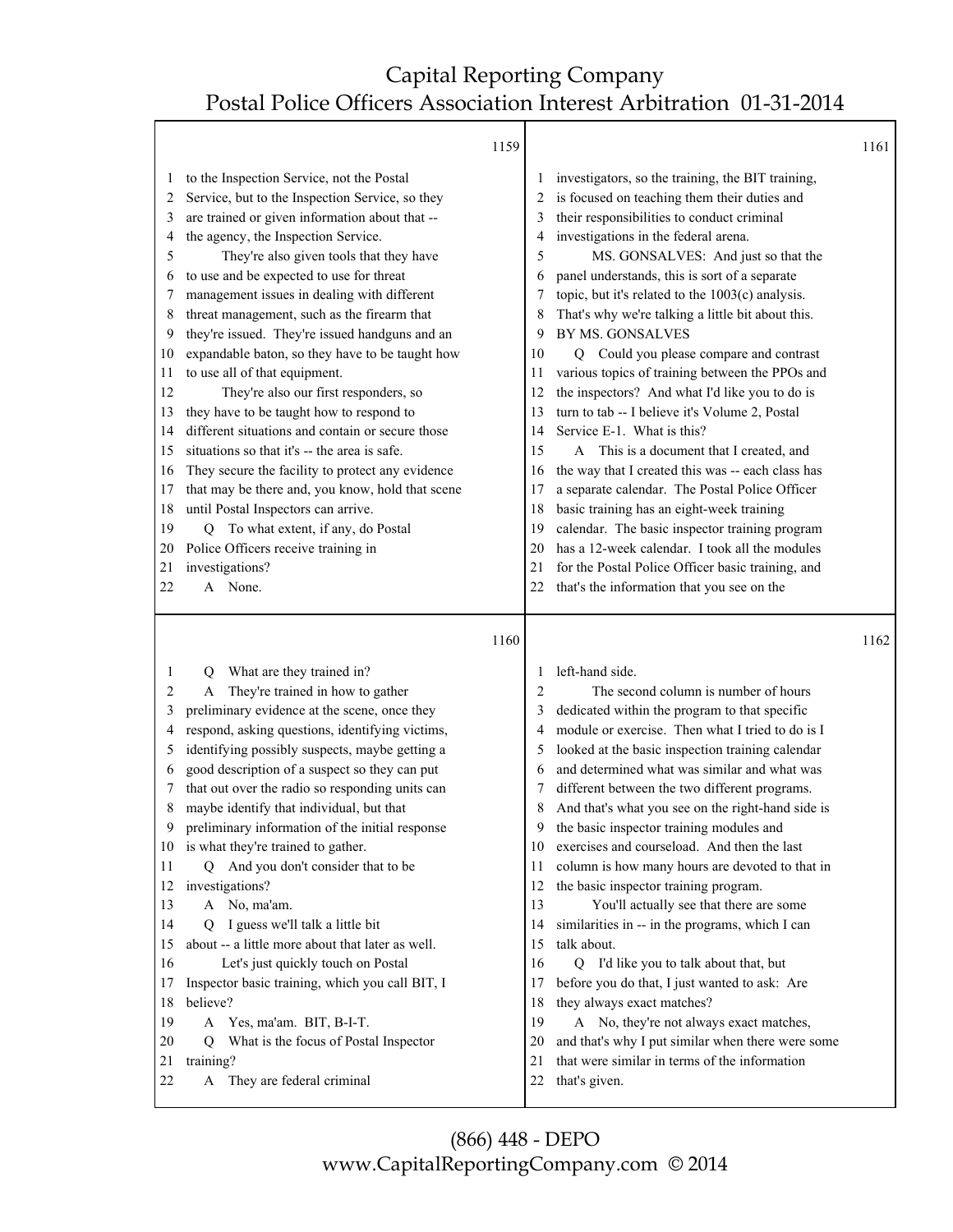T

|    | 1159                                                |                |                                                   | 1161 |
|----|-----------------------------------------------------|----------------|---------------------------------------------------|------|
| 1  | to the Inspection Service, not the Postal           |                | investigators, so the training, the BIT training, |      |
| 2  | Service, but to the Inspection Service, so they     |                | is focused on teaching them their duties and      |      |
| 3  | are trained or given information about that --      | 3              | their responsibilities to conduct criminal        |      |
| 4  | the agency, the Inspection Service.                 |                | investigations in the federal arena.              |      |
| 5  | They're also given tools that they have             | 5              | MS. GONSALVES: And just so that the               |      |
| 6  | to use and be expected to use for threat            | 6              | panel understands, this is sort of a separate     |      |
| 7  | management issues in dealing with different         | 7              | topic, but it's related to the 1003(c) analysis.  |      |
| 8  | threat management, such as the firearm that         | 8              | That's why we're talking a little bit about this. |      |
| 9  | they're issued. They're issued handguns and an      | 9              | BY MS. GONSALVES                                  |      |
| 10 | expandable baton, so they have to be taught how     | 10             | Q Could you please compare and contrast           |      |
| 11 | to use all of that equipment.                       | 11             | various topics of training between the PPOs and   |      |
| 12 | They're also our first responders, so               | 12             | the inspectors? And what I'd like you to do is    |      |
| 13 | they have to be taught how to respond to            | 13             | turn to tab -- I believe it's Volume 2, Postal    |      |
| 14 | different situations and contain or secure those    | 14             | Service E-1. What is this?                        |      |
| 15 | situations so that it's -- the area is safe.        | 15             | A This is a document that I created, and          |      |
| 16 | They secure the facility to protect any evidence    | 16             | the way that I created this was -- each class has |      |
| 17 | that may be there and, you know, hold that scene    | 17             | a separate calendar. The Postal Police Officer    |      |
| 18 | until Postal Inspectors can arrive.                 | 18             | basic training has an eight-week training         |      |
| 19 | To what extent, if any, do Postal<br>Q              | 19             | calendar. The basic inspector training program    |      |
| 20 | Police Officers receive training in                 | 20             | has a 12-week calendar. I took all the modules    |      |
| 21 | investigations?                                     | 21             | for the Postal Police Officer basic training, and |      |
| 22 | A None.                                             | 22             | that's the information that you see on the        |      |
|    |                                                     |                |                                                   |      |
|    | 1160                                                |                |                                                   | 1162 |
| 1  | What are they trained in?                           |                | left-hand side.                                   |      |
| 2  | Q<br>They're trained in how to gather<br>A          | $\overline{2}$ | The second column is number of hours              |      |
| 3  | preliminary evidence at the scene, once they        | 3              | dedicated within the program to that specific     |      |
| 4  | respond, asking questions, identifying victims,     | 4              | module or exercise. Then what I tried to do is I  |      |
| 5  | identifying possibly suspects, maybe getting a      | 5              | looked at the basic inspection training calendar  |      |
| 6  | good description of a suspect so they can put       | 6              | and determined what was similar and what was      |      |
| 7  | that out over the radio so responding units can     |                | different between the two different programs.     |      |
| 8  | maybe identify that individual, but that            | 8              | And that's what you see on the right-hand side is |      |
| 9  | preliminary information of the initial response     | 9              | the basic inspector training modules and          |      |
|    | 10 is what they're trained to gather.               | 10             | exercises and courseload. And then the last       |      |
| 11 | And you don't consider that to be<br>$\overline{Q}$ | 11             | column is how many hours are devoted to that in   |      |
| 12 | investigations?                                     | 12             | the basic inspector training program.             |      |
| 13 | A No, ma'am.                                        | 13             | You'll actually see that there are some           |      |
| 14 | I guess we'll talk a little bit<br>$\overline{Q}$   | 14             | similarities in -- in the programs, which I can   |      |
| 15 | about -- a little more about that later as well.    | 15             | talk about.                                       |      |
| 16 | Let's just quickly touch on Postal                  | 16             | Q I'd like you to talk about that, but            |      |
|    |                                                     |                |                                                   |      |
|    |                                                     |                |                                                   |      |
| 17 | Inspector basic training, which you call BIT, I     | 17             | before you do that, I just wanted to ask: Are     |      |
| 18 | believe?                                            | 18             | they always exact matches?                        |      |
| 19 | Yes, ma'am. BIT, B-I-T.<br>$\mathbf{A}$             | 19             | A No, they're not always exact matches,           |      |
| 20 | What is the focus of Postal Inspector<br>O          | 20             | and that's why I put similar when there were some |      |
| 21 | training?                                           | 21             | that were similar in terms of the information     |      |
| 22 | They are federal criminal<br>A                      | 22             | that's given.                                     |      |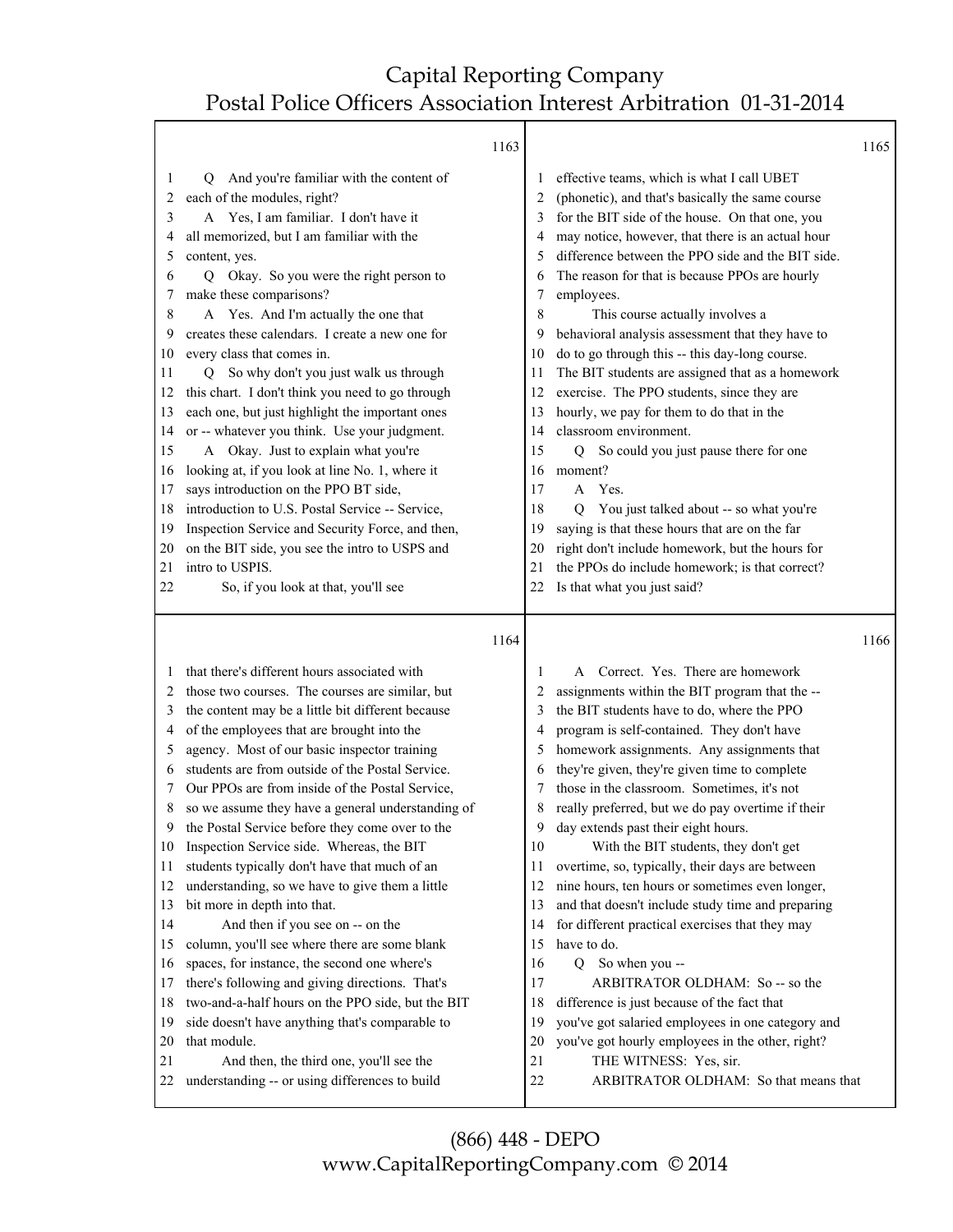|          | 1163                                                                                      |          |                                                                                                   | 1165 |
|----------|-------------------------------------------------------------------------------------------|----------|---------------------------------------------------------------------------------------------------|------|
| 1        | And you're familiar with the content of<br>Q.                                             |          | effective teams, which is what I call UBET                                                        |      |
| 2        | each of the modules, right?                                                               | 2        | (phonetic), and that's basically the same course                                                  |      |
| 3        | A Yes, I am familiar. I don't have it                                                     |          | for the BIT side of the house. On that one, you                                                   |      |
| 4        | all memorized, but I am familiar with the                                                 | 4        | may notice, however, that there is an actual hour                                                 |      |
| 5        | content, yes.                                                                             | 5        | difference between the PPO side and the BIT side.                                                 |      |
| 6        | Okay. So you were the right person to<br>Q.                                               | 6        | The reason for that is because PPOs are hourly                                                    |      |
| 7        | make these comparisons?                                                                   | 7        | employees.                                                                                        |      |
| 8        | A Yes. And I'm actually the one that                                                      | 8        | This course actually involves a                                                                   |      |
| 9        | creates these calendars. I create a new one for                                           | 9        | behavioral analysis assessment that they have to                                                  |      |
| 10       | every class that comes in.                                                                | 10       | do to go through this -- this day-long course.                                                    |      |
| 11       | So why don't you just walk us through<br>O.                                               | 11       | The BIT students are assigned that as a homework                                                  |      |
| 12       | this chart. I don't think you need to go through                                          | 12       | exercise. The PPO students, since they are                                                        |      |
| 13       | each one, but just highlight the important ones                                           | 13       | hourly, we pay for them to do that in the                                                         |      |
| 14       | or -- whatever you think. Use your judgment.                                              | 14       | classroom environment.                                                                            |      |
| 15       | A Okay. Just to explain what you're                                                       | 15       | So could you just pause there for one<br>Q                                                        |      |
| 16       | looking at, if you look at line No. 1, where it                                           | 16       | moment?                                                                                           |      |
| 17       | says introduction on the PPO BT side,<br>introduction to U.S. Postal Service -- Service,  | 17       | A Yes.                                                                                            |      |
| 18       | Inspection Service and Security Force, and then,                                          | 18       | You just talked about -- so what you're<br>Q                                                      |      |
| 19<br>20 | on the BIT side, you see the intro to USPS and                                            | 19<br>20 | saying is that these hours that are on the far<br>right don't include homework, but the hours for |      |
| 21       | intro to USPIS.                                                                           | 21       | the PPOs do include homework; is that correct?                                                    |      |
| 22       | So, if you look at that, you'll see                                                       | 22       | Is that what you just said?                                                                       |      |
|          |                                                                                           |          |                                                                                                   |      |
|          |                                                                                           |          |                                                                                                   |      |
|          | 1164                                                                                      |          |                                                                                                   | 1166 |
| 1        | that there's different hours associated with                                              | 1        | A Correct. Yes. There are homework                                                                |      |
| 2        | those two courses. The courses are similar, but                                           | 2        | assignments within the BIT program that the --                                                    |      |
| 3        | the content may be a little bit different because                                         | 3        | the BIT students have to do, where the PPO                                                        |      |
| 4        | of the employees that are brought into the                                                | 4        | program is self-contained. They don't have                                                        |      |
| 5        | agency. Most of our basic inspector training                                              | 5        | homework assignments. Any assignments that                                                        |      |
| 6        | students are from outside of the Postal Service.                                          | 6        | they're given, they're given time to complete                                                     |      |
| 7        | Our PPOs are from inside of the Postal Service,                                           | 7        | those in the classroom. Sometimes, it's not                                                       |      |
| 8        | so we assume they have a general understanding of                                         | 8        | really preferred, but we do pay overtime if their                                                 |      |
| 9        | the Postal Service before they come over to the                                           | 9        | day extends past their eight hours.                                                               |      |
| 10       | Inspection Service side. Whereas, the BIT                                                 | 10       | With the BIT students, they don't get                                                             |      |
| 11       | students typically don't have that much of an                                             | 11       | overtime, so, typically, their days are between                                                   |      |
| 12       | understanding, so we have to give them a little                                           | 12       | nine hours, ten hours or sometimes even longer,                                                   |      |
| 13       | bit more in depth into that.                                                              | 13       | and that doesn't include study time and preparing                                                 |      |
| 14       | And then if you see on -- on the                                                          | 14       | for different practical exercises that they may                                                   |      |
| 15       | column, you'll see where there are some blank                                             | 15       | have to do.                                                                                       |      |
| 16       | spaces, for instance, the second one where's                                              | 16       | So when you --<br>$\overline{Q}$                                                                  |      |
| 17       | there's following and giving directions. That's                                           | 17       | ARBITRATOR OLDHAM: So -- so the                                                                   |      |
| 18       | two-and-a-half hours on the PPO side, but the BIT                                         | 18       | difference is just because of the fact that                                                       |      |
| 19       | side doesn't have anything that's comparable to                                           | 19       | you've got salaried employees in one category and                                                 |      |
| 20       | that module.                                                                              | 20       | you've got hourly employees in the other, right?                                                  |      |
| 21<br>22 | And then, the third one, you'll see the<br>understanding -- or using differences to build | 21<br>22 | THE WITNESS: Yes, sir.<br>ARBITRATOR OLDHAM: So that means that                                   |      |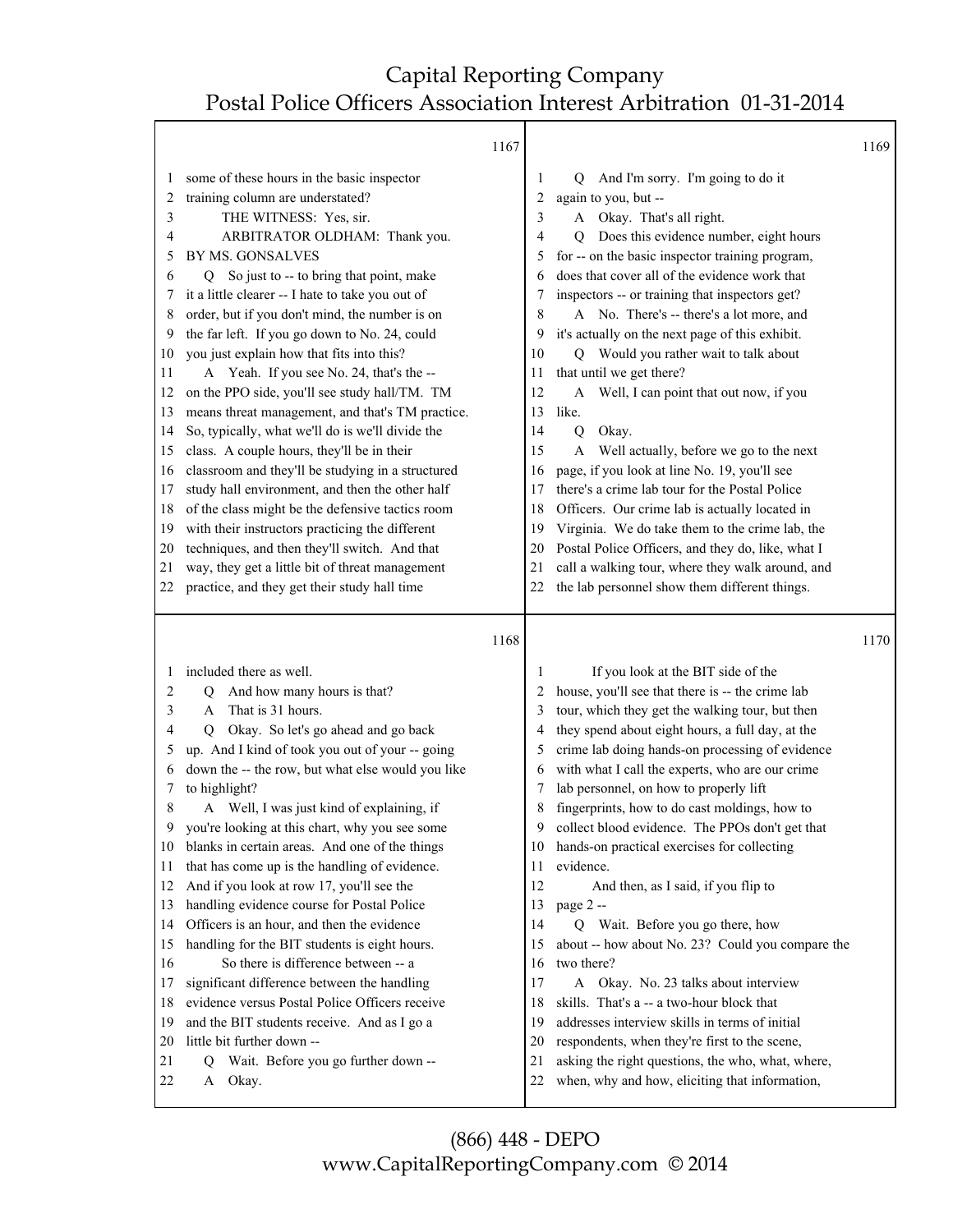|          | 1167                                                                                             |          |                                                                                                     | 1169 |
|----------|--------------------------------------------------------------------------------------------------|----------|-----------------------------------------------------------------------------------------------------|------|
| 1        | some of these hours in the basic inspector                                                       | 1        | And I'm sorry. I'm going to do it<br>Q                                                              |      |
| 2        | training column are understated?                                                                 | 2        | again to you, but --                                                                                |      |
| 3        | THE WITNESS: Yes, sir.                                                                           | 3        | Okay. That's all right.<br>A                                                                        |      |
| 4        | ARBITRATOR OLDHAM: Thank you.                                                                    | 4        | Does this evidence number, eight hours<br>$\mathbf Q$                                               |      |
| 5        | BY MS. GONSALVES                                                                                 | 5        | for -- on the basic inspector training program,                                                     |      |
| 6        | Q So just to -- to bring that point, make                                                        | 6        | does that cover all of the evidence work that                                                       |      |
| 7        | it a little clearer -- I hate to take you out of                                                 | 7        | inspectors -- or training that inspectors get?                                                      |      |
| 8        | order, but if you don't mind, the number is on                                                   | 8        | A No. There's -- there's a lot more, and                                                            |      |
| 9        | the far left. If you go down to No. 24, could                                                    | 9        | it's actually on the next page of this exhibit.                                                     |      |
| 10       | you just explain how that fits into this?                                                        | 10       | Q Would you rather wait to talk about                                                               |      |
| 11       | A Yeah. If you see No. 24, that's the --                                                         | 11       | that until we get there?                                                                            |      |
| 12       | on the PPO side, you'll see study hall/TM. TM                                                    | 12       | Well, I can point that out now, if you<br>A                                                         |      |
| 13       | means threat management, and that's TM practice.                                                 | 13       | like.                                                                                               |      |
| 14       | So, typically, what we'll do is we'll divide the                                                 | 14       | Okay.<br>Q                                                                                          |      |
| 15       | class. A couple hours, they'll be in their                                                       | 15       | Well actually, before we go to the next<br>A                                                        |      |
| 16       | classroom and they'll be studying in a structured                                                | 16       | page, if you look at line No. 19, you'll see                                                        |      |
| 17       | study hall environment, and then the other half                                                  | 17       | there's a crime lab tour for the Postal Police                                                      |      |
| 18       | of the class might be the defensive tactics room                                                 | 18       | Officers. Our crime lab is actually located in                                                      |      |
| 19       | with their instructors practicing the different                                                  | 19       | Virginia. We do take them to the crime lab, the                                                     |      |
| 20       | techniques, and then they'll switch. And that<br>way, they get a little bit of threat management | 20<br>21 | Postal Police Officers, and they do, like, what I                                                   |      |
| 21<br>22 | practice, and they get their study hall time                                                     | 22       | call a walking tour, where they walk around, and<br>the lab personnel show them different things.   |      |
|          |                                                                                                  |          |                                                                                                     |      |
|          |                                                                                                  |          |                                                                                                     |      |
|          | 1168                                                                                             |          |                                                                                                     | 1170 |
|          | included there as well.                                                                          | 1        | If you look at the BIT side of the                                                                  |      |
| 2        | And how many hours is that?<br>O                                                                 | 2        | house, you'll see that there is -- the crime lab                                                    |      |
| 3        | That is 31 hours.<br>A                                                                           | 3        | tour, which they get the walking tour, but then                                                     |      |
| 4        | Okay. So let's go ahead and go back<br>O                                                         | 4        | they spend about eight hours, a full day, at the                                                    |      |
| 5        | up. And I kind of took you out of your -- going                                                  | 5        | crime lab doing hands-on processing of evidence                                                     |      |
| 6        | down the -- the row, but what else would you like                                                | 6        | with what I call the experts, who are our crime                                                     |      |
| 7        | to highlight?                                                                                    | 7        | lab personnel, on how to properly lift                                                              |      |
| 8        | Well, I was just kind of explaining, if<br>A                                                     | 8        | fingerprints, how to do cast moldings, how to                                                       |      |
| 9        | you're looking at this chart, why you see some                                                   | 9        | collect blood evidence. The PPOs don't get that                                                     |      |
| 10       | blanks in certain areas. And one of the things                                                   | 10       | hands-on practical exercises for collecting                                                         |      |
| 11       | that has come up is the handling of evidence.                                                    | 11       | evidence.                                                                                           |      |
| 12       | And if you look at row 17, you'll see the                                                        | 12       | And then, as I said, if you flip to                                                                 |      |
| 13       | handling evidence course for Postal Police                                                       | 13       | page 2 --                                                                                           |      |
| 14       | Officers is an hour, and then the evidence                                                       | 14       | Q Wait. Before you go there, how                                                                    |      |
| 15       | handling for the BIT students is eight hours.                                                    | 15       | about -- how about No. 23? Could you compare the                                                    |      |
| 16       | So there is difference between -- a                                                              | 16       | two there?                                                                                          |      |
| 17       | significant difference between the handling                                                      | 17       | A Okay. No. 23 talks about interview                                                                |      |
| 18       | evidence versus Postal Police Officers receive                                                   | 18       | skills. That's a -- a two-hour block that                                                           |      |
| 19       | and the BIT students receive. And as I go a                                                      | 19       | addresses interview skills in terms of initial                                                      |      |
| 20       | little bit further down --                                                                       | 20       | respondents, when they're first to the scene,                                                       |      |
| 21<br>22 | Wait. Before you go further down --<br>Q<br>Okay.<br>A                                           | 21<br>22 | asking the right questions, the who, what, where,<br>when, why and how, eliciting that information, |      |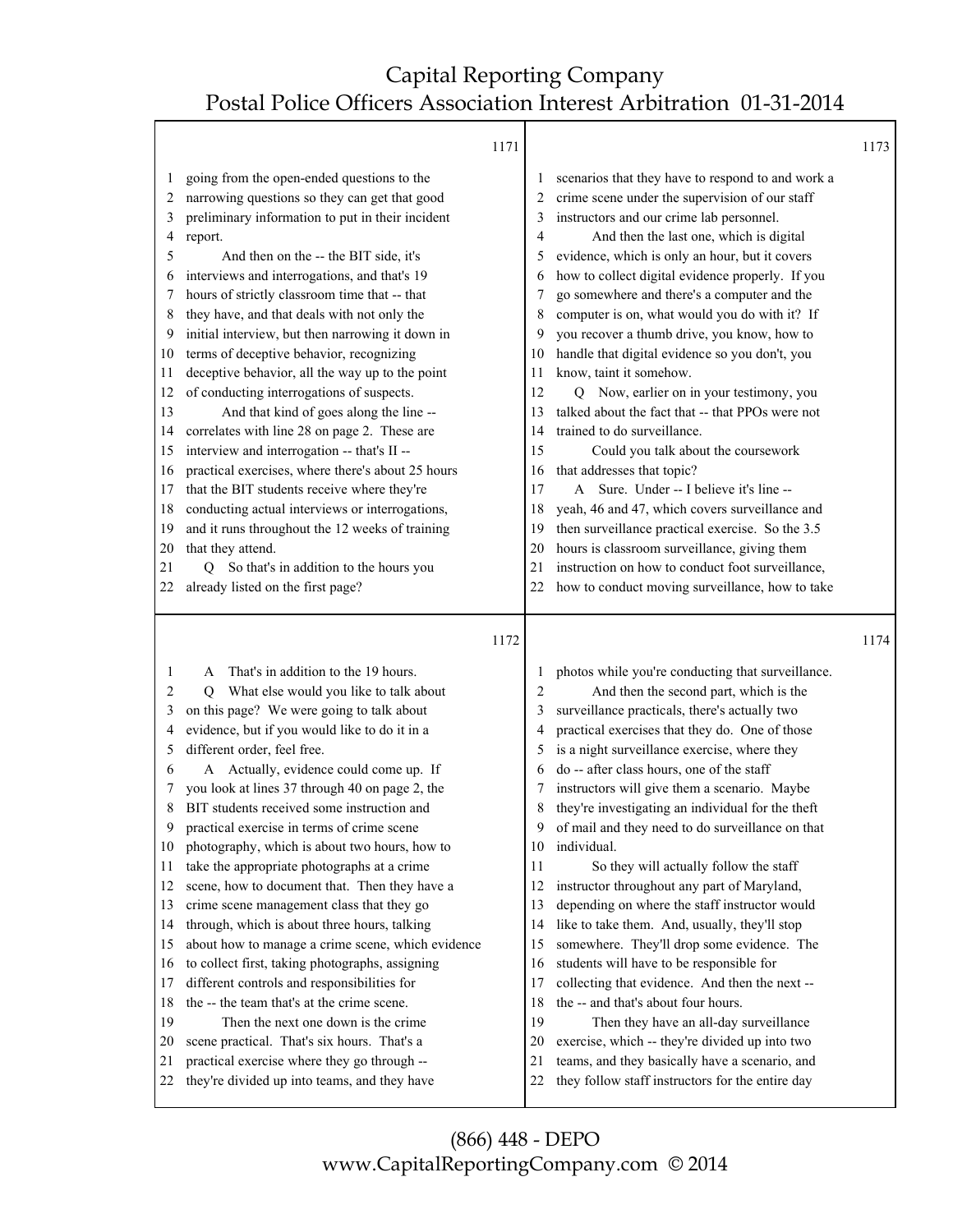Т

|          | 1171                                                                                        |          |                                                                                                    | 1173 |
|----------|---------------------------------------------------------------------------------------------|----------|----------------------------------------------------------------------------------------------------|------|
| 1        | going from the open-ended questions to the                                                  |          | scenarios that they have to respond to and work a                                                  |      |
| 2        | narrowing questions so they can get that good                                               | 2        | crime scene under the supervision of our staff                                                     |      |
| 3        | preliminary information to put in their incident                                            | 3        | instructors and our crime lab personnel.                                                           |      |
| 4        | report.                                                                                     | 4        | And then the last one, which is digital                                                            |      |
| 5        | And then on the -- the BIT side, it's                                                       | 5        | evidence, which is only an hour, but it covers                                                     |      |
| 6        | interviews and interrogations, and that's 19                                                | 6        | how to collect digital evidence properly. If you                                                   |      |
| 7        | hours of strictly classroom time that -- that                                               | 7        | go somewhere and there's a computer and the                                                        |      |
| 8        | they have, and that deals with not only the                                                 | 8        | computer is on, what would you do with it? If                                                      |      |
| 9        | initial interview, but then narrowing it down in                                            | 9        | you recover a thumb drive, you know, how to                                                        |      |
| 10       | terms of deceptive behavior, recognizing                                                    | 10       | handle that digital evidence so you don't, you                                                     |      |
| 11       | deceptive behavior, all the way up to the point                                             | 11       | know, taint it somehow.                                                                            |      |
| 12       | of conducting interrogations of suspects.                                                   | 12       | Q Now, earlier on in your testimony, you                                                           |      |
| 13       | And that kind of goes along the line --                                                     | 13       | talked about the fact that -- that PPOs were not                                                   |      |
| 14       | correlates with line 28 on page 2. These are                                                | 14       | trained to do surveillance.                                                                        |      |
| 15       | interview and interrogation -- that's II --                                                 | 15       | Could you talk about the coursework                                                                |      |
| 16       | practical exercises, where there's about 25 hours                                           | 16       | that addresses that topic?                                                                         |      |
| 17       | that the BIT students receive where they're                                                 | 17       | A Sure. Under -- I believe it's line --                                                            |      |
| 18       | conducting actual interviews or interrogations,                                             | 18       | yeah, 46 and 47, which covers surveillance and                                                     |      |
| 19       | and it runs throughout the 12 weeks of training                                             | 19       | then surveillance practical exercise. So the 3.5                                                   |      |
| 20       | that they attend.                                                                           | 20       | hours is classroom surveillance, giving them                                                       |      |
| 21       | Q So that's in addition to the hours you                                                    | 21       | instruction on how to conduct foot surveillance,                                                   |      |
| 22       | already listed on the first page?                                                           | 22       | how to conduct moving surveillance, how to take                                                    |      |
|          |                                                                                             |          |                                                                                                    |      |
|          |                                                                                             |          |                                                                                                    |      |
|          |                                                                                             |          |                                                                                                    | 1174 |
|          | 1172                                                                                        |          |                                                                                                    |      |
| 1        | That's in addition to the 19 hours.<br>A                                                    |          | photos while you're conducting that surveillance.                                                  |      |
| 2        | What else would you like to talk about<br>O                                                 | 2        | And then the second part, which is the                                                             |      |
| 3        | on this page? We were going to talk about                                                   | 3        | surveillance practicals, there's actually two                                                      |      |
| 4        | evidence, but if you would like to do it in a                                               | 4        | practical exercises that they do. One of those                                                     |      |
| 5        | different order, feel free.                                                                 | 5        | is a night surveillance exercise, where they                                                       |      |
| 6        | A Actually, evidence could come up. If                                                      | 6        | do -- after class hours, one of the staff                                                          |      |
| 7        | you look at lines 37 through 40 on page 2, the                                              |          | instructors will give them a scenario. Maybe                                                       |      |
| 8        | BIT students received some instruction and                                                  | 8        | they're investigating an individual for the theft                                                  |      |
| 9        | practical exercise in terms of crime scene                                                  | 9        | of mail and they need to do surveillance on that                                                   |      |
| 10       | photography, which is about two hours, how to                                               | 10       | individual.                                                                                        |      |
| 11       | take the appropriate photographs at a crime                                                 | 11       | So they will actually follow the staff                                                             |      |
| 12       | scene, how to document that. Then they have a                                               | 12       | instructor throughout any part of Maryland,                                                        |      |
| 13       | crime scene management class that they go                                                   | 13       | depending on where the staff instructor would                                                      |      |
| 14       | through, which is about three hours, talking                                                | 14       | like to take them. And, usually, they'll stop                                                      |      |
| 15       | about how to manage a crime scene, which evidence                                           | 15       | somewhere. They'll drop some evidence. The                                                         |      |
| 16       | to collect first, taking photographs, assigning                                             | 16       | students will have to be responsible for                                                           |      |
| 17       | different controls and responsibilities for                                                 | 17       | collecting that evidence. And then the next --                                                     |      |
| 18       | the -- the team that's at the crime scene.                                                  | 18       | the -- and that's about four hours.                                                                |      |
| 19       | Then the next one down is the crime                                                         | 19       | Then they have an all-day surveillance                                                             |      |
| 20       | scene practical. That's six hours. That's a                                                 | 20       | exercise, which -- they're divided up into two                                                     |      |
| 21<br>22 | practical exercise where they go through --<br>they're divided up into teams, and they have | 21<br>22 | teams, and they basically have a scenario, and<br>they follow staff instructors for the entire day |      |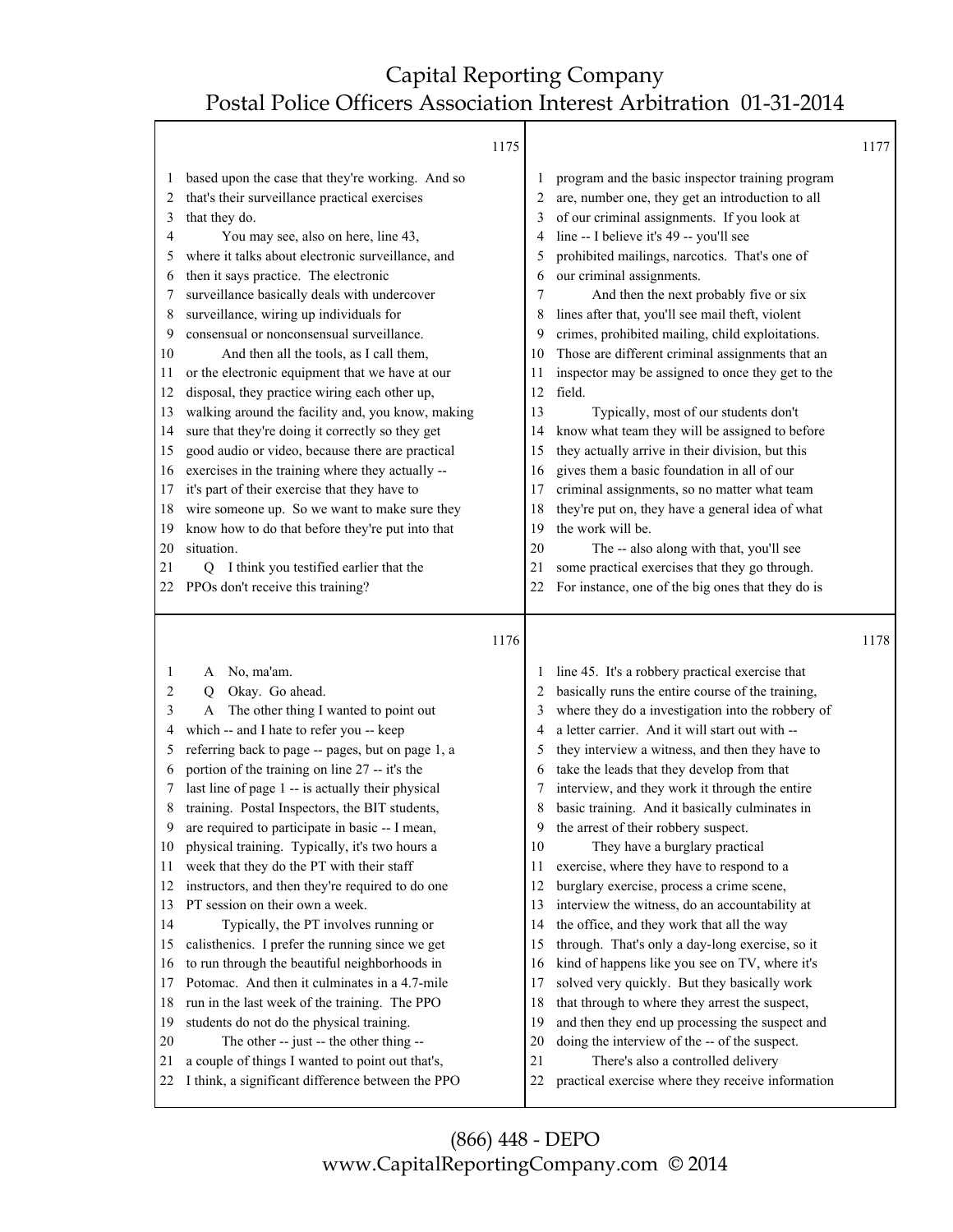T

|          |                                                                                                       | 1175 |          |                                                                                                      | 1177 |
|----------|-------------------------------------------------------------------------------------------------------|------|----------|------------------------------------------------------------------------------------------------------|------|
| 1<br>2   | based upon the case that they're working. And so<br>that's their surveillance practical exercises     |      | 2        | program and the basic inspector training program<br>are, number one, they get an introduction to all |      |
| 3        | that they do.                                                                                         |      |          | of our criminal assignments. If you look at                                                          |      |
| 4        | You may see, also on here, line 43,                                                                   |      |          | line -- I believe it's 49 -- you'll see                                                              |      |
| 5        | where it talks about electronic surveillance, and                                                     |      | 5        | prohibited mailings, narcotics. That's one of                                                        |      |
| 6        | then it says practice. The electronic                                                                 |      | 6        | our criminal assignments.                                                                            |      |
| 7        | surveillance basically deals with undercover                                                          |      | 7        | And then the next probably five or six                                                               |      |
| 8        | surveillance, wiring up individuals for                                                               |      | 8        | lines after that, you'll see mail theft, violent                                                     |      |
| 9        | consensual or nonconsensual surveillance.                                                             |      | 9        | crimes, prohibited mailing, child exploitations.                                                     |      |
| 10       | And then all the tools, as I call them,                                                               |      | 10       | Those are different criminal assignments that an                                                     |      |
| 11       | or the electronic equipment that we have at our                                                       |      | 11       | inspector may be assigned to once they get to the                                                    |      |
| 12       | disposal, they practice wiring each other up,                                                         |      | 12       | field.                                                                                               |      |
| 13       | walking around the facility and, you know, making                                                     |      | 13       | Typically, most of our students don't                                                                |      |
| 14       | sure that they're doing it correctly so they get                                                      |      | 14       | know what team they will be assigned to before                                                       |      |
| 15       | good audio or video, because there are practical                                                      |      | 15       | they actually arrive in their division, but this                                                     |      |
| 16       | exercises in the training where they actually --                                                      |      | 16       | gives them a basic foundation in all of our                                                          |      |
| 17       | it's part of their exercise that they have to                                                         |      | 17       | criminal assignments, so no matter what team                                                         |      |
| 18       | wire someone up. So we want to make sure they                                                         |      | 18       | they're put on, they have a general idea of what                                                     |      |
| 19       | know how to do that before they're put into that                                                      |      | 19       | the work will be.                                                                                    |      |
| 20       | situation.                                                                                            |      | 20       | The -- also along with that, you'll see                                                              |      |
| 21       | Q I think you testified earlier that the                                                              |      | 21       | some practical exercises that they go through.                                                       |      |
| 22       | PPOs don't receive this training?                                                                     |      | 22       | For instance, one of the big ones that they do is                                                    |      |
|          |                                                                                                       |      |          |                                                                                                      |      |
|          |                                                                                                       | 1176 |          |                                                                                                      | 1178 |
| 1        | A                                                                                                     |      |          |                                                                                                      |      |
| 2        | No, ma'am.<br>Q                                                                                       |      |          | line 45. It's a robbery practical exercise that                                                      |      |
| 3        | Okay. Go ahead.<br>A                                                                                  |      |          | basically runs the entire course of the training,                                                    |      |
| 4        | The other thing I wanted to point out<br>which -- and I hate to refer you -- keep                     |      |          | where they do a investigation into the robbery of<br>a letter carrier. And it will start out with -- |      |
| 5        | referring back to page -- pages, but on page 1, a                                                     |      | 5        | they interview a witness, and then they have to                                                      |      |
| 6        | portion of the training on line 27 -- it's the                                                        |      | 6        | take the leads that they develop from that                                                           |      |
| 7        | last line of page 1 -- is actually their physical                                                     |      | 7        | interview, and they work it through the entire                                                       |      |
| 8        | training. Postal Inspectors, the BIT students,                                                        |      | 8        | basic training. And it basically culminates in                                                       |      |
| 9        | are required to participate in basic -- I mean,                                                       |      | 9        | the arrest of their robbery suspect.                                                                 |      |
| 10       | physical training. Typically, it's two hours a                                                        |      | 10       | They have a burglary practical                                                                       |      |
| 11       | week that they do the PT with their staff                                                             |      | 11       | exercise, where they have to respond to a                                                            |      |
| 12       | instructors, and then they're required to do one                                                      |      | 12       | burglary exercise, process a crime scene,                                                            |      |
| 13       | PT session on their own a week.                                                                       |      | 13       | interview the witness, do an accountability at                                                       |      |
| 14       | Typically, the PT involves running or                                                                 |      | 14       | the office, and they work that all the way                                                           |      |
| 15       | calisthenics. I prefer the running since we get                                                       |      | 15       | through. That's only a day-long exercise, so it                                                      |      |
| 16       | to run through the beautiful neighborhoods in                                                         |      | 16       | kind of happens like you see on TV, where it's                                                       |      |
| 17       | Potomac. And then it culminates in a 4.7-mile                                                         |      | 17       | solved very quickly. But they basically work                                                         |      |
| 18       | run in the last week of the training. The PPO                                                         |      | 18       | that through to where they arrest the suspect,                                                       |      |
| 19       | students do not do the physical training.                                                             |      | 19       | and then they end up processing the suspect and                                                      |      |
| 20       | The other -- just -- the other thing --                                                               |      | 20       | doing the interview of the -- of the suspect.                                                        |      |
| 21<br>22 | a couple of things I wanted to point out that's,<br>I think, a significant difference between the PPO |      | 21<br>22 | There's also a controlled delivery<br>practical exercise where they receive information              |      |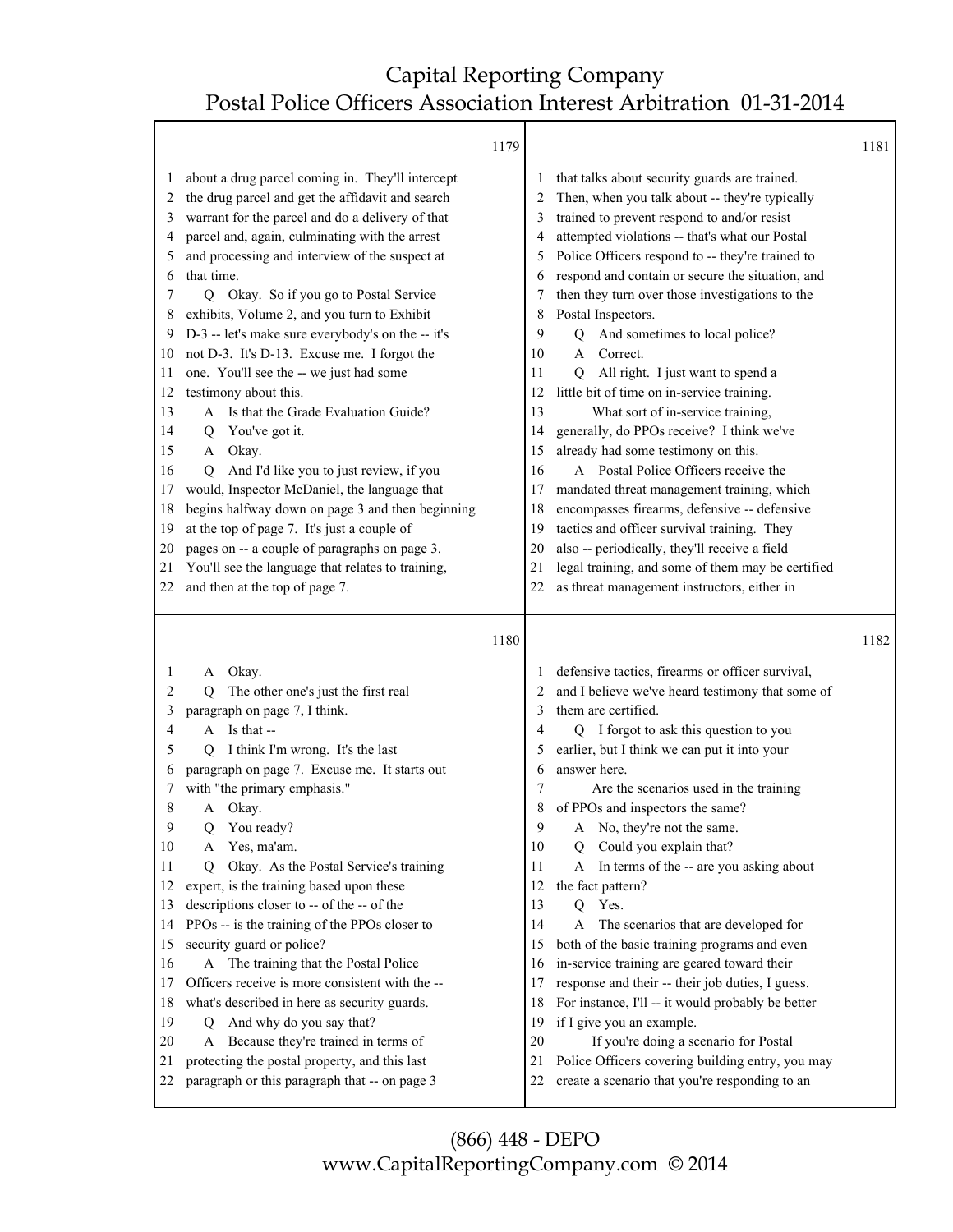#### 1179

|          |                                                                                                | 1179 |          |                                                                                                    | 1181 |
|----------|------------------------------------------------------------------------------------------------|------|----------|----------------------------------------------------------------------------------------------------|------|
| 1        | about a drug parcel coming in. They'll intercept                                               |      | 1        | that talks about security guards are trained.                                                      |      |
| 2        | the drug parcel and get the affidavit and search                                               |      | 2        | Then, when you talk about -- they're typically                                                     |      |
| 3        | warrant for the parcel and do a delivery of that                                               |      | 3        | trained to prevent respond to and/or resist                                                        |      |
| 4        | parcel and, again, culminating with the arrest                                                 |      | 4        | attempted violations -- that's what our Postal                                                     |      |
| 5        | and processing and interview of the suspect at                                                 |      | 5        | Police Officers respond to -- they're trained to                                                   |      |
| 6        | that time.                                                                                     |      | 6        | respond and contain or secure the situation, and                                                   |      |
| 7        | Q Okay. So if you go to Postal Service                                                         |      | 7        | then they turn over those investigations to the                                                    |      |
| 8        | exhibits, Volume 2, and you turn to Exhibit                                                    |      | 8        | Postal Inspectors.                                                                                 |      |
| 9        | D-3 -- let's make sure everybody's on the -- it's                                              |      | 9        | And sometimes to local police?<br>Q                                                                |      |
| 10       | not D-3. It's D-13. Excuse me. I forgot the                                                    |      | 10       | Correct.<br>A                                                                                      |      |
| 11       | one. You'll see the -- we just had some                                                        |      | 11       | All right. I just want to spend a<br>O                                                             |      |
| 12       | testimony about this.                                                                          |      | 12       | little bit of time on in-service training.                                                         |      |
| 13       | A Is that the Grade Evaluation Guide?                                                          |      | 13       | What sort of in-service training,                                                                  |      |
| 14       | You've got it.<br>Q<br>A Okay.                                                                 |      | 14       | generally, do PPOs receive? I think we've<br>already had some testimony on this.                   |      |
| 15<br>16 | And I'd like you to just review, if you<br>O                                                   |      | 15<br>16 | A Postal Police Officers receive the                                                               |      |
| 17       | would, Inspector McDaniel, the language that                                                   |      | 17       | mandated threat management training, which                                                         |      |
| 18       | begins halfway down on page 3 and then beginning                                               |      | 18       | encompasses firearms, defensive -- defensive                                                       |      |
| 19       | at the top of page 7. It's just a couple of                                                    |      | 19       | tactics and officer survival training. They                                                        |      |
| 20       | pages on -- a couple of paragraphs on page 3.                                                  |      | 20       | also -- periodically, they'll receive a field                                                      |      |
| 21       | You'll see the language that relates to training,                                              |      | 21       | legal training, and some of them may be certified                                                  |      |
| 22       | and then at the top of page 7.                                                                 |      | 22       | as threat management instructors, either in                                                        |      |
|          |                                                                                                |      |          |                                                                                                    |      |
|          |                                                                                                |      |          |                                                                                                    |      |
|          |                                                                                                | 1180 |          |                                                                                                    | 1182 |
| 1        | Okay.<br>A                                                                                     |      |          | defensive tactics, firearms or officer survival,                                                   |      |
| 2        | The other one's just the first real<br>О                                                       |      |          | and I believe we've heard testimony that some of                                                   |      |
| 3        | paragraph on page 7, I think.                                                                  |      | 3        | them are certified.                                                                                |      |
| 4        | A Is that --                                                                                   |      | 4        | Q I forgot to ask this question to you                                                             |      |
| 5        | I think I'm wrong. It's the last<br>O                                                          |      | 5        | earlier, but I think we can put it into your                                                       |      |
| 6        | paragraph on page 7. Excuse me. It starts out                                                  |      | 6        | answer here.                                                                                       |      |
| 7        | with "the primary emphasis."                                                                   |      | 7        | Are the scenarios used in the training                                                             |      |
| 8        | Okay.<br>A                                                                                     |      | 8        | of PPOs and inspectors the same?                                                                   |      |
| 9        | You ready?<br>Q                                                                                |      | 9        | No, they're not the same.<br>A                                                                     |      |
| 10       | Yes, ma'am.<br>A                                                                               |      | 10       | Could you explain that?<br>Q                                                                       |      |
| 11       | Okay. As the Postal Service's training<br>O                                                    |      | 11       | In terms of the -- are you asking about<br>A                                                       |      |
| 12       | expert, is the training based upon these                                                       |      | 12       | the fact pattern?                                                                                  |      |
| 13       | descriptions closer to -- of the -- of the                                                     |      | 13       | Yes.<br>$\overline{Q}$                                                                             |      |
| 14       | PPOs -- is the training of the PPOs closer to                                                  |      | 14       | A<br>The scenarios that are developed for                                                          |      |
| 15       | security guard or police?                                                                      |      | 15       | both of the basic training programs and even                                                       |      |
| 16       | A The training that the Postal Police                                                          |      | 16       | in-service training are geared toward their                                                        |      |
| 17       | Officers receive is more consistent with the --                                                |      | 17       | response and their -- their job duties, I guess.                                                   |      |
| 18       | what's described in here as security guards.                                                   |      | 18       | For instance, I'll -- it would probably be better                                                  |      |
| 19       | And why do you say that?<br>Q                                                                  |      | 19       | if I give you an example.                                                                          |      |
| 20       | Because they're trained in terms of<br>A                                                       |      | 20       | If you're doing a scenario for Postal                                                              |      |
| 21<br>22 | protecting the postal property, and this last<br>paragraph or this paragraph that -- on page 3 |      | 21<br>22 | Police Officers covering building entry, you may<br>create a scenario that you're responding to an |      |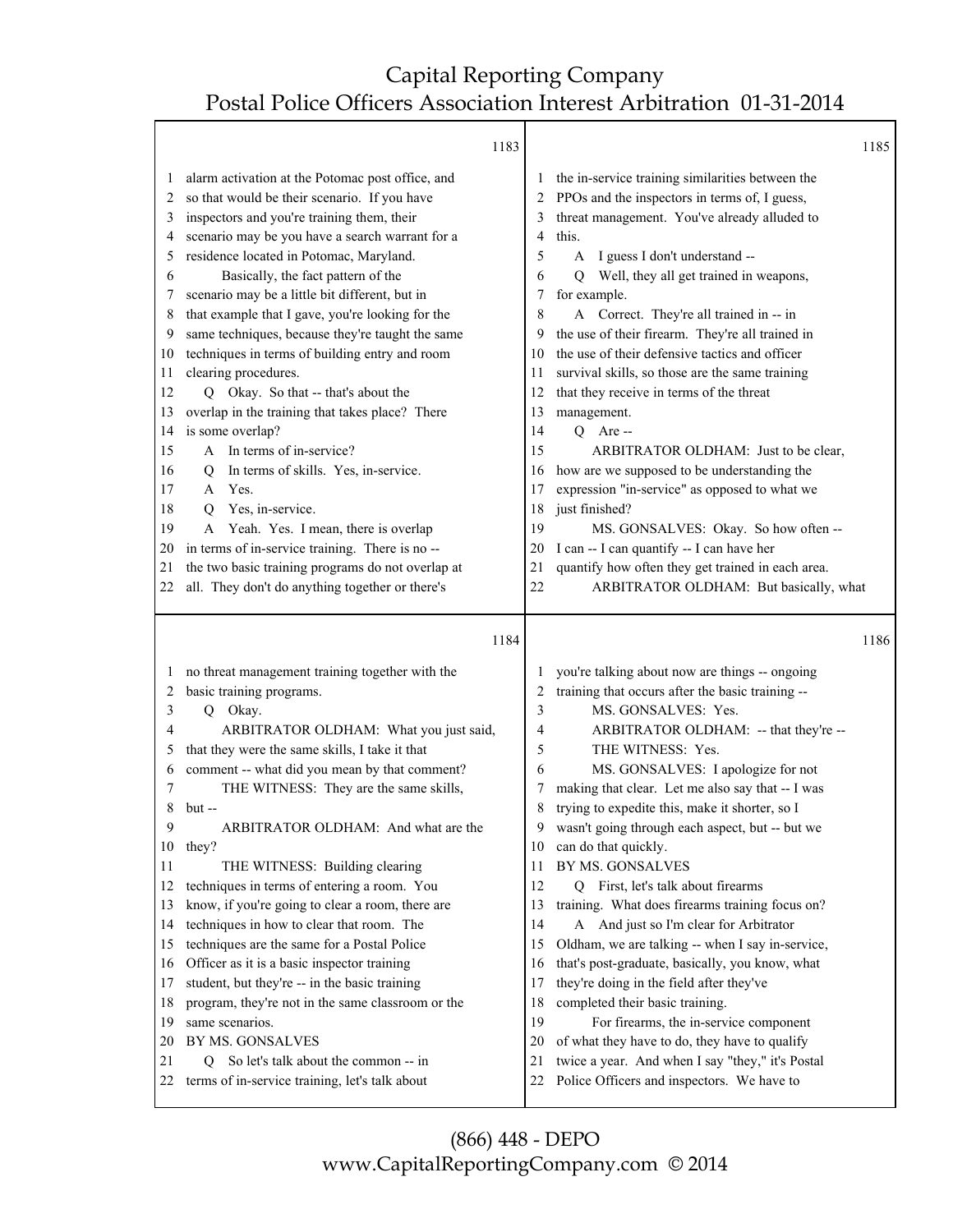|                                                                                                                               | 1183                                                                                                                                                                                                                                                                                                                                                                                                                                                                                                                                                                                                                                                                                                                                                                                                                                                                                                                                                                   |                                                                                                                               |                                                                                                                                                                                                                                                                                                                                                                                                                                                                                                                                                                                                                                                                                                                                                                                                                                                                                                                                                             | 1185 |
|-------------------------------------------------------------------------------------------------------------------------------|------------------------------------------------------------------------------------------------------------------------------------------------------------------------------------------------------------------------------------------------------------------------------------------------------------------------------------------------------------------------------------------------------------------------------------------------------------------------------------------------------------------------------------------------------------------------------------------------------------------------------------------------------------------------------------------------------------------------------------------------------------------------------------------------------------------------------------------------------------------------------------------------------------------------------------------------------------------------|-------------------------------------------------------------------------------------------------------------------------------|-------------------------------------------------------------------------------------------------------------------------------------------------------------------------------------------------------------------------------------------------------------------------------------------------------------------------------------------------------------------------------------------------------------------------------------------------------------------------------------------------------------------------------------------------------------------------------------------------------------------------------------------------------------------------------------------------------------------------------------------------------------------------------------------------------------------------------------------------------------------------------------------------------------------------------------------------------------|------|
| $\perp$<br>2<br>3<br>4<br>5<br>6<br>7<br>8<br>9<br>10<br>11<br>12<br>13<br>14<br>15<br>16<br>17<br>18<br>19<br>20<br>21<br>22 | alarm activation at the Potomac post office, and<br>so that would be their scenario. If you have<br>inspectors and you're training them, their<br>scenario may be you have a search warrant for a<br>residence located in Potomac, Maryland.<br>Basically, the fact pattern of the<br>scenario may be a little bit different, but in<br>that example that I gave, you're looking for the<br>same techniques, because they're taught the same<br>techniques in terms of building entry and room<br>clearing procedures.<br>Q Okay. So that -- that's about the<br>overlap in the training that takes place? There<br>is some overlap?<br>A In terms of in-service?<br>In terms of skills. Yes, in-service.<br>$\mathsf{Q}$<br>Yes.<br>A<br>Yes, in-service.<br>Q<br>Yeah. Yes. I mean, there is overlap<br>A<br>in terms of in-service training. There is no --<br>the two basic training programs do not overlap at<br>all. They don't do anything together or there's | $\perp$<br>2<br>3<br>4<br>5<br>6<br>7<br>8<br>9<br>10<br>11<br>12<br>13<br>14<br>15<br>16<br>17<br>18<br>19<br>20<br>21<br>22 | the in-service training similarities between the<br>PPOs and the inspectors in terms of, I guess,<br>threat management. You've already alluded to<br>this.<br>A I guess I don't understand --<br>Q Well, they all get trained in weapons,<br>for example.<br>A Correct. They're all trained in -- in<br>the use of their firearm. They're all trained in<br>the use of their defensive tactics and officer<br>survival skills, so those are the same training<br>that they receive in terms of the threat<br>management.<br>$Q$ Are --<br>ARBITRATOR OLDHAM: Just to be clear,<br>how are we supposed to be understanding the<br>expression "in-service" as opposed to what we<br>just finished?<br>MS. GONSALVES: Okay. So how often --<br>I can -- I can quantify -- I can have her<br>quantify how often they get trained in each area.<br>ARBITRATOR OLDHAM: But basically, what                                                                        |      |
|                                                                                                                               | 1184                                                                                                                                                                                                                                                                                                                                                                                                                                                                                                                                                                                                                                                                                                                                                                                                                                                                                                                                                                   |                                                                                                                               |                                                                                                                                                                                                                                                                                                                                                                                                                                                                                                                                                                                                                                                                                                                                                                                                                                                                                                                                                             | 1186 |
| $\perp$<br>2<br>3<br>4<br>5<br>6<br>7<br>8<br>9<br>10<br>11<br>12<br>13<br>14<br>15<br>16<br>17<br>18<br>19<br>20<br>21<br>22 | no threat management training together with the<br>basic training programs.<br>Q Okay.<br>ARBITRATOR OLDHAM: What you just said,<br>that they were the same skills, I take it that<br>comment -- what did you mean by that comment?<br>THE WITNESS: They are the same skills,<br>but --<br>ARBITRATOR OLDHAM: And what are the<br>they?<br>THE WITNESS: Building clearing<br>techniques in terms of entering a room. You<br>know, if you're going to clear a room, there are<br>techniques in how to clear that room. The<br>techniques are the same for a Postal Police<br>Officer as it is a basic inspector training<br>student, but they're -- in the basic training<br>program, they're not in the same classroom or the<br>same scenarios.<br>BY MS. GONSALVES<br>So let's talk about the common -- in<br>O.<br>terms of in-service training, let's talk about                                                                                                   | 2<br>3<br>4<br>5<br>6<br>7<br>8<br>10<br>11<br>12<br>13<br>14<br>15<br>16<br>17<br>18<br>19<br>20<br>21<br>22                 | you're talking about now are things -- ongoing<br>training that occurs after the basic training --<br>MS. GONSALVES: Yes.<br>ARBITRATOR OLDHAM: -- that they're --<br>THE WITNESS: Yes.<br>MS. GONSALVES: I apologize for not<br>making that clear. Let me also say that -- I was<br>trying to expedite this, make it shorter, so I<br>wasn't going through each aspect, but -- but we<br>can do that quickly.<br>BY MS. GONSALVES<br>First, let's talk about firearms<br>Q<br>training. What does firearms training focus on?<br>A And just so I'm clear for Arbitrator<br>Oldham, we are talking -- when I say in-service,<br>that's post-graduate, basically, you know, what<br>they're doing in the field after they've<br>completed their basic training.<br>For firearms, the in-service component<br>of what they have to do, they have to qualify<br>twice a year. And when I say "they," it's Postal<br>Police Officers and inspectors. We have to |      |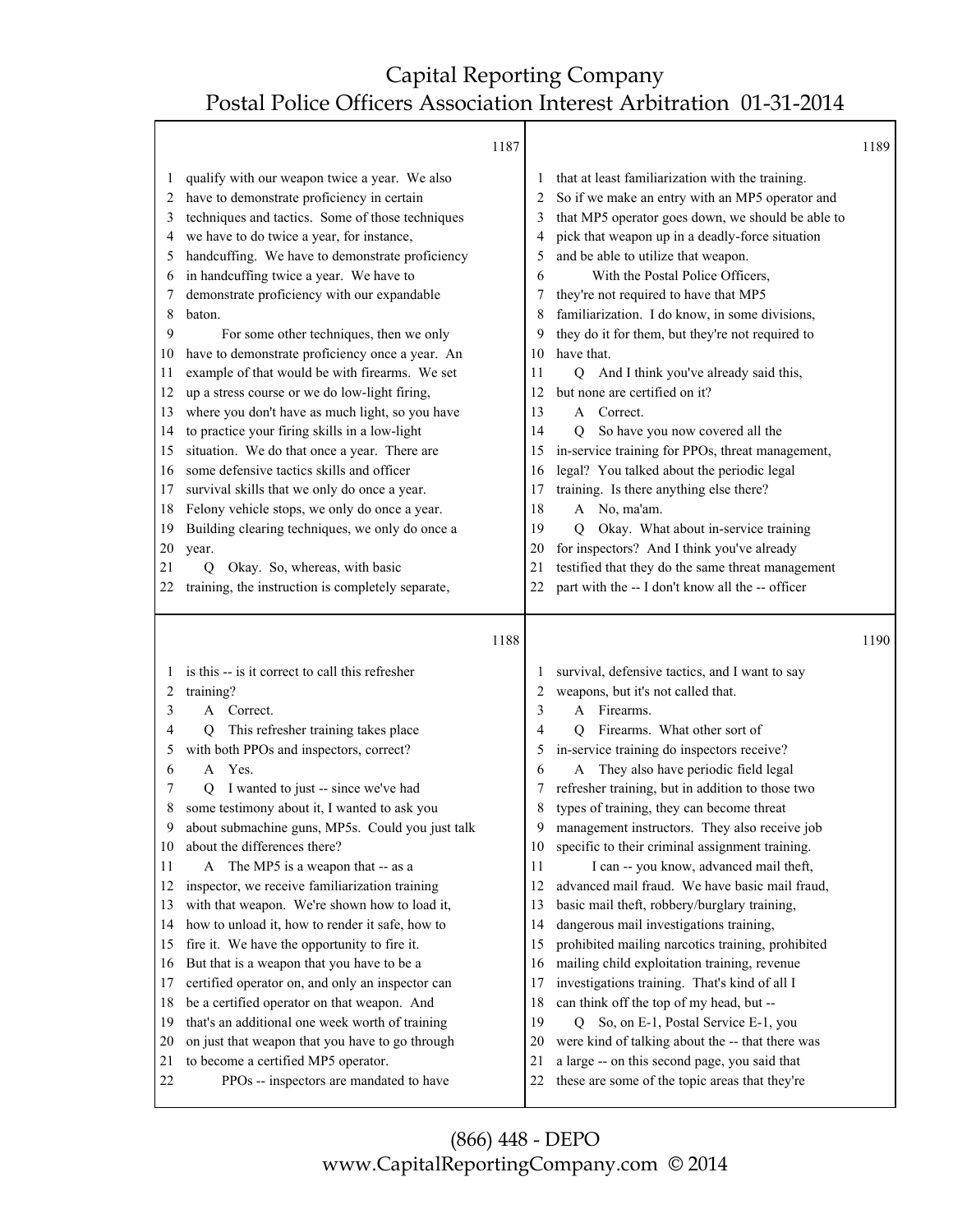Τ

|                                                                                                                   |                                                                                                                                                                                                                                                                                                                                                                                                                                                                                                                                                                                                                                                                                                                                                                                                                                                                                                                                                          | 1187 |                                                                                                              |                                                                                                                                                                                                                                                                                                                                                                                                                                                                                                                                                                                                                                                                                                                                                                                                                                                                                                    | 1189 |
|-------------------------------------------------------------------------------------------------------------------|----------------------------------------------------------------------------------------------------------------------------------------------------------------------------------------------------------------------------------------------------------------------------------------------------------------------------------------------------------------------------------------------------------------------------------------------------------------------------------------------------------------------------------------------------------------------------------------------------------------------------------------------------------------------------------------------------------------------------------------------------------------------------------------------------------------------------------------------------------------------------------------------------------------------------------------------------------|------|--------------------------------------------------------------------------------------------------------------|----------------------------------------------------------------------------------------------------------------------------------------------------------------------------------------------------------------------------------------------------------------------------------------------------------------------------------------------------------------------------------------------------------------------------------------------------------------------------------------------------------------------------------------------------------------------------------------------------------------------------------------------------------------------------------------------------------------------------------------------------------------------------------------------------------------------------------------------------------------------------------------------------|------|
| 1<br>2<br>3<br>4<br>5<br>6<br>7<br>8<br>9<br>10<br>11<br>12<br>13<br>14<br>15<br>16<br>17<br>18<br>19<br>20<br>21 | qualify with our weapon twice a year. We also<br>have to demonstrate proficiency in certain<br>techniques and tactics. Some of those techniques<br>we have to do twice a year, for instance,<br>handcuffing. We have to demonstrate proficiency<br>in handcuffing twice a year. We have to<br>demonstrate proficiency with our expandable<br>baton.<br>For some other techniques, then we only<br>have to demonstrate proficiency once a year. An<br>example of that would be with firearms. We set<br>up a stress course or we do low-light firing,<br>where you don't have as much light, so you have<br>to practice your firing skills in a low-light<br>situation. We do that once a year. There are<br>some defensive tactics skills and officer<br>survival skills that we only do once a year.<br>Felony vehicle stops, we only do once a year.<br>Building clearing techniques, we only do once a<br>year.<br>Okay. So, whereas, with basic<br>Q |      | 1<br>2<br>3<br>4<br>5<br>6<br>8<br>9<br>10<br>11<br>12<br>13<br>14<br>15<br>16<br>17<br>18<br>19<br>20<br>21 | that at least familiarization with the training.<br>So if we make an entry with an MP5 operator and<br>that MP5 operator goes down, we should be able to<br>pick that weapon up in a deadly-force situation<br>and be able to utilize that weapon.<br>With the Postal Police Officers,<br>they're not required to have that MP5<br>familiarization. I do know, in some divisions,<br>they do it for them, but they're not required to<br>have that.<br>Q And I think you've already said this,<br>but none are certified on it?<br>A Correct.<br>So have you now covered all the<br>Q<br>in-service training for PPOs, threat management,<br>legal? You talked about the periodic legal<br>training. Is there anything else there?<br>A No, ma'am.<br>Okay. What about in-service training<br>Q<br>for inspectors? And I think you've already<br>testified that they do the same threat management |      |
| 22                                                                                                                | training, the instruction is completely separate,                                                                                                                                                                                                                                                                                                                                                                                                                                                                                                                                                                                                                                                                                                                                                                                                                                                                                                        |      | 22                                                                                                           | part with the -- I don't know all the -- officer                                                                                                                                                                                                                                                                                                                                                                                                                                                                                                                                                                                                                                                                                                                                                                                                                                                   |      |
|                                                                                                                   |                                                                                                                                                                                                                                                                                                                                                                                                                                                                                                                                                                                                                                                                                                                                                                                                                                                                                                                                                          |      |                                                                                                              |                                                                                                                                                                                                                                                                                                                                                                                                                                                                                                                                                                                                                                                                                                                                                                                                                                                                                                    |      |
|                                                                                                                   |                                                                                                                                                                                                                                                                                                                                                                                                                                                                                                                                                                                                                                                                                                                                                                                                                                                                                                                                                          | 1188 |                                                                                                              |                                                                                                                                                                                                                                                                                                                                                                                                                                                                                                                                                                                                                                                                                                                                                                                                                                                                                                    | 1190 |
|                                                                                                                   | is this -- is it correct to call this refresher                                                                                                                                                                                                                                                                                                                                                                                                                                                                                                                                                                                                                                                                                                                                                                                                                                                                                                          |      | $\perp$                                                                                                      | survival, defensive tactics, and I want to say                                                                                                                                                                                                                                                                                                                                                                                                                                                                                                                                                                                                                                                                                                                                                                                                                                                     |      |
| 2                                                                                                                 | training?                                                                                                                                                                                                                                                                                                                                                                                                                                                                                                                                                                                                                                                                                                                                                                                                                                                                                                                                                |      | 2                                                                                                            | weapons, but it's not called that.                                                                                                                                                                                                                                                                                                                                                                                                                                                                                                                                                                                                                                                                                                                                                                                                                                                                 |      |
| 3                                                                                                                 | Correct.<br>A                                                                                                                                                                                                                                                                                                                                                                                                                                                                                                                                                                                                                                                                                                                                                                                                                                                                                                                                            |      | 3                                                                                                            | Firearms.<br>A                                                                                                                                                                                                                                                                                                                                                                                                                                                                                                                                                                                                                                                                                                                                                                                                                                                                                     |      |
| 4                                                                                                                 | This refresher training takes place<br>Q                                                                                                                                                                                                                                                                                                                                                                                                                                                                                                                                                                                                                                                                                                                                                                                                                                                                                                                 |      | 4                                                                                                            | Firearms. What other sort of<br>0                                                                                                                                                                                                                                                                                                                                                                                                                                                                                                                                                                                                                                                                                                                                                                                                                                                                  |      |
| 5                                                                                                                 | with both PPOs and inspectors, correct?                                                                                                                                                                                                                                                                                                                                                                                                                                                                                                                                                                                                                                                                                                                                                                                                                                                                                                                  |      | 5                                                                                                            | in-service training do inspectors receive?                                                                                                                                                                                                                                                                                                                                                                                                                                                                                                                                                                                                                                                                                                                                                                                                                                                         |      |
| 6<br>7                                                                                                            | A Yes.<br>I wanted to just -- since we've had<br>О                                                                                                                                                                                                                                                                                                                                                                                                                                                                                                                                                                                                                                                                                                                                                                                                                                                                                                       |      | 6<br>7                                                                                                       | They also have periodic field legal<br>A<br>refresher training, but in addition to those two                                                                                                                                                                                                                                                                                                                                                                                                                                                                                                                                                                                                                                                                                                                                                                                                       |      |
| 8                                                                                                                 | some testimony about it, I wanted to ask you                                                                                                                                                                                                                                                                                                                                                                                                                                                                                                                                                                                                                                                                                                                                                                                                                                                                                                             |      | 8                                                                                                            | types of training, they can become threat                                                                                                                                                                                                                                                                                                                                                                                                                                                                                                                                                                                                                                                                                                                                                                                                                                                          |      |
| 9                                                                                                                 | about submachine guns, MP5s. Could you just talk                                                                                                                                                                                                                                                                                                                                                                                                                                                                                                                                                                                                                                                                                                                                                                                                                                                                                                         |      | 9                                                                                                            | management instructors. They also receive job                                                                                                                                                                                                                                                                                                                                                                                                                                                                                                                                                                                                                                                                                                                                                                                                                                                      |      |
| 10                                                                                                                | about the differences there?                                                                                                                                                                                                                                                                                                                                                                                                                                                                                                                                                                                                                                                                                                                                                                                                                                                                                                                             |      | 10                                                                                                           | specific to their criminal assignment training.                                                                                                                                                                                                                                                                                                                                                                                                                                                                                                                                                                                                                                                                                                                                                                                                                                                    |      |
| 11                                                                                                                | A The MP5 is a weapon that -- as a                                                                                                                                                                                                                                                                                                                                                                                                                                                                                                                                                                                                                                                                                                                                                                                                                                                                                                                       |      | 11                                                                                                           | I can -- you know, advanced mail theft,                                                                                                                                                                                                                                                                                                                                                                                                                                                                                                                                                                                                                                                                                                                                                                                                                                                            |      |
|                                                                                                                   | inspector, we receive familiarization training                                                                                                                                                                                                                                                                                                                                                                                                                                                                                                                                                                                                                                                                                                                                                                                                                                                                                                           |      | 12                                                                                                           | advanced mail fraud. We have basic mail fraud,                                                                                                                                                                                                                                                                                                                                                                                                                                                                                                                                                                                                                                                                                                                                                                                                                                                     |      |
| 12<br>13                                                                                                          | with that weapon. We're shown how to load it,                                                                                                                                                                                                                                                                                                                                                                                                                                                                                                                                                                                                                                                                                                                                                                                                                                                                                                            |      | 13                                                                                                           | basic mail theft, robbery/burglary training,                                                                                                                                                                                                                                                                                                                                                                                                                                                                                                                                                                                                                                                                                                                                                                                                                                                       |      |
| 14                                                                                                                | how to unload it, how to render it safe, how to                                                                                                                                                                                                                                                                                                                                                                                                                                                                                                                                                                                                                                                                                                                                                                                                                                                                                                          |      | 14                                                                                                           | dangerous mail investigations training,                                                                                                                                                                                                                                                                                                                                                                                                                                                                                                                                                                                                                                                                                                                                                                                                                                                            |      |
| 15                                                                                                                | fire it. We have the opportunity to fire it.                                                                                                                                                                                                                                                                                                                                                                                                                                                                                                                                                                                                                                                                                                                                                                                                                                                                                                             |      | 15                                                                                                           | prohibited mailing narcotics training, prohibited                                                                                                                                                                                                                                                                                                                                                                                                                                                                                                                                                                                                                                                                                                                                                                                                                                                  |      |
| 16                                                                                                                | But that is a weapon that you have to be a                                                                                                                                                                                                                                                                                                                                                                                                                                                                                                                                                                                                                                                                                                                                                                                                                                                                                                               |      | 16                                                                                                           | mailing child exploitation training, revenue                                                                                                                                                                                                                                                                                                                                                                                                                                                                                                                                                                                                                                                                                                                                                                                                                                                       |      |
| 17                                                                                                                | certified operator on, and only an inspector can                                                                                                                                                                                                                                                                                                                                                                                                                                                                                                                                                                                                                                                                                                                                                                                                                                                                                                         |      | 17                                                                                                           | investigations training. That's kind of all I                                                                                                                                                                                                                                                                                                                                                                                                                                                                                                                                                                                                                                                                                                                                                                                                                                                      |      |
| 18                                                                                                                | be a certified operator on that weapon. And                                                                                                                                                                                                                                                                                                                                                                                                                                                                                                                                                                                                                                                                                                                                                                                                                                                                                                              |      | 18                                                                                                           | can think off the top of my head, but --                                                                                                                                                                                                                                                                                                                                                                                                                                                                                                                                                                                                                                                                                                                                                                                                                                                           |      |
| 19                                                                                                                | that's an additional one week worth of training                                                                                                                                                                                                                                                                                                                                                                                                                                                                                                                                                                                                                                                                                                                                                                                                                                                                                                          |      | 19                                                                                                           | So, on E-1, Postal Service E-1, you<br>Q                                                                                                                                                                                                                                                                                                                                                                                                                                                                                                                                                                                                                                                                                                                                                                                                                                                           |      |
| 20                                                                                                                | on just that weapon that you have to go through                                                                                                                                                                                                                                                                                                                                                                                                                                                                                                                                                                                                                                                                                                                                                                                                                                                                                                          |      | 20                                                                                                           | were kind of talking about the -- that there was                                                                                                                                                                                                                                                                                                                                                                                                                                                                                                                                                                                                                                                                                                                                                                                                                                                   |      |
| 21<br>22                                                                                                          | to become a certified MP5 operator.<br>PPOs -- inspectors are mandated to have                                                                                                                                                                                                                                                                                                                                                                                                                                                                                                                                                                                                                                                                                                                                                                                                                                                                           |      | 21<br>22                                                                                                     | a large -- on this second page, you said that<br>these are some of the topic areas that they're                                                                                                                                                                                                                                                                                                                                                                                                                                                                                                                                                                                                                                                                                                                                                                                                    |      |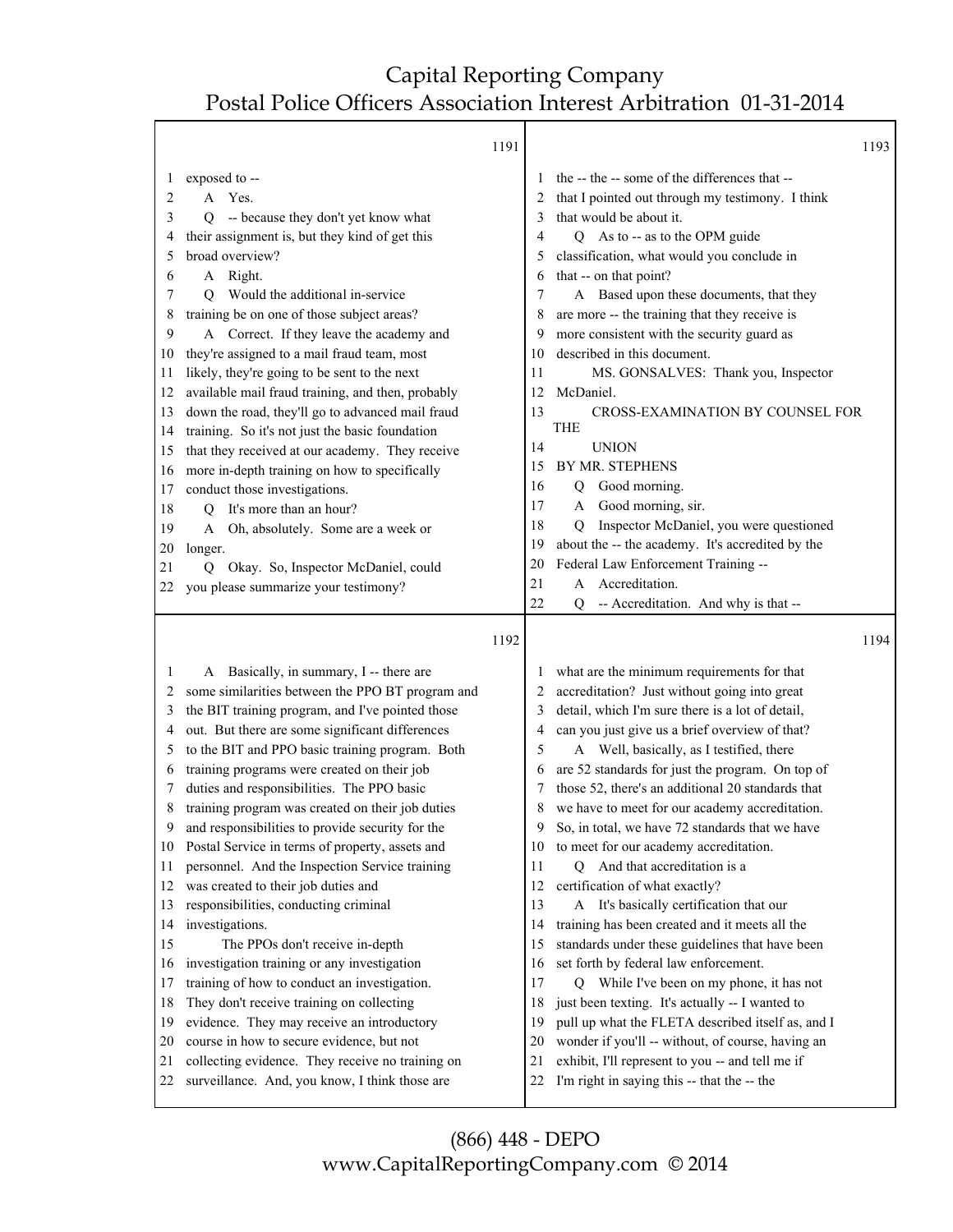Т

1

|    |                                                   | 1191 |    |                                                           | 1193 |
|----|---------------------------------------------------|------|----|-----------------------------------------------------------|------|
| 1  | exposed to --                                     |      |    | the -- the -- some of the differences that --             |      |
| 2  | Yes.<br>A                                         |      | 2  | that I pointed out through my testimony. I think          |      |
| 3  | -- because they don't yet know what<br>Q          |      | 3  | that would be about it.                                   |      |
| 4  | their assignment is, but they kind of get this    |      | 4  | As to -- as to the OPM guide<br>Q                         |      |
| 5  | broad overview?                                   |      | 5  | classification, what would you conclude in                |      |
| 6  | A Right.                                          |      | 6  | that -- on that point?                                    |      |
| 7  | Would the additional in-service<br>O              |      | 7  | A Based upon these documents, that they                   |      |
| 8  | training be on one of those subject areas?        |      | 8  | are more -- the training that they receive is             |      |
| 9  | A Correct. If they leave the academy and          |      | 9  | more consistent with the security guard as                |      |
| 10 | they're assigned to a mail fraud team, most       |      | 10 | described in this document.                               |      |
| 11 | likely, they're going to be sent to the next      |      | 11 | MS. GONSALVES: Thank you, Inspector                       |      |
| 12 | available mail fraud training, and then, probably |      | 12 | McDaniel.                                                 |      |
| 13 | down the road, they'll go to advanced mail fraud  |      | 13 | CROSS-EXAMINATION BY COUNSEL FOR                          |      |
| 14 | training. So it's not just the basic foundation   |      |    | <b>THE</b>                                                |      |
| 15 | that they received at our academy. They receive   |      | 14 | <b>UNION</b>                                              |      |
| 16 | more in-depth training on how to specifically     |      | 15 | BY MR. STEPHENS                                           |      |
| 17 | conduct those investigations.                     |      | 16 | Good morning.<br>Q                                        |      |
| 18 | It's more than an hour?<br>$\overline{Q}$         |      | 17 | Good morning, sir.<br>A                                   |      |
| 19 | Oh, absolutely. Some are a week or<br>A           |      | 18 | Inspector McDaniel, you were questioned<br>$\overline{Q}$ |      |
| 20 | longer.                                           |      | 19 | about the -- the academy. It's accredited by the          |      |
| 21 | Q Okay. So, Inspector McDaniel, could             |      | 20 | Federal Law Enforcement Training --                       |      |
| 22 | you please summarize your testimony?              |      | 21 | Accreditation.<br>A                                       |      |
|    |                                                   |      | 22 | -- Accreditation. And why is that --<br>O                 |      |
|    |                                                   |      |    |                                                           |      |
|    |                                                   |      |    |                                                           |      |
|    |                                                   | 1192 |    |                                                           | 1194 |
| 1  | A Basically, in summary, I -- there are           |      |    | what are the minimum requirements for that                |      |
| 2  | some similarities between the PPO BT program and  |      | 2  | accreditation? Just without going into great              |      |
| 3  | the BIT training program, and I've pointed those  |      | 3  | detail, which I'm sure there is a lot of detail,          |      |
| 4  | out. But there are some significant differences   |      | 4  | can you just give us a brief overview of that?            |      |
| 5  | to the BIT and PPO basic training program. Both   |      | 5  | A Well, basically, as I testified, there                  |      |
| 6  | training programs were created on their job       |      | 6  | are 52 standards for just the program. On top of          |      |
| 7  | duties and responsibilities. The PPO basic        |      | 7  | those 52, there's an additional 20 standards that         |      |
| 8  | training program was created on their job duties  |      | 8  | we have to meet for our academy accreditation.            |      |
| 9  | and responsibilities to provide security for the  |      | 9  | So, in total, we have 72 standards that we have           |      |
| 10 | Postal Service in terms of property, assets and   |      | 10 | to meet for our academy accreditation.                    |      |
| 11 | personnel. And the Inspection Service training    |      | 11 | And that accreditation is a<br>0                          |      |
| 12 | was created to their job duties and               |      | 12 | certification of what exactly?                            |      |
| 13 | responsibilities, conducting criminal             |      | 13 | A It's basically certification that our                   |      |
| 14 | investigations.                                   |      | 14 | training has been created and it meets all the            |      |
| 15 | The PPOs don't receive in-depth                   |      | 15 | standards under these guidelines that have been           |      |
| 16 | investigation training or any investigation       |      | 16 | set forth by federal law enforcement.                     |      |
| 17 | training of how to conduct an investigation.      |      | 17 | Q While I've been on my phone, it has not                 |      |
| 18 | They don't receive training on collecting         |      | 18 | just been texting. It's actually -- I wanted to           |      |
| 19 | evidence. They may receive an introductory        |      | 19 | pull up what the FLETA described itself as, and I         |      |
| 20 | course in how to secure evidence, but not         |      | 20 | wonder if you'll -- without, of course, having an         |      |
| 21 | collecting evidence. They receive no training on  |      | 21 | exhibit, I'll represent to you -- and tell me if          |      |
| 22 | surveillance. And, you know, I think those are    |      | 22 | I'm right in saying this -- that the -- the               |      |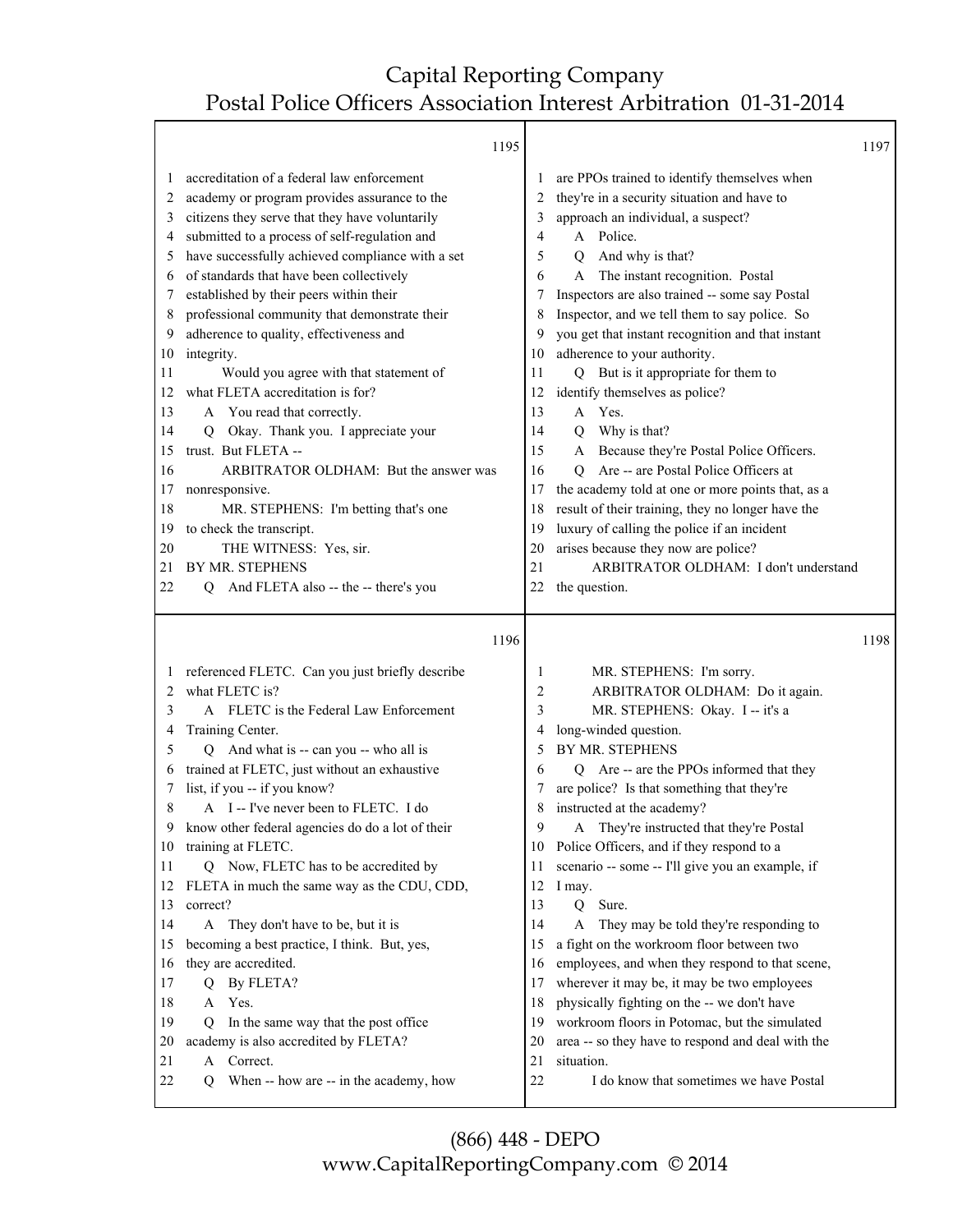Г

|    | 1195                                             |                |                                                         | 1197 |
|----|--------------------------------------------------|----------------|---------------------------------------------------------|------|
|    | accreditation of a federal law enforcement       |                | are PPOs trained to identify themselves when            |      |
| 2  | academy or program provides assurance to the     | $\mathfrak{D}$ | they're in a security situation and have to             |      |
| 3  | citizens they serve that they have voluntarily   | 3              | approach an individual, a suspect?                      |      |
| 4  | submitted to a process of self-regulation and    | 4              | A Police.                                               |      |
|    | have successfully achieved compliance with a set | 5              | And why is that?<br>$\overline{O}$                      |      |
| 6  | of standards that have been collectively         | 6              | The instant recognition. Postal<br>A                    |      |
|    | established by their peers within their          | 7              | Inspectors are also trained -- some say Postal          |      |
| 8  | professional community that demonstrate their    | 8              | Inspector, and we tell them to say police. So           |      |
| 9  | adherence to quality, effectiveness and          | 9              | you get that instant recognition and that instant       |      |
| 10 | integrity.                                       | 10             | adherence to your authority.                            |      |
| 11 | Would you agree with that statement of           | 11             | Q But is it appropriate for them to                     |      |
| 12 | what FLETA accreditation is for?                 | 12             | identify themselves as police?                          |      |
| 13 | A You read that correctly.                       | 13             | A Yes.                                                  |      |
| 14 | Okay. Thank you. I appreciate your<br>O          | 14             | Why is that?<br>$\Omega$                                |      |
| 15 | trust. But FLETA --                              | 15             | Because they're Postal Police Officers.<br>$\mathsf{A}$ |      |
| 16 | ARBITRATOR OLDHAM: But the answer was            | 16             | Are -- are Postal Police Officers at<br>$\Omega$        |      |
| 17 | nonresponsive.                                   | 17             | the academy told at one or more points that, as a       |      |
| 18 | MR. STEPHENS: I'm betting that's one             | 18             | result of their training, they no longer have the       |      |
| 19 | to check the transcript.                         | 19             | luxury of calling the police if an incident             |      |
| 20 | THE WITNESS: Yes, sir.                           | 20             | arises because they now are police?                     |      |
| 21 | <b>BY MR. STEPHENS</b>                           | 21             | ARBITRATOR OLDHAM: I don't understand                   |      |
| 22 | And FLETA also -- the -- there's you<br>O        | 22             | the question.                                           |      |
|    |                                                  |                |                                                         |      |
|    | 1196                                             |                |                                                         | 1198 |
|    | referenced FLETC. Can you just briefly describe  | 1              | MR. STEPHENS: I'm sorry.                                |      |
| 2  | what FLETC is?                                   | $\overline{2}$ | ARBITRATOR OLDHAM: Do it again.                         |      |
|    | A ELETC is the Eederal Law Enforcement           |                | MD STEDHENS: Okay I it's a                              |      |

| 3  | A FLETC is the Federal Law Enforcement           | 3  | MR. STEPHENS: Okay. I -- it's a                          |
|----|--------------------------------------------------|----|----------------------------------------------------------|
| 4  | Training Center.                                 | 4  | long-winded question.                                    |
| 5  | And what is -- can you -- who all is<br>O        | 5  | BY MR. STEPHENS                                          |
| 6  | trained at FLETC, just without an exhaustive     | 6  | Are -- are the PPOs informed that they<br>$\overline{O}$ |
|    | list, if you -- if you know?                     |    | are police? Is that something that they're               |
| 8  | A I--I've never been to FLETC. I do              | 8  | instructed at the academy?                               |
| 9  | know other federal agencies do do a lot of their | 9  | A They're instructed that they're Postal                 |
| 10 | training at FLETC.                               | 10 | Police Officers, and if they respond to a                |
| 11 | Q Now, FLETC has to be accredited by             | 11 | scenario -- some -- I'll give you an example, if         |
| 12 | FLETA in much the same way as the CDU, CDD,      | 12 | I may.                                                   |
| 13 | correct?                                         | 13 | Sure.<br>$\Omega$                                        |
| 14 | A They don't have to be, but it is               | 14 | They may be told they're responding to<br>A              |
| 15 | becoming a best practice, I think. But, yes,     | 15 | a fight on the workroom floor between two                |
| 16 | they are accredited.                             | 16 | employees, and when they respond to that scene,          |
| 17 | By FLETA?<br>O                                   | 17 | wherever it may be, it may be two employees              |
| 18 | A Yes.                                           | 18 | physically fighting on the -- we don't have              |
| 19 | In the same way that the post office<br>0        | 19 | workroom floors in Potomac, but the simulated            |
| 20 | academy is also accredited by FLETA?             | 20 | area -- so they have to respond and deal with the        |
| 21 | Correct.<br>$\mathsf{A}$                         | 21 | situation.                                               |
| 22 | When -- how are -- in the academy, how<br>O      | 22 | I do know that sometimes we have Postal                  |
|    |                                                  |    |                                                          |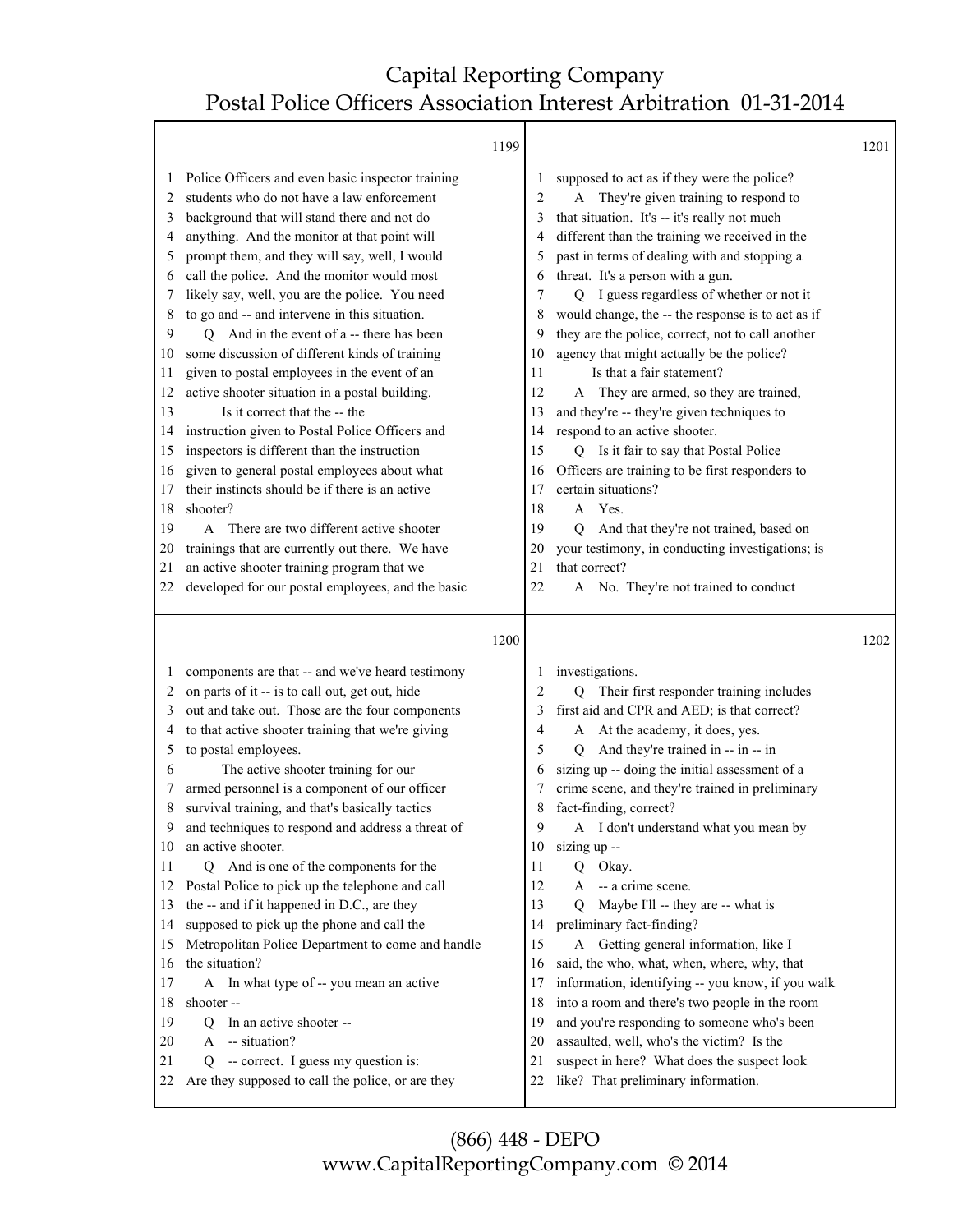Τ

|          | 1199                                                                                          |          |                                                                                    | 1201 |
|----------|-----------------------------------------------------------------------------------------------|----------|------------------------------------------------------------------------------------|------|
| $\perp$  | Police Officers and even basic inspector training                                             |          | supposed to act as if they were the police?                                        |      |
| 2        | students who do not have a law enforcement                                                    | 2        | They're given training to respond to<br>A                                          |      |
| 3        | background that will stand there and not do                                                   | 3        | that situation. It's -- it's really not much                                       |      |
| 4        | anything. And the monitor at that point will                                                  |          | different than the training we received in the                                     |      |
| 5        | prompt them, and they will say, well, I would                                                 | 5        | past in terms of dealing with and stopping a                                       |      |
| 6        | call the police. And the monitor would most                                                   | 6        | threat. It's a person with a gun.                                                  |      |
| 7        | likely say, well, you are the police. You need                                                | 7        | I guess regardless of whether or not it<br>Q                                       |      |
| 8        | to go and -- and intervene in this situation.                                                 | 8        | would change, the -- the response is to act as if                                  |      |
| 9        | Q And in the event of a -- there has been                                                     | 9        | they are the police, correct, not to call another                                  |      |
| 10       | some discussion of different kinds of training                                                | 10       | agency that might actually be the police?                                          |      |
| 11       | given to postal employees in the event of an                                                  | 11       | Is that a fair statement?                                                          |      |
| 12       | active shooter situation in a postal building.                                                | 12       | They are armed, so they are trained,<br>A                                          |      |
| 13       | Is it correct that the -- the                                                                 | 13       | and they're -- they're given techniques to                                         |      |
| 14       | instruction given to Postal Police Officers and                                               | 14       | respond to an active shooter.                                                      |      |
| 15       | inspectors is different than the instruction                                                  | 15       | Q Is it fair to say that Postal Police                                             |      |
| 16       | given to general postal employees about what                                                  | 16       | Officers are training to be first responders to                                    |      |
| 17       | their instincts should be if there is an active                                               | 17       | certain situations?                                                                |      |
| 18       | shooter?                                                                                      | 18       | A Yes.                                                                             |      |
| 19       | A There are two different active shooter                                                      | 19       | And that they're not trained, based on<br>$\overline{Q}$                           |      |
| 20       | trainings that are currently out there. We have                                               | 20       | your testimony, in conducting investigations; is                                   |      |
| 21       | an active shooter training program that we                                                    | 21       | that correct?                                                                      |      |
| 22       | developed for our postal employees, and the basic                                             | 22       | A No. They're not trained to conduct                                               |      |
|          |                                                                                               |          |                                                                                    |      |
|          |                                                                                               |          |                                                                                    |      |
|          | 1200                                                                                          |          |                                                                                    | 1202 |
|          |                                                                                               |          |                                                                                    |      |
| 1        | components are that -- and we've heard testimony                                              | 1        | investigations.                                                                    |      |
| 2        | on parts of it -- is to call out, get out, hide                                               | 2        | Q Their first responder training includes                                          |      |
| 3        | out and take out. Those are the four components                                               | 3        | first aid and CPR and AED; is that correct?                                        |      |
| 4        | to that active shooter training that we're giving                                             | 4        | At the academy, it does, yes.<br>A                                                 |      |
| 5        | to postal employees.                                                                          | 5        | And they're trained in -- in -- in<br>O                                            |      |
| 6        | The active shooter training for our                                                           | 6        | sizing up -- doing the initial assessment of a                                     |      |
| 7        | armed personnel is a component of our officer                                                 | 7        | crime scene, and they're trained in preliminary                                    |      |
| 8        | survival training, and that's basically tactics                                               | 8        | fact-finding, correct?                                                             |      |
| 9        | and techniques to respond and address a threat of                                             | 9        | A I don't understand what you mean by                                              |      |
| 10       | an active shooter.                                                                            |          | 10 sizing up --                                                                    |      |
| 11       | Q And is one of the components for the                                                        | 11       | Q Okay.                                                                            |      |
| 12       | Postal Police to pick up the telephone and call                                               | 12       | -- a crime scene.<br>A                                                             |      |
| 13       | the -- and if it happened in D.C., are they                                                   | 13       | Maybe I'll -- they are -- what is<br>$\overline{Q}$                                |      |
| 14       | supposed to pick up the phone and call the                                                    | 14       | preliminary fact-finding?                                                          |      |
| 15       | Metropolitan Police Department to come and handle                                             | 15       | A Getting general information, like I                                              |      |
| 16       | the situation?                                                                                | 16       | said, the who, what, when, where, why, that                                        |      |
| 17       | A In what type of -- you mean an active                                                       | 17       | information, identifying -- you know, if you walk                                  |      |
| 18       | shooter-                                                                                      | 18       | into a room and there's two people in the room                                     |      |
| 19       | In an active shooter --<br>Q                                                                  | 19       | and you're responding to someone who's been                                        |      |
| 20       | -- situation?<br>A                                                                            | 20       | assaulted, well, who's the victim? Is the                                          |      |
| 21<br>22 | -- correct. I guess my question is:<br>Q<br>Are they supposed to call the police, or are they | 21<br>22 | suspect in here? What does the suspect look<br>like? That preliminary information. |      |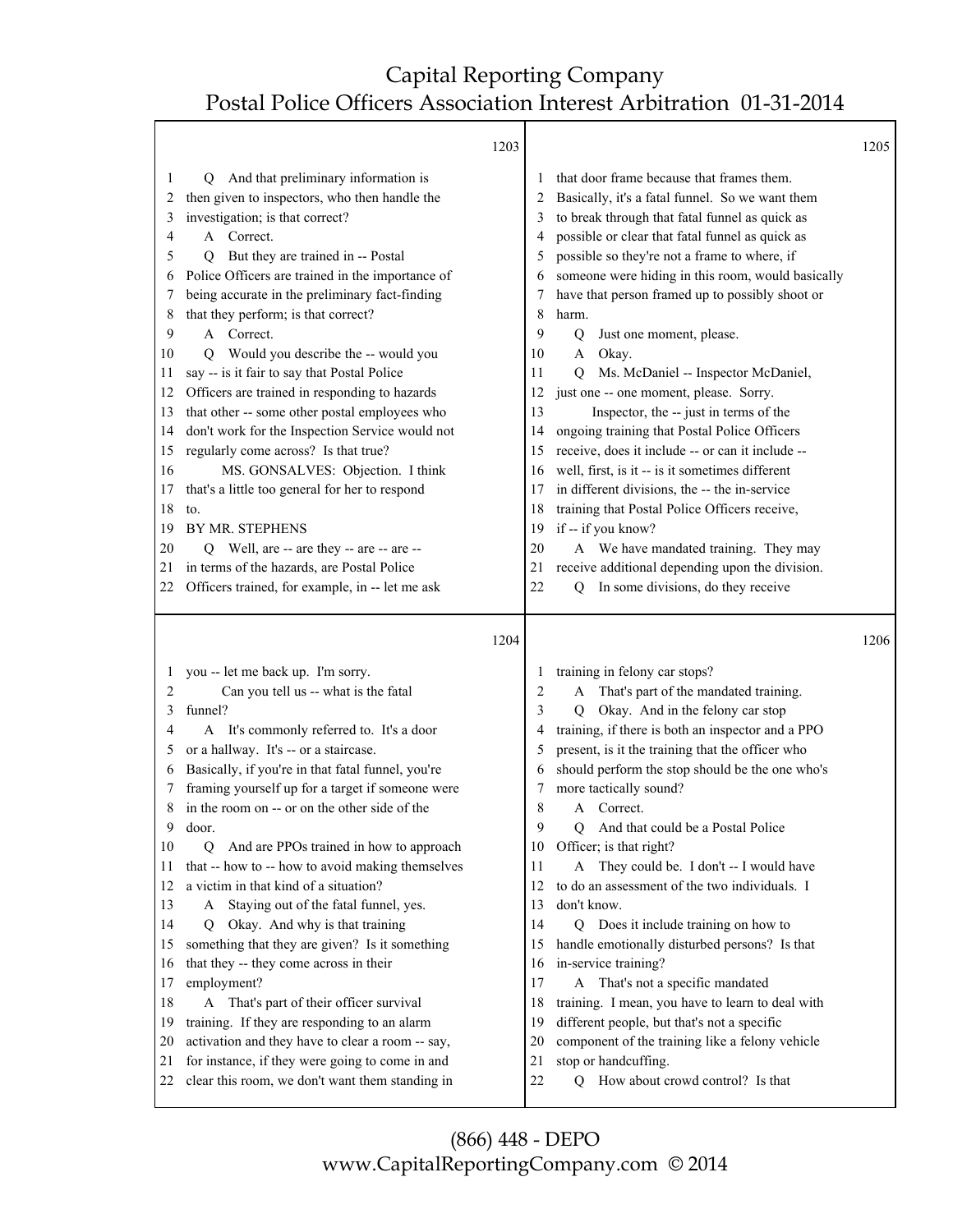Τ

|              | 1203                                                                                               |                |                                                                                       | 1205 |
|--------------|----------------------------------------------------------------------------------------------------|----------------|---------------------------------------------------------------------------------------|------|
| 1            | And that preliminary information is<br>O.                                                          |                | that door frame because that frames them.                                             |      |
| 2            | then given to inspectors, who then handle the                                                      | $\overline{c}$ | Basically, it's a fatal funnel. So we want them                                       |      |
| 3            | investigation; is that correct?                                                                    | 3              | to break through that fatal funnel as quick as                                        |      |
| 4            | A Correct.                                                                                         | 4              | possible or clear that fatal funnel as quick as                                       |      |
| 5            | But they are trained in -- Postal<br>O.                                                            | 5              | possible so they're not a frame to where, if                                          |      |
| 6            | Police Officers are trained in the importance of                                                   | 6              | someone were hiding in this room, would basically                                     |      |
| 7            | being accurate in the preliminary fact-finding                                                     | 7              | have that person framed up to possibly shoot or                                       |      |
| 8            | that they perform; is that correct?                                                                | 8              | harm.                                                                                 |      |
| 9            | A Correct.                                                                                         | 9              | Just one moment, please.<br>Q                                                         |      |
| 10           | Would you describe the -- would you<br>O                                                           | 10             | A Okay.                                                                               |      |
| 11           | say -- is it fair to say that Postal Police                                                        | 11             | Ms. McDaniel -- Inspector McDaniel,<br>O.                                             |      |
| 12           | Officers are trained in responding to hazards                                                      | 12             | just one -- one moment, please. Sorry.                                                |      |
| 13           | that other -- some other postal employees who                                                      | 13             | Inspector, the -- just in terms of the                                                |      |
| 14           | don't work for the Inspection Service would not                                                    | 14             | ongoing training that Postal Police Officers                                          |      |
| 15           | regularly come across? Is that true?                                                               | 15             | receive, does it include -- or can it include --                                      |      |
| 16           | MS. GONSALVES: Objection. I think                                                                  | 16             | well, first, is it -- is it sometimes different                                       |      |
| 17           | that's a little too general for her to respond                                                     | 17             | in different divisions, the -- the in-service                                         |      |
| 18           | to.                                                                                                | 18             | training that Postal Police Officers receive,                                         |      |
| 19           | BY MR. STEPHENS                                                                                    | 19             | if -- if you know?                                                                    |      |
| 20           | Q Well, are -- are they -- are -- are --                                                           | 20             | A We have mandated training. They may                                                 |      |
| 21           | in terms of the hazards, are Postal Police                                                         | 21             | receive additional depending upon the division.                                       |      |
| 22           | Officers trained, for example, in -- let me ask                                                    | 22             | In some divisions, do they receive<br>О                                               |      |
|              |                                                                                                    |                |                                                                                       |      |
|              |                                                                                                    |                |                                                                                       |      |
|              |                                                                                                    |                |                                                                                       |      |
|              | 1204                                                                                               |                |                                                                                       | 1206 |
| $\mathbf{I}$ | you -- let me back up. I'm sorry.                                                                  | $\perp$        | training in felony car stops?                                                         |      |
| 2            | Can you tell us -- what is the fatal                                                               | $\overline{c}$ | That's part of the mandated training.<br>A                                            |      |
| 3            | funnel?                                                                                            | 3              | Okay. And in the felony car stop<br>$\overline{O}$                                    |      |
| 4            | A It's commonly referred to. It's a door                                                           | 4              | training, if there is both an inspector and a PPO                                     |      |
| 5            | or a hallway. It's -- or a staircase.                                                              | 5              | present, is it the training that the officer who                                      |      |
| 6            | Basically, if you're in that fatal funnel, you're                                                  | 6              | should perform the stop should be the one who's                                       |      |
| 7            | framing yourself up for a target if someone were                                                   | 7              | more tactically sound?                                                                |      |
| 8            | in the room on -- or on the other side of the                                                      | 8              | Correct.<br>$\mathsf{A}$                                                              |      |
| 9            | door.                                                                                              | 9              | And that could be a Postal Police<br>$\overline{Q}$                                   |      |
| 10           | And are PPOs trained in how to approach<br>Q                                                       |                | 10 Officer; is that right?                                                            |      |
| 11           | that -- how to -- how to avoid making themselves                                                   | 11             | A They could be. I don't -- I would have                                              |      |
| 12           | a victim in that kind of a situation?                                                              | 12             |                                                                                       |      |
| 13           | Staying out of the fatal funnel, yes.<br>A                                                         | 13             | to do an assessment of the two individuals. I<br>don't know.                          |      |
| 14           | O.                                                                                                 | 14             |                                                                                       |      |
| 15           | Okay. And why is that training                                                                     | 15             | Q Does it include training on how to<br>handle emotionally disturbed persons? Is that |      |
| 16           | something that they are given? Is it something<br>that they -- they come across in their           | 16             |                                                                                       |      |
| 17           |                                                                                                    | 17             | in-service training?                                                                  |      |
| 18           | employment?                                                                                        | 18             | A That's not a specific mandated                                                      |      |
| 19           | A That's part of their officer survival                                                            | 19             | training. I mean, you have to learn to deal with                                      |      |
|              | training. If they are responding to an alarm                                                       |                | different people, but that's not a specific                                           |      |
| 20<br>21     | activation and they have to clear a room -- say,                                                   | 20             | component of the training like a felony vehicle                                       |      |
| 22           | for instance, if they were going to come in and<br>clear this room, we don't want them standing in | 21<br>22       | stop or handcuffing.<br>How about crowd control? Is that<br>O                         |      |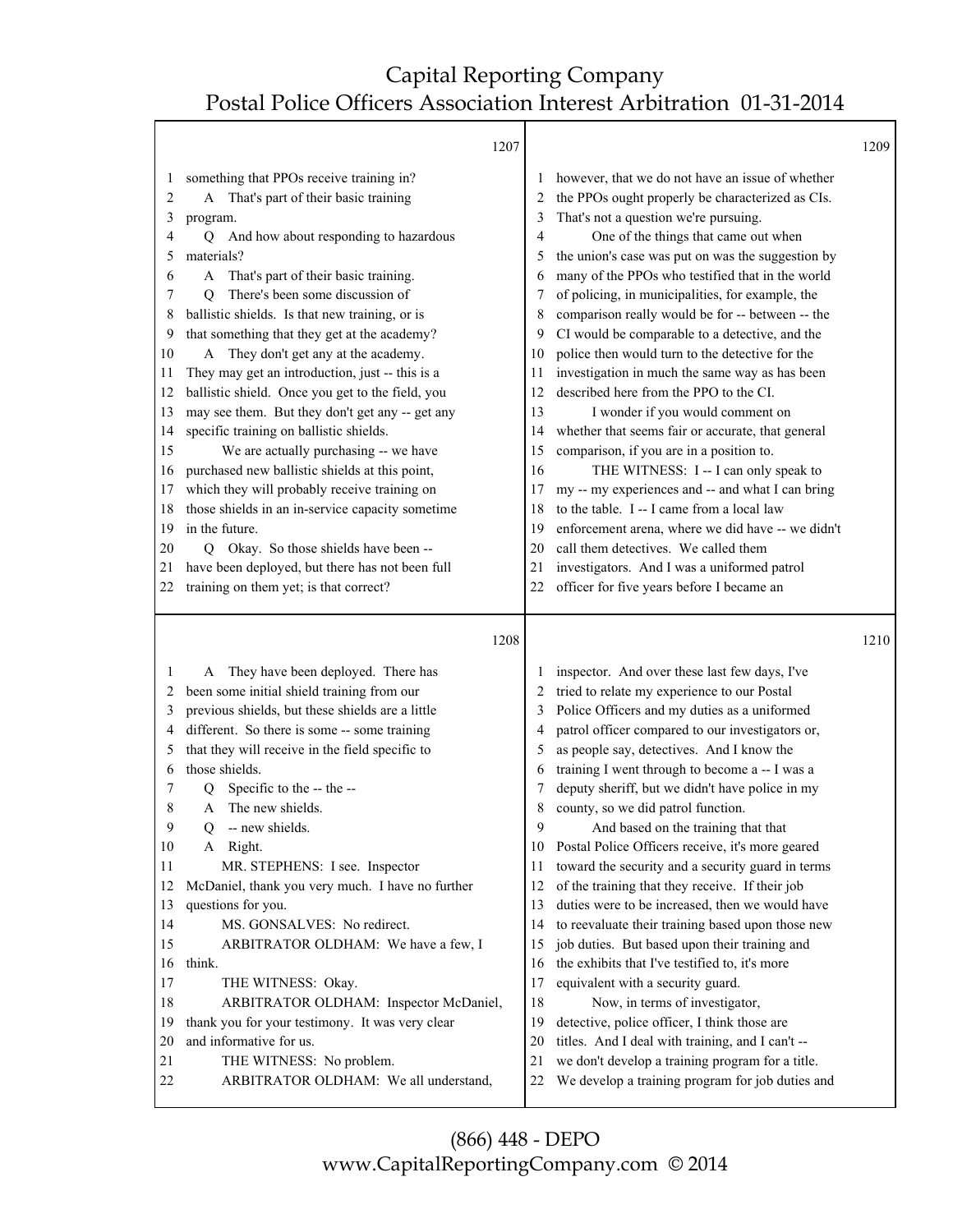Т

|          | 1207                                              |          |                                                                                                    | 1209 |
|----------|---------------------------------------------------|----------|----------------------------------------------------------------------------------------------------|------|
| 1        | something that PPOs receive training in?          |          | however, that we do not have an issue of whether                                                   |      |
| 2        | A That's part of their basic training             |          | the PPOs ought properly be characterized as CIs.                                                   |      |
| 3        | program.                                          | 3        | That's not a question we're pursuing.                                                              |      |
| 4        | And how about responding to hazardous<br>О        | 4        | One of the things that came out when                                                               |      |
| 5        | materials?                                        | 5        | the union's case was put on was the suggestion by                                                  |      |
| 6        | That's part of their basic training.<br>A         | 6        | many of the PPOs who testified that in the world                                                   |      |
| 7        | There's been some discussion of<br>Q              | 7        | of policing, in municipalities, for example, the                                                   |      |
| 8        | ballistic shields. Is that new training, or is    | 8        | comparison really would be for -- between -- the                                                   |      |
| 9        | that something that they get at the academy?      | 9        | CI would be comparable to a detective, and the                                                     |      |
| 10       | A They don't get any at the academy.              | 10       | police then would turn to the detective for the                                                    |      |
| 11       | They may get an introduction, just -- this is a   | 11       | investigation in much the same way as has been                                                     |      |
| 12       | ballistic shield. Once you get to the field, you  | 12       | described here from the PPO to the CI.                                                             |      |
| 13       | may see them. But they don't get any -- get any   | 13       | I wonder if you would comment on                                                                   |      |
| 14       | specific training on ballistic shields.           | 14       | whether that seems fair or accurate, that general                                                  |      |
| 15       | We are actually purchasing -- we have             | 15       | comparison, if you are in a position to.                                                           |      |
| 16       | purchased new ballistic shields at this point,    | 16       | THE WITNESS: I -- I can only speak to                                                              |      |
| 17       | which they will probably receive training on      | 17       | my -- my experiences and -- and what I can bring                                                   |      |
| 18       | those shields in an in-service capacity sometime  | 18       | to the table. I -- I came from a local law                                                         |      |
| 19       | in the future.                                    | 19       | enforcement arena, where we did have -- we didn't                                                  |      |
| 20       | Okay. So those shields have been --<br>O.         | 20       | call them detectives. We called them                                                               |      |
| 21       | have been deployed, but there has not been full   | 21       | investigators. And I was a uniformed patrol                                                        |      |
| 22       | training on them yet; is that correct?            | 22       | officer for five years before I became an                                                          |      |
|          | 1208                                              |          |                                                                                                    | 1210 |
| 1        | A They have been deployed. There has              |          | inspector. And over these last few days, I've                                                      |      |
| 2        | been some initial shield training from our        | 2        | tried to relate my experience to our Postal                                                        |      |
| 3        | previous shields, but these shields are a little  | 3        | Police Officers and my duties as a uniformed                                                       |      |
| 4        | different. So there is some -- some training      |          |                                                                                                    |      |
|          |                                                   |          |                                                                                                    |      |
|          |                                                   | 4        | patrol officer compared to our investigators or,                                                   |      |
| 5        | that they will receive in the field specific to   | 5        | as people say, detectives. And I know the                                                          |      |
| 6        | those shields.                                    | 6        | training I went through to become a -- I was a                                                     |      |
| 7        | Specific to the -- the --<br>Q<br>A               | 7        | deputy sheriff, but we didn't have police in my                                                    |      |
| 8<br>9   | The new shields.                                  | 8<br>9   | county, so we did patrol function.                                                                 |      |
|          | -- new shields.<br>Q                              |          | And based on the training that that                                                                |      |
| 10<br>11 | A Right.                                          | 10<br>11 | Postal Police Officers receive, it's more geared                                                   |      |
| 12       | MR. STEPHENS: I see. Inspector                    | 12       | toward the security and a security guard in terms                                                  |      |
| 13       | McDaniel, thank you very much. I have no further  | 13       | of the training that they receive. If their job<br>duties were to be increased, then we would have |      |
| 14       | questions for you.<br>MS. GONSALVES: No redirect. | 14       | to reevaluate their training based upon those new                                                  |      |
| 15       | ARBITRATOR OLDHAM: We have a few, I               | 15       | job duties. But based upon their training and                                                      |      |
| 16       | think.                                            | 16       | the exhibits that I've testified to, it's more                                                     |      |
| 17       | THE WITNESS: Okay.                                | 17       | equivalent with a security guard.                                                                  |      |
| 18       | ARBITRATOR OLDHAM: Inspector McDaniel,            | 18       | Now, in terms of investigator,                                                                     |      |
| 19       | thank you for your testimony. It was very clear   | 19       | detective, police officer, I think those are                                                       |      |
| 20       | and informative for us.                           | 20       | titles. And I deal with training, and I can't --                                                   |      |
| 21       | THE WITNESS: No problem.                          | 21       | we don't develop a training program for a title.                                                   |      |
| 22       | ARBITRATOR OLDHAM: We all understand,             | 22       | We develop a training program for job duties and                                                   |      |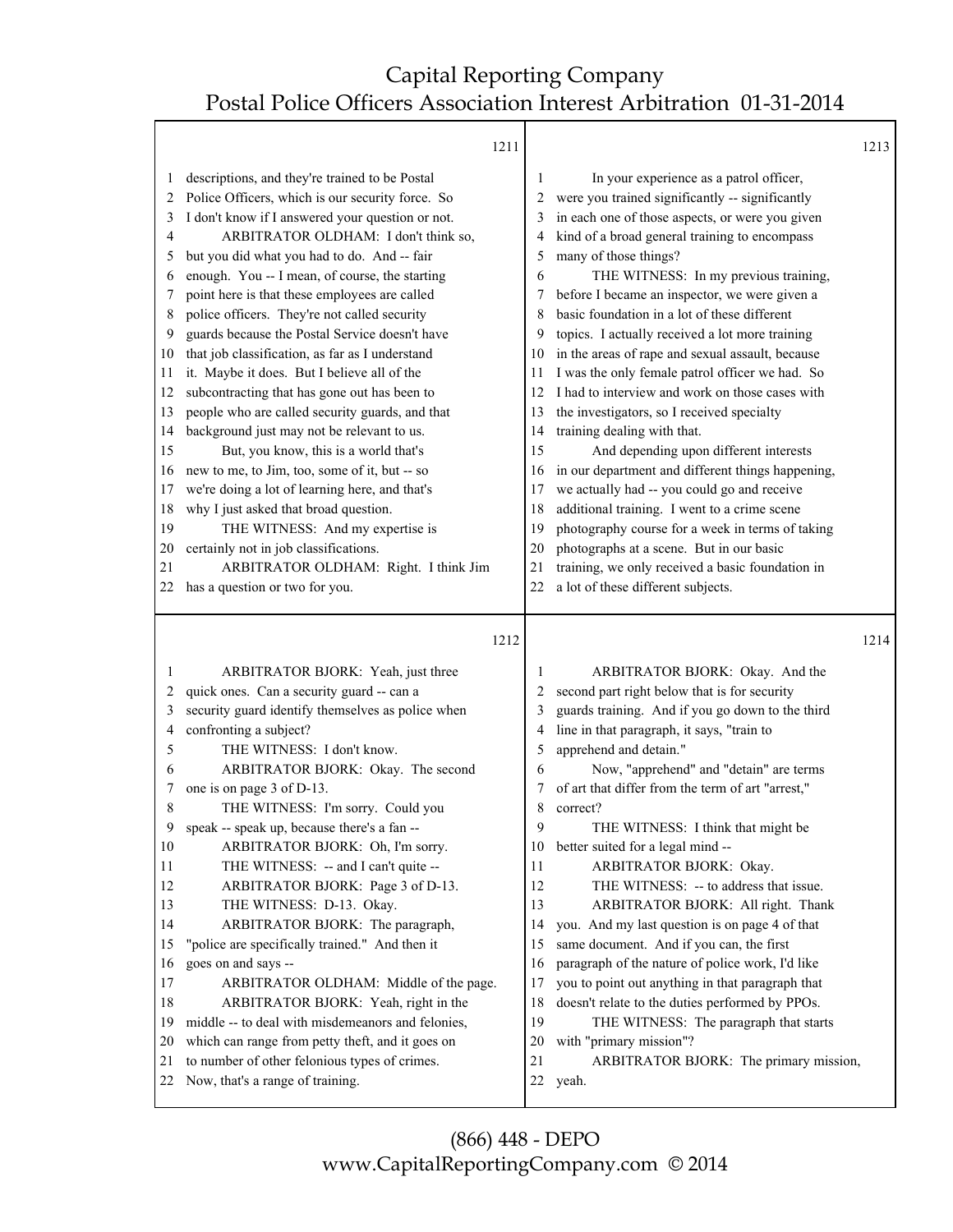Т

|                                                                                                                         | 1211                                                                                                                                                                                                                                                                                                                                                                                                                                                                                                                                                                                                                                                                                                                                                                                                                                                                                                                                                                                                                                               |                                                                                                                         |                                                                                                                                                                                                                                                                                                                                                                                                                                                                                                                                                                                                                                                                                                                                                                                                                                                                                                                                                                                                                                                     | 1213 |
|-------------------------------------------------------------------------------------------------------------------------|----------------------------------------------------------------------------------------------------------------------------------------------------------------------------------------------------------------------------------------------------------------------------------------------------------------------------------------------------------------------------------------------------------------------------------------------------------------------------------------------------------------------------------------------------------------------------------------------------------------------------------------------------------------------------------------------------------------------------------------------------------------------------------------------------------------------------------------------------------------------------------------------------------------------------------------------------------------------------------------------------------------------------------------------------|-------------------------------------------------------------------------------------------------------------------------|-----------------------------------------------------------------------------------------------------------------------------------------------------------------------------------------------------------------------------------------------------------------------------------------------------------------------------------------------------------------------------------------------------------------------------------------------------------------------------------------------------------------------------------------------------------------------------------------------------------------------------------------------------------------------------------------------------------------------------------------------------------------------------------------------------------------------------------------------------------------------------------------------------------------------------------------------------------------------------------------------------------------------------------------------------|------|
| 1<br>2<br>3<br>4<br>5<br>6<br>7<br>8<br>9<br>10<br>11<br>12<br>13<br>14<br>15<br>16<br>17<br>18<br>19<br>20<br>21<br>22 | descriptions, and they're trained to be Postal<br>Police Officers, which is our security force. So<br>I don't know if I answered your question or not.<br>ARBITRATOR OLDHAM: I don't think so,<br>but you did what you had to do. And -- fair<br>enough. You -- I mean, of course, the starting<br>point here is that these employees are called<br>police officers. They're not called security<br>guards because the Postal Service doesn't have<br>that job classification, as far as I understand<br>it. Maybe it does. But I believe all of the<br>subcontracting that has gone out has been to<br>people who are called security guards, and that<br>background just may not be relevant to us.<br>But, you know, this is a world that's<br>new to me, to Jim, too, some of it, but -- so<br>we're doing a lot of learning here, and that's<br>why I just asked that broad question.<br>THE WITNESS: And my expertise is<br>certainly not in job classifications.<br>ARBITRATOR OLDHAM: Right. I think Jim<br>has a question or two for you. | 1<br>2<br>3<br>4<br>5<br>6<br>7<br>8<br>9<br>10<br>11<br>12<br>13<br>14<br>15<br>16<br>17<br>18<br>19<br>20<br>21<br>22 | In your experience as a patrol officer,<br>were you trained significantly -- significantly<br>in each one of those aspects, or were you given<br>kind of a broad general training to encompass<br>many of those things?<br>THE WITNESS: In my previous training,<br>before I became an inspector, we were given a<br>basic foundation in a lot of these different<br>topics. I actually received a lot more training<br>in the areas of rape and sexual assault, because<br>I was the only female patrol officer we had. So<br>I had to interview and work on those cases with<br>the investigators, so I received specialty<br>training dealing with that.<br>And depending upon different interests<br>in our department and different things happening,<br>we actually had -- you could go and receive<br>additional training. I went to a crime scene<br>photography course for a week in terms of taking<br>photographs at a scene. But in our basic<br>training, we only received a basic foundation in<br>a lot of these different subjects. |      |
|                                                                                                                         |                                                                                                                                                                                                                                                                                                                                                                                                                                                                                                                                                                                                                                                                                                                                                                                                                                                                                                                                                                                                                                                    |                                                                                                                         |                                                                                                                                                                                                                                                                                                                                                                                                                                                                                                                                                                                                                                                                                                                                                                                                                                                                                                                                                                                                                                                     |      |
|                                                                                                                         |                                                                                                                                                                                                                                                                                                                                                                                                                                                                                                                                                                                                                                                                                                                                                                                                                                                                                                                                                                                                                                                    |                                                                                                                         |                                                                                                                                                                                                                                                                                                                                                                                                                                                                                                                                                                                                                                                                                                                                                                                                                                                                                                                                                                                                                                                     |      |
|                                                                                                                         | 1212                                                                                                                                                                                                                                                                                                                                                                                                                                                                                                                                                                                                                                                                                                                                                                                                                                                                                                                                                                                                                                               |                                                                                                                         |                                                                                                                                                                                                                                                                                                                                                                                                                                                                                                                                                                                                                                                                                                                                                                                                                                                                                                                                                                                                                                                     | 1214 |
| 1                                                                                                                       | ARBITRATOR BJORK: Yeah, just three                                                                                                                                                                                                                                                                                                                                                                                                                                                                                                                                                                                                                                                                                                                                                                                                                                                                                                                                                                                                                 | 1                                                                                                                       | ARBITRATOR BJORK: Okay. And the                                                                                                                                                                                                                                                                                                                                                                                                                                                                                                                                                                                                                                                                                                                                                                                                                                                                                                                                                                                                                     |      |
| 2                                                                                                                       | quick ones. Can a security guard -- can a                                                                                                                                                                                                                                                                                                                                                                                                                                                                                                                                                                                                                                                                                                                                                                                                                                                                                                                                                                                                          | 2                                                                                                                       | second part right below that is for security                                                                                                                                                                                                                                                                                                                                                                                                                                                                                                                                                                                                                                                                                                                                                                                                                                                                                                                                                                                                        |      |
| 3                                                                                                                       | security guard identify themselves as police when                                                                                                                                                                                                                                                                                                                                                                                                                                                                                                                                                                                                                                                                                                                                                                                                                                                                                                                                                                                                  | 3                                                                                                                       | guards training. And if you go down to the third                                                                                                                                                                                                                                                                                                                                                                                                                                                                                                                                                                                                                                                                                                                                                                                                                                                                                                                                                                                                    |      |
| 4                                                                                                                       | confronting a subject?                                                                                                                                                                                                                                                                                                                                                                                                                                                                                                                                                                                                                                                                                                                                                                                                                                                                                                                                                                                                                             | 4                                                                                                                       | line in that paragraph, it says, "train to                                                                                                                                                                                                                                                                                                                                                                                                                                                                                                                                                                                                                                                                                                                                                                                                                                                                                                                                                                                                          |      |
| 5                                                                                                                       | THE WITNESS: I don't know.                                                                                                                                                                                                                                                                                                                                                                                                                                                                                                                                                                                                                                                                                                                                                                                                                                                                                                                                                                                                                         | 5                                                                                                                       | apprehend and detain."                                                                                                                                                                                                                                                                                                                                                                                                                                                                                                                                                                                                                                                                                                                                                                                                                                                                                                                                                                                                                              |      |
| 6                                                                                                                       | ARBITRATOR BJORK: Okay. The second                                                                                                                                                                                                                                                                                                                                                                                                                                                                                                                                                                                                                                                                                                                                                                                                                                                                                                                                                                                                                 | 6                                                                                                                       | Now, "apprehend" and "detain" are terms                                                                                                                                                                                                                                                                                                                                                                                                                                                                                                                                                                                                                                                                                                                                                                                                                                                                                                                                                                                                             |      |
| 7                                                                                                                       | one is on page 3 of D-13.                                                                                                                                                                                                                                                                                                                                                                                                                                                                                                                                                                                                                                                                                                                                                                                                                                                                                                                                                                                                                          | 7                                                                                                                       | of art that differ from the term of art "arrest,"                                                                                                                                                                                                                                                                                                                                                                                                                                                                                                                                                                                                                                                                                                                                                                                                                                                                                                                                                                                                   |      |
| 8                                                                                                                       | THE WITNESS: I'm sorry. Could you                                                                                                                                                                                                                                                                                                                                                                                                                                                                                                                                                                                                                                                                                                                                                                                                                                                                                                                                                                                                                  | 8<br>9                                                                                                                  | correct?                                                                                                                                                                                                                                                                                                                                                                                                                                                                                                                                                                                                                                                                                                                                                                                                                                                                                                                                                                                                                                            |      |
| 9                                                                                                                       | speak -- speak up, because there's a fan --                                                                                                                                                                                                                                                                                                                                                                                                                                                                                                                                                                                                                                                                                                                                                                                                                                                                                                                                                                                                        |                                                                                                                         | THE WITNESS: I think that might be                                                                                                                                                                                                                                                                                                                                                                                                                                                                                                                                                                                                                                                                                                                                                                                                                                                                                                                                                                                                                  |      |
| 10<br>11                                                                                                                | ARBITRATOR BJORK: Oh, I'm sorry.                                                                                                                                                                                                                                                                                                                                                                                                                                                                                                                                                                                                                                                                                                                                                                                                                                                                                                                                                                                                                   | 10                                                                                                                      | better suited for a legal mind --                                                                                                                                                                                                                                                                                                                                                                                                                                                                                                                                                                                                                                                                                                                                                                                                                                                                                                                                                                                                                   |      |
| 12                                                                                                                      | THE WITNESS: -- and I can't quite --                                                                                                                                                                                                                                                                                                                                                                                                                                                                                                                                                                                                                                                                                                                                                                                                                                                                                                                                                                                                               | 11<br>12                                                                                                                | ARBITRATOR BJORK: Okay.<br>THE WITNESS: -- to address that issue.                                                                                                                                                                                                                                                                                                                                                                                                                                                                                                                                                                                                                                                                                                                                                                                                                                                                                                                                                                                   |      |
| 13                                                                                                                      | ARBITRATOR BJORK: Page 3 of D-13.<br>THE WITNESS: D-13. Okay.                                                                                                                                                                                                                                                                                                                                                                                                                                                                                                                                                                                                                                                                                                                                                                                                                                                                                                                                                                                      | 13                                                                                                                      | ARBITRATOR BJORK: All right. Thank                                                                                                                                                                                                                                                                                                                                                                                                                                                                                                                                                                                                                                                                                                                                                                                                                                                                                                                                                                                                                  |      |
| 14                                                                                                                      | ARBITRATOR BJORK: The paragraph,                                                                                                                                                                                                                                                                                                                                                                                                                                                                                                                                                                                                                                                                                                                                                                                                                                                                                                                                                                                                                   | 14                                                                                                                      | you. And my last question is on page 4 of that                                                                                                                                                                                                                                                                                                                                                                                                                                                                                                                                                                                                                                                                                                                                                                                                                                                                                                                                                                                                      |      |
| 15                                                                                                                      | "police are specifically trained." And then it                                                                                                                                                                                                                                                                                                                                                                                                                                                                                                                                                                                                                                                                                                                                                                                                                                                                                                                                                                                                     | 15                                                                                                                      | same document. And if you can, the first                                                                                                                                                                                                                                                                                                                                                                                                                                                                                                                                                                                                                                                                                                                                                                                                                                                                                                                                                                                                            |      |
| 16                                                                                                                      | goes on and says --                                                                                                                                                                                                                                                                                                                                                                                                                                                                                                                                                                                                                                                                                                                                                                                                                                                                                                                                                                                                                                | 16                                                                                                                      | paragraph of the nature of police work, I'd like                                                                                                                                                                                                                                                                                                                                                                                                                                                                                                                                                                                                                                                                                                                                                                                                                                                                                                                                                                                                    |      |
| 17                                                                                                                      | ARBITRATOR OLDHAM: Middle of the page.                                                                                                                                                                                                                                                                                                                                                                                                                                                                                                                                                                                                                                                                                                                                                                                                                                                                                                                                                                                                             | 17                                                                                                                      | you to point out anything in that paragraph that                                                                                                                                                                                                                                                                                                                                                                                                                                                                                                                                                                                                                                                                                                                                                                                                                                                                                                                                                                                                    |      |
| 18                                                                                                                      | ARBITRATOR BJORK: Yeah, right in the                                                                                                                                                                                                                                                                                                                                                                                                                                                                                                                                                                                                                                                                                                                                                                                                                                                                                                                                                                                                               | 18                                                                                                                      | doesn't relate to the duties performed by PPOs.                                                                                                                                                                                                                                                                                                                                                                                                                                                                                                                                                                                                                                                                                                                                                                                                                                                                                                                                                                                                     |      |
| 19                                                                                                                      | middle -- to deal with misdemeanors and felonies,                                                                                                                                                                                                                                                                                                                                                                                                                                                                                                                                                                                                                                                                                                                                                                                                                                                                                                                                                                                                  | 19                                                                                                                      | THE WITNESS: The paragraph that starts                                                                                                                                                                                                                                                                                                                                                                                                                                                                                                                                                                                                                                                                                                                                                                                                                                                                                                                                                                                                              |      |
| 20                                                                                                                      | which can range from petty theft, and it goes on                                                                                                                                                                                                                                                                                                                                                                                                                                                                                                                                                                                                                                                                                                                                                                                                                                                                                                                                                                                                   | 20                                                                                                                      | with "primary mission"?                                                                                                                                                                                                                                                                                                                                                                                                                                                                                                                                                                                                                                                                                                                                                                                                                                                                                                                                                                                                                             |      |
| 21<br>22                                                                                                                | to number of other felonious types of crimes.<br>Now, that's a range of training.                                                                                                                                                                                                                                                                                                                                                                                                                                                                                                                                                                                                                                                                                                                                                                                                                                                                                                                                                                  | 21<br>22                                                                                                                | ARBITRATOR BJORK: The primary mission,<br>yeah.                                                                                                                                                                                                                                                                                                                                                                                                                                                                                                                                                                                                                                                                                                                                                                                                                                                                                                                                                                                                     |      |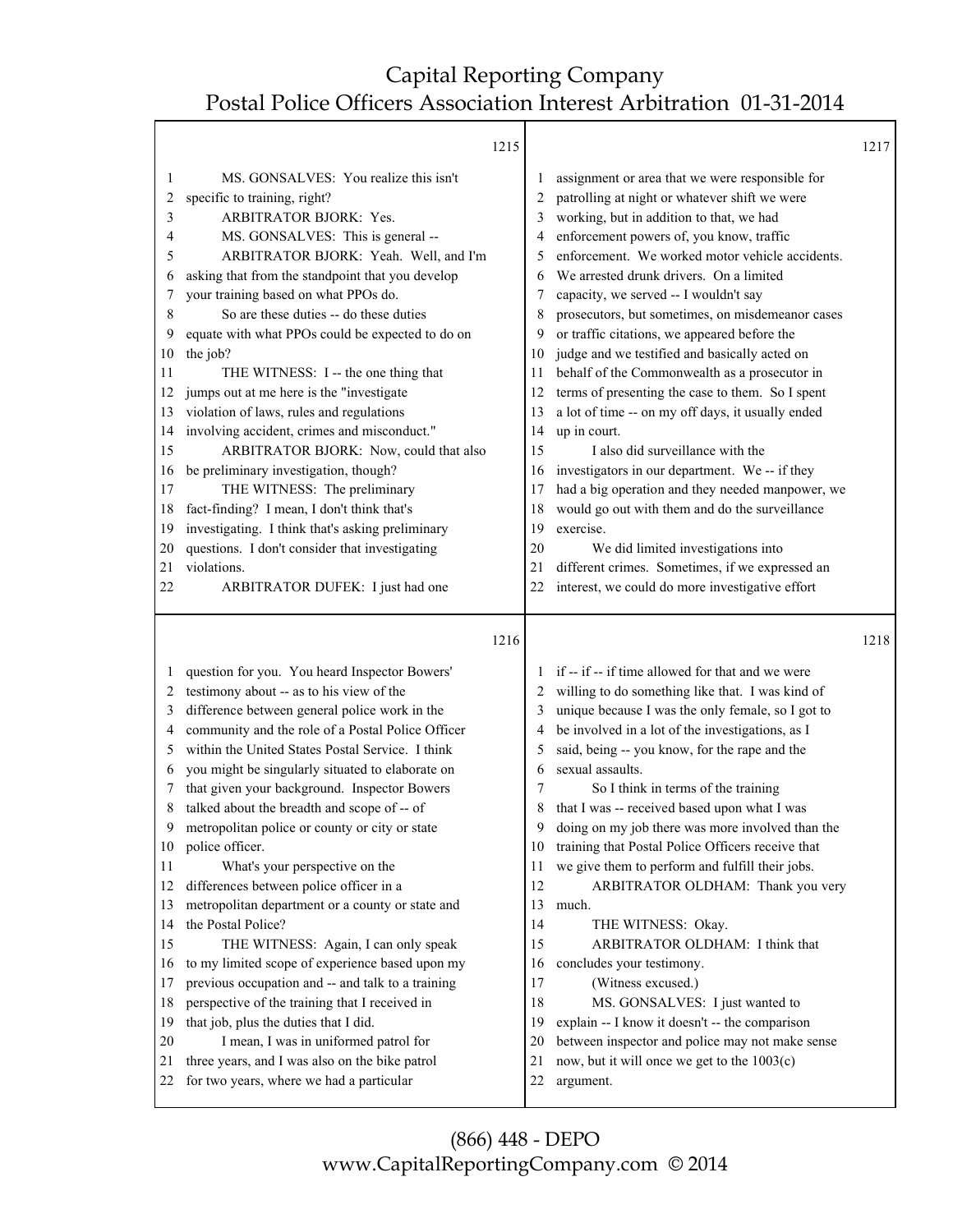|                                                                                                                         | 1215                                                                                                                                                                                                                                                                                                                                                                                                                                                                                                                                                                                                                                                                                                                                                                                                                                                                                                                                                                                                                 |                                                                                                                         |                                                                                                                                                                                                                                                                                                                                                                                                                                                                                                                                                                                                                                                                                                                                                                                                                                                                                                                                                                                                                     | 1217 |
|-------------------------------------------------------------------------------------------------------------------------|----------------------------------------------------------------------------------------------------------------------------------------------------------------------------------------------------------------------------------------------------------------------------------------------------------------------------------------------------------------------------------------------------------------------------------------------------------------------------------------------------------------------------------------------------------------------------------------------------------------------------------------------------------------------------------------------------------------------------------------------------------------------------------------------------------------------------------------------------------------------------------------------------------------------------------------------------------------------------------------------------------------------|-------------------------------------------------------------------------------------------------------------------------|---------------------------------------------------------------------------------------------------------------------------------------------------------------------------------------------------------------------------------------------------------------------------------------------------------------------------------------------------------------------------------------------------------------------------------------------------------------------------------------------------------------------------------------------------------------------------------------------------------------------------------------------------------------------------------------------------------------------------------------------------------------------------------------------------------------------------------------------------------------------------------------------------------------------------------------------------------------------------------------------------------------------|------|
| 1<br>2<br>3<br>4<br>5<br>6<br>7<br>8<br>9<br>10<br>11<br>12<br>13<br>14<br>15<br>16<br>17<br>18<br>19<br>20<br>21<br>22 | MS. GONSALVES: You realize this isn't<br>specific to training, right?<br><b>ARBITRATOR BJORK: Yes.</b><br>MS. GONSALVES: This is general --<br>ARBITRATOR BJORK: Yeah. Well, and I'm<br>asking that from the standpoint that you develop<br>your training based on what PPOs do.<br>So are these duties -- do these duties<br>equate with what PPOs could be expected to do on<br>the job?<br>THE WITNESS: I -- the one thing that<br>jumps out at me here is the "investigate<br>violation of laws, rules and regulations<br>involving accident, crimes and misconduct."<br>ARBITRATOR BJORK: Now, could that also<br>be preliminary investigation, though?<br>THE WITNESS: The preliminary<br>fact-finding? I mean, I don't think that's<br>investigating. I think that's asking preliminary<br>questions. I don't consider that investigating<br>violations.<br>ARBITRATOR DUFEK: I just had one                                                                                                                  | 1<br>2<br>3<br>4<br>5<br>6<br>7<br>8<br>9<br>10<br>11<br>12<br>13<br>14<br>15<br>16<br>17<br>18<br>19<br>20<br>21<br>22 | assignment or area that we were responsible for<br>patrolling at night or whatever shift we were<br>working, but in addition to that, we had<br>enforcement powers of, you know, traffic<br>enforcement. We worked motor vehicle accidents.<br>We arrested drunk drivers. On a limited<br>capacity, we served -- I wouldn't say<br>prosecutors, but sometimes, on misdemeanor cases<br>or traffic citations, we appeared before the<br>judge and we testified and basically acted on<br>behalf of the Commonwealth as a prosecutor in<br>terms of presenting the case to them. So I spent<br>a lot of time -- on my off days, it usually ended<br>up in court.<br>I also did surveillance with the<br>investigators in our department. We -- if they<br>had a big operation and they needed manpower, we<br>would go out with them and do the surveillance<br>exercise.<br>We did limited investigations into<br>different crimes. Sometimes, if we expressed an<br>interest, we could do more investigative effort |      |
|                                                                                                                         |                                                                                                                                                                                                                                                                                                                                                                                                                                                                                                                                                                                                                                                                                                                                                                                                                                                                                                                                                                                                                      | 1216                                                                                                                    |                                                                                                                                                                                                                                                                                                                                                                                                                                                                                                                                                                                                                                                                                                                                                                                                                                                                                                                                                                                                                     | 1218 |
| 1<br>2<br>3<br>4<br>5<br>6<br>7<br>8<br>9<br>10<br>11<br>12<br>13<br>14<br>15<br>16<br>17<br>18<br>19<br>20<br>21<br>22 | question for you. You heard Inspector Bowers'<br>testimony about -- as to his view of the<br>difference between general police work in the<br>community and the role of a Postal Police Officer<br>within the United States Postal Service. I think<br>you might be singularly situated to elaborate on<br>that given your background. Inspector Bowers<br>talked about the breadth and scope of -- of<br>metropolitan police or county or city or state<br>police officer.<br>What's your perspective on the<br>differences between police officer in a<br>metropolitan department or a county or state and<br>the Postal Police?<br>THE WITNESS: Again, I can only speak<br>to my limited scope of experience based upon my<br>previous occupation and -- and talk to a training<br>perspective of the training that I received in<br>that job, plus the duties that I did.<br>I mean, I was in uniformed patrol for<br>three years, and I was also on the bike patrol<br>for two years, where we had a particular | 1<br>2<br>3<br>4<br>5<br>6<br>7<br>8<br>9<br>10<br>11<br>12<br>13<br>14<br>15<br>16<br>17<br>18<br>19<br>20<br>21       | if -- if -- if time allowed for that and we were<br>willing to do something like that. I was kind of<br>unique because I was the only female, so I got to<br>be involved in a lot of the investigations, as I<br>said, being -- you know, for the rape and the<br>sexual assaults.<br>So I think in terms of the training<br>that I was -- received based upon what I was<br>doing on my job there was more involved than the<br>training that Postal Police Officers receive that<br>we give them to perform and fulfill their jobs.<br>ARBITRATOR OLDHAM: Thank you very<br>much.<br>THE WITNESS: Okay.<br>ARBITRATOR OLDHAM: I think that<br>concludes your testimony.<br>(Witness excused.)<br>MS. GONSALVES: I just wanted to<br>explain -- I know it doesn't -- the comparison<br>between inspector and police may not make sense<br>now, but it will once we get to the 1003(c)                                                                                                                              |      |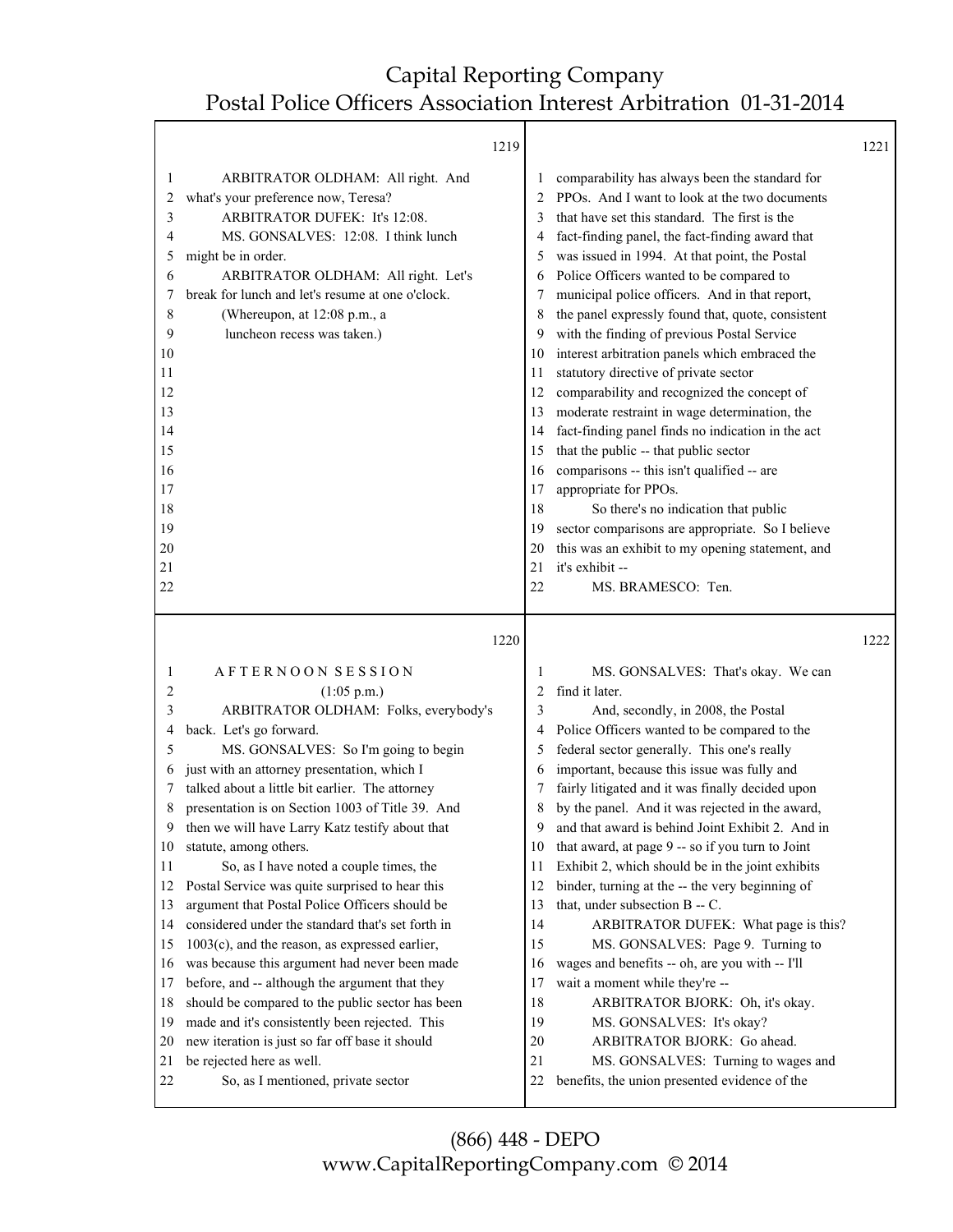|                                   | 1219                                                                                                                                                                                                                                                                                                                                                                                                                                                                                                                                                                                                                                                                                                                                                                                                                                                                                                                                                                                                                                                                                                                                                                                                                                                     |                                                                                                                                                                                                                                                                                                                                                                                                                                                                                                                                                                                                                                                                                                                                                                                                                                                                                                                                                                                                                 | 1221 |
|-----------------------------------|----------------------------------------------------------------------------------------------------------------------------------------------------------------------------------------------------------------------------------------------------------------------------------------------------------------------------------------------------------------------------------------------------------------------------------------------------------------------------------------------------------------------------------------------------------------------------------------------------------------------------------------------------------------------------------------------------------------------------------------------------------------------------------------------------------------------------------------------------------------------------------------------------------------------------------------------------------------------------------------------------------------------------------------------------------------------------------------------------------------------------------------------------------------------------------------------------------------------------------------------------------|-----------------------------------------------------------------------------------------------------------------------------------------------------------------------------------------------------------------------------------------------------------------------------------------------------------------------------------------------------------------------------------------------------------------------------------------------------------------------------------------------------------------------------------------------------------------------------------------------------------------------------------------------------------------------------------------------------------------------------------------------------------------------------------------------------------------------------------------------------------------------------------------------------------------------------------------------------------------------------------------------------------------|------|
|                                   |                                                                                                                                                                                                                                                                                                                                                                                                                                                                                                                                                                                                                                                                                                                                                                                                                                                                                                                                                                                                                                                                                                                                                                                                                                                          |                                                                                                                                                                                                                                                                                                                                                                                                                                                                                                                                                                                                                                                                                                                                                                                                                                                                                                                                                                                                                 |      |
| ARBITRATOR OLDHAM: All right. And | 1<br>3<br>4<br>5<br>7<br>8<br>9<br>11<br>12<br>13<br>14<br>15<br>17<br>19<br>20<br>21<br>22                                                                                                                                                                                                                                                                                                                                                                                                                                                                                                                                                                                                                                                                                                                                                                                                                                                                                                                                                                                                                                                                                                                                                              | comparability has always been the standard for<br>PPOs. And I want to look at the two documents<br>that have set this standard. The first is the<br>fact-finding panel, the fact-finding award that<br>was issued in 1994. At that point, the Postal<br>Police Officers wanted to be compared to<br>municipal police officers. And in that report,<br>the panel expressly found that, quote, consistent<br>with the finding of previous Postal Service<br>interest arbitration panels which embraced the<br>statutory directive of private sector<br>comparability and recognized the concept of<br>moderate restraint in wage determination, the<br>fact-finding panel finds no indication in the act<br>that the public -- that public sector<br>comparisons -- this isn't qualified -- are<br>appropriate for PPOs.<br>So there's no indication that public<br>sector comparisons are appropriate. So I believe<br>this was an exhibit to my opening statement, and<br>it's exhibit --<br>MS. BRAMESCO: Ten. |      |
|                                   |                                                                                                                                                                                                                                                                                                                                                                                                                                                                                                                                                                                                                                                                                                                                                                                                                                                                                                                                                                                                                                                                                                                                                                                                                                                          |                                                                                                                                                                                                                                                                                                                                                                                                                                                                                                                                                                                                                                                                                                                                                                                                                                                                                                                                                                                                                 | 1222 |
| $(1:05 \text{ p.m.})$             | 1<br>2<br>3<br>4<br>5<br>6<br>7<br>8<br>10<br>11<br>12<br>13<br>17<br>21<br>22                                                                                                                                                                                                                                                                                                                                                                                                                                                                                                                                                                                                                                                                                                                                                                                                                                                                                                                                                                                                                                                                                                                                                                           | MS. GONSALVES: That's okay. We can<br>find it later.<br>And, secondly, in 2008, the Postal<br>Police Officers wanted to be compared to the<br>federal sector generally. This one's really<br>important, because this issue was fully and<br>fairly litigated and it was finally decided upon<br>by the panel. And it was rejected in the award,<br>and that award is behind Joint Exhibit 2. And in<br>that award, at page 9 -- so if you turn to Joint<br>Exhibit 2, which should be in the joint exhibits<br>binder, turning at the -- the very beginning of<br>that, under subsection B -- C.<br>ARBITRATOR DUFEK: What page is this?<br>MS. GONSALVES: Page 9. Turning to<br>wages and benefits -- oh, are you with -- I'll<br>wait a moment while they're --<br>ARBITRATOR BJORK: Oh, it's okay.<br>MS. GONSALVES: It's okay?<br>ARBITRATOR BJORK: Go ahead.<br>MS. GONSALVES: Turning to wages and<br>benefits, the union presented evidence of the                                                       |      |
|                                   | what's your preference now, Teresa?<br>ARBITRATOR DUFEK: It's 12:08.<br>MS. GONSALVES: 12:08. I think lunch<br>might be in order.<br>ARBITRATOR OLDHAM: All right. Let's<br>break for lunch and let's resume at one o'clock.<br>(Whereupon, at 12:08 p.m., a<br>luncheon recess was taken.)<br>AFTERNOON SESSION<br>ARBITRATOR OLDHAM: Folks, everybody's<br>back. Let's go forward.<br>MS. GONSALVES: So I'm going to begin<br>just with an attorney presentation, which I<br>talked about a little bit earlier. The attorney<br>presentation is on Section 1003 of Title 39. And<br>then we will have Larry Katz testify about that<br>statute, among others.<br>So, as I have noted a couple times, the<br>Postal Service was quite surprised to hear this<br>argument that Postal Police Officers should be<br>considered under the standard that's set forth in<br>$1003(c)$ , and the reason, as expressed earlier,<br>was because this argument had never been made<br>before, and -- although the argument that they<br>should be compared to the public sector has been<br>made and it's consistently been rejected. This<br>new iteration is just so far off base it should<br>be rejected here as well.<br>So, as I mentioned, private sector | 2<br>6<br>10<br>16<br>18<br>1220<br>9<br>14<br>15<br>16<br>18<br>19<br>20                                                                                                                                                                                                                                                                                                                                                                                                                                                                                                                                                                                                                                                                                                                                                                                                                                                                                                                                       |      |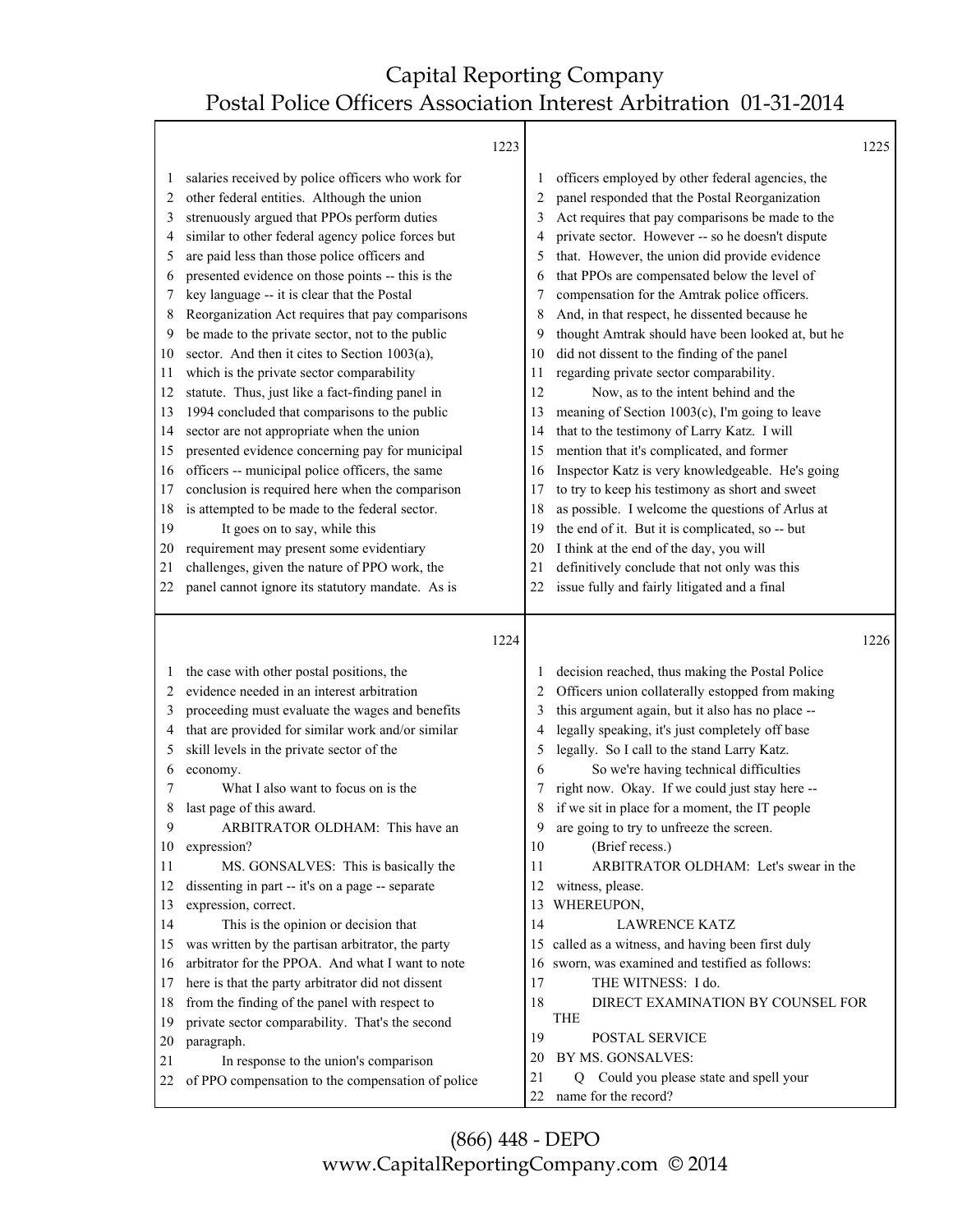T

|                                                                                                                         |                                                                                                                                                                                                                                                                                                                                                                                                                                                                                                                                                                                                                                                                                                                                                                                                                                                                                                                                                                                                                                                                                                              | 1223 |                                                                                                |                                                                                                                                                                                                                                                                                                                                                                                                                                                                                                                                                                                                                                                                                                                                                                                                                                                                                                                                                                                                                                                                                                            | 1225 |
|-------------------------------------------------------------------------------------------------------------------------|--------------------------------------------------------------------------------------------------------------------------------------------------------------------------------------------------------------------------------------------------------------------------------------------------------------------------------------------------------------------------------------------------------------------------------------------------------------------------------------------------------------------------------------------------------------------------------------------------------------------------------------------------------------------------------------------------------------------------------------------------------------------------------------------------------------------------------------------------------------------------------------------------------------------------------------------------------------------------------------------------------------------------------------------------------------------------------------------------------------|------|------------------------------------------------------------------------------------------------|------------------------------------------------------------------------------------------------------------------------------------------------------------------------------------------------------------------------------------------------------------------------------------------------------------------------------------------------------------------------------------------------------------------------------------------------------------------------------------------------------------------------------------------------------------------------------------------------------------------------------------------------------------------------------------------------------------------------------------------------------------------------------------------------------------------------------------------------------------------------------------------------------------------------------------------------------------------------------------------------------------------------------------------------------------------------------------------------------------|------|
| 1<br>2<br>3<br>4<br>5<br>6<br>7<br>8<br>9<br>10<br>11<br>12<br>13<br>14<br>15<br>16<br>17<br>18<br>19<br>20<br>21<br>22 | salaries received by police officers who work for<br>other federal entities. Although the union<br>strenuously argued that PPOs perform duties<br>similar to other federal agency police forces but<br>are paid less than those police officers and<br>presented evidence on those points -- this is the<br>key language -- it is clear that the Postal<br>Reorganization Act requires that pay comparisons<br>be made to the private sector, not to the public<br>sector. And then it cites to Section 1003(a),<br>which is the private sector comparability<br>statute. Thus, just like a fact-finding panel in<br>1994 concluded that comparisons to the public<br>sector are not appropriate when the union<br>presented evidence concerning pay for municipal<br>officers -- municipal police officers, the same<br>conclusion is required here when the comparison<br>is attempted to be made to the federal sector.<br>It goes on to say, while this<br>requirement may present some evidentiary<br>challenges, given the nature of PPO work, the<br>panel cannot ignore its statutory mandate. As is |      | 5<br>6<br>8<br>9<br>10<br>11<br>12<br>13<br>14<br>15<br>16<br>17<br>18<br>19<br>20<br>21<br>22 | officers employed by other federal agencies, the<br>panel responded that the Postal Reorganization<br>Act requires that pay comparisons be made to the<br>private sector. However -- so he doesn't dispute<br>that. However, the union did provide evidence<br>that PPOs are compensated below the level of<br>compensation for the Amtrak police officers.<br>And, in that respect, he dissented because he<br>thought Amtrak should have been looked at, but he<br>did not dissent to the finding of the panel<br>regarding private sector comparability.<br>Now, as to the intent behind and the<br>meaning of Section 1003(c), I'm going to leave<br>that to the testimony of Larry Katz. I will<br>mention that it's complicated, and former<br>Inspector Katz is very knowledgeable. He's going<br>to try to keep his testimony as short and sweet<br>as possible. I welcome the questions of Arlus at<br>the end of it. But it is complicated, so -- but<br>I think at the end of the day, you will<br>definitively conclude that not only was this<br>issue fully and fairly litigated and a final |      |
|                                                                                                                         |                                                                                                                                                                                                                                                                                                                                                                                                                                                                                                                                                                                                                                                                                                                                                                                                                                                                                                                                                                                                                                                                                                              | 1224 |                                                                                                |                                                                                                                                                                                                                                                                                                                                                                                                                                                                                                                                                                                                                                                                                                                                                                                                                                                                                                                                                                                                                                                                                                            | 1226 |
| $\perp$<br>2<br>3<br>4<br>5<br>6<br>7<br>8<br>9<br>10<br>11<br>12<br>13<br>14<br>15<br>16<br>17<br>18<br>19             | the case with other postal positions, the<br>evidence needed in an interest arbitration<br>proceeding must evaluate the wages and benefits<br>that are provided for similar work and/or similar<br>skill levels in the private sector of the<br>economy.<br>What I also want to focus on is the<br>last page of this award.<br>ARBITRATOR OLDHAM: This have an<br>expression?<br>MS. GONSALVES: This is basically the<br>dissenting in part -- it's on a page -- separate<br>expression, correct.<br>This is the opinion or decision that<br>was written by the partisan arbitrator, the party<br>arbitrator for the PPOA. And what I want to note<br>here is that the party arbitrator did not dissent<br>from the finding of the panel with respect to<br>private sector comparability. That's the second                                                                                                                                                                                                                                                                                                  |      | 2<br>5<br>6<br>8<br>9<br>10<br>11<br>12<br>13<br>14<br>15<br>16<br>17<br>18                    | decision reached, thus making the Postal Police<br>Officers union collaterally estopped from making<br>this argument again, but it also has no place --<br>legally speaking, it's just completely off base<br>legally. So I call to the stand Larry Katz.<br>So we're having technical difficulties<br>right now. Okay. If we could just stay here --<br>if we sit in place for a moment, the IT people<br>are going to try to unfreeze the screen.<br>(Brief recess.)<br>ARBITRATOR OLDHAM: Let's swear in the<br>witness, please.<br>WHEREUPON,<br><b>LAWRENCE KATZ</b><br>called as a witness, and having been first duly<br>sworn, was examined and testified as follows:<br>THE WITNESS: I do.<br>DIRECT EXAMINATION BY COUNSEL FOR<br><b>THE</b>                                                                                                                                                                                                                                                                                                                                                     |      |
| 20<br>21<br>22                                                                                                          | paragraph.<br>In response to the union's comparison<br>of PPO compensation to the compensation of police                                                                                                                                                                                                                                                                                                                                                                                                                                                                                                                                                                                                                                                                                                                                                                                                                                                                                                                                                                                                     |      | 19<br>20<br>21                                                                                 | POSTAL SERVICE<br>BY MS. GONSALVES:<br>Could you please state and spell your<br>Q<br>name for the record?                                                                                                                                                                                                                                                                                                                                                                                                                                                                                                                                                                                                                                                                                                                                                                                                                                                                                                                                                                                                  |      |

(866) 448 - DEPO www.CapitalReportingCompany.com © 2014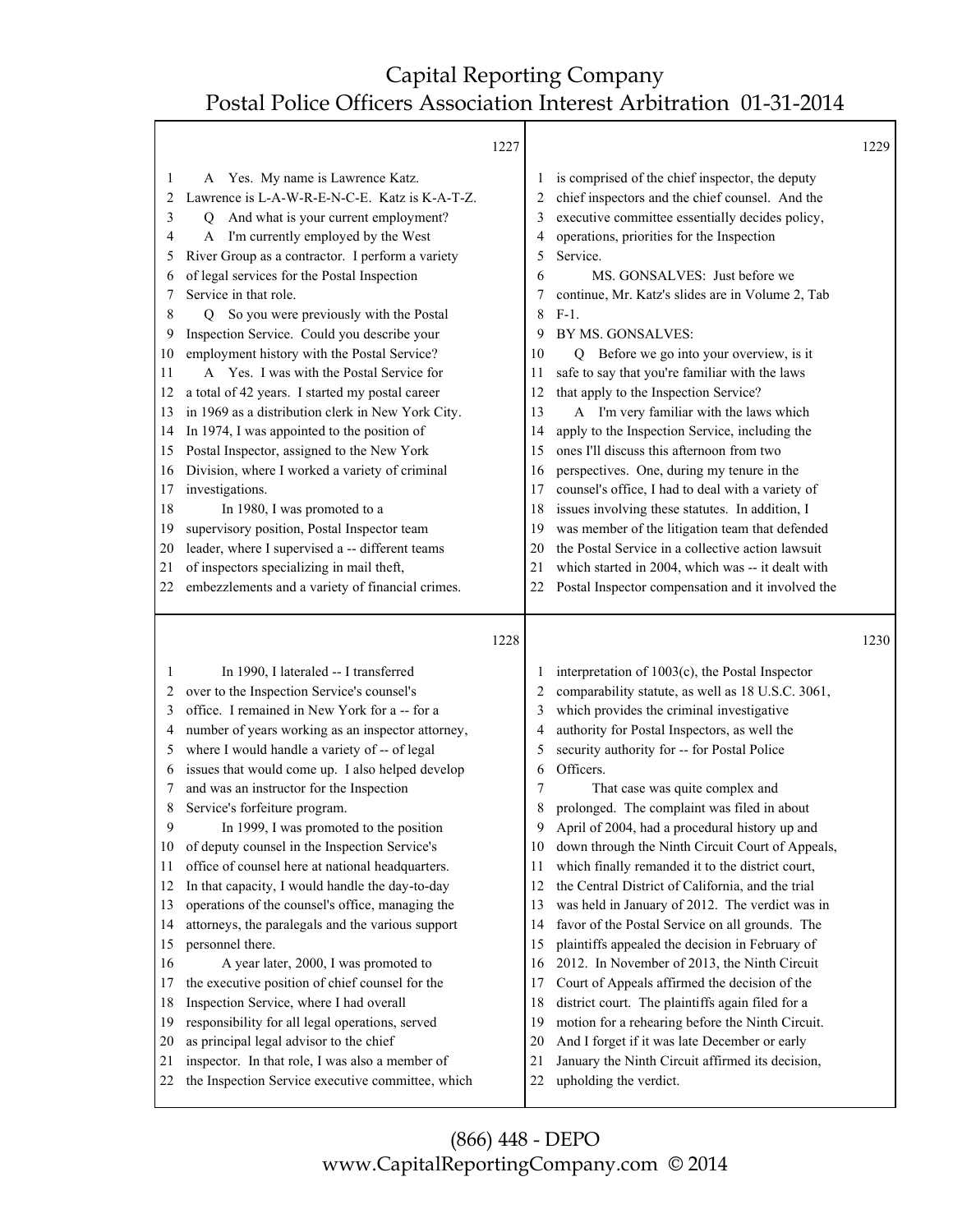Τ

|                                                                                                                         |                                                                                                                                                                                                                                                                                                                                                                                                                                                                                                                                                                                                                                                                                                                                                                                                                                                                                                                                                                                                              | 1227 |                                                                                                                          |                                                                                                                                                                                                                                                                                                                                                                                                                                                                                                                                                                                                                                                                                                                                                                                                                                                                                                                                                                                             | 1229 |
|-------------------------------------------------------------------------------------------------------------------------|--------------------------------------------------------------------------------------------------------------------------------------------------------------------------------------------------------------------------------------------------------------------------------------------------------------------------------------------------------------------------------------------------------------------------------------------------------------------------------------------------------------------------------------------------------------------------------------------------------------------------------------------------------------------------------------------------------------------------------------------------------------------------------------------------------------------------------------------------------------------------------------------------------------------------------------------------------------------------------------------------------------|------|--------------------------------------------------------------------------------------------------------------------------|---------------------------------------------------------------------------------------------------------------------------------------------------------------------------------------------------------------------------------------------------------------------------------------------------------------------------------------------------------------------------------------------------------------------------------------------------------------------------------------------------------------------------------------------------------------------------------------------------------------------------------------------------------------------------------------------------------------------------------------------------------------------------------------------------------------------------------------------------------------------------------------------------------------------------------------------------------------------------------------------|------|
| 1<br>2<br>3<br>4<br>5<br>6<br>7<br>8<br>9<br>10<br>11<br>12<br>13<br>14<br>15<br>16<br>17<br>18<br>19<br>20<br>21<br>22 | Yes. My name is Lawrence Katz.<br>A<br>Lawrence is L-A-W-R-E-N-C-E. Katz is K-A-T-Z.<br>Q And what is your current employment?<br>I'm currently employed by the West<br>A<br>River Group as a contractor. I perform a variety<br>of legal services for the Postal Inspection<br>Service in that role.<br>So you were previously with the Postal<br>O.<br>Inspection Service. Could you describe your<br>employment history with the Postal Service?<br>A Yes. I was with the Postal Service for<br>a total of 42 years. I started my postal career<br>in 1969 as a distribution clerk in New York City.<br>In 1974, I was appointed to the position of<br>Postal Inspector, assigned to the New York<br>Division, where I worked a variety of criminal<br>investigations.<br>In 1980, I was promoted to a<br>supervisory position, Postal Inspector team<br>leader, where I supervised a -- different teams<br>of inspectors specializing in mail theft,<br>embezzlements and a variety of financial crimes. |      | $\perp$<br>2<br>3<br>4<br>5<br>6<br>8<br>9<br>10<br>11<br>12<br>13<br>14<br>15<br>16<br>17<br>18<br>19<br>20<br>21<br>22 | is comprised of the chief inspector, the deputy<br>chief inspectors and the chief counsel. And the<br>executive committee essentially decides policy,<br>operations, priorities for the Inspection<br>Service.<br>MS. GONSALVES: Just before we<br>continue, Mr. Katz's slides are in Volume 2, Tab<br>$F-1.$<br>BY MS. GONSALVES:<br>Q Before we go into your overview, is it<br>safe to say that you're familiar with the laws<br>that apply to the Inspection Service?<br>A I'm very familiar with the laws which<br>apply to the Inspection Service, including the<br>ones I'll discuss this afternoon from two<br>perspectives. One, during my tenure in the<br>counsel's office, I had to deal with a variety of<br>issues involving these statutes. In addition, I<br>was member of the litigation team that defended<br>the Postal Service in a collective action lawsuit<br>which started in 2004, which was -- it dealt with<br>Postal Inspector compensation and it involved the |      |
|                                                                                                                         |                                                                                                                                                                                                                                                                                                                                                                                                                                                                                                                                                                                                                                                                                                                                                                                                                                                                                                                                                                                                              | 1228 |                                                                                                                          |                                                                                                                                                                                                                                                                                                                                                                                                                                                                                                                                                                                                                                                                                                                                                                                                                                                                                                                                                                                             | 1230 |
|                                                                                                                         |                                                                                                                                                                                                                                                                                                                                                                                                                                                                                                                                                                                                                                                                                                                                                                                                                                                                                                                                                                                                              |      |                                                                                                                          |                                                                                                                                                                                                                                                                                                                                                                                                                                                                                                                                                                                                                                                                                                                                                                                                                                                                                                                                                                                             |      |
| 1<br>2                                                                                                                  | In 1990, I lateraled -- I transferred<br>over to the Inspection Service's counsel's                                                                                                                                                                                                                                                                                                                                                                                                                                                                                                                                                                                                                                                                                                                                                                                                                                                                                                                          |      | 2                                                                                                                        | interpretation of 1003(c), the Postal Inspector<br>comparability statute, as well as 18 U.S.C. 3061,                                                                                                                                                                                                                                                                                                                                                                                                                                                                                                                                                                                                                                                                                                                                                                                                                                                                                        |      |
|                                                                                                                         |                                                                                                                                                                                                                                                                                                                                                                                                                                                                                                                                                                                                                                                                                                                                                                                                                                                                                                                                                                                                              |      |                                                                                                                          |                                                                                                                                                                                                                                                                                                                                                                                                                                                                                                                                                                                                                                                                                                                                                                                                                                                                                                                                                                                             |      |
|                                                                                                                         |                                                                                                                                                                                                                                                                                                                                                                                                                                                                                                                                                                                                                                                                                                                                                                                                                                                                                                                                                                                                              |      |                                                                                                                          |                                                                                                                                                                                                                                                                                                                                                                                                                                                                                                                                                                                                                                                                                                                                                                                                                                                                                                                                                                                             |      |
| 3                                                                                                                       | office. I remained in New York for a -- for a                                                                                                                                                                                                                                                                                                                                                                                                                                                                                                                                                                                                                                                                                                                                                                                                                                                                                                                                                                |      | 3<br>4                                                                                                                   | which provides the criminal investigative                                                                                                                                                                                                                                                                                                                                                                                                                                                                                                                                                                                                                                                                                                                                                                                                                                                                                                                                                   |      |
| 4<br>5                                                                                                                  | number of years working as an inspector attorney,                                                                                                                                                                                                                                                                                                                                                                                                                                                                                                                                                                                                                                                                                                                                                                                                                                                                                                                                                            |      | 5                                                                                                                        | authority for Postal Inspectors, as well the                                                                                                                                                                                                                                                                                                                                                                                                                                                                                                                                                                                                                                                                                                                                                                                                                                                                                                                                                |      |
| 6                                                                                                                       | where I would handle a variety of -- of legal<br>issues that would come up. I also helped develop                                                                                                                                                                                                                                                                                                                                                                                                                                                                                                                                                                                                                                                                                                                                                                                                                                                                                                            |      | 6                                                                                                                        | security authority for -- for Postal Police<br>Officers.                                                                                                                                                                                                                                                                                                                                                                                                                                                                                                                                                                                                                                                                                                                                                                                                                                                                                                                                    |      |
| 7                                                                                                                       | and was an instructor for the Inspection                                                                                                                                                                                                                                                                                                                                                                                                                                                                                                                                                                                                                                                                                                                                                                                                                                                                                                                                                                     |      | 7                                                                                                                        | That case was quite complex and                                                                                                                                                                                                                                                                                                                                                                                                                                                                                                                                                                                                                                                                                                                                                                                                                                                                                                                                                             |      |
| 8                                                                                                                       | Service's forfeiture program.                                                                                                                                                                                                                                                                                                                                                                                                                                                                                                                                                                                                                                                                                                                                                                                                                                                                                                                                                                                |      | 8                                                                                                                        | prolonged. The complaint was filed in about                                                                                                                                                                                                                                                                                                                                                                                                                                                                                                                                                                                                                                                                                                                                                                                                                                                                                                                                                 |      |
| 9                                                                                                                       | In 1999, I was promoted to the position                                                                                                                                                                                                                                                                                                                                                                                                                                                                                                                                                                                                                                                                                                                                                                                                                                                                                                                                                                      |      | 9                                                                                                                        | April of 2004, had a procedural history up and                                                                                                                                                                                                                                                                                                                                                                                                                                                                                                                                                                                                                                                                                                                                                                                                                                                                                                                                              |      |
| 10                                                                                                                      | of deputy counsel in the Inspection Service's                                                                                                                                                                                                                                                                                                                                                                                                                                                                                                                                                                                                                                                                                                                                                                                                                                                                                                                                                                |      | 10                                                                                                                       | down through the Ninth Circuit Court of Appeals,                                                                                                                                                                                                                                                                                                                                                                                                                                                                                                                                                                                                                                                                                                                                                                                                                                                                                                                                            |      |
| 11                                                                                                                      | office of counsel here at national headquarters.                                                                                                                                                                                                                                                                                                                                                                                                                                                                                                                                                                                                                                                                                                                                                                                                                                                                                                                                                             |      | 11                                                                                                                       | which finally remanded it to the district court,                                                                                                                                                                                                                                                                                                                                                                                                                                                                                                                                                                                                                                                                                                                                                                                                                                                                                                                                            |      |
| 12                                                                                                                      | In that capacity, I would handle the day-to-day                                                                                                                                                                                                                                                                                                                                                                                                                                                                                                                                                                                                                                                                                                                                                                                                                                                                                                                                                              |      | 12                                                                                                                       | the Central District of California, and the trial                                                                                                                                                                                                                                                                                                                                                                                                                                                                                                                                                                                                                                                                                                                                                                                                                                                                                                                                           |      |
| 13                                                                                                                      | operations of the counsel's office, managing the                                                                                                                                                                                                                                                                                                                                                                                                                                                                                                                                                                                                                                                                                                                                                                                                                                                                                                                                                             |      | 13                                                                                                                       | was held in January of 2012. The verdict was in                                                                                                                                                                                                                                                                                                                                                                                                                                                                                                                                                                                                                                                                                                                                                                                                                                                                                                                                             |      |
| 14                                                                                                                      | attorneys, the paralegals and the various support                                                                                                                                                                                                                                                                                                                                                                                                                                                                                                                                                                                                                                                                                                                                                                                                                                                                                                                                                            |      | 14                                                                                                                       | favor of the Postal Service on all grounds. The                                                                                                                                                                                                                                                                                                                                                                                                                                                                                                                                                                                                                                                                                                                                                                                                                                                                                                                                             |      |
| 15                                                                                                                      | personnel there.                                                                                                                                                                                                                                                                                                                                                                                                                                                                                                                                                                                                                                                                                                                                                                                                                                                                                                                                                                                             |      | 15                                                                                                                       | plaintiffs appealed the decision in February of                                                                                                                                                                                                                                                                                                                                                                                                                                                                                                                                                                                                                                                                                                                                                                                                                                                                                                                                             |      |
| 16                                                                                                                      | A year later, 2000, I was promoted to                                                                                                                                                                                                                                                                                                                                                                                                                                                                                                                                                                                                                                                                                                                                                                                                                                                                                                                                                                        |      | 16                                                                                                                       | 2012. In November of 2013, the Ninth Circuit                                                                                                                                                                                                                                                                                                                                                                                                                                                                                                                                                                                                                                                                                                                                                                                                                                                                                                                                                |      |
|                                                                                                                         | the executive position of chief counsel for the                                                                                                                                                                                                                                                                                                                                                                                                                                                                                                                                                                                                                                                                                                                                                                                                                                                                                                                                                              |      | 17                                                                                                                       | Court of Appeals affirmed the decision of the                                                                                                                                                                                                                                                                                                                                                                                                                                                                                                                                                                                                                                                                                                                                                                                                                                                                                                                                               |      |
| 17<br>18                                                                                                                | Inspection Service, where I had overall                                                                                                                                                                                                                                                                                                                                                                                                                                                                                                                                                                                                                                                                                                                                                                                                                                                                                                                                                                      |      | 18                                                                                                                       | district court. The plaintiffs again filed for a                                                                                                                                                                                                                                                                                                                                                                                                                                                                                                                                                                                                                                                                                                                                                                                                                                                                                                                                            |      |
| 19                                                                                                                      | responsibility for all legal operations, served                                                                                                                                                                                                                                                                                                                                                                                                                                                                                                                                                                                                                                                                                                                                                                                                                                                                                                                                                              |      | 19                                                                                                                       | motion for a rehearing before the Ninth Circuit.                                                                                                                                                                                                                                                                                                                                                                                                                                                                                                                                                                                                                                                                                                                                                                                                                                                                                                                                            |      |
| 20                                                                                                                      | as principal legal advisor to the chief                                                                                                                                                                                                                                                                                                                                                                                                                                                                                                                                                                                                                                                                                                                                                                                                                                                                                                                                                                      |      | 20                                                                                                                       | And I forget if it was late December or early                                                                                                                                                                                                                                                                                                                                                                                                                                                                                                                                                                                                                                                                                                                                                                                                                                                                                                                                               |      |
| 21<br>22                                                                                                                | inspector. In that role, I was also a member of<br>the Inspection Service executive committee, which                                                                                                                                                                                                                                                                                                                                                                                                                                                                                                                                                                                                                                                                                                                                                                                                                                                                                                         |      | 21<br>22                                                                                                                 | January the Ninth Circuit affirmed its decision,<br>upholding the verdict.                                                                                                                                                                                                                                                                                                                                                                                                                                                                                                                                                                                                                                                                                                                                                                                                                                                                                                                  |      |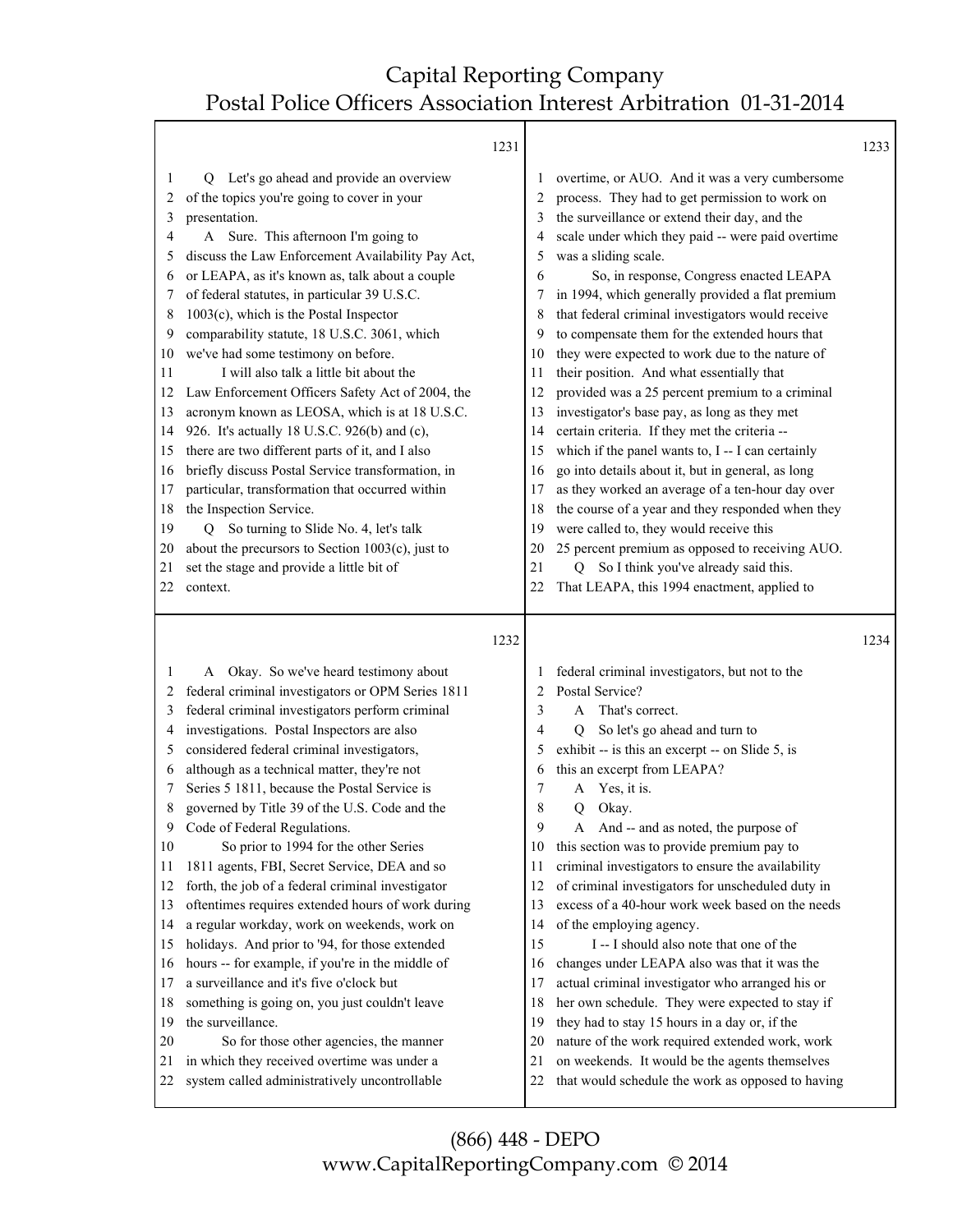|                                                                                                                         |                                                                                                                                                                                                                                                                                                                                                                                                                                                                                                                                                                                                                                                                                                                                                                                                                                                                                                                                                                                                                                                   | 1231 |                                                                                                                         |                                                                                                                                                                                                                                                                                                                                                                                                                                                                                                                                                                                                                                                                                                                                                                                                                                                                                                                                                                                                                                                                                                                    | 1233 |
|-------------------------------------------------------------------------------------------------------------------------|---------------------------------------------------------------------------------------------------------------------------------------------------------------------------------------------------------------------------------------------------------------------------------------------------------------------------------------------------------------------------------------------------------------------------------------------------------------------------------------------------------------------------------------------------------------------------------------------------------------------------------------------------------------------------------------------------------------------------------------------------------------------------------------------------------------------------------------------------------------------------------------------------------------------------------------------------------------------------------------------------------------------------------------------------|------|-------------------------------------------------------------------------------------------------------------------------|--------------------------------------------------------------------------------------------------------------------------------------------------------------------------------------------------------------------------------------------------------------------------------------------------------------------------------------------------------------------------------------------------------------------------------------------------------------------------------------------------------------------------------------------------------------------------------------------------------------------------------------------------------------------------------------------------------------------------------------------------------------------------------------------------------------------------------------------------------------------------------------------------------------------------------------------------------------------------------------------------------------------------------------------------------------------------------------------------------------------|------|
| 1<br>2<br>3<br>4<br>5<br>6<br>7<br>8<br>9<br>10<br>11<br>12<br>13<br>14<br>15<br>16<br>17<br>18<br>19<br>20<br>21<br>22 | Let's go ahead and provide an overview<br>Q<br>of the topics you're going to cover in your<br>presentation.<br>A Sure. This afternoon I'm going to<br>discuss the Law Enforcement Availability Pay Act,<br>or LEAPA, as it's known as, talk about a couple<br>of federal statutes, in particular 39 U.S.C.<br>$1003(c)$ , which is the Postal Inspector<br>comparability statute, 18 U.S.C. 3061, which<br>we've had some testimony on before.<br>I will also talk a little bit about the<br>Law Enforcement Officers Safety Act of 2004, the<br>acronym known as LEOSA, which is at 18 U.S.C.<br>926. It's actually 18 U.S.C. 926(b) and (c),<br>there are two different parts of it, and I also<br>briefly discuss Postal Service transformation, in<br>particular, transformation that occurred within<br>the Inspection Service.<br>So turning to Slide No. 4, let's talk<br>Q<br>about the precursors to Section $1003(c)$ , just to<br>set the stage and provide a little bit of<br>context.                                                |      | 1<br>2<br>3<br>4<br>5<br>6<br>7<br>8<br>9<br>10<br>11<br>12<br>13<br>14<br>15<br>16<br>17<br>18<br>19<br>20<br>21<br>22 | overtime, or AUO. And it was a very cumbersome<br>process. They had to get permission to work on<br>the surveillance or extend their day, and the<br>scale under which they paid -- were paid overtime<br>was a sliding scale.<br>So, in response, Congress enacted LEAPA<br>in 1994, which generally provided a flat premium<br>that federal criminal investigators would receive<br>to compensate them for the extended hours that<br>they were expected to work due to the nature of<br>their position. And what essentially that<br>provided was a 25 percent premium to a criminal<br>investigator's base pay, as long as they met<br>certain criteria. If they met the criteria --<br>which if the panel wants to, I -- I can certainly<br>go into details about it, but in general, as long<br>as they worked an average of a ten-hour day over<br>the course of a year and they responded when they<br>were called to, they would receive this<br>25 percent premium as opposed to receiving AUO.<br>So I think you've already said this.<br>$\overline{O}$<br>That LEAPA, this 1994 enactment, applied to |      |
|                                                                                                                         |                                                                                                                                                                                                                                                                                                                                                                                                                                                                                                                                                                                                                                                                                                                                                                                                                                                                                                                                                                                                                                                   | 1232 |                                                                                                                         |                                                                                                                                                                                                                                                                                                                                                                                                                                                                                                                                                                                                                                                                                                                                                                                                                                                                                                                                                                                                                                                                                                                    | 1234 |
| 1<br>2<br>3<br>4<br>5<br>6<br>7<br>8<br>9<br>10<br>11<br>12<br>13<br>14<br>15<br>16<br>17<br>18<br>19<br>20<br>21<br>22 | A Okay. So we've heard testimony about<br>federal criminal investigators or OPM Series 1811<br>federal criminal investigators perform criminal<br>investigations. Postal Inspectors are also<br>considered federal criminal investigators,<br>although as a technical matter, they're not<br>Series 5 1811, because the Postal Service is<br>governed by Title 39 of the U.S. Code and the<br>Code of Federal Regulations.<br>So prior to 1994 for the other Series<br>1811 agents, FBI, Secret Service, DEA and so<br>forth, the job of a federal criminal investigator<br>oftentimes requires extended hours of work during<br>a regular workday, work on weekends, work on<br>holidays. And prior to '94, for those extended<br>hours -- for example, if you're in the middle of<br>a surveillance and it's five o'clock but<br>something is going on, you just couldn't leave<br>the surveillance.<br>So for those other agencies, the manner<br>in which they received overtime was under a<br>system called administratively uncontrollable |      | 2<br>3<br>4<br>5<br>6<br>7<br>8<br>9<br>10<br>11<br>12<br>13<br>14<br>15<br>16<br>17<br>18<br>19<br>20<br>21<br>22      | federal criminal investigators, but not to the<br>Postal Service?<br>That's correct.<br>A<br>So let's go ahead and turn to<br>O<br>exhibit -- is this an excerpt -- on Slide 5, is<br>this an excerpt from LEAPA?<br>Yes, it is.<br>A<br>Okay.<br>Q<br>And -- and as noted, the purpose of<br>A<br>this section was to provide premium pay to<br>criminal investigators to ensure the availability<br>of criminal investigators for unscheduled duty in<br>excess of a 40-hour work week based on the needs<br>of the employing agency.<br>I-I should also note that one of the<br>changes under LEAPA also was that it was the<br>actual criminal investigator who arranged his or<br>her own schedule. They were expected to stay if<br>they had to stay 15 hours in a day or, if the<br>nature of the work required extended work, work<br>on weekends. It would be the agents themselves<br>that would schedule the work as opposed to having                                                                                                                                                                  |      |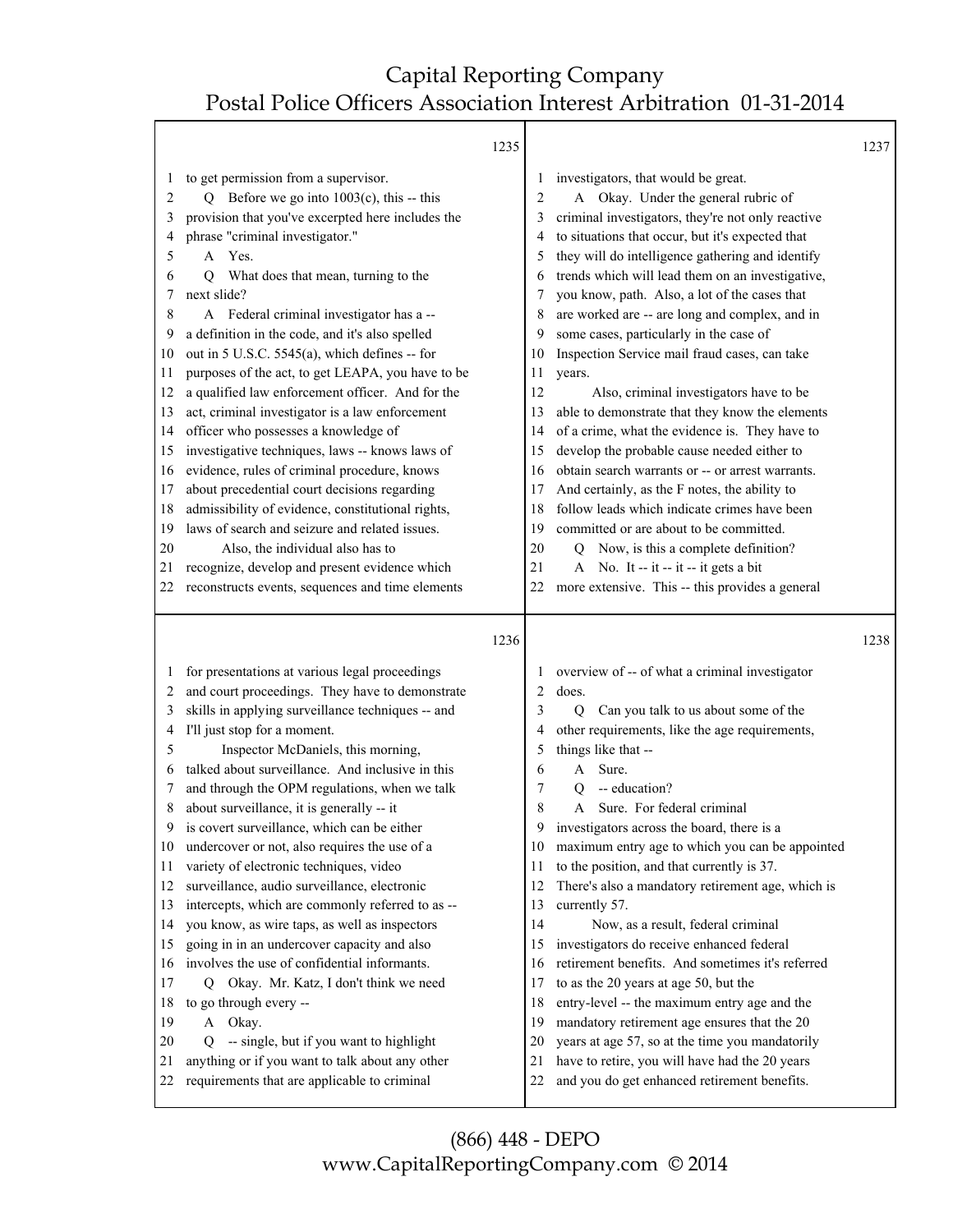Т

|                                                                                                                                         |                                                                                                                                                                                                                                                                                                                                                                                                                                                                                                                                                                                                                                                                                                                                                                                                                                                                                                                                                                                                         | 1235                                                                                                                       |                                                                                                                                                                                                                                                                                                                                                                                                                                                                                                                                                                                                                                                                                                                                                                                                                                                                                                                                                                                                                                          | 1237 |
|-----------------------------------------------------------------------------------------------------------------------------------------|---------------------------------------------------------------------------------------------------------------------------------------------------------------------------------------------------------------------------------------------------------------------------------------------------------------------------------------------------------------------------------------------------------------------------------------------------------------------------------------------------------------------------------------------------------------------------------------------------------------------------------------------------------------------------------------------------------------------------------------------------------------------------------------------------------------------------------------------------------------------------------------------------------------------------------------------------------------------------------------------------------|----------------------------------------------------------------------------------------------------------------------------|------------------------------------------------------------------------------------------------------------------------------------------------------------------------------------------------------------------------------------------------------------------------------------------------------------------------------------------------------------------------------------------------------------------------------------------------------------------------------------------------------------------------------------------------------------------------------------------------------------------------------------------------------------------------------------------------------------------------------------------------------------------------------------------------------------------------------------------------------------------------------------------------------------------------------------------------------------------------------------------------------------------------------------------|------|
| 1<br>2<br>3<br>4<br>5<br>6<br>Q<br>7<br>8<br>9<br>10<br>11<br>12<br>13<br>14<br>15<br>16<br>17<br>18<br>19<br>20<br>21<br>22.           | to get permission from a supervisor.<br>Q Before we go into $1003(c)$ , this -- this<br>provision that you've excerpted here includes the<br>phrase "criminal investigator."<br>A Yes.<br>What does that mean, turning to the<br>next slide?<br>A Federal criminal investigator has a --<br>a definition in the code, and it's also spelled<br>out in 5 U.S.C. 5545(a), which defines -- for<br>purposes of the act, to get LEAPA, you have to be<br>a qualified law enforcement officer. And for the<br>act, criminal investigator is a law enforcement<br>officer who possesses a knowledge of<br>investigative techniques, laws -- knows laws of<br>evidence, rules of criminal procedure, knows<br>about precedential court decisions regarding<br>admissibility of evidence, constitutional rights,<br>laws of search and seizure and related issues.<br>Also, the individual also has to<br>recognize, develop and present evidence which<br>reconstructs events, sequences and time elements     | 2<br>3<br>5<br>6<br>7<br>8<br>9<br>10<br>11<br>12<br>13<br>14<br>15<br>16<br>17<br>18<br>19<br>20<br>21<br>22              | investigators, that would be great.<br>A Okay. Under the general rubric of<br>criminal investigators, they're not only reactive<br>to situations that occur, but it's expected that<br>they will do intelligence gathering and identify<br>trends which will lead them on an investigative,<br>you know, path. Also, a lot of the cases that<br>are worked are -- are long and complex, and in<br>some cases, particularly in the case of<br>Inspection Service mail fraud cases, can take<br>years.<br>Also, criminal investigators have to be<br>able to demonstrate that they know the elements<br>of a crime, what the evidence is. They have to<br>develop the probable cause needed either to<br>obtain search warrants or -- or arrest warrants.<br>And certainly, as the F notes, the ability to<br>follow leads which indicate crimes have been<br>committed or are about to be committed.<br>Q Now, is this a complete definition?<br>A No. It -- it -- it -- it gets a bit<br>more extensive. This -- this provides a general |      |
| 1<br>2<br>3<br>4<br>5<br>6<br>7<br>8<br>9<br>10<br>11<br>12<br>13<br>14<br>15<br>16<br>17<br>O.<br>18<br>19<br>A<br>20<br>Q<br>21<br>22 | for presentations at various legal proceedings<br>and court proceedings. They have to demonstrate<br>skills in applying surveillance techniques -- and<br>I'll just stop for a moment.<br>Inspector McDaniels, this morning,<br>talked about surveillance. And inclusive in this<br>and through the OPM regulations, when we talk<br>about surveillance, it is generally -- it<br>is covert surveillance, which can be either<br>undercover or not, also requires the use of a<br>variety of electronic techniques, video<br>surveillance, audio surveillance, electronic<br>intercepts, which are commonly referred to as --<br>you know, as wire taps, as well as inspectors<br>going in in an undercover capacity and also<br>involves the use of confidential informants.<br>Okay. Mr. Katz, I don't think we need<br>to go through every --<br>Okay.<br>-- single, but if you want to highlight<br>anything or if you want to talk about any other<br>requirements that are applicable to criminal | 1236<br>2<br>3<br>4<br>5<br>6<br>7<br>8<br>9<br>10<br>11<br>12<br>13<br>14<br>15<br>16<br>17<br>18<br>19<br>20<br>21<br>22 | overview of -- of what a criminal investigator<br>does.<br>Q<br>Can you talk to us about some of the<br>other requirements, like the age requirements,<br>things like that --<br>Sure.<br>A<br>-- education?<br>Q<br>Sure. For federal criminal<br>A<br>investigators across the board, there is a<br>maximum entry age to which you can be appointed<br>to the position, and that currently is 37.<br>There's also a mandatory retirement age, which is<br>currently 57.<br>Now, as a result, federal criminal<br>investigators do receive enhanced federal<br>retirement benefits. And sometimes it's referred<br>to as the 20 years at age 50, but the<br>entry-level -- the maximum entry age and the<br>mandatory retirement age ensures that the 20<br>years at age 57, so at the time you mandatorily<br>have to retire, you will have had the 20 years<br>and you do get enhanced retirement benefits.                                                                                                                           | 1238 |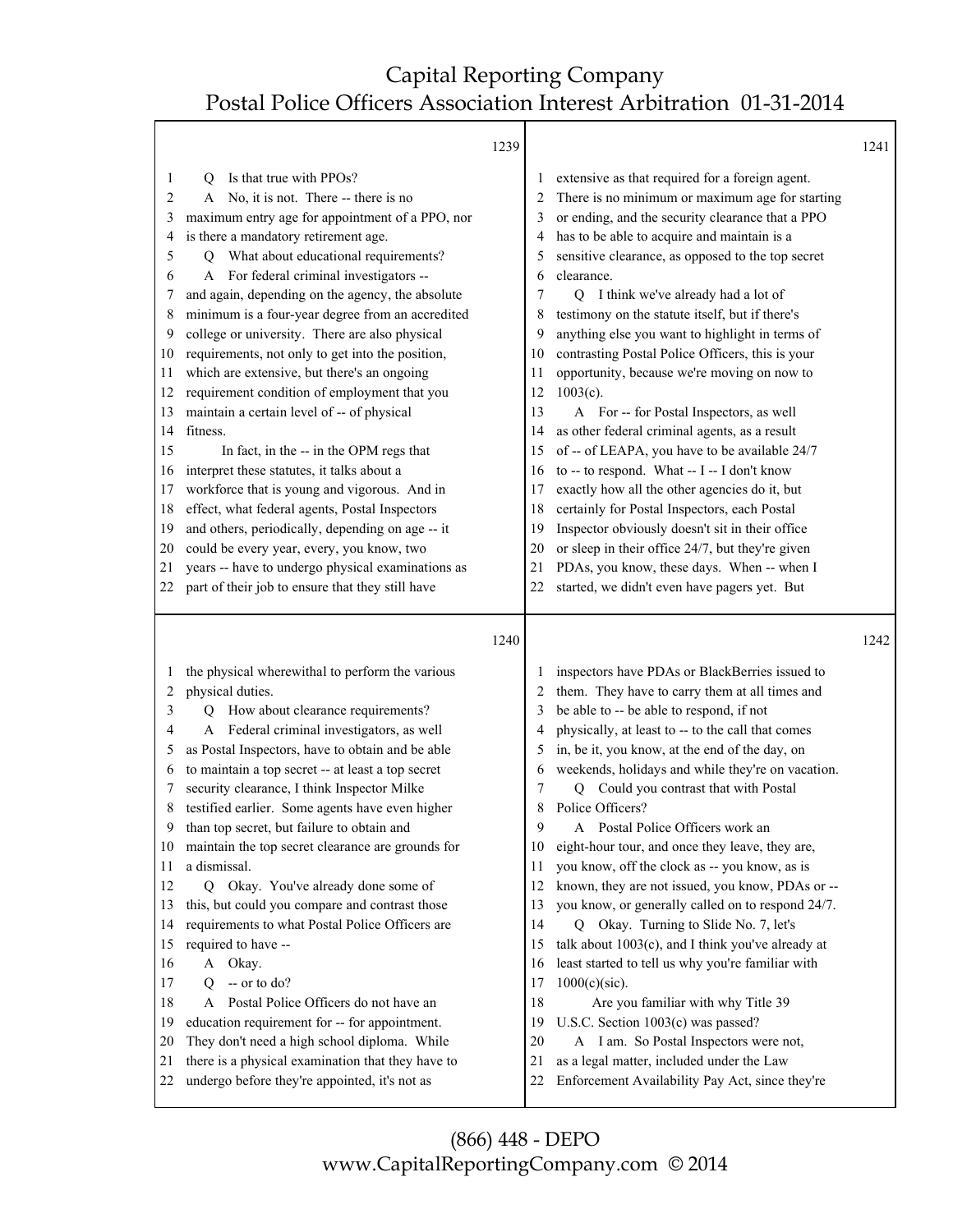T

| extensive as that required for a foreign agent.<br>There is no minimum or maximum age for starting<br>or ending, and the security clearance that a PPO<br>has to be able to acquire and maintain is a<br>sensitive clearance, as opposed to the top secret<br>I think we've already had a lot of<br>testimony on the statute itself, but if there's<br>anything else you want to highlight in terms of<br>contrasting Postal Police Officers, this is your<br>opportunity, because we're moving on now to<br>A For -- for Postal Inspectors, as well<br>as other federal criminal agents, as a result<br>of -- of LEAPA, you have to be available 24/7<br>to -- to respond. What -- I -- I don't know<br>exactly how all the other agencies do it, but<br>certainly for Postal Inspectors, each Postal<br>Inspector obviously doesn't sit in their office<br>or sleep in their office 24/7, but they're given |
|---------------------------------------------------------------------------------------------------------------------------------------------------------------------------------------------------------------------------------------------------------------------------------------------------------------------------------------------------------------------------------------------------------------------------------------------------------------------------------------------------------------------------------------------------------------------------------------------------------------------------------------------------------------------------------------------------------------------------------------------------------------------------------------------------------------------------------------------------------------------------------------------------------------|
|                                                                                                                                                                                                                                                                                                                                                                                                                                                                                                                                                                                                                                                                                                                                                                                                                                                                                                               |
| PDAs, you know, these days. When -- when I<br>started, we didn't even have pagers yet. But                                                                                                                                                                                                                                                                                                                                                                                                                                                                                                                                                                                                                                                                                                                                                                                                                    |
|                                                                                                                                                                                                                                                                                                                                                                                                                                                                                                                                                                                                                                                                                                                                                                                                                                                                                                               |
| 1242                                                                                                                                                                                                                                                                                                                                                                                                                                                                                                                                                                                                                                                                                                                                                                                                                                                                                                          |
| inspectors have PDAs or BlackBerries issued to<br>them. They have to carry them at all times and<br>be able to -- be able to respond, if not<br>physically, at least to -- to the call that comes<br>in, be it, you know, at the end of the day, on<br>weekends, holidays and while they're on vacation.<br>Q Could you contrast that with Postal<br>Police Officers?<br>A Postal Police Officers work an<br>eight-hour tour, and once they leave, they are,<br>you know, off the clock as -- you know, as is<br>known, they are not issued, you know, PDAs or --<br>you know, or generally called on to respond 24/7.<br>Q Okay. Turning to Slide No. 7, let's<br>talk about 1003(c), and I think you've already at<br>least started to tell us why you're familiar with                                                                                                                                     |
|                                                                                                                                                                                                                                                                                                                                                                                                                                                                                                                                                                                                                                                                                                                                                                                                                                                                                                               |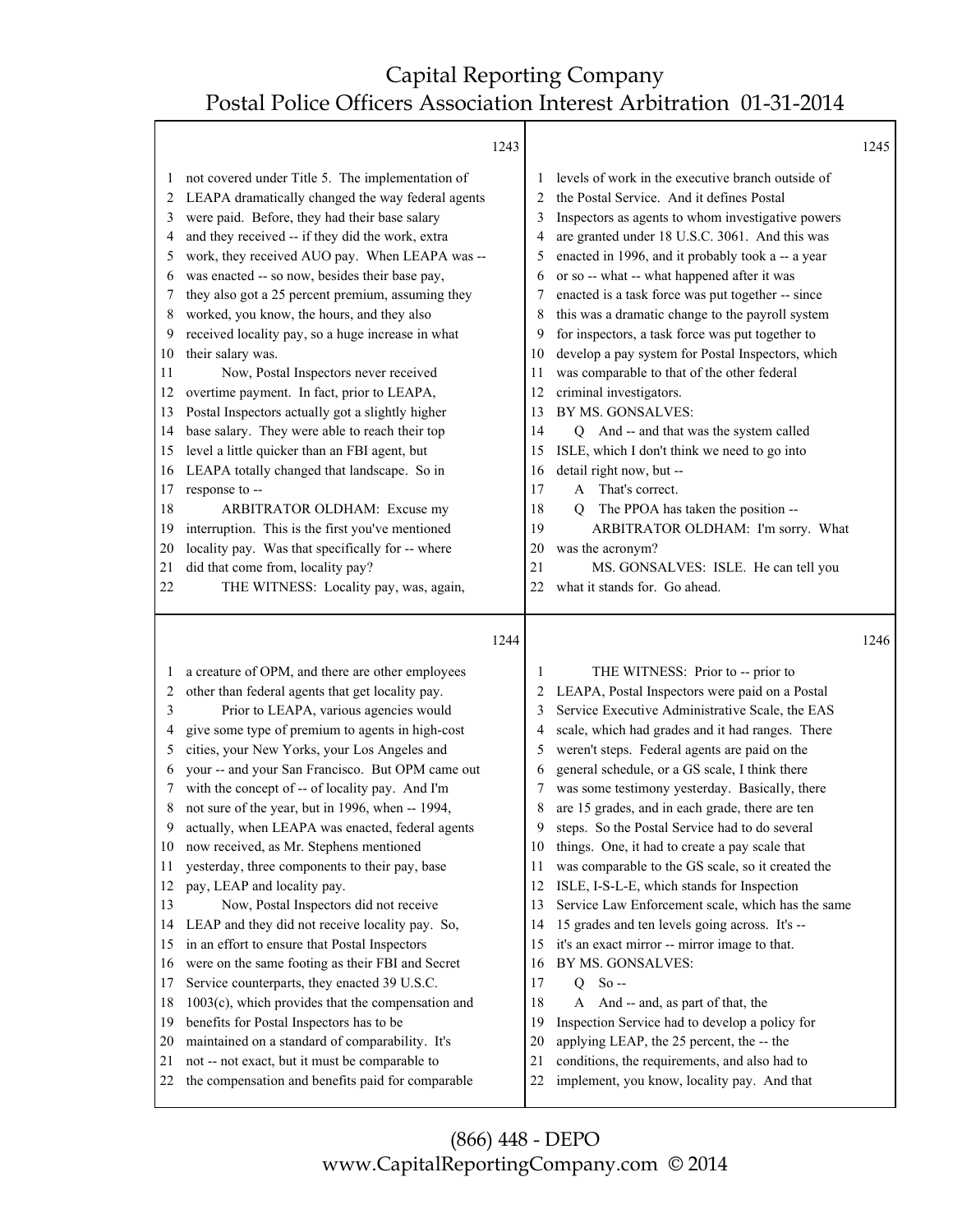|        | 1243                                                 |        |                                                   | 1245 |
|--------|------------------------------------------------------|--------|---------------------------------------------------|------|
| 1      | not covered under Title 5. The implementation of     |        | levels of work in the executive branch outside of |      |
| 2      | LEAPA dramatically changed the way federal agents    | 2      | the Postal Service. And it defines Postal         |      |
| 3      | were paid. Before, they had their base salary        | 3      | Inspectors as agents to whom investigative powers |      |
| 4      | and they received -- if they did the work, extra     | 4      | are granted under 18 U.S.C. 3061. And this was    |      |
| 5      | work, they received AUO pay. When LEAPA was --       | 5      | enacted in 1996, and it probably took a -- a year |      |
| 6      | was enacted -- so now, besides their base pay,       | 6      | or so -- what -- what happened after it was       |      |
| 7      | they also got a 25 percent premium, assuming they    | 7      | enacted is a task force was put together -- since |      |
| 8      | worked, you know, the hours, and they also           | 8      | this was a dramatic change to the payroll system  |      |
| 9      | received locality pay, so a huge increase in what    | 9      | for inspectors, a task force was put together to  |      |
| 10     | their salary was.                                    | 10     | develop a pay system for Postal Inspectors, which |      |
| 11     | Now, Postal Inspectors never received                | 11     | was comparable to that of the other federal       |      |
| 12     | overtime payment. In fact, prior to LEAPA,           | 12     | criminal investigators.                           |      |
| 13     | Postal Inspectors actually got a slightly higher     | 13     | BY MS. GONSALVES:                                 |      |
| 14     | base salary. They were able to reach their top       | 14     | Q And -- and that was the system called           |      |
|        | level a little quicker than an FBI agent, but        | 15     | ISLE, which I don't think we need to go into      |      |
| 15     |                                                      |        |                                                   |      |
| 16     | LEAPA totally changed that landscape. So in          | 16     | detail right now, but --                          |      |
| 17     | response to --                                       | 17     | A That's correct.                                 |      |
| 18     | ARBITRATOR OLDHAM: Excuse my                         | 18     | The PPOA has taken the position --<br>0           |      |
| 19     | interruption. This is the first you've mentioned     | 19     | ARBITRATOR OLDHAM: I'm sorry. What                |      |
| 20     | locality pay. Was that specifically for -- where     | 20     | was the acronym?                                  |      |
| 21     | did that come from, locality pay?                    | 21     | MS. GONSALVES: ISLE. He can tell you              |      |
| 22     | THE WITNESS: Locality pay, was, again,               | 22     | what it stands for. Go ahead.                     |      |
|        |                                                      |        |                                                   |      |
|        |                                                      |        |                                                   |      |
|        | 1244                                                 |        |                                                   | 1246 |
| 1      | a creature of OPM, and there are other employees     | 1      | THE WITNESS: Prior to -- prior to                 |      |
| 2      | other than federal agents that get locality pay.     | 2      |                                                   |      |
| 3      |                                                      | 3      | LEAPA, Postal Inspectors were paid on a Postal    |      |
| 4      | Prior to LEAPA, various agencies would               | 4      | Service Executive Administrative Scale, the EAS   |      |
| 5      | give some type of premium to agents in high-cost     | 5      | scale, which had grades and it had ranges. There  |      |
| 6      | cities, your New Yorks, your Los Angeles and         | 6      | weren't steps. Federal agents are paid on the     |      |
|        | your -- and your San Francisco. But OPM came out     |        | general schedule, or a GS scale, I think there    |      |
| 7      | with the concept of -- of locality pay. And I'm      | 7      | was some testimony yesterday. Basically, there    |      |
| 8<br>9 | not sure of the year, but in 1996, when -- 1994,     | 8<br>9 | are 15 grades, and in each grade, there are ten   |      |
|        | actually, when LEAPA was enacted, federal agents     |        | steps. So the Postal Service had to do several    |      |
| 10     | now received, as Mr. Stephens mentioned              | 10     | things. One, it had to create a pay scale that    |      |
| 11     | yesterday, three components to their pay, base       | 11     | was comparable to the GS scale, so it created the |      |
| 12     | pay, LEAP and locality pay.                          | 12     | ISLE, I-S-L-E, which stands for Inspection        |      |
| 13     | Now, Postal Inspectors did not receive               | 13     | Service Law Enforcement scale, which has the same |      |
| 14     | LEAP and they did not receive locality pay. So,      | 14     | 15 grades and ten levels going across. It's --    |      |
| 15     | in an effort to ensure that Postal Inspectors        | 15     | it's an exact mirror -- mirror image to that.     |      |
| 16     | were on the same footing as their FBI and Secret     | 16     | BY MS. GONSALVES:                                 |      |
| 17     | Service counterparts, they enacted 39 U.S.C.         | 17     | $So -$<br>Q                                       |      |
| 18     | $1003(c)$ , which provides that the compensation and | 18     | And -- and, as part of that, the<br>A             |      |
| 19     | benefits for Postal Inspectors has to be             | 19     | Inspection Service had to develop a policy for    |      |
| 20     | maintained on a standard of comparability. It's      | 20     | applying LEAP, the 25 percent, the -- the         |      |
| 21     | not -- not exact, but it must be comparable to       | 21     | conditions, the requirements, and also had to     |      |
| 22     | the compensation and benefits paid for comparable    | 22     | implement, you know, locality pay. And that       |      |

(866) 448 - DEPO www.CapitalReportingCompany.com © 2014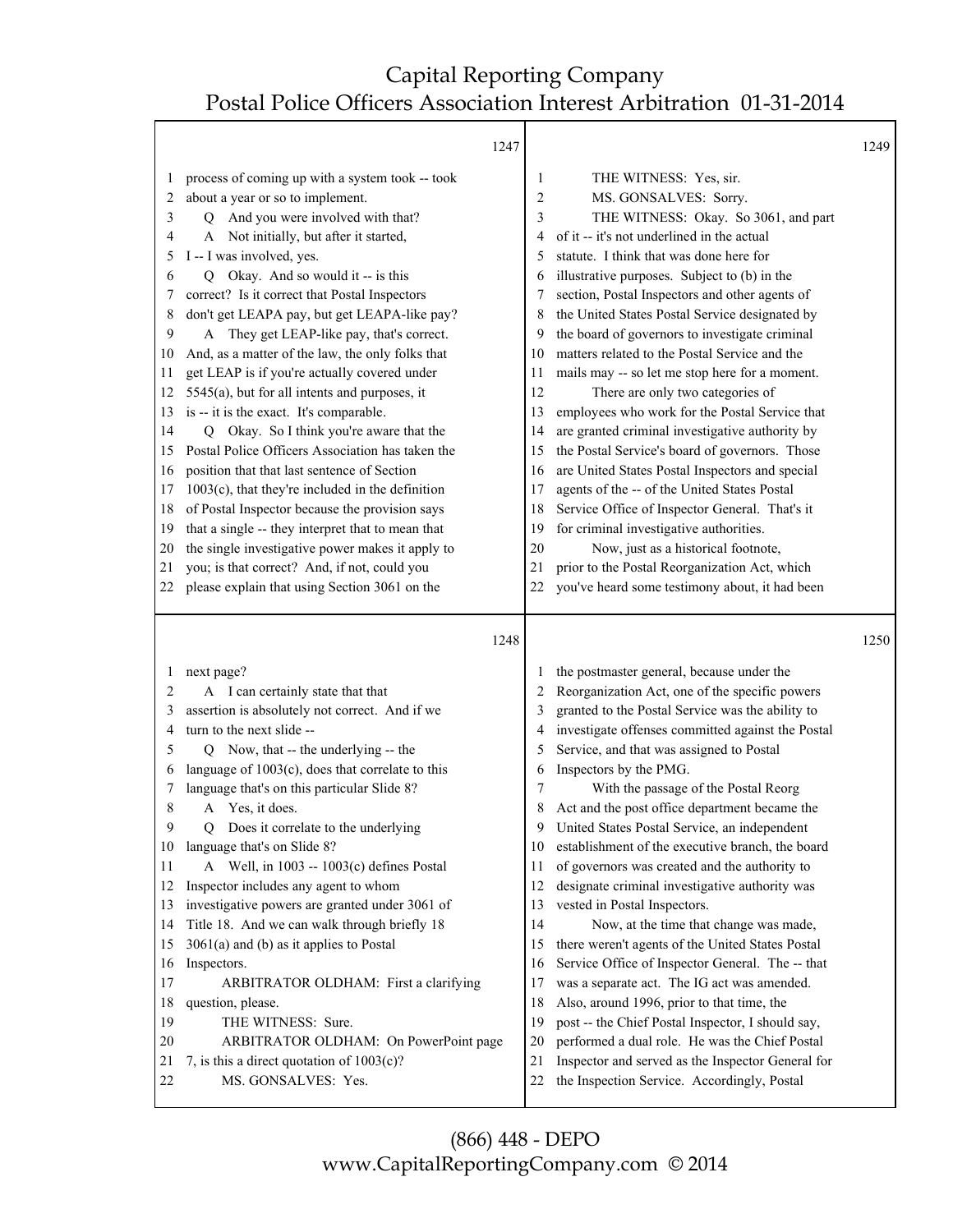|          | 1247                                                                |                |                                                                                                  | 1249 |
|----------|---------------------------------------------------------------------|----------------|--------------------------------------------------------------------------------------------------|------|
| 1        | process of coming up with a system took -- took                     | 1              | THE WITNESS: Yes, sir.                                                                           |      |
| 2        | about a year or so to implement.                                    | $\overline{2}$ | MS. GONSALVES: Sorry.                                                                            |      |
| 3        | And you were involved with that?<br>Q                               | 3              | THE WITNESS: Okay. So 3061, and part                                                             |      |
| 4        | Not initially, but after it started,<br>A                           | 4              | of it -- it's not underlined in the actual                                                       |      |
| 5        | I -- I was involved, yes.                                           | 5              | statute. I think that was done here for                                                          |      |
| 6        | Okay. And so would it -- is this<br>Q                               | 6              | illustrative purposes. Subject to (b) in the                                                     |      |
| 7        | correct? Is it correct that Postal Inspectors                       | 7              | section, Postal Inspectors and other agents of                                                   |      |
| 8        | don't get LEAPA pay, but get LEAPA-like pay?                        | 8              | the United States Postal Service designated by                                                   |      |
| 9        | A They get LEAP-like pay, that's correct.                           | 9              | the board of governors to investigate criminal                                                   |      |
| 10       | And, as a matter of the law, the only folks that                    | 10             | matters related to the Postal Service and the                                                    |      |
| 11       | get LEAP is if you're actually covered under                        | 11             | mails may -- so let me stop here for a moment.                                                   |      |
| 12       | 5545(a), but for all intents and purposes, it                       | 12             | There are only two categories of                                                                 |      |
| 13       | is -- it is the exact. It's comparable.                             | 13             | employees who work for the Postal Service that                                                   |      |
| 14       | Q Okay. So I think you're aware that the                            | 14             | are granted criminal investigative authority by                                                  |      |
| 15       | Postal Police Officers Association has taken the                    | 15             | the Postal Service's board of governors. Those                                                   |      |
| 16       | position that that last sentence of Section                         | 16             | are United States Postal Inspectors and special                                                  |      |
| 17       | $1003(c)$ , that they're included in the definition                 | 17             | agents of the -- of the United States Postal                                                     |      |
| 18       | of Postal Inspector because the provision says                      | 18             | Service Office of Inspector General. That's it                                                   |      |
| 19       | that a single -- they interpret that to mean that                   | 19             | for criminal investigative authorities.                                                          |      |
| 20       | the single investigative power makes it apply to                    | 20             | Now, just as a historical footnote,                                                              |      |
| 21       | you; is that correct? And, if not, could you                        | 21             | prior to the Postal Reorganization Act, which                                                    |      |
| 22       | please explain that using Section 3061 on the                       | 22             | you've heard some testimony about, it had been                                                   |      |
|          |                                                                     |                |                                                                                                  |      |
|          |                                                                     |                |                                                                                                  |      |
|          | 1248                                                                |                |                                                                                                  | 1250 |
| 1        | next page?                                                          | 1              | the postmaster general, because under the                                                        |      |
| 2        | A I can certainly state that that                                   | 2              | Reorganization Act, one of the specific powers                                                   |      |
| 3        | assertion is absolutely not correct. And if we                      | 3              | granted to the Postal Service was the ability to                                                 |      |
| 4        | turn to the next slide --                                           | 4              | investigate offenses committed against the Postal                                                |      |
| 5        | Now, that -- the underlying -- the<br>Q                             | 5              | Service, and that was assigned to Postal                                                         |      |
| 6        | language of $1003(c)$ , does that correlate to this                 | 6              | Inspectors by the PMG.                                                                           |      |
| 7        | language that's on this particular Slide 8?                         | 7              | With the passage of the Postal Reorg                                                             |      |
| 8        | Yes, it does.<br>A                                                  | 8              | Act and the post office department became the                                                    |      |
| 9        | Does it correlate to the underlying<br>Q.                           | 9              | United States Postal Service, an independent                                                     |      |
| 10       | language that's on Slide 8?                                         | 10             | establishment of the executive branch, the board                                                 |      |
| 11       | Well, in 1003 -- 1003(c) defines Postal<br>A                        | 11             | of governors was created and the authority to                                                    |      |
| 12       | Inspector includes any agent to whom                                | 12             | designate criminal investigative authority was                                                   |      |
| 13       | investigative powers are granted under 3061 of                      | 13             | vested in Postal Inspectors.                                                                     |      |
| 14       | Title 18. And we can walk through briefly 18                        | 14             | Now, at the time that change was made,                                                           |      |
| 15       | $3061(a)$ and (b) as it applies to Postal                           | 15             | there weren't agents of the United States Postal                                                 |      |
| 16       | Inspectors.                                                         | 16             | Service Office of Inspector General. The -- that                                                 |      |
| 17       | ARBITRATOR OLDHAM: First a clarifying                               | 17             | was a separate act. The IG act was amended.                                                      |      |
| 18       | question, please.                                                   | 18             | Also, around 1996, prior to that time, the                                                       |      |
| 19       | THE WITNESS: Sure.                                                  | 19             | post -- the Chief Postal Inspector, I should say,                                                |      |
| 20       | ARBITRATOR OLDHAM: On PowerPoint page                               | 20             | performed a dual role. He was the Chief Postal                                                   |      |
| 21<br>22 | 7, is this a direct quotation of $1003(c)$ ?<br>MS. GONSALVES: Yes. | 21<br>22       | Inspector and served as the Inspector General for<br>the Inspection Service. Accordingly, Postal |      |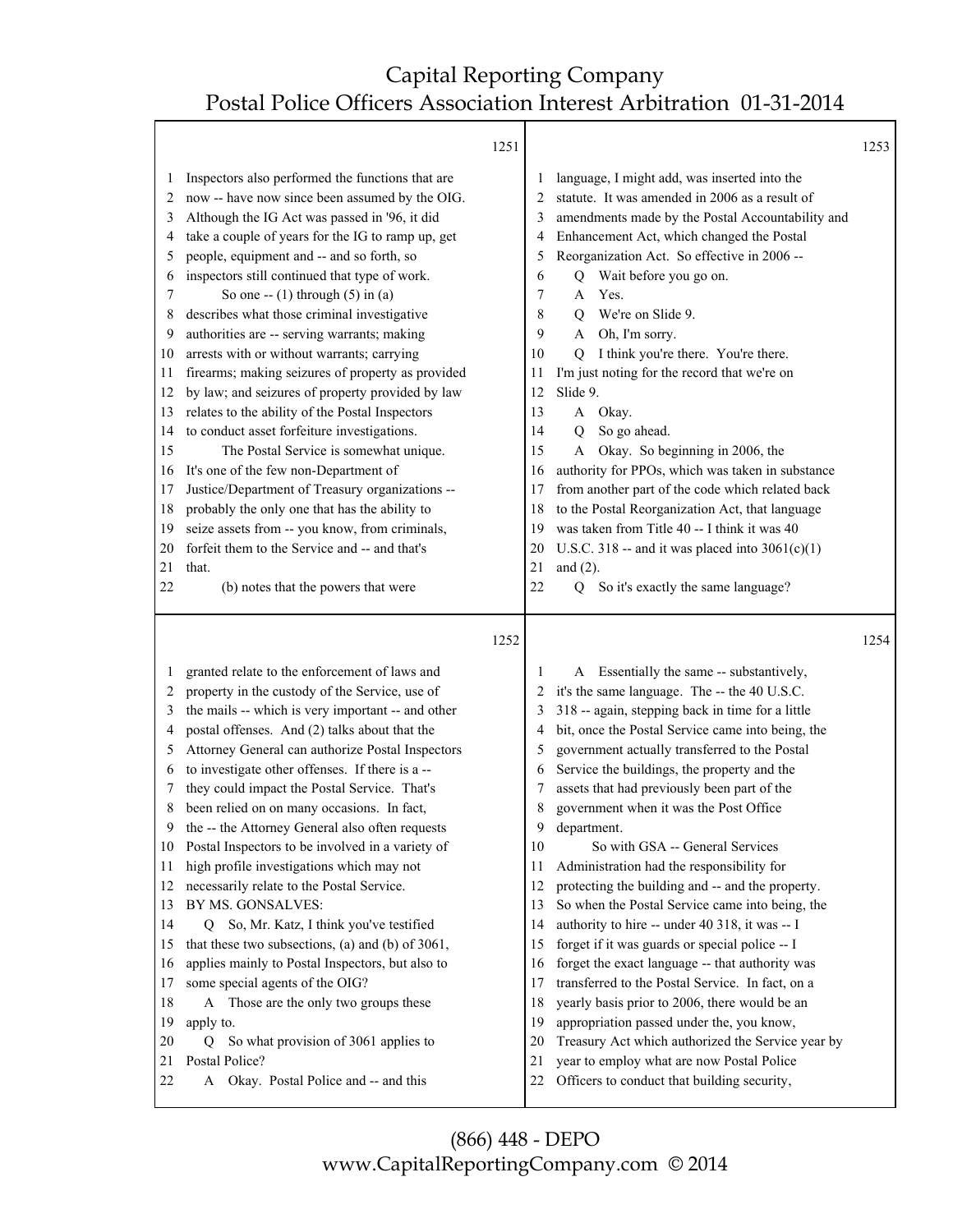Τ

Г

|                                                                                                                         |                                                                                                                                                                                                                                                                                                                                                                                                                                                                                                                                                                                                                                                                                                                                                                                                                                                                                                                                                                                                            | 1251                                                                                                                    |                                                                                                                                                                                                                                                                                                                                                                                                                                                                                                                                                                                                                                                                                                                                                                                                                                                                                                                                                                                                                                                            | 1253 |
|-------------------------------------------------------------------------------------------------------------------------|------------------------------------------------------------------------------------------------------------------------------------------------------------------------------------------------------------------------------------------------------------------------------------------------------------------------------------------------------------------------------------------------------------------------------------------------------------------------------------------------------------------------------------------------------------------------------------------------------------------------------------------------------------------------------------------------------------------------------------------------------------------------------------------------------------------------------------------------------------------------------------------------------------------------------------------------------------------------------------------------------------|-------------------------------------------------------------------------------------------------------------------------|------------------------------------------------------------------------------------------------------------------------------------------------------------------------------------------------------------------------------------------------------------------------------------------------------------------------------------------------------------------------------------------------------------------------------------------------------------------------------------------------------------------------------------------------------------------------------------------------------------------------------------------------------------------------------------------------------------------------------------------------------------------------------------------------------------------------------------------------------------------------------------------------------------------------------------------------------------------------------------------------------------------------------------------------------------|------|
| 2<br>3<br>4<br>5<br>6<br>7<br>8<br>9<br>10<br>11<br>12<br>13<br>14<br>15<br>16<br>17<br>18<br>19<br>20<br>21            | Inspectors also performed the functions that are<br>now -- have now since been assumed by the OIG.<br>Although the IG Act was passed in '96, it did<br>take a couple of years for the IG to ramp up, get<br>people, equipment and -- and so forth, so<br>inspectors still continued that type of work.<br>So one -- $(1)$ through $(5)$ in $(a)$<br>describes what those criminal investigative<br>authorities are -- serving warrants; making<br>arrests with or without warrants; carrying<br>firearms; making seizures of property as provided<br>by law; and seizures of property provided by law<br>relates to the ability of the Postal Inspectors<br>to conduct asset forfeiture investigations.<br>The Postal Service is somewhat unique.<br>It's one of the few non-Department of<br>Justice/Department of Treasury organizations --<br>probably the only one that has the ability to<br>seize assets from -- you know, from criminals,<br>forfeit them to the Service and -- and that's<br>that. | 2<br>3<br>4<br>5<br>6<br>7<br>8<br>9<br>10<br>11<br>12<br>13<br>14<br>15<br>16<br>17<br>18<br>19<br>20<br>21            | language, I might add, was inserted into the<br>statute. It was amended in 2006 as a result of<br>amendments made by the Postal Accountability and<br>Enhancement Act, which changed the Postal<br>Reorganization Act. So effective in 2006 --<br>Wait before you go on.<br>Q<br>Yes.<br>A<br>We're on Slide 9.<br>О<br>Oh, I'm sorry.<br>A<br>I think you're there. You're there.<br>O<br>I'm just noting for the record that we're on<br>Slide 9.<br>Okay.<br>A<br>So go ahead.<br>0<br>Okay. So beginning in 2006, the<br>A<br>authority for PPOs, which was taken in substance<br>from another part of the code which related back<br>to the Postal Reorganization Act, that language<br>was taken from Title 40 -- I think it was 40<br>U.S.C. 318 -- and it was placed into $3061(c)(1)$<br>and $(2)$ .                                                                                                                                                                                                                                              |      |
| 22                                                                                                                      | (b) notes that the powers that were                                                                                                                                                                                                                                                                                                                                                                                                                                                                                                                                                                                                                                                                                                                                                                                                                                                                                                                                                                        | 22                                                                                                                      | So it's exactly the same language?<br>0                                                                                                                                                                                                                                                                                                                                                                                                                                                                                                                                                                                                                                                                                                                                                                                                                                                                                                                                                                                                                    |      |
|                                                                                                                         |                                                                                                                                                                                                                                                                                                                                                                                                                                                                                                                                                                                                                                                                                                                                                                                                                                                                                                                                                                                                            | 1252                                                                                                                    |                                                                                                                                                                                                                                                                                                                                                                                                                                                                                                                                                                                                                                                                                                                                                                                                                                                                                                                                                                                                                                                            | 1254 |
| 1<br>2<br>3<br>4<br>5<br>6<br>7<br>8<br>9<br>10<br>11<br>12<br>13<br>14<br>15<br>16<br>17<br>18<br>19<br>20<br>21<br>22 | granted relate to the enforcement of laws and<br>property in the custody of the Service, use of<br>the mails -- which is very important -- and other<br>postal offenses. And (2) talks about that the<br>Attorney General can authorize Postal Inspectors<br>to investigate other offenses. If there is a --<br>they could impact the Postal Service. That's<br>been relied on on many occasions. In fact,<br>the -- the Attorney General also often requests<br>Postal Inspectors to be involved in a variety of<br>high profile investigations which may not<br>necessarily relate to the Postal Service.<br>BY MS. GONSALVES:<br>Q So, Mr. Katz, I think you've testified<br>that these two subsections, (a) and (b) of 3061,<br>applies mainly to Postal Inspectors, but also to<br>some special agents of the OIG?<br>Those are the only two groups these<br>A<br>apply to.<br>So what provision of 3061 applies to<br>Q<br>Postal Police?<br>Okay. Postal Police and -- and this<br>A                | 1<br>2<br>3<br>4<br>5<br>6<br>7<br>8<br>9<br>10<br>11<br>12<br>13<br>14<br>15<br>16<br>17<br>18<br>19<br>20<br>21<br>22 | A Essentially the same -- substantively,<br>it's the same language. The -- the 40 U.S.C.<br>318 -- again, stepping back in time for a little<br>bit, once the Postal Service came into being, the<br>government actually transferred to the Postal<br>Service the buildings, the property and the<br>assets that had previously been part of the<br>government when it was the Post Office<br>department.<br>So with GSA -- General Services<br>Administration had the responsibility for<br>protecting the building and -- and the property.<br>So when the Postal Service came into being, the<br>authority to hire -- under 40 318, it was -- I<br>forget if it was guards or special police -- I<br>forget the exact language -- that authority was<br>transferred to the Postal Service. In fact, on a<br>yearly basis prior to 2006, there would be an<br>appropriation passed under the, you know,<br>Treasury Act which authorized the Service year by<br>year to employ what are now Postal Police<br>Officers to conduct that building security, |      |

(866) 448 - DEPO www.CapitalReportingCompany.com © 2014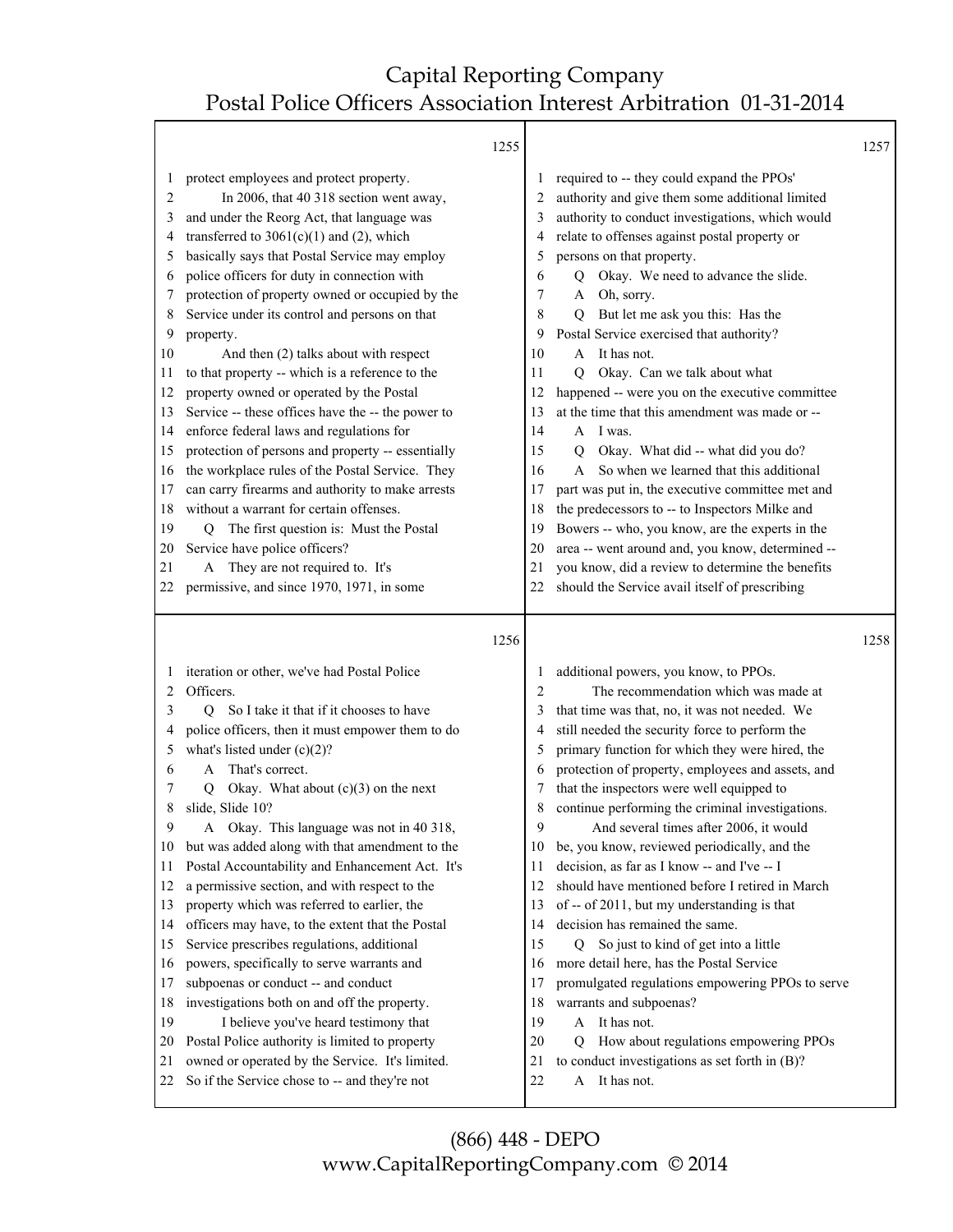Τ

|                                        | 1255                                                                                             |                |                                                                 | 1257 |
|----------------------------------------|--------------------------------------------------------------------------------------------------|----------------|-----------------------------------------------------------------|------|
| 1                                      | protect employees and protect property.                                                          |                | required to -- they could expand the PPOs'                      |      |
| 2                                      | In 2006, that 40 318 section went away,                                                          | 2              | authority and give them some additional limited                 |      |
| 3                                      | and under the Reorg Act, that language was                                                       | 3              | authority to conduct investigations, which would                |      |
| 4                                      | transferred to $3061(c)(1)$ and (2), which                                                       | 4              | relate to offenses against postal property or                   |      |
| 5                                      | basically says that Postal Service may employ                                                    | 5              | persons on that property.                                       |      |
| 6                                      | police officers for duty in connection with                                                      | 6              | Okay. We need to advance the slide.<br>Q                        |      |
| 7                                      | protection of property owned or occupied by the                                                  | 7              | Oh, sorry.<br>A                                                 |      |
| 8                                      | Service under its control and persons on that                                                    | 8              | But let me ask you this: Has the<br>Q                           |      |
| 9                                      | property.                                                                                        | 9              | Postal Service exercised that authority?                        |      |
| 10                                     | And then (2) talks about with respect                                                            | 10             | A It has not.                                                   |      |
| 11                                     | to that property -- which is a reference to the                                                  | 11             | Okay. Can we talk about what<br>O                               |      |
| 12                                     | property owned or operated by the Postal                                                         | 12             | happened -- were you on the executive committee                 |      |
| 13                                     | Service -- these offices have the -- the power to                                                | 13             | at the time that this amendment was made or --                  |      |
| 14                                     | enforce federal laws and regulations for                                                         | 14             | I was.<br>$\mathsf{A}$                                          |      |
| 15                                     | protection of persons and property -- essentially                                                | 15             | Okay. What did -- what did you do?<br>$\mathbf Q$               |      |
| 16                                     | the workplace rules of the Postal Service. They                                                  | 16             | So when we learned that this additional<br>$\mathsf{A}$         |      |
| 17                                     | can carry firearms and authority to make arrests                                                 | 17             | part was put in, the executive committee met and                |      |
| 18                                     | without a warrant for certain offenses.                                                          | 18             | the predecessors to -- to Inspectors Milke and                  |      |
| 19                                     | The first question is: Must the Postal<br>Q                                                      | 19             | Bowers -- who, you know, are the experts in the                 |      |
| 20                                     | Service have police officers?                                                                    | 20             | area -- went around and, you know, determined --                |      |
| 21                                     | A They are not required to. It's                                                                 | 21             | you know, did a review to determine the benefits                |      |
| 22                                     | permissive, and since 1970, 1971, in some                                                        | 22             | should the Service avail itself of prescribing                  |      |
|                                        |                                                                                                  |                |                                                                 |      |
|                                        | 1256                                                                                             |                |                                                                 | 1258 |
|                                        |                                                                                                  |                |                                                                 |      |
| 1                                      | iteration or other, we've had Postal Police                                                      | 1              | additional powers, you know, to PPOs.                           |      |
| 2                                      | Officers.                                                                                        | $\overline{2}$ | The recommendation which was made at                            |      |
| 3                                      | So I take it that if it chooses to have<br>О                                                     | 3              | that time was that, no, it was not needed. We                   |      |
| 4                                      | police officers, then it must empower them to do                                                 | 4              | still needed the security force to perform the                  |      |
| 5                                      | what's listed under $(c)(2)$ ?                                                                   | 5              | primary function for which they were hired, the                 |      |
| 6                                      | That's correct.<br>A                                                                             | 6              | protection of property, employees and assets, and               |      |
| 7                                      | Okay. What about $(c)(3)$ on the next<br>О                                                       | 7              | that the inspectors were well equipped to                       |      |
| 8                                      | slide, Slide 10?                                                                                 | 8              | continue performing the criminal investigations.                |      |
| 9                                      | Okay. This language was not in 40 318,<br>A                                                      | 9              | And several times after 2006, it would                          |      |
| 10                                     | but was added along with that amendment to the                                                   | 10             | be, you know, reviewed periodically, and the                    |      |
| 11                                     | Postal Accountability and Enhancement Act. It's                                                  | 11             | decision, as far as I know -- and I've -- I                     |      |
| 12                                     | a permissive section, and with respect to the                                                    | 12             | should have mentioned before I retired in March                 |      |
| 13                                     | property which was referred to earlier, the                                                      | 13             | of -- of 2011, but my understanding is that                     |      |
| 14                                     | officers may have, to the extent that the Postal                                                 | 14             | decision has remained the same.                                 |      |
|                                        | Service prescribes regulations, additional                                                       | 15             | Q So just to kind of get into a little                          |      |
|                                        | powers, specifically to serve warrants and                                                       | 16             | more detail here, has the Postal Service                        |      |
|                                        | subpoenas or conduct -- and conduct                                                              | 17             | promulgated regulations empowering PPOs to serve                |      |
|                                        | investigations both on and off the property.                                                     | 18             | warrants and subpoenas?                                         |      |
|                                        | I believe you've heard testimony that                                                            | 19             | A It has not.                                                   |      |
| 15<br>16<br>17<br>18<br>19<br>20<br>21 | Postal Police authority is limited to property                                                   | 20             | How about regulations empowering PPOs<br>Q                      |      |
| 22                                     | owned or operated by the Service. It's limited.<br>So if the Service chose to -- and they're not | 21<br>22       | to conduct investigations as set forth in (B)?<br>A It has not. |      |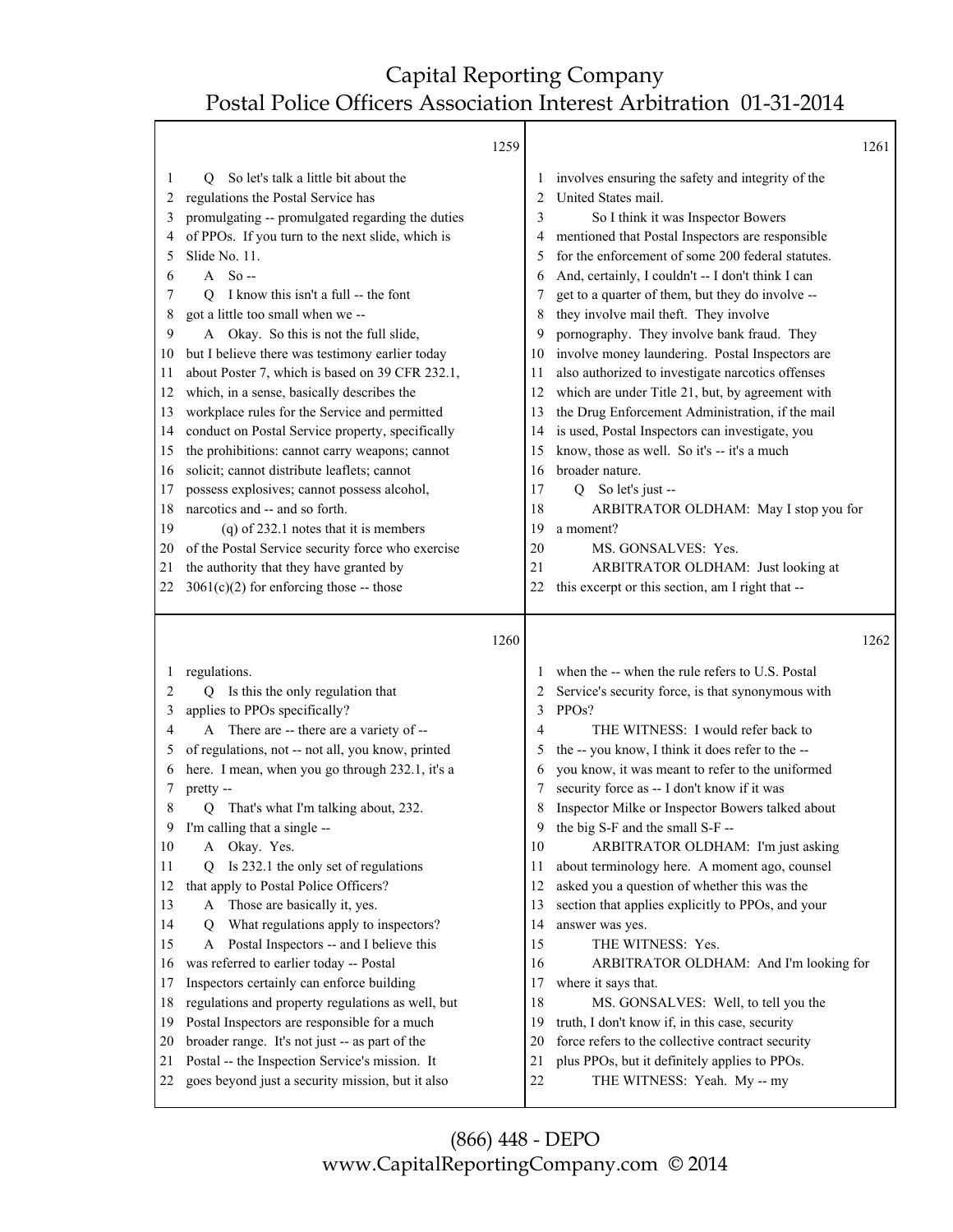Τ

|         |                                                   | 1259 |              | 1261                                              |  |
|---------|---------------------------------------------------|------|--------------|---------------------------------------------------|--|
| 1       | So let's talk a little bit about the<br>Ő         |      | $\perp$      | involves ensuring the safety and integrity of the |  |
| 2       | regulations the Postal Service has                |      | 2            | United States mail.                               |  |
| 3       | promulgating -- promulgated regarding the duties  |      | 3            | So I think it was Inspector Bowers                |  |
| 4       | of PPOs. If you turn to the next slide, which is  |      | 4            | mentioned that Postal Inspectors are responsible  |  |
| 5       | Slide No. 11.                                     |      | 5            | for the enforcement of some 200 federal statutes. |  |
| 6       | $A$ So-                                           |      | 6            | And, certainly, I couldn't -- I don't think I can |  |
| 7       | I know this isn't a full -- the font<br>O         |      | 7            | get to a quarter of them, but they do involve --  |  |
| 8       | got a little too small when we --                 |      | 8            | they involve mail theft. They involve             |  |
| 9       | A Okay. So this is not the full slide,            |      | 9            | pornography. They involve bank fraud. They        |  |
| 10      | but I believe there was testimony earlier today   |      | 10           | involve money laundering. Postal Inspectors are   |  |
| 11      | about Poster 7, which is based on 39 CFR 232.1,   |      | 11           | also authorized to investigate narcotics offenses |  |
| 12      | which, in a sense, basically describes the        |      | 12           | which are under Title 21, but, by agreement with  |  |
| 13      | workplace rules for the Service and permitted     |      | 13           | the Drug Enforcement Administration, if the mail  |  |
| 14      | conduct on Postal Service property, specifically  |      | 14           | is used, Postal Inspectors can investigate, you   |  |
| 15      | the prohibitions: cannot carry weapons; cannot    |      | 15           | know, those as well. So it's -- it's a much       |  |
| 16      | solicit; cannot distribute leaflets; cannot       |      | 16           | broader nature.                                   |  |
| 17      | possess explosives; cannot possess alcohol,       |      | 17           | Q So let's just --                                |  |
| 18      | narcotics and -- and so forth.                    |      | 18           | ARBITRATOR OLDHAM: May I stop you for             |  |
| 19      | $(q)$ of 232.1 notes that it is members           |      | 19           | a moment?                                         |  |
| 20      | of the Postal Service security force who exercise |      | 20           | MS. GONSALVES: Yes.                               |  |
| 21      | the authority that they have granted by           |      | 21           | ARBITRATOR OLDHAM: Just looking at                |  |
| 22      | $3061(c)(2)$ for enforcing those -- those         |      | 22           | this excerpt or this section, am I right that --  |  |
|         |                                                   | 1260 |              | 1262                                              |  |
|         |                                                   |      |              |                                                   |  |
| $\perp$ | regulations.                                      |      | $\mathbf{I}$ | when the -- when the rule refers to U.S. Postal   |  |
| 2       | Is this the only regulation that<br>O.            |      | 2            | Service's security force, is that synonymous with |  |
| 3       | applies to PPOs specifically?                     |      | 3            | PPO <sub>s</sub> ?                                |  |
| 4       | A There are -- there are a variety of --          |      | 4            | THE WITNESS: I would refer back to                |  |
| 5       | of regulations, not -- not all, you know, printed |      | 5            | the -- you know, I think it does refer to the --  |  |
| 6       | here. I mean, when you go through 232.1, it's a   |      | 6            | you know, it was meant to refer to the uniformed  |  |
| 7       | pretty --                                         |      | 7            | security force as -- I don't know if it was       |  |
| 8       | That's what I'm talking about, 232.<br>О          |      | 8            | Inspector Milke or Inspector Bowers talked about  |  |
| 9       | I'm calling that a single --                      |      | 9            | the big S-F and the small S-F --                  |  |
| 10      | Okay. Yes.<br>A                                   |      | 10           | ARBITRATOR OLDHAM: I'm just asking                |  |
| 11      | Is 232.1 the only set of regulations<br>Ő         |      | 11           | about terminology here. A moment ago, counsel     |  |
| 12      | that apply to Postal Police Officers?             |      | 12           | asked you a question of whether this was the      |  |
| 13      | Those are basically it, yes.<br>A                 |      | 13           | section that applies explicitly to PPOs, and your |  |
| 14      | What regulations apply to inspectors?<br>Q        |      | 14           | answer was yes.                                   |  |
| 15      | Postal Inspectors -- and I believe this<br>A      |      | 15           | THE WITNESS: Yes.                                 |  |
| 16      | was referred to earlier today -- Postal           |      | 16           | ARBITRATOR OLDHAM: And I'm looking for            |  |
| 17      | Inspectors certainly can enforce building         |      | 17           | where it says that.                               |  |
| 18      | regulations and property regulations as well, but |      | 18           | MS. GONSALVES: Well, to tell you the              |  |
| 19      | Postal Inspectors are responsible for a much      |      | 19           | truth, I don't know if, in this case, security    |  |
| 20      | broader range. It's not just -- as part of the    |      | 20           | force refers to the collective contract security  |  |
| 21      | Postal -- the Inspection Service's mission. It    |      | 21           | plus PPOs, but it definitely applies to PPOs.     |  |
| 22      | goes beyond just a security mission, but it also  |      | 22           | THE WITNESS: Yeah. My -- my                       |  |
|         |                                                   |      |              |                                                   |  |

(866) 448 - DEPO www.CapitalReportingCompany.com © 2014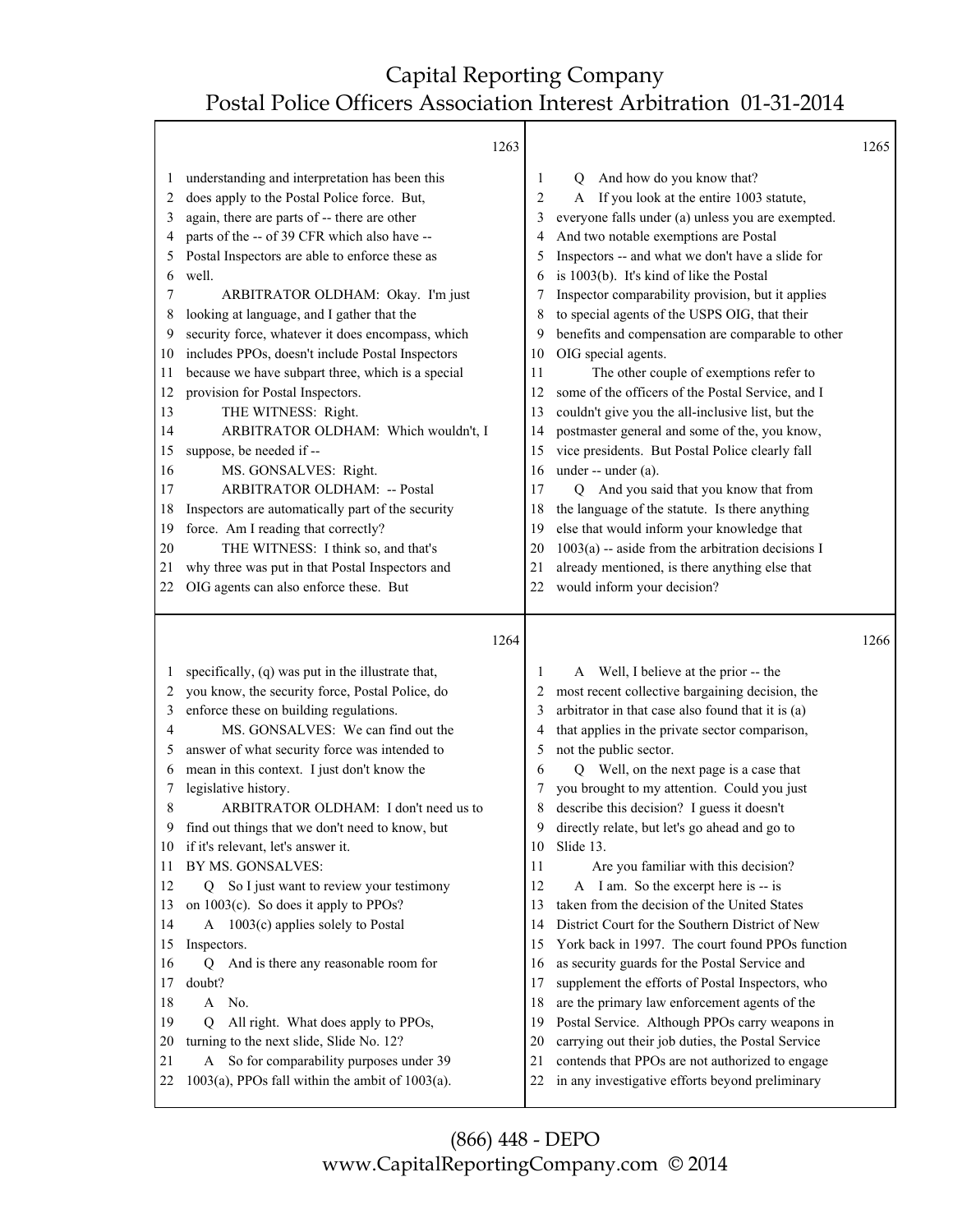|                                                                                                                                                                                                                                                                                                                                                                                                                                                                                                                                                                                                                                                                                                                                                                                                                                                                                                                                                                                                                                                              | 1263                                                                       |                                                                                                                                                                                                                                                                                                                                                                                                                                                                                                                                                                                                                                                                                                                                                                                                                                                                                                                                                                                                                                                                                        | 1265 |
|--------------------------------------------------------------------------------------------------------------------------------------------------------------------------------------------------------------------------------------------------------------------------------------------------------------------------------------------------------------------------------------------------------------------------------------------------------------------------------------------------------------------------------------------------------------------------------------------------------------------------------------------------------------------------------------------------------------------------------------------------------------------------------------------------------------------------------------------------------------------------------------------------------------------------------------------------------------------------------------------------------------------------------------------------------------|----------------------------------------------------------------------------|----------------------------------------------------------------------------------------------------------------------------------------------------------------------------------------------------------------------------------------------------------------------------------------------------------------------------------------------------------------------------------------------------------------------------------------------------------------------------------------------------------------------------------------------------------------------------------------------------------------------------------------------------------------------------------------------------------------------------------------------------------------------------------------------------------------------------------------------------------------------------------------------------------------------------------------------------------------------------------------------------------------------------------------------------------------------------------------|------|
| understanding and interpretation has been this<br>1<br>does apply to the Postal Police force. But,<br>2<br>again, there are parts of -- there are other<br>3<br>parts of the -- of 39 CFR which also have --<br>4<br>Postal Inspectors are able to enforce these as<br>5<br>well.<br>6<br>ARBITRATOR OLDHAM: Okay. I'm just<br>7<br>looking at language, and I gather that the<br>8<br>security force, whatever it does encompass, which<br>9<br>includes PPOs, doesn't include Postal Inspectors<br>10<br>because we have subpart three, which is a special<br>11<br>provision for Postal Inspectors.<br>12<br>THE WITNESS: Right.<br>13<br>ARBITRATOR OLDHAM: Which wouldn't, I<br>14<br>suppose, be needed if --<br>15<br>MS. GONSALVES: Right.<br>16<br>ARBITRATOR OLDHAM: -- Postal<br>17<br>Inspectors are automatically part of the security<br>18<br>force. Am I reading that correctly?<br>19<br>THE WITNESS: I think so, and that's<br>20<br>why three was put in that Postal Inspectors and<br>21<br>OIG agents can also enforce these. But<br>22 | 10<br>11<br>12<br>13<br>14<br>15<br>16<br>17<br>18<br>19<br>20<br>21<br>22 | And how do you know that?<br>1<br>Q<br>If you look at the entire 1003 statute,<br>2<br>A<br>everyone falls under (a) unless you are exempted.<br>3<br>And two notable exemptions are Postal<br>4<br>Inspectors -- and what we don't have a slide for<br>5<br>is 1003(b). It's kind of like the Postal<br>6<br>Inspector comparability provision, but it applies<br>to special agents of the USPS OIG, that their<br>8<br>benefits and compensation are comparable to other<br>9<br>OIG special agents.<br>The other couple of exemptions refer to<br>some of the officers of the Postal Service, and I<br>couldn't give you the all-inclusive list, but the<br>postmaster general and some of the, you know,<br>vice presidents. But Postal Police clearly fall<br>under -- under (a).<br>And you said that you know that from<br>O.<br>the language of the statute. Is there anything<br>else that would inform your knowledge that<br>$1003(a)$ -- aside from the arbitration decisions I<br>already mentioned, is there anything else that<br>would inform your decision?           |      |
|                                                                                                                                                                                                                                                                                                                                                                                                                                                                                                                                                                                                                                                                                                                                                                                                                                                                                                                                                                                                                                                              | 1264                                                                       |                                                                                                                                                                                                                                                                                                                                                                                                                                                                                                                                                                                                                                                                                                                                                                                                                                                                                                                                                                                                                                                                                        | 1266 |
| specifically, (q) was put in the illustrate that,<br>1<br>you know, the security force, Postal Police, do<br>2<br>enforce these on building regulations.<br>3<br>MS. GONSALVES: We can find out the<br>4<br>answer of what security force was intended to<br>5<br>mean in this context. I just don't know the<br>6<br>legislative history.<br>7<br>ARBITRATOR OLDHAM: I don't need us to<br>8<br>find out things that we don't need to know, but<br>9<br>if it's relevant, let's answer it.<br>10<br>BY MS. GONSALVES:<br>11<br>So I just want to review your testimony<br>12<br>Q.<br>on 1003(c). So does it apply to PPOs?<br>13<br>$1003(c)$ applies solely to Postal<br>14<br>A<br>Inspectors.<br>15<br>And is there any reasonable room for<br>16<br>Q<br>doubt?<br>17<br>A No.<br>18<br>All right. What does apply to PPOs,<br>19<br>О<br>turning to the next slide, Slide No. 12?<br>20<br>A So for comparability purposes under 39<br>21<br>$1003(a)$ , PPOs fall within the ambit of $1003(a)$ .<br>22                                              | 10<br>11<br>12<br>13<br>14<br>15<br>16<br>17<br>18<br>19<br>20<br>21<br>22 | A Well, I believe at the prior -- the<br>1<br>most recent collective bargaining decision, the<br>2<br>arbitrator in that case also found that it is (a)<br>3<br>that applies in the private sector comparison,<br>4<br>not the public sector.<br>5<br>Q Well, on the next page is a case that<br>6<br>you brought to my attention. Could you just<br>7<br>describe this decision? I guess it doesn't<br>8<br>directly relate, but let's go ahead and go to<br>9<br>Slide 13.<br>Are you familiar with this decision?<br>A I am. So the excerpt here is -- is<br>taken from the decision of the United States<br>District Court for the Southern District of New<br>York back in 1997. The court found PPOs function<br>as security guards for the Postal Service and<br>supplement the efforts of Postal Inspectors, who<br>are the primary law enforcement agents of the<br>Postal Service. Although PPOs carry weapons in<br>carrying out their job duties, the Postal Service<br>contends that PPOs are not authorized to engage<br>in any investigative efforts beyond preliminary |      |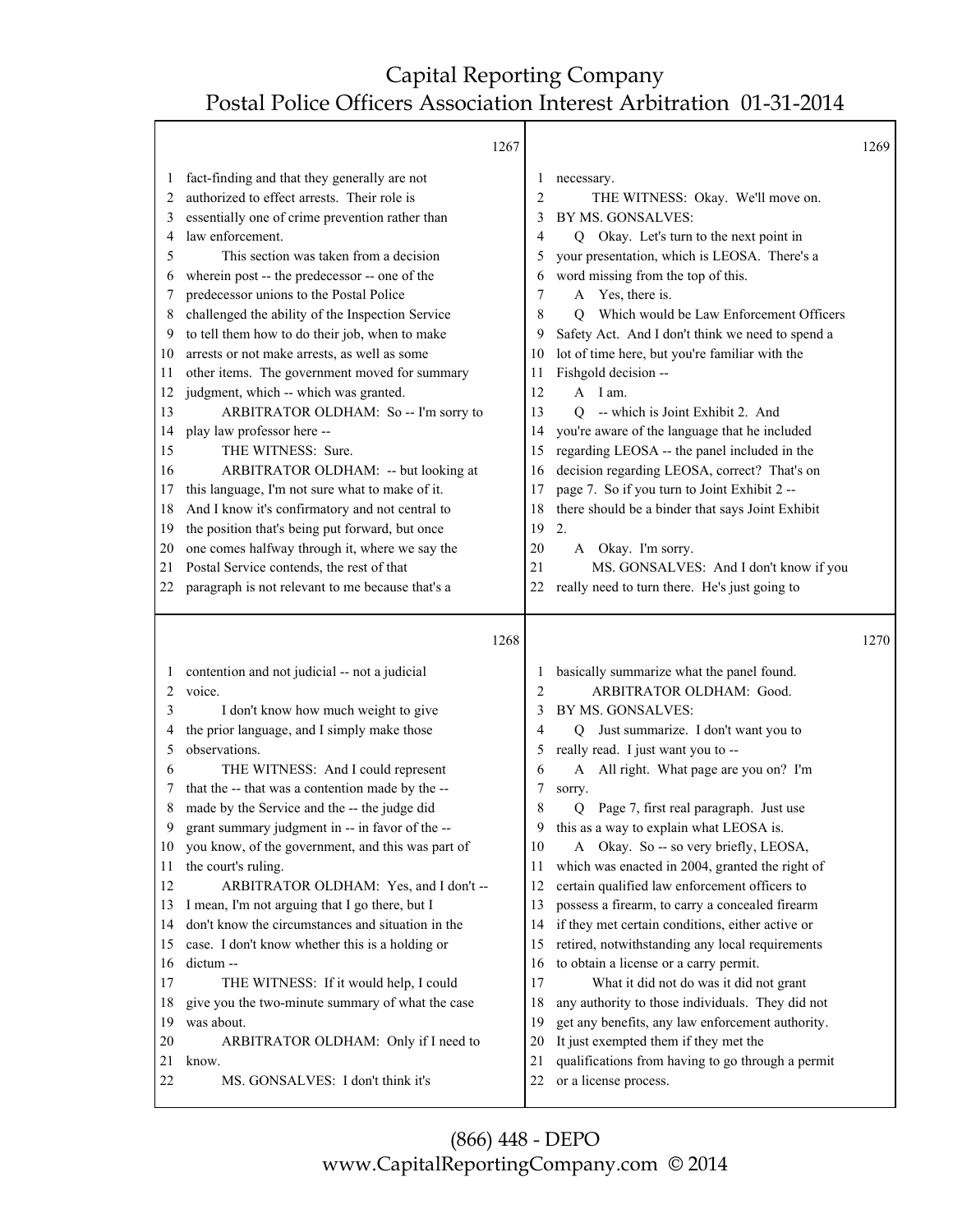Τ

⅂

|    | 1267                                              |    |                                                       | 1269 |
|----|---------------------------------------------------|----|-------------------------------------------------------|------|
| 1  | fact-finding and that they generally are not      |    | necessary.<br>$\mathbf{I}$                            |      |
| 2  | authorized to effect arrests. Their role is       |    | $\overline{2}$<br>THE WITNESS: Okay. We'll move on.   |      |
| 3  | essentially one of crime prevention rather than   |    | BY MS. GONSALVES:<br>3                                |      |
| 4  | law enforcement.                                  |    | Q Okay. Let's turn to the next point in<br>4          |      |
| 5  | This section was taken from a decision            |    | your presentation, which is LEOSA. There's a<br>5     |      |
| 6  | wherein post -- the predecessor -- one of the     |    | word missing from the top of this.<br>6               |      |
| 7  | predecessor unions to the Postal Police           |    | A Yes, there is.<br>7                                 |      |
| 8  | challenged the ability of the Inspection Service  |    | Which would be Law Enforcement Officers<br>8<br>O     |      |
| 9  | to tell them how to do their job, when to make    |    | Safety Act. And I don't think we need to spend a<br>9 |      |
| 10 | arrests or not make arrests, as well as some      | 10 | lot of time here, but you're familiar with the        |      |
| 11 | other items. The government moved for summary     | 11 | Fishgold decision --                                  |      |
| 12 | judgment, which -- which was granted.             | 12 | A I am.                                               |      |
| 13 | ARBITRATOR OLDHAM: So -- I'm sorry to             | 13 | Q -- which is Joint Exhibit 2. And                    |      |
| 14 | play law professor here --                        | 14 | you're aware of the language that he included         |      |
| 15 | THE WITNESS: Sure.                                | 15 | regarding LEOSA -- the panel included in the          |      |
| 16 | ARBITRATOR OLDHAM: -- but looking at              | 16 | decision regarding LEOSA, correct? That's on          |      |
| 17 | this language, I'm not sure what to make of it.   | 17 | page 7. So if you turn to Joint Exhibit 2 --          |      |
| 18 | And I know it's confirmatory and not central to   | 18 | there should be a binder that says Joint Exhibit      |      |
| 19 | the position that's being put forward, but once   | 19 | 2.                                                    |      |
| 20 | one comes halfway through it, where we say the    | 20 | A Okay. I'm sorry.                                    |      |
| 21 | Postal Service contends, the rest of that         | 21 | MS. GONSALVES: And I don't know if you                |      |
| 22 | paragraph is not relevant to me because that's a  | 22 | really need to turn there. He's just going to         |      |
|    |                                                   |    |                                                       |      |
|    |                                                   |    |                                                       |      |
|    |                                                   |    |                                                       |      |
|    | 1268                                              |    |                                                       | 1270 |
| 1  | contention and not judicial -- not a judicial     |    | basically summarize what the panel found.<br>1        |      |
| 2  | voice.                                            |    | ARBITRATOR OLDHAM: Good.<br>2                         |      |
| 3  | I don't know how much weight to give              |    | BY MS. GONSALVES:<br>3                                |      |
| 4  | the prior language, and I simply make those       |    | Just summarize. I don't want you to<br>4<br>Q         |      |
| 5  | observations.                                     |    | really read. I just want you to --<br>5               |      |
| 6  | THE WITNESS: And I could represent                |    | All right. What page are you on? I'm<br>A<br>6        |      |
| 7  | that the -- that was a contention made by the --  |    | 7<br>sorry.                                           |      |
| 8  | made by the Service and the -- the judge did      |    | Page 7, first real paragraph. Just use<br>8<br>0      |      |
| 9  | grant summary judgment in -- in favor of the --   |    | this as a way to explain what LEOSA is.<br>9          |      |
| 10 | you know, of the government, and this was part of | 10 | A Okay. So -- so very briefly, LEOSA,                 |      |
| 11 | the court's ruling.                               | 11 | which was enacted in 2004, granted the right of       |      |
| 12 | ARBITRATOR OLDHAM: Yes, and I don't --            | 12 | certain qualified law enforcement officers to         |      |
| 13 | I mean, I'm not arguing that I go there, but I    | 13 | possess a firearm, to carry a concealed firearm       |      |
| 14 | don't know the circumstances and situation in the | 14 | if they met certain conditions, either active or      |      |
| 15 | case. I don't know whether this is a holding or   | 15 | retired, notwithstanding any local requirements       |      |
| 16 | dictum --                                         | 16 | to obtain a license or a carry permit.                |      |
| 17 | THE WITNESS: If it would help, I could            | 17 | What it did not do was it did not grant               |      |
| 18 | give you the two-minute summary of what the case  | 18 | any authority to those individuals. They did not      |      |
| 19 | was about.                                        | 19 | get any benefits, any law enforcement authority.      |      |
| 20 | ARBITRATOR OLDHAM: Only if I need to              | 20 | It just exempted them if they met the                 |      |
| 21 | know.                                             | 21 | qualifications from having to go through a permit     |      |
| 22 | MS. GONSALVES: I don't think it's                 | 22 | or a license process.                                 |      |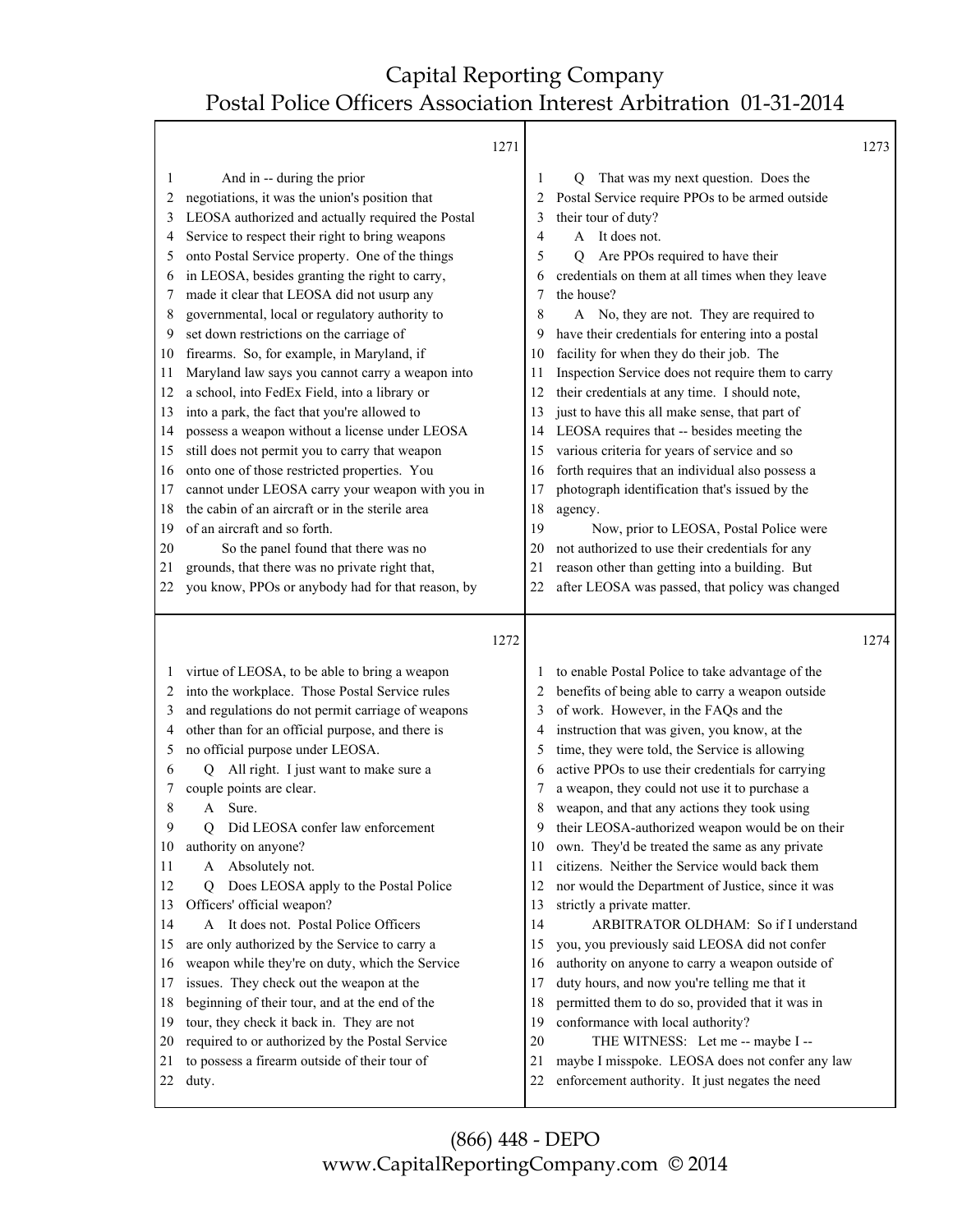Τ

|         | 1271                                              |    |                                                   | 1273 |
|---------|---------------------------------------------------|----|---------------------------------------------------|------|
| 1       | And in -- during the prior                        | 1  | That was my next question. Does the<br>Q          |      |
| 2       | negotiations, it was the union's position that    | 2  | Postal Service require PPOs to be armed outside   |      |
| 3       | LEOSA authorized and actually required the Postal | 3  | their tour of duty?                               |      |
| 4       | Service to respect their right to bring weapons   | 4  | It does not.<br>$\mathsf{A}$                      |      |
| 5       | onto Postal Service property. One of the things   | 5  | Are PPOs required to have their<br>$\mathbf Q$    |      |
| 6       | in LEOSA, besides granting the right to carry,    | 6  | credentials on them at all times when they leave  |      |
| 7       | made it clear that LEOSA did not usurp any        | 7  | the house?                                        |      |
| 8       | governmental, local or regulatory authority to    | 8  | A No, they are not. They are required to          |      |
| 9       | set down restrictions on the carriage of          | 9  | have their credentials for entering into a postal |      |
| 10      | firearms. So, for example, in Maryland, if        | 10 | facility for when they do their job. The          |      |
| 11      | Maryland law says you cannot carry a weapon into  | 11 | Inspection Service does not require them to carry |      |
| 12      | a school, into FedEx Field, into a library or     | 12 | their credentials at any time. I should note,     |      |
| 13      | into a park, the fact that you're allowed to      | 13 | just to have this all make sense, that part of    |      |
| 14      | possess a weapon without a license under LEOSA    | 14 | LEOSA requires that -- besides meeting the        |      |
| 15      | still does not permit you to carry that weapon    | 15 | various criteria for years of service and so      |      |
| 16      | onto one of those restricted properties. You      | 16 | forth requires that an individual also possess a  |      |
| 17      | cannot under LEOSA carry your weapon with you in  | 17 | photograph identification that's issued by the    |      |
| 18      | the cabin of an aircraft or in the sterile area   | 18 | agency.                                           |      |
| 19      | of an aircraft and so forth.                      | 19 | Now, prior to LEOSA, Postal Police were           |      |
| 20      | So the panel found that there was no              | 20 | not authorized to use their credentials for any   |      |
| 21      | grounds, that there was no private right that,    | 21 | reason other than getting into a building. But    |      |
| 22      | you know, PPOs or anybody had for that reason, by | 22 | after LEOSA was passed, that policy was changed   |      |
|         |                                                   |    |                                                   |      |
|         | 1272                                              |    |                                                   | 1274 |
|         |                                                   |    |                                                   |      |
| $\perp$ | virtue of LEOSA, to be able to bring a weapon     | 1  | to enable Postal Police to take advantage of the  |      |
| 2       | into the workplace. Those Postal Service rules    | 2  | benefits of being able to carry a weapon outside  |      |
| 3       | and regulations do not permit carriage of weapons | 3  | of work. However, in the FAQs and the             |      |
| 4       | other than for an official purpose, and there is  | 4  | instruction that was given, you know, at the      |      |
| 5       | no official purpose under LEOSA.                  |    |                                                   |      |
| 6       |                                                   | 5  | time, they were told, the Service is allowing     |      |
|         | Q All right. I just want to make sure a           | 6  | active PPOs to use their credentials for carrying |      |
| 7       | couple points are clear.                          |    | a weapon, they could not use it to purchase a     |      |
| 8       | Sure.<br>A                                        | 8  | weapon, and that any actions they took using      |      |
| 9       | Did LEOSA confer law enforcement<br>Q             | 9  | their LEOSA-authorized weapon would be on their   |      |
| 10      | authority on anyone?                              | 10 | own. They'd be treated the same as any private    |      |
| 11      | Absolutely not.<br>A                              | 11 | citizens. Neither the Service would back them     |      |
| 12      | Does LEOSA apply to the Postal Police<br>O        | 12 | nor would the Department of Justice, since it was |      |
| 13      | Officers' official weapon?                        | 13 | strictly a private matter.                        |      |
| 14      | A It does not. Postal Police Officers             | 14 | ARBITRATOR OLDHAM: So if I understand             |      |
| 15      | are only authorized by the Service to carry a     | 15 | you, you previously said LEOSA did not confer     |      |
| 16      | weapon while they're on duty, which the Service   | 16 | authority on anyone to carry a weapon outside of  |      |
| 17      | issues. They check out the weapon at the          | 17 | duty hours, and now you're telling me that it     |      |
| 18      | beginning of their tour, and at the end of the    | 18 | permitted them to do so, provided that it was in  |      |
| 19      | tour, they check it back in. They are not         | 19 | conformance with local authority?                 |      |
| 20      | required to or authorized by the Postal Service   | 20 | THE WITNESS: Let me -- maybe I --                 |      |
| 21      | to possess a firearm outside of their tour of     | 21 | maybe I misspoke. LEOSA does not confer any law   |      |
| 22      | duty.                                             | 22 | enforcement authority. It just negates the need   |      |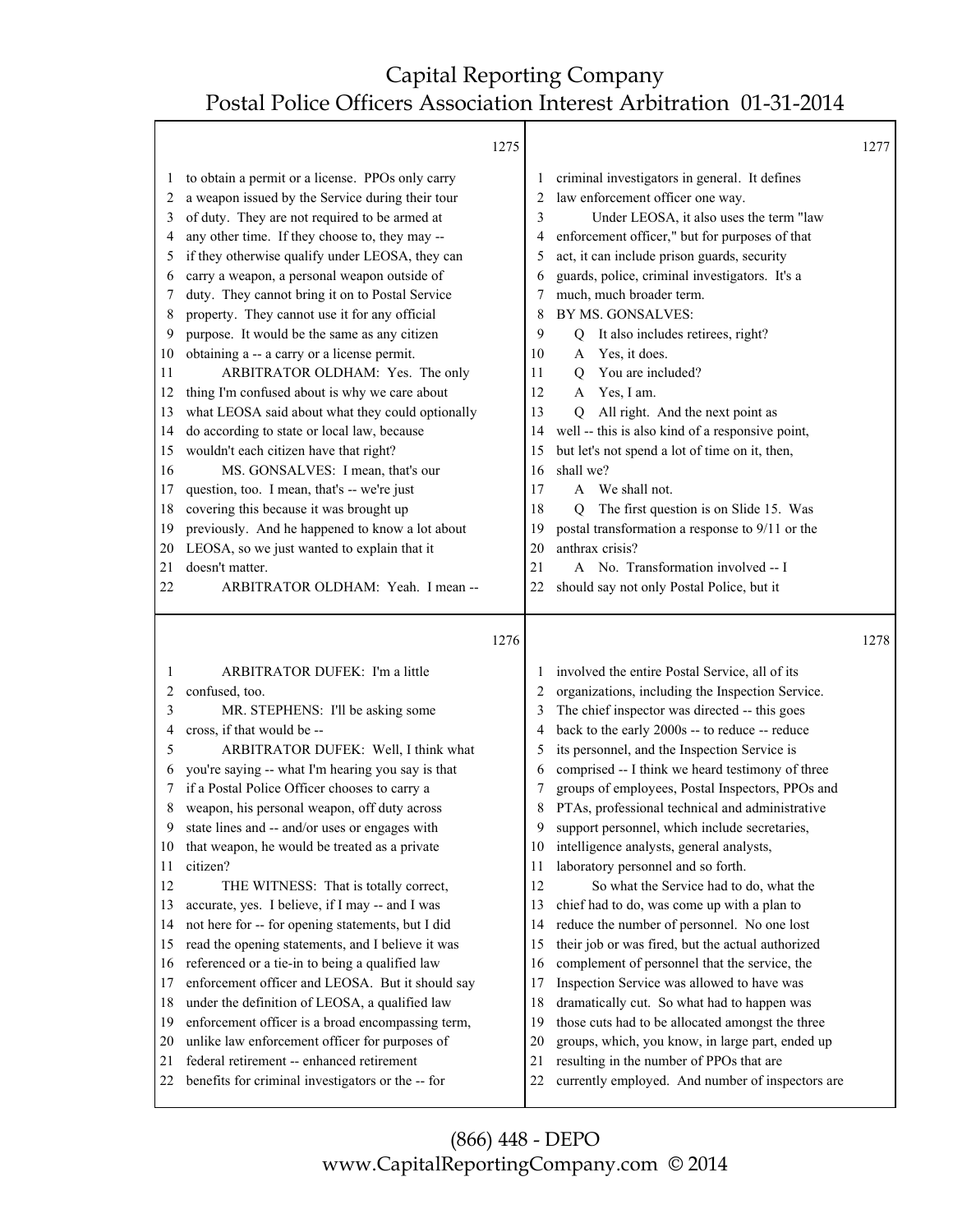|          |                                                                                                | 1275 |          |                                                                                                  | 1277 |
|----------|------------------------------------------------------------------------------------------------|------|----------|--------------------------------------------------------------------------------------------------|------|
| 1        | to obtain a permit or a license. PPOs only carry                                               |      | 1        | criminal investigators in general. It defines                                                    |      |
| 2        | a weapon issued by the Service during their tour                                               |      | 2        | law enforcement officer one way.                                                                 |      |
| 3        | of duty. They are not required to be armed at                                                  |      | 3        | Under LEOSA, it also uses the term "law                                                          |      |
| 4        | any other time. If they choose to, they may --                                                 |      | 4        | enforcement officer," but for purposes of that                                                   |      |
| 5        | if they otherwise qualify under LEOSA, they can                                                |      | 5        | act, it can include prison guards, security                                                      |      |
| 6        | carry a weapon, a personal weapon outside of                                                   |      | 6        | guards, police, criminal investigators. It's a                                                   |      |
| 7        | duty. They cannot bring it on to Postal Service                                                |      | 7        | much, much broader term.                                                                         |      |
| 8        | property. They cannot use it for any official                                                  |      | 8        | BY MS. GONSALVES:                                                                                |      |
| 9        | purpose. It would be the same as any citizen                                                   |      | 9        | It also includes retirees, right?<br>Q                                                           |      |
| 10       | obtaining a -- a carry or a license permit.                                                    |      | 10       | Yes, it does.<br>A                                                                               |      |
| 11       | ARBITRATOR OLDHAM: Yes. The only                                                               |      | 11       | You are included?<br>Q                                                                           |      |
| 12       | thing I'm confused about is why we care about                                                  |      | 12       | Yes, I am.<br>A                                                                                  |      |
| 13       | what LEOSA said about what they could optionally                                               |      | 13       | All right. And the next point as<br>O                                                            |      |
| 14       | do according to state or local law, because                                                    |      | 14       | well -- this is also kind of a responsive point,                                                 |      |
| 15       | wouldn't each citizen have that right?                                                         |      | 15       | but let's not spend a lot of time on it, then,                                                   |      |
| 16       | MS. GONSALVES: I mean, that's our                                                              |      | 16       | shall we?                                                                                        |      |
| 17       | question, too. I mean, that's -- we're just                                                    |      | 17       | We shall not.<br>$\mathsf{A}$                                                                    |      |
| 18       | covering this because it was brought up                                                        |      | 18       | The first question is on Slide 15. Was<br>О                                                      |      |
| 19       | previously. And he happened to know a lot about                                                |      | 19       | postal transformation a response to 9/11 or the                                                  |      |
| 20       | LEOSA, so we just wanted to explain that it                                                    |      | 20       | anthrax crisis?                                                                                  |      |
| 21       | doesn't matter.                                                                                |      | 21       | A No. Transformation involved -- I                                                               |      |
| 22       | ARBITRATOR OLDHAM: Yeah. I mean --                                                             |      | 22       | should say not only Postal Police, but it                                                        |      |
|          |                                                                                                |      |          |                                                                                                  |      |
|          |                                                                                                |      |          |                                                                                                  |      |
|          |                                                                                                |      |          |                                                                                                  |      |
|          |                                                                                                | 1276 |          |                                                                                                  | 1278 |
| 1        | ARBITRATOR DUFEK: I'm a little                                                                 |      | 1        | involved the entire Postal Service, all of its                                                   |      |
| 2        | confused, too.                                                                                 |      | 2        | organizations, including the Inspection Service.                                                 |      |
| 3        | MR. STEPHENS: I'll be asking some                                                              |      | 3        | The chief inspector was directed -- this goes                                                    |      |
| 4        | cross, if that would be --                                                                     |      | 4        | back to the early 2000s -- to reduce -- reduce                                                   |      |
| 5        | ARBITRATOR DUFEK: Well, I think what                                                           |      | 5        | its personnel, and the Inspection Service is                                                     |      |
| 6        | you're saying -- what I'm hearing you say is that                                              |      | 6        | comprised -- I think we heard testimony of three                                                 |      |
| 7        | if a Postal Police Officer chooses to carry a                                                  |      | 7        | groups of employees, Postal Inspectors, PPOs and                                                 |      |
| 8        | weapon, his personal weapon, off duty across                                                   |      | 8        |                                                                                                  |      |
| 9        | state lines and -- and/or uses or engages with                                                 |      | 9        | PTAs, professional technical and administrative<br>support personnel, which include secretaries, |      |
| 10       |                                                                                                |      | 10       |                                                                                                  |      |
| 11       | that weapon, he would be treated as a private<br>citizen?                                      |      | 11       | intelligence analysts, general analysts,<br>laboratory personnel and so forth.                   |      |
|          |                                                                                                |      |          |                                                                                                  |      |
| 12<br>13 | THE WITNESS: That is totally correct,                                                          |      | 12<br>13 | So what the Service had to do, what the                                                          |      |
|          | accurate, yes. I believe, if I may -- and I was                                                |      |          | chief had to do, was come up with a plan to                                                      |      |
| 14<br>15 | not here for -- for opening statements, but I did                                              |      | 14<br>15 | reduce the number of personnel. No one lost                                                      |      |
|          | read the opening statements, and I believe it was                                              |      | 16       | their job or was fired, but the actual authorized                                                |      |
| 16       | referenced or a tie-in to being a qualified law                                                |      |          | complement of personnel that the service, the                                                    |      |
| 17       | enforcement officer and LEOSA. But it should say                                               |      | 17       | Inspection Service was allowed to have was                                                       |      |
| 18       | under the definition of LEOSA, a qualified law                                                 |      | 18       | dramatically cut. So what had to happen was                                                      |      |
| 19       | enforcement officer is a broad encompassing term,                                              |      | 19       | those cuts had to be allocated amongst the three                                                 |      |
| 20       | unlike law enforcement officer for purposes of                                                 |      | 20       | groups, which, you know, in large part, ended up                                                 |      |
| 21<br>22 | federal retirement -- enhanced retirement<br>benefits for criminal investigators or the -- for |      | 21<br>22 | resulting in the number of PPOs that are<br>currently employed. And number of inspectors are     |      |

(866) 448 - DEPO www.CapitalReportingCompany.com © 2014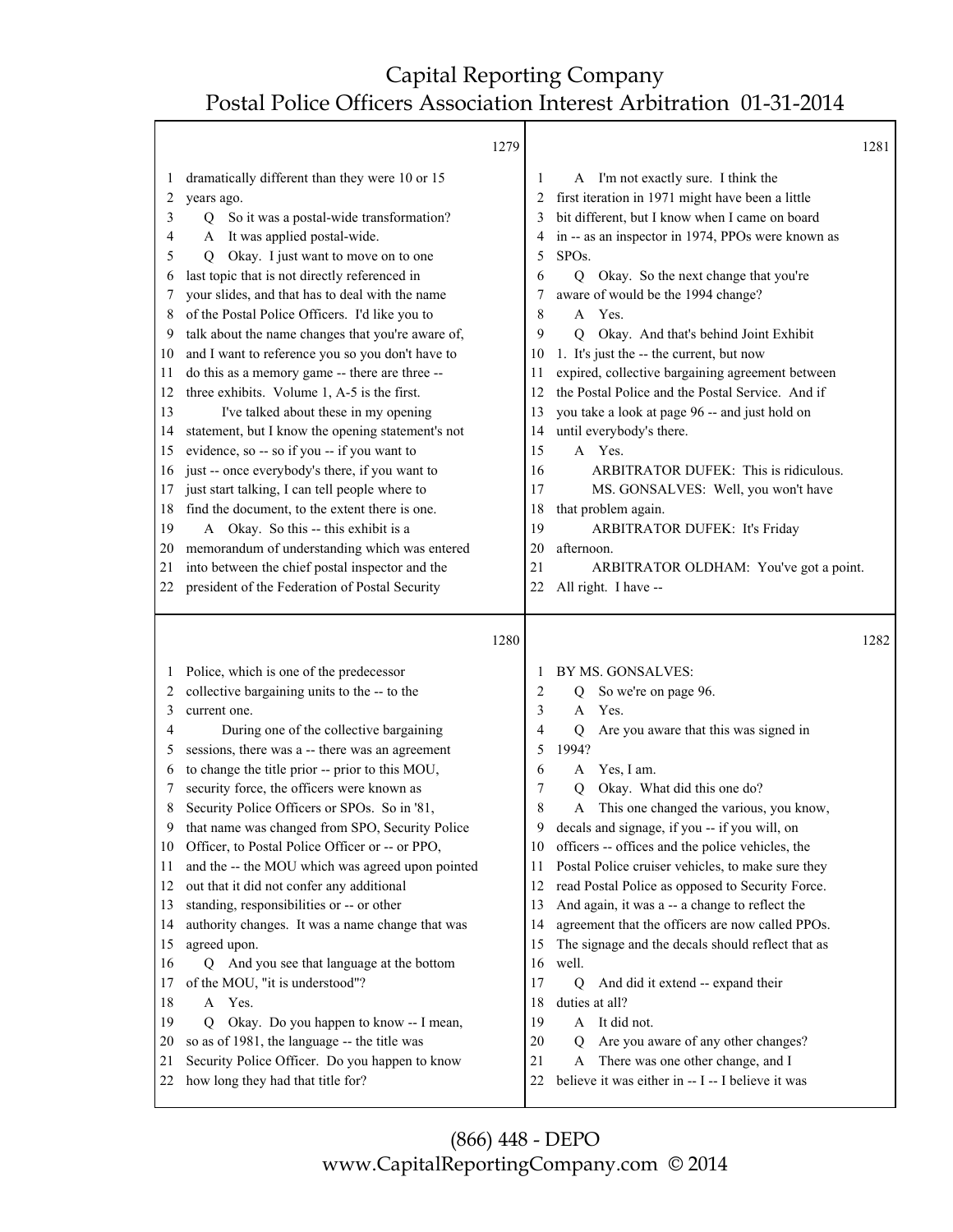|          |                                                                                                               | 1279 |             |                                                                                                                                           | 1281 |
|----------|---------------------------------------------------------------------------------------------------------------|------|-------------|-------------------------------------------------------------------------------------------------------------------------------------------|------|
| 2<br>3   | dramatically different than they were 10 or 15<br>years ago.<br>So it was a postal-wide transformation?<br>Q. |      | 1<br>2<br>3 | A I'm not exactly sure. I think the<br>first iteration in 1971 might have been a little<br>bit different, but I know when I came on board |      |
| 4<br>5   | A It was applied postal-wide.<br>Okay. I just want to move on to one<br>Q                                     |      | 4<br>5      | in -- as an inspector in 1974, PPOs were known as<br>SPO <sub>s</sub> .                                                                   |      |
| 6        | last topic that is not directly referenced in                                                                 |      | 6           | Okay. So the next change that you're<br>$\overline{Q}$                                                                                    |      |
| 7        | your slides, and that has to deal with the name                                                               |      | 7           | aware of would be the 1994 change?                                                                                                        |      |
| 8        | of the Postal Police Officers. I'd like you to                                                                |      | 8           | Yes.<br>A                                                                                                                                 |      |
| 9        | talk about the name changes that you're aware of,                                                             |      | 9           | Okay. And that's behind Joint Exhibit<br>O                                                                                                |      |
| 10<br>11 | and I want to reference you so you don't have to<br>do this as a memory game -- there are three --            |      | 10<br>11    | 1. It's just the -- the current, but now<br>expired, collective bargaining agreement between                                              |      |
| 12       | three exhibits. Volume 1, A-5 is the first.                                                                   |      | 12          | the Postal Police and the Postal Service. And if                                                                                          |      |
| 13       | I've talked about these in my opening                                                                         |      | 13          | you take a look at page 96 -- and just hold on                                                                                            |      |
| 14       | statement, but I know the opening statement's not                                                             |      | 14          | until everybody's there.                                                                                                                  |      |
| 15       | evidence, so -- so if you -- if you want to                                                                   |      | 15          | A Yes.                                                                                                                                    |      |
| 16       | just -- once everybody's there, if you want to                                                                |      | 16          | ARBITRATOR DUFEK: This is ridiculous.                                                                                                     |      |
| 17       | just start talking, I can tell people where to                                                                |      | 17          | MS. GONSALVES: Well, you won't have                                                                                                       |      |
| 18       | find the document, to the extent there is one.                                                                |      | 18          | that problem again.                                                                                                                       |      |
| 19       | A Okay. So this -- this exhibit is a                                                                          |      | 19          | ARBITRATOR DUFEK: It's Friday                                                                                                             |      |
| 20       | memorandum of understanding which was entered                                                                 |      | 20          | afternoon.                                                                                                                                |      |
| 21       | into between the chief postal inspector and the                                                               |      | 21          | ARBITRATOR OLDHAM: You've got a point.                                                                                                    |      |
| 22       | president of the Federation of Postal Security                                                                |      | 22          | All right. I have --                                                                                                                      |      |
|          |                                                                                                               |      |             |                                                                                                                                           |      |
|          |                                                                                                               | 1280 |             |                                                                                                                                           | 1282 |
|          | Police, which is one of the predecessor                                                                       |      | 1           | BY MS. GONSALVES:                                                                                                                         |      |
| 2        | collective bargaining units to the -- to the                                                                  |      | 2           | So we're on page 96.<br>Q                                                                                                                 |      |
| 3        | current one.                                                                                                  |      | 3           | Yes.<br>A                                                                                                                                 |      |
| 4        | During one of the collective bargaining                                                                       |      | 4           | Are you aware that this was signed in<br>Q                                                                                                |      |
| 5        | sessions, there was a -- there was an agreement                                                               |      | 5           | 1994?                                                                                                                                     |      |
| 6        | to change the title prior -- prior to this MOU,                                                               |      | 6           | Yes, I am.<br>A                                                                                                                           |      |
|          | security force, the officers were known as                                                                    |      | 7           | Okay. What did this one do?<br>O                                                                                                          |      |
| 8        | Security Police Officers or SPOs. So in '81,                                                                  |      | 8           | This one changed the various, you know,<br>A                                                                                              |      |
| 9        | that name was changed from SPO, Security Police                                                               |      | 9           | decals and signage, if you -- if you will, on                                                                                             |      |
| 10       | Officer, to Postal Police Officer or -- or PPO,                                                               |      | 10          | officers -- offices and the police vehicles, the                                                                                          |      |
| 11       | and the -- the MOU which was agreed upon pointed                                                              |      | 11          | Postal Police cruiser vehicles, to make sure they                                                                                         |      |
| 12       | out that it did not confer any additional                                                                     |      | 12          | read Postal Police as opposed to Security Force.                                                                                          |      |
| 13<br>14 | standing, responsibilities or -- or other                                                                     |      | 13<br>14    | And again, it was a -- a change to reflect the                                                                                            |      |
| 15       | authority changes. It was a name change that was                                                              |      | 15          | agreement that the officers are now called PPOs.                                                                                          |      |
| 16       | agreed upon.<br>And you see that language at the bottom<br>Q                                                  |      | 16          | The signage and the decals should reflect that as<br>well.                                                                                |      |
| 17       | of the MOU, "it is understood"?                                                                               |      | 17          | And did it extend -- expand their<br>$\mathbf Q$                                                                                          |      |
| 18       | Yes.<br>A                                                                                                     |      | 18          | duties at all?                                                                                                                            |      |
| 19       | Okay. Do you happen to know -- I mean,<br>Q                                                                   |      | 19          | It did not.<br>A                                                                                                                          |      |
| 20       | so as of 1981, the language -- the title was                                                                  |      | 20          | Are you aware of any other changes?<br>O                                                                                                  |      |
| 21       | Security Police Officer. Do you happen to know                                                                |      | 21          | There was one other change, and I<br>A                                                                                                    |      |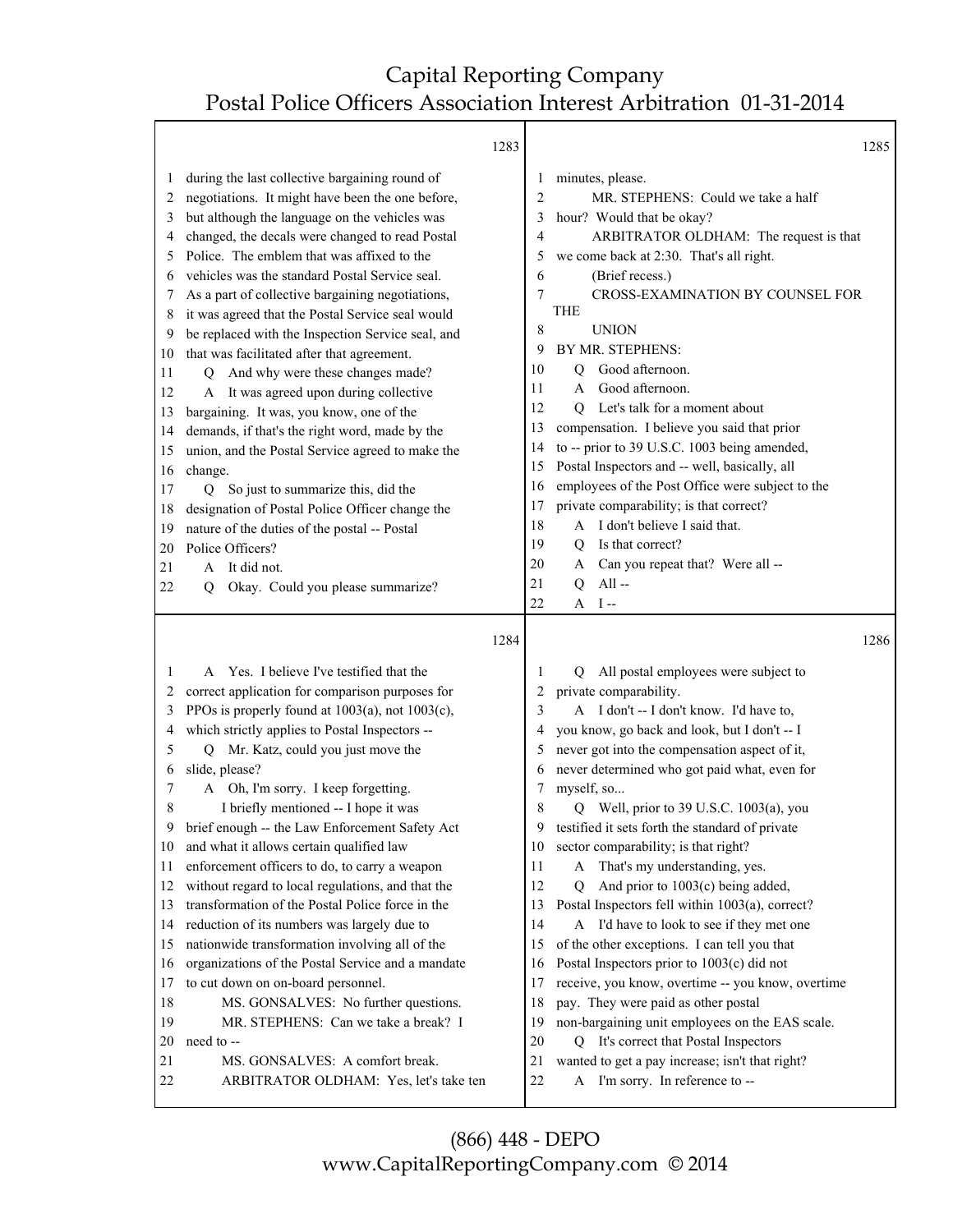|          | 1283                                                                      |                | 1285                                                                               |  |
|----------|---------------------------------------------------------------------------|----------------|------------------------------------------------------------------------------------|--|
| 1        | during the last collective bargaining round of                            | 1              | minutes, please.                                                                   |  |
| 2        | negotiations. It might have been the one before,                          | $\overline{c}$ | MR. STEPHENS: Could we take a half                                                 |  |
| 3        | but although the language on the vehicles was                             | 3              | hour? Would that be okay?                                                          |  |
| 4        | changed, the decals were changed to read Postal                           | 4              | ARBITRATOR OLDHAM: The request is that                                             |  |
| 5        | Police. The emblem that was affixed to the                                | 5              | we come back at 2:30. That's all right.                                            |  |
| 6        | vehicles was the standard Postal Service seal.                            | 6              | (Brief recess.)                                                                    |  |
| 7        | As a part of collective bargaining negotiations,                          | 7              | CROSS-EXAMINATION BY COUNSEL FOR                                                   |  |
| 8        | it was agreed that the Postal Service seal would                          |                | <b>THE</b>                                                                         |  |
| 9        | be replaced with the Inspection Service seal, and                         | 8              | <b>UNION</b>                                                                       |  |
| 10       | that was facilitated after that agreement.                                | 9              | BY MR. STEPHENS:                                                                   |  |
| 11       | Q And why were these changes made?                                        | 10             | Good afternoon.<br>Q                                                               |  |
| 12       | It was agreed upon during collective<br>A                                 | 11             | Good afternoon.<br>A                                                               |  |
| 13       | bargaining. It was, you know, one of the                                  | 12             | Let's talk for a moment about<br>O.                                                |  |
| 14       | demands, if that's the right word, made by the                            | 13             | compensation. I believe you said that prior                                        |  |
| 15       | union, and the Postal Service agreed to make the                          | 14             | to -- prior to 39 U.S.C. 1003 being amended,                                       |  |
| 16       | change.                                                                   | 15             | Postal Inspectors and -- well, basically, all                                      |  |
| 17       | Q So just to summarize this, did the                                      | 16             | employees of the Post Office were subject to the                                   |  |
| 18       | designation of Postal Police Officer change the                           | 17             | private comparability; is that correct?                                            |  |
| 19       | nature of the duties of the postal -- Postal                              | 18             | A I don't believe I said that.                                                     |  |
| 20       | Police Officers?                                                          | 19             | Is that correct?<br>0                                                              |  |
| 21       | It did not.<br>A                                                          | 20             | Can you repeat that? Were all --<br>A                                              |  |
| 22       | Okay. Could you please summarize?<br>O                                    | 21             | $All -$<br>Q                                                                       |  |
|          |                                                                           | 22             | $A$ I--                                                                            |  |
|          |                                                                           |                |                                                                                    |  |
|          |                                                                           |                |                                                                                    |  |
|          | 1284                                                                      |                | 1286                                                                               |  |
|          |                                                                           |                |                                                                                    |  |
| 1        | Yes. I believe I've testified that the<br>$\mathbf{A}$                    | 1              | All postal employees were subject to<br>O.                                         |  |
| 2        | correct application for comparison purposes for                           | 2              | private comparability.                                                             |  |
| 3        | PPOs is properly found at 1003(a), not 1003(c),                           | 3              | A I don't -- I don't know. I'd have to,                                            |  |
| 4        | which strictly applies to Postal Inspectors --                            | 4              | you know, go back and look, but I don't -- I                                       |  |
| 5        | Q Mr. Katz, could you just move the                                       | 5              | never got into the compensation aspect of it,                                      |  |
| 6        | slide, please?                                                            | 6              | never determined who got paid what, even for                                       |  |
| 7        | A Oh, I'm sorry. I keep forgetting.                                       | 7              | myself, so                                                                         |  |
| 8        | I briefly mentioned -- I hope it was                                      | 8              | Q Well, prior to 39 U.S.C. 1003(a), you                                            |  |
| 9        | brief enough -- the Law Enforcement Safety Act                            | 9              | testified it sets forth the standard of private                                    |  |
| 10       | and what it allows certain qualified law                                  | 10             | sector comparability; is that right?                                               |  |
| 11       | enforcement officers to do, to carry a weapon                             | 11             | That's my understanding, yes.<br>A                                                 |  |
| 12       | without regard to local regulations, and that the                         | 12             | And prior to $1003(c)$ being added,<br>$\mathbf Q$                                 |  |
| 13       | transformation of the Postal Police force in the                          | 13             | Postal Inspectors fell within 1003(a), correct?                                    |  |
| 14       | reduction of its numbers was largely due to                               | 14             | A I'd have to look to see if they met one                                          |  |
| 15       | nationwide transformation involving all of the                            | 15             | of the other exceptions. I can tell you that                                       |  |
| 16       | organizations of the Postal Service and a mandate                         | 16             | Postal Inspectors prior to 1003(c) did not                                         |  |
| 17       | to cut down on on-board personnel.                                        | 17             | receive, you know, overtime -- you know, overtime                                  |  |
| 18       | MS. GONSALVES: No further questions.                                      | 18             | pay. They were paid as other postal                                                |  |
| 19       | MR. STEPHENS: Can we take a break? I                                      | 19             | non-bargaining unit employees on the EAS scale.                                    |  |
| 20       | need to --                                                                | 20             | Q It's correct that Postal Inspectors                                              |  |
| 21<br>22 | MS. GONSALVES: A comfort break.<br>ARBITRATOR OLDHAM: Yes, let's take ten | 21<br>$22\,$   | wanted to get a pay increase; isn't that right?<br>A I'm sorry. In reference to -- |  |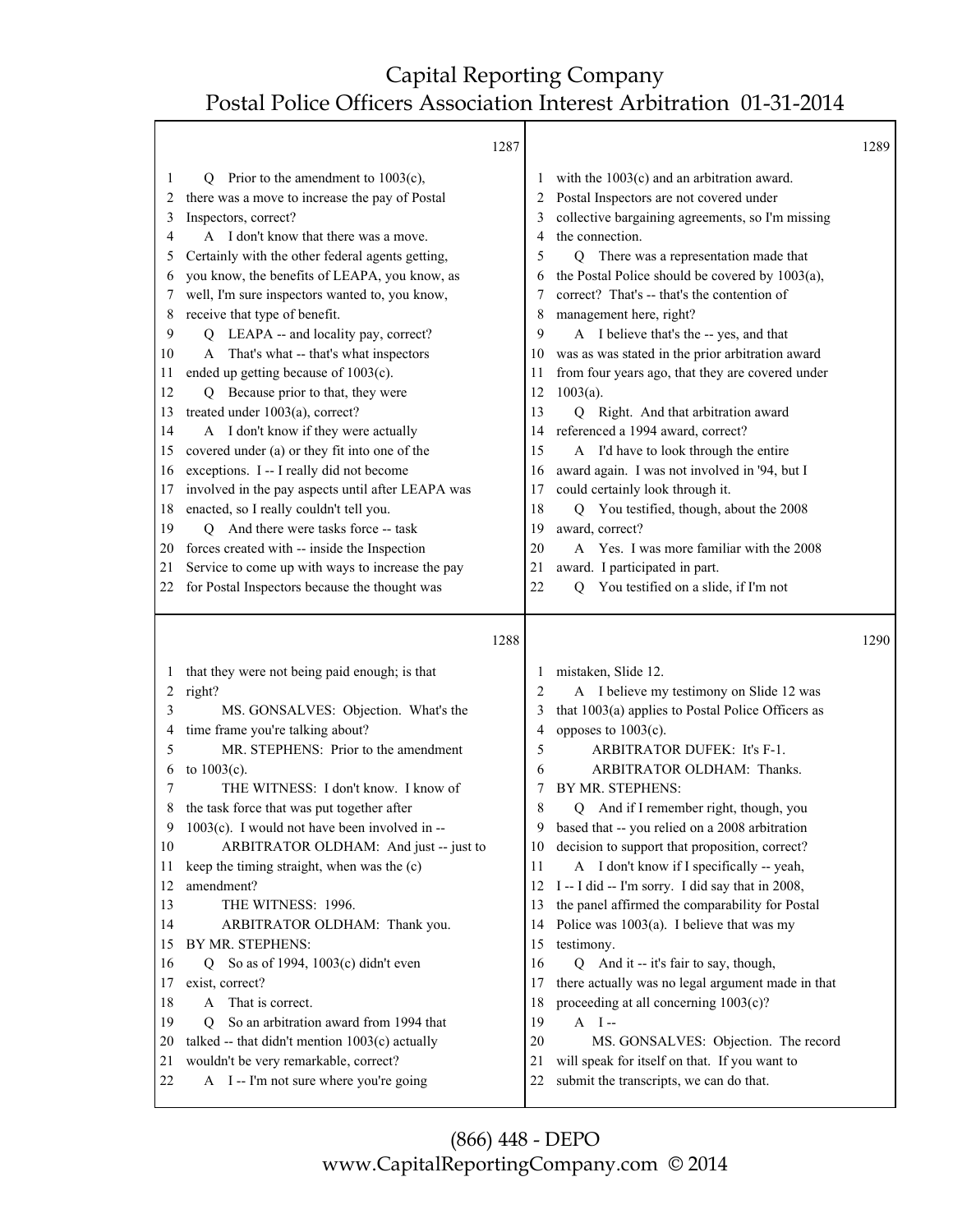┯

|          | 1287                                                                            |                |                                                                                          | 1289 |
|----------|---------------------------------------------------------------------------------|----------------|------------------------------------------------------------------------------------------|------|
| 1        | Prior to the amendment to $1003(c)$ ,<br>O                                      | 1              | with the $1003(c)$ and an arbitration award.                                             |      |
| 2        | there was a move to increase the pay of Postal                                  | 2              | Postal Inspectors are not covered under                                                  |      |
| 3        | Inspectors, correct?                                                            | 3              | collective bargaining agreements, so I'm missing                                         |      |
| 4        | A I don't know that there was a move.                                           | 4              | the connection.                                                                          |      |
| 5        | Certainly with the other federal agents getting,                                | 5              | Q There was a representation made that                                                   |      |
| 6        | you know, the benefits of LEAPA, you know, as                                   | 6              | the Postal Police should be covered by 1003(a),                                          |      |
| 7        | well, I'm sure inspectors wanted to, you know,                                  | 7              | correct? That's -- that's the contention of                                              |      |
| 8        | receive that type of benefit.                                                   | 8              | management here, right?                                                                  |      |
| 9        | Q LEAPA -- and locality pay, correct?                                           | 9              | A I believe that's the -- yes, and that                                                  |      |
| 10       | A That's what -- that's what inspectors                                         | 10             | was as was stated in the prior arbitration award                                         |      |
| 11       | ended up getting because of 1003(c).                                            | 11             | from four years ago, that they are covered under                                         |      |
| 12       | Q Because prior to that, they were                                              | 12             | $1003(a)$ .                                                                              |      |
| 13       | treated under 1003(a), correct?                                                 | 13             | Q Right. And that arbitration award                                                      |      |
| 14       | A I don't know if they were actually                                            | 14             | referenced a 1994 award, correct?                                                        |      |
| 15       | covered under (a) or they fit into one of the                                   | 15             | A I'd have to look through the entire                                                    |      |
| 16       | exceptions. I -- I really did not become                                        | 16             | award again. I was not involved in '94, but I                                            |      |
| 17       | involved in the pay aspects until after LEAPA was                               | 17             | could certainly look through it.                                                         |      |
| 18       | enacted, so I really couldn't tell you.                                         | 18             | You testified, though, about the 2008<br>Q                                               |      |
| 19       | And there were tasks force -- task<br>Q                                         | 19             | award, correct?                                                                          |      |
| 20       | forces created with -- inside the Inspection                                    | 20             | A Yes. I was more familiar with the 2008                                                 |      |
| 21       | Service to come up with ways to increase the pay                                | 21             | award. I participated in part.                                                           |      |
| 22       | for Postal Inspectors because the thought was                                   | 22             | You testified on a slide, if I'm not<br>O                                                |      |
|          |                                                                                 |                |                                                                                          |      |
|          |                                                                                 |                |                                                                                          |      |
|          | 1288                                                                            |                |                                                                                          | 1290 |
| 1        | that they were not being paid enough; is that                                   | 1              | mistaken, Slide 12.                                                                      |      |
| 2        | right?                                                                          | $\overline{2}$ | A I believe my testimony on Slide 12 was                                                 |      |
| 3        | MS. GONSALVES: Objection. What's the                                            | 3              | that 1003(a) applies to Postal Police Officers as                                        |      |
| 4        | time frame you're talking about?                                                | 4              | opposes to 1003(c).                                                                      |      |
| 5        | MR. STEPHENS: Prior to the amendment                                            | 5              | ARBITRATOR DUFEK: It's F-1.                                                              |      |
| 6        | to 1003(c).                                                                     | 6              | ARBITRATOR OLDHAM: Thanks.                                                               |      |
| 7        | THE WITNESS: I don't know. I know of                                            | 7              | BY MR. STEPHENS:                                                                         |      |
| 8        | the task force that was put together after                                      | 8              | And if I remember right, though, you<br>Q                                                |      |
| 9        | $1003(c)$ . I would not have been involved in --                                | 9              | based that -- you relied on a 2008 arbitration                                           |      |
| 10       | ARBITRATOR OLDHAM: And just -- just to                                          | 10             | decision to support that proposition, correct?                                           |      |
| 11       | keep the timing straight, when was the (c)                                      | 11             | A I don't know if I specifically -- yeah,                                                |      |
| 12       | amendment?                                                                      | 12             | I -- I did -- I'm sorry. I did say that in 2008,                                         |      |
| 13       | THE WITNESS: 1996.                                                              | 13             | the panel affirmed the comparability for Postal                                          |      |
| 14       | ARBITRATOR OLDHAM: Thank you.                                                   | 14             | Police was $1003(a)$ . I believe that was my                                             |      |
| 15       | BY MR. STEPHENS:                                                                | 15             | testimony.                                                                               |      |
| 16       | So as of 1994, 1003(c) didn't even<br>Q                                         | 16             | Q And it -- it's fair to say, though,                                                    |      |
| 17       | exist, correct?                                                                 | 17             | there actually was no legal argument made in that                                        |      |
| 18       | That is correct.<br>A                                                           | 18             | proceeding at all concerning $1003(c)$ ?                                                 |      |
| 19       | So an arbitration award from 1994 that<br>Q                                     | 19             | $A$ I-                                                                                   |      |
| 20       | talked -- that didn't mention 1003(c) actually                                  | 20             | MS. GONSALVES: Objection. The record                                                     |      |
| 21<br>22 | wouldn't be very remarkable, correct?<br>A I -- I'm not sure where you're going | 21<br>22       | will speak for itself on that. If you want to<br>submit the transcripts, we can do that. |      |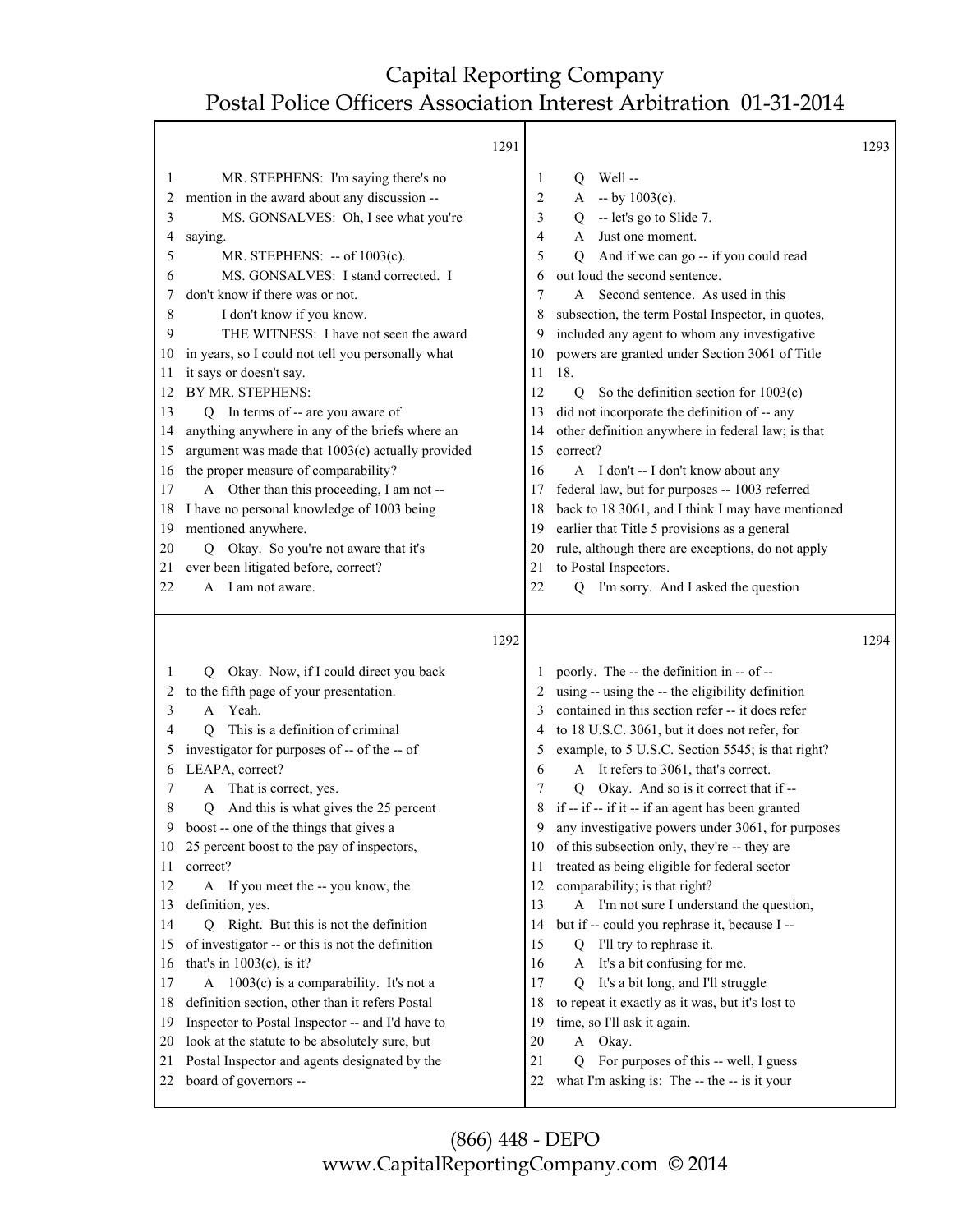|                                                                                                                         |                                                                                                                                                                                                                                                                                                                                                                                                                                                                                                                                                                                                                                                                                                                                                                                                                                         | 1291 |                                                                                                                         |                                                                                                                                                                                                                                                                                                                                                                                                                                                                                                                                                                                                                                                                                                                                                                                                                                                                               | 1293 |
|-------------------------------------------------------------------------------------------------------------------------|-----------------------------------------------------------------------------------------------------------------------------------------------------------------------------------------------------------------------------------------------------------------------------------------------------------------------------------------------------------------------------------------------------------------------------------------------------------------------------------------------------------------------------------------------------------------------------------------------------------------------------------------------------------------------------------------------------------------------------------------------------------------------------------------------------------------------------------------|------|-------------------------------------------------------------------------------------------------------------------------|-------------------------------------------------------------------------------------------------------------------------------------------------------------------------------------------------------------------------------------------------------------------------------------------------------------------------------------------------------------------------------------------------------------------------------------------------------------------------------------------------------------------------------------------------------------------------------------------------------------------------------------------------------------------------------------------------------------------------------------------------------------------------------------------------------------------------------------------------------------------------------|------|
| 1<br>2<br>3<br>4<br>5<br>6<br>7<br>8<br>9<br>10<br>11<br>12<br>13<br>14<br>15<br>16<br>17<br>18<br>19<br>20<br>21<br>22 | MR. STEPHENS: I'm saying there's no<br>mention in the award about any discussion --<br>MS. GONSALVES: Oh, I see what you're<br>saying.<br>MR. STEPHENS: -- of 1003(c).<br>MS. GONSALVES: I stand corrected. I<br>don't know if there was or not.<br>I don't know if you know.<br>THE WITNESS: I have not seen the award<br>in years, so I could not tell you personally what<br>it says or doesn't say.<br>BY MR. STEPHENS:<br>Q In terms of -- are you aware of<br>anything anywhere in any of the briefs where an<br>argument was made that 1003(c) actually provided<br>the proper measure of comparability?<br>A Other than this proceeding, I am not --<br>I have no personal knowledge of 1003 being<br>mentioned anywhere.<br>Q Okay. So you're not aware that it's<br>ever been litigated before, correct?<br>A I am not aware. |      | 1<br>2<br>3<br>4<br>5<br>6<br>7<br>8<br>9<br>10<br>11<br>12<br>13<br>14<br>15<br>16<br>17<br>18<br>19<br>20<br>21<br>22 | Well-<br>Q<br>$-$ by $1003(c)$ .<br>A<br>-- let's go to Slide 7.<br>Q<br>Just one moment.<br>A<br>And if we can go -- if you could read<br>Q<br>out loud the second sentence.<br>Second sentence. As used in this<br>A<br>subsection, the term Postal Inspector, in quotes,<br>included any agent to whom any investigative<br>powers are granted under Section 3061 of Title<br>18.<br>So the definition section for $1003(c)$<br>Q<br>did not incorporate the definition of -- any<br>other definition anywhere in federal law; is that<br>correct?<br>A I don't -- I don't know about any<br>federal law, but for purposes -- 1003 referred<br>back to 18 3061, and I think I may have mentioned<br>earlier that Title 5 provisions as a general<br>rule, although there are exceptions, do not apply<br>to Postal Inspectors.<br>I'm sorry. And I asked the question<br>O |      |
|                                                                                                                         |                                                                                                                                                                                                                                                                                                                                                                                                                                                                                                                                                                                                                                                                                                                                                                                                                                         | 1292 |                                                                                                                         |                                                                                                                                                                                                                                                                                                                                                                                                                                                                                                                                                                                                                                                                                                                                                                                                                                                                               | 1294 |
| 1<br>2<br>3<br>4<br>5<br>6<br>7<br>8<br>9<br>10<br>11                                                                   | Okay. Now, if I could direct you back<br>Q.<br>to the fifth page of your presentation.<br>A Yeah.<br>This is a definition of criminal<br>О<br>investigator for purposes of -- of the -- of<br>LEAPA, correct?<br>That is correct, yes.<br>A<br>And this is what gives the 25 percent<br>Q<br>boost -- one of the things that gives a<br>25 percent boost to the pay of inspectors,<br>correct?                                                                                                                                                                                                                                                                                                                                                                                                                                          |      | $\mathbf{I}$<br>3<br>4<br>5<br>6<br>7<br>8<br>9<br>10<br>11                                                             | poorly. The -- the definition in -- of --<br>using -- using the -- the eligibility definition<br>contained in this section refer -- it does refer<br>to 18 U.S.C. 3061, but it does not refer, for<br>example, to 5 U.S.C. Section 5545; is that right?<br>A It refers to 3061, that's correct.<br>Q Okay. And so is it correct that if --<br>if -- if -- if it -- if an agent has been granted<br>any investigative powers under 3061, for purposes<br>of this subsection only, they're -- they are<br>treated as being eligible for federal sector                                                                                                                                                                                                                                                                                                                          |      |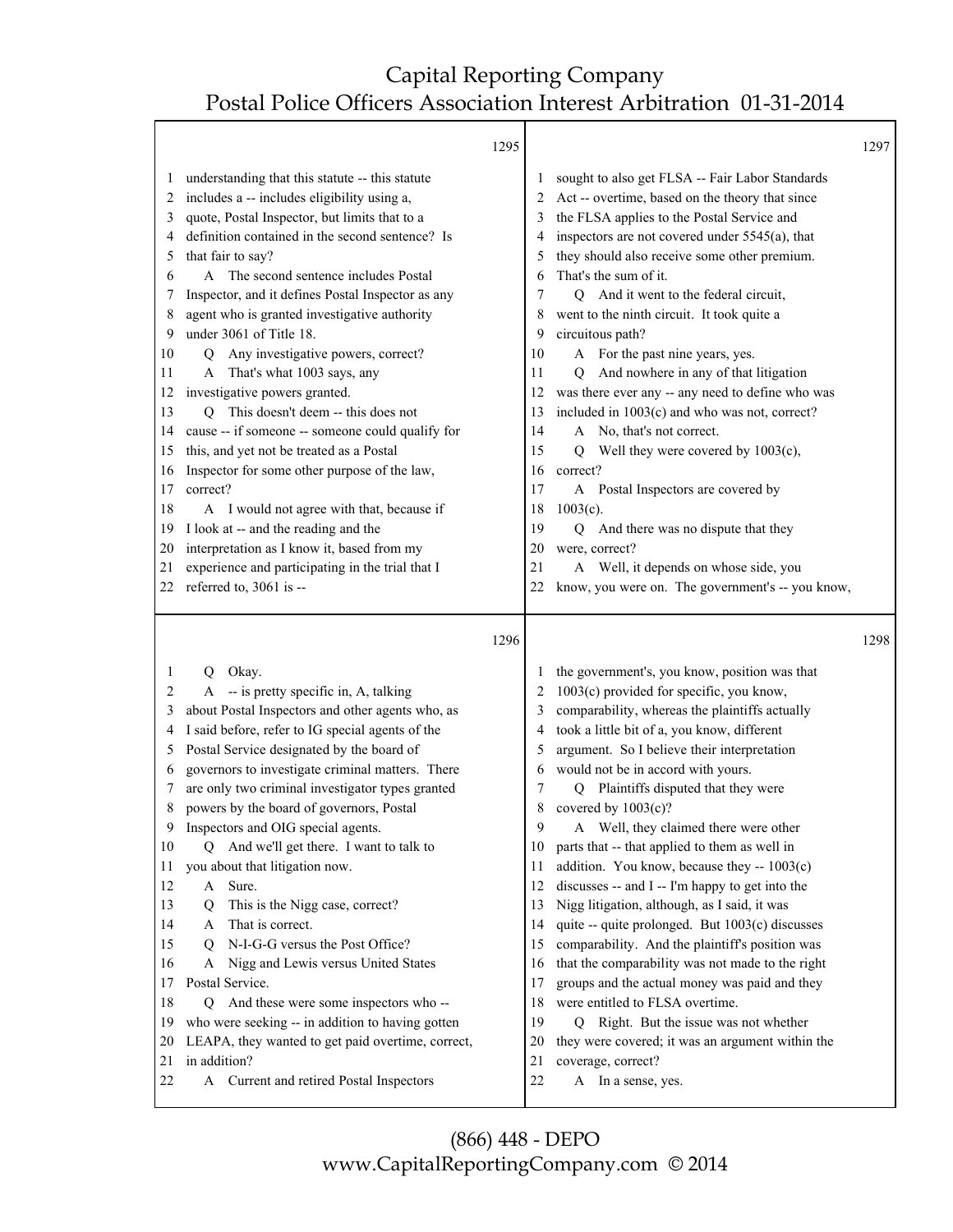┯

|              |                                                                                                      | 1295         |                                                                                               | 1297 |
|--------------|------------------------------------------------------------------------------------------------------|--------------|-----------------------------------------------------------------------------------------------|------|
| $\mathbf{I}$ | understanding that this statute -- this statute                                                      | $\mathbf{I}$ | sought to also get FLSA -- Fair Labor Standards                                               |      |
| 2            | includes a -- includes eligibility using a,                                                          | 2            | Act -- overtime, based on the theory that since                                               |      |
| 3            | quote, Postal Inspector, but limits that to a                                                        | 3            | the FLSA applies to the Postal Service and                                                    |      |
| 4            | definition contained in the second sentence? Is                                                      |              | inspectors are not covered under 5545(a), that                                                |      |
| 5            | that fair to say?                                                                                    | 5            | they should also receive some other premium.                                                  |      |
| 6            | A The second sentence includes Postal                                                                | 6            | That's the sum of it.                                                                         |      |
| 7            | Inspector, and it defines Postal Inspector as any                                                    | 7            | Q And it went to the federal circuit,                                                         |      |
| 8            | agent who is granted investigative authority                                                         | 8            | went to the ninth circuit. It took quite a                                                    |      |
| 9            | under 3061 of Title 18.                                                                              | 9            | circuitous path?                                                                              |      |
| 10           | Q Any investigative powers, correct?                                                                 | 10           | A For the past nine years, yes.                                                               |      |
| 11           | That's what 1003 says, any<br>A                                                                      | 11           | And nowhere in any of that litigation<br>O                                                    |      |
| 12           | investigative powers granted.                                                                        | 12           | was there ever any -- any need to define who was                                              |      |
| 13           | Q This doesn't deem -- this does not                                                                 | 13           | included in 1003(c) and who was not, correct?                                                 |      |
| 14           | cause -- if someone -- someone could qualify for                                                     | 14           | A No, that's not correct.                                                                     |      |
| 15           | this, and yet not be treated as a Postal                                                             | 15           | Well they were covered by $1003(c)$ ,<br>Q                                                    |      |
| 16           | Inspector for some other purpose of the law,                                                         | 16           | correct?                                                                                      |      |
| 17           | correct?                                                                                             | 17           | Postal Inspectors are covered by<br>A                                                         |      |
| 18           | A I would not agree with that, because if                                                            | 18           | $1003(c)$ .                                                                                   |      |
| 19           | I look at -- and the reading and the                                                                 | 19           | And there was no dispute that they<br>Q                                                       |      |
| 20           | interpretation as I know it, based from my                                                           | 20           | were, correct?                                                                                |      |
| 21           | experience and participating in the trial that I                                                     | 21           | A Well, it depends on whose side, you                                                         |      |
| 22           | referred to, 3061 is --                                                                              | 22           | know, you were on. The government's -- you know,                                              |      |
|              |                                                                                                      |              |                                                                                               |      |
|              |                                                                                                      | 1296         |                                                                                               | 1298 |
| 1            |                                                                                                      |              |                                                                                               |      |
| 2            | Q Okay.                                                                                              | 2            | the government's, you know, position was that                                                 |      |
| 3            | A -- is pretty specific in, A, talking                                                               | 3            | 1003(c) provided for specific, you know,                                                      |      |
| 4            | about Postal Inspectors and other agents who, as<br>I said before, refer to IG special agents of the | 4            | comparability, whereas the plaintiffs actually<br>took a little bit of a, you know, different |      |
| 5            |                                                                                                      | 5            | argument. So I believe their interpretation                                                   |      |
| 6            | Postal Service designated by the board of<br>governors to investigate criminal matters. There        | 6            | would not be in accord with yours.                                                            |      |
| 7            | are only two criminal investigator types granted                                                     | 7            | Plaintiffs disputed that they were<br>$\overline{Q}$                                          |      |
| 8            | powers by the board of governors, Postal                                                             | 8            | covered by $1003(c)$ ?                                                                        |      |
| 9            | Inspectors and OIG special agents.                                                                   | $\mathbf Q$  | A Well, they claimed there were other                                                         |      |
| 10           | Q And we'll get there. I want to talk to                                                             | 10           | parts that -- that applied to them as well in                                                 |      |
| 11           | you about that litigation now.                                                                       | 11           | addition. You know, because they $-1003(c)$                                                   |      |
| 12           | Sure.<br>A                                                                                           | 12           | discusses -- and I -- I'm happy to get into the                                               |      |
| 13           | This is the Nigg case, correct?<br>Q                                                                 | 13           | Nigg litigation, although, as I said, it was                                                  |      |
| 14           | That is correct.<br>A                                                                                | 14           | quite -- quite prolonged. But 1003(c) discusses                                               |      |
| 15           | N-I-G-G versus the Post Office?<br>$\circ$                                                           | 15           | comparability. And the plaintiff's position was                                               |      |
| 16           | Nigg and Lewis versus United States<br>A                                                             | 16           | that the comparability was not made to the right                                              |      |
| 17           | Postal Service.                                                                                      | 17           | groups and the actual money was paid and they                                                 |      |
| 18           | And these were some inspectors who --<br>Q                                                           | 18           | were entitled to FLSA overtime.                                                               |      |
| 19           | who were seeking -- in addition to having gotten                                                     | 19           | Right. But the issue was not whether<br>Q                                                     |      |
| 20           | LEAPA, they wanted to get paid overtime, correct,                                                    | 20           | they were covered; it was an argument within the                                              |      |
| 21<br>22     | in addition?<br>A Current and retired Postal Inspectors                                              | 21<br>22     | coverage, correct?<br>A In a sense, yes.                                                      |      |

- 22 A Current and retired Postal Inspectors
	- (866) 448 DEPO www.CapitalReportingCompany.com © 2014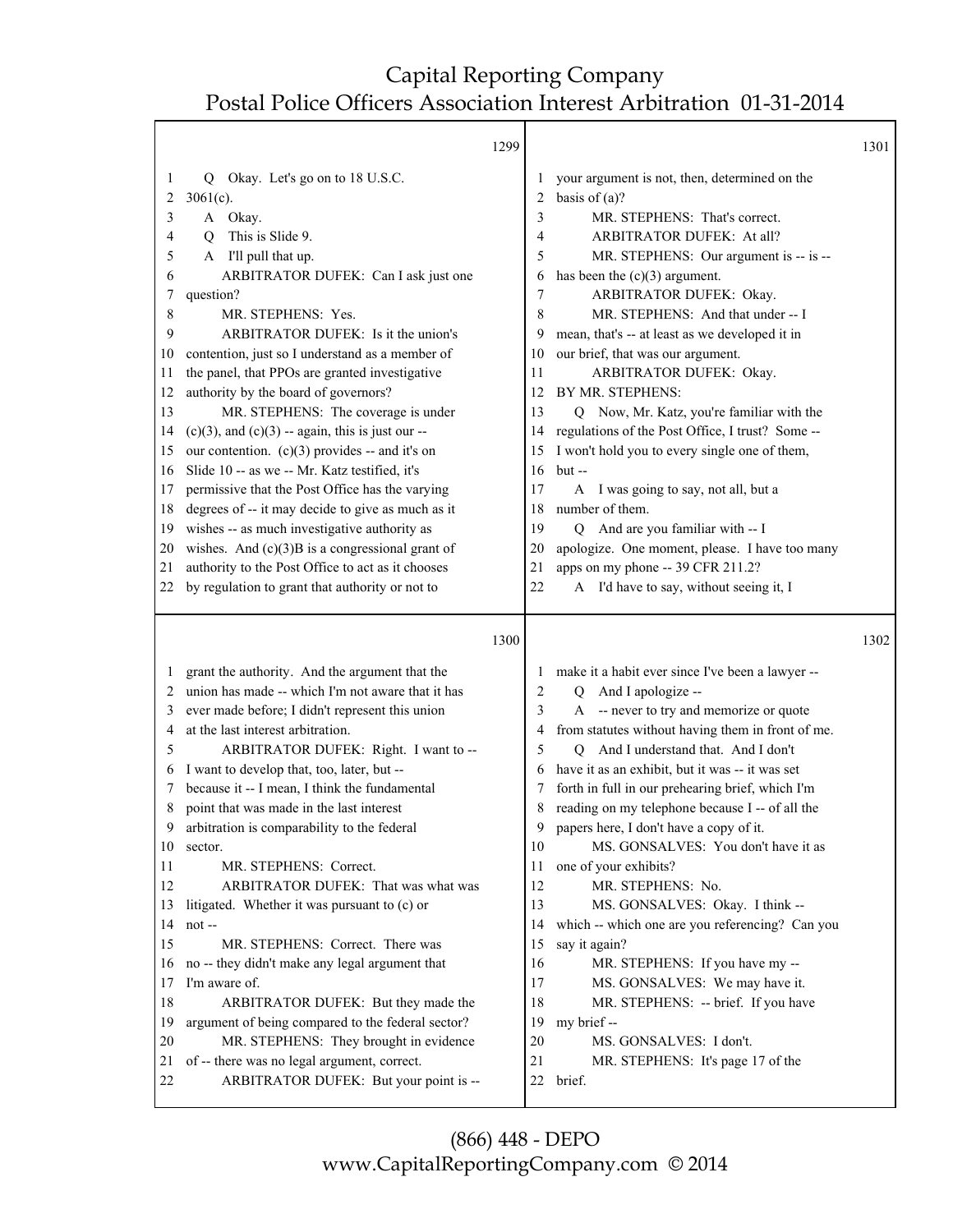|          |                                                                                                     | 1299 |          |                                                                                              | 1301 |
|----------|-----------------------------------------------------------------------------------------------------|------|----------|----------------------------------------------------------------------------------------------|------|
| 1        | Okay. Let's go on to 18 U.S.C.<br>Q                                                                 |      |          | your argument is not, then, determined on the                                                |      |
| 2        | $3061(c)$ .                                                                                         |      | 2        | basis of $(a)$ ?                                                                             |      |
| 3        | A Okay.                                                                                             |      | 3        | MR. STEPHENS: That's correct.                                                                |      |
| 4        | This is Slide 9.<br>Q                                                                               |      | 4        | ARBITRATOR DUFEK: At all?                                                                    |      |
| 5        | A I'll pull that up.                                                                                |      | 5        | MR. STEPHENS: Our argument is -- is --                                                       |      |
| 6        | ARBITRATOR DUFEK: Can I ask just one                                                                |      | 6        | has been the $(c)(3)$ argument.                                                              |      |
| 7        | question?                                                                                           |      | 7        | ARBITRATOR DUFEK: Okay.                                                                      |      |
| 8        | MR. STEPHENS: Yes.                                                                                  |      | 8        | MR. STEPHENS: And that under -- I                                                            |      |
| 9        | ARBITRATOR DUFEK: Is it the union's                                                                 |      | 9        | mean, that's -- at least as we developed it in                                               |      |
| 10       | contention, just so I understand as a member of                                                     |      | 10       | our brief, that was our argument.                                                            |      |
| 11       | the panel, that PPOs are granted investigative                                                      |      | 11       | ARBITRATOR DUFEK: Okay.                                                                      |      |
| 12       | authority by the board of governors?                                                                |      | 12       | BY MR. STEPHENS:                                                                             |      |
| 13       | MR. STEPHENS: The coverage is under                                                                 |      | 13       | Q Now, Mr. Katz, you're familiar with the                                                    |      |
| 14       | $(c)(3)$ , and $(c)(3)$ -- again, this is just our --                                               |      | 14       | regulations of the Post Office, I trust? Some --                                             |      |
| 15       | our contention. $(c)(3)$ provides -- and it's on                                                    |      | 15       | I won't hold you to every single one of them,                                                |      |
| 16       | Slide 10 -- as we -- Mr. Katz testified, it's                                                       |      | 16       | $but -$                                                                                      |      |
| 17       | permissive that the Post Office has the varying                                                     |      | 17       | I was going to say, not all, but a<br>A                                                      |      |
| 18       | degrees of -- it may decide to give as much as it                                                   |      | 18       | number of them.                                                                              |      |
| 19       | wishes -- as much investigative authority as                                                        |      | 19       | And are you familiar with -- I<br>Q                                                          |      |
| 20       | wishes. And $(c)(3)B$ is a congressional grant of                                                   |      | 20       | apologize. One moment, please. I have too many                                               |      |
| 21       | authority to the Post Office to act as it chooses                                                   |      | 21       | apps on my phone -- 39 CFR 211.2?                                                            |      |
| 22       | by regulation to grant that authority or not to                                                     |      | 22       | A I'd have to say, without seeing it, I                                                      |      |
|          |                                                                                                     |      |          |                                                                                              |      |
|          |                                                                                                     | 1300 |          |                                                                                              | 1302 |
|          |                                                                                                     |      |          |                                                                                              |      |
| 1<br>2   | grant the authority. And the argument that the<br>union has made -- which I'm not aware that it has |      | 2        | make it a habit ever since I've been a lawyer --<br>Q                                        |      |
| 3        |                                                                                                     |      | 3        | And I apologize --                                                                           |      |
| 4        | ever made before; I didn't represent this union<br>at the last interest arbitration.                |      | 4        | A -- never to try and memorize or quote<br>from statutes without having them in front of me. |      |
| 5        | ARBITRATOR DUFEK: Right. I want to --                                                               |      | 5        | And I understand that. And I don't<br>0                                                      |      |
| 6        | I want to develop that, too, later, but --                                                          |      | 6        | have it as an exhibit, but it was -- it was set                                              |      |
| 7        | because it -- I mean, I think the fundamental                                                       |      |          | forth in full in our prehearing brief, which I'm                                             |      |
| 8        | point that was made in the last interest                                                            |      | 8        | reading on my telephone because I -- of all the                                              |      |
| 9        | arbitration is comparability to the federal                                                         |      | 9        | papers here, I don't have a copy of it.                                                      |      |
| 10       | sector.                                                                                             |      | 10       | MS. GONSALVES: You don't have it as                                                          |      |
| 11       | MR. STEPHENS: Correct.                                                                              |      | 11       | one of your exhibits?                                                                        |      |
| 12       | ARBITRATOR DUFEK: That was what was                                                                 |      | 12       | MR. STEPHENS: No.                                                                            |      |
| 13       | litigated. Whether it was pursuant to (c) or                                                        |      | 13       | MS. GONSALVES: Okay. I think --                                                              |      |
| 14       | not-                                                                                                |      | 14       | which -- which one are you referencing? Can you                                              |      |
| 15       | MR. STEPHENS: Correct. There was                                                                    |      | 15       | say it again?                                                                                |      |
| 16       | no -- they didn't make any legal argument that                                                      |      | 16       | MR. STEPHENS: If you have my --                                                              |      |
| 17       | I'm aware of.                                                                                       |      | 17       | MS. GONSALVES: We may have it.                                                               |      |
| 18       | ARBITRATOR DUFEK: But they made the                                                                 |      | 18       | MR. STEPHENS: -- brief. If you have                                                          |      |
| 19       | argument of being compared to the federal sector?                                                   |      | 19       | my brief --                                                                                  |      |
| 20       | MR. STEPHENS: They brought in evidence                                                              |      | 20       | MS. GONSALVES: I don't.                                                                      |      |
| 21<br>22 | of -- there was no legal argument, correct.<br>ARBITRATOR DUFEK: But your point is --               |      | 21<br>22 | MR. STEPHENS: It's page 17 of the<br>brief.                                                  |      |

(866) 448 - DEPO www.CapitalReportingCompany.com © 2014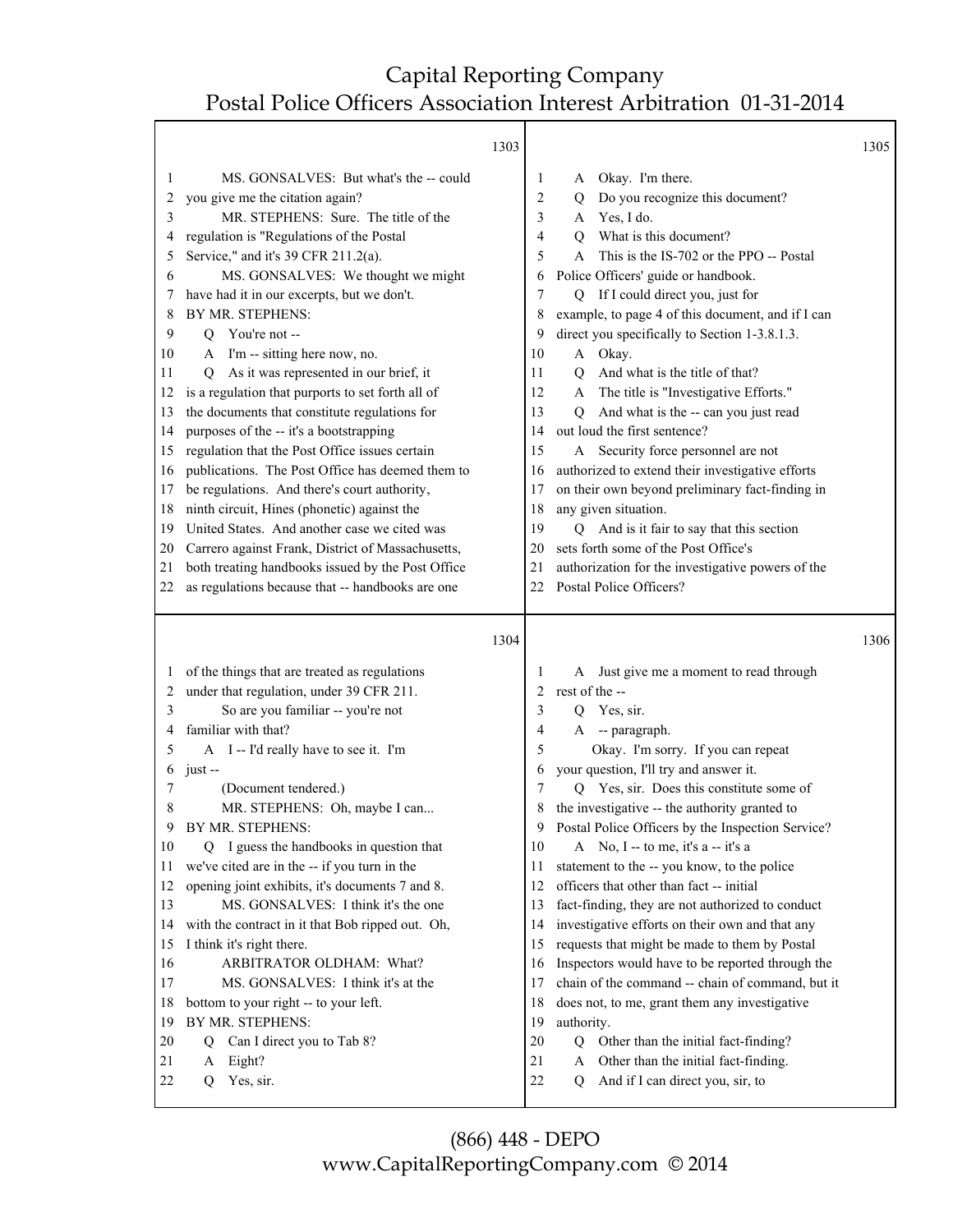Τ

|                                                                                                                         |                                                                                                                                                                                                                                                                                                                                                                                                                                                                                                                                                                                                                                                                                                                                                                                                                                                                                                                                                                                         | 1303                                                                                                                    |                                                                                                                                                                                                                                                                                                                                                                                                                                                                                                                                                                                                                                                                                                                                                                                                                                                                             | 1305 |
|-------------------------------------------------------------------------------------------------------------------------|-----------------------------------------------------------------------------------------------------------------------------------------------------------------------------------------------------------------------------------------------------------------------------------------------------------------------------------------------------------------------------------------------------------------------------------------------------------------------------------------------------------------------------------------------------------------------------------------------------------------------------------------------------------------------------------------------------------------------------------------------------------------------------------------------------------------------------------------------------------------------------------------------------------------------------------------------------------------------------------------|-------------------------------------------------------------------------------------------------------------------------|-----------------------------------------------------------------------------------------------------------------------------------------------------------------------------------------------------------------------------------------------------------------------------------------------------------------------------------------------------------------------------------------------------------------------------------------------------------------------------------------------------------------------------------------------------------------------------------------------------------------------------------------------------------------------------------------------------------------------------------------------------------------------------------------------------------------------------------------------------------------------------|------|
| 1<br>2<br>3<br>4<br>5<br>6<br>Ί<br>8<br>9<br>10<br>11<br>12<br>13<br>14<br>15<br>16<br>17<br>18<br>19<br>20<br>21<br>22 | MS. GONSALVES: But what's the -- could<br>you give me the citation again?<br>MR. STEPHENS: Sure. The title of the<br>regulation is "Regulations of the Postal<br>Service," and it's 39 CFR 211.2(a).<br>MS. GONSALVES: We thought we might<br>have had it in our excerpts, but we don't.<br>BY MR. STEPHENS:<br>You're not --<br>Q<br>A I'm -- sitting here now, no.<br>As it was represented in our brief, it<br>Q<br>is a regulation that purports to set forth all of<br>the documents that constitute regulations for<br>purposes of the -- it's a bootstrapping<br>regulation that the Post Office issues certain<br>publications. The Post Office has deemed them to<br>be regulations. And there's court authority,<br>ninth circuit, Hines (phonetic) against the<br>United States. And another case we cited was<br>Carrero against Frank, District of Massachusetts,<br>both treating handbooks issued by the Post Office<br>as regulations because that -- handbooks are one | 1<br>2<br>3<br>4<br>5<br>6<br>7<br>8<br>9<br>10<br>11<br>12<br>13<br>14<br>15<br>16<br>17<br>18<br>19<br>20<br>21<br>22 | Okay. I'm there.<br>A<br>Do you recognize this document?<br>Q<br>Yes, I do.<br>A<br>What is this document?<br>O<br>This is the IS-702 or the PPO -- Postal<br>A<br>Police Officers' guide or handbook.<br>If I could direct you, just for<br>Q<br>example, to page 4 of this document, and if I can<br>direct you specifically to Section 1-3.8.1.3.<br>A Okay.<br>And what is the title of that?<br>Q<br>The title is "Investigative Efforts."<br>A<br>And what is the -- can you just read<br>Q<br>out loud the first sentence?<br>A Security force personnel are not<br>authorized to extend their investigative efforts<br>on their own beyond preliminary fact-finding in<br>any given situation.<br>Q And is it fair to say that this section<br>sets forth some of the Post Office's<br>authorization for the investigative powers of the<br>Postal Police Officers? |      |
|                                                                                                                         |                                                                                                                                                                                                                                                                                                                                                                                                                                                                                                                                                                                                                                                                                                                                                                                                                                                                                                                                                                                         |                                                                                                                         |                                                                                                                                                                                                                                                                                                                                                                                                                                                                                                                                                                                                                                                                                                                                                                                                                                                                             |      |
|                                                                                                                         |                                                                                                                                                                                                                                                                                                                                                                                                                                                                                                                                                                                                                                                                                                                                                                                                                                                                                                                                                                                         |                                                                                                                         |                                                                                                                                                                                                                                                                                                                                                                                                                                                                                                                                                                                                                                                                                                                                                                                                                                                                             |      |
|                                                                                                                         |                                                                                                                                                                                                                                                                                                                                                                                                                                                                                                                                                                                                                                                                                                                                                                                                                                                                                                                                                                                         | 1304                                                                                                                    |                                                                                                                                                                                                                                                                                                                                                                                                                                                                                                                                                                                                                                                                                                                                                                                                                                                                             | 1306 |
| $\mathbf{I}$                                                                                                            | of the things that are treated as regulations                                                                                                                                                                                                                                                                                                                                                                                                                                                                                                                                                                                                                                                                                                                                                                                                                                                                                                                                           | 1                                                                                                                       | A Just give me a moment to read through                                                                                                                                                                                                                                                                                                                                                                                                                                                                                                                                                                                                                                                                                                                                                                                                                                     |      |
| 2                                                                                                                       | under that regulation, under 39 CFR 211.                                                                                                                                                                                                                                                                                                                                                                                                                                                                                                                                                                                                                                                                                                                                                                                                                                                                                                                                                | 2                                                                                                                       | rest of the --                                                                                                                                                                                                                                                                                                                                                                                                                                                                                                                                                                                                                                                                                                                                                                                                                                                              |      |
| 3                                                                                                                       | So are you familiar -- you're not                                                                                                                                                                                                                                                                                                                                                                                                                                                                                                                                                                                                                                                                                                                                                                                                                                                                                                                                                       | 3                                                                                                                       | Yes, sir.<br>Q                                                                                                                                                                                                                                                                                                                                                                                                                                                                                                                                                                                                                                                                                                                                                                                                                                                              |      |
| 4                                                                                                                       | familiar with that?                                                                                                                                                                                                                                                                                                                                                                                                                                                                                                                                                                                                                                                                                                                                                                                                                                                                                                                                                                     | 4                                                                                                                       | -- paragraph.<br>A                                                                                                                                                                                                                                                                                                                                                                                                                                                                                                                                                                                                                                                                                                                                                                                                                                                          |      |
| 5                                                                                                                       | A I -- I'd really have to see it. I'm                                                                                                                                                                                                                                                                                                                                                                                                                                                                                                                                                                                                                                                                                                                                                                                                                                                                                                                                                   | 5                                                                                                                       | Okay. I'm sorry. If you can repeat                                                                                                                                                                                                                                                                                                                                                                                                                                                                                                                                                                                                                                                                                                                                                                                                                                          |      |
| 6<br>7                                                                                                                  | $just -$                                                                                                                                                                                                                                                                                                                                                                                                                                                                                                                                                                                                                                                                                                                                                                                                                                                                                                                                                                                | 6<br>7                                                                                                                  | your question, I'll try and answer it.                                                                                                                                                                                                                                                                                                                                                                                                                                                                                                                                                                                                                                                                                                                                                                                                                                      |      |
| 8                                                                                                                       | (Document tendered.)                                                                                                                                                                                                                                                                                                                                                                                                                                                                                                                                                                                                                                                                                                                                                                                                                                                                                                                                                                    | 8                                                                                                                       | Q Yes, sir. Does this constitute some of                                                                                                                                                                                                                                                                                                                                                                                                                                                                                                                                                                                                                                                                                                                                                                                                                                    |      |
| 9                                                                                                                       | MR. STEPHENS: Oh, maybe I can<br>BY MR. STEPHENS:                                                                                                                                                                                                                                                                                                                                                                                                                                                                                                                                                                                                                                                                                                                                                                                                                                                                                                                                       | 9                                                                                                                       | the investigative -- the authority granted to<br>Postal Police Officers by the Inspection Service?                                                                                                                                                                                                                                                                                                                                                                                                                                                                                                                                                                                                                                                                                                                                                                          |      |
| 10                                                                                                                      | I guess the handbooks in question that<br>Q                                                                                                                                                                                                                                                                                                                                                                                                                                                                                                                                                                                                                                                                                                                                                                                                                                                                                                                                             | 10                                                                                                                      | A No, I -- to me, it's a -- it's a                                                                                                                                                                                                                                                                                                                                                                                                                                                                                                                                                                                                                                                                                                                                                                                                                                          |      |
| 11                                                                                                                      | we've cited are in the -- if you turn in the                                                                                                                                                                                                                                                                                                                                                                                                                                                                                                                                                                                                                                                                                                                                                                                                                                                                                                                                            | 11                                                                                                                      | statement to the -- you know, to the police                                                                                                                                                                                                                                                                                                                                                                                                                                                                                                                                                                                                                                                                                                                                                                                                                                 |      |
| 12                                                                                                                      | opening joint exhibits, it's documents 7 and 8.                                                                                                                                                                                                                                                                                                                                                                                                                                                                                                                                                                                                                                                                                                                                                                                                                                                                                                                                         | 12                                                                                                                      | officers that other than fact -- initial                                                                                                                                                                                                                                                                                                                                                                                                                                                                                                                                                                                                                                                                                                                                                                                                                                    |      |
| 13                                                                                                                      | MS. GONSALVES: I think it's the one                                                                                                                                                                                                                                                                                                                                                                                                                                                                                                                                                                                                                                                                                                                                                                                                                                                                                                                                                     | 13                                                                                                                      | fact-finding, they are not authorized to conduct                                                                                                                                                                                                                                                                                                                                                                                                                                                                                                                                                                                                                                                                                                                                                                                                                            |      |
| 14                                                                                                                      | with the contract in it that Bob ripped out. Oh,                                                                                                                                                                                                                                                                                                                                                                                                                                                                                                                                                                                                                                                                                                                                                                                                                                                                                                                                        | 14                                                                                                                      | investigative efforts on their own and that any                                                                                                                                                                                                                                                                                                                                                                                                                                                                                                                                                                                                                                                                                                                                                                                                                             |      |
| 15                                                                                                                      | I think it's right there.                                                                                                                                                                                                                                                                                                                                                                                                                                                                                                                                                                                                                                                                                                                                                                                                                                                                                                                                                               | 15                                                                                                                      | requests that might be made to them by Postal                                                                                                                                                                                                                                                                                                                                                                                                                                                                                                                                                                                                                                                                                                                                                                                                                               |      |
| 16                                                                                                                      | ARBITRATOR OLDHAM: What?                                                                                                                                                                                                                                                                                                                                                                                                                                                                                                                                                                                                                                                                                                                                                                                                                                                                                                                                                                | 16                                                                                                                      | Inspectors would have to be reported through the                                                                                                                                                                                                                                                                                                                                                                                                                                                                                                                                                                                                                                                                                                                                                                                                                            |      |
| 17                                                                                                                      | MS. GONSALVES: I think it's at the                                                                                                                                                                                                                                                                                                                                                                                                                                                                                                                                                                                                                                                                                                                                                                                                                                                                                                                                                      | 17                                                                                                                      | chain of the command -- chain of command, but it                                                                                                                                                                                                                                                                                                                                                                                                                                                                                                                                                                                                                                                                                                                                                                                                                            |      |
| 18                                                                                                                      | bottom to your right -- to your left.                                                                                                                                                                                                                                                                                                                                                                                                                                                                                                                                                                                                                                                                                                                                                                                                                                                                                                                                                   | 18                                                                                                                      | does not, to me, grant them any investigative                                                                                                                                                                                                                                                                                                                                                                                                                                                                                                                                                                                                                                                                                                                                                                                                                               |      |
| 19                                                                                                                      | BY MR. STEPHENS:                                                                                                                                                                                                                                                                                                                                                                                                                                                                                                                                                                                                                                                                                                                                                                                                                                                                                                                                                                        | 19                                                                                                                      | authority.                                                                                                                                                                                                                                                                                                                                                                                                                                                                                                                                                                                                                                                                                                                                                                                                                                                                  |      |
| 20                                                                                                                      | Can I direct you to Tab 8?<br>Q                                                                                                                                                                                                                                                                                                                                                                                                                                                                                                                                                                                                                                                                                                                                                                                                                                                                                                                                                         | 20                                                                                                                      | Q<br>Other than the initial fact-finding?                                                                                                                                                                                                                                                                                                                                                                                                                                                                                                                                                                                                                                                                                                                                                                                                                                   |      |
| 21<br>22                                                                                                                | Eight?<br>A<br>Yes, sir.<br>Q                                                                                                                                                                                                                                                                                                                                                                                                                                                                                                                                                                                                                                                                                                                                                                                                                                                                                                                                                           | 21<br>22                                                                                                                | Other than the initial fact-finding.<br>A<br>And if I can direct you, sir, to<br>Q                                                                                                                                                                                                                                                                                                                                                                                                                                                                                                                                                                                                                                                                                                                                                                                          |      |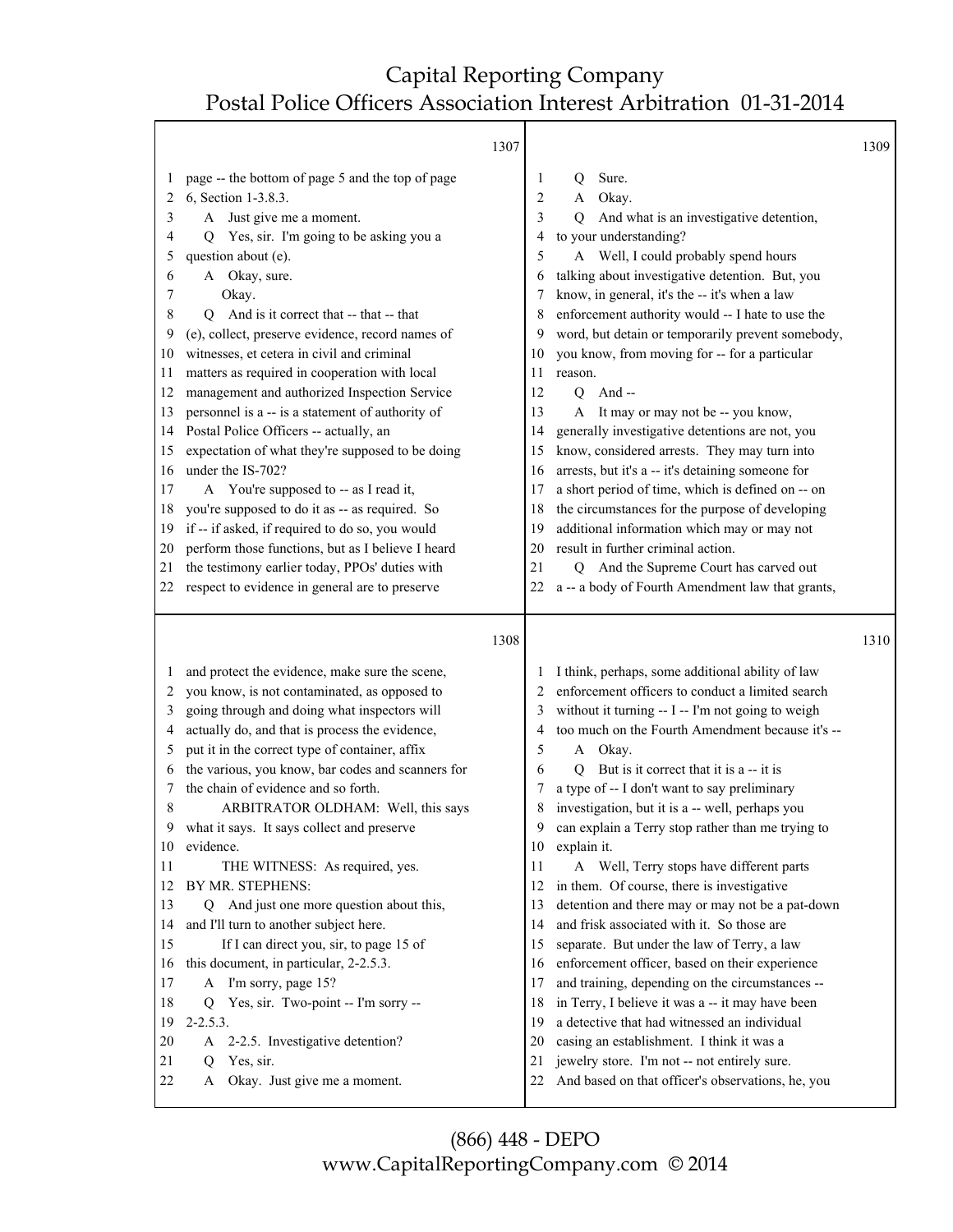Τ

|                            | 1307                                                                                                                                                                                           |                                         |                                                                                                                                                                                               | 1309 |
|----------------------------|------------------------------------------------------------------------------------------------------------------------------------------------------------------------------------------------|-----------------------------------------|-----------------------------------------------------------------------------------------------------------------------------------------------------------------------------------------------|------|
| 1<br>2<br>3<br>4<br>5<br>6 | page -- the bottom of page 5 and the top of page<br>6, Section 1-3.8.3.<br>Just give me a moment.<br>A<br>Yes, sir. I'm going to be asking you a<br>O.<br>question about (e).<br>A Okay, sure. | 1<br>$\overline{2}$<br>3<br>4<br>5<br>6 | Sure.<br>Q<br>Okay.<br>A<br>And what is an investigative detention,<br>Q<br>to your understanding?<br>A Well, I could probably spend hours<br>talking about investigative detention. But, you |      |
| 7                          | Okay.                                                                                                                                                                                          | 7                                       | know, in general, it's the -- it's when a law                                                                                                                                                 |      |
| 8                          | And is it correct that -- that -- that<br>Q                                                                                                                                                    | 8                                       | enforcement authority would -- I hate to use the                                                                                                                                              |      |
| 9                          | (e), collect, preserve evidence, record names of                                                                                                                                               | 9                                       | word, but detain or temporarily prevent somebody,                                                                                                                                             |      |
| 10                         | witnesses, et cetera in civil and criminal                                                                                                                                                     | 10                                      | you know, from moving for -- for a particular                                                                                                                                                 |      |
| 11                         | matters as required in cooperation with local                                                                                                                                                  | 11                                      | reason.                                                                                                                                                                                       |      |
| 12                         | management and authorized Inspection Service                                                                                                                                                   | 12                                      | And $-$<br>$\overline{Q}$                                                                                                                                                                     |      |
| 13                         | personnel is a -- is a statement of authority of                                                                                                                                               | 13                                      | It may or may not be -- you know,<br>A                                                                                                                                                        |      |
| 14                         | Postal Police Officers -- actually, an                                                                                                                                                         | 14                                      | generally investigative detentions are not, you                                                                                                                                               |      |
| 15                         | expectation of what they're supposed to be doing                                                                                                                                               | 15                                      | know, considered arrests. They may turn into                                                                                                                                                  |      |
| 16                         | under the IS-702?                                                                                                                                                                              | 16                                      | arrests, but it's a -- it's detaining someone for                                                                                                                                             |      |
| 17                         | A You're supposed to -- as I read it,                                                                                                                                                          | 17                                      | a short period of time, which is defined on -- on                                                                                                                                             |      |
| 18                         | you're supposed to do it as -- as required. So                                                                                                                                                 | 18                                      | the circumstances for the purpose of developing                                                                                                                                               |      |
| 19                         | if -- if asked, if required to do so, you would                                                                                                                                                | 19                                      | additional information which may or may not                                                                                                                                                   |      |
| 20                         | perform those functions, but as I believe I heard                                                                                                                                              | 20                                      | result in further criminal action.                                                                                                                                                            |      |
| 21                         | the testimony earlier today, PPOs' duties with                                                                                                                                                 | 21                                      | Q And the Supreme Court has carved out                                                                                                                                                        |      |
| 22                         | respect to evidence in general are to preserve                                                                                                                                                 | 22                                      | a -- a body of Fourth Amendment law that grants,                                                                                                                                              |      |
|                            | 1308                                                                                                                                                                                           |                                         |                                                                                                                                                                                               | 1310 |
| 1                          | and protect the evidence, make sure the scene,                                                                                                                                                 | 1                                       | I think, perhaps, some additional ability of law                                                                                                                                              |      |
| 2                          | you know, is not contaminated, as opposed to                                                                                                                                                   | 2                                       | enforcement officers to conduct a limited search                                                                                                                                              |      |
| 3                          | going through and doing what inspectors will                                                                                                                                                   | 3                                       | without it turning -- I -- I'm not going to weigh                                                                                                                                             |      |
| 4                          | actually do, and that is process the evidence,                                                                                                                                                 | 4                                       | too much on the Fourth Amendment because it's --                                                                                                                                              |      |
| 5                          | put it in the correct type of container, affix                                                                                                                                                 | 5                                       | Okay.<br>A                                                                                                                                                                                    |      |
| 6                          | the various, you know, bar codes and scanners for                                                                                                                                              | 6                                       | But is it correct that it is a -- it is<br>O                                                                                                                                                  |      |
| 7                          | the chain of evidence and so forth.                                                                                                                                                            | 7                                       | a type of -- I don't want to say preliminary                                                                                                                                                  |      |
| 8                          | ARBITRATOR OLDHAM: Well, this says                                                                                                                                                             | 8                                       | investigation, but it is a -- well, perhaps you                                                                                                                                               |      |
| 9                          | what it says. It says collect and preserve                                                                                                                                                     | 9                                       | can explain a Terry stop rather than me trying to                                                                                                                                             |      |
| 10                         | evidence.                                                                                                                                                                                      | 10                                      | explain it.                                                                                                                                                                                   |      |
| 11                         | THE WITNESS: As required, yes.                                                                                                                                                                 | 11                                      | A Well, Terry stops have different parts                                                                                                                                                      |      |
| 12                         | BY MR. STEPHENS:                                                                                                                                                                               | 12                                      | in them. Of course, there is investigative                                                                                                                                                    |      |
| 13                         | Q And just one more question about this,                                                                                                                                                       | 13                                      | detention and there may or may not be a pat-down                                                                                                                                              |      |
| 14                         | and I'll turn to another subject here.                                                                                                                                                         | 14                                      | and frisk associated with it. So those are                                                                                                                                                    |      |
| 15                         | If I can direct you, sir, to page 15 of                                                                                                                                                        | 15                                      | separate. But under the law of Terry, a law                                                                                                                                                   |      |
| 16                         | this document, in particular, 2-2.5.3.                                                                                                                                                         | 16                                      | enforcement officer, based on their experience                                                                                                                                                |      |
| 17                         | A I'm sorry, page 15?                                                                                                                                                                          | 17                                      | and training, depending on the circumstances --                                                                                                                                               |      |
| 18                         |                                                                                                                                                                                                |                                         |                                                                                                                                                                                               |      |
|                            | Yes, sir. Two-point -- I'm sorry --<br>Q                                                                                                                                                       | 18                                      | in Terry, I believe it was a -- it may have been                                                                                                                                              |      |
| 19                         | $2 - 2.5.3.$                                                                                                                                                                                   | 19                                      | a detective that had witnessed an individual                                                                                                                                                  |      |
| 20                         | 2-2.5. Investigative detention?<br>A                                                                                                                                                           | 20                                      | casing an establishment. I think it was a                                                                                                                                                     |      |
| 21<br>22                   | Yes, sir.<br>Q<br>Okay. Just give me a moment.<br>A                                                                                                                                            | 21<br>22                                | jewelry store. I'm not -- not entirely sure.<br>And based on that officer's observations, he, you                                                                                             |      |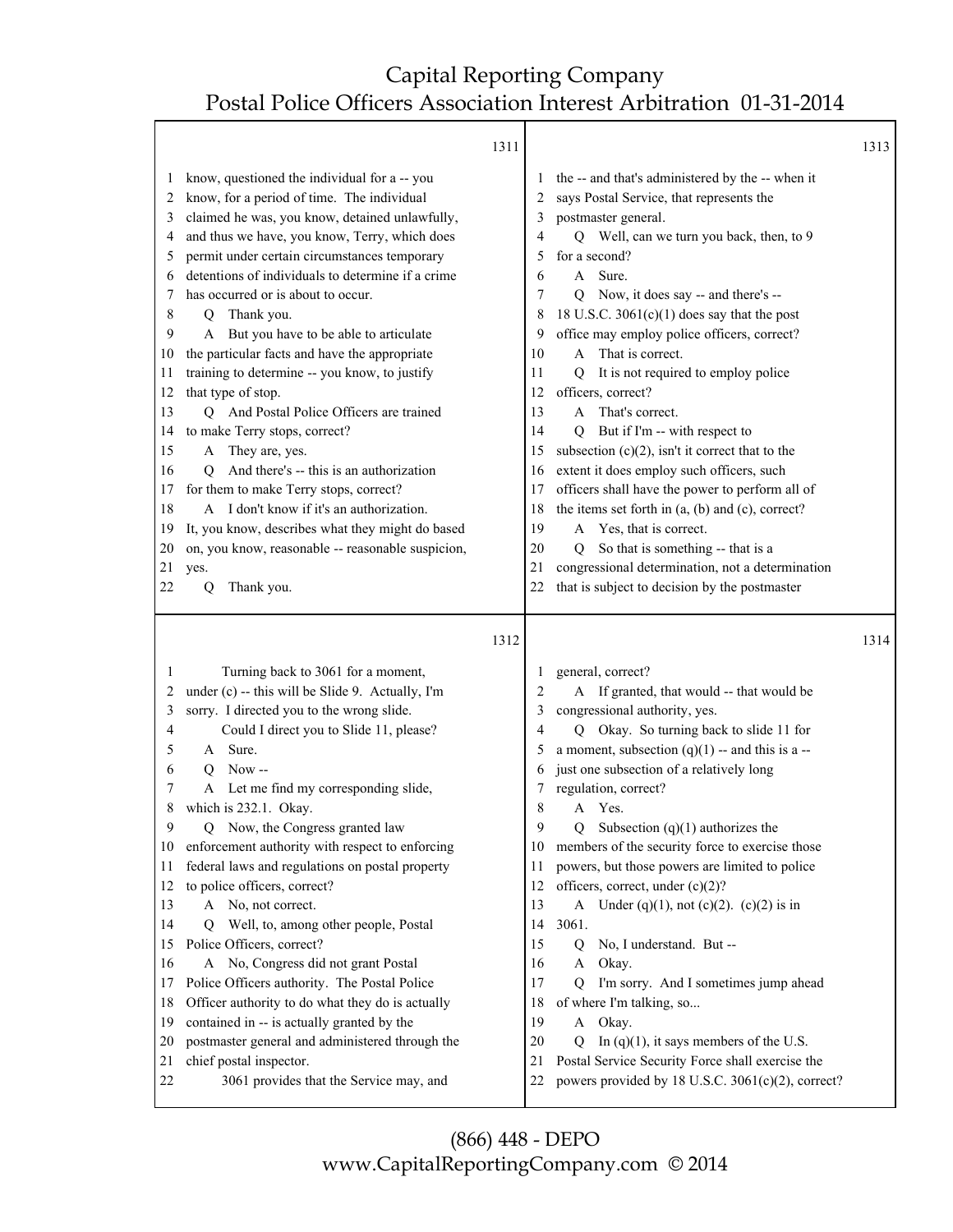Т

|                                                                                                                                    | 1311                                                                                                                                                                                                                                                                                                                                                                                                                                                                                                                                                                                                                                                                                                                                                                                                                                                                                                         |                                                                                                                         |                                                                                                                                                                                                                                                                                                                                                                                                                                                                                                                                                                                                                                                                                                                                                                                                                                                                                          | 1313 |
|------------------------------------------------------------------------------------------------------------------------------------|--------------------------------------------------------------------------------------------------------------------------------------------------------------------------------------------------------------------------------------------------------------------------------------------------------------------------------------------------------------------------------------------------------------------------------------------------------------------------------------------------------------------------------------------------------------------------------------------------------------------------------------------------------------------------------------------------------------------------------------------------------------------------------------------------------------------------------------------------------------------------------------------------------------|-------------------------------------------------------------------------------------------------------------------------|------------------------------------------------------------------------------------------------------------------------------------------------------------------------------------------------------------------------------------------------------------------------------------------------------------------------------------------------------------------------------------------------------------------------------------------------------------------------------------------------------------------------------------------------------------------------------------------------------------------------------------------------------------------------------------------------------------------------------------------------------------------------------------------------------------------------------------------------------------------------------------------|------|
| $\mathbf{I}$<br>2<br>3<br>4<br>5<br>6<br>7<br>8<br>9<br>10<br>11<br>12<br>13<br>14<br>15<br>16<br>17<br>18<br>19<br>20<br>21<br>22 | know, questioned the individual for a -- you<br>know, for a period of time. The individual<br>claimed he was, you know, detained unlawfully,<br>and thus we have, you know, Terry, which does<br>permit under certain circumstances temporary<br>detentions of individuals to determine if a crime<br>has occurred or is about to occur.<br>Thank you.<br>Q<br>But you have to be able to articulate<br>A<br>the particular facts and have the appropriate<br>training to determine -- you know, to justify<br>that type of stop.<br>Q And Postal Police Officers are trained<br>to make Terry stops, correct?<br>A They are, yes.<br>And there's -- this is an authorization<br>О<br>for them to make Terry stops, correct?<br>A I don't know if it's an authorization.<br>It, you know, describes what they might do based<br>on, you know, reasonable -- reasonable suspicion,<br>yes.<br>Thank you.<br>Q | 2<br>3<br>4<br>5<br>6<br>7<br>8<br>9<br>10<br>11<br>12<br>13<br>14<br>15<br>16<br>17<br>18<br>19<br>20<br>21<br>22      | the -- and that's administered by the -- when it<br>says Postal Service, that represents the<br>postmaster general.<br>Well, can we turn you back, then, to 9<br>Q<br>for a second?<br>Sure.<br>A<br>Now, it does say -- and there's --<br>O<br>18 U.S.C. $3061(c)(1)$ does say that the post<br>office may employ police officers, correct?<br>A That is correct.<br>It is not required to employ police<br>0<br>officers, correct?<br>A That's correct.<br>But if I'm -- with respect to<br>0<br>subsection $(c)(2)$ , isn't it correct that to the<br>extent it does employ such officers, such<br>officers shall have the power to perform all of<br>the items set forth in $(a, (b)$ and $(c)$ , correct?<br>A Yes, that is correct.<br>So that is something -- that is a<br>O<br>congressional determination, not a determination<br>that is subject to decision by the postmaster |      |
| 1<br>2<br>3<br>4<br>5<br>6<br>7<br>8<br>9<br>10<br>11<br>12<br>13<br>14<br>15<br>16<br>17<br>18<br>19<br>20<br>21<br>22            | 1312<br>Turning back to 3061 for a moment,<br>under (c) -- this will be Slide 9. Actually, I'm<br>sorry. I directed you to the wrong slide.<br>Could I direct you to Slide 11, please?<br>A Sure.<br>$Now -$<br>O<br>Let me find my corresponding slide,<br>A<br>which is 232.1. Okay.<br>Now, the Congress granted law<br>Q<br>enforcement authority with respect to enforcing<br>federal laws and regulations on postal property<br>to police officers, correct?<br>A No, not correct.<br>Well, to, among other people, Postal<br>O<br>Police Officers, correct?<br>A No, Congress did not grant Postal<br>Police Officers authority. The Postal Police<br>Officer authority to do what they do is actually<br>contained in -- is actually granted by the<br>postmaster general and administered through the<br>chief postal inspector.<br>3061 provides that the Service may, and                         | 1<br>2<br>3<br>4<br>5<br>6<br>7<br>8<br>9<br>10<br>11<br>12<br>13<br>14<br>15<br>16<br>17<br>18<br>19<br>20<br>21<br>22 | general, correct?<br>A If granted, that would -- that would be<br>congressional authority, yes.<br>Q Okay. So turning back to slide 11 for<br>a moment, subsection $(q)(1)$ -- and this is a --<br>just one subsection of a relatively long<br>regulation, correct?<br>Yes.<br>A<br>Subsection $(q)(1)$ authorizes the<br>Q<br>members of the security force to exercise those<br>powers, but those powers are limited to police<br>officers, correct, under (c)(2)?<br>A Under (q)(1), not (c)(2). (c)(2) is in<br>3061.<br>$\mathbf Q$<br>No, I understand. But --<br>Okay.<br>A<br>I'm sorry. And I sometimes jump ahead<br>Q<br>of where I'm talking, so<br>A Okay.<br>In $(q)(1)$ , it says members of the U.S.<br>Q<br>Postal Service Security Force shall exercise the<br>powers provided by 18 U.S.C. 3061(c)(2), correct?                                                       | 1314 |

(866) 448 - DEPO www.CapitalReportingCompany.com © 2014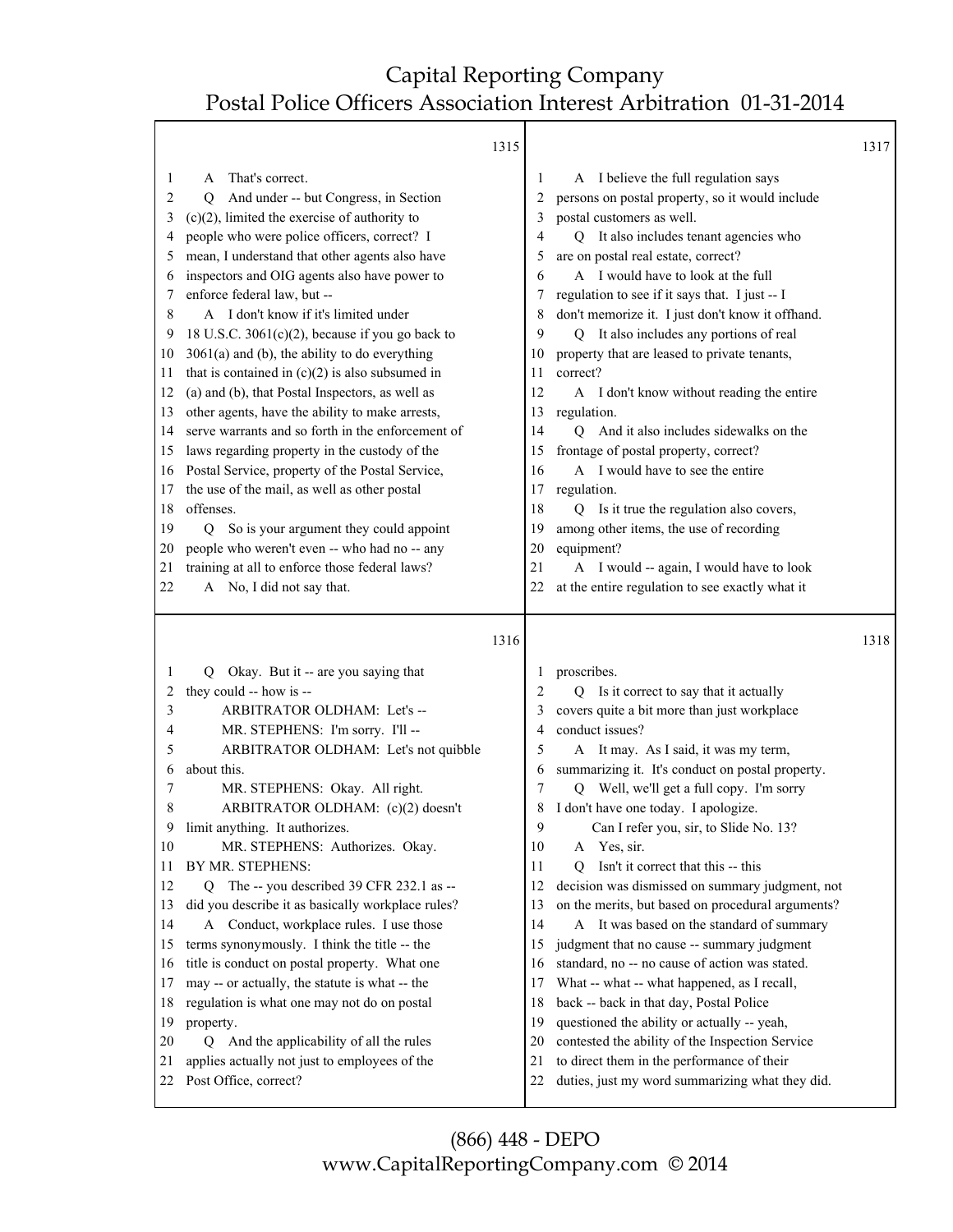$1315$ 

|                                                                                                                                                                                                                                                                                                                                                                                                                                                                                                                                                                                                                                                                                                                                                                                                                                                                                                                                                                                                                       |                                                        |                                                                                                                                                                                                                                                                                                                                                                                                                                                                                                                                                                                                                                                                                                                                                                                                                                                                                                                                                                      | 1317                                  |
|-----------------------------------------------------------------------------------------------------------------------------------------------------------------------------------------------------------------------------------------------------------------------------------------------------------------------------------------------------------------------------------------------------------------------------------------------------------------------------------------------------------------------------------------------------------------------------------------------------------------------------------------------------------------------------------------------------------------------------------------------------------------------------------------------------------------------------------------------------------------------------------------------------------------------------------------------------------------------------------------------------------------------|--------------------------------------------------------|----------------------------------------------------------------------------------------------------------------------------------------------------------------------------------------------------------------------------------------------------------------------------------------------------------------------------------------------------------------------------------------------------------------------------------------------------------------------------------------------------------------------------------------------------------------------------------------------------------------------------------------------------------------------------------------------------------------------------------------------------------------------------------------------------------------------------------------------------------------------------------------------------------------------------------------------------------------------|---------------------------------------|
| That's correct.<br>A<br>And under -- but Congress, in Section<br>Q<br>$(c)(2)$ , limited the exercise of authority to<br>people who were police officers, correct? I<br>mean, I understand that other agents also have<br>inspectors and OIG agents also have power to<br>enforce federal law, but --<br>A I don't know if it's limited under<br>18 U.S.C. $3061(c)(2)$ , because if you go back to<br>$3061(a)$ and (b), the ability to do everything<br>that is contained in $(c)(2)$ is also subsumed in<br>(a) and (b), that Postal Inspectors, as well as<br>other agents, have the ability to make arrests,<br>serve warrants and so forth in the enforcement of<br>laws regarding property in the custody of the<br>Postal Service, property of the Postal Service,<br>the use of the mail, as well as other postal<br>offenses.<br>So is your argument they could appoint<br>Q<br>people who weren't even -- who had no -- any<br>training at all to enforce those federal laws?<br>A No, I did not say that. | 1<br>2<br>3<br>4<br>5<br>6<br>7<br>8<br>9              | A I believe the full regulation says<br>persons on postal property, so it would include<br>postal customers as well.<br>Q It also includes tenant agencies who<br>are on postal real estate, correct?<br>A I would have to look at the full<br>regulation to see if it says that. I just -- I<br>don't memorize it. I just don't know it offhand.<br>Q It also includes any portions of real<br>property that are leased to private tenants,<br>correct?<br>A I don't know without reading the entire<br>regulation.<br>Q And it also includes sidewalks on the<br>A I would have to see the entire<br>regulation.<br>$\overline{O}$<br>Is it true the regulation also covers,<br>among other items, the use of recording<br>equipment?<br>A I would -- again, I would have to look<br>at the entire regulation to see exactly what it                                                                                                                               |                                       |
|                                                                                                                                                                                                                                                                                                                                                                                                                                                                                                                                                                                                                                                                                                                                                                                                                                                                                                                                                                                                                       |                                                        |                                                                                                                                                                                                                                                                                                                                                                                                                                                                                                                                                                                                                                                                                                                                                                                                                                                                                                                                                                      | 1318                                  |
| Okay. But it -- are you saying that<br>Q<br>they could -- how is --<br>ARBITRATOR OLDHAM: Let's --<br>MR. STEPHENS: I'm sorry. I'll --<br>ARBITRATOR OLDHAM: Let's not quibble<br>about this.<br>MR. STEPHENS: Okay. All right.<br>ARBITRATOR OLDHAM: (c)(2) doesn't<br>limit anything. It authorizes.<br>MR. STEPHENS: Authorizes. Okay.<br>BY MR. STEPHENS:<br>Q The -- you described 39 CFR 232.1 as --<br>did you describe it as basically workplace rules?<br>A Conduct, workplace rules. I use those<br>terms synonymously. I think the title -- the<br>title is conduct on postal property. What one<br>may -- or actually, the statute is what -- the<br>regulation is what one may not do on postal<br>property.<br>And the applicability of all the rules<br>Q<br>applies actually not just to employees of the<br>Post Office, correct?                                                                                                                                                                    | 1<br>$\overline{2}$<br>3<br>4<br>5<br>6<br>7<br>8<br>9 | proscribes.<br>Q Is it correct to say that it actually<br>covers quite a bit more than just workplace<br>conduct issues?<br>A It may. As I said, it was my term,<br>summarizing it. It's conduct on postal property.<br>Well, we'll get a full copy. I'm sorry<br>O<br>I don't have one today. I apologize.<br>Can I refer you, sir, to Slide No. 13?<br>Yes, sir.<br>A<br>Isn't it correct that this -- this<br>O<br>decision was dismissed on summary judgment, not<br>on the merits, but based on procedural arguments?<br>A It was based on the standard of summary<br>judgment that no cause -- summary judgment<br>standard, no -- no cause of action was stated.<br>What -- what -- what happened, as I recall,<br>back -- back in that day, Postal Police<br>questioned the ability or actually -- yeah,<br>contested the ability of the Inspection Service<br>to direct them in the performance of their<br>duties, just my word summarizing what they did. |                                       |
|                                                                                                                                                                                                                                                                                                                                                                                                                                                                                                                                                                                                                                                                                                                                                                                                                                                                                                                                                                                                                       | 1315<br>1316                                           | 10<br>11<br>12<br>13<br>14<br>15<br>16<br>17<br>18<br>19<br>20<br>21<br>22<br>10<br>11<br>12<br>13<br>14<br>15<br>16<br>17<br>18<br>19<br>20<br>21<br>22                                                                                                                                                                                                                                                                                                                                                                                                                                                                                                                                                                                                                                                                                                                                                                                                             | frontage of postal property, correct? |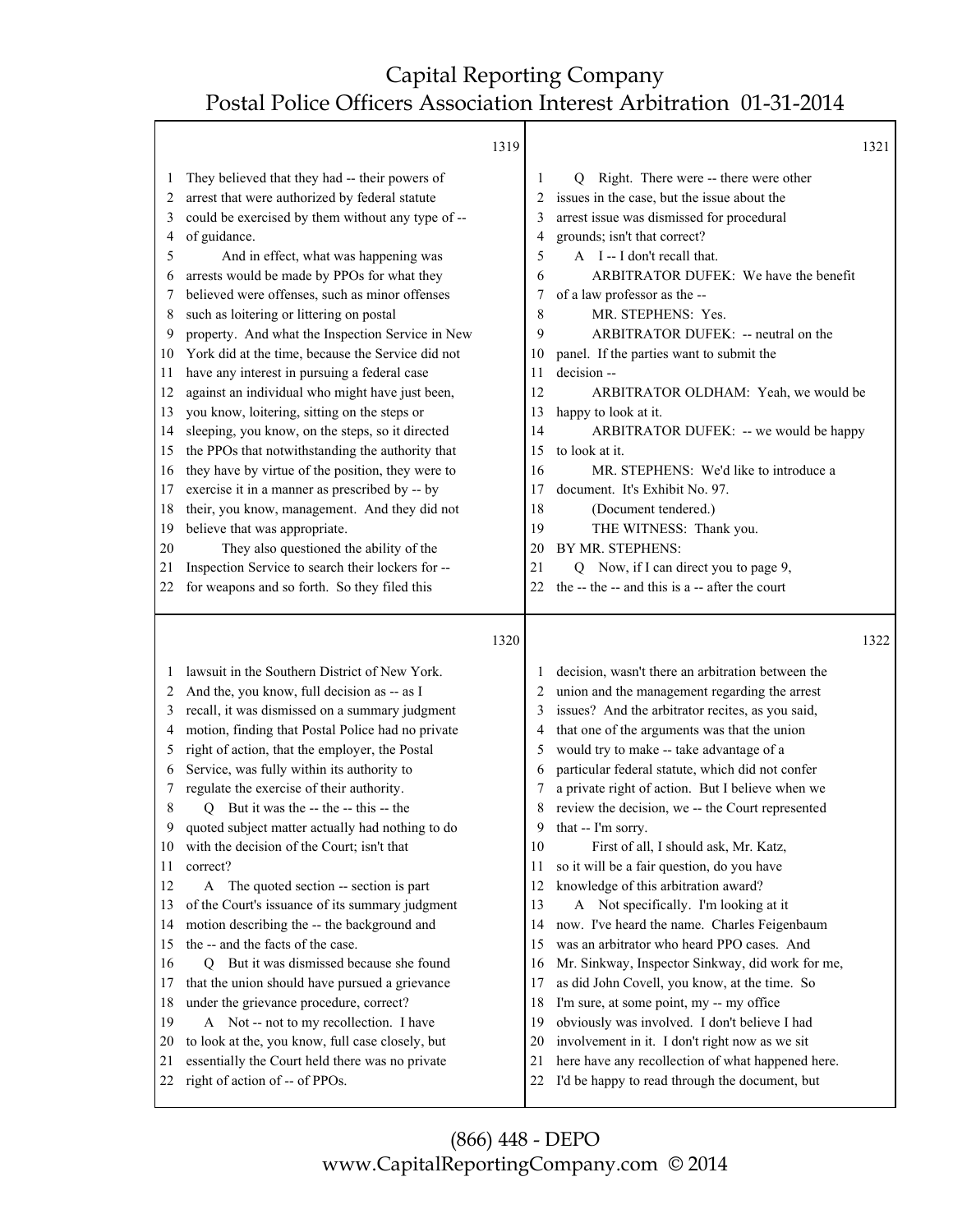|          |                                                                                   | 1319 |          | 1321                                                                                                |
|----------|-----------------------------------------------------------------------------------|------|----------|-----------------------------------------------------------------------------------------------------|
| 1        | They believed that they had -- their powers of                                    |      | 1        | Q Right. There were -- there were other                                                             |
| 2        | arrest that were authorized by federal statute                                    |      | 2        | issues in the case, but the issue about the                                                         |
| 3        | could be exercised by them without any type of --                                 |      | 3        | arrest issue was dismissed for procedural                                                           |
| 4        | of guidance.                                                                      |      | 4        | grounds; isn't that correct?                                                                        |
| 5        | And in effect, what was happening was                                             |      | 5        | A I-I don't recall that.                                                                            |
| 6        | arrests would be made by PPOs for what they                                       |      | 6        | ARBITRATOR DUFEK: We have the benefit                                                               |
| 7        | believed were offenses, such as minor offenses                                    |      | 7        | of a law professor as the --                                                                        |
| 8        | such as loitering or littering on postal                                          |      | 8        | MR. STEPHENS: Yes.                                                                                  |
| 9        | property. And what the Inspection Service in New                                  |      | 9        | ARBITRATOR DUFEK: -- neutral on the                                                                 |
| 10       | York did at the time, because the Service did not                                 |      | 10       | panel. If the parties want to submit the                                                            |
| 11       | have any interest in pursuing a federal case                                      |      | 11       | decision --                                                                                         |
| 12       | against an individual who might have just been,                                   |      | 12       | ARBITRATOR OLDHAM: Yeah, we would be                                                                |
| 13       | you know, loitering, sitting on the steps or                                      |      | 13       | happy to look at it.                                                                                |
| 14       | sleeping, you know, on the steps, so it directed                                  |      | 14       | ARBITRATOR DUFEK: -- we would be happy                                                              |
| 15       | the PPOs that notwithstanding the authority that                                  |      | 15       | to look at it.                                                                                      |
| 16       | they have by virtue of the position, they were to                                 |      | 16       | MR. STEPHENS: We'd like to introduce a                                                              |
| 17       | exercise it in a manner as prescribed by -- by                                    |      | 17       | document. It's Exhibit No. 97.                                                                      |
| 18       | their, you know, management. And they did not                                     |      | 18       | (Document tendered.)                                                                                |
| 19       | believe that was appropriate.                                                     |      | 19       | THE WITNESS: Thank you.                                                                             |
| 20       | They also questioned the ability of the                                           |      | 20       | BY MR. STEPHENS:                                                                                    |
| 21       | Inspection Service to search their lockers for --                                 |      | 21       | Q Now, if I can direct you to page 9,                                                               |
| 22       | for weapons and so forth. So they filed this                                      |      | 22       | the -- the -- and this is a -- after the court                                                      |
|          |                                                                                   |      |          |                                                                                                     |
|          |                                                                                   |      |          |                                                                                                     |
|          |                                                                                   | 1320 |          | 1322                                                                                                |
| 1        | lawsuit in the Southern District of New York.                                     |      |          | decision, wasn't there an arbitration between the                                                   |
| 2        | And the, you know, full decision as -- as I                                       |      | 2        | union and the management regarding the arrest                                                       |
| 3        | recall, it was dismissed on a summary judgment                                    |      |          | issues? And the arbitrator recites, as you said,                                                    |
| 4        | motion, finding that Postal Police had no private                                 |      | 4        | that one of the arguments was that the union                                                        |
| 5        | right of action, that the employer, the Postal                                    |      | 5        | would try to make -- take advantage of a                                                            |
| 6        | Service, was fully within its authority to                                        |      | 6        | particular federal statute, which did not confer                                                    |
| 7        | regulate the exercise of their authority.                                         |      | 7        | a private right of action. But I believe when we                                                    |
| 8        | Q But it was the -- the -- this -- the                                            |      | 8        | review the decision, we -- the Court represented                                                    |
|          | quoted subject matter actually had nothing to do                                  |      | 9        | that -- I'm sorry.                                                                                  |
| 10       | with the decision of the Court; isn't that                                        |      | 10       | First of all, I should ask, Mr. Katz,                                                               |
| 11       | correct?                                                                          |      | 11       | so it will be a fair question, do you have                                                          |
| 12       | The quoted section -- section is part<br>A                                        |      | 12       | knowledge of this arbitration award?                                                                |
| 13       | of the Court's issuance of its summary judgment                                   |      | 13       | A Not specifically. I'm looking at it                                                               |
| 14       | motion describing the -- the background and                                       |      | 14       | now. I've heard the name. Charles Feigenbaum                                                        |
| 15       | the -- and the facts of the case.                                                 |      | 15       | was an arbitrator who heard PPO cases. And                                                          |
| 16       | But it was dismissed because she found<br>O                                       |      | 16       | Mr. Sinkway, Inspector Sinkway, did work for me,                                                    |
| 17       | that the union should have pursued a grievance                                    |      | 17       | as did John Covell, you know, at the time. So                                                       |
| 18       | under the grievance procedure, correct?                                           |      | 18       | I'm sure, at some point, my -- my office                                                            |
| 19       | A Not -- not to my recollection. I have                                           |      | 19       | obviously was involved. I don't believe I had                                                       |
| 20       | to look at the, you know, full case closely, but                                  |      | 20       | involvement in it. I don't right now as we sit                                                      |
| 21<br>22 | essentially the Court held there was no private<br>right of action of -- of PPOs. |      | 21<br>22 | here have any recollection of what happened here.<br>I'd be happy to read through the document, but |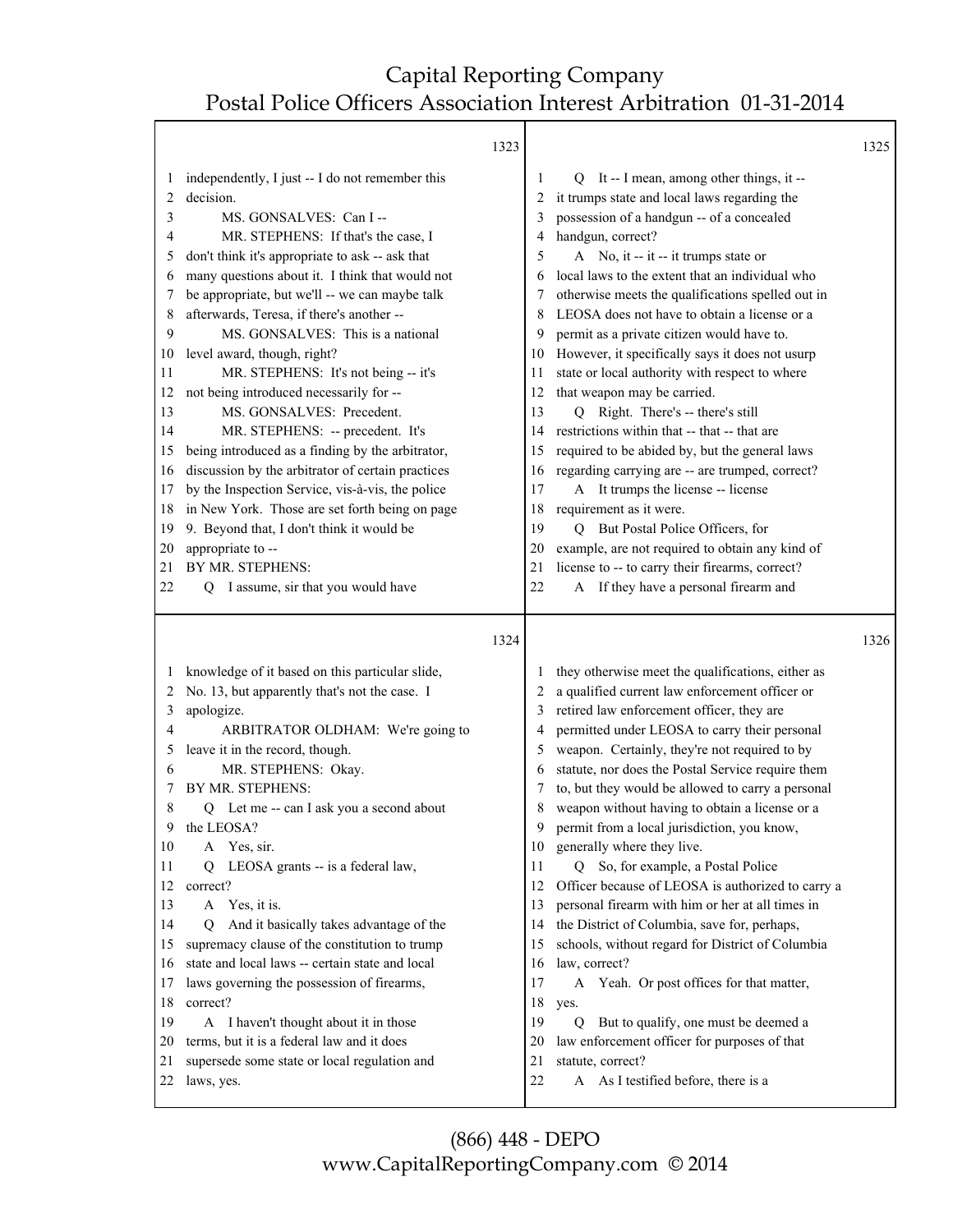Τ

|              | 1323                                                   |    |                                                                                       | 1325 |
|--------------|--------------------------------------------------------|----|---------------------------------------------------------------------------------------|------|
| $\mathbf{I}$ | independently, I just -- I do not remember this        | 1  | Q It -- I mean, among other things, it --                                             |      |
| 2            | decision.                                              | 2  | it trumps state and local laws regarding the                                          |      |
| 3            | MS. GONSALVES: Can I --                                | 3  | possession of a handgun -- of a concealed                                             |      |
| 4            | MR. STEPHENS: If that's the case, I                    | 4  | handgun, correct?                                                                     |      |
| 5            | don't think it's appropriate to ask -- ask that        | 5  | A No, it -- it -- it trumps state or                                                  |      |
| 6            | many questions about it. I think that would not        | 6  | local laws to the extent that an individual who                                       |      |
| 7            | be appropriate, but we'll -- we can maybe talk         | 7  | otherwise meets the qualifications spelled out in                                     |      |
| 8            | afterwards, Teresa, if there's another --              | 8  | LEOSA does not have to obtain a license or a                                          |      |
| 9            | MS. GONSALVES: This is a national                      | 9  | permit as a private citizen would have to.                                            |      |
| 10           | level award, though, right?                            | 10 | However, it specifically says it does not usurp                                       |      |
| 11           | MR. STEPHENS: It's not being -- it's                   | 11 | state or local authority with respect to where                                        |      |
| 12           | not being introduced necessarily for --                | 12 | that weapon may be carried.                                                           |      |
| 13           | MS. GONSALVES: Precedent.                              | 13 | Q Right. There's -- there's still                                                     |      |
| 14           | MR. STEPHENS: -- precedent. It's                       | 14 | restrictions within that -- that -- that are                                          |      |
| 15           | being introduced as a finding by the arbitrator,       | 15 | required to be abided by, but the general laws                                        |      |
| 16           | discussion by the arbitrator of certain practices      | 16 | regarding carrying are -- are trumped, correct?                                       |      |
| 17           | by the Inspection Service, vis-à-vis, the police       | 17 | A It trumps the license -- license                                                    |      |
| 18           | in New York. Those are set forth being on page         | 18 | requirement as it were.                                                               |      |
| 19           | 9. Beyond that, I don't think it would be              | 19 | Q But Postal Police Officers, for                                                     |      |
| 20           | appropriate to --                                      | 20 | example, are not required to obtain any kind of                                       |      |
| 21           | BY MR. STEPHENS:                                       | 21 | license to -- to carry their firearms, correct?                                       |      |
| 22           | I assume, sir that you would have<br>Q                 | 22 | A If they have a personal firearm and                                                 |      |
|              |                                                        |    |                                                                                       |      |
|              | 1324                                                   |    |                                                                                       | 1326 |
|              |                                                        |    |                                                                                       |      |
| $\perp$      | knowledge of it based on this particular slide,        |    | they otherwise meet the qualifications, either as                                     |      |
| 2            | No. 13, but apparently that's not the case. I          |    | a qualified current law enforcement officer or                                        |      |
| 3            | apologize.                                             | 3  | retired law enforcement officer, they are                                             |      |
| 4            | ARBITRATOR OLDHAM: We're going to                      | 4  | permitted under LEOSA to carry their personal                                         |      |
| 5            | leave it in the record, though.                        | 5  | weapon. Certainly, they're not required to by                                         |      |
| 6            | MR. STEPHENS: Okay.                                    |    | statute, nor does the Postal Service require them                                     |      |
| 7            | BY MR. STEPHENS:                                       | 8  | to, but they would be allowed to carry a personal                                     |      |
| 8<br>9       | Q Let me -- can I ask you a second about<br>the LEOSA? | 9  | weapon without having to obtain a license or a                                        |      |
| 10           | A                                                      | 10 | permit from a local jurisdiction, you know,                                           |      |
| 11           | Yes, sir.<br>О                                         | 11 | generally where they live.<br>0                                                       |      |
| 12           | LEOSA grants -- is a federal law,<br>correct?          | 12 | So, for example, a Postal Police<br>Officer because of LEOSA is authorized to carry a |      |
| 13           | A Yes, it is.                                          | 13 | personal firearm with him or her at all times in                                      |      |
| 14           | And it basically takes advantage of the<br>O           | 14 | the District of Columbia, save for, perhaps,                                          |      |
| 15           | supremacy clause of the constitution to trump          | 15 | schools, without regard for District of Columbia                                      |      |
| 16           | state and local laws -- certain state and local        | 16 | law, correct?                                                                         |      |
| 17           | laws governing the possession of firearms,             | 17 | A Yeah. Or post offices for that matter,                                              |      |
| 18           | correct?                                               | 18 | yes.                                                                                  |      |
| 19           | A I haven't thought about it in those                  | 19 | But to qualify, one must be deemed a<br>Q                                             |      |
| 20           | terms, but it is a federal law and it does             | 20 | law enforcement officer for purposes of that                                          |      |
| 21           | supersede some state or local regulation and           | 21 | statute, correct?                                                                     |      |
| 22           | laws, yes.                                             | 22 | A As I testified before, there is a                                                   |      |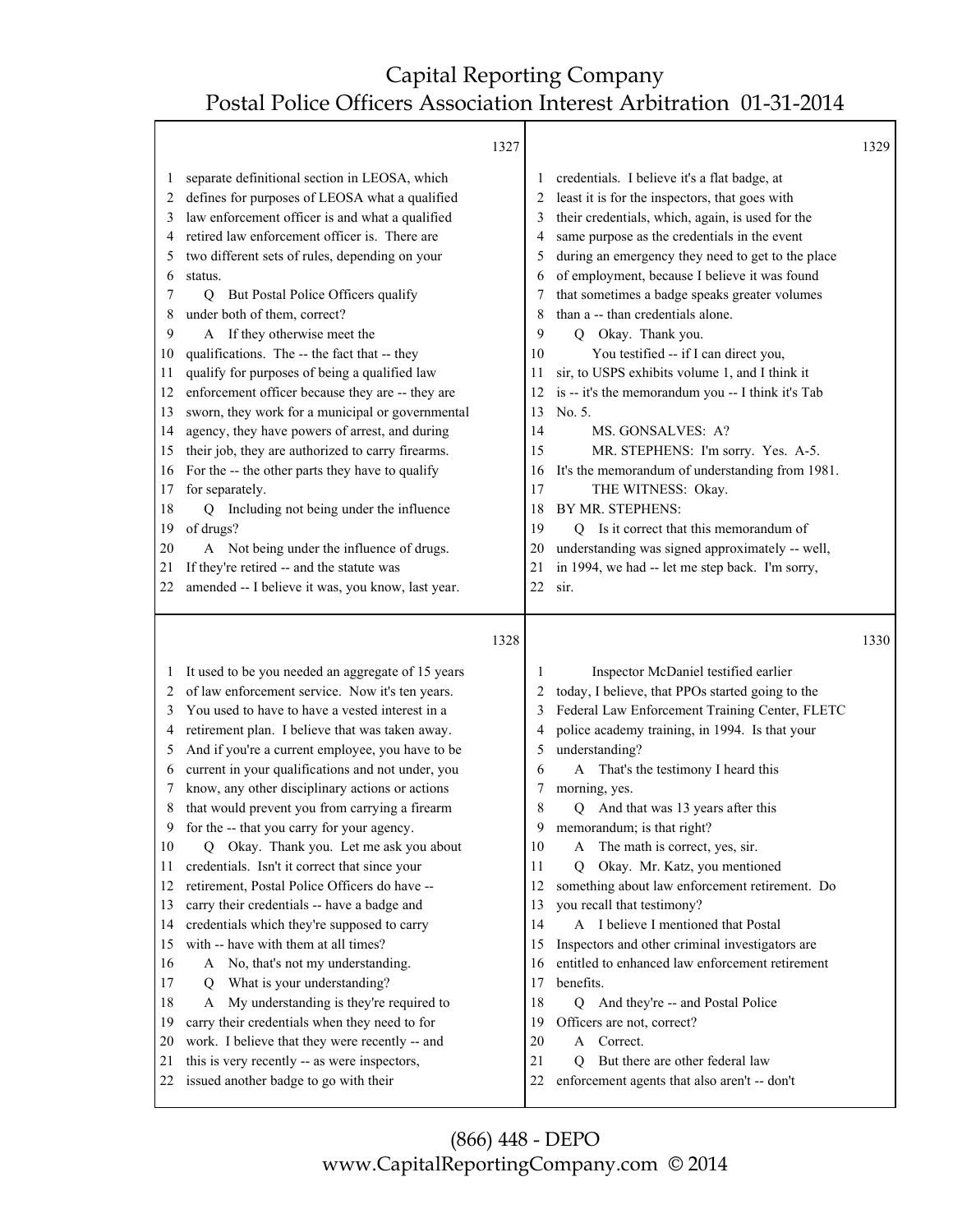|              |                                                                                       | 1327 |          |                                                                                      | 1329 |
|--------------|---------------------------------------------------------------------------------------|------|----------|--------------------------------------------------------------------------------------|------|
| 1            | separate definitional section in LEOSA, which                                         |      | 1        | credentials. I believe it's a flat badge, at                                         |      |
| 2            | defines for purposes of LEOSA what a qualified                                        |      | 2        | least it is for the inspectors, that goes with                                       |      |
| 3            | law enforcement officer is and what a qualified                                       |      | 3        | their credentials, which, again, is used for the                                     |      |
| 4            | retired law enforcement officer is. There are                                         |      | 4        | same purpose as the credentials in the event                                         |      |
| 5            | two different sets of rules, depending on your                                        |      | 5        | during an emergency they need to get to the place                                    |      |
| 6            | status.                                                                               |      | 6        | of employment, because I believe it was found                                        |      |
| 7            | But Postal Police Officers qualify<br>О.                                              |      | 7        | that sometimes a badge speaks greater volumes                                        |      |
| 8            | under both of them, correct?                                                          |      | 8        | than a -- than credentials alone.                                                    |      |
| 9            | A If they otherwise meet the                                                          |      | 9        | Q Okay. Thank you.                                                                   |      |
| 10           | qualifications. The -- the fact that -- they                                          |      | 10       | You testified -- if I can direct you,                                                |      |
| 11           | qualify for purposes of being a qualified law                                         |      | 11       | sir, to USPS exhibits volume 1, and I think it                                       |      |
|              | enforcement officer because they are -- they are                                      |      |          |                                                                                      |      |
| 12           |                                                                                       |      | 12       | is -- it's the memorandum you -- I think it's Tab                                    |      |
| 13           | sworn, they work for a municipal or governmental                                      |      | 13       | No. 5.                                                                               |      |
| 14           | agency, they have powers of arrest, and during                                        |      | 14       | MS. GONSALVES: A?                                                                    |      |
| 15           | their job, they are authorized to carry firearms.                                     |      | 15       | MR. STEPHENS: I'm sorry. Yes. A-5.                                                   |      |
| 16           | For the -- the other parts they have to qualify                                       |      | 16       | It's the memorandum of understanding from 1981.                                      |      |
| 17           | for separately.                                                                       |      | 17       | THE WITNESS: Okay.                                                                   |      |
| 18           | Including not being under the influence<br>$\overline{O}$                             |      | 18       | BY MR. STEPHENS:                                                                     |      |
| 19           | of drugs?                                                                             |      | 19       | Is it correct that this memorandum of<br>Q                                           |      |
| 20           | A Not being under the influence of drugs.                                             |      | 20       | understanding was signed approximately -- well,                                      |      |
| 21           | If they're retired -- and the statute was                                             |      | 21       | in 1994, we had -- let me step back. I'm sorry,                                      |      |
| 22           | amended -- I believe it was, you know, last year.                                     |      | 22       | sir.                                                                                 |      |
|              |                                                                                       |      |          |                                                                                      |      |
|              |                                                                                       | 1328 |          |                                                                                      | 1330 |
|              |                                                                                       |      |          |                                                                                      |      |
| $\mathbf{I}$ | It used to be you needed an aggregate of 15 years                                     |      | 1        | Inspector McDaniel testified earlier                                                 |      |
| 2            | of law enforcement service. Now it's ten years.                                       |      | 2        | today, I believe, that PPOs started going to the                                     |      |
| 3            | You used to have to have a vested interest in a                                       |      | 3        | Federal Law Enforcement Training Center, FLETC                                       |      |
| 4            | retirement plan. I believe that was taken away.                                       |      | 4        | police academy training, in 1994. Is that your                                       |      |
| 5            | And if you're a current employee, you have to be                                      |      | 5        | understanding?                                                                       |      |
| 6            | current in your qualifications and not under, you                                     |      | 6        | That's the testimony I heard this<br>A                                               |      |
| 7            | know, any other disciplinary actions or actions                                       |      | 7        | morning, yes.                                                                        |      |
| 8            | that would prevent you from carrying a firearm                                        |      | 8        | And that was 13 years after this<br>Q                                                |      |
| 9            | for the -- that you carry for your agency.                                            |      | 9        | memorandum; is that right?                                                           |      |
| 10           | Q Okay. Thank you. Let me ask you about                                               |      | 10       | The math is correct, yes, sir.<br>A                                                  |      |
| 11           | credentials. Isn't it correct that since your                                         |      | 11       | Okay. Mr. Katz, you mentioned<br>Q                                                   |      |
| 12           | retirement, Postal Police Officers do have --                                         |      | 12       | something about law enforcement retirement. Do                                       |      |
| 13           | carry their credentials -- have a badge and                                           |      | 13       | you recall that testimony?                                                           |      |
| 14           | credentials which they're supposed to carry                                           |      | 14       | A I believe I mentioned that Postal                                                  |      |
| 15           | with -- have with them at all times?                                                  |      | 15       | Inspectors and other criminal investigators are                                      |      |
| 16           | A No, that's not my understanding.                                                    |      | 16       | entitled to enhanced law enforcement retirement                                      |      |
| 17           | What is your understanding?<br>Q                                                      |      | 17       | benefits.                                                                            |      |
| 18           | My understanding is they're required to<br>A                                          |      | 18       | And they're -- and Postal Police<br>$\overline{Q}$                                   |      |
| 19           | carry their credentials when they need to for                                         |      | 19       | Officers are not, correct?                                                           |      |
| 20           | work. I believe that they were recently -- and                                        |      | 20       | Correct.<br>A                                                                        |      |
| 21<br>22     | this is very recently -- as were inspectors,<br>issued another badge to go with their |      | 21<br>22 | But there are other federal law<br>O<br>enforcement agents that also aren't -- don't |      |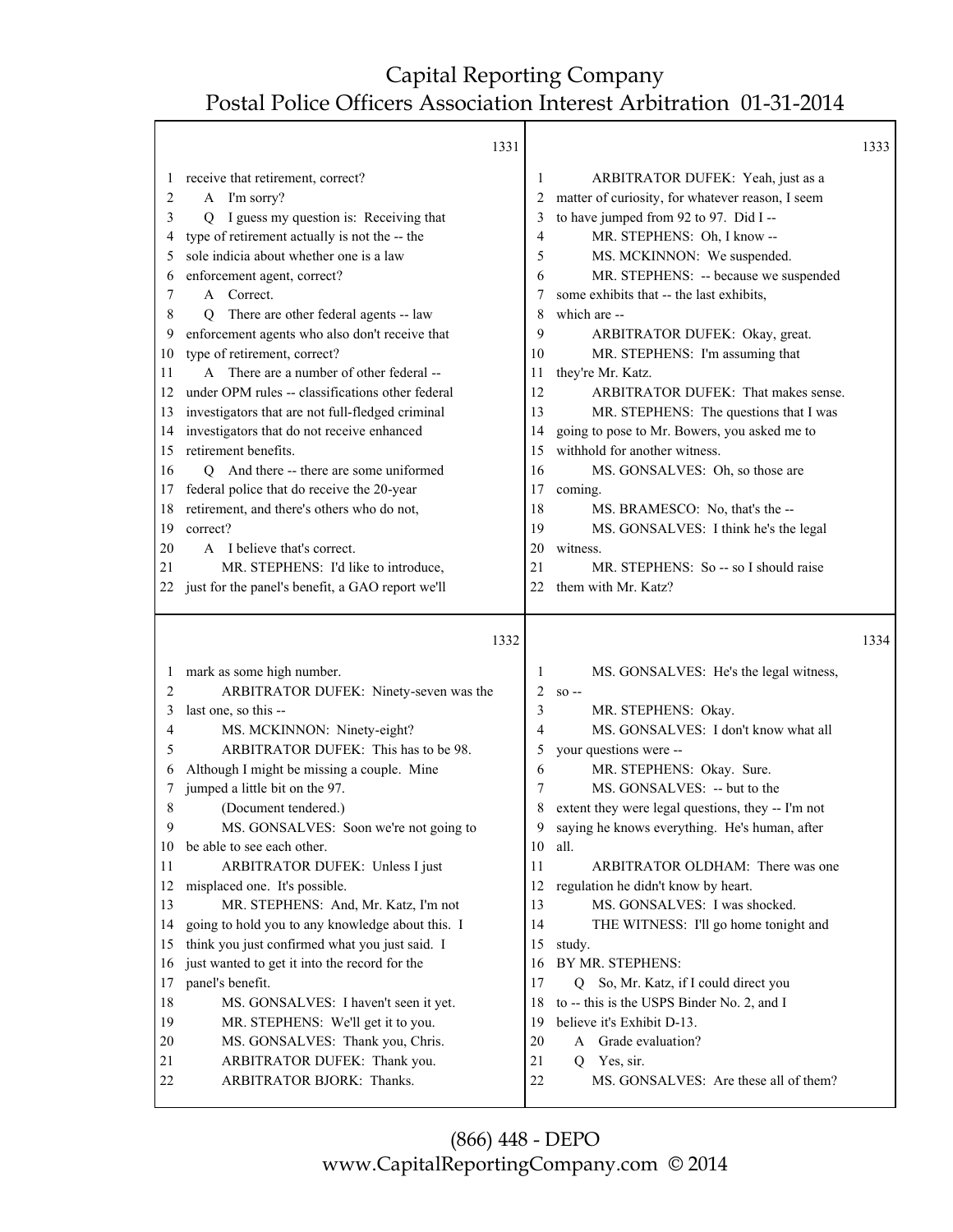Т

|                   | 1331                                                                                            |          |                                                                                       | 1333 |
|-------------------|-------------------------------------------------------------------------------------------------|----------|---------------------------------------------------------------------------------------|------|
| $\mathbf{I}$<br>2 | receive that retirement, correct?<br>A I'm sorry?                                               | 1<br>2   | ARBITRATOR DUFEK: Yeah, just as a<br>matter of curiosity, for whatever reason, I seem |      |
| 3                 | I guess my question is: Receiving that<br>Q                                                     | 3        | to have jumped from 92 to 97. Did I --                                                |      |
| 4                 | type of retirement actually is not the -- the                                                   | 4        | MR. STEPHENS: Oh, I know --                                                           |      |
| 5                 | sole indicia about whether one is a law                                                         | 5        | MS. MCKINNON: We suspended.                                                           |      |
| 6                 | enforcement agent, correct?                                                                     | 6        | MR. STEPHENS: -- because we suspended                                                 |      |
| 7                 | A Correct.                                                                                      |          | some exhibits that -- the last exhibits,                                              |      |
| 8                 | There are other federal agents -- law<br>O                                                      | 8        | which are --                                                                          |      |
| 9                 | enforcement agents who also don't receive that                                                  | 9        | ARBITRATOR DUFEK: Okay, great.                                                        |      |
| 10                | type of retirement, correct?                                                                    | 10       | MR. STEPHENS: I'm assuming that                                                       |      |
| 11                | A There are a number of other federal --                                                        | 11       | they're Mr. Katz.                                                                     |      |
| 12                | under OPM rules -- classifications other federal                                                | 12       | ARBITRATOR DUFEK: That makes sense.                                                   |      |
| 13                | investigators that are not full-fledged criminal                                                | 13       | MR. STEPHENS: The questions that I was                                                |      |
| 14                | investigators that do not receive enhanced                                                      | 14       | going to pose to Mr. Bowers, you asked me to                                          |      |
| 15                | retirement benefits.                                                                            | 15       | withhold for another witness.                                                         |      |
| 16                | Q And there -- there are some uniformed                                                         | 16       | MS. GONSALVES: Oh, so those are                                                       |      |
| 17                | federal police that do receive the 20-year                                                      | 17       | coming.                                                                               |      |
| 18                | retirement, and there's others who do not,                                                      | 18       | MS. BRAMESCO: No, that's the --                                                       |      |
| 19                | correct?                                                                                        | 19       | MS. GONSALVES: I think he's the legal                                                 |      |
| 20                | A I believe that's correct.                                                                     | 20       | witness.                                                                              |      |
| 21                | MR. STEPHENS: I'd like to introduce,                                                            | 21       | MR. STEPHENS: So -- so I should raise                                                 |      |
| 22                | just for the panel's benefit, a GAO report we'll                                                | 22       | them with Mr. Katz?                                                                   |      |
|                   |                                                                                                 |          |                                                                                       |      |
|                   | 1332                                                                                            |          |                                                                                       | 1334 |
|                   |                                                                                                 |          |                                                                                       |      |
| $\perp$           | mark as some high number.                                                                       | 1        | MS. GONSALVES: He's the legal witness,                                                |      |
| 2                 | ARBITRATOR DUFEK: Ninety-seven was the                                                          | 2        | $SO -$                                                                                |      |
| 3                 | last one, so this --                                                                            | 3        | MR. STEPHENS: Okay.                                                                   |      |
| 4                 | MS. MCKINNON: Ninety-eight?                                                                     | 4        | MS. GONSALVES: I don't know what all                                                  |      |
| 5                 | ARBITRATOR DUFEK: This has to be 98.                                                            | 5        | your questions were --                                                                |      |
| 6<br>7            | Although I might be missing a couple. Mine                                                      | 6<br>7   | MR. STEPHENS: Okay. Sure.                                                             |      |
| 8                 | jumped a little bit on the 97.                                                                  | 8        | MS. GONSALVES: -- but to the                                                          |      |
| 9                 | (Document tendered.)                                                                            | 9        | extent they were legal questions, they -- I'm not                                     |      |
| 10                | MS. GONSALVES: Soon we're not going to                                                          |          | saying he knows everything. He's human, after                                         |      |
| 11                | be able to see each other.<br>ARBITRATOR DUFEK: Unless I just                                   | 10<br>11 | all.<br>ARBITRATOR OLDHAM: There was one                                              |      |
| 12                |                                                                                                 |          |                                                                                       |      |
| 13                | misplaced one. It's possible.                                                                   | 12<br>13 | regulation he didn't know by heart.<br>MS. GONSALVES: I was shocked.                  |      |
| 14                | MR. STEPHENS: And, Mr. Katz, I'm not                                                            | 14       |                                                                                       |      |
| 15                | going to hold you to any knowledge about this. I                                                | 15       | THE WITNESS: I'll go home tonight and                                                 |      |
| 16                | think you just confirmed what you just said. I<br>just wanted to get it into the record for the | 16       | study.<br>BY MR. STEPHENS:                                                            |      |
| 17                | panel's benefit.                                                                                | 17       | So, Mr. Katz, if I could direct you<br>Q                                              |      |
| 18                | MS. GONSALVES: I haven't seen it yet.                                                           | 18       | to -- this is the USPS Binder No. 2, and I                                            |      |
| 19                | MR. STEPHENS: We'll get it to you.                                                              | 19       | believe it's Exhibit D-13.                                                            |      |
| 20                | MS. GONSALVES: Thank you, Chris.                                                                | 20       | A Grade evaluation?                                                                   |      |
| 21                | ARBITRATOR DUFEK: Thank you.                                                                    | 21       | Q<br>Yes, sir.                                                                        |      |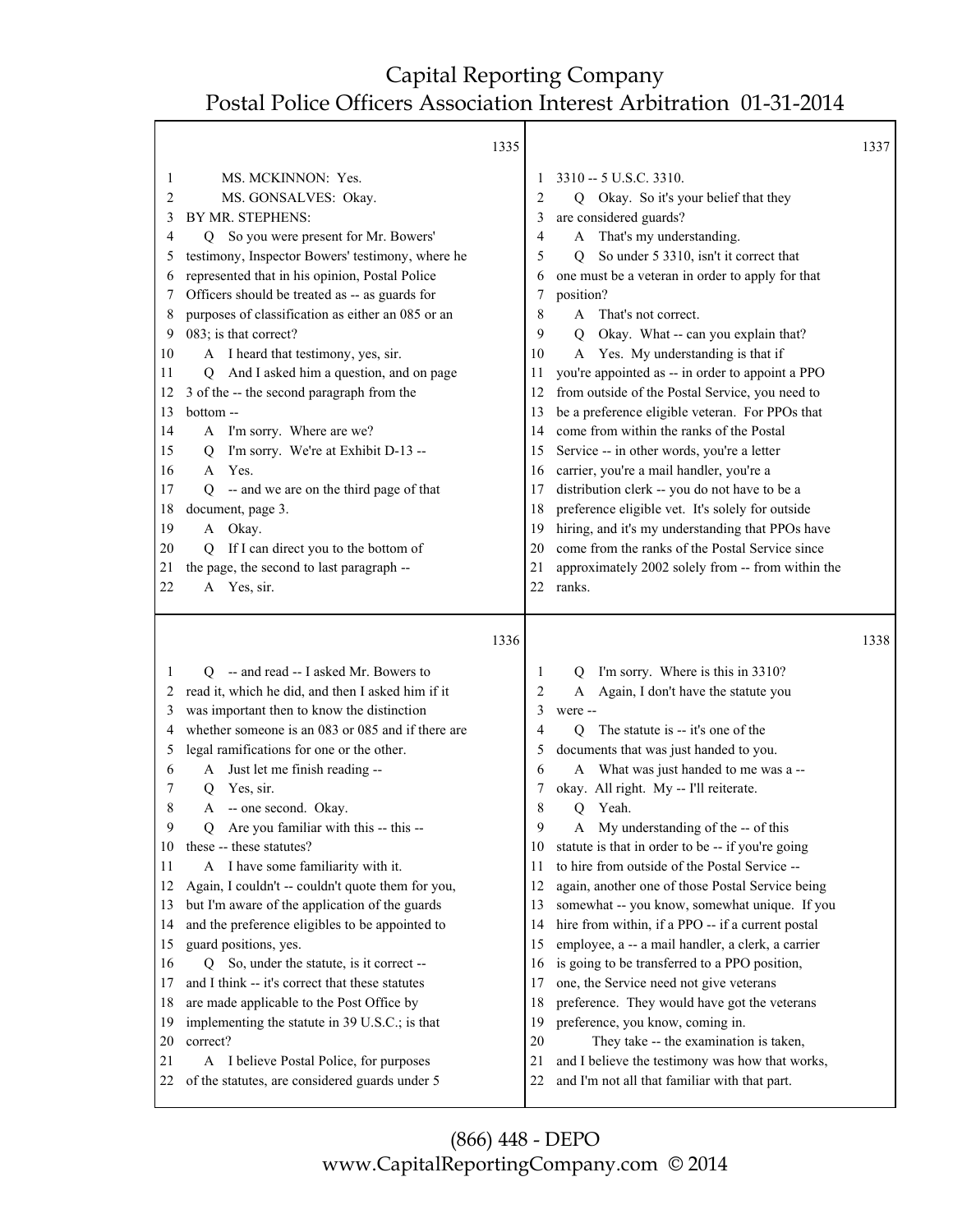|          |                                                                                              | 1335 |                |                                                                                                  | 1337 |
|----------|----------------------------------------------------------------------------------------------|------|----------------|--------------------------------------------------------------------------------------------------|------|
| 1        | MS. MCKINNON: Yes.                                                                           |      | 1              | 3310 -- 5 U.S.C. 3310.                                                                           |      |
| 2        | MS. GONSALVES: Okay.                                                                         |      | 2              | Okay. So it's your belief that they<br>Q                                                         |      |
| 3        | BY MR. STEPHENS:                                                                             |      | 3              | are considered guards?                                                                           |      |
| 4        | Q So you were present for Mr. Bowers'                                                        |      | 4              | A That's my understanding.                                                                       |      |
| 5        | testimony, Inspector Bowers' testimony, where he                                             |      | 5              | So under 5 3310, isn't it correct that<br>O                                                      |      |
| 6        | represented that in his opinion, Postal Police                                               |      | 6              | one must be a veteran in order to apply for that                                                 |      |
| 7        | Officers should be treated as -- as guards for                                               |      | 7              | position?                                                                                        |      |
| 8        | purposes of classification as either an 085 or an                                            |      | 8              | That's not correct.<br>A                                                                         |      |
| 9        | 083; is that correct?                                                                        |      | 9              | Okay. What -- can you explain that?<br>0                                                         |      |
| 10       | A I heard that testimony, yes, sir.                                                          |      | 10             | A Yes. My understanding is that if                                                               |      |
| 11       | And I asked him a question, and on page<br>O.                                                |      | 11             | you're appointed as -- in order to appoint a PPO                                                 |      |
| 12       | 3 of the -- the second paragraph from the                                                    |      | 12             | from outside of the Postal Service, you need to                                                  |      |
| 13       | bottom-                                                                                      |      | 13             | be a preference eligible veteran. For PPOs that                                                  |      |
| 14       | A I'm sorry. Where are we?                                                                   |      | 14             | come from within the ranks of the Postal                                                         |      |
| 15       | I'm sorry. We're at Exhibit D-13 --<br>Q                                                     |      | 15             | Service -- in other words, you're a letter                                                       |      |
| 16       | A Yes.                                                                                       |      | 16             | carrier, you're a mail handler, you're a                                                         |      |
| 17       | Q -- and we are on the third page of that                                                    |      | 17             | distribution clerk -- you do not have to be a                                                    |      |
| 18       | document, page 3.                                                                            |      | 18             | preference eligible vet. It's solely for outside                                                 |      |
| 19       | A Okay.                                                                                      |      | 19             | hiring, and it's my understanding that PPOs have                                                 |      |
| 20       | If I can direct you to the bottom of<br>O                                                    |      | 20             | come from the ranks of the Postal Service since                                                  |      |
| 21       | the page, the second to last paragraph --                                                    |      | 21             | approximately 2002 solely from -- from within the                                                |      |
| 22       | A Yes, sir.                                                                                  |      | 22             | ranks.                                                                                           |      |
|          |                                                                                              |      |                |                                                                                                  |      |
|          |                                                                                              |      |                |                                                                                                  |      |
|          |                                                                                              | 1336 |                |                                                                                                  | 1338 |
|          |                                                                                              |      |                |                                                                                                  |      |
| 1        | Q -- and read -- I asked Mr. Bowers to                                                       |      | 1              | I'm sorry. Where is this in 3310?<br>$\circ$                                                     |      |
| 2        | read it, which he did, and then I asked him if it                                            |      | $\overline{2}$ | Again, I don't have the statute you<br>A                                                         |      |
| 3        | was important then to know the distinction                                                   |      | 3              | were --                                                                                          |      |
| 4        | whether someone is an 083 or 085 and if there are                                            |      | 4              | The statute is -- it's one of the<br>0                                                           |      |
| 5        | legal ramifications for one or the other.                                                    |      | 5              | documents that was just handed to you.                                                           |      |
| 6        | A Just let me finish reading --                                                              |      | 6              | A What was just handed to me was a --                                                            |      |
| 7        | Yes, sir.<br>Q                                                                               |      | 7              | okay. All right. My -- I'll reiterate.                                                           |      |
| 8        | -- one second. Okay.<br>Α                                                                    |      | 8              | Yeah.<br>Q                                                                                       |      |
| 9        | Are you familiar with this -- this --<br>Q                                                   |      | 9              | A My understanding of the -- of this                                                             |      |
| 10       | these -- these statutes?                                                                     |      | 10             | statute is that in order to be -- if you're going                                                |      |
| 11       | A I have some familiarity with it.                                                           |      | 11             | to hire from outside of the Postal Service --                                                    |      |
| 12       | Again, I couldn't -- couldn't quote them for you,                                            |      | 12             | again, another one of those Postal Service being                                                 |      |
| 13       | but I'm aware of the application of the guards                                               |      | 13             | somewhat -- you know, somewhat unique. If you                                                    |      |
| 14       | and the preference eligibles to be appointed to                                              |      | 14             | hire from within, if a PPO -- if a current postal                                                |      |
| 15       | guard positions, yes.                                                                        |      | 15             | employee, a -- a mail handler, a clerk, a carrier                                                |      |
| 16       | So, under the statute, is it correct --<br>Q                                                 |      | 16             | is going to be transferred to a PPO position,                                                    |      |
| 17       | and I think -- it's correct that these statutes                                              |      | 17             | one, the Service need not give veterans                                                          |      |
| 18       | are made applicable to the Post Office by                                                    |      | 18             | preference. They would have got the veterans                                                     |      |
| 19       | implementing the statute in 39 U.S.C.; is that                                               |      | 19             | preference, you know, coming in.                                                                 |      |
| 20       | correct?                                                                                     |      | 20             | They take -- the examination is taken,                                                           |      |
| 21<br>22 | I believe Postal Police, for purposes<br>A<br>of the statutes, are considered guards under 5 |      | 21<br>22       | and I believe the testimony was how that works,<br>and I'm not all that familiar with that part. |      |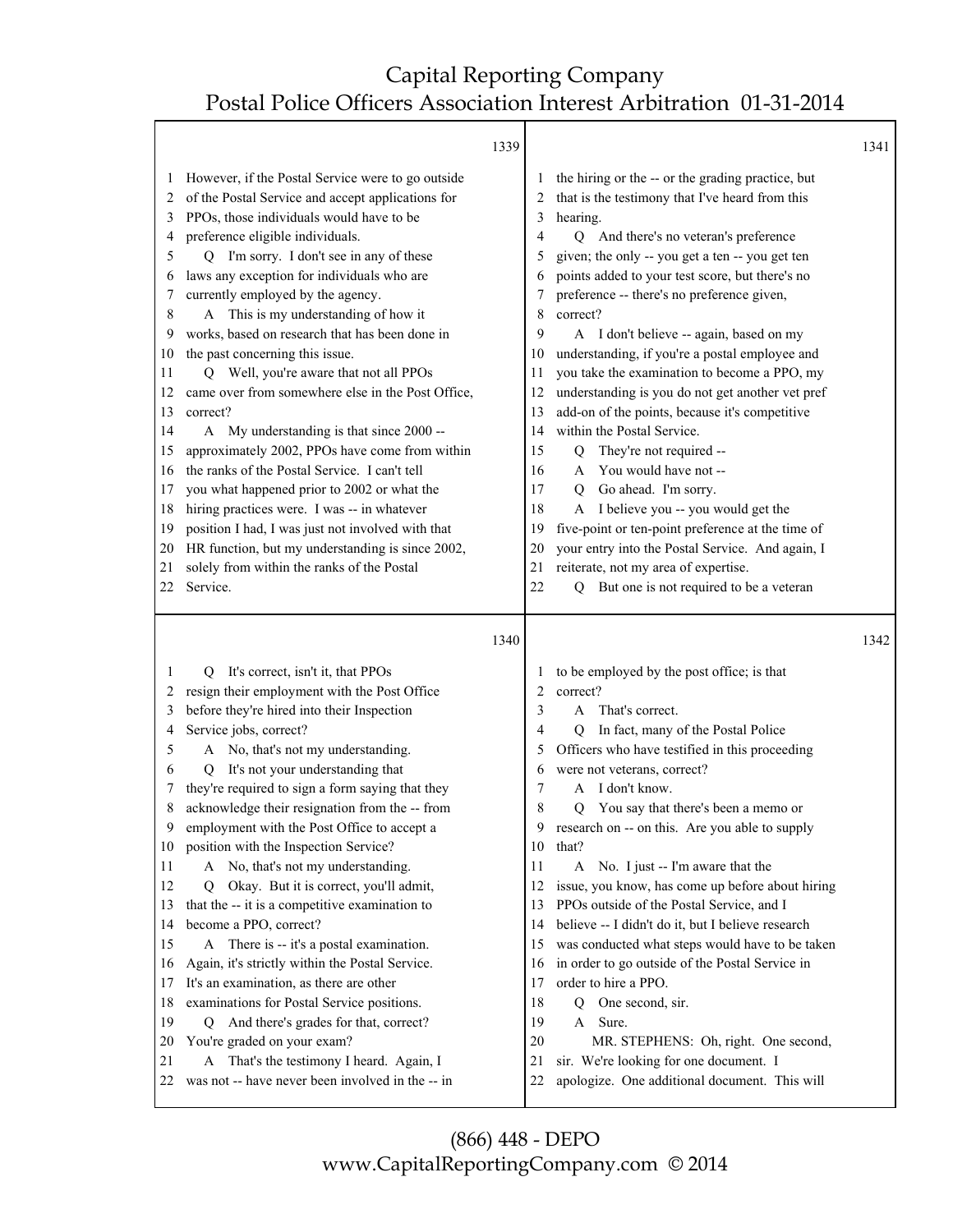|                                                                                                                         |                                                                                                                                                                                                                                                                                                                                                                                                                                                                                                                                                                                                                                                                                                                                                                                                                                                                                                                                                                                          | 1339 |                                                                                                                    |                                                                                                                                                                                                                                                                                                                                                                                                                                                                                                                                                                                                                                                                                                                                                                                                                                                                                                                                                                | 1341 |
|-------------------------------------------------------------------------------------------------------------------------|------------------------------------------------------------------------------------------------------------------------------------------------------------------------------------------------------------------------------------------------------------------------------------------------------------------------------------------------------------------------------------------------------------------------------------------------------------------------------------------------------------------------------------------------------------------------------------------------------------------------------------------------------------------------------------------------------------------------------------------------------------------------------------------------------------------------------------------------------------------------------------------------------------------------------------------------------------------------------------------|------|--------------------------------------------------------------------------------------------------------------------|----------------------------------------------------------------------------------------------------------------------------------------------------------------------------------------------------------------------------------------------------------------------------------------------------------------------------------------------------------------------------------------------------------------------------------------------------------------------------------------------------------------------------------------------------------------------------------------------------------------------------------------------------------------------------------------------------------------------------------------------------------------------------------------------------------------------------------------------------------------------------------------------------------------------------------------------------------------|------|
| 1<br>2<br>3<br>4<br>5<br>6<br>7<br>8<br>9<br>10<br>11<br>12<br>13<br>14<br>15<br>16<br>17<br>18<br>19<br>20<br>21<br>22 | However, if the Postal Service were to go outside<br>of the Postal Service and accept applications for<br>PPOs, those individuals would have to be<br>preference eligible individuals.<br>I'm sorry. I don't see in any of these<br>О<br>laws any exception for individuals who are<br>currently employed by the agency.<br>A This is my understanding of how it<br>works, based on research that has been done in<br>the past concerning this issue.<br>Q Well, you're aware that not all PPOs<br>came over from somewhere else in the Post Office,<br>correct?<br>My understanding is that since 2000 --<br>A<br>approximately 2002, PPOs have come from within<br>the ranks of the Postal Service. I can't tell<br>you what happened prior to 2002 or what the<br>hiring practices were. I was -- in whatever<br>position I had, I was just not involved with that<br>HR function, but my understanding is since 2002,<br>solely from within the ranks of the Postal<br>Service.      |      | 3<br>4<br>5<br>6<br>8<br>9<br>10<br>11<br>12<br>13<br>14<br>15<br>16<br>17<br>18<br>19<br>20<br>21<br>22           | the hiring or the -- or the grading practice, but<br>that is the testimony that I've heard from this<br>hearing.<br>And there's no veteran's preference<br>Q<br>given; the only -- you get a ten -- you get ten<br>points added to your test score, but there's no<br>preference -- there's no preference given,<br>correct?<br>A I don't believe -- again, based on my<br>understanding, if you're a postal employee and<br>you take the examination to become a PPO, my<br>understanding is you do not get another vet pref<br>add-on of the points, because it's competitive<br>within the Postal Service.<br>They're not required --<br>Q<br>You would have not --<br>A<br>Go ahead. I'm sorry.<br>$\mathbf Q$<br>I believe you -- you would get the<br>A<br>five-point or ten-point preference at the time of<br>your entry into the Postal Service. And again, I<br>reiterate, not my area of expertise.<br>But one is not required to be a veteran<br>0 |      |
|                                                                                                                         |                                                                                                                                                                                                                                                                                                                                                                                                                                                                                                                                                                                                                                                                                                                                                                                                                                                                                                                                                                                          | 1340 |                                                                                                                    |                                                                                                                                                                                                                                                                                                                                                                                                                                                                                                                                                                                                                                                                                                                                                                                                                                                                                                                                                                | 1342 |
| 1<br>2<br>3<br>4<br>5<br>6<br>7<br>8<br>10<br>11<br>12<br>13<br>14<br>15<br>16<br>17<br>18<br>19<br>20<br>21<br>22      | It's correct, isn't it, that PPOs<br>O.<br>resign their employment with the Post Office<br>before they're hired into their Inspection<br>Service jobs, correct?<br>A No, that's not my understanding.<br>It's not your understanding that<br>Q<br>they're required to sign a form saying that they<br>acknowledge their resignation from the -- from<br>employment with the Post Office to accept a<br>position with the Inspection Service?<br>A No, that's not my understanding.<br>Okay. But it is correct, you'll admit,<br>0<br>that the -- it is a competitive examination to<br>become a PPO, correct?<br>There is -- it's a postal examination.<br>A<br>Again, it's strictly within the Postal Service.<br>It's an examination, as there are other<br>examinations for Postal Service positions.<br>And there's grades for that, correct?<br>Q<br>You're graded on your exam?<br>That's the testimony I heard. Again, I<br>A<br>was not -- have never been involved in the -- in |      | 2<br>3<br>4<br>5<br>6<br>7<br>8<br>9<br>10<br>11<br>12<br>13<br>14<br>15<br>16<br>17<br>18<br>19<br>20<br>21<br>22 | to be employed by the post office; is that<br>correct?<br>That's correct.<br>A<br>In fact, many of the Postal Police<br>0<br>Officers who have testified in this proceeding<br>were not veterans, correct?<br>I don't know.<br>A<br>You say that there's been a memo or<br>Q<br>research on -- on this. Are you able to supply<br>that?<br>No. I just -- I'm aware that the<br>A<br>issue, you know, has come up before about hiring<br>PPOs outside of the Postal Service, and I<br>believe -- I didn't do it, but I believe research<br>was conducted what steps would have to be taken<br>in order to go outside of the Postal Service in<br>order to hire a PPO.<br>One second, sir.<br>Q<br>A Sure.<br>MR. STEPHENS: Oh, right. One second,<br>sir. We're looking for one document. I<br>apologize. One additional document. This will                                                                                                                    |      |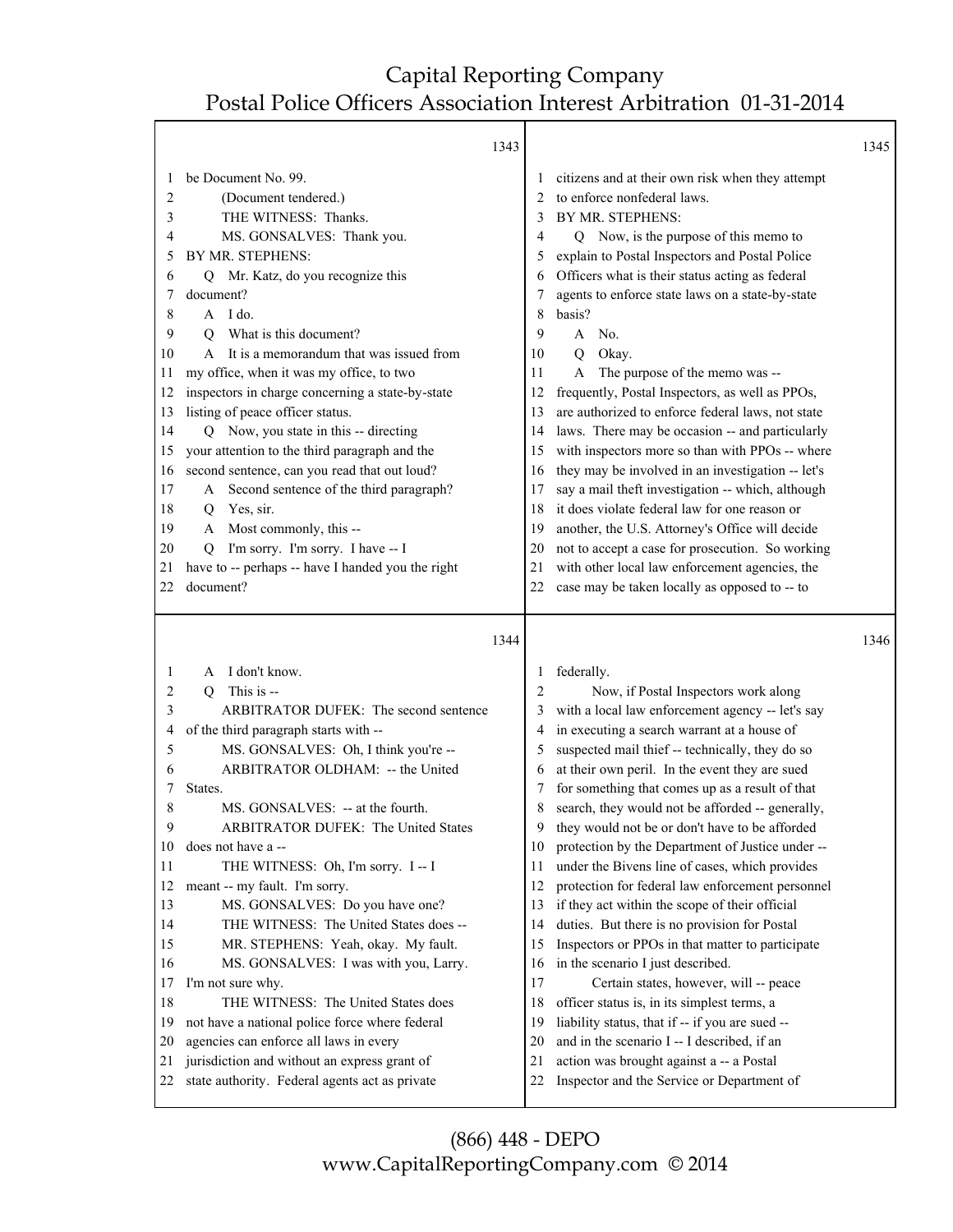Τ

|                                                                                                                    | 1343                                                                                                                                                                                                                                                                                                                                                                                                                                                                                                                                                                                                                                                                                                                                                            |                                                                                                                               |                                                                                                                                                                                                                                                                                                                                                                                                                                                                                                                                                                                                                                                                                                                                                                                                                                                                                                                                                                                                                 | 1345 |
|--------------------------------------------------------------------------------------------------------------------|-----------------------------------------------------------------------------------------------------------------------------------------------------------------------------------------------------------------------------------------------------------------------------------------------------------------------------------------------------------------------------------------------------------------------------------------------------------------------------------------------------------------------------------------------------------------------------------------------------------------------------------------------------------------------------------------------------------------------------------------------------------------|-------------------------------------------------------------------------------------------------------------------------------|-----------------------------------------------------------------------------------------------------------------------------------------------------------------------------------------------------------------------------------------------------------------------------------------------------------------------------------------------------------------------------------------------------------------------------------------------------------------------------------------------------------------------------------------------------------------------------------------------------------------------------------------------------------------------------------------------------------------------------------------------------------------------------------------------------------------------------------------------------------------------------------------------------------------------------------------------------------------------------------------------------------------|------|
| 2<br>3<br>4<br>5<br>6<br>7<br>8<br>9<br>10<br>11<br>12<br>13<br>14<br>15<br>16<br>17<br>18<br>19<br>20<br>21<br>22 | be Document No. 99.<br>(Document tendered.)<br>THE WITNESS: Thanks.<br>MS. GONSALVES: Thank you.<br>BY MR. STEPHENS:<br>Q Mr. Katz, do you recognize this<br>document?<br>$A$ I do.<br>What is this document?<br>O<br>A It is a memorandum that was issued from<br>my office, when it was my office, to two<br>inspectors in charge concerning a state-by-state<br>listing of peace officer status.<br>Q Now, you state in this -- directing<br>your attention to the third paragraph and the<br>second sentence, can you read that out loud?<br>A Second sentence of the third paragraph?<br>Yes, sir.<br>Q<br>Most commonly, this --<br>A<br>I'm sorry. I'm sorry. I have -- I<br>Q<br>have to -- perhaps -- have I handed you the right<br>document?         | $\perp$<br>2<br>3<br>4<br>5<br>6<br>7<br>8<br>9<br>10<br>11<br>12<br>13<br>14<br>15<br>16<br>17<br>18<br>19<br>20<br>21<br>22 | citizens and at their own risk when they attempt<br>to enforce nonfederal laws.<br>BY MR. STEPHENS:<br>Q Now, is the purpose of this memo to<br>explain to Postal Inspectors and Postal Police<br>Officers what is their status acting as federal<br>agents to enforce state laws on a state-by-state<br>basis?<br>No.<br>A<br>Okay.<br>Q<br>The purpose of the memo was --<br>A<br>frequently, Postal Inspectors, as well as PPOs,<br>are authorized to enforce federal laws, not state<br>laws. There may be occasion -- and particularly<br>with inspectors more so than with PPOs -- where<br>they may be involved in an investigation -- let's<br>say a mail theft investigation -- which, although<br>it does violate federal law for one reason or<br>another, the U.S. Attorney's Office will decide<br>not to accept a case for prosecution. So working<br>with other local law enforcement agencies, the<br>case may be taken locally as opposed to -- to                                             |      |
| 1<br>2<br>3<br>4<br>5<br>6<br>7<br>8<br>9<br>10<br>11<br>12<br>13<br>14<br>15<br>16<br>17<br>18<br>19<br>20<br>21  | 1344<br>A I don't know.<br>This is --<br>Q<br>ARBITRATOR DUFEK: The second sentence<br>of the third paragraph starts with --<br>MS. GONSALVES: Oh, I think you're --<br>ARBITRATOR OLDHAM: -- the United<br>States.<br>MS. GONSALVES: -- at the fourth.<br>ARBITRATOR DUFEK: The United States<br>does not have a --<br>THE WITNESS: Oh, I'm sorry. I-- I<br>meant -- my fault. I'm sorry.<br>MS. GONSALVES: Do you have one?<br>THE WITNESS: The United States does --<br>MR. STEPHENS: Yeah, okay. My fault.<br>MS. GONSALVES: I was with you, Larry.<br>I'm not sure why.<br>THE WITNESS: The United States does<br>not have a national police force where federal<br>agencies can enforce all laws in every<br>jurisdiction and without an express grant of | $\perp$<br>2<br>3<br>4<br>5<br>6<br>7<br>8<br>9<br>10<br>11<br>12<br>13<br>14<br>15<br>16<br>17<br>18<br>19<br>20<br>21       | federally.<br>Now, if Postal Inspectors work along<br>with a local law enforcement agency -- let's say<br>in executing a search warrant at a house of<br>suspected mail thief -- technically, they do so<br>at their own peril. In the event they are sued<br>for something that comes up as a result of that<br>search, they would not be afforded -- generally,<br>they would not be or don't have to be afforded<br>protection by the Department of Justice under --<br>under the Bivens line of cases, which provides<br>protection for federal law enforcement personnel<br>if they act within the scope of their official<br>duties. But there is no provision for Postal<br>Inspectors or PPOs in that matter to participate<br>in the scenario I just described.<br>Certain states, however, will -- peace<br>officer status is, in its simplest terms, a<br>liability status, that if -- if you are sued --<br>and in the scenario I -- I described, if an<br>action was brought against a -- a Postal | 1346 |
| 22                                                                                                                 | state authority. Federal agents act as private                                                                                                                                                                                                                                                                                                                                                                                                                                                                                                                                                                                                                                                                                                                  | 22                                                                                                                            | Inspector and the Service or Department of                                                                                                                                                                                                                                                                                                                                                                                                                                                                                                                                                                                                                                                                                                                                                                                                                                                                                                                                                                      |      |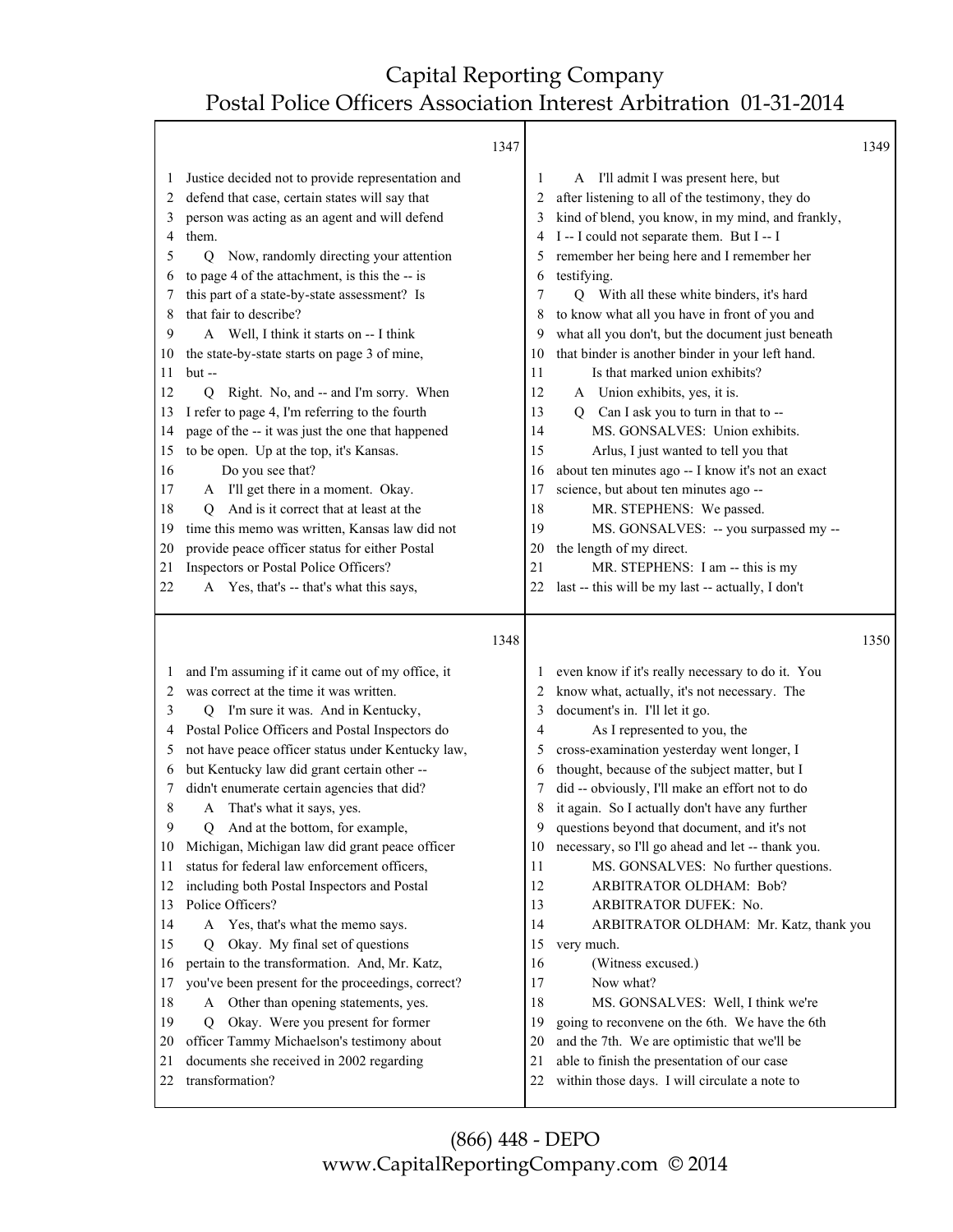|                                                                                                                         | 1347                                                                                                                                                                                                                                                                                                                                                                                                                                                                                                                                                                                                                                                                                                                                                                                                                                                                                                                                                          |                                                                                                                           |                                                                                                                                                                                                                                                                                                                                                                                                                                                                                                                                                                                                                                                                                                                                                                                                                                                                                                                                                          | 1349 |
|-------------------------------------------------------------------------------------------------------------------------|---------------------------------------------------------------------------------------------------------------------------------------------------------------------------------------------------------------------------------------------------------------------------------------------------------------------------------------------------------------------------------------------------------------------------------------------------------------------------------------------------------------------------------------------------------------------------------------------------------------------------------------------------------------------------------------------------------------------------------------------------------------------------------------------------------------------------------------------------------------------------------------------------------------------------------------------------------------|---------------------------------------------------------------------------------------------------------------------------|----------------------------------------------------------------------------------------------------------------------------------------------------------------------------------------------------------------------------------------------------------------------------------------------------------------------------------------------------------------------------------------------------------------------------------------------------------------------------------------------------------------------------------------------------------------------------------------------------------------------------------------------------------------------------------------------------------------------------------------------------------------------------------------------------------------------------------------------------------------------------------------------------------------------------------------------------------|------|
| 1<br>2<br>3<br>4<br>5<br>6<br>7<br>8<br>9<br>10<br>11<br>12<br>13<br>14<br>15<br>16<br>17<br>18<br>19<br>20<br>21<br>22 | Justice decided not to provide representation and<br>defend that case, certain states will say that<br>person was acting as an agent and will defend<br>them.<br>Now, randomly directing your attention<br>$\overline{Q}$<br>to page 4 of the attachment, is this the -- is<br>this part of a state-by-state assessment? Is<br>that fair to describe?<br>A Well, I think it starts on -- I think<br>the state-by-state starts on page 3 of mine,<br>$but -$<br>Right. No, and -- and I'm sorry. When<br>O<br>I refer to page 4, I'm referring to the fourth<br>page of the -- it was just the one that happened<br>to be open. Up at the top, it's Kansas.<br>Do you see that?<br>A I'll get there in a moment. Okay.<br>And is it correct that at least at the<br>O.<br>time this memo was written, Kansas law did not<br>provide peace officer status for either Postal<br>Inspectors or Postal Police Officers?<br>A Yes, that's -- that's what this says, | 1<br>2<br>3<br>4<br>5<br>6<br>7<br>8<br>9<br>10<br>11<br>12<br>13<br>14<br>15<br>16<br>17<br>18<br>19<br>20<br>21<br>22   | A I'll admit I was present here, but<br>after listening to all of the testimony, they do<br>kind of blend, you know, in my mind, and frankly,<br>I -- I could not separate them. But I -- I<br>remember her being here and I remember her<br>testifying.<br>With all these white binders, it's hard<br>$\sigma$<br>to know what all you have in front of you and<br>what all you don't, but the document just beneath<br>that binder is another binder in your left hand.<br>Is that marked union exhibits?<br>A Union exhibits, yes, it is.<br>Q Can I ask you to turn in that to --<br>MS. GONSALVES: Union exhibits.<br>Arlus, I just wanted to tell you that<br>about ten minutes ago -- I know it's not an exact<br>science, but about ten minutes ago --<br>MR. STEPHENS: We passed.<br>MS. GONSALVES: -- you surpassed my --<br>the length of my direct.<br>MR. STEPHENS: I am -- this is my<br>last -- this will be my last -- actually, I don't |      |
|                                                                                                                         |                                                                                                                                                                                                                                                                                                                                                                                                                                                                                                                                                                                                                                                                                                                                                                                                                                                                                                                                                               |                                                                                                                           |                                                                                                                                                                                                                                                                                                                                                                                                                                                                                                                                                                                                                                                                                                                                                                                                                                                                                                                                                          |      |
|                                                                                                                         | 1348                                                                                                                                                                                                                                                                                                                                                                                                                                                                                                                                                                                                                                                                                                                                                                                                                                                                                                                                                          |                                                                                                                           |                                                                                                                                                                                                                                                                                                                                                                                                                                                                                                                                                                                                                                                                                                                                                                                                                                                                                                                                                          | 1350 |
| 1<br>2<br>3<br>4<br>5<br>6<br>7<br>8<br>9<br>10<br>11<br>12<br>13<br>14<br>15<br>16<br>17<br>18<br>19<br>20             | and I'm assuming if it came out of my office, it<br>was correct at the time it was written.<br>I'm sure it was. And in Kentucky,<br>O.<br>Postal Police Officers and Postal Inspectors do<br>not have peace officer status under Kentucky law,<br>but Kentucky law did grant certain other --<br>didn't enumerate certain agencies that did?<br>A That's what it says, yes.<br>And at the bottom, for example,<br>Q<br>Michigan, Michigan law did grant peace officer<br>status for federal law enforcement officers,<br>including both Postal Inspectors and Postal<br>Police Officers?<br>Yes, that's what the memo says.<br>A<br>Okay. My final set of questions<br>O<br>pertain to the transformation. And, Mr. Katz,<br>you've been present for the proceedings, correct?<br>A Other than opening statements, yes.<br>Okay. Were you present for former<br>O<br>officer Tammy Michaelson's testimony about                                               | $\perp$<br>2<br>3<br>$\overline{4}$<br>5<br>6<br>7<br>9<br>10<br>11<br>12<br>13<br>14<br>15<br>16<br>17<br>18<br>19<br>20 | even know if it's really necessary to do it. You<br>know what, actually, it's not necessary. The<br>document's in. I'll let it go.<br>As I represented to you, the<br>cross-examination yesterday went longer, I<br>thought, because of the subject matter, but I<br>did -- obviously, I'll make an effort not to do<br>it again. So I actually don't have any further<br>questions beyond that document, and it's not<br>necessary, so I'll go ahead and let -- thank you.<br>MS. GONSALVES: No further questions.<br>ARBITRATOR OLDHAM: Bob?<br>ARBITRATOR DUFEK: No.<br>ARBITRATOR OLDHAM: Mr. Katz, thank you<br>very much.<br>(Witness excused.)<br>Now what?<br>MS. GONSALVES: Well, I think we're<br>going to reconvene on the 6th. We have the 6th<br>and the 7th. We are optimistic that we'll be                                                                                                                                               |      |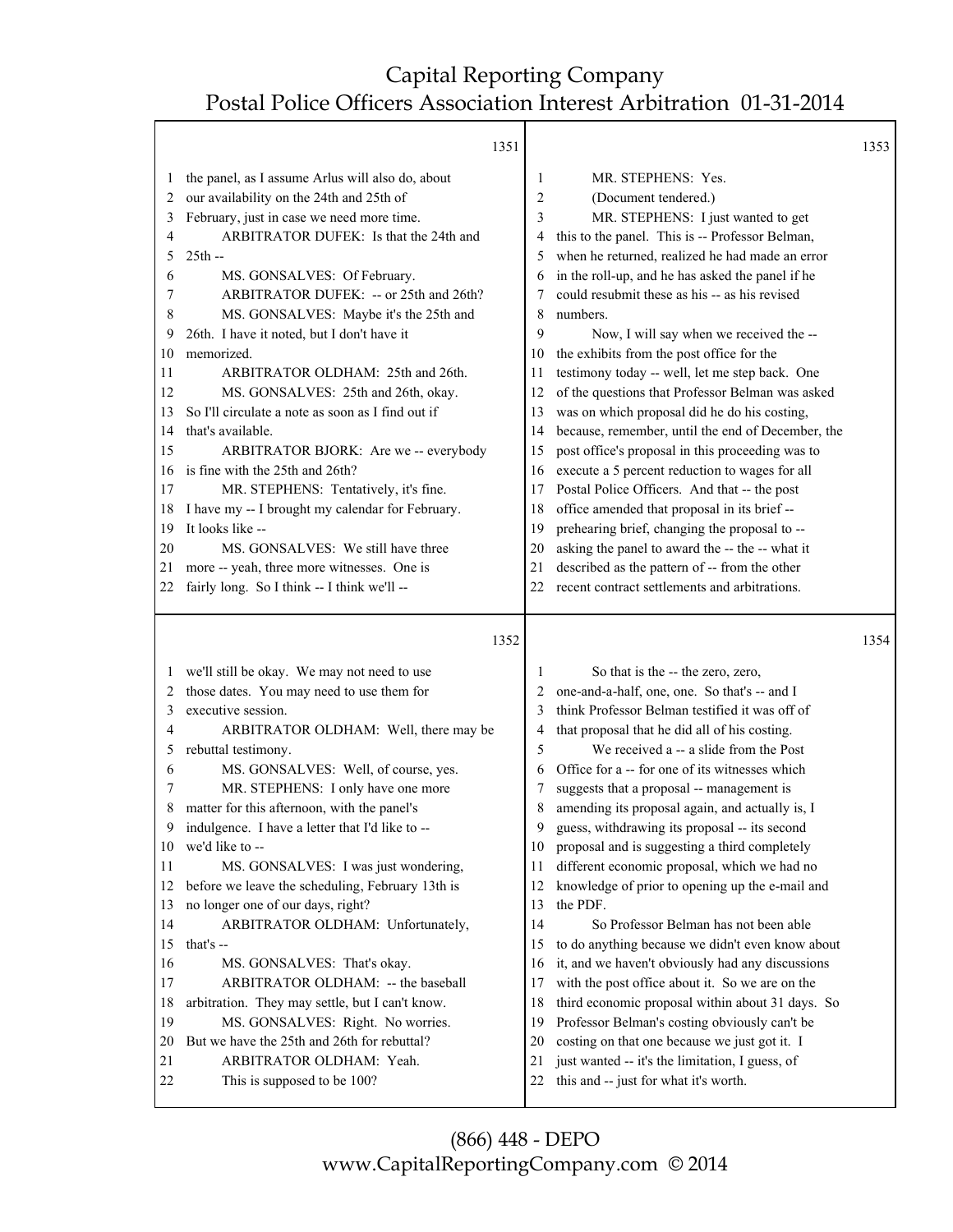| the panel, as I assume Arlus will also do, about<br>MR. STEPHENS: Yes.<br>1<br>1                                                                   | 1353 |
|----------------------------------------------------------------------------------------------------------------------------------------------------|------|
|                                                                                                                                                    |      |
| 2<br>(Document tendered.)                                                                                                                          |      |
| our availability on the 24th and 25th of<br>2<br>3<br>MR. STEPHENS: I just wanted to get                                                           |      |
| February, just in case we need more time.<br>3                                                                                                     |      |
| ARBITRATOR DUFEK: Is that the 24th and<br>this to the panel. This is -- Professor Belman,<br>4<br>4<br>$25th -$                                    |      |
| when he returned, realized he had made an error<br>5<br>5                                                                                          |      |
| in the roll-up, and he has asked the panel if he<br>MS. GONSALVES: Of February.<br>6<br>6                                                          |      |
| ARBITRATOR DUFEK: -- or 25th and 26th?<br>could resubmit these as his -- as his revised<br>7<br>MS. GONSALVES: Maybe it's the 25th and<br>numbers. |      |
| 8<br>8<br>26th. I have it noted, but I don't have it<br>9<br>9                                                                                     |      |
| Now, I will say when we received the --<br>memorized.                                                                                              |      |
| the exhibits from the post office for the<br>10<br>10                                                                                              |      |
| testimony today -- well, let me step back. One<br>11<br>ARBITRATOR OLDHAM: 25th and 26th.<br>11                                                    |      |
| MS. GONSALVES: 25th and 26th, okay.<br>of the questions that Professor Belman was asked<br>12<br>12                                                |      |
| was on which proposal did he do his costing,<br>So I'll circulate a note as soon as I find out if<br>13<br>13<br>that's available.                 |      |
| because, remember, until the end of December, the<br>14<br>14                                                                                      |      |
| 15<br>post office's proposal in this proceeding was to<br>ARBITRATOR BJORK: Are we -- everybody<br>15<br>is fine with the 25th and 26th?           |      |
| execute a 5 percent reduction to wages for all<br>16<br>16                                                                                         |      |
| Postal Police Officers. And that -- the post<br>17<br>MR. STEPHENS: Tentatively, it's fine.<br>17                                                  |      |
| I have my -- I brought my calendar for February.<br>office amended that proposal in its brief --<br>18<br>18                                       |      |
| It looks like --<br>prehearing brief, changing the proposal to --<br>19<br>19                                                                      |      |
| MS. GONSALVES: We still have three<br>asking the panel to award the -- the -- what it<br>20<br>20                                                  |      |
| described as the pattern of -- from the other<br>more -- yeah, three more witnesses. One is<br>21<br>21                                            |      |
| recent contract settlements and arbitrations.<br>fairly long. So I think -- I think we'll --<br>22<br>22                                           |      |
| 1352                                                                                                                                               |      |
|                                                                                                                                                    | 1354 |
| we'll still be okay. We may not need to use<br>So that is the -- the zero, zero,<br>1<br>1                                                         |      |
| those dates. You may need to use them for<br>one-and-a-half, one, one. So that's -- and I<br>2<br>2                                                |      |
| think Professor Belman testified it was off of<br>executive session.<br>3<br>3                                                                     |      |
| that proposal that he did all of his costing.<br>ARBITRATOR OLDHAM: Well, there may be<br>4<br>4                                                   |      |
| 5<br>We received a -- a slide from the Post<br>rebuttal testimony.<br>5                                                                            |      |
| Office for a -- for one of its witnesses which<br>MS. GONSALVES: Well, of course, yes.<br>6<br>6                                                   |      |
| MR. STEPHENS: I only have one more<br>suggests that a proposal -- management is<br>7<br>7                                                          |      |
| matter for this afternoon, with the panel's<br>8<br>amending its proposal again, and actually is, I<br>8                                           |      |
| guess, withdrawing its proposal -- its second<br>9<br>indulgence. I have a letter that I'd like to --<br>9                                         |      |
| we'd like to --<br>proposal and is suggesting a third completely<br>10<br>10                                                                       |      |
| different economic proposal, which we had no<br>MS. GONSALVES: I was just wondering,<br>11<br>11                                                   |      |
| before we leave the scheduling, February 13th is<br>knowledge of prior to opening up the e-mail and<br>12<br>12                                    |      |
| no longer one of our days, right?<br>the PDF.<br>13<br>13                                                                                          |      |
| So Professor Belman has not been able<br>ARBITRATOR OLDHAM: Unfortunately,<br>14<br>14                                                             |      |
| to do anything because we didn't even know about<br>15<br>that's --<br>15                                                                          |      |
| it, and we haven't obviously had any discussions<br>16<br>MS. GONSALVES: That's okay.<br>16                                                        |      |
| ARBITRATOR OLDHAM: -- the baseball<br>with the post office about it. So we are on the<br>17<br>17                                                  |      |
| third economic proposal within about 31 days. So<br>arbitration. They may settle, but I can't know.<br>18<br>18                                    |      |
| 19<br>Professor Belman's costing obviously can't be<br>MS. GONSALVES: Right. No worries.<br>19                                                     |      |
| But we have the 25th and 26th for rebuttal?<br>costing on that one because we just got it. I<br>20<br>20                                           |      |
| just wanted -- it's the limitation, I guess, of<br>21<br>ARBITRATOR OLDHAM: Yeah.<br>21                                                            |      |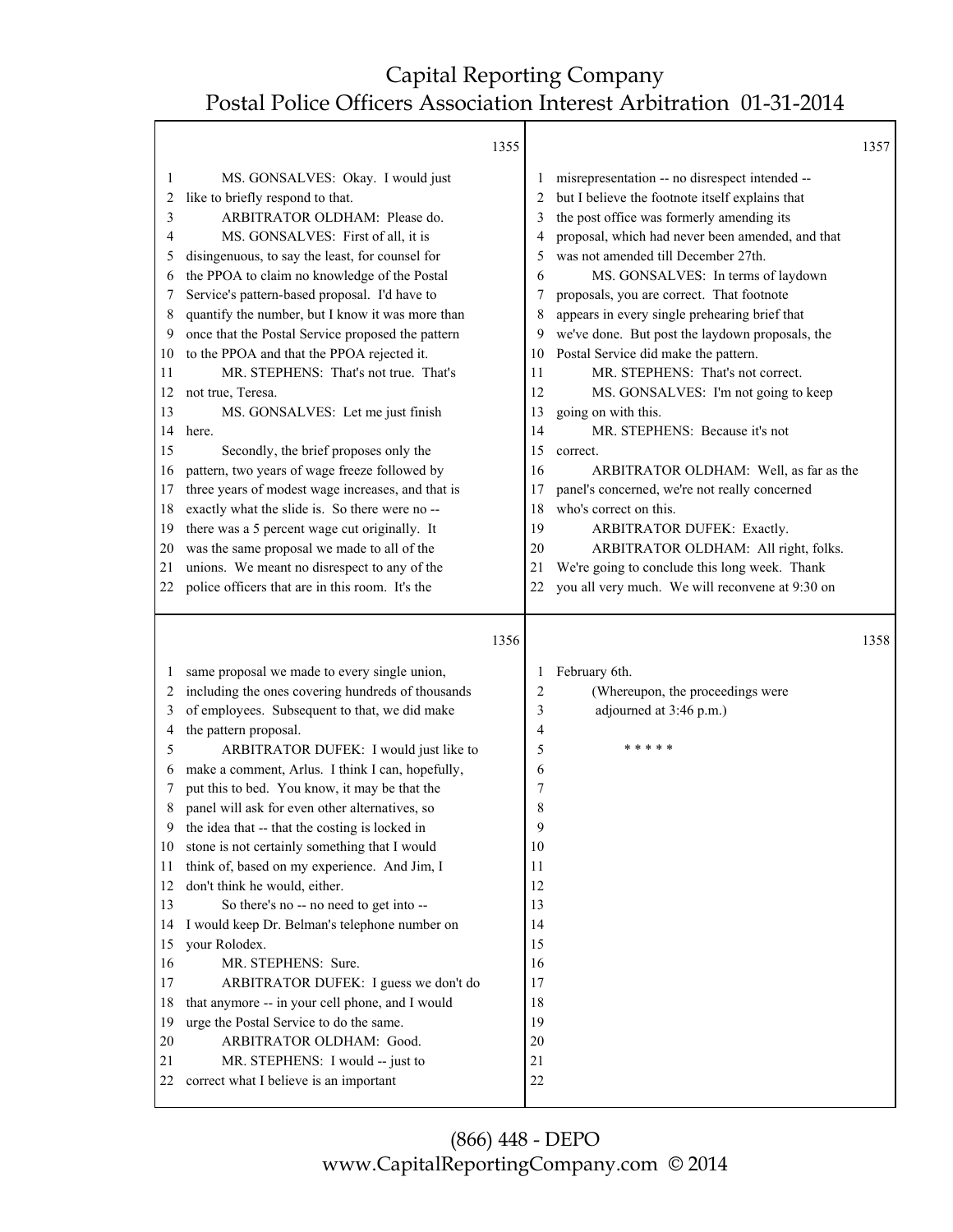т

|    |                                                                                                    | 1355 |          |                                                             | 1357 |
|----|----------------------------------------------------------------------------------------------------|------|----------|-------------------------------------------------------------|------|
| 1  | MS. GONSALVES: Okay. I would just                                                                  |      |          | misrepresentation -- no disrespect intended --              |      |
| 2  | like to briefly respond to that.                                                                   |      |          | but I believe the footnote itself explains that             |      |
| 3  | ARBITRATOR OLDHAM: Please do.                                                                      |      | 3        | the post office was formerly amending its                   |      |
| 4  | MS. GONSALVES: First of all, it is                                                                 |      |          | proposal, which had never been amended, and that            |      |
| 5  | disingenuous, to say the least, for counsel for                                                    |      | 5        | was not amended till December 27th.                         |      |
| 6  | the PPOA to claim no knowledge of the Postal                                                       |      | 6        | MS. GONSALVES: In terms of laydown                          |      |
| 7  | Service's pattern-based proposal. I'd have to                                                      |      | 7        | proposals, you are correct. That footnote                   |      |
| 8  | quantify the number, but I know it was more than                                                   |      | 8        | appears in every single prehearing brief that               |      |
| 9  | once that the Postal Service proposed the pattern                                                  |      | 9        | we've done. But post the laydown proposals, the             |      |
| 10 | to the PPOA and that the PPOA rejected it.                                                         |      | 10       | Postal Service did make the pattern.                        |      |
| 11 | MR. STEPHENS: That's not true. That's                                                              |      | 11       | MR. STEPHENS: That's not correct.                           |      |
| 12 | not true, Teresa.                                                                                  |      | 12       | MS. GONSALVES: I'm not going to keep                        |      |
| 13 | MS. GONSALVES: Let me just finish                                                                  |      | 13       | going on with this.                                         |      |
| 14 | here.                                                                                              |      | 14       | MR. STEPHENS: Because it's not                              |      |
| 15 | Secondly, the brief proposes only the                                                              |      | 15       | correct.                                                    |      |
| 16 | pattern, two years of wage freeze followed by                                                      |      | 16       | ARBITRATOR OLDHAM: Well, as far as the                      |      |
| 17 | three years of modest wage increases, and that is                                                  |      | 17       | panel's concerned, we're not really concerned               |      |
| 18 | exactly what the slide is. So there were no --                                                     |      | 18       | who's correct on this.                                      |      |
| 19 | there was a 5 percent wage cut originally. It                                                      |      | 19       | ARBITRATOR DUFEK: Exactly.                                  |      |
| 20 | was the same proposal we made to all of the                                                        |      | 20       | ARBITRATOR OLDHAM: All right, folks.                        |      |
| 21 | unions. We meant no disrespect to any of the                                                       |      | 21       | We're going to conclude this long week. Thank               |      |
| 22 | police officers that are in this room. It's the                                                    |      | 22       | you all very much. We will reconvene at 9:30 on             |      |
|    |                                                                                                    |      |          |                                                             |      |
|    |                                                                                                    |      |          |                                                             |      |
|    |                                                                                                    | 1356 |          |                                                             | 1358 |
| 1  |                                                                                                    |      | 1        |                                                             |      |
| 2  | same proposal we made to every single union,                                                       |      | 2        | February 6th.                                               |      |
| 3  | including the ones covering hundreds of thousands<br>of employees. Subsequent to that, we did make |      | 3        | (Whereupon, the proceedings were<br>adjourned at 3:46 p.m.) |      |
| 4  | the pattern proposal.                                                                              |      | 4        |                                                             |      |
| 5  | ARBITRATOR DUFEK: I would just like to                                                             |      | 5        | * * * *                                                     |      |
| 6  | make a comment, Arlus. I think I can, hopefully,                                                   |      | 6        |                                                             |      |
| 7  | put this to bed. You know, it may be that the                                                      |      | 7        |                                                             |      |
| 8  | panel will ask for even other alternatives, so                                                     |      | 8        |                                                             |      |
|    | the idea that -- that the costing is locked in                                                     |      | $\Omega$ |                                                             |      |
| 10 | stone is not certainly something that I would                                                      |      | 10       |                                                             |      |
| 11 | think of, based on my experience. And Jim, I                                                       |      | 11       |                                                             |      |
| 12 | don't think he would, either.                                                                      |      | 12       |                                                             |      |
| 13 | So there's no -- no need to get into --                                                            |      | 13       |                                                             |      |
| 14 | I would keep Dr. Belman's telephone number on                                                      |      | 14       |                                                             |      |
| 15 | your Rolodex.                                                                                      |      | 15       |                                                             |      |
| 16 | MR. STEPHENS: Sure.                                                                                |      | 16       |                                                             |      |
| 17 | ARBITRATOR DUFEK: I guess we don't do                                                              |      | 17       |                                                             |      |
| 18 | that anymore -- in your cell phone, and I would                                                    |      | 18       |                                                             |      |
| 19 | urge the Postal Service to do the same.                                                            |      | 19       |                                                             |      |
| 20 | ARBITRATOR OLDHAM: Good.                                                                           |      | 20       |                                                             |      |
| 21 | MR. STEPHENS: I would -- just to                                                                   |      | 21       |                                                             |      |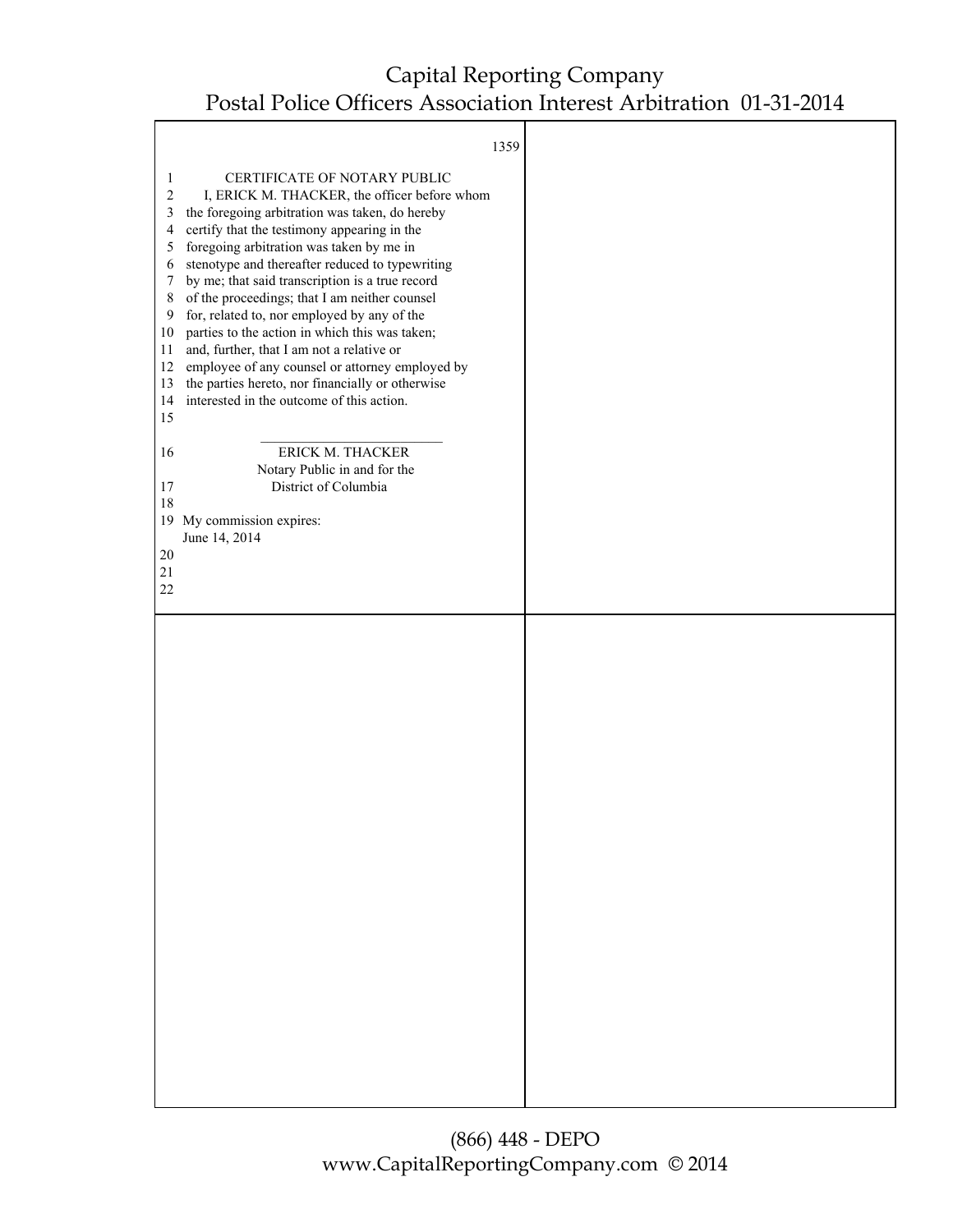|                                                                                              | 1359                                                                                                                                                                                                                                                                                                                                                                                                                                                                                                                                                                                                                                                                               |  |
|----------------------------------------------------------------------------------------------|------------------------------------------------------------------------------------------------------------------------------------------------------------------------------------------------------------------------------------------------------------------------------------------------------------------------------------------------------------------------------------------------------------------------------------------------------------------------------------------------------------------------------------------------------------------------------------------------------------------------------------------------------------------------------------|--|
| 1<br>$\boldsymbol{2}$<br>3<br>4<br>5<br>6<br>7<br>8<br>9<br>10<br>11<br>12<br>13<br>14<br>15 | CERTIFICATE OF NOTARY PUBLIC<br>I, ERICK M. THACKER, the officer before whom<br>the foregoing arbitration was taken, do hereby<br>certify that the testimony appearing in the<br>foregoing arbitration was taken by me in<br>stenotype and thereafter reduced to typewriting<br>by me; that said transcription is a true record<br>of the proceedings; that I am neither counsel<br>for, related to, nor employed by any of the<br>parties to the action in which this was taken;<br>and, further, that I am not a relative or<br>employee of any counsel or attorney employed by<br>the parties hereto, nor financially or otherwise<br>interested in the outcome of this action. |  |
| 16                                                                                           | ERICK M. THACKER<br>Notary Public in and for the                                                                                                                                                                                                                                                                                                                                                                                                                                                                                                                                                                                                                                   |  |
| 17<br>18                                                                                     | District of Columbia                                                                                                                                                                                                                                                                                                                                                                                                                                                                                                                                                                                                                                                               |  |
| 20                                                                                           | 19 My commission expires:<br>June 14, 2014                                                                                                                                                                                                                                                                                                                                                                                                                                                                                                                                                                                                                                         |  |
| $21\,$<br>22                                                                                 |                                                                                                                                                                                                                                                                                                                                                                                                                                                                                                                                                                                                                                                                                    |  |
|                                                                                              |                                                                                                                                                                                                                                                                                                                                                                                                                                                                                                                                                                                                                                                                                    |  |
|                                                                                              |                                                                                                                                                                                                                                                                                                                                                                                                                                                                                                                                                                                                                                                                                    |  |
|                                                                                              |                                                                                                                                                                                                                                                                                                                                                                                                                                                                                                                                                                                                                                                                                    |  |
|                                                                                              |                                                                                                                                                                                                                                                                                                                                                                                                                                                                                                                                                                                                                                                                                    |  |
|                                                                                              |                                                                                                                                                                                                                                                                                                                                                                                                                                                                                                                                                                                                                                                                                    |  |
|                                                                                              |                                                                                                                                                                                                                                                                                                                                                                                                                                                                                                                                                                                                                                                                                    |  |
|                                                                                              |                                                                                                                                                                                                                                                                                                                                                                                                                                                                                                                                                                                                                                                                                    |  |
|                                                                                              |                                                                                                                                                                                                                                                                                                                                                                                                                                                                                                                                                                                                                                                                                    |  |
|                                                                                              |                                                                                                                                                                                                                                                                                                                                                                                                                                                                                                                                                                                                                                                                                    |  |
|                                                                                              |                                                                                                                                                                                                                                                                                                                                                                                                                                                                                                                                                                                                                                                                                    |  |
|                                                                                              |                                                                                                                                                                                                                                                                                                                                                                                                                                                                                                                                                                                                                                                                                    |  |
|                                                                                              |                                                                                                                                                                                                                                                                                                                                                                                                                                                                                                                                                                                                                                                                                    |  |
|                                                                                              |                                                                                                                                                                                                                                                                                                                                                                                                                                                                                                                                                                                                                                                                                    |  |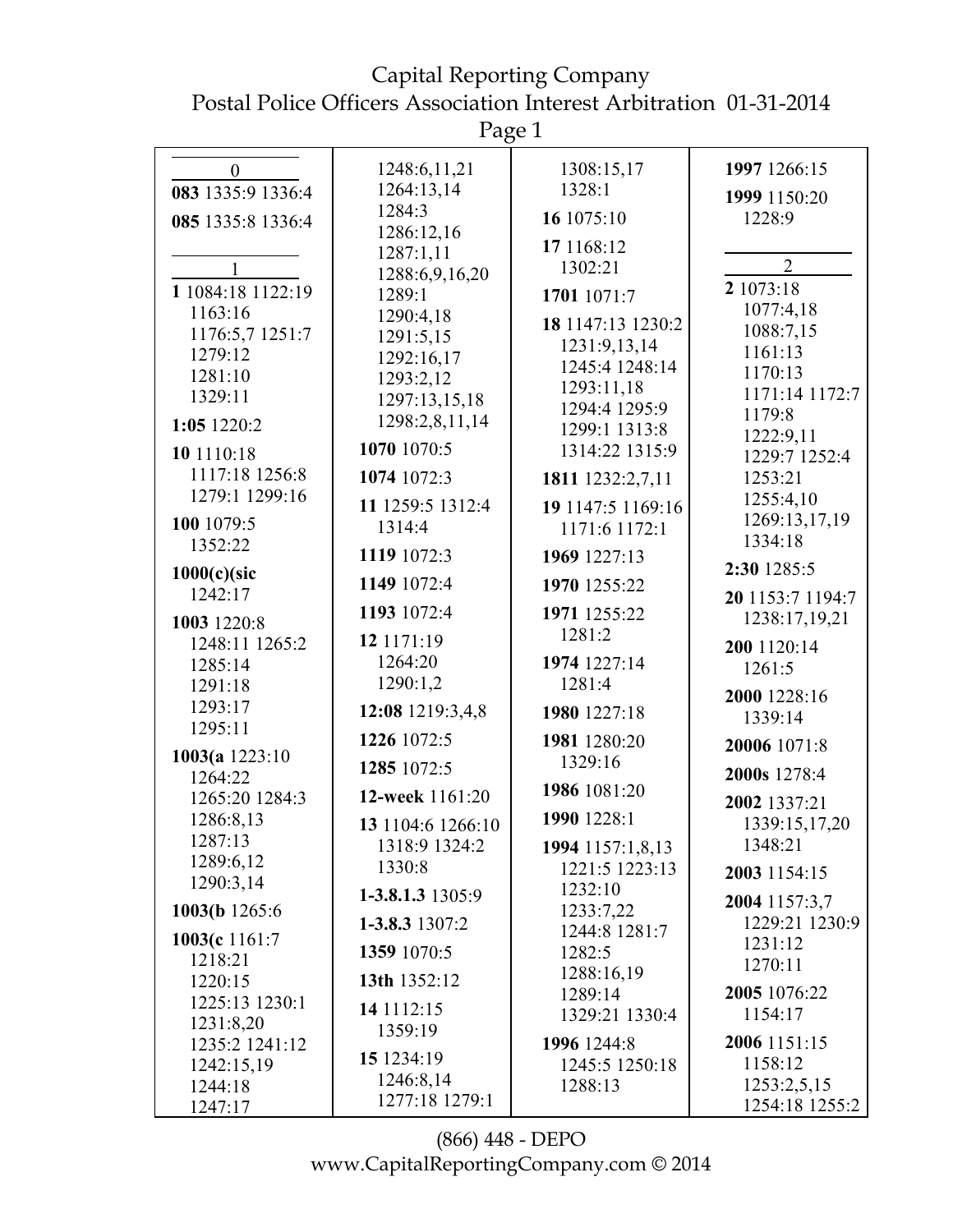$P_{\text{app}}$  1

|                             | 145c1               |                                |                                   |
|-----------------------------|---------------------|--------------------------------|-----------------------------------|
| $\boldsymbol{0}$            | 1248:6,11,21        | 1308:15,17                     | 1997 1266:15                      |
| 083 1335:9 1336:4           | 1264:13,14          | 1328:1                         | 1999 1150:20                      |
| 085 1335:8 1336:4           | 1284:3              | 16 1075:10                     | 1228:9                            |
|                             | 1286:12,16          | 17 1168:12                     |                                   |
|                             | 1287:1,11           | 1302:21                        | $\overline{2}$                    |
| 1 1084:18 1122:19           | 1288:6,9,16,20      |                                | 2 1073:18                         |
| 1163:16                     | 1289:1<br>1290:4,18 | 1701 1071:7                    | 1077:4,18                         |
| 1176:5,7 1251:7             | 1291:5,15           | 18 1147:13 1230:2              | 1088:7,15                         |
| 1279:12                     | 1292:16,17          | 1231:9,13,14                   | 1161:13                           |
| 1281:10                     | 1293:2,12           | 1245:4 1248:14                 | 1170:13                           |
| 1329:11                     | 1297:13,15,18       | 1293:11,18                     | 1171:14 1172:7                    |
| 1:05 1220:2                 | 1298:2,8,11,14      | 1294:4 1295:9<br>1299:1 1313:8 | 1179:8                            |
| 10 1110:18                  | 1070 1070:5         | 1314:22 1315:9                 | 1222:9,11                         |
| 1117:18 1256:8              |                     |                                | 1229:7 1252:4                     |
| 1279:1 1299:16              | 1074 1072:3         | 1811 1232:2,7,11               | 1253:21<br>1255:4,10              |
| 100 1079:5                  | 11 1259:5 1312:4    | 19 1147:5 1169:16              | 1269:13,17,19                     |
| 1352:22                     | 1314:4              | 1171:6 1172:1                  | 1334:18                           |
|                             | 1119 1072:3         | 1969 1227:13                   | 2:30 1285:5                       |
| $1000(c)$ (sic<br>1242:17   | 1149 1072:4         | 1970 1255:22                   |                                   |
|                             | 1193 1072:4         | 1971 1255:22                   | 20 1153:7 1194:7<br>1238:17,19,21 |
| 1003 1220:8                 | 12 1171:19          | 1281:2                         |                                   |
| 1248:11 1265:2<br>1285:14   | 1264:20             | 1974 1227:14                   | 200 1120:14                       |
| 1291:18                     | 1290:1,2            | 1281:4                         | 1261:5                            |
| 1293:17                     | 12:08 1219:3,4,8    | 1980 1227:18                   | 2000 1228:16                      |
| 1295:11                     |                     |                                | 1339:14                           |
| 1003(a $1223:10$            | 1226 1072:5         | 1981 1280:20                   | 20006 1071:8                      |
| 1264:22                     | 1285 1072:5         | 1329:16                        | 2000s 1278:4                      |
| 1265:20 1284:3              | 12-week 1161:20     | 1986 1081:20                   | 2002 1337:21                      |
| 1286:8,13                   | 13 1104:6 1266:10   | 1990 1228:1                    | 1339:15,17,20                     |
| 1287:13                     | 1318:9 1324:2       | 1994 1157:1,8,13               | 1348:21                           |
| 1289:6,12                   | 1330:8              | 1221:5 1223:13                 | 2003 1154:15                      |
| 1290:3,14                   | 1-3.8.1.3 1305:9    | 1232:10                        | 2004 1157:3,7                     |
| 1003(b 1265:6)              | 1-3.8.3 1307:2      | 1233:7,22                      | 1229:21 1230:9                    |
| 1003(c 1161:7               | 1359 1070:5         | 1244:8 1281:7<br>1282:5        | 1231:12                           |
| 1218:21                     |                     | 1288:16,19                     | 1270:11                           |
| 1220:15                     | 13th 1352:12        | 1289:14                        | 2005 1076:22                      |
| 1225:13 1230:1              | 14 11 12:15         | 1329:21 1330:4                 | 1154:17                           |
| 1231:8,20<br>1235:2 1241:12 | 1359:19             | 1996 1244:8                    | 2006 1151:15                      |
| 1242:15,19                  | 15 1234:19          | 1245:5 1250:18                 | 1158:12                           |
| 1244:18                     | 1246:8,14           | 1288:13                        | 1253:2,5,15                       |
| 1247:17                     | 1277:18 1279:1      |                                | 1254:18 1255:2                    |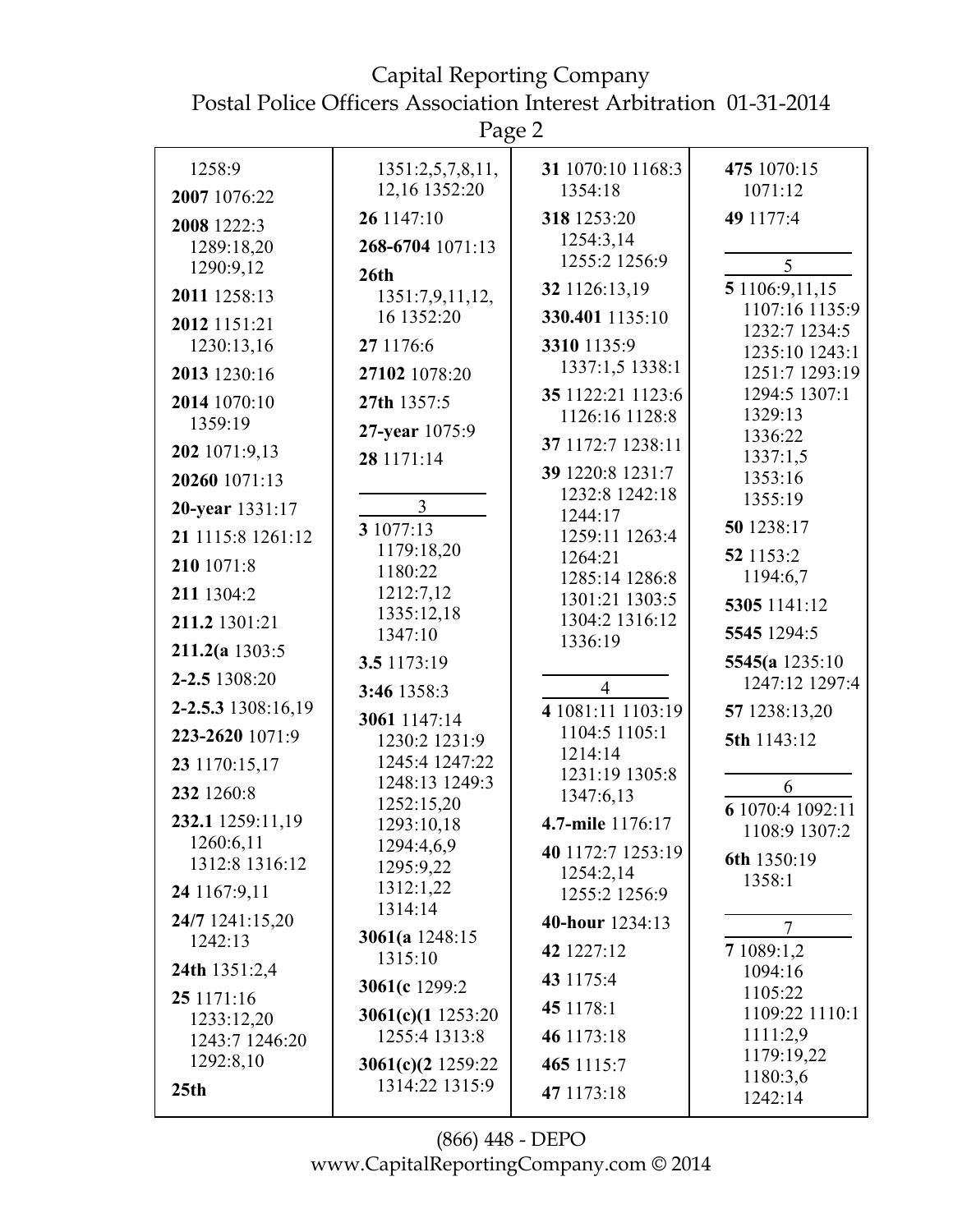# Capital Reporting Company

Postal Police Officers Association Interest Arbitration 01-31-2014

Page 2

| 1258:9                      | 1351:2,5,7,8,11,                | 31 1070:10 1168:3                  | 475 1070:15                      |
|-----------------------------|---------------------------------|------------------------------------|----------------------------------|
| 2007 1076:22                | 12,16 1352:20                   | 1354:18                            | 1071:12                          |
| 2008 1222:3                 | 26 1147:10                      | 318 1253:20                        | 49 1177:4                        |
| 1289:18,20                  | 268-6704 1071:13                | 1254:3,14                          |                                  |
| 1290:9,12                   | 26 <sup>th</sup>                | 1255:2 1256:9                      | 5                                |
| 2011 1258:13                | 1351:7,9,11,12,                 | 32 1126:13,19                      | 5 1106:9,11,15<br>1107:16 1135:9 |
| 2012 1151:21                | 16 1352:20                      | 330.401 1135:10                    | 1232:7 1234:5                    |
| 1230:13,16                  | 27 1176:6                       | 3310 1135:9                        | 1235:10 1243:1                   |
| 2013 1230:16                | 27102 1078:20                   | 1337:1,5 1338:1                    | 1251:7 1293:19                   |
| 2014 1070:10                | 27th 1357:5                     | 35 1122:21 1123:6                  | 1294:5 1307:1                    |
| 1359:19                     | 27-year 1075:9                  | 1126:16 1128:8                     | 1329:13<br>1336:22               |
| 202 1071:9,13               | 28 1171:14                      | 37 1172:7 1238:11                  | 1337:1,5                         |
| 20260 1071:13               |                                 | 39 1220:8 1231:7                   | 1353:16                          |
| 20-year 1331:17             | 3                               | 1232:8 1242:18<br>1244:17          | 1355:19                          |
| 21 1115:8 1261:12           | 3 1077:13                       | 1259:11 1263:4                     | 50 1238:17                       |
| 210 1071:8                  | 1179:18,20<br>1180:22           | 1264:21                            | 52 1153:2                        |
| 211 1304:2                  | 1212:7,12                       | 1285:14 1286:8<br>1301:21 1303:5   | 1194:6,7                         |
| 211.2 1301:21               | 1335:12,18                      | 1304:2 1316:12                     | 5305 1141:12                     |
| $211.2(a$ 1303:5            | 1347:10                         | 1336:19                            | 5545 1294:5                      |
| 2-2.5 1308:20               | 3.5 1173:19                     |                                    | 5545(a 1235:10)                  |
|                             | 3:46 1358:3                     | $\overline{4}$                     | 1247:12 1297:4                   |
| 2-2.5.3 1308:16,19          | 3061 1147:14                    | 4 1081:11 1103:19<br>1104:5 1105:1 | 57 1238:13,20                    |
| 223-2620 1071:9             | 1230:2 1231:9<br>1245:4 1247:22 | 1214:14                            | 5th 1143:12                      |
| 23 1170:15,17               | 1248:13 1249:3                  | 1231:19 1305:8                     | 6                                |
| 232 1260:8                  | 1252:15,20                      | 1347:6,13                          | 6 1070:4 1092:11                 |
| 232.1 1259:11,19            | 1293:10,18                      | 4.7-mile 1176:17                   | 1108:9 1307:2                    |
| 1260:6,11<br>1312:8 1316:12 | 1294:4,6,9<br>1295:9,22         | 40 1172:7 1253:19                  | 6th 1350:19                      |
| 24 1167:9,11                | 1312:1,22                       | 1254:2,14                          | 1358:1                           |
|                             | 1314:14                         | 1255:2 1256:9                      |                                  |
| 24/7 1241:15,20<br>1242:13  | 3061(a $1248:15$                | 40-hour 1234:13                    | 7                                |
| 24th 1351:2,4               | 1315:10                         | 42 1227:12                         | 7 1089:1,2<br>1094:16            |
| 25 1171:16                  | 3061(c 1299:2                   | 43 1175:4                          | 1105:22                          |
| 1233:12,20                  | 3061(c)(1 1253:20               | 45 1178:1                          | 1109:22 1110:1                   |
| 1243:7 1246:20              | 1255:4 1313:8                   | 46 1173:18                         | 1111:2,9                         |
| 1292:8,10                   | 3061(c)(2 1259:22               | 465 1115:7                         | 1179:19,22<br>1180:3,6           |
| 25 <sub>th</sub>            | 1314:22 1315:9                  | 47 1173:18                         | 1242:14                          |
|                             |                                 |                                    |                                  |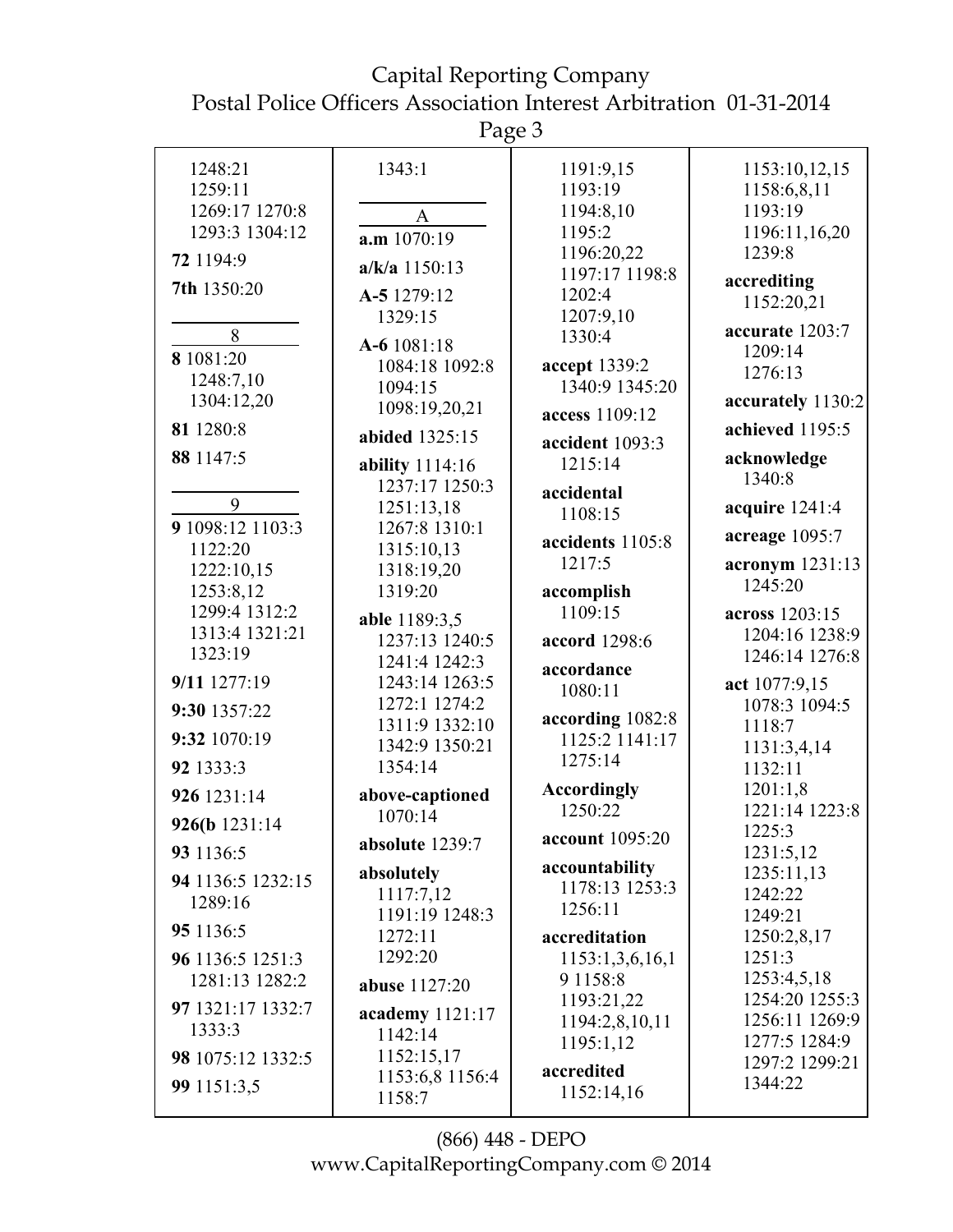Page 3

|                   | ပ                               |                                  |                         |
|-------------------|---------------------------------|----------------------------------|-------------------------|
| 1248:21           | 1343:1                          | 1191:9,15                        | 1153:10,12,15           |
| 1259:11           |                                 | 1193:19                          | 1158:6,8,11             |
| 1269:17 1270:8    | A                               | 1194:8,10                        | 1193:19                 |
| 1293:3 1304:12    | $a.m$ 1070:19                   | 1195:2                           | 1196:11,16,20           |
| 72 1194:9         |                                 | 1196:20,22                       | 1239:8                  |
|                   | $a/k/a$ 1150:13                 | 1197:17 1198:8                   | accrediting             |
| 7th 1350:20       | A-5 1279:12                     | 1202:4                           | 1152:20,21              |
|                   | 1329:15                         | 1207:9,10                        |                         |
| 8                 | A-6 1081:18                     | 1330:4                           | accurate 1203:7         |
| 8 1081:20         | 1084:18 1092:8                  | accept 1339:2                    | 1209:14                 |
| 1248:7,10         | 1094:15                         | 1340:9 1345:20                   | 1276:13                 |
| 1304:12,20        | 1098:19,20,21                   |                                  | accurately 1130:2       |
| 81 1280:8         | abided 1325:15                  | access 1109:12                   | achieved 1195:5         |
| 88 1147:5         |                                 | accident 1093:3                  | acknowledge             |
|                   | <b>ability</b> 1114:16          | 1215:14                          | 1340:8                  |
| 9                 | 1237:17 1250:3                  | accidental                       |                         |
| 9 1098:12 1103:3  | 1251:13,18<br>1267:8 1310:1     | 1108:15                          | acquire 1241:4          |
| 1122:20           | 1315:10,13                      | accidents 1105:8                 | acreage 1095:7          |
| 1222:10,15        | 1318:19,20                      | 1217:5                           | acronym 1231:13         |
| 1253:8,12         | 1319:20                         | accomplish                       | 1245:20                 |
| 1299:4 1312:2     |                                 | 1109:15                          | across 1203:15          |
| 1313:4 1321:21    | able 1189:3,5                   |                                  | 1204:16 1238:9          |
| 1323:19           | 1237:13 1240:5<br>1241:4 1242:3 | accord 1298:6                    | 1246:14 1276:8          |
| 9/11 1277:19      | 1243:14 1263:5                  | accordance                       |                         |
|                   | 1272:1 1274:2                   | 1080:11                          | act 1077:9,15           |
| 9:30 1357:22      | 1311:9 1332:10                  | according 1082:8                 | 1078:3 1094:5<br>1118:7 |
| 9:32 1070:19      | 1342:9 1350:21                  | 1125:2 1141:17                   | 1131:3,4,14             |
| 92 1333:3         | 1354:14                         | 1275:14                          | 1132:11                 |
|                   |                                 | <b>Accordingly</b>               | 1201:1,8                |
| 926 1231:14       | above-captioned                 | 1250:22                          | 1221:14 1223:8          |
| 926(b 1231:14     | 1070:14                         |                                  | 1225:3                  |
| 93 1136:5         | absolute 1239:7                 | account 1095:20                  | 1231:5,12               |
| 94 1136:5 1232:15 | absolutely                      | accountability<br>1178:13 1253:3 | 1235:11,13              |
| 1289:16           | 1117:7,12                       | 1256:11                          | 1242:22                 |
| 95 1136:5         | 1191:19 1248:3<br>1272:11       |                                  | 1249:21                 |
| 96 1136:5 1251:3  | 1292:20                         | accreditation<br>1153:1,3,6,16,1 | 1250:2,8,17<br>1251:3   |
| 1281:13 1282:2    |                                 | 9 1158:8                         | 1253:4,5,18             |
|                   | <b>abuse</b> 1127:20            | 1193:21,22                       | 1254:20 1255:3          |
| 97 1321:17 1332:7 | academy $1121:17$               | 1194:2,8,10,11                   | 1256:11 1269:9          |
| 1333:3            | 1142:14                         | 1195:1,12                        | 1277:5 1284:9           |
| 98 1075:12 1332:5 | 1152:15,17                      | accredited                       | 1297:2 1299:21          |
| 99 1151:3,5       | 1153:6,8 1156:4                 |                                  | 1344:22                 |
|                   | 1158:7                          | 1152:14,16                       |                         |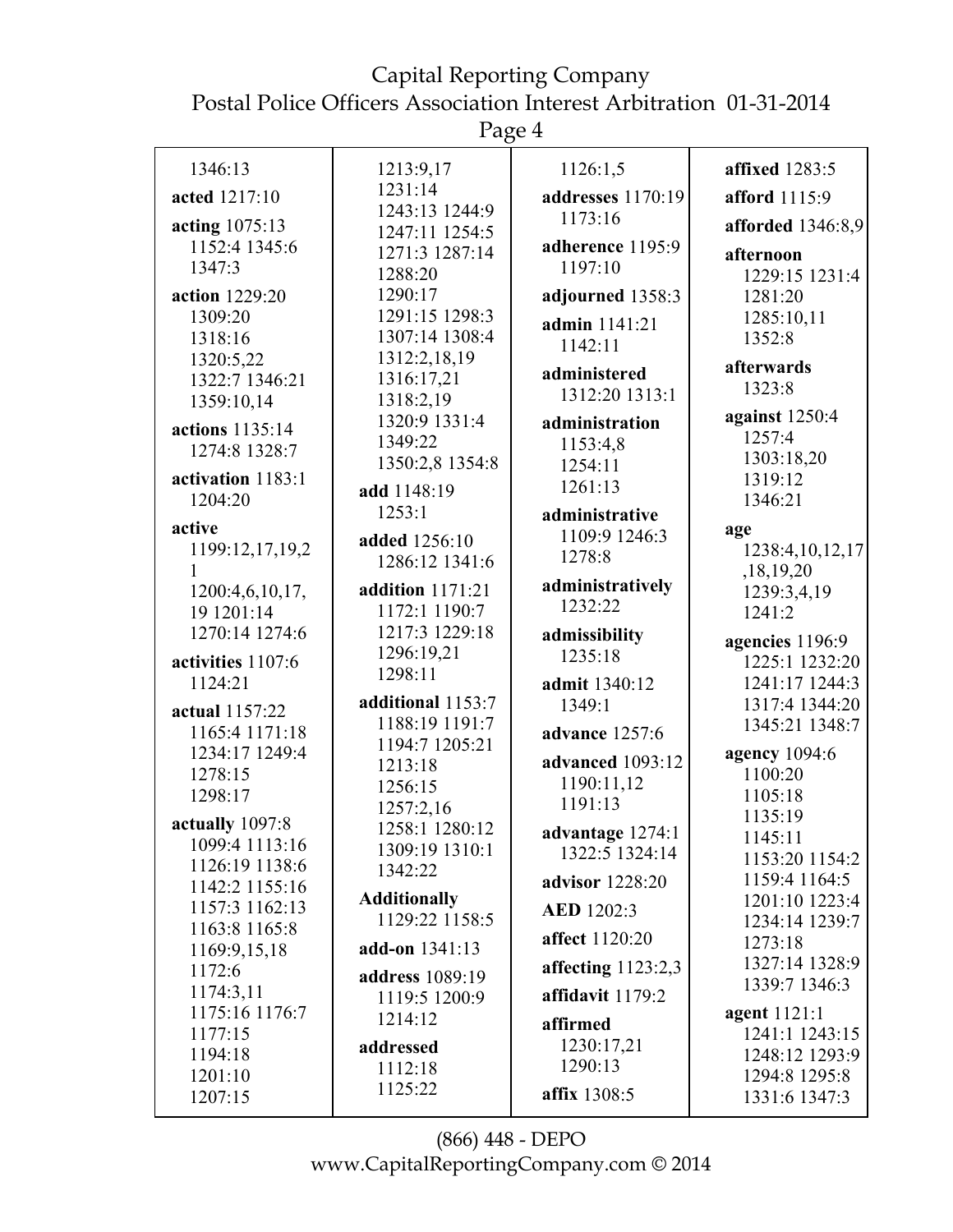Page 4

| 1346:13            | 1213:9,17                        | 1126:1,5                           | <b>affixed</b> 1283:5           |
|--------------------|----------------------------------|------------------------------------|---------------------------------|
| acted 1217:10      | 1231:14                          | addresses 1170:19                  | afford 1115:9                   |
| acting 1075:13     | 1243:13 1244:9<br>1247:11 1254:5 | 1173:16                            | afforded 1346:8,9               |
| 1152:4 1345:6      | 1271:3 1287:14                   | adherence 1195:9                   | afternoon                       |
| 1347:3             | 1288:20                          | 1197:10                            | 1229:15 1231:4                  |
| action 1229:20     | 1290:17                          | adjourned 1358:3                   | 1281:20                         |
| 1309:20            | 1291:15 1298:3                   |                                    | 1285:10,11                      |
| 1318:16            | 1307:14 1308:4                   | admin 1141:21                      | 1352:8                          |
| 1320:5,22          | 1312:2,18,19                     | 1142:11                            |                                 |
| 1322:7 1346:21     | 1316:17,21                       | administered                       | afterwards<br>1323:8            |
| 1359:10,14         | 1318:2,19                        | 1312:20 1313:1                     |                                 |
| actions 1135:14    | 1320:9 1331:4                    | administration                     | against 1250:4                  |
| 1274:8 1328:7      | 1349:22                          | 1153:4,8                           | 1257:4                          |
|                    | 1350:2,8 1354:8                  | 1254:11                            | 1303:18,20                      |
| activation 1183:1  | add 1148:19                      | 1261:13                            | 1319:12                         |
| 1204:20            | 1253:1                           | administrative                     | 1346:21                         |
| active             | added 1256:10                    | 1109:9 1246:3                      | age                             |
| 1199:12,17,19,2    | 1286:12 1341:6                   | 1278:8                             | 1238:4,10,12,17                 |
|                    |                                  | administratively                   | ,18,19,20                       |
| 1200:4,6,10,17,    | addition 1171:21                 | 1232:22                            | 1239:3,4,19                     |
| 19 1201:14         | 1172:1 1190:7                    |                                    | 1241:2                          |
| 1270:14 1274:6     | 1217:3 1229:18                   | admissibility                      | agencies 1196:9                 |
| activities 1107:6  | 1296:19,21<br>1298:11            | 1235:18                            | 1225:1 1232:20                  |
| 1124:21            |                                  | admit 1340:12                      | 1241:17 1244:3                  |
| actual 1157:22     | additional 1153:7                | 1349:1                             | 1317:4 1344:20                  |
| 1165:4 1171:18     | 1188:19 1191:7                   | advance 1257:6                     | 1345:21 1348:7                  |
| 1234:17 1249:4     | 1194:7 1205:21                   | advanced 1093:12                   | agency 1094:6                   |
| 1278:15            | 1213:18<br>1256:15               | 1190:11,12                         | 1100:20                         |
| 1298:17            | 1257:2,16                        | 1191:13                            | 1105:18                         |
| actually 1097:8    | 1258:1 1280:12                   |                                    | 1135:19                         |
| 1099:4 1113:16     | 1309:19 1310:1                   | advantage 1274:1<br>1322:5 1324:14 | 1145:11                         |
| 1126:19 1138:6     | 1342:22                          |                                    | 1153:20 1154:2                  |
| 1142:2 1155:16     | <b>Additionally</b>              | advisor 1228:20                    | 1159:4 1164:5                   |
| 1157:3 1162:13     | 1129:22 1158:5                   | <b>AED</b> 1202:3                  | 1201:10 1223:4                  |
| 1163:8 1165:8      |                                  | affect 1120:20                     | 1234:14 1239:7<br>1273:18       |
| 1169:9,15,18       | add-on 1341:13                   |                                    | 1327:14 1328:9                  |
| 1172:6             | address 1089:19                  | affecting $1123:2,3$               | 1339:7 1346:3                   |
| 1174:3,11          | 1119:5 1200:9                    | affidavit 1179:2                   |                                 |
| 1175:16 1176:7     | 1214:12                          | affirmed                           | agent 1121:1                    |
| 1177:15            | addressed                        | 1230:17,21                         | 1241:1 1243:15                  |
| 1194:18<br>1201:10 | 1112:18                          | 1290:13                            | 1248:12 1293:9<br>1294:8 1295:8 |
| 1207:15            | 1125:22                          | affix 1308:5                       |                                 |
|                    |                                  |                                    | 1331:6 1347:3                   |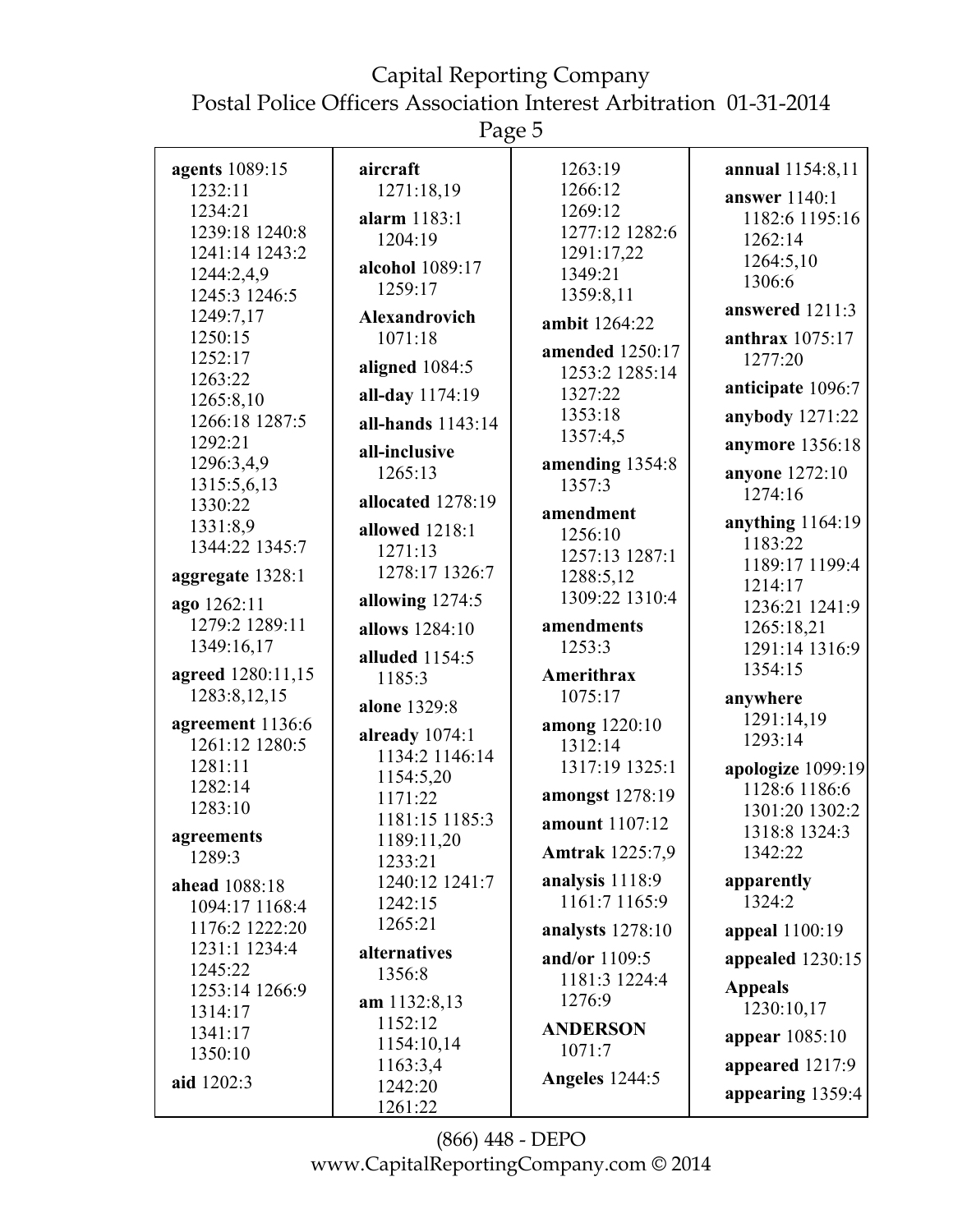Page 5

| agents 1089:15    | aircraft             | 1263:19                | annual 1154:8,11   |
|-------------------|----------------------|------------------------|--------------------|
| 1232:11           | 1271:18,19           | 1266:12                | answer 1140:1      |
| 1234:21           | alarm 1183:1         | 1269:12                | 1182:6 1195:16     |
| 1239:18 1240:8    | 1204:19              | 1277:12 1282:6         | 1262:14            |
| 1241:14 1243:2    |                      | 1291:17,22             |                    |
| 1244:2,4,9        | alcohol 1089:17      | 1349:21                | 1264:5,10          |
| 1245:3 1246:5     | 1259:17              | 1359:8,11              | 1306:6             |
| 1249:7,17         | <b>Alexandrovich</b> | ambit 1264:22          | answered 1211:3    |
| 1250:15           | 1071:18              |                        | anthrax 1075:17    |
| 1252:17           |                      | amended 1250:17        | 1277:20            |
| 1263:22           | aligned 1084:5       | 1253:2 1285:14         |                    |
| 1265:8,10         | all-day 1174:19      | 1327:22                | anticipate 1096:7  |
| 1266:18 1287:5    | all-hands 1143:14    | 1353:18                | anybody 1271:22    |
| 1292:21           | all-inclusive        | 1357:4,5               | anymore 1356:18    |
| 1296:3,4,9        | 1265:13              | amending 1354:8        | anyone 1272:10     |
| 1315:5,6,13       |                      | 1357:3                 | 1274:16            |
| 1330:22           | allocated 1278:19    | amendment              |                    |
| 1331:8,9          | allowed 1218:1       | 1256:10                | anything $1164:19$ |
| 1344:22 1345:7    | 1271:13              | 1257:13 1287:1         | 1183:22            |
| aggregate 1328:1  | 1278:17 1326:7       | 1288:5,12              | 1189:17 1199:4     |
|                   |                      | 1309:22 1310:4         | 1214:17            |
| ago 1262:11       | allowing 1274:5      |                        | 1236:21 1241:9     |
| 1279:2 1289:11    | allows 1284:10       | amendments             | 1265:18,21         |
| 1349:16,17        | alluded 1154:5       | 1253:3                 | 1291:14 1316:9     |
| agreed 1280:11,15 | 1185:3               | Amerithrax             | 1354:15            |
| 1283:8,12,15      |                      | 1075:17                | anywhere           |
|                   | alone 1329:8         |                        | 1291:14,19         |
| agreement 1136:6  | already 1074:1       | among 1220:10          | 1293:14            |
| 1261:12 1280:5    | 1134:2 1146:14       | 1312:14                |                    |
| 1281:11           | 1154:5,20            | 1317:19 1325:1         | apologize 1099:19  |
| 1282:14           | 1171:22              | amongst 1278:19        | 1128:6 1186:6      |
| 1283:10           | 1181:15 1185:3       | amount 1107:12         | 1301:20 1302:2     |
| agreements        | 1189:11,20           |                        | 1318:8 1324:3      |
| 1289:3            | 1233:21              | <b>Amtrak</b> 1225:7,9 | 1342:22            |
| ahead 1088:18     | 1240:12 1241:7       | analysis 1118:9        | apparently         |
| 1094:17 1168:4    | 1242:15              | 1161:7 1165:9          | 1324:2             |
| 1176:2 1222:20    | 1265:21              | analysts 1278:10       | appeal 1100:19     |
| 1231:1 1234:4     | alternatives         |                        |                    |
| 1245:22           | 1356:8               | and/or 1109:5          | appealed 1230:15   |
| 1253:14 1266:9    |                      | 1181:3 1224:4          | <b>Appeals</b>     |
| 1314:17           | am $1132:8,13$       | 1276:9                 | 1230:10,17         |
| 1341:17           | 1152:12              | <b>ANDERSON</b>        | appear 1085:10     |
| 1350:10           | 1154:10,14           | 1071:7                 |                    |
| aid 1202:3        | 1163:3,4             | <b>Angeles</b> 1244:5  | appeared 1217:9    |
|                   | 1242:20              |                        | appearing 1359:4   |
|                   | 1261:22              |                        |                    |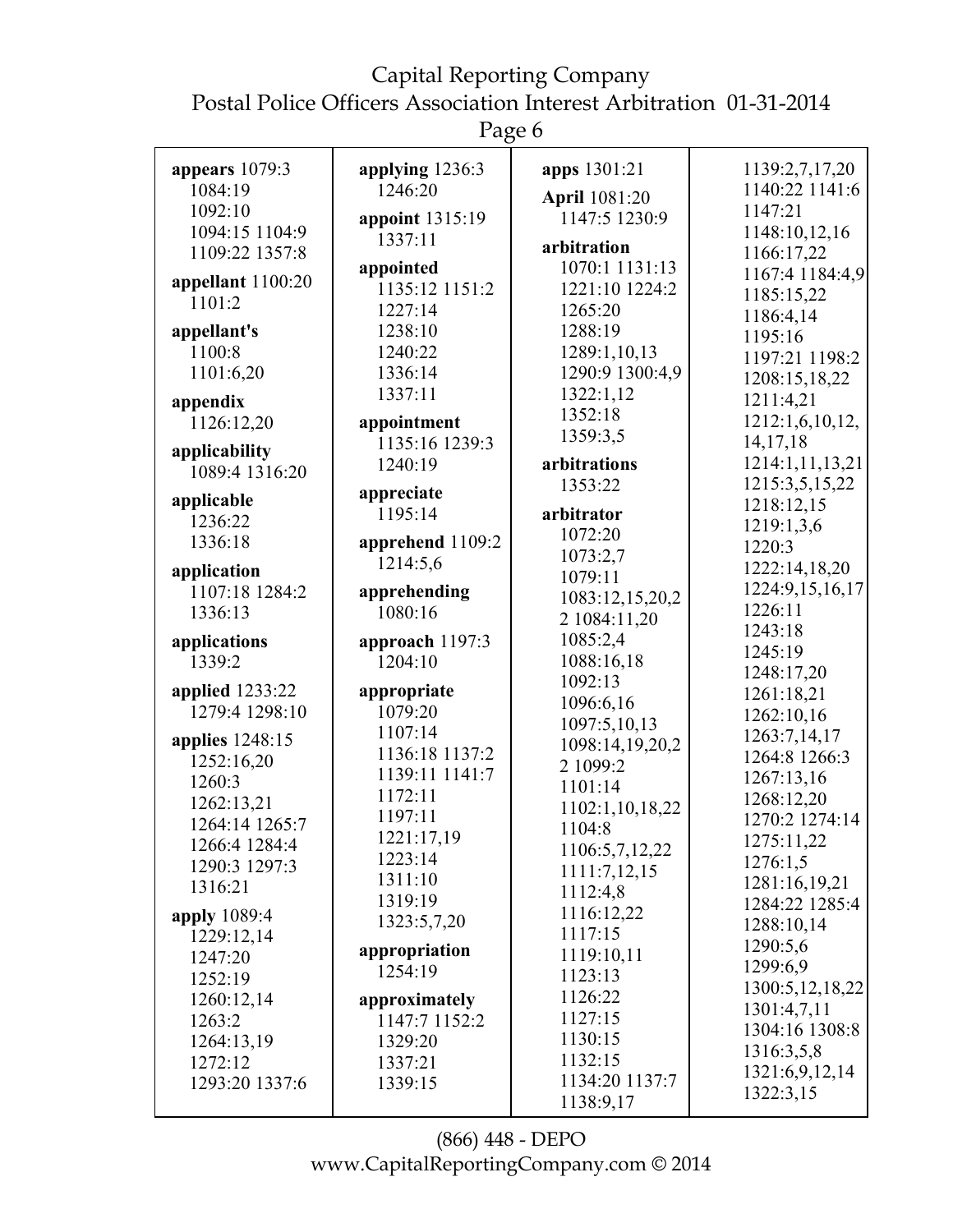# Capital Reporting Company

Postal Police Officers Association Interest Arbitration 01-31-2014

Page 6

| appears $1079:3$       | applying 1236:3             | apps 1301:21                     | 1139:2,7,17,20                |
|------------------------|-----------------------------|----------------------------------|-------------------------------|
| 1084:19                | 1246:20                     | April 1081:20                    | 1140:22 1141:6                |
| 1092:10                | appoint 1315:19             | 1147:5 1230:9                    | 1147:21                       |
| 1094:15 1104:9         | 1337:11                     | arbitration                      | 1148:10,12,16                 |
| 1109:22 1357:8         |                             |                                  | 1166:17,22                    |
| appellant 1100:20      | appointed<br>1135:12 1151:2 | 1070:1 1131:13<br>1221:10 1224:2 | 1167:4 1184:4,9               |
| 1101:2                 |                             |                                  | 1185:15,22                    |
|                        | 1227:14                     | 1265:20                          | 1186:4,14                     |
| appellant's            | 1238:10                     | 1288:19                          | 1195:16                       |
| 1100:8                 | 1240:22                     | 1289:1,10,13                     | 1197:21 1198:2                |
| 1101:6,20              | 1336:14                     | 1290:9 1300:4,9                  | 1208:15,18,22                 |
| appendix               | 1337:11                     | 1322:1,12                        | 1211:4,21                     |
| 1126:12,20             | appointment                 | 1352:18                          | 1212:1,6,10,12,               |
| applicability          | 1135:16 1239:3              | 1359:3,5                         | 14, 17, 18                    |
| 1089:4 1316:20         | 1240:19                     | arbitrations                     | 1214:1,11,13,21               |
|                        | appreciate                  | 1353:22                          | 1215:3,5,15,22                |
| applicable             | 1195:14                     | arbitrator                       | 1218:12,15                    |
| 1236:22                |                             | 1072:20                          | 1219:1,3,6                    |
| 1336:18                | apprehend 1109:2            | 1073:2,7                         | 1220:3                        |
| application            | 1214:5,6                    | 1079:11                          | 1222:14,18,20                 |
| 1107:18 1284:2         | apprehending                |                                  | 1224:9,15,16,17               |
| 1336:13                | 1080:16                     | 1083:12,15,20,2                  | 1226:11                       |
|                        |                             | 2 1084:11,20                     | 1243:18                       |
|                        |                             |                                  |                               |
| applications           | approach 1197:3             | 1085:2,4                         | 1245:19                       |
| 1339:2                 | 1204:10                     | 1088:16,18                       |                               |
| <b>applied</b> 1233:22 | appropriate                 | 1092:13                          | 1248:17,20<br>1261:18,21      |
| 1279:4 1298:10         | 1079:20                     | 1096:6,16                        |                               |
|                        | 1107:14                     | 1097:5,10,13                     | 1262:10,16                    |
| applies 1248:15        | 1136:18 1137:2              | 1098:14,19,20,2                  | 1263:7,14,17<br>1264:8 1266:3 |
| 1252:16,20             | 1139:11 1141:7              | 2 1099:2                         |                               |
| 1260:3                 | 1172:11                     | 1101:14                          | 1267:13,16                    |
| 1262:13,21             | 1197:11                     | 1102:1,10,18,22                  | 1268:12,20                    |
| 1264:14 1265:7         |                             | 1104:8                           | 1270:2 1274:14                |
| 1266:4 1284:4          | 1221:17,19<br>1223:14       | 1106:5,7,12,22                   | 1275:11,22                    |
| 1290:3 1297:3          | 1311:10                     | 1111:7,12,15                     | 1276:1,5                      |
| 1316:21                | 1319:19                     | 1112:4,8                         | 1281:16,19,21                 |
| apply 1089:4           |                             | 1116:12,22                       | 1284:22 1285:4                |
| 1229:12,14             | 1323:5,7,20                 | 1117:15                          | 1288:10,14                    |
| 1247:20                | appropriation               | 1119:10,11                       | 1290:5,6                      |
| 1252:19                | 1254:19                     | 1123:13                          | 1299:6,9                      |
| 1260:12,14             | approximately               | 1126:22                          | 1300:5, 12, 18, 22            |
| 1263:2                 | 1147:7 1152:2               | 1127:15                          | 1301:4,7,11                   |
| 1264:13,19             | 1329:20                     | 1130:15                          | 1304:16 1308:8                |
| 1272:12                | 1337:21                     | 1132:15                          | 1316:3,5,8                    |
| 1293:20 1337:6         | 1339:15                     | 1134:20 1137:7                   | 1321:6,9,12,14<br>1322:3,15   |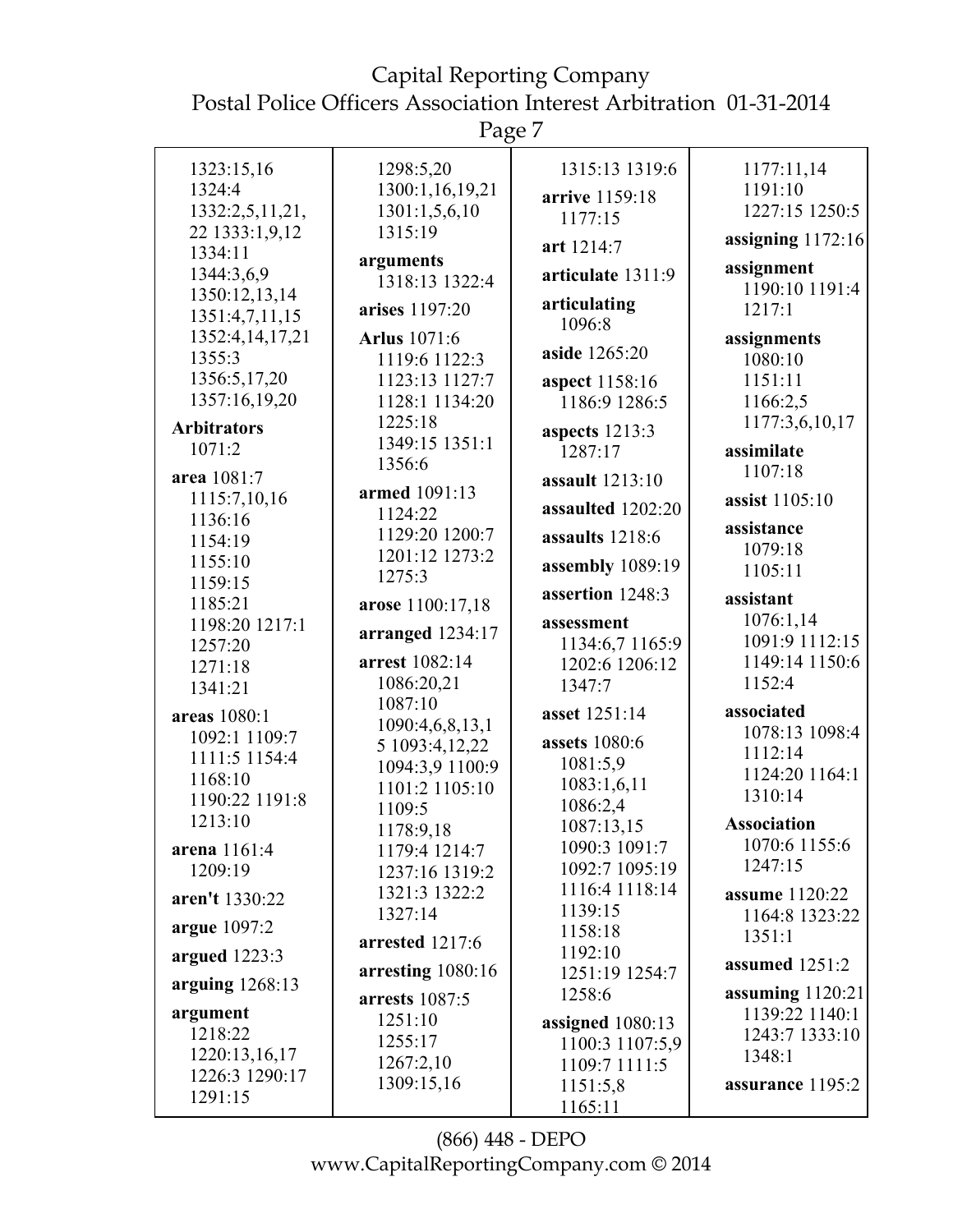Page 7

| 1323:15,16         | 1298:5,20                   | 1315:13 1319:6     | 1177:11,14            |
|--------------------|-----------------------------|--------------------|-----------------------|
| 1324:4             | 1300:1,16,19,21             |                    | 1191:10               |
| 1332:2,5,11,21,    | 1301:1,5,6,10               | arrive 1159:18     | 1227:15 1250:5        |
| 22 1333:1,9,12     | 1315:19                     | 1177:15            |                       |
| 1334:11            |                             | art 1214:7         | assigning $1172:16$   |
| 1344:3,6,9         | arguments<br>1318:13 1322:4 | articulate 1311:9  | assignment            |
| 1350:12,13,14      |                             |                    | 1190:10 1191:4        |
| 1351:4,7,11,15     | arises 1197:20              | articulating       | 1217:1                |
| 1352:4,14,17,21    | <b>Arlus</b> 1071:6         | 1096:8             | assignments           |
| 1355:3             | 1119:6 1122:3               | aside 1265:20      | 1080:10               |
| 1356:5,17,20       | 1123:13 1127:7              |                    | 1151:11               |
| 1357:16,19,20      |                             | aspect 1158:16     |                       |
|                    | 1128:1 1134:20              | 1186:9 1286:5      | 1166:2,5              |
| <b>Arbitrators</b> | 1225:18                     | aspects $1213:3$   | 1177:3,6,10,17        |
| 1071:2             | 1349:15 1351:1              | 1287:17            | assimilate            |
| area 1081:7        | 1356:6                      | assault 1213:10    | 1107:18               |
| 1115:7,10,16       | armed 1091:13               |                    | assist 1105:10        |
| 1136:16            | 1124:22                     | assaulted 1202:20  |                       |
| 1154:19            | 1129:20 1200:7              | assaults 1218:6    | assistance            |
| 1155:10            | 1201:12 1273:2              |                    | 1079:18               |
| 1159:15            | 1275:3                      | assembly 1089:19   | 1105:11               |
| 1185:21            | arose 1100:17,18            | assertion 1248:3   | assistant             |
| 1198:20 1217:1     |                             | assessment         | 1076:1,14             |
| 1257:20            | arranged 1234:17            | 1134:6,7 1165:9    | 1091:9 1112:15        |
| 1271:18            | arrest 1082:14              | 1202:6 1206:12     | 1149:14 1150:6        |
| 1341:21            | 1086:20,21                  | 1347:7             | 1152:4                |
|                    | 1087:10                     |                    |                       |
| areas 1080:1       | 1090:4,6,8,13,1             | asset 1251:14      | associated            |
| 1092:1 1109:7      | 5 1093:4, 12, 22            | assets 1080:6      | 1078:13 1098:4        |
| 1111:5 1154:4      | 1094:3,9 1100:9             | 1081:5,9           | 1112:14               |
| 1168:10            | 1101:2 1105:10              | 1083:1,6,11        | 1124:20 1164:1        |
| 1190:22 1191:8     | 1109:5                      | 1086:2,4           | 1310:14               |
| 1213:10            | 1178:9,18                   | 1087:13,15         | <b>Association</b>    |
| arena 1161:4       |                             | 1090:3 1091:7      | 1070:6 1155:6         |
| 1209:19            | 1179:4 1214:7               | 1092:7 1095:19     | 1247:15               |
|                    | 1237:16 1319:2              | 1116:4 1118:14     |                       |
| aren't 1330:22     | 1321:3 1322:2               | 1139:15            | <b>assume</b> 1120:22 |
| argue 1097:2       | 1327:14                     | 1158:18            | 1164:8 1323:22        |
|                    | arrested 1217:6             | 1192:10            | 1351:1                |
| argued $1223:3$    | arresting 1080:16           | 1251:19 1254:7     | assumed 1251:2        |
| arguing $1268:13$  | arrests 1087:5              | 1258:6             | assuming $1120:21$    |
| argument           | 1251:10                     |                    | 1139:22 1140:1        |
| 1218:22            | 1255:17                     | assigned $1080:13$ | 1243:7 1333:10        |
| 1220:13,16,17      |                             | 1100:3 1107:5,9    | 1348:1                |
| 1226:3 1290:17     | 1267:2,10                   | 1109:7 1111:5      |                       |
| 1291:15            | 1309:15,16                  | 1151:5,8           | assurance 1195:2      |
|                    |                             | 1165:11            |                       |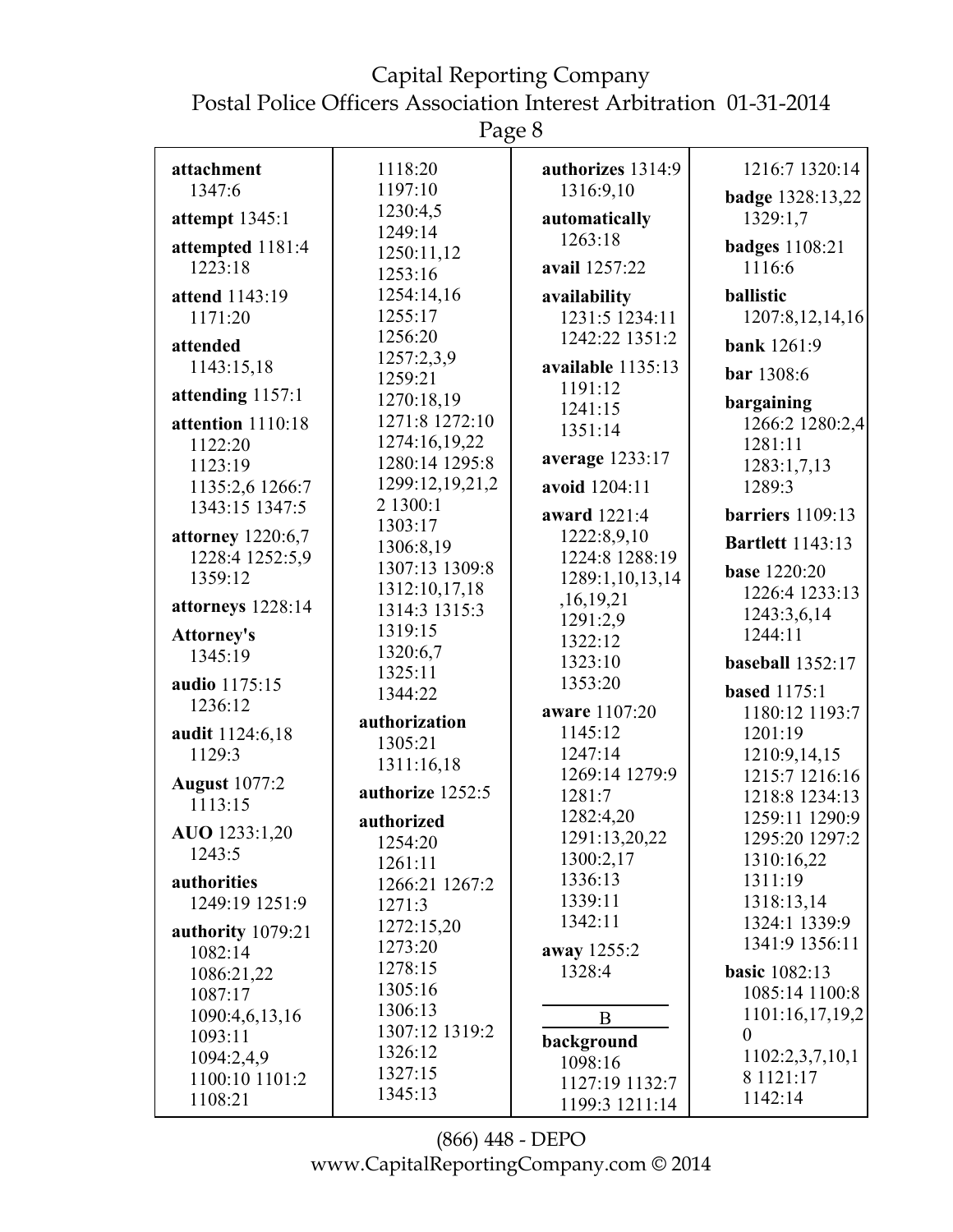Page 8

| attachment           | 1118:20          | authorizes 1314:9 | 1216:7 1320:14          |
|----------------------|------------------|-------------------|-------------------------|
| 1347:6               | 1197:10          | 1316:9,10         | badge 1328:13,22        |
| attempt 1345:1       | 1230:4,5         | automatically     | 1329:1,7                |
| attempted 1181:4     | 1249:14          | 1263:18           | <b>badges</b> 1108:21   |
| 1223:18              | 1250:11,12       | avail 1257:22     | 1116:6                  |
|                      | 1253:16          |                   |                         |
| attend 1143:19       | 1254:14,16       | availability      | ballistic               |
| 1171:20              | 1255:17          | 1231:5 1234:11    | 1207:8, 12, 14, 16      |
| attended             | 1256:20          | 1242:22 1351:2    | <b>bank</b> 1261:9      |
| 1143:15,18           | 1257:2,3,9       | available 1135:13 |                         |
|                      | 1259:21          | 1191:12           | bar 1308:6              |
| attending 1157:1     | 1270:18,19       | 1241:15           | bargaining              |
| attention 1110:18    | 1271:8 1272:10   | 1351:14           | 1266:2 1280:2,4         |
| 1122:20              | 1274:16,19,22    |                   | 1281:11                 |
| 1123:19              | 1280:14 1295:8   | average 1233:17   | 1283:1,7,13             |
| 1135:2,6 1266:7      | 1299:12,19,21,2  | avoid 1204:11     | 1289:3                  |
| 1343:15 1347:5       | 2 1300:1         | award 1221:4      | <b>barriers</b> 1109:13 |
| attorney 1220:6,7    | 1303:17          | 1222:8,9,10       |                         |
| 1228:4 1252:5,9      | 1306:8,19        | 1224:8 1288:19    | <b>Bartlett</b> 1143:13 |
| 1359:12              | 1307:13 1309:8   | 1289:1,10,13,14   | <b>base</b> 1220:20     |
|                      | 1312:10,17,18    | ,16,19,21         | 1226:4 1233:13          |
| attorneys 1228:14    | 1314:3 1315:3    | 1291:2,9          | 1243:3,6,14             |
| <b>Attorney's</b>    | 1319:15          | 1322:12           | 1244:11                 |
| 1345:19              | 1320:6,7         | 1323:10           | baseball 1352:17        |
| audio 1175:15        | 1325:11          | 1353:20           |                         |
| 1236:12              | 1344:22          |                   | <b>based</b> 1175:1     |
|                      | authorization    | aware 1107:20     | 1180:12 1193:7          |
| audit 1124:6,18      | 1305:21          | 1145:12           | 1201:19                 |
| 1129:3               | 1311:16,18       | 1247:14           | 1210:9,14,15            |
| <b>August</b> 1077:2 |                  | 1269:14 1279:9    | 1215:7 1216:16          |
| 1113:15              | authorize 1252:5 | 1281:7            | 1218:8 1234:13          |
|                      | authorized       | 1282:4,20         | 1259:11 1290:9          |
| AUO 1233:1,20        | 1254:20          | 1291:13,20,22     | 1295:20 1297:2          |
| 1243:5               | 1261:11          | 1300:2,17         | 1310:16,22              |
| authorities          | 1266:21 1267:2   | 1336:13           | 1311:19                 |
| 1249:19 1251:9       | 1271:3           | 1339:11           | 1318:13,14              |
| authority 1079:21    | 1272:15,20       | 1342:11           | 1324:1 1339:9           |
| 1082:14              | 1273:20          | away 1255:2       | 1341:9 1356:11          |
| 1086:21,22           | 1278:15          | 1328:4            | <b>basic</b> 1082:13    |
| 1087:17              | 1305:16          |                   | 1085:14 1100:8          |
| 1090:4,6,13,16       | 1306:13          | $\bf{B}$          | 1101:16,17,19,2         |
| 1093:11              | 1307:12 1319:2   |                   | $\theta$                |
| 1094:2,4,9           | 1326:12          | background        | 1102:2,3,7,10,1         |
| 1100:10 1101:2       | 1327:15          | 1098:16           | 8 1121:17               |
| 1108:21              | 1345:13          | 1127:19 1132:7    | 1142:14                 |
|                      |                  | 1199:3 1211:14    |                         |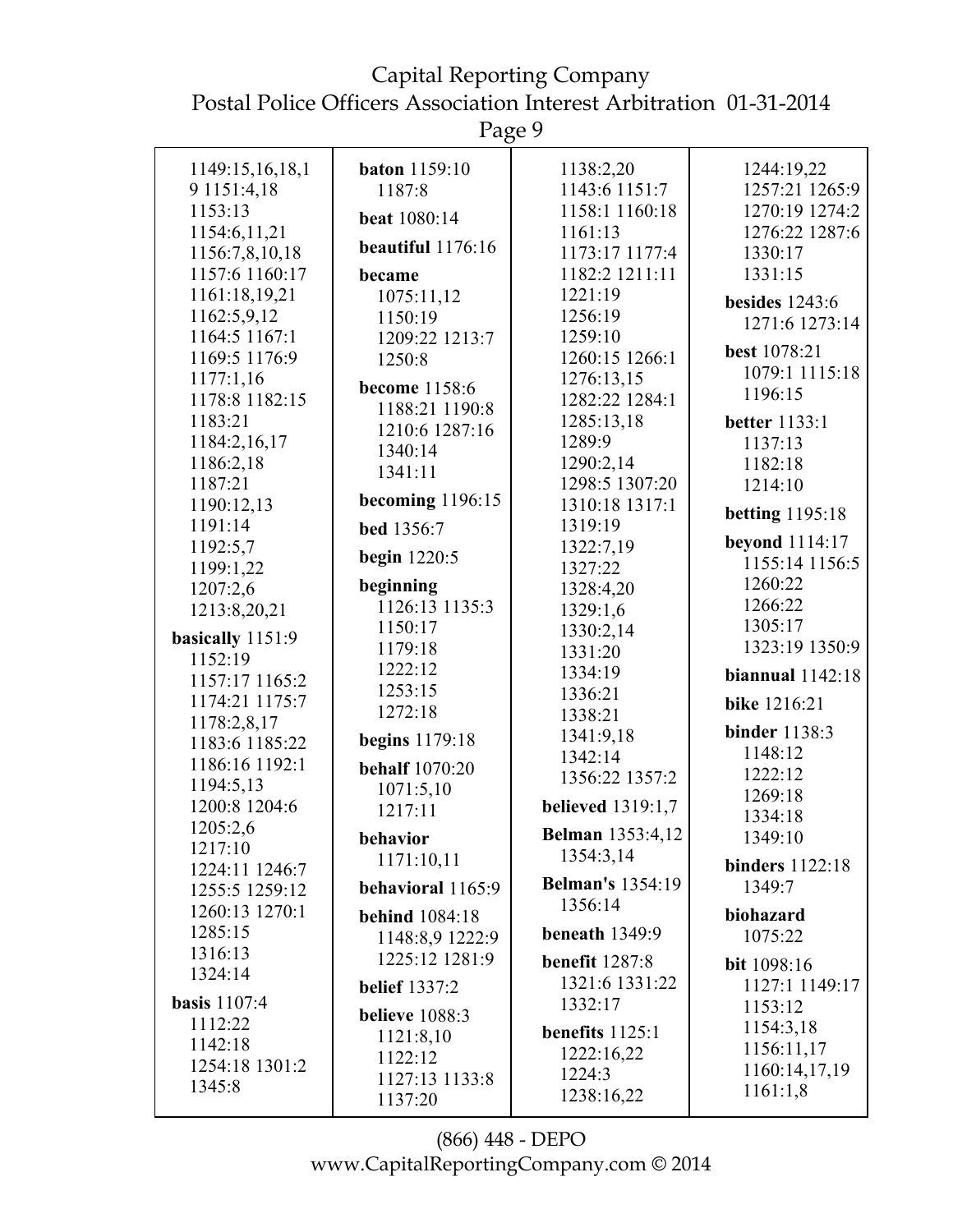Page 9

| 1149:15,16,18,1               | <b>baton</b> 1159:10  | 1138:2,20                | 1244:19,22             |
|-------------------------------|-----------------------|--------------------------|------------------------|
| 9 1151:4,18                   | 1187:8                | 1143:6 1151:7            | 1257:21 1265:9         |
| 1153:13                       |                       | 1158:1 1160:18           | 1270:19 1274:2         |
| 1154:6,11,21                  | beat 1080:14          | 1161:13                  | 1276:22 1287:6         |
| 1156:7,8,10,18                | beautiful 1176:16     | 1173:17 1177:4           | 1330:17                |
|                               |                       |                          |                        |
| 1157:6 1160:17                | became                | 1182:2 1211:11           | 1331:15                |
| 1161:18,19,21                 | 1075:11,12            | 1221:19                  | besides $1243:6$       |
| 1162:5,9,12                   | 1150:19               | 1256:19                  | 1271:6 1273:14         |
| 1164:5 1167:1                 | 1209:22 1213:7        | 1259:10                  |                        |
| 1169:5 1176:9                 | 1250:8                | 1260:15 1266:1           | best 1078:21           |
| 1177:1,16                     | become 1158:6         | 1276:13,15               | 1079:1 1115:18         |
| 1178:8 1182:15                |                       | 1282:22 1284:1           | 1196:15                |
| 1183:21                       | 1188:21 1190:8        | 1285:13,18               | <b>better</b> 1133:1   |
| 1184:2,16,17                  | 1210:6 1287:16        | 1289:9                   | 1137:13                |
| 1186:2,18                     | 1340:14               | 1290:2,14                | 1182:18                |
| 1187:21                       | 1341:11               | 1298:5 1307:20           | 1214:10                |
| 1190:12,13                    | becoming $1196:15$    | 1310:18 1317:1           |                        |
| 1191:14                       |                       | 1319:19                  | <b>betting</b> 1195:18 |
|                               | bed 1356:7            |                          | <b>beyond</b> 1114:17  |
| 1192:5,7                      | <b>begin</b> 1220:5   | 1322:7,19                | 1155:14 1156:5         |
| 1199:1,22                     |                       | 1327:22                  |                        |
| 1207:2,6                      | beginning             | 1328:4,20                | 1260:22                |
| 1213:8,20,21                  | 1126:13 1135:3        | 1329:1,6                 | 1266:22                |
| basically 1151:9              | 1150:17               | 1330:2,14                | 1305:17                |
| 1152:19                       | 1179:18               | 1331:20                  | 1323:19 1350:9         |
| 1157:17 1165:2                | 1222:12               | 1334:19                  | biannual $1142:18$     |
| 1174:21 1175:7                | 1253:15               | 1336:21                  |                        |
|                               | 1272:18               | 1338:21                  | bike 1216:21           |
| 1178:2,8,17<br>1183:6 1185:22 | <b>begins</b> 1179:18 | 1341:9,18                | <b>binder</b> 1138:3   |
| 1186:16 1192:1                |                       | 1342:14                  | 1148:12                |
|                               | <b>behalf</b> 1070:20 | 1356:22 1357:2           | 1222:12                |
| 1194:5,13                     | 1071:5,10             |                          | 1269:18                |
| 1200:8 1204:6                 | 1217:11               | <b>believed</b> 1319:1,7 | 1334:18                |
| 1205:2,6                      | behavior              | <b>Belman</b> 1353:4,12  | 1349:10                |
| 1217:10                       | 1171:10,11            | 1354:3,14                |                        |
| 1224:11 1246:7                |                       | <b>Belman's</b> 1354:19  | <b>binders</b> 1122:18 |
| 1255:5 1259:12                | behavioral 1165:9     | 1356:14                  | 1349:7                 |
| 1260:13 1270:1                | <b>behind</b> 1084:18 |                          | biohazard              |
| 1285:15                       | 1148:8,9 1222:9       | beneath $1349:9$         | 1075:22                |
| 1316:13                       | 1225:12 1281:9        | benefit 1287:8           | <b>bit</b> 1098:16     |
| 1324:14                       | <b>belief</b> 1337:2  | 1321:6 1331:22           | 1127:1 1149:17         |
| <b>basis</b> 1107:4           |                       | 1332:17                  | 1153:12                |
| 1112:22                       | <b>believe</b> 1088:3 |                          | 1154:3,18              |
| 1142:18                       | 1121:8,10             | benefits $1125:1$        |                        |
| 1254:18 1301:2                | 1122:12               | 1222:16,22               | 1156:11,17             |
|                               | 1127:13 1133:8        | 1224:3                   | 1160:14,17,19          |
| 1345:8                        | 1137:20               | 1238:16,22               | 1161:1,8               |
|                               |                       |                          |                        |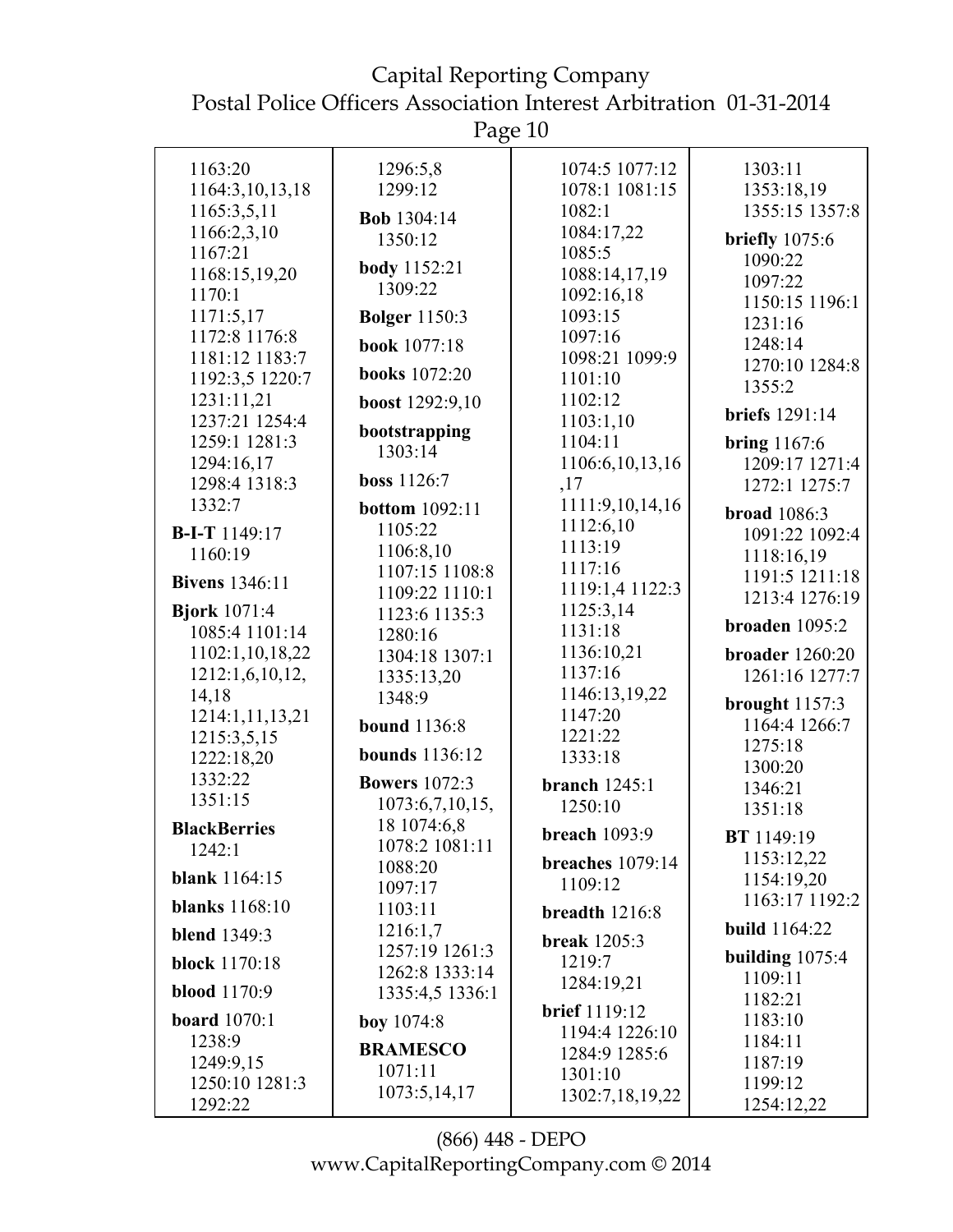Page 10

| 1163:20                                                                                        | 1296:5,8                                                                                   | 1074:5 1077:12                | 1303:11                                                                                           |
|------------------------------------------------------------------------------------------------|--------------------------------------------------------------------------------------------|-------------------------------|---------------------------------------------------------------------------------------------------|
| 1164:3,10,13,18                                                                                | 1299:12                                                                                    | 1078:1 1081:15                | 1353:18,19                                                                                        |
| 1165:3,5,11                                                                                    | <b>Bob</b> 1304:14                                                                         | 1082:1                        | 1355:15 1357:8                                                                                    |
| 1166:2,3,10                                                                                    | 1350:12                                                                                    | 1084:17,22                    | briefly $1075:6$                                                                                  |
| 1167:21                                                                                        |                                                                                            | 1085:5                        | 1090:22                                                                                           |
| 1168:15,19,20                                                                                  | <b>body</b> 1152:21                                                                        | 1088:14,17,19                 | 1097:22                                                                                           |
| 1170:1                                                                                         | 1309:22                                                                                    | 1092:16,18                    | 1150:15 1196:1                                                                                    |
| 1171:5,17                                                                                      | <b>Bolger</b> 1150:3                                                                       | 1093:15                       | 1231:16                                                                                           |
| 1172:8 1176:8                                                                                  | <b>book</b> 1077:18                                                                        | 1097:16                       | 1248:14                                                                                           |
| 1181:12 1183:7                                                                                 | <b>books</b> 1072:20                                                                       | 1098:21 1099:9                | 1270:10 1284:8                                                                                    |
| 1192:3,5 1220:7                                                                                |                                                                                            | 1101:10                       | 1355:2                                                                                            |
| 1231:11,21                                                                                     | boost 1292:9,10                                                                            | 1102:12                       | <b>briefs</b> 1291:14                                                                             |
| 1237:21 1254:4                                                                                 | bootstrapping                                                                              | 1103:1,10                     |                                                                                                   |
| 1259:1 1281:3                                                                                  | 1303:14                                                                                    | 1104:11                       | bring $1167:6$                                                                                    |
| 1294:16,17<br>1298:4 1318:3                                                                    | boss 1126:7                                                                                | 1106:6, 10, 13, 16            | 1209:17 1271:4                                                                                    |
| 1332:7                                                                                         |                                                                                            | ,17<br>1111:9,10,14,16        | 1272:1 1275:7                                                                                     |
|                                                                                                | <b>bottom</b> 1092:11                                                                      | 1112:6,10                     | <b>broad</b> 1086:3                                                                               |
| <b>B-I-T</b> 1149:17                                                                           | 1105:22                                                                                    | 1113:19                       | 1091:22 1092:4                                                                                    |
| 1160:19                                                                                        | 1106:8,10<br>1107:15 1108:8                                                                | 1117:16                       | 1118:16,19                                                                                        |
| <b>Bivens</b> 1346:11                                                                          | 1109:22 1110:1                                                                             | 1119:1,4 1122:3               | 1191:5 1211:18                                                                                    |
| <b>Bjork</b> 1071:4                                                                            | 1123:6 1135:3                                                                              | 1125:3,14                     | 1213:4 1276:19                                                                                    |
| 1085:4 1101:14                                                                                 | 1280:16                                                                                    | 1131:18                       | broaden $1095:2$                                                                                  |
| 1102:1,10,18,22                                                                                | 1304:18 1307:1                                                                             | 1136:10,21                    | <b>broader</b> 1260:20                                                                            |
| 1212:1,6,10,12,                                                                                | 1335:13,20                                                                                 | 1137:16                       | 1261:16 1277:7                                                                                    |
| 14,18                                                                                          | 1348:9                                                                                     | 1146:13,19,22                 | brought $1157:3$                                                                                  |
| 1214:1,11,13,21                                                                                | <b>bound</b> 1136:8                                                                        | 1147:20                       | 1164:4 1266:7                                                                                     |
| 1215:3,5,15                                                                                    |                                                                                            | 1221:22                       | 1275:18                                                                                           |
| 1222:18,20                                                                                     | <b>bounds</b> 1136:12                                                                      | 1333:18                       | 1300:20                                                                                           |
| 1332:22                                                                                        | <b>Bowers</b> 1072:3                                                                       | <b>branch</b> 1245:1          | 1346:21                                                                                           |
| 1351:15                                                                                        | 1073:6,7,10,15,                                                                            | 1250:10                       | 1351:18                                                                                           |
| <b>BlackBerries</b>                                                                            | 18 1074:6,8                                                                                | <b>breach</b> 1093:9          | BT 1149:19                                                                                        |
| 1242:1                                                                                         | 1078:2 1081:11                                                                             |                               | 1153:12,22                                                                                        |
| <b>blank</b> 1164:15                                                                           | 1088:20                                                                                    | breaches $1079:14$<br>1109:12 | 1154:19,20                                                                                        |
| <b>blanks</b> 1168:10                                                                          | 1097:17                                                                                    |                               | 1163:17 1192:2                                                                                    |
|                                                                                                | 1103:11                                                                                    | breadth 1216:8                | <b>build</b> 1164:22                                                                              |
| <b>blend</b> 1349:3                                                                            | 1216:1,7                                                                                   | <b>break</b> 1205:3           |                                                                                                   |
| <b>block</b> 1170:18                                                                           |                                                                                            | 1219:7                        |                                                                                                   |
|                                                                                                |                                                                                            | 1284:19,21                    |                                                                                                   |
|                                                                                                |                                                                                            | <b>brief</b> 1119:12          |                                                                                                   |
|                                                                                                |                                                                                            | 1194:4 1226:10                |                                                                                                   |
|                                                                                                | <b>BRAMESCO</b>                                                                            | 1284:9 1285:6                 |                                                                                                   |
|                                                                                                | 1071:11                                                                                    | 1301:10                       |                                                                                                   |
|                                                                                                |                                                                                            | 1302:7,18,19,22               |                                                                                                   |
| <b>blood</b> 1170:9<br><b>board</b> 1070:1<br>1238:9<br>1249:9,15<br>1250:10 1281:3<br>1292:22 | 1257:19 1261:3<br>1262:8 1333:14<br>1335:4,5 1336:1<br><b>boy</b> $1074:8$<br>1073:5,14,17 |                               | building $1075:4$<br>1109:11<br>1182:21<br>1183:10<br>1184:11<br>1187:19<br>1199:12<br>1254:12,22 |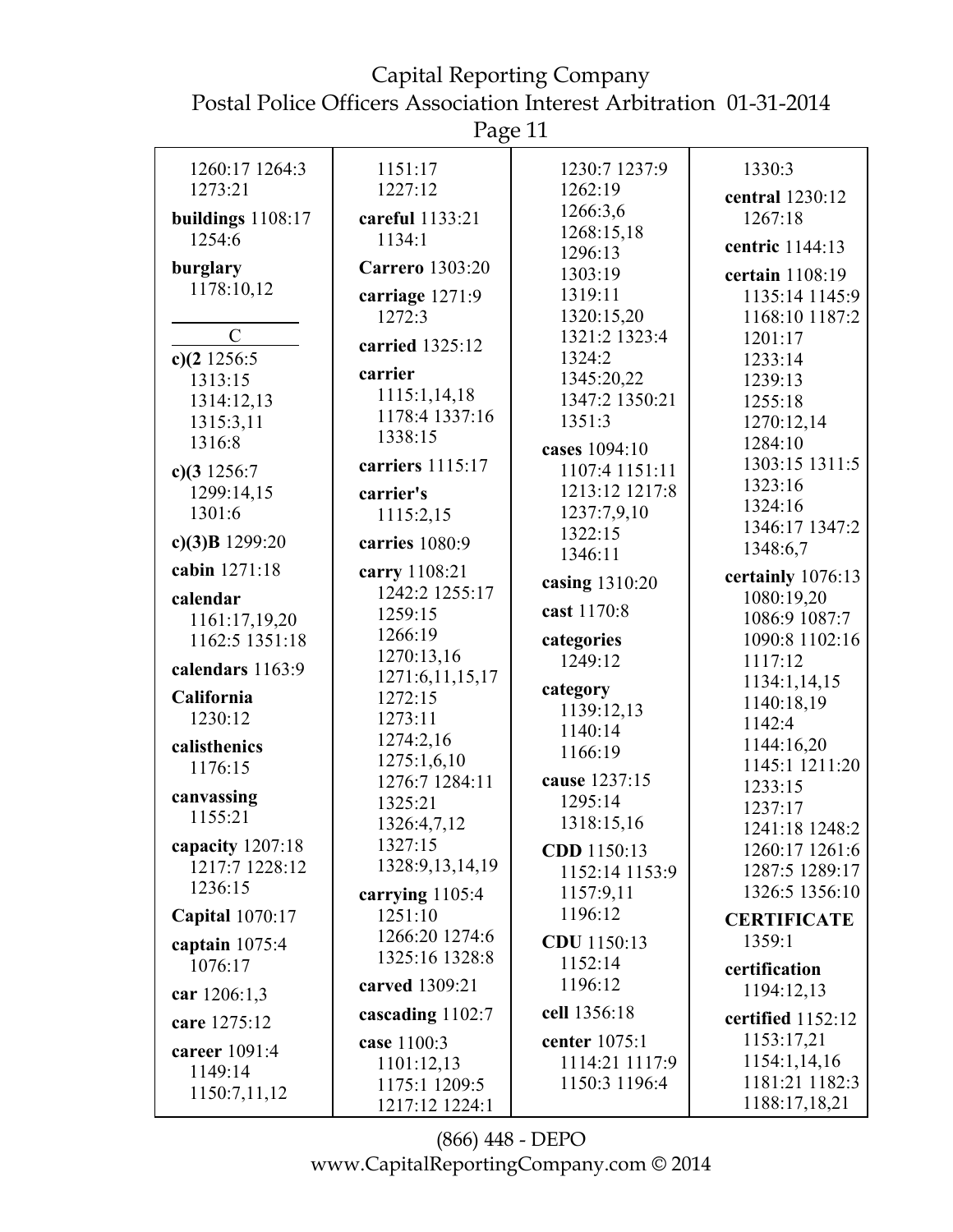Page 11

| 1260:17 1264:3             | 1151:17                | 1230:7 1237:9         | 1330:3             |
|----------------------------|------------------------|-----------------------|--------------------|
| 1273:21                    | 1227:12                | 1262:19               | central 1230:12    |
| buildings 1108:17          | careful 1133:21        | 1266:3,6              | 1267:18            |
| 1254:6                     | 1134:1                 | 1268:15,18<br>1296:13 | centric 1144:13    |
| burglary                   | <b>Carrero</b> 1303:20 | 1303:19               | certain 1108:19    |
| 1178:10,12                 | carriage 1271:9        | 1319:11               | 1135:14 1145:9     |
|                            | 1272:3                 | 1320:15,20            | 1168:10 1187:2     |
| $\mathcal{C}$              |                        | 1321:2 1323:4         | 1201:17            |
|                            | carried 1325:12        | 1324:2                |                    |
| c) $(2\ 1256:5$<br>1313:15 | carrier                | 1345:20,22            | 1233:14            |
|                            | 1115:1,14,18           | 1347:2 1350:21        | 1239:13            |
| 1314:12,13                 | 1178:4 1337:16         |                       | 1255:18            |
| 1315:3,11                  | 1338:15                | 1351:3                | 1270:12,14         |
| 1316:8                     |                        | cases 1094:10         | 1284:10            |
| c) $(3\ 1256:7)$           | carriers 1115:17       | 1107:4 1151:11        | 1303:15 1311:5     |
| 1299:14,15                 | carrier's              | 1213:12 1217:8        | 1323:16            |
| 1301:6                     | 1115:2,15              | 1237:7,9,10           | 1324:16            |
| c) $(3)B$ 1299:20          | carries 1080:9         | 1322:15               | 1346:17 1347:2     |
|                            |                        | 1346:11               | 1348:6,7           |
| cabin 1271:18              | carry 1108:21          | casing 1310:20        | certainly 1076:13  |
| calendar                   | 1242:2 1255:17         |                       | 1080:19,20         |
| 1161:17,19,20              | 1259:15                | cast 1170:8           | 1086:9 1087:7      |
| 1162:5 1351:18             | 1266:19                | categories            | 1090:8 1102:16     |
| calendars 1163:9           | 1270:13,16             | 1249:12               | 1117:12            |
|                            | 1271:6,11,15,17        | category              | 1134:1,14,15       |
| California                 | 1272:15                | 1139:12,13            | 1140:18,19         |
| 1230:12                    | 1273:11                | 1140:14               | 1142:4             |
| calisthenics               | 1274:2,16              | 1166:19               | 1144:16,20         |
| 1176:15                    | 1275:1,6,10            |                       | 1145:1 1211:20     |
|                            | 1276:7 1284:11         | cause 1237:15         | 1233:15            |
| canvassing                 | 1325:21                | 1295:14               | 1237:17            |
| 1155:21                    | 1326:4,7,12            | 1318:15,16            | 1241:18 1248:2     |
| capacity 1207:18           | 1327:15                | CDD 1150:13           | 1260:17 1261:6     |
| 1217:7 1228:12             | 1328:9, 13, 14, 19     | 1152:14 1153:9        | 1287:5 1289:17     |
| 1236:15                    | carrying $1105:4$      | 1157:9,11             | 1326:5 1356:10     |
| <b>Capital</b> 1070:17     | 1251:10                | 1196:12               |                    |
|                            | 1266:20 1274:6         |                       | <b>CERTIFICATE</b> |
| captain $1075:4$           | 1325:16 1328:8         | CDU 1150:13           | 1359:1             |
| 1076:17                    |                        | 1152:14               | certification      |
| car 1206:1,3               | carved 1309:21         | 1196:12               | 1194:12,13         |
| care 1275:12               | cascading 1102:7       | cell 1356:18          | certified 1152:12  |
| career 1091:4              | case 1100:3            | center 1075:1         | 1153:17,21         |
| 1149:14                    | 1101:12,13             | 1114:21 1117:9        | 1154:1,14,16       |
|                            | 1175:1 1209:5          | 1150:3 1196:4         | 1181:21 1182:3     |
| 1150:7,11,12               | 1217:12 1224:1         |                       | 1188:17,18,21      |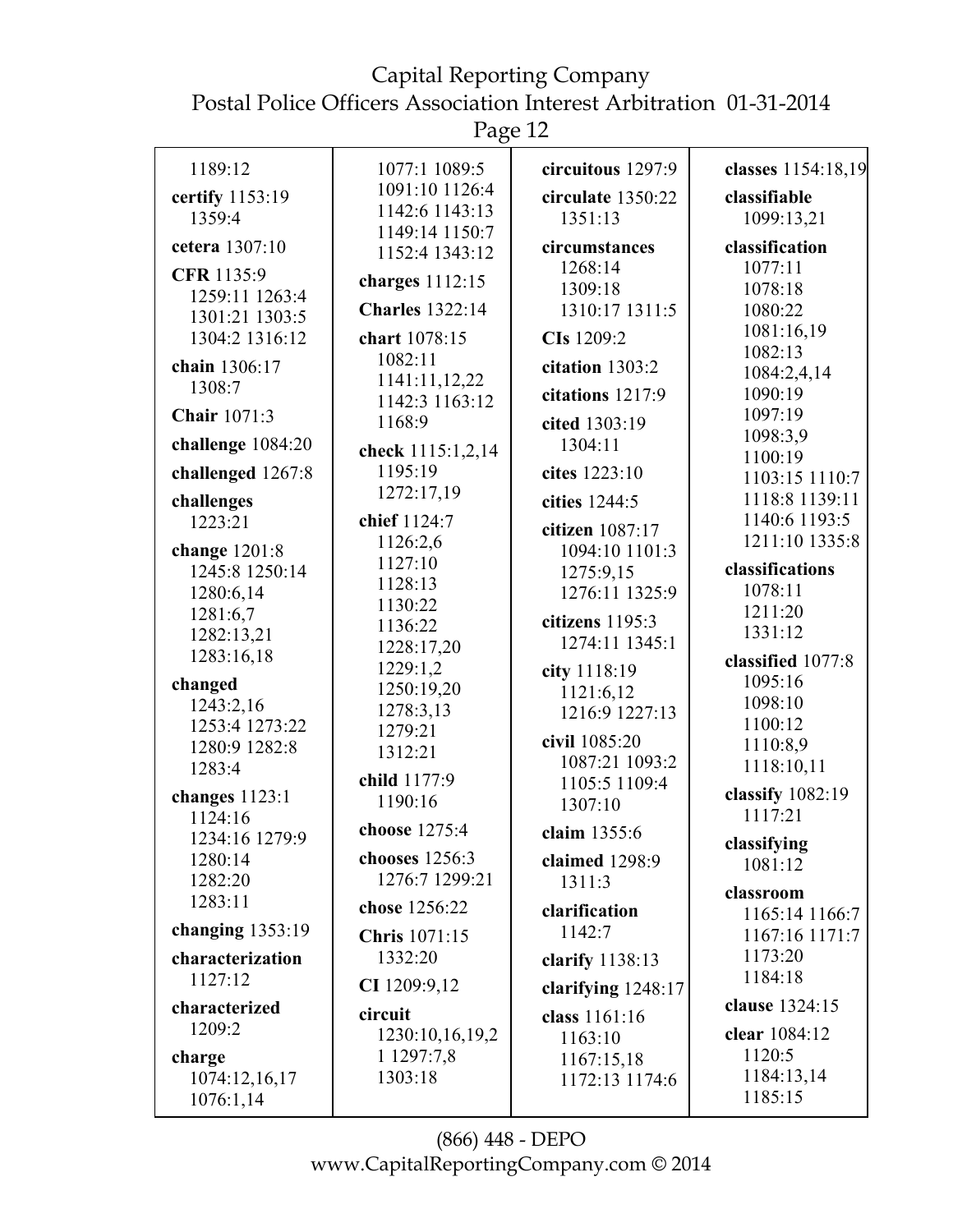# Capital Reporting Company

Postal Police Officers Association Interest Arbitration 01-31-2014

Page 12

| 1189:12             | 1077:1 1089:5          | circuitous 1297:9  | classes 1154:18,19 |
|---------------------|------------------------|--------------------|--------------------|
| certify 1153:19     | 1091:10 1126:4         | circulate 1350:22  | classifiable       |
| 1359:4              | 1142:6 1143:13         | 1351:13            | 1099:13,21         |
|                     | 1149:14 1150:7         |                    |                    |
| cetera 1307:10      | 1152:4 1343:12         | circumstances      | classification     |
| CFR 1135:9          | charges 1112:15        | 1268:14            | 1077:11            |
| 1259:11 1263:4      |                        | 1309:18            | 1078:18            |
| 1301:21 1303:5      | <b>Charles</b> 1322:14 | 1310:17 1311:5     | 1080:22            |
| 1304:2 1316:12      | chart 1078:15          | CIs 1209:2         | 1081:16,19         |
|                     | 1082:11                |                    | 1082:13            |
| chain 1306:17       | 1141:11,12,22          | citation 1303:2    | 1084:2,4,14        |
| 1308:7              | 1142:3 1163:12         | citations 1217:9   | 1090:19            |
| <b>Chair</b> 1071:3 | 1168:9                 | cited 1303:19      | 1097:19            |
|                     |                        |                    | 1098:3,9           |
| challenge 1084:20   | check 1115:1,2,14      | 1304:11            | 1100:19            |
| challenged 1267:8   | 1195:19                | cites 1223:10      | 1103:15 1110:7     |
| challenges          | 1272:17,19             | cities 1244:5      | 1118:8 1139:11     |
| 1223:21             | chief 1124:7           |                    | 1140:6 1193:5      |
|                     | 1126:2,6               | citizen 1087:17    | 1211:10 1335:8     |
| change 1201:8       | 1127:10                | 1094:10 1101:3     |                    |
| 1245:8 1250:14      | 1128:13                | 1275:9,15          | classifications    |
| 1280:6,14           |                        | 1276:11 1325:9     | 1078:11            |
| 1281:6,7            | 1130:22                | citizens 1195:3    | 1211:20            |
| 1282:13,21          | 1136:22                | 1274:11 1345:1     | 1331:12            |
| 1283:16,18          | 1228:17,20             |                    | classified 1077:8  |
| changed             | 1229:1,2               | city 1118:19       | 1095:16            |
| 1243:2,16           | 1250:19,20             | 1121:6,12          | 1098:10            |
|                     | 1278:3,13              | 1216:9 1227:13     | 1100:12            |
| 1253:4 1273:22      | 1279:21                | civil 1085:20      | 1110:8,9           |
| 1280:9 1282:8       | 1312:21                | 1087:21 1093:2     |                    |
| 1283:4              | child 1177:9           | 1105:5 1109:4      | 1118:10,11         |
| changes $1123:1$    | 1190:16                | 1307:10            | classify 1082:19   |
| 1124:16             |                        |                    | 1117:21            |
| 1234:16 1279:9      | choose 1275:4          | claim 1355:6       | classifying        |
| 1280:14             | chooses 1256:3         | claimed 1298:9     | 1081:12            |
| 1282:20             | 1276:7 1299:21         | 1311:3             |                    |
| 1283:11             | chose 1256:22          | clarification      | classroom          |
| changing $1353:19$  |                        | 1142:7             | 1165:14 1166:7     |
|                     | <b>Chris</b> 1071:15   |                    | 1167:16 1171:7     |
| characterization    | 1332:20                | clarify 1138:13    | 1173:20            |
| 1127:12             | CI 1209:9,12           | clarifying 1248:17 | 1184:18            |
| characterized       | circuit                | class 1161:16      | clause 1324:15     |
| 1209:2              | 1230:10,16,19,2        | 1163:10            | clear 1084:12      |
| charge              | 1 1297:7,8             | 1167:15,18         | 1120:5             |
| 1074:12,16,17       | 1303:18                | 1172:13 1174:6     | 1184:13,14         |
|                     |                        |                    | 1185:15            |
| 1076:1,14           |                        |                    |                    |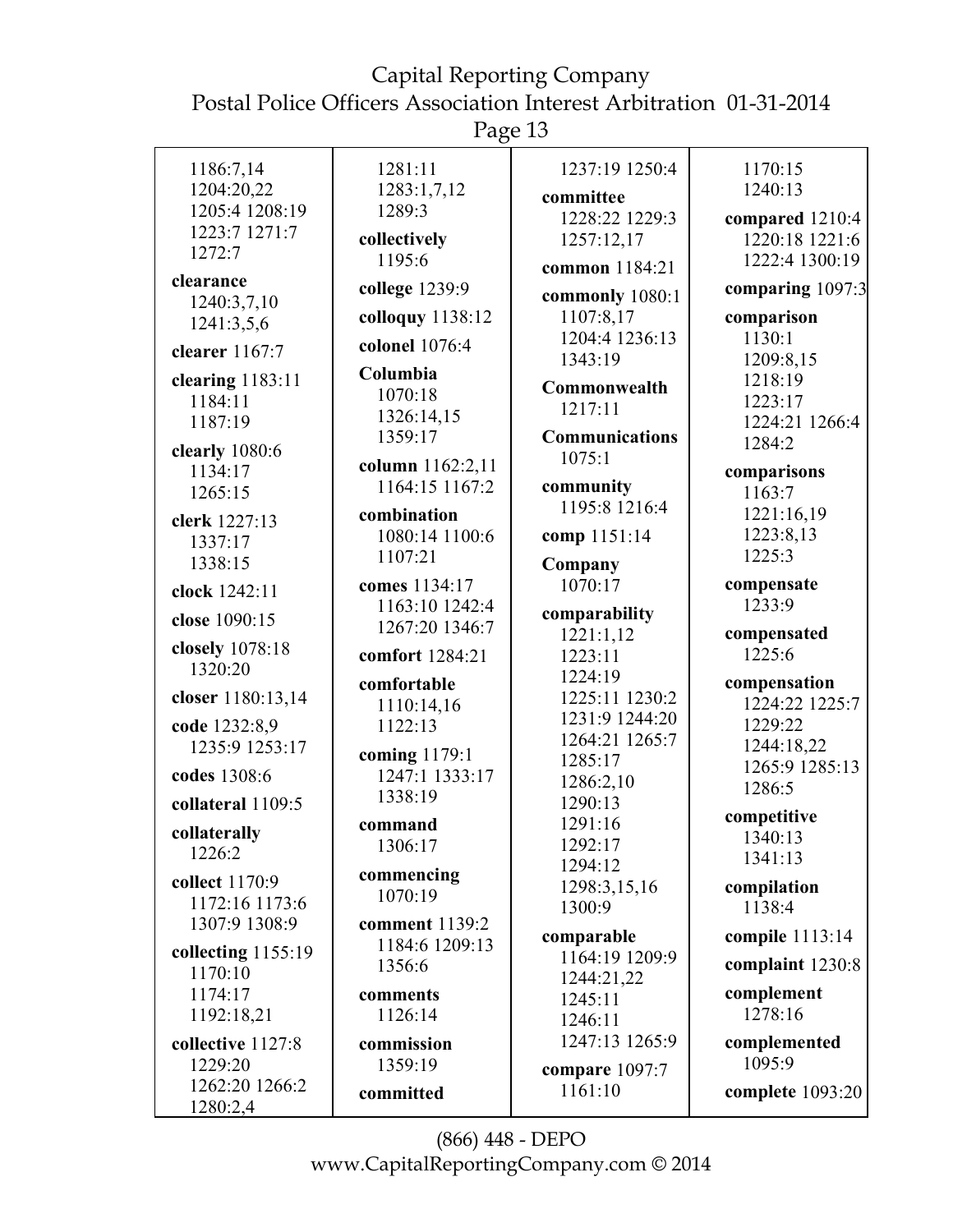Page 13

| 1186:7,14                  | 1281:11            | 1237:19 1250:4              | 1170:15              |
|----------------------------|--------------------|-----------------------------|----------------------|
| 1204:20,22                 | 1283:1,7,12        | committee                   | 1240:13              |
| 1205:4 1208:19             | 1289:3             | 1228:22 1229:3              | compared 1210:4      |
| 1223:7 1271:7              | collectively       | 1257:12,17                  | 1220:18 1221:6       |
| 1272:7                     | 1195:6             | common 1184:21              | 1222:4 1300:19       |
| clearance                  | college 1239:9     |                             | comparing 1097:3     |
| 1240:3,7,10                | colloquy 1138:12   | commonly 1080:1             |                      |
| 1241:3,5,6                 |                    | 1107:8,17<br>1204:4 1236:13 | comparison<br>1130:1 |
| clearer 1167:7             | colonel 1076:4     | 1343:19                     | 1209:8,15            |
| clearing 1183:11           | Columbia           |                             | 1218:19              |
| 1184:11                    | 1070:18            | Commonwealth                | 1223:17              |
| 1187:19                    | 1326:14,15         | 1217:11                     | 1224:21 1266:4       |
| clearly 1080:6             | 1359:17            | Communications              | 1284:2               |
| 1134:17                    | column 1162:2,11   | 1075:1                      | comparisons          |
| 1265:15                    | 1164:15 1167:2     | community                   | 1163:7               |
|                            | combination        | 1195:8 1216:4               | 1221:16,19           |
| clerk 1227:13              | 1080:14 1100:6     | comp 1151:14                | 1223:8,13            |
| 1337:17                    | 1107:21            |                             | 1225:3               |
| 1338:15                    |                    | Company                     |                      |
| clock 1242:11              | comes 1134:17      | 1070:17                     | compensate           |
| close 1090:15              | 1163:10 1242:4     | comparability               | 1233:9               |
|                            | 1267:20 1346:7     | 1221:1,12                   | compensated          |
| closely 1078:18<br>1320:20 | comfort 1284:21    | 1223:11                     | 1225:6               |
|                            | comfortable        | 1224:19                     | compensation         |
| closer 1180:13,14          | 1110:14,16         | 1225:11 1230:2              | 1224:22 1225:7       |
| code 1232:8,9              | 1122:13            | 1231:9 1244:20              | 1229:22              |
| 1235:9 1253:17             | coming 1179:1      | 1264:21 1265:7              | 1244:18,22           |
| codes 1308:6               | 1247:1 1333:17     | 1285:17                     | 1265:9 1285:13       |
|                            | 1338:19            | 1286:2,10                   | 1286:5               |
| collateral 1109:5          |                    | 1290:13<br>1291:16          | competitive          |
| collaterally               | command<br>1306:17 | 1292:17                     | 1340:13              |
| 1226:2                     |                    | 1294:12                     | 1341:13              |
| collect 1170:9             | commencing         | 1298:3,15,16                | compilation          |
| 1172:16 1173:6             | 1070:19            | 1300:9                      | 1138:4               |
| 1307:9 1308:9              | comment 1139:2     |                             |                      |
| collecting $1155:19$       | 1184:6 1209:13     | comparable                  | compile 1113:14      |
| 1170:10                    | 1356:6             | 1164:19 1209:9              | complaint 1230:8     |
| 1174:17                    | comments           | 1244:21,22<br>1245:11       | complement           |
| 1192:18,21                 | 1126:14            | 1246:11                     | 1278:16              |
| collective 1127:8          | commission         | 1247:13 1265:9              | complemented         |
| 1229:20                    | 1359:19            |                             | 1095:9               |
| 1262:20 1266:2             |                    | compare 1097:7              |                      |
| 1280:2.4                   | committed          | 1161:10                     | complete 1093:20     |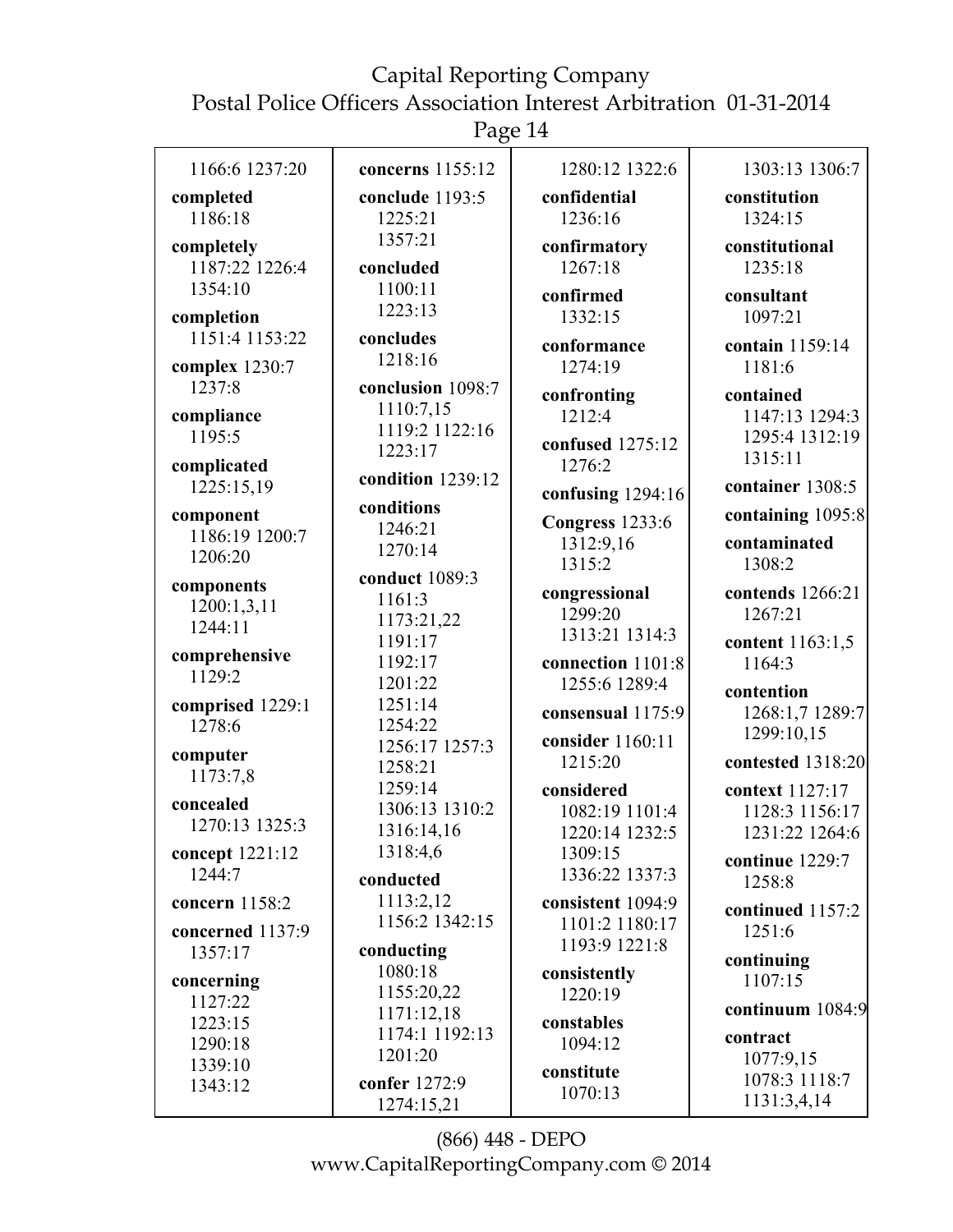Page 14

| 1166:6 1237:20                     | concerns 1155:12                        | 1280:12 1322:6                                 | 1303:13 1306:7                                      |
|------------------------------------|-----------------------------------------|------------------------------------------------|-----------------------------------------------------|
| completed<br>1186:18               | conclude 1193:5<br>1225:21              | confidential<br>1236:16                        | constitution<br>1324:15                             |
| completely<br>1187:22 1226:4       | 1357:21<br>concluded                    | confirmatory<br>1267:18                        | constitutional<br>1235:18                           |
| 1354:10<br>completion              | 1100:11<br>1223:13                      | confirmed<br>1332:15                           | consultant<br>1097:21                               |
| 1151:4 1153:22<br>complex 1230:7   | concludes<br>1218:16                    | conformance<br>1274:19                         | contain 1159:14<br>1181:6                           |
| 1237:8                             | conclusion 1098:7<br>1110:7,15          | confronting                                    | contained                                           |
| compliance<br>1195:5               | 1119:2 1122:16<br>1223:17               | 1212:4<br>confused 1275:12                     | 1147:13 1294:3<br>1295:4 1312:19<br>1315:11         |
| complicated<br>1225:15,19          | condition 1239:12                       | 1276:2<br>confusing 1294:16                    | container 1308:5                                    |
| component                          | conditions<br>1246:21                   | Congress 1233:6                                | containing 1095:8                                   |
| 1186:19 1200:7<br>1206:20          | 1270:14                                 | 1312:9,16<br>1315:2                            | contaminated<br>1308:2                              |
| components<br>1200:1,3,11          | conduct 1089:3<br>1161:3<br>1173:21,22  | congressional<br>1299:20                       | contends 1266:21<br>1267:21                         |
| 1244:11<br>comprehensive           | 1191:17<br>1192:17                      | 1313:21 1314:3<br>connection 1101:8            | content 1163:1,5<br>1164:3                          |
| 1129:2<br>comprised 1229:1         | 1201:22<br>1251:14                      | 1255:6 1289:4<br>consensual 1175:9             | contention<br>1268:1,7 1289:7                       |
| 1278:6<br>computer                 | 1254:22<br>1256:17 1257:3               | consider 1160:11                               | 1299:10,15                                          |
| 1173:7,8                           | 1258:21                                 | 1215:20                                        | contested 1318:20                                   |
| concealed<br>1270:13 1325:3        | 1259:14<br>1306:13 1310:2<br>1316:14,16 | considered<br>1082:19 1101:4<br>1220:14 1232:5 | context 1127:17<br>1128:3 1156:17<br>1231:22 1264:6 |
| concept 1221:12<br>1244:7          | 1318:4,6<br>conducted                   | 1309:15<br>1336:22 1337:3                      | continue 1229:7<br>1258:8                           |
| concern 1158:2<br>concerned 1137:9 | 1113:2,12<br>1156:2 1342:15             | consistent 1094:9<br>1101:2 1180:17            | continued 1157:2<br>1251:6                          |
| 1357:17                            | conducting                              | 1193:9 1221:8                                  | continuing                                          |
| concerning                         | 1080:18                                 | consistently                                   | 1107:15                                             |
| 1127:22                            | 1155:20,22<br>1171:12,18                | 1220:19                                        | continuum 1084:9                                    |
| 1223:15                            | 1174:1 1192:13                          | constables                                     | contract                                            |
| 1290:18<br>1339:10                 | 1201:20                                 | 1094:12                                        | 1077:9,15                                           |
| 1343:12                            | confer 1272:9<br>1274:15,21             | constitute<br>1070:13                          | 1078:3 1118:7<br>1131:3,4,14                        |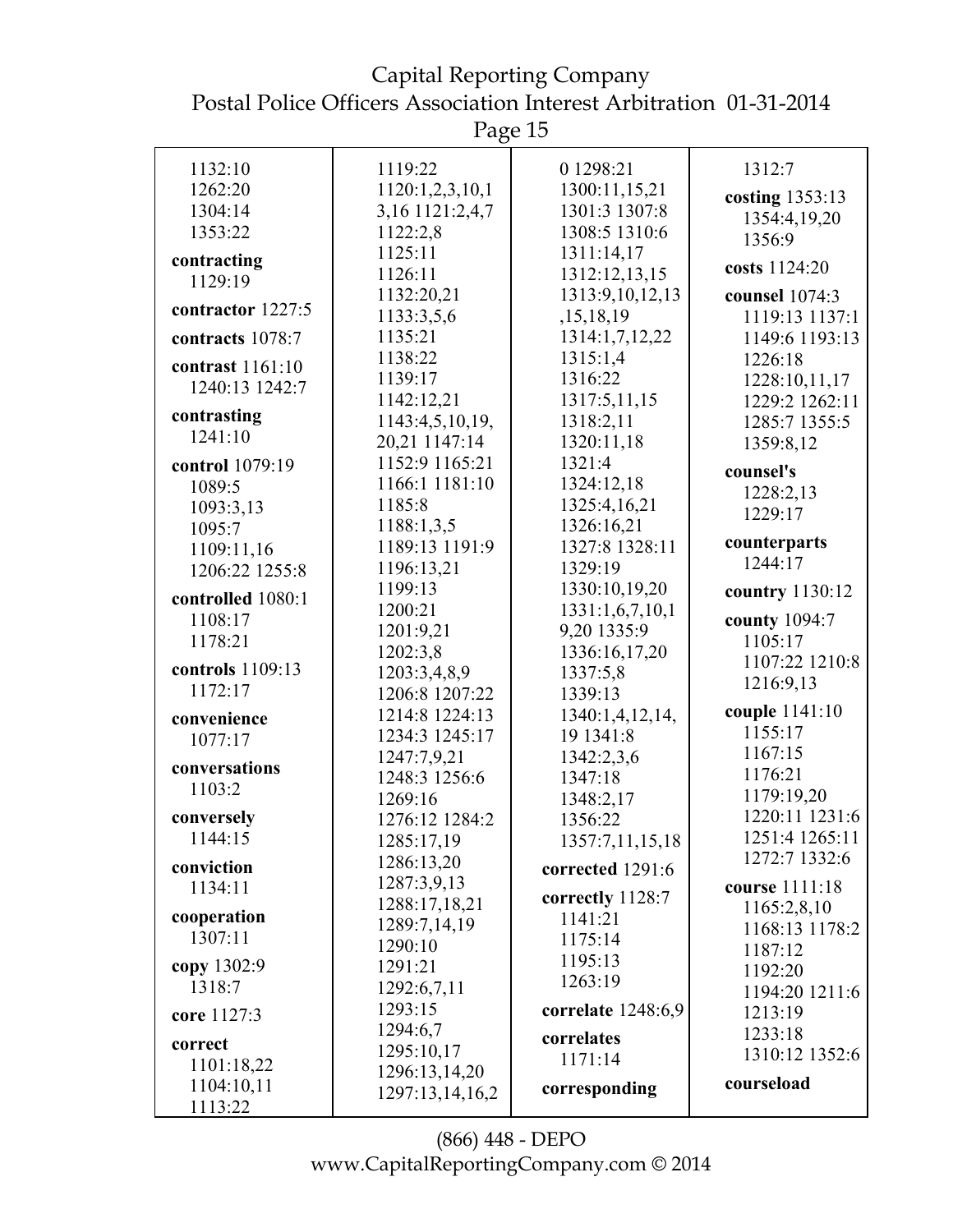Capital Reporting Company Postal Police Officers Association Interest Arbitration 01-31-2014

Page 15

| 1132:10           | 1119:22         | 0 1298:21          | 1312:7          |
|-------------------|-----------------|--------------------|-----------------|
| 1262:20           | 1120:1,2,3,10,1 | 1300:11,15,21      | costing 1353:13 |
| 1304:14           | 3,16 1121:2,4,7 | 1301:3 1307:8      | 1354:4,19,20    |
| 1353:22           | 1122:2,8        | 1308:5 1310:6      | 1356:9          |
| contracting       | 1125:11         | 1311:14,17         |                 |
| 1129:19           | 1126:11         | 1312:12,13,15      | costs 1124:20   |
|                   | 1132:20,21      | 1313:9, 10, 12, 13 | counsel 1074:3  |
| contractor 1227:5 | 1133:3,5,6      | ,15,18,19          | 1119:13 1137:1  |
| contracts 1078:7  | 1135:21         | 1314:1,7,12,22     | 1149:6 1193:13  |
|                   | 1138:22         | 1315:1,4           | 1226:18         |
| contrast 1161:10  | 1139:17         | 1316:22            | 1228:10,11,17   |
| 1240:13 1242:7    | 1142:12,21      | 1317:5,11,15       | 1229:2 1262:11  |
| contrasting       | 1143:4,5,10,19, | 1318:2,11          | 1285:7 1355:5   |
| 1241:10           | 20,21 1147:14   | 1320:11,18         | 1359:8,12       |
| control 1079:19   | 1152:9 1165:21  | 1321:4             |                 |
| 1089:5            | 1166:1 1181:10  | 1324:12,18         | counsel's       |
| 1093:3,13         | 1185:8          | 1325:4,16,21       | 1228:2,13       |
| 1095:7            | 1188:1,3,5      | 1326:16,21         | 1229:17         |
| 1109:11,16        | 1189:13 1191:9  | 1327:8 1328:11     | counterparts    |
| 1206:22 1255:8    | 1196:13,21      | 1329:19            | 1244:17         |
|                   | 1199:13         | 1330:10,19,20      | country 1130:12 |
| controlled 1080:1 | 1200:21         | 1331:1,6,7,10,1    |                 |
| 1108:17           | 1201:9,21       | 9,20 1335:9        | county 1094:7   |
| 1178:21           | 1202:3,8        | 1336:16,17,20      | 1105:17         |
| controls 1109:13  | 1203:3,4,8,9    | 1337:5,8           | 1107:22 1210:8  |
| 1172:17           | 1206:8 1207:22  | 1339:13            | 1216:9,13       |
| convenience       | 1214:8 1224:13  | 1340:1,4,12,14,    | couple 1141:10  |
| 1077:17           | 1234:3 1245:17  | 19 1341:8          | 1155:17         |
|                   | 1247:7,9,21     | 1342:2,3,6         | 1167:15         |
| conversations     | 1248:3 1256:6   | 1347:18            | 1176:21         |
| 1103:2            | 1269:16         | 1348:2,17          | 1179:19,20      |
| conversely        | 1276:12 1284:2  | 1356:22            | 1220:11 1231:6  |
| 1144:15           | 1285:17,19      | 1357:7,11,15,18    | 1251:4 1265:11  |
| conviction        | 1286:13,20      | corrected 1291:6   | 1272:7 1332:6   |
| 1134:11           | 1287:3,9,13     |                    | course 1111:18  |
|                   | 1288:17,18,21   | correctly 1128:7   | 1165:2,8,10     |
| cooperation       | 1289:7,14,19    | 1141:21            | 1168:13 1178:2  |
| 1307:11           | 1290:10         | 1175:14            | 1187:12         |
| copy 1302:9       | 1291:21         | 1195:13            | 1192:20         |
| 1318:7            | 1292:6,7,11     | 1263:19            | 1194:20 1211:6  |
| core 1127:3       | 1293:15         | correlate 1248:6,9 | 1213:19         |
|                   | 1294:6,7        | correlates         | 1233:18         |
| correct           | 1295:10,17      | 1171:14            | 1310:12 1352:6  |
| 1101:18,22        | 1296:13,14,20   |                    |                 |
| 1104:10,11        | 1297:13,14,16,2 | corresponding      | courseload      |
| 1113:22           |                 |                    |                 |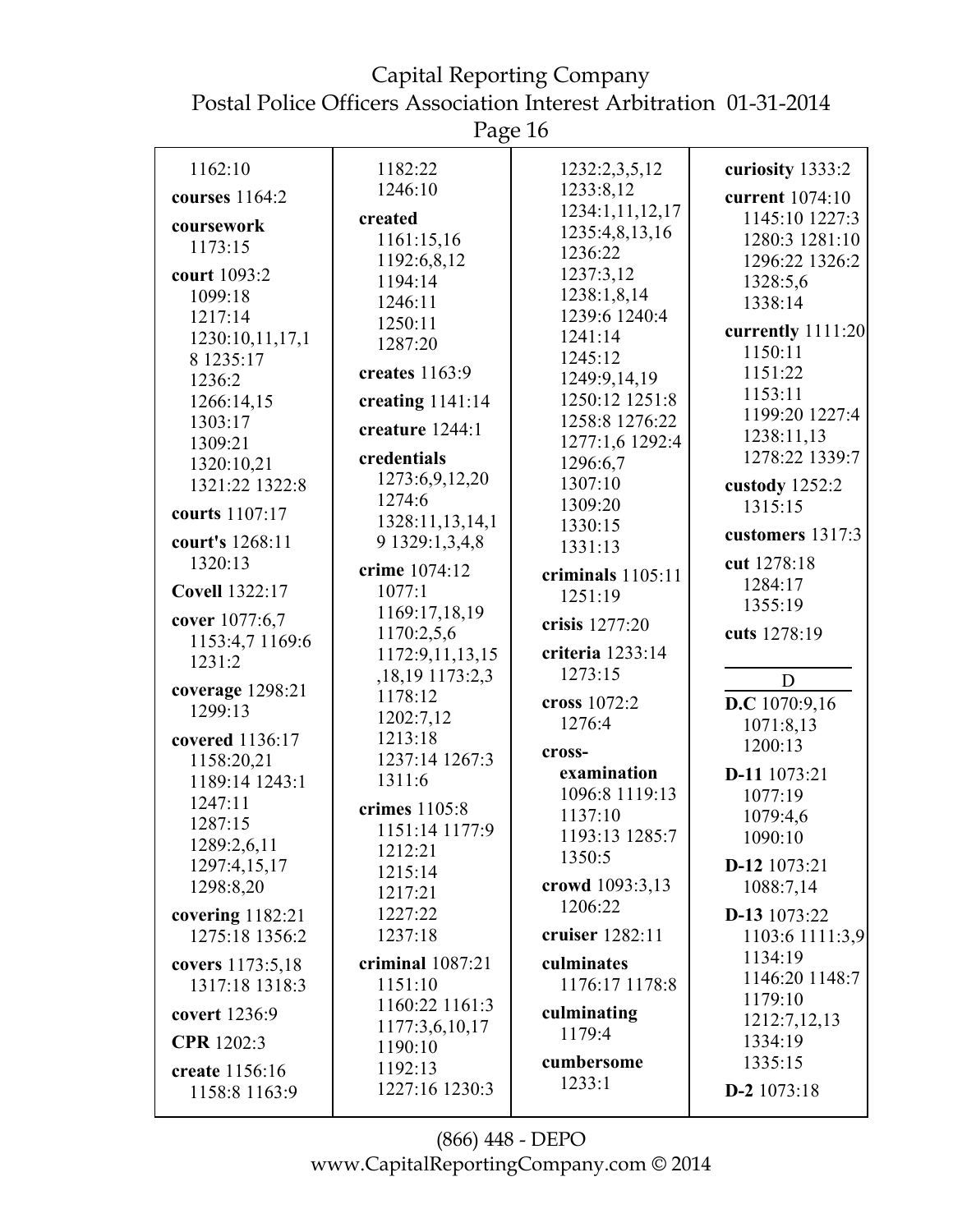Page 16

| 1162:10                       | 1182:22             | 1232:2,3,5,12                    | curiosity 1333:2             |
|-------------------------------|---------------------|----------------------------------|------------------------------|
| courses 1164:2                | 1246:10             | 1233:8,12                        | current 1074:10              |
| coursework                    | created             | 1234:1,11,12,17                  | 1145:10 1227:3               |
| 1173:15                       | 1161:15,16          | 1235:4,8,13,16                   | 1280:3 1281:10               |
|                               | 1192:6,8,12         | 1236:22                          | 1296:22 1326:2               |
| court 1093:2                  | 1194:14             | 1237:3,12                        | 1328:5,6                     |
| 1099:18                       | 1246:11             | 1238:1,8,14                      | 1338:14                      |
| 1217:14                       | 1250:11             | 1239:6 1240:4                    |                              |
| 1230:10,11,17,1               | 1287:20             | 1241:14                          | currently 1111:20<br>1150:11 |
| 8 1235:17                     | creates $1163:9$    | 1245:12                          |                              |
| 1236:2                        |                     | 1249:9,14,19                     | 1151:22<br>1153:11           |
| 1266:14,15                    | creating $1141:14$  | 1250:12 1251:8<br>1258:8 1276:22 | 1199:20 1227:4               |
| 1303:17                       | creature 1244:1     | 1277:1,6 1292:4                  | 1238:11,13                   |
| 1309:21                       | credentials         |                                  | 1278:22 1339:7               |
| 1320:10,21                    | 1273:6,9,12,20      | 1296:6,7<br>1307:10              |                              |
| 1321:22 1322:8                | 1274:6              |                                  | custody 1252:2               |
| courts 1107:17                | 1328:11,13,14,1     | 1309:20                          | 1315:15                      |
| court's 1268:11               | 9 1329:1,3,4,8      | 1330:15                          | customers 1317:3             |
| 1320:13                       |                     | 1331:13                          | cut 1278:18                  |
|                               | crime 1074:12       | criminals 1105:11                | 1284:17                      |
| <b>Covell 1322:17</b>         | 1077:1              | 1251:19                          | 1355:19                      |
| cover 1077:6,7                | 1169:17,18,19       | crisis 1277:20                   |                              |
| 1153:4,7 1169:6               | 1170:2,5,6          |                                  | cuts 1278:19                 |
| 1231:2                        | 1172:9,11,13,15     | criteria 1233:14                 |                              |
|                               | , 18, 19 1173: 2, 3 | 1273:15                          | D                            |
| coverage $1298:21$<br>1299:13 | 1178:12             | cross 1072:2                     | D.C 1070:9,16                |
|                               | 1202:7,12           | 1276:4                           | 1071:8,13                    |
| covered 1136:17               | 1213:18             |                                  | 1200:13                      |
| 1158:20,21                    | 1237:14 1267:3      | cross-                           |                              |
| 1189:14 1243:1                | 1311:6              | examination                      | D-11 1073:21                 |
| 1247:11                       | crimes 1105:8       | 1096:8 1119:13                   | 1077:19                      |
| 1287:15                       | 1151:14 1177:9      | 1137:10                          | 1079:4,6                     |
| 1289:2,6,11                   | 1212:21             | 1193:13 1285:7                   | 1090:10                      |
| 1297:4,15,17                  | 1215:14             | 1350:5                           | D-12 1073:21                 |
| 1298:8,20                     | 1217:21             | crowd 1093:3,13                  | 1088:7,14                    |
| covering $1182:21$            | 1227:22             | 1206:22                          | D-13 1073:22                 |
| 1275:18 1356:2                | 1237:18             | cruiser 1282:11                  | 1103:6 1111:3,9              |
| covers 1173:5,18              | criminal 1087:21    | culminates                       | 1134:19                      |
| 1317:18 1318:3                | 1151:10             | 1176:17 1178:8                   | 1146:20 1148:7               |
| covert 1236:9                 | 1160:22 1161:3      | culminating                      | 1179:10                      |
|                               | 1177:3,6,10,17      | 1179:4                           | 1212:7,12,13                 |
| CPR 1202:3                    | 1190:10             |                                  | 1334:19                      |
| create 1156:16                | 1192:13             | cumbersome                       | 1335:15                      |
| 1158:8 1163:9                 | 1227:16 1230:3      | 1233:1                           | D-2 $1073:18$                |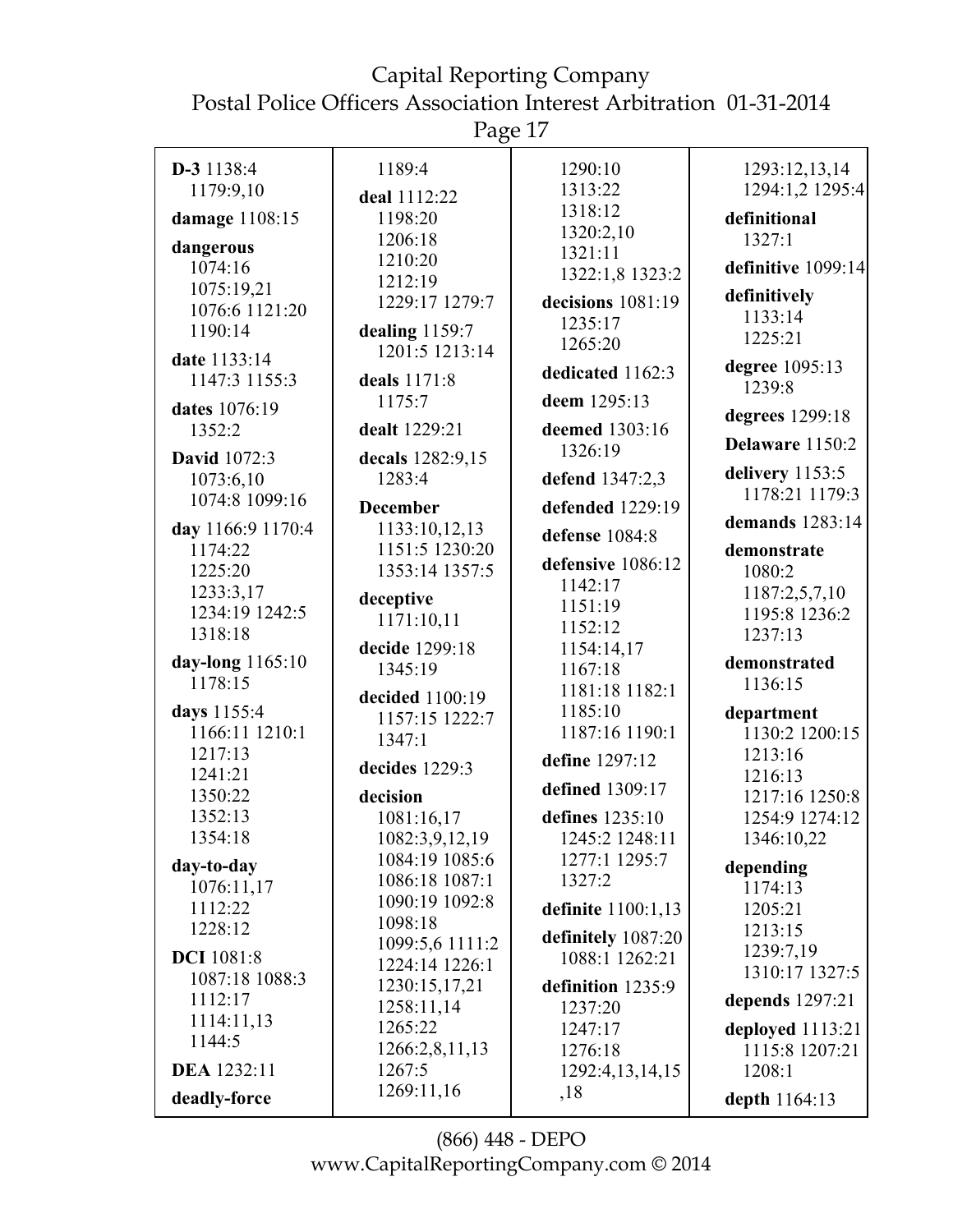Page 17

| D-3 1138:4                | 1189:4                           | 1290:10                 | 1293:12,13,14               |
|---------------------------|----------------------------------|-------------------------|-----------------------------|
| 1179:9,10                 | deal 1112:22                     | 1313:22                 | 1294:1,2 1295:4             |
| damage 1108:15            | 1198:20                          | 1318:12                 | definitional                |
|                           | 1206:18                          | 1320:2,10               | 1327:1                      |
| dangerous                 | 1210:20                          | 1321:11                 |                             |
| 1074:16                   | 1212:19                          | 1322:1,8 1323:2         | definitive 1099:14          |
| 1075:19,21                | 1229:17 1279:7                   | decisions 1081:19       | definitively                |
| 1076:6 1121:20<br>1190:14 |                                  | 1235:17                 | 1133:14                     |
|                           | dealing 1159:7<br>1201:5 1213:14 | 1265:20                 | 1225:21                     |
| date 1133:14              |                                  | dedicated 1162:3        | degree 1095:13              |
| 1147:3 1155:3             | deals 1171:8                     |                         | 1239:8                      |
| dates 1076:19             | 1175:7                           | deem 1295:13            | degrees 1299:18             |
| 1352:2                    | dealt 1229:21                    | deemed 1303:16          |                             |
| <b>David</b> 1072:3       | decals 1282:9,15                 | 1326:19                 | Delaware 1150:2             |
| 1073:6,10                 | 1283:4                           | defend 1347:2,3         | delivery $1153:5$           |
| 1074:8 1099:16            | <b>December</b>                  | defended 1229:19        | 1178:21 1179:3              |
| day 1166:9 1170:4         | 1133:10,12,13                    | defense 1084:8          | demands 1283:14             |
| 1174:22                   | 1151:5 1230:20                   | defensive 1086:12       | demonstrate                 |
| 1225:20                   | 1353:14 1357:5                   | 1142:17                 | 1080:2                      |
| 1233:3,17                 | deceptive                        | 1151:19                 | 1187:2,5,7,10               |
| 1234:19 1242:5            | 1171:10,11                       | 1152:12                 | 1195:8 1236:2               |
| 1318:18                   | decide 1299:18                   | 1154:14,17              | 1237:13                     |
| day-long 1165:10          | 1345:19                          | 1167:18                 | demonstrated                |
| 1178:15                   | decided 1100:19                  | 1181:18 1182:1          | 1136:15                     |
| days 1155:4               | 1157:15 1222:7                   | 1185:10                 | department                  |
| 1166:11 1210:1            | 1347:1                           | 1187:16 1190:1          | 1130:2 1200:15              |
| 1217:13                   | decides 1229:3                   | define 1297:12          | 1213:16                     |
| 1241:21                   |                                  | defined 1309:17         | 1216:13                     |
| 1350:22                   | decision                         |                         | 1217:16 1250:8              |
| 1352:13                   | 1081:16,17                       | defines 1235:10         | 1254:9 1274:12              |
| 1354:18                   | 1082:3,9,12,19<br>1084:19 1085:6 | 1245:2 1248:11          | 1346:10,22                  |
| day-to-day                | 1086:18 1087:1                   | 1277:1 1295:7<br>1327:2 | depending                   |
| 1076:11,17                | 1090:19 1092:8                   |                         | 1174:13                     |
| 1112:22                   | 1098:18                          | definite 1100:1,13      | 1205:21                     |
| 1228:12                   | 1099:5,6 1111:2                  | definitely 1087:20      | 1213:15                     |
| <b>DCI</b> 1081:8         | 1224:14 1226:1                   | 1088:1 1262:21          | 1239:7,19<br>1310:17 1327:5 |
| 1087:18 1088:3            | 1230:15,17,21                    | definition 1235:9       |                             |
| 1112:17                   | 1258:11,14                       | 1237:20                 | depends 1297:21             |
| 1114:11,13                | 1265:22                          | 1247:17                 | deployed 1113:21            |
| 1144:5                    | 1266:2,8,11,13                   | 1276:18                 | 1115:8 1207:21              |
| <b>DEA</b> 1232:11        | 1267:5                           | 1292:4, 13, 14, 15      | 1208:1                      |
| deadly-force              | 1269:11,16                       | ,18                     | depth 1164:13               |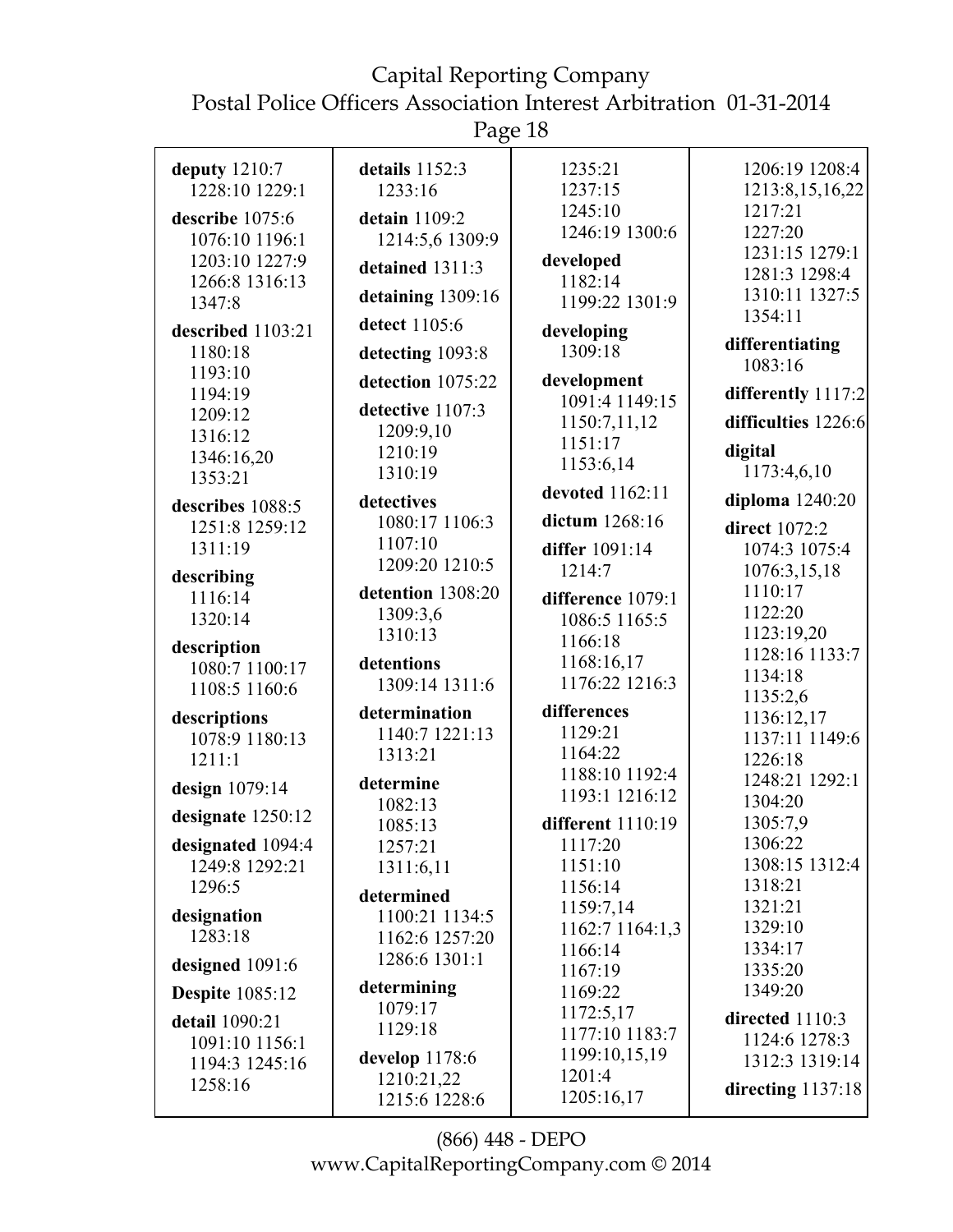Page 18

| deputy $1210:7$<br>1228:10 1229:1                                                       | details 1152:3<br>1233:16                                                            | 1235:21<br>1237:15                                                                     | 1206:19 1208:4<br>1213:8,15,16,22                                                  |
|-----------------------------------------------------------------------------------------|--------------------------------------------------------------------------------------|----------------------------------------------------------------------------------------|------------------------------------------------------------------------------------|
| describe 1075:6<br>1076:10 1196:1<br>1203:10 1227:9<br>1266:8 1316:13<br>1347:8         | detain 1109:2<br>1214:5,6 1309:9<br>detained 1311:3<br>detaining 1309:16             | 1245:10<br>1246:19 1300:6<br>developed<br>1182:14<br>1199:22 1301:9                    | 1217:21<br>1227:20<br>1231:15 1279:1<br>1281:3 1298:4<br>1310:11 1327:5            |
| described 1103:21<br>1180:18<br>1193:10<br>1194:19                                      | detect 1105:6<br>detecting 1093:8<br>detection 1075:22                               | developing<br>1309:18<br>development                                                   | 1354:11<br>differentiating<br>1083:16<br>differently 1117:2                        |
| 1209:12<br>1316:12<br>1346:16,20<br>1353:21                                             | detective 1107:3<br>1209:9,10<br>1210:19<br>1310:19                                  | 1091:4 1149:15<br>1150:7,11,12<br>1151:17<br>1153:6,14                                 | difficulties 1226:6<br>digital<br>1173:4,6,10                                      |
| describes 1088:5<br>1251:8 1259:12<br>1311:19                                           | detectives<br>1080:17 1106:3<br>1107:10<br>1209:20 1210:5                            | devoted 1162:11<br>dictum 1268:16<br>differ 1091:14<br>1214:7                          | diploma 1240:20<br>direct 1072:2<br>1074:3 1075:4<br>1076:3,15,18                  |
| describing<br>1116:14<br>1320:14<br>description<br>1080:7 1100:17<br>1108:5 1160:6      | detention 1308:20<br>1309:3,6<br>1310:13<br>detentions<br>1309:14 1311:6             | difference 1079:1<br>1086:5 1165:5<br>1166:18<br>1168:16,17<br>1176:22 1216:3          | 1110:17<br>1122:20<br>1123:19,20<br>1128:16 1133:7<br>1134:18                      |
| descriptions<br>1078:9 1180:13<br>1211:1                                                | determination<br>1140:7 1221:13<br>1313:21                                           | differences<br>1129:21<br>1164:22                                                      | 1135:2,6<br>1136:12,17<br>1137:11 1149:6<br>1226:18                                |
| design 1079:14<br>designate 1250:12<br>designated 1094:4<br>1249:8 1292:21<br>1296:5    | determine<br>1082:13<br>1085:13<br>1257:21<br>1311:6,11<br>determined                | 1188:10 1192:4<br>1193:1 1216:12<br>different 1110:19<br>1117:20<br>1151:10<br>1156:14 | 1248:21 1292:1<br>1304:20<br>1305:7,9<br>1306:22<br>1308:15 1312:4<br>1318:21      |
| designation<br>1283:18<br>designed 1091:6                                               | 1100:21 1134:5<br>1162:6 1257:20<br>1286:6 1301:1                                    | 1159:7,14<br>1162:7 1164:1,3<br>1166:14<br>1167:19                                     | 1321:21<br>1329:10<br>1334:17<br>1335:20                                           |
| <b>Despite</b> 1085:12<br>detail 1090:21<br>1091:10 1156:1<br>1194:3 1245:16<br>1258:16 | determining<br>1079:17<br>1129:18<br>develop $1178:6$<br>1210:21,22<br>1215:6 1228:6 | 1169:22<br>1172:5,17<br>1177:10 1183:7<br>1199:10,15,19<br>1201:4<br>1205:16,17        | 1349:20<br>directed 1110:3<br>1124:6 1278:3<br>1312:3 1319:14<br>directing 1137:18 |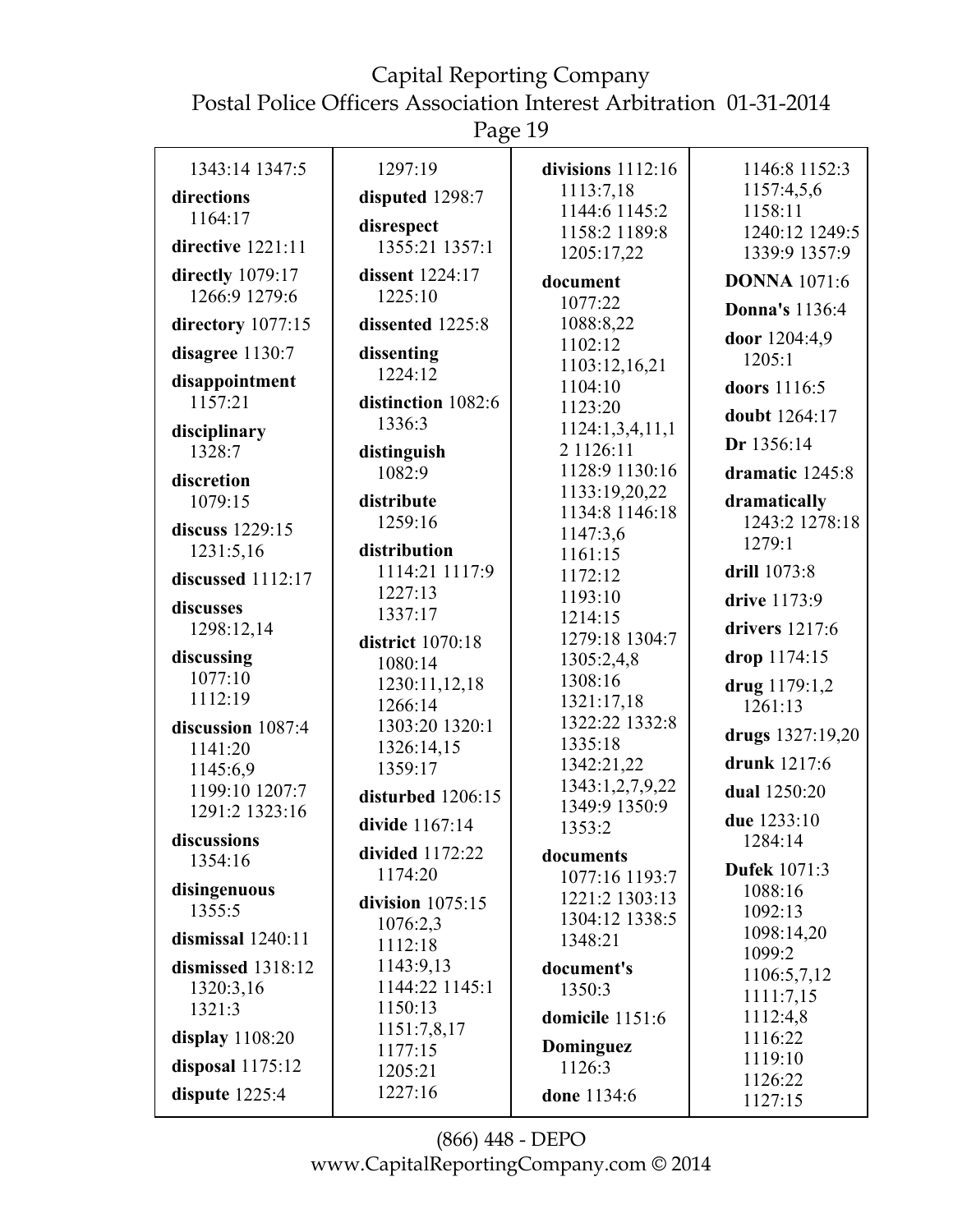# Capital Reporting Company

Postal Police Officers Association Interest Arbitration 01-31-2014

Page 19

| 1343:14 1347:5      | 1297:19                  | divisions $1112:16$              | 1146:8 1152:3            |
|---------------------|--------------------------|----------------------------------|--------------------------|
| directions          | disputed 1298:7          | 1113:7,18<br>1144:6 1145:2       | 1157:4,5,6<br>1158:11    |
| 1164:17             | disrespect               | 1158:2 1189:8                    | 1240:12 1249:5           |
| directive 1221:11   | 1355:21 1357:1           | 1205:17,22                       | 1339:9 1357:9            |
| directly 1079:17    | dissent 1224:17          | document                         | <b>DONNA</b> 1071:6      |
| 1266:9 1279:6       | 1225:10                  | 1077:22                          | <b>Donna's</b> 1136:4    |
| directory 1077:15   | dissented 1225:8         | 1088:8,22                        | door 1204:4,9            |
| disagree 1130:7     | dissenting               | 1102:12                          | 1205:1                   |
| disappointment      | 1224:12                  | 1103:12,16,21<br>1104:10         | doors 1116:5             |
| 1157:21             | distinction 1082:6       | 1123:20                          |                          |
| disciplinary        | 1336:3                   | 1124:1,3,4,11,1                  | doubt 1264:17            |
| 1328:7              | distinguish              | 2 1126:11                        | Dr 1356:14               |
| discretion          | 1082:9                   | 1128:9 1130:16                   | dramatic 1245:8          |
| 1079:15             | distribute               | 1133:19,20,22<br>1134:8 1146:18  | dramatically             |
| discuss 1229:15     | 1259:16                  | 1147:3,6                         | 1243:2 1278:18           |
| 1231:5,16           | distribution             | 1161:15                          | 1279:1                   |
| discussed 1112:17   | 1114:21 1117:9           | 1172:12                          | drill 1073:8             |
| discusses           | 1227:13                  | 1193:10                          | drive 1173:9             |
| 1298:12,14          | 1337:17                  | 1214:15                          | drivers 1217:6           |
| discussing          | <b>district</b> 1070:18  | 1279:18 1304:7<br>1305:2,4,8     | drop 1174:15             |
| 1077:10             | 1080:14<br>1230:11,12,18 | 1308:16                          |                          |
| 1112:19             | 1266:14                  | 1321:17,18                       | drug 1179:1,2<br>1261:13 |
| discussion 1087:4   | 1303:20 1320:1           | 1322:22 1332:8                   |                          |
| 1141:20             | 1326:14,15               | 1335:18                          | drugs 1327:19,20         |
| 1145:6,9            | 1359:17                  | 1342:21,22                       | drunk 1217:6             |
| 1199:10 1207:7      | disturbed 1206:15        | 1343:1,2,7,9,22<br>1349:9 1350:9 | dual 1250:20             |
| 1291:2 1323:16      | divide 1167:14           | 1353:2                           | due 1233:10              |
| discussions         | divided 1172:22          | documents                        | 1284:14                  |
| 1354:16             | 1174:20                  | 1077:16 1193:7                   | <b>Dufek</b> 1071:3      |
| disingenuous        | division $1075:15$       | 1221:2 1303:13                   | 1088:16                  |
| 1355:5              | 1076:2,3                 | 1304:12 1338:5                   | 1092:13                  |
| dismissal $1240:11$ | 1112:18                  | 1348:21                          | 1098:14,20<br>1099:2     |
| dismissed 1318:12   | 1143:9,13                | document's                       | 1106:5,7,12              |
| 1320:3,16           | 1144:22 1145:1           | 1350:3                           | 1111:7,15                |
| 1321:3              | 1150:13                  | domicile 1151:6                  | 1112:4,8                 |
| display 1108:20     | 1151:7,8,17<br>1177:15   | Dominguez                        | 1116:22                  |
| disposal $1175:12$  | 1205:21                  | 1126:3                           | 1119:10                  |
| dispute 1225:4      | 1227:16                  | done 1134:6                      | 1126:22<br>1127:15       |
|                     |                          |                                  |                          |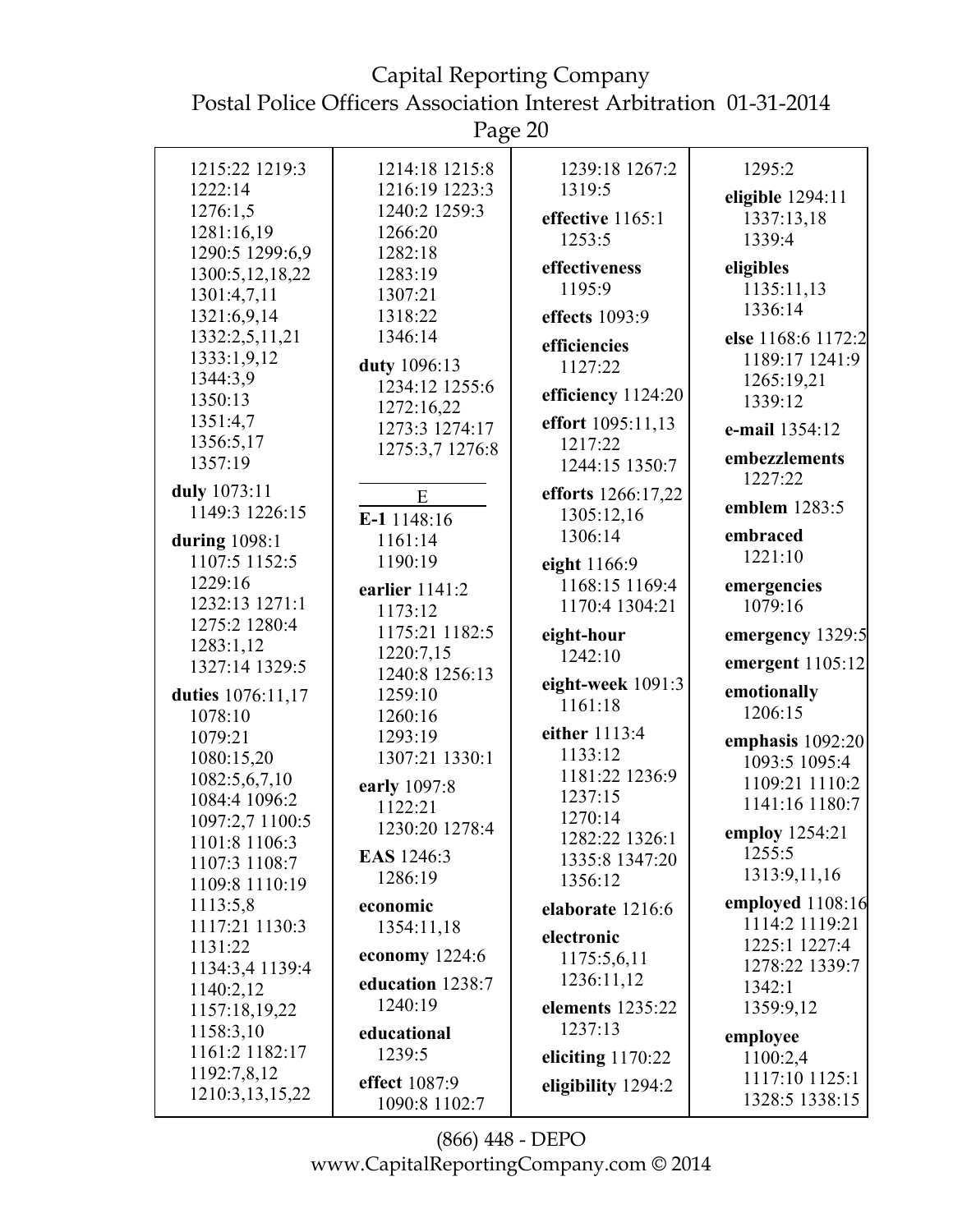Page 20

|                                | O                              |                             |                                  |
|--------------------------------|--------------------------------|-----------------------------|----------------------------------|
| 1215:22 1219:3                 | 1214:18 1215:8                 | 1239:18 1267:2              | 1295:2                           |
| 1222:14                        | 1216:19 1223:3                 | 1319:5                      | eligible 1294:11                 |
| 1276:1,5                       | 1240:2 1259:3                  | effective 1165:1            | 1337:13,18                       |
| 1281:16,19                     | 1266:20                        | 1253:5                      | 1339:4                           |
| 1290:5 1299:6,9                | 1282:18                        |                             |                                  |
| 1300:5,12,18,22                | 1283:19                        | effectiveness               | eligibles                        |
| 1301:4,7,11                    | 1307:21                        | 1195:9                      | 1135:11,13                       |
| 1321:6,9,14                    | 1318:22                        | effects 1093:9              | 1336:14                          |
| 1332:2,5,11,21                 | 1346:14                        | efficiencies                | else 1168:6 1172:2               |
| 1333:1,9,12                    | duty 1096:13                   | 1127:22                     | 1189:17 1241:9                   |
| 1344:3,9                       | 1234:12 1255:6                 |                             | 1265:19,21                       |
| 1350:13                        | 1272:16,22                     | efficiency 1124:20          | 1339:12                          |
| 1351:4,7                       | 1273:3 1274:17                 | effort 1095:11,13           | e-mail 1354:12                   |
| 1356:5,17                      | 1275:3,7 1276:8                | 1217:22                     | embezzlements                    |
| 1357:19                        |                                | 1244:15 1350:7              | 1227:22                          |
| duly 1073:11                   | E                              | efforts 1266:17,22          |                                  |
| 1149:3 1226:15                 | E-1 1148:16                    | 1305:12,16                  | emblem 1283:5                    |
| during $1098:1$                | 1161:14                        | 1306:14                     | embraced                         |
| 1107:5 1152:5                  | 1190:19                        | eight 1166:9                | 1221:10                          |
| 1229:16                        | earlier 1141:2                 | 1168:15 1169:4              | emergencies                      |
| 1232:13 1271:1                 | 1173:12                        | 1170:4 1304:21              | 1079:16                          |
| 1275:2 1280:4                  |                                |                             |                                  |
|                                |                                |                             |                                  |
| 1283:1,12                      | 1175:21 1182:5                 | eight-hour                  | emergency 1329:5                 |
| 1327:14 1329:5                 | 1220:7,15                      | 1242:10                     | emergent 1105:12                 |
|                                | 1240:8 1256:13                 | eight-week 1091:3           |                                  |
| duties 1076:11,17              | 1259:10                        | 1161:18                     | emotionally                      |
| 1078:10                        | 1260:16                        |                             | 1206:15                          |
| 1079:21                        | 1293:19                        | either 1113:4               | emphasis 1092:20                 |
| 1080:15,20                     | 1307:21 1330:1                 | 1133:12                     | 1093:5 1095:4                    |
| 1082:5,6,7,10                  | early 1097:8                   | 1181:22 1236:9              | 1109:21 1110:2                   |
| 1084:4 1096:2                  | 1122:21                        | 1237:15                     | 1141:16 1180:7                   |
| 1097:2,7 1100:5                | 1230:20 1278:4                 | 1270:14                     | employ 1254:21                   |
| 1101:8 1106:3                  | <b>EAS</b> 1246:3              | 1282:22 1326:1              | 1255:5                           |
| 1107:3 1108:7                  | 1286:19                        | 1335:8 1347:20              | 1313:9,11,16                     |
| 1109:8 1110:19                 |                                | 1356:12                     |                                  |
| 1113:5,8                       | economic                       | elaborate 1216:6            | employed 1108:16                 |
| 1117:21 1130:3                 | 1354:11,18                     | electronic                  | 1114:2 1119:21                   |
| 1131:22                        | economy $1224:6$               | 1175:5,6,11                 | 1225:1 1227:4                    |
| 1134:3,4 1139:4                | education 1238:7               | 1236:11,12                  | 1278:22 1339:7                   |
| 1140:2,12                      | 1240:19                        |                             | 1342:1                           |
| 1157:18,19,22                  |                                | elements 1235:22<br>1237:13 | 1359:9,12                        |
| 1158:3,10                      | educational                    |                             | employee                         |
| 1161:2 1182:17                 | 1239:5                         | eliciting $1170:22$         | 1100:2,4                         |
| 1192:7,8,12<br>1210:3,13,15,22 | effect 1087:9<br>1090:8 1102:7 | eligibility 1294:2          | 1117:10 1125:1<br>1328:5 1338:15 |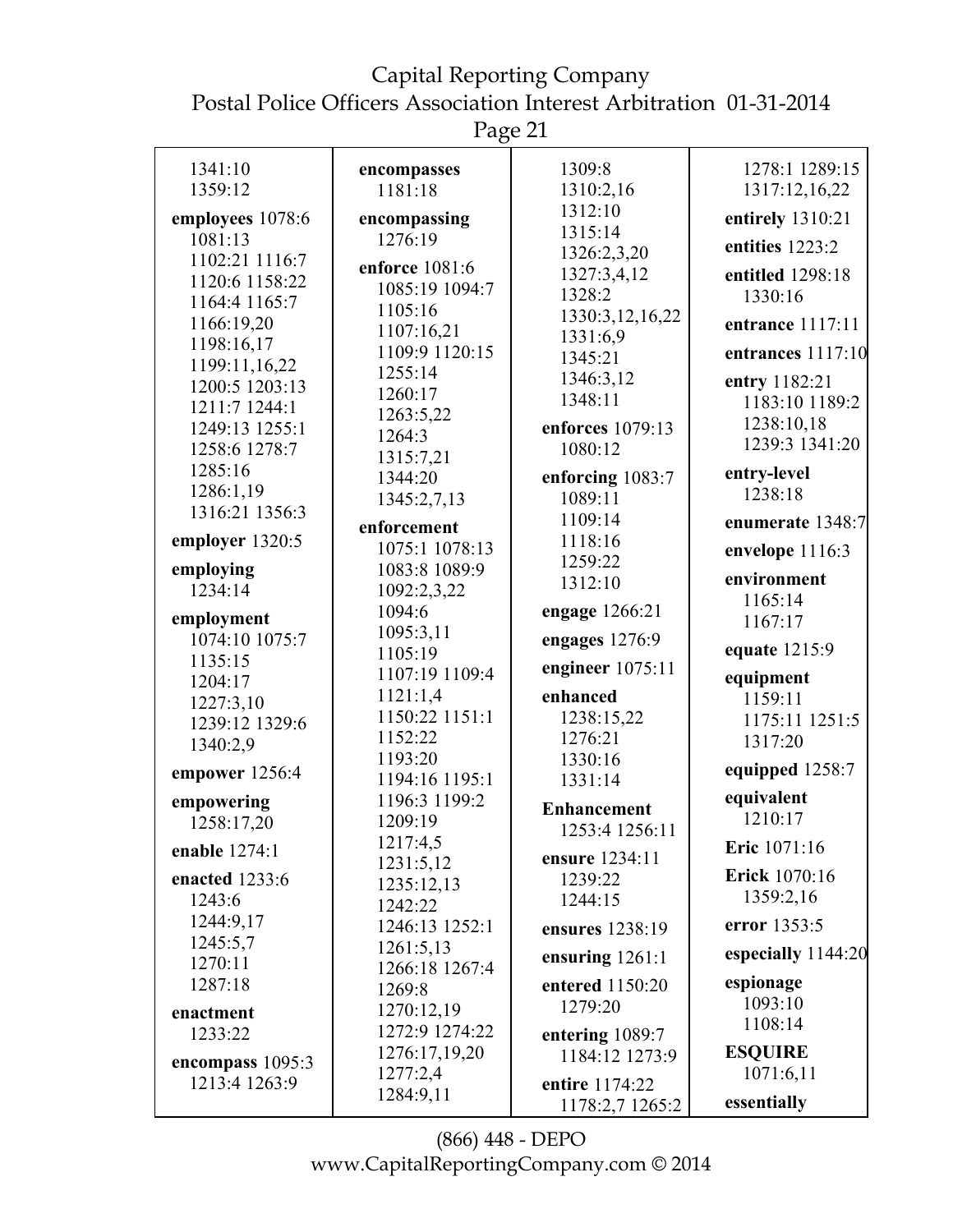Page 21

| 1341:10                         | encompasses           | 1309:8                 | 1278:1 1289:15     |
|---------------------------------|-----------------------|------------------------|--------------------|
| 1359:12                         | 1181:18               | 1310:2,16              | 1317:12,16,22      |
| employees 1078:6                | encompassing          | 1312:10                | entirely 1310:21   |
| 1081:13                         | 1276:19               | 1315:14<br>1326:2,3,20 | entities 1223:2    |
| 1102:21 1116:7                  | enforce 1081:6        | 1327:3,4,12            | entitled 1298:18   |
| 1120:6 1158:22                  | 1085:19 1094:7        | 1328:2                 | 1330:16            |
| 1164:4 1165:7                   | 1105:16               | 1330:3,12,16,22        |                    |
| 1166:19,20                      | 1107:16,21            | 1331:6,9               | entrance 1117:11   |
| 1198:16,17                      | 1109:9 1120:15        | 1345:21                | entrances 1117:10  |
| 1199:11,16,22<br>1200:5 1203:13 | 1255:14               | 1346:3,12              | entry 1182:21      |
| 1211:7 1244:1                   | 1260:17               | 1348:11                | 1183:10 1189:2     |
| 1249:13 1255:1                  | 1263:5,22             | enforces 1079:13       | 1238:10,18         |
| 1258:6 1278:7                   | 1264:3                | 1080:12                | 1239:3 1341:20     |
| 1285:16                         | 1315:7,21             |                        |                    |
| 1286:1,19                       | 1344:20               | enforcing 1083:7       | entry-level        |
| 1316:21 1356:3                  | 1345:2,7,13           | 1089:11                | 1238:18            |
|                                 | enforcement           | 1109:14                | enumerate 1348:7   |
| employer 1320:5                 | 1075:1 1078:13        | 1118:16                | envelope 1116:3    |
| employing                       | 1083:8 1089:9         | 1259:22                |                    |
| 1234:14                         | 1092:2,3,22           | 1312:10                | environment        |
| employment                      | 1094:6                | engage 1266:21         | 1165:14            |
| 1074:10 1075:7                  | 1095:3,11             | engages 1276:9         | 1167:17            |
| 1135:15                         | 1105:19               |                        | equate 1215:9      |
| 1204:17                         | 1107:19 1109:4        | engineer $1075:11$     | equipment          |
| 1227:3,10                       | 1121:1,4              | enhanced               | 1159:11            |
| 1239:12 1329:6                  | 1150:22 1151:1        | 1238:15,22             | 1175:11 1251:5     |
| 1340:2,9                        | 1152:22               | 1276:21                | 1317:20            |
|                                 | 1193:20               | 1330:16                | equipped 1258:7    |
| empower 1256:4                  | 1194:16 1195:1        | 1331:14                |                    |
| empowering                      | 1196:3 1199:2         | <b>Enhancement</b>     | equivalent         |
| 1258:17,20                      | 1209:19               | 1253:4 1256:11         | 1210:17            |
| enable 1274:1                   | 1217:4,5              | ensure 1234:11         | Eric 1071:16       |
| enacted 1233:6                  | 1231:5,12             | 1239:22                | Erick 1070:16      |
| 1243:6                          | 1235:12,13<br>1242:22 | 1244:15                | 1359:2,16          |
| 1244:9,17                       | 1246:13 1252:1        |                        | error 1353:5       |
| 1245:5,7                        | 1261:5,13             | ensures 1238:19        |                    |
| 1270:11                         | 1266:18 1267:4        | ensuring $1261:1$      | especially 1144:20 |
| 1287:18                         | 1269:8                | entered 1150:20        | espionage          |
| enactment                       | 1270:12,19            | 1279:20                | 1093:10            |
| 1233:22                         | 1272:9 1274:22        | entering 1089:7        | 1108:14            |
|                                 | 1276:17,19,20         | 1184:12 1273:9         | <b>ESQUIRE</b>     |
| encompass 1095:3                | 1277:2,4              |                        | 1071:6,11          |
| 1213:4 1263:9                   | 1284:9,11             | entire 1174:22         |                    |
|                                 |                       | 1178:2,7 1265:2        | essentially        |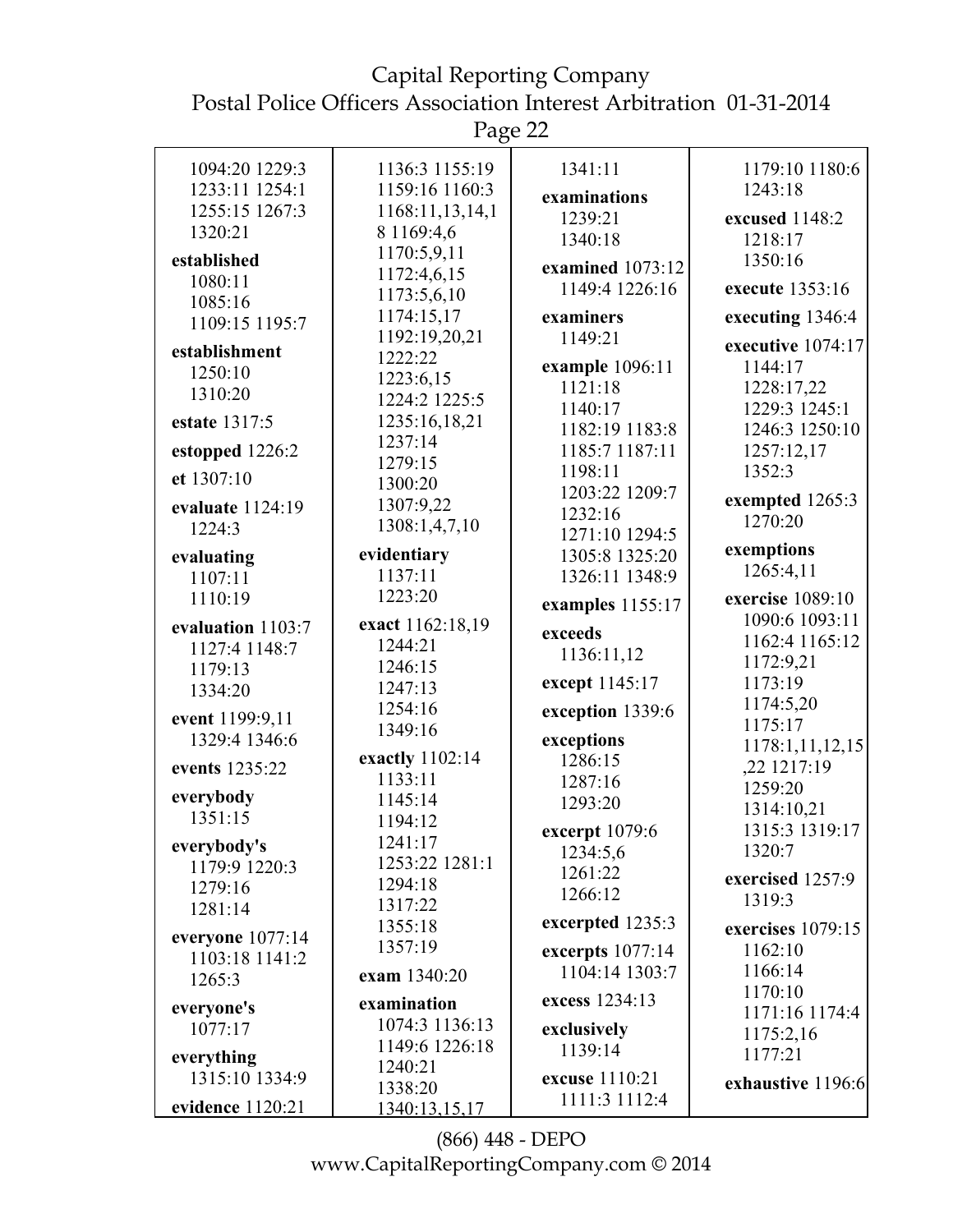Page 22

| 1179:10 1180:6<br>1136:3 1155:19<br>1341:11<br>1094:20 1229:3<br>1233:11 1254:1<br>1159:16 1160:3<br>1243:18<br>examinations<br>1255:15 1267:3<br>1168:11,13,14,1<br>1239:21<br>excused 1148:2<br>1320:21<br>8 1169:4,6<br>1340:18<br>1218:17<br>1170:5,9,11<br>established<br>1350:16<br>examined 1073:12<br>1172:4,6,15<br>1080:11<br>1149:4 1226:16<br>execute 1353:16<br>1173:5,6,10<br>1085:16<br>1174:15,17<br>examiners<br>executing 1346:4<br>1109:15 1195:7<br>1192:19,20,21<br>1149:21<br>executive 1074:17<br>establishment<br>1222:22<br>example 1096:11<br>1144:17<br>1250:10<br>1223:6,15<br>1121:18<br>1228:17,22<br>1310:20<br>1224:2 1225:5<br>1140:17<br>1229:3 1245:1<br>1235:16,18,21<br>estate 1317:5<br>1182:19 1183:8<br>1246:3 1250:10<br>1237:14<br>1185:7 1187:11<br>estopped 1226:2<br>1257:12,17<br>1279:15<br>1198:11<br>1352:3<br>et 1307:10<br>1300:20<br>1203:22 1209:7<br>exempted 1265:3<br>1307:9,22<br>evaluate 1124:19<br>1232:16<br>1270:20<br>1308:1,4,7,10<br>1224:3<br>1271:10 1294:5<br>exemptions<br>evidentiary<br>1305:8 1325:20<br>evaluating<br>1265:4,11<br>1137:11<br>1326:11 1348:9<br>1107:11<br>1223:20<br>1110:19<br>exercise 1089:10<br>examples 1155:17<br>1090:6 1093:11<br>exact 1162:18,19<br>evaluation 1103:7<br>exceeds<br>1162:4 1165:12<br>1244:21<br>1127:4 1148:7<br>1136:11,12<br>1172:9,21<br>1246:15<br>1179:13<br>except 1145:17<br>1173:19<br>1247:13<br>1334:20<br>1174:5,20<br>1254:16<br>exception 1339:6<br>event 1199:9,11<br>1175:17<br>1349:16<br>1329:4 1346:6<br>exceptions<br>1178:1,11,12,15<br>exactly 1102:14<br>1286:15<br>,22 1217:19<br>events 1235:22<br>1133:11<br>1287:16<br>1259:20<br>everybody<br>1145:14<br>1293:20<br>1314:10,21<br>1351:15<br>1194:12<br>1315:3 1319:17<br>excerpt 1079:6<br>1241:17<br>everybody's<br>1320:7<br>1234:5,6<br>1253:22 1281:1<br>1179:9 1220:3<br>1261:22<br>exercised 1257:9<br>1294:18<br>1279:16<br>1266:12<br>1319:3<br>1317:22<br>1281:14<br>excerpted 1235:3<br>1355:18<br>exercises 1079:15<br>everyone 1077:14<br>1357:19<br>1162:10<br>excerpts $1077:14$<br>1103:18 1141:2<br>1166:14<br>1104:14 1303:7<br>exam 1340:20<br>1265:3<br>1170:10<br>excess 1234:13<br>examination<br>everyone's<br>1171:16 1174:4<br>1074:3 1136:13<br>1077:17<br>exclusively<br>1175:2,16<br>1149:6 1226:18<br>1139:14<br>1177:21<br>everything<br>1240:21<br>1315:10 1334:9<br>excuse 1110:21<br>exhaustive 1196:6<br>1338:20<br>1111:3 1112:4<br>evidence 1120:21 |               |  |
|-----------------------------------------------------------------------------------------------------------------------------------------------------------------------------------------------------------------------------------------------------------------------------------------------------------------------------------------------------------------------------------------------------------------------------------------------------------------------------------------------------------------------------------------------------------------------------------------------------------------------------------------------------------------------------------------------------------------------------------------------------------------------------------------------------------------------------------------------------------------------------------------------------------------------------------------------------------------------------------------------------------------------------------------------------------------------------------------------------------------------------------------------------------------------------------------------------------------------------------------------------------------------------------------------------------------------------------------------------------------------------------------------------------------------------------------------------------------------------------------------------------------------------------------------------------------------------------------------------------------------------------------------------------------------------------------------------------------------------------------------------------------------------------------------------------------------------------------------------------------------------------------------------------------------------------------------------------------------------------------------------------------------------------------------------------------------------------------------------------------------------------------------------------------------------------------------------------------------------------------------------------------------------------------------------------------------------------------------------------------------------------------------------------------------------------------------------------------------------------------|---------------|--|
|                                                                                                                                                                                                                                                                                                                                                                                                                                                                                                                                                                                                                                                                                                                                                                                                                                                                                                                                                                                                                                                                                                                                                                                                                                                                                                                                                                                                                                                                                                                                                                                                                                                                                                                                                                                                                                                                                                                                                                                                                                                                                                                                                                                                                                                                                                                                                                                                                                                                                         |               |  |
|                                                                                                                                                                                                                                                                                                                                                                                                                                                                                                                                                                                                                                                                                                                                                                                                                                                                                                                                                                                                                                                                                                                                                                                                                                                                                                                                                                                                                                                                                                                                                                                                                                                                                                                                                                                                                                                                                                                                                                                                                                                                                                                                                                                                                                                                                                                                                                                                                                                                                         |               |  |
|                                                                                                                                                                                                                                                                                                                                                                                                                                                                                                                                                                                                                                                                                                                                                                                                                                                                                                                                                                                                                                                                                                                                                                                                                                                                                                                                                                                                                                                                                                                                                                                                                                                                                                                                                                                                                                                                                                                                                                                                                                                                                                                                                                                                                                                                                                                                                                                                                                                                                         |               |  |
|                                                                                                                                                                                                                                                                                                                                                                                                                                                                                                                                                                                                                                                                                                                                                                                                                                                                                                                                                                                                                                                                                                                                                                                                                                                                                                                                                                                                                                                                                                                                                                                                                                                                                                                                                                                                                                                                                                                                                                                                                                                                                                                                                                                                                                                                                                                                                                                                                                                                                         |               |  |
|                                                                                                                                                                                                                                                                                                                                                                                                                                                                                                                                                                                                                                                                                                                                                                                                                                                                                                                                                                                                                                                                                                                                                                                                                                                                                                                                                                                                                                                                                                                                                                                                                                                                                                                                                                                                                                                                                                                                                                                                                                                                                                                                                                                                                                                                                                                                                                                                                                                                                         |               |  |
|                                                                                                                                                                                                                                                                                                                                                                                                                                                                                                                                                                                                                                                                                                                                                                                                                                                                                                                                                                                                                                                                                                                                                                                                                                                                                                                                                                                                                                                                                                                                                                                                                                                                                                                                                                                                                                                                                                                                                                                                                                                                                                                                                                                                                                                                                                                                                                                                                                                                                         |               |  |
|                                                                                                                                                                                                                                                                                                                                                                                                                                                                                                                                                                                                                                                                                                                                                                                                                                                                                                                                                                                                                                                                                                                                                                                                                                                                                                                                                                                                                                                                                                                                                                                                                                                                                                                                                                                                                                                                                                                                                                                                                                                                                                                                                                                                                                                                                                                                                                                                                                                                                         |               |  |
|                                                                                                                                                                                                                                                                                                                                                                                                                                                                                                                                                                                                                                                                                                                                                                                                                                                                                                                                                                                                                                                                                                                                                                                                                                                                                                                                                                                                                                                                                                                                                                                                                                                                                                                                                                                                                                                                                                                                                                                                                                                                                                                                                                                                                                                                                                                                                                                                                                                                                         |               |  |
|                                                                                                                                                                                                                                                                                                                                                                                                                                                                                                                                                                                                                                                                                                                                                                                                                                                                                                                                                                                                                                                                                                                                                                                                                                                                                                                                                                                                                                                                                                                                                                                                                                                                                                                                                                                                                                                                                                                                                                                                                                                                                                                                                                                                                                                                                                                                                                                                                                                                                         |               |  |
|                                                                                                                                                                                                                                                                                                                                                                                                                                                                                                                                                                                                                                                                                                                                                                                                                                                                                                                                                                                                                                                                                                                                                                                                                                                                                                                                                                                                                                                                                                                                                                                                                                                                                                                                                                                                                                                                                                                                                                                                                                                                                                                                                                                                                                                                                                                                                                                                                                                                                         |               |  |
|                                                                                                                                                                                                                                                                                                                                                                                                                                                                                                                                                                                                                                                                                                                                                                                                                                                                                                                                                                                                                                                                                                                                                                                                                                                                                                                                                                                                                                                                                                                                                                                                                                                                                                                                                                                                                                                                                                                                                                                                                                                                                                                                                                                                                                                                                                                                                                                                                                                                                         |               |  |
|                                                                                                                                                                                                                                                                                                                                                                                                                                                                                                                                                                                                                                                                                                                                                                                                                                                                                                                                                                                                                                                                                                                                                                                                                                                                                                                                                                                                                                                                                                                                                                                                                                                                                                                                                                                                                                                                                                                                                                                                                                                                                                                                                                                                                                                                                                                                                                                                                                                                                         |               |  |
|                                                                                                                                                                                                                                                                                                                                                                                                                                                                                                                                                                                                                                                                                                                                                                                                                                                                                                                                                                                                                                                                                                                                                                                                                                                                                                                                                                                                                                                                                                                                                                                                                                                                                                                                                                                                                                                                                                                                                                                                                                                                                                                                                                                                                                                                                                                                                                                                                                                                                         |               |  |
|                                                                                                                                                                                                                                                                                                                                                                                                                                                                                                                                                                                                                                                                                                                                                                                                                                                                                                                                                                                                                                                                                                                                                                                                                                                                                                                                                                                                                                                                                                                                                                                                                                                                                                                                                                                                                                                                                                                                                                                                                                                                                                                                                                                                                                                                                                                                                                                                                                                                                         |               |  |
|                                                                                                                                                                                                                                                                                                                                                                                                                                                                                                                                                                                                                                                                                                                                                                                                                                                                                                                                                                                                                                                                                                                                                                                                                                                                                                                                                                                                                                                                                                                                                                                                                                                                                                                                                                                                                                                                                                                                                                                                                                                                                                                                                                                                                                                                                                                                                                                                                                                                                         |               |  |
|                                                                                                                                                                                                                                                                                                                                                                                                                                                                                                                                                                                                                                                                                                                                                                                                                                                                                                                                                                                                                                                                                                                                                                                                                                                                                                                                                                                                                                                                                                                                                                                                                                                                                                                                                                                                                                                                                                                                                                                                                                                                                                                                                                                                                                                                                                                                                                                                                                                                                         |               |  |
|                                                                                                                                                                                                                                                                                                                                                                                                                                                                                                                                                                                                                                                                                                                                                                                                                                                                                                                                                                                                                                                                                                                                                                                                                                                                                                                                                                                                                                                                                                                                                                                                                                                                                                                                                                                                                                                                                                                                                                                                                                                                                                                                                                                                                                                                                                                                                                                                                                                                                         |               |  |
|                                                                                                                                                                                                                                                                                                                                                                                                                                                                                                                                                                                                                                                                                                                                                                                                                                                                                                                                                                                                                                                                                                                                                                                                                                                                                                                                                                                                                                                                                                                                                                                                                                                                                                                                                                                                                                                                                                                                                                                                                                                                                                                                                                                                                                                                                                                                                                                                                                                                                         |               |  |
|                                                                                                                                                                                                                                                                                                                                                                                                                                                                                                                                                                                                                                                                                                                                                                                                                                                                                                                                                                                                                                                                                                                                                                                                                                                                                                                                                                                                                                                                                                                                                                                                                                                                                                                                                                                                                                                                                                                                                                                                                                                                                                                                                                                                                                                                                                                                                                                                                                                                                         |               |  |
|                                                                                                                                                                                                                                                                                                                                                                                                                                                                                                                                                                                                                                                                                                                                                                                                                                                                                                                                                                                                                                                                                                                                                                                                                                                                                                                                                                                                                                                                                                                                                                                                                                                                                                                                                                                                                                                                                                                                                                                                                                                                                                                                                                                                                                                                                                                                                                                                                                                                                         |               |  |
|                                                                                                                                                                                                                                                                                                                                                                                                                                                                                                                                                                                                                                                                                                                                                                                                                                                                                                                                                                                                                                                                                                                                                                                                                                                                                                                                                                                                                                                                                                                                                                                                                                                                                                                                                                                                                                                                                                                                                                                                                                                                                                                                                                                                                                                                                                                                                                                                                                                                                         |               |  |
|                                                                                                                                                                                                                                                                                                                                                                                                                                                                                                                                                                                                                                                                                                                                                                                                                                                                                                                                                                                                                                                                                                                                                                                                                                                                                                                                                                                                                                                                                                                                                                                                                                                                                                                                                                                                                                                                                                                                                                                                                                                                                                                                                                                                                                                                                                                                                                                                                                                                                         |               |  |
|                                                                                                                                                                                                                                                                                                                                                                                                                                                                                                                                                                                                                                                                                                                                                                                                                                                                                                                                                                                                                                                                                                                                                                                                                                                                                                                                                                                                                                                                                                                                                                                                                                                                                                                                                                                                                                                                                                                                                                                                                                                                                                                                                                                                                                                                                                                                                                                                                                                                                         |               |  |
|                                                                                                                                                                                                                                                                                                                                                                                                                                                                                                                                                                                                                                                                                                                                                                                                                                                                                                                                                                                                                                                                                                                                                                                                                                                                                                                                                                                                                                                                                                                                                                                                                                                                                                                                                                                                                                                                                                                                                                                                                                                                                                                                                                                                                                                                                                                                                                                                                                                                                         |               |  |
|                                                                                                                                                                                                                                                                                                                                                                                                                                                                                                                                                                                                                                                                                                                                                                                                                                                                                                                                                                                                                                                                                                                                                                                                                                                                                                                                                                                                                                                                                                                                                                                                                                                                                                                                                                                                                                                                                                                                                                                                                                                                                                                                                                                                                                                                                                                                                                                                                                                                                         |               |  |
|                                                                                                                                                                                                                                                                                                                                                                                                                                                                                                                                                                                                                                                                                                                                                                                                                                                                                                                                                                                                                                                                                                                                                                                                                                                                                                                                                                                                                                                                                                                                                                                                                                                                                                                                                                                                                                                                                                                                                                                                                                                                                                                                                                                                                                                                                                                                                                                                                                                                                         |               |  |
|                                                                                                                                                                                                                                                                                                                                                                                                                                                                                                                                                                                                                                                                                                                                                                                                                                                                                                                                                                                                                                                                                                                                                                                                                                                                                                                                                                                                                                                                                                                                                                                                                                                                                                                                                                                                                                                                                                                                                                                                                                                                                                                                                                                                                                                                                                                                                                                                                                                                                         |               |  |
|                                                                                                                                                                                                                                                                                                                                                                                                                                                                                                                                                                                                                                                                                                                                                                                                                                                                                                                                                                                                                                                                                                                                                                                                                                                                                                                                                                                                                                                                                                                                                                                                                                                                                                                                                                                                                                                                                                                                                                                                                                                                                                                                                                                                                                                                                                                                                                                                                                                                                         |               |  |
|                                                                                                                                                                                                                                                                                                                                                                                                                                                                                                                                                                                                                                                                                                                                                                                                                                                                                                                                                                                                                                                                                                                                                                                                                                                                                                                                                                                                                                                                                                                                                                                                                                                                                                                                                                                                                                                                                                                                                                                                                                                                                                                                                                                                                                                                                                                                                                                                                                                                                         |               |  |
|                                                                                                                                                                                                                                                                                                                                                                                                                                                                                                                                                                                                                                                                                                                                                                                                                                                                                                                                                                                                                                                                                                                                                                                                                                                                                                                                                                                                                                                                                                                                                                                                                                                                                                                                                                                                                                                                                                                                                                                                                                                                                                                                                                                                                                                                                                                                                                                                                                                                                         |               |  |
|                                                                                                                                                                                                                                                                                                                                                                                                                                                                                                                                                                                                                                                                                                                                                                                                                                                                                                                                                                                                                                                                                                                                                                                                                                                                                                                                                                                                                                                                                                                                                                                                                                                                                                                                                                                                                                                                                                                                                                                                                                                                                                                                                                                                                                                                                                                                                                                                                                                                                         |               |  |
|                                                                                                                                                                                                                                                                                                                                                                                                                                                                                                                                                                                                                                                                                                                                                                                                                                                                                                                                                                                                                                                                                                                                                                                                                                                                                                                                                                                                                                                                                                                                                                                                                                                                                                                                                                                                                                                                                                                                                                                                                                                                                                                                                                                                                                                                                                                                                                                                                                                                                         |               |  |
|                                                                                                                                                                                                                                                                                                                                                                                                                                                                                                                                                                                                                                                                                                                                                                                                                                                                                                                                                                                                                                                                                                                                                                                                                                                                                                                                                                                                                                                                                                                                                                                                                                                                                                                                                                                                                                                                                                                                                                                                                                                                                                                                                                                                                                                                                                                                                                                                                                                                                         |               |  |
|                                                                                                                                                                                                                                                                                                                                                                                                                                                                                                                                                                                                                                                                                                                                                                                                                                                                                                                                                                                                                                                                                                                                                                                                                                                                                                                                                                                                                                                                                                                                                                                                                                                                                                                                                                                                                                                                                                                                                                                                                                                                                                                                                                                                                                                                                                                                                                                                                                                                                         |               |  |
|                                                                                                                                                                                                                                                                                                                                                                                                                                                                                                                                                                                                                                                                                                                                                                                                                                                                                                                                                                                                                                                                                                                                                                                                                                                                                                                                                                                                                                                                                                                                                                                                                                                                                                                                                                                                                                                                                                                                                                                                                                                                                                                                                                                                                                                                                                                                                                                                                                                                                         |               |  |
|                                                                                                                                                                                                                                                                                                                                                                                                                                                                                                                                                                                                                                                                                                                                                                                                                                                                                                                                                                                                                                                                                                                                                                                                                                                                                                                                                                                                                                                                                                                                                                                                                                                                                                                                                                                                                                                                                                                                                                                                                                                                                                                                                                                                                                                                                                                                                                                                                                                                                         |               |  |
|                                                                                                                                                                                                                                                                                                                                                                                                                                                                                                                                                                                                                                                                                                                                                                                                                                                                                                                                                                                                                                                                                                                                                                                                                                                                                                                                                                                                                                                                                                                                                                                                                                                                                                                                                                                                                                                                                                                                                                                                                                                                                                                                                                                                                                                                                                                                                                                                                                                                                         |               |  |
|                                                                                                                                                                                                                                                                                                                                                                                                                                                                                                                                                                                                                                                                                                                                                                                                                                                                                                                                                                                                                                                                                                                                                                                                                                                                                                                                                                                                                                                                                                                                                                                                                                                                                                                                                                                                                                                                                                                                                                                                                                                                                                                                                                                                                                                                                                                                                                                                                                                                                         |               |  |
|                                                                                                                                                                                                                                                                                                                                                                                                                                                                                                                                                                                                                                                                                                                                                                                                                                                                                                                                                                                                                                                                                                                                                                                                                                                                                                                                                                                                                                                                                                                                                                                                                                                                                                                                                                                                                                                                                                                                                                                                                                                                                                                                                                                                                                                                                                                                                                                                                                                                                         |               |  |
|                                                                                                                                                                                                                                                                                                                                                                                                                                                                                                                                                                                                                                                                                                                                                                                                                                                                                                                                                                                                                                                                                                                                                                                                                                                                                                                                                                                                                                                                                                                                                                                                                                                                                                                                                                                                                                                                                                                                                                                                                                                                                                                                                                                                                                                                                                                                                                                                                                                                                         |               |  |
|                                                                                                                                                                                                                                                                                                                                                                                                                                                                                                                                                                                                                                                                                                                                                                                                                                                                                                                                                                                                                                                                                                                                                                                                                                                                                                                                                                                                                                                                                                                                                                                                                                                                                                                                                                                                                                                                                                                                                                                                                                                                                                                                                                                                                                                                                                                                                                                                                                                                                         |               |  |
|                                                                                                                                                                                                                                                                                                                                                                                                                                                                                                                                                                                                                                                                                                                                                                                                                                                                                                                                                                                                                                                                                                                                                                                                                                                                                                                                                                                                                                                                                                                                                                                                                                                                                                                                                                                                                                                                                                                                                                                                                                                                                                                                                                                                                                                                                                                                                                                                                                                                                         |               |  |
|                                                                                                                                                                                                                                                                                                                                                                                                                                                                                                                                                                                                                                                                                                                                                                                                                                                                                                                                                                                                                                                                                                                                                                                                                                                                                                                                                                                                                                                                                                                                                                                                                                                                                                                                                                                                                                                                                                                                                                                                                                                                                                                                                                                                                                                                                                                                                                                                                                                                                         |               |  |
|                                                                                                                                                                                                                                                                                                                                                                                                                                                                                                                                                                                                                                                                                                                                                                                                                                                                                                                                                                                                                                                                                                                                                                                                                                                                                                                                                                                                                                                                                                                                                                                                                                                                                                                                                                                                                                                                                                                                                                                                                                                                                                                                                                                                                                                                                                                                                                                                                                                                                         |               |  |
|                                                                                                                                                                                                                                                                                                                                                                                                                                                                                                                                                                                                                                                                                                                                                                                                                                                                                                                                                                                                                                                                                                                                                                                                                                                                                                                                                                                                                                                                                                                                                                                                                                                                                                                                                                                                                                                                                                                                                                                                                                                                                                                                                                                                                                                                                                                                                                                                                                                                                         |               |  |
|                                                                                                                                                                                                                                                                                                                                                                                                                                                                                                                                                                                                                                                                                                                                                                                                                                                                                                                                                                                                                                                                                                                                                                                                                                                                                                                                                                                                                                                                                                                                                                                                                                                                                                                                                                                                                                                                                                                                                                                                                                                                                                                                                                                                                                                                                                                                                                                                                                                                                         | 1340:13,15,17 |  |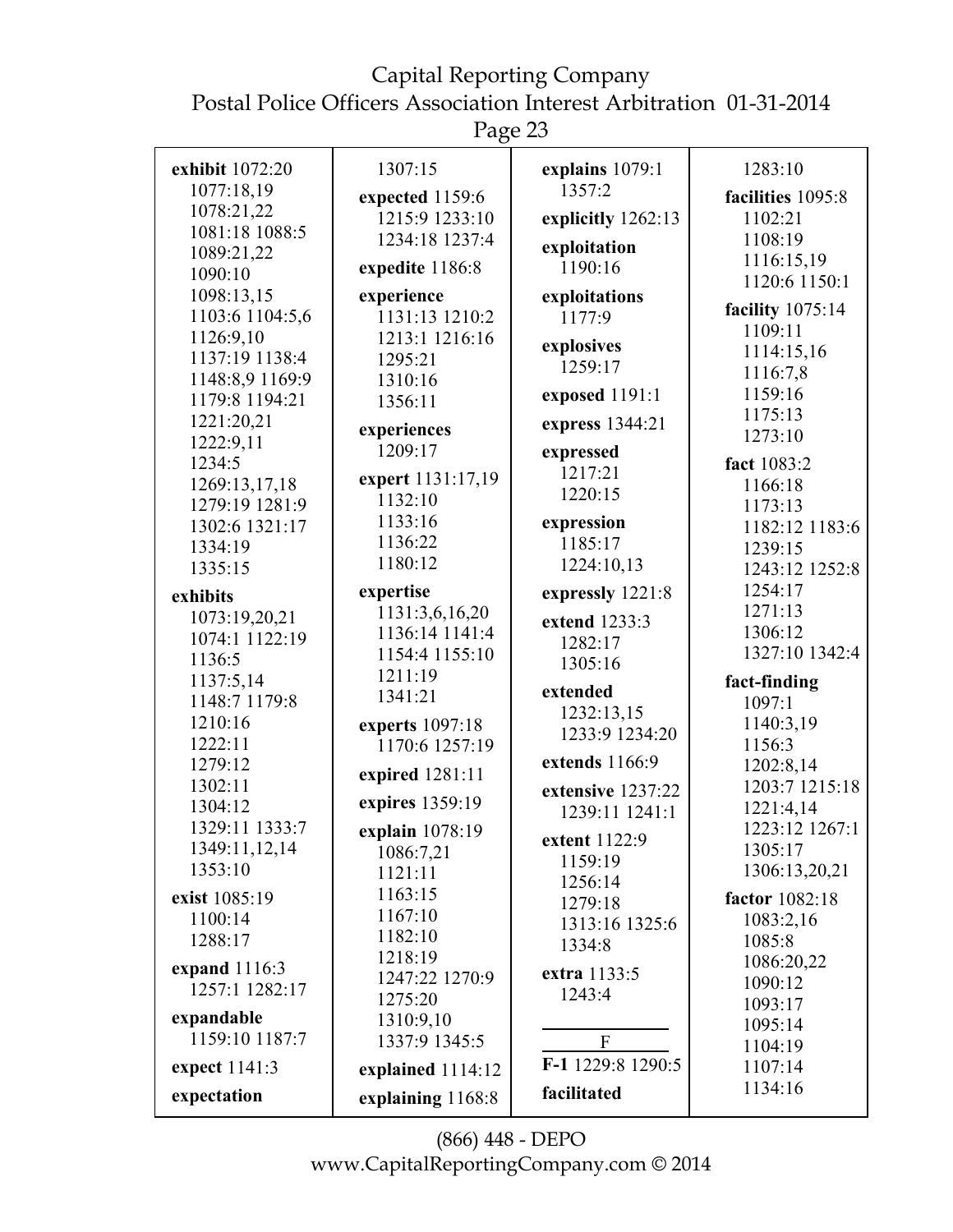### Capital Reporting Company

Postal Police Officers Association Interest Arbitration 01-31-2014

Page 23

| exhibit 1072:20<br>1077:18,19<br>1078:21,22<br>1081:18 1088:5<br>1089:21,22<br>1090:10<br>1098:13,15<br>1103:6 1104:5,6<br>1126:9,10<br>1137:19 1138:4<br>1148:8,9 1169:9<br>1179:8 1194:21<br>1221:20,21<br>1222:9,11<br>1234:5<br>1269:13,17,18<br>1279:19 1281:9<br>1302:6 1321:17<br>1334:19<br>1335:15<br>exhibits<br>1073:19,20,21<br>1074:1 1122:19<br>1136:5<br>1137:5,14<br>1148:7 1179:8<br>1210:16<br>1222:11 | 1307:15<br>expected 1159:6<br>1215:9 1233:10<br>1234:18 1237:4<br>expedite 1186:8<br>experience<br>1131:13 1210:2<br>1213:1 1216:16<br>1295:21<br>1310:16<br>1356:11<br>experiences<br>1209:17<br>expert 1131:17,19<br>1132:10<br>1133:16<br>1136:22<br>1180:12<br>expertise<br>1131:3,6,16,20<br>1136:14 1141:4<br>1154:4 1155:10<br>1211:19<br>1341:21<br>experts 1097:18<br>1170:6 1257:19 | explains 1079:1<br>1357:2<br>explicitly 1262:13<br>exploitation<br>1190:16<br>exploitations<br>1177:9<br>explosives<br>1259:17<br>exposed 1191:1<br>express 1344:21<br>expressed<br>1217:21<br>1220:15<br>expression<br>1185:17<br>1224:10,13<br>expressly 1221:8<br>extend 1233:3<br>1282:17<br>1305:16<br>extended<br>1232:13,15<br>1233:9 1234:20 | 1283:10<br>facilities 1095:8<br>1102:21<br>1108:19<br>1116:15,19<br>1120:6 1150:1<br>facility 1075:14<br>1109:11<br>1114:15,16<br>1116:7,8<br>1159:16<br>1175:13<br>1273:10<br>fact 1083:2<br>1166:18<br>1173:13<br>1182:12 1183:6<br>1239:15<br>1243:12 1252:8<br>1254:17<br>1271:13<br>1306:12<br>1327:10 1342:4<br>fact-finding<br>1097:1<br>1140:3,19<br>1156:3 |
|--------------------------------------------------------------------------------------------------------------------------------------------------------------------------------------------------------------------------------------------------------------------------------------------------------------------------------------------------------------------------------------------------------------------------|-----------------------------------------------------------------------------------------------------------------------------------------------------------------------------------------------------------------------------------------------------------------------------------------------------------------------------------------------------------------------------------------------|------------------------------------------------------------------------------------------------------------------------------------------------------------------------------------------------------------------------------------------------------------------------------------------------------------------------------------------------------|---------------------------------------------------------------------------------------------------------------------------------------------------------------------------------------------------------------------------------------------------------------------------------------------------------------------------------------------------------------------|
|                                                                                                                                                                                                                                                                                                                                                                                                                          |                                                                                                                                                                                                                                                                                                                                                                                               |                                                                                                                                                                                                                                                                                                                                                      |                                                                                                                                                                                                                                                                                                                                                                     |
|                                                                                                                                                                                                                                                                                                                                                                                                                          |                                                                                                                                                                                                                                                                                                                                                                                               |                                                                                                                                                                                                                                                                                                                                                      |                                                                                                                                                                                                                                                                                                                                                                     |
| 1279:12<br>1302:11<br>1304:12                                                                                                                                                                                                                                                                                                                                                                                            | expired 1281:11<br>expires 1359:19                                                                                                                                                                                                                                                                                                                                                            | extends 1166:9<br>extensive 1237:22                                                                                                                                                                                                                                                                                                                  | 1202:8,14<br>1203:7 1215:18<br>1221:4,14                                                                                                                                                                                                                                                                                                                            |
| 1329:11 1333:7<br>1349:11,12,14<br>1353:10<br>exist 1085:19                                                                                                                                                                                                                                                                                                                                                              | explain 1078:19<br>1086:7,21<br>1121:11<br>1163:15                                                                                                                                                                                                                                                                                                                                            | 1239:11 1241:1<br>extent 1122:9<br>1159:19<br>1256:14<br>1279:18                                                                                                                                                                                                                                                                                     | 1223:12 1267:1<br>1305:17<br>1306:13,20,21<br>factor 1082:18                                                                                                                                                                                                                                                                                                        |
| 1100:14<br>1288:17<br>expand 1116:3<br>1257:1 1282:17                                                                                                                                                                                                                                                                                                                                                                    | 1167:10<br>1182:10<br>1218:19<br>1247:22 1270:9<br>1275:20                                                                                                                                                                                                                                                                                                                                    | 1313:16 1325:6<br>1334:8<br>extra 1133:5<br>1243:4                                                                                                                                                                                                                                                                                                   | 1083:2,16<br>1085:8<br>1086:20,22<br>1090:12<br>1093:17                                                                                                                                                                                                                                                                                                             |
| expandable<br>1159:10 1187:7<br>expect 1141:3<br>expectation                                                                                                                                                                                                                                                                                                                                                             | 1310:9,10<br>1337:9 1345:5<br>explained 1114:12<br>explaining 1168:8                                                                                                                                                                                                                                                                                                                          | $\boldsymbol{F}$<br>F-1 1229:8 1290:5<br>facilitated                                                                                                                                                                                                                                                                                                 | 1095:14<br>1104:19<br>1107:14<br>1134:16                                                                                                                                                                                                                                                                                                                            |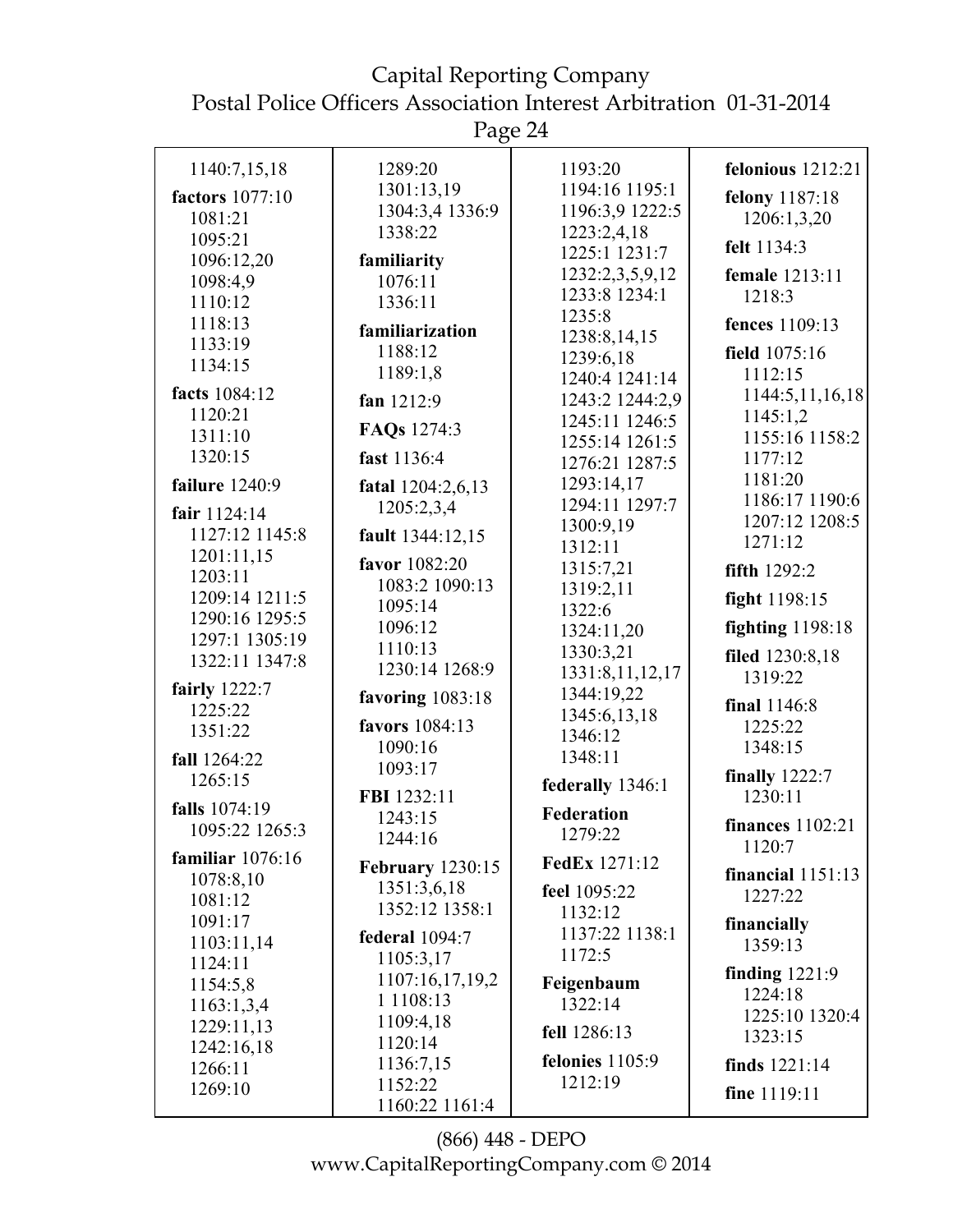Page 24

| 1140:7,15,18          | 1289:20                 | 1193:20                           | felonious $1212:21$     |
|-----------------------|-------------------------|-----------------------------------|-------------------------|
| factors 1077:10       | 1301:13,19              | 1194:16 1195:1                    | felony 1187:18          |
| 1081:21               | 1304:3,4 1336:9         | 1196:3,9 1222:5                   | 1206:1,3,20             |
|                       | 1338:22                 | 1223:2,4,18                       |                         |
| 1095:21<br>1096:12,20 | familiarity             | 1225:1 1231:7                     | felt 1134:3             |
|                       |                         | 1232:2,3,5,9,12                   | female 1213:11          |
| 1098:4,9              | 1076:11                 | 1233:8 1234:1                     | 1218:3                  |
| 1110:12               | 1336:11                 | 1235:8                            |                         |
| 1118:13               | familiarization         | 1238:8,14,15                      | fences 1109:13          |
| 1133:19               | 1188:12                 |                                   | field 1075:16           |
| 1134:15               | 1189:1,8                | 1239:6,18                         | 1112:15                 |
| facts 1084:12         |                         | 1240:4 1241:14                    | 1144:5,11,16,18         |
| 1120:21               | fan 1212:9              | 1243:2 1244:2,9<br>1245:11 1246:5 | 1145:1,2                |
| 1311:10               | FAQs 1274:3             | 1255:14 1261:5                    | 1155:16 1158:2          |
| 1320:15               | fast 1136:4             |                                   | 1177:12                 |
|                       |                         | 1276:21 1287:5                    | 1181:20                 |
| failure 1240:9        | fatal 1204:2,6,13       | 1293:14,17                        | 1186:17 1190:6          |
| fair 1124:14          | 1205:2,3,4              | 1294:11 1297:7                    | 1207:12 1208:5          |
| 1127:12 1145:8        | fault 1344:12,15        | 1300:9,19                         |                         |
| 1201:11,15            |                         | 1312:11                           | 1271:12                 |
| 1203:11               | favor 1082:20           | 1315:7,21                         | fifth $1292:2$          |
| 1209:14 1211:5        | 1083:2 1090:13          | 1319:2,11                         |                         |
|                       | 1095:14                 | 1322:6                            | fight 1198:15           |
| 1290:16 1295:5        | 1096:12                 | 1324:11,20                        | <b>fighting</b> 1198:18 |
| 1297:1 1305:19        | 1110:13                 | 1330:3,21                         | filed 1230:8,18         |
| 1322:11 1347:8        | 1230:14 1268:9          | 1331:8,11,12,17                   |                         |
| fairly 1222:7         |                         | 1344:19,22                        | 1319:22                 |
| 1225:22               | favoring $1083:18$      | 1345:6,13,18                      | final 1146:8            |
| 1351:22               | favors 1084:13          |                                   | 1225:22                 |
|                       | 1090:16                 | 1346:12                           | 1348:15                 |
| fall 1264:22          | 1093:17                 | 1348:11                           |                         |
| 1265:15               |                         | federally 1346:1                  | finally $1222:7$        |
| falls 1074:19         | FBI 1232:11             |                                   | 1230:11                 |
| 1095:22 1265:3        | 1243:15                 | <b>Federation</b>                 | <b>finances</b> 1102:21 |
|                       | 1244:16                 | 1279:22                           | 1120:7                  |
| familiar $1076:16$    | <b>February</b> 1230:15 | <b>FedEx 1271:12</b>              |                         |
| 1078:8,10             | 1351:3,6,18             |                                   | financial $1151:13$     |
| 1081:12               | 1352:12 1358:1          | feel 1095:22                      | 1227:22                 |
| 1091:17               |                         | 1132:12                           | financially             |
| 1103:11,14            | federal 1094:7          | 1137:22 1138:1                    | 1359:13                 |
| 1124:11               | 1105:3,17               | 1172:5                            |                         |
| 1154:5,8              | 1107:16,17,19,2         | Feigenbaum                        | finding $1221:9$        |
| 1163:1,3,4            | 1 1 1 0 8 : 1 3         | 1322:14                           | 1224:18                 |
| 1229:11,13            | 1109:4,18               |                                   | 1225:10 1320:4          |
| 1242:16,18            | 1120:14                 | fell 1286:13                      | 1323:15                 |
| 1266:11               | 1136:7,15               | felonies $1105:9$                 | finds $1221:14$         |
|                       | 1152:22                 | 1212:19                           |                         |
| 1269:10               | 1160:22 1161:4          |                                   | fine 1119:11            |
|                       |                         |                                   |                         |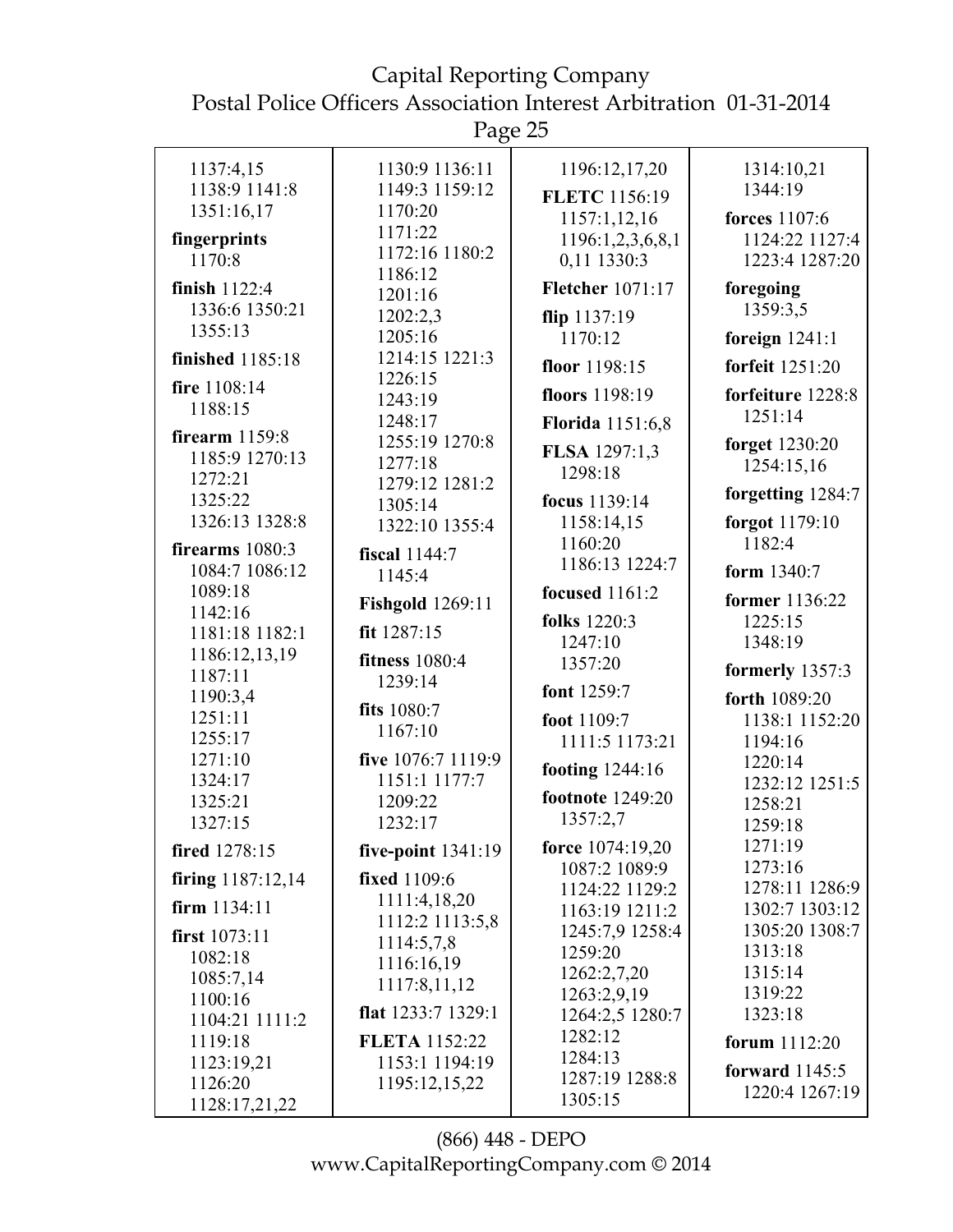Capital Reporting Company Postal Police Officers Association Interest Arbitration 01-31-2014 Page 25 1137:4,15 1138:9 1141:8 1351:16,17 **fingerprints** 1170:8 **finish** 1122:4 1336:6 1350:21 1130:9 1136:11 1149:3 1159:12 1170:20 1171:22 1172:16 1180:2 1186:12 1201:16 1202:2,3 1196:12,17,20 **FLETC** 1156:19 1157:1,12,16 1196:1,2,3,6,8,1 0,11 1330:3 **Fletcher** 1071:17 **flip** 1137:19 1314:10,21 1344:19 **forces** 1107:6 1124:22 1127:4 1223:4 1287:20 **foregoing** 1359:3,5

1355:13 **finished** 1185:18 **fire** 1108:14 1188:15 **firearm** 1159:8 1185:9 1270:13 1272:21 1325:22 1326:13 1328:8 **firearms** 1080:3 1084:7 1086:12 1089:18 1205:16 1214:15 1221:3 1226:15 1243:19 1248:17 1255:19 1270:8 1277:18 1279:12 1281:2 1305:14 1322:10 1355:4 **fiscal** 1144:7 1145:4 **Fishgold** 1269:11 1170:12 **floor** 1198:15 **floors** 1198:19 **Florida** 1151:6,8 **FLSA** 1297:1,3 1298:18 **focus** 1139:14 1158:14,15 1160:20 1186:13 1224:7 **focused** 1161:2 **folks** 1220:3 **foreign** 1241:1 **forfeit** 1251:20 **forfeiture** 1228:8 1251:14 **forget** 1230:20 1254:15,16 **forgetting** 1284:7 **forgot** 1179:10 1182:4 **form** 1340:7 **former** 1136:22 1225:15

1142:16 1181:18 1182:1 1186:12,13,19 1187:11 1190:3,4 1251:11 1255:17 1271:10 1324:17 1325:21 1327:15 **fired** 1278:15 **firing** 1187:12,14 **firm** 1134:11 **first** 1073:11 1082:18 1085:7,14 1100:16 1104:21 1111:2 1119:18 1123:19,21 **fit** 1287:15 **fitness** 1080:4 1239:14 **fits** 1080:7 1167:10 **five** 1076:7 1119:9 1151:1 1177:7 1209:22 1232:17 **five-point** 1341:19 **fixed** 1109:6 1111:4,18,20 1112:2 1113:5,8 1114:5,7,8 1116:16,19 1117:8,11,12 **flat** 1233:7 1329:1 **FLETA** 1152:22 1153:1 1194:19 1247:10 1357:20 **font** 1259:7 **foot** 1109:7 1111:5 1173:21 **footing** 1244:16 **footnote** 1249:20 1357:2,7 **force** 1074:19,20 1087:2 1089:9 1124:22 1129:2 1163:19 1211:2 1245:7,9 1258:4 1259:20 1262:2,7,20 1263:2,9,19 1264:2,5 1280:7 1282:12 1284:13 1348:19 **formerly** 1357:3 **forth** 1089:20 1138:1 1152:20 1194:16 1220:14 1232:12 1251:5 1258:21 1259:18 1271:19 1273:16 1278:11 1286:9 1302:7 1303:12 1305:20 1308:7 1313:18 1315:14 1319:22 1323:18 **forum** 1112:20

> (866) 448 - DEPO www.CapitalReportingCompany.com © 2014

1287:19 1288:8

**forward** 1145:5 1220:4 1267:19

1305:15

1195:12,15,22

1126:20 1128:17,21,22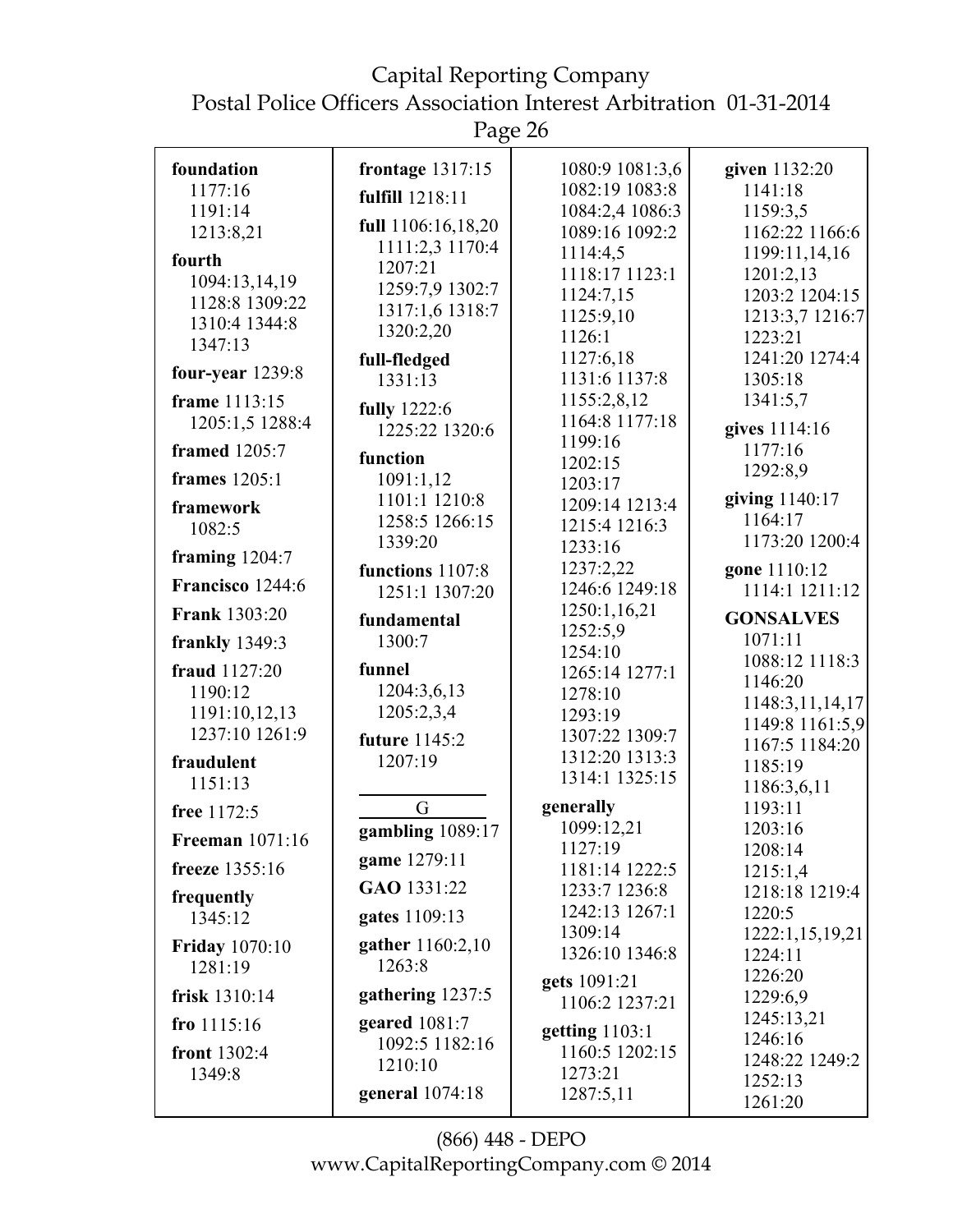Page 26

| foundation             | frontage 1317:15   | 1080:9 1081:3,6  | given 1132:20         |
|------------------------|--------------------|------------------|-----------------------|
| 1177:16                | fulfill 1218:11    | 1082:19 1083:8   | 1141:18               |
| 1191:14                |                    | 1084:2,4 1086:3  | 1159:3,5              |
| 1213:8,21              | full 1106:16,18,20 | 1089:16 1092:2   | 1162:22 1166:6        |
| fourth                 | 1111:2,3 1170:4    | 1114:4,5         | 1199:11,14,16         |
| 1094:13,14,19          | 1207:21            | 1118:17 1123:1   | 1201:2,13             |
| 1128:8 1309:22         | 1259:7,9 1302:7    | 1124:7,15        | 1203:2 1204:15        |
| 1310:4 1344:8          | 1317:1,6 1318:7    | 1125:9,10        | 1213:3,7 1216:7       |
| 1347:13                | 1320:2,20          | 1126:1           | 1223:21               |
|                        | full-fledged       | 1127:6,18        | 1241:20 1274:4        |
| four-year $1239:8$     | 1331:13            | 1131:6 1137:8    | 1305:18               |
| frame 1113:15          | fully 1222:6       | 1155:2,8,12      | 1341:5,7              |
| 1205:1,5 1288:4        | 1225:22 1320:6     | 1164:8 1177:18   | gives 1114:16         |
| <b>framed</b> 1205:7   |                    | 1199:16          | 1177:16               |
|                        | function           | 1202:15          | 1292:8,9              |
| <b>frames</b> 1205:1   | 1091:1,12          | 1203:17          |                       |
| framework              | 1101:1 1210:8      | 1209:14 1213:4   | giving 1140:17        |
| 1082:5                 | 1258:5 1266:15     | 1215:4 1216:3    | 1164:17               |
|                        | 1339:20            | 1233:16          | 1173:20 1200:4        |
| framing $1204:7$       | functions 1107:8   | 1237:2,22        | gone 1110:12          |
| Francisco 1244:6       | 1251:1 1307:20     | 1246:6 1249:18   | 1114:1 1211:12        |
| <b>Frank 1303:20</b>   | fundamental        | 1250:1,16,21     | <b>GONSALVES</b>      |
| frankly 1349:3         | 1300:7             | 1252:5,9         | 1071:11               |
|                        | funnel             | 1254:10          | 1088:12 1118:3        |
| fraud 1127:20          |                    | 1265:14 1277:1   | 1146:20               |
| 1190:12                | 1204:3,6,13        | 1278:10          | 1148:3,11,14,17       |
| 1191:10,12,13          | 1205:2,3,4         | 1293:19          | 1149:8 1161:5,9       |
| 1237:10 1261:9         | future 1145:2      | 1307:22 1309:7   | 1167:5 1184:20        |
| fraudulent             | 1207:19            | 1312:20 1313:3   | 1185:19               |
| 1151:13                |                    | 1314:1 1325:15   | 1186:3,6,11           |
| free 1172:5            | G                  | generally        | 1193:11               |
| <b>Freeman</b> 1071:16 | gambling 1089:17   | 1099:12,21       | 1203:16               |
|                        | game 1279:11       | 1127:19          | 1208:14               |
| freeze 1355:16         |                    | 1181:14 1222:5   | 1215:1,4              |
| frequently             | GAO 1331:22        | 1233:7 1236:8    | 1218:18 1219:4        |
| 1345:12                | gates 1109:13      | 1242:13 1267:1   | 1220:5                |
| <b>Friday</b> 1070:10  | gather 1160:2,10   | 1309:14          | 1222:1,15,19,21       |
| 1281:19                | 1263:8             | 1326:10 1346:8   | 1224:11               |
|                        | gathering 1237:5   | gets 1091:21     | 1226:20               |
| frisk 1310:14          |                    | 1106:2 1237:21   | 1229:6,9              |
| fro $1115:16$          | geared $1081:7$    | getting $1103:1$ | 1245:13,21<br>1246:16 |
| front 1302:4           | 1092:5 1182:16     | 1160:5 1202:15   |                       |
| 1349:8                 | 1210:10            | 1273:21          | 1248:22 1249:2        |
|                        | general 1074:18    | 1287:5,11        | 1252:13               |
|                        |                    |                  | 1261:20               |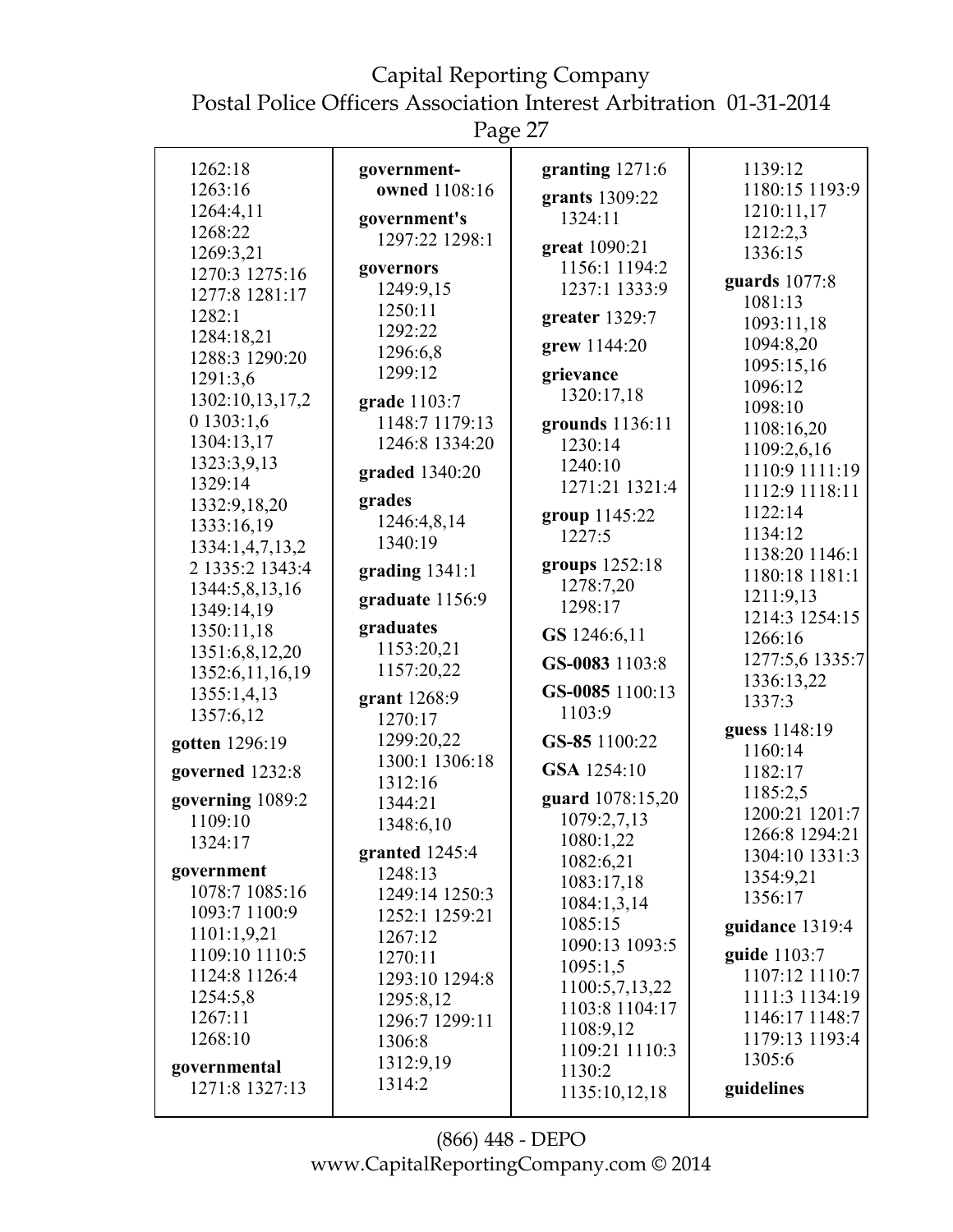# Capital Reporting Company

Postal Police Officers Association Interest Arbitration 01-31-2014

Page 27

| 1262:18<br>1263:16<br>1264:4,11<br>1268:22<br>1269:3,21<br>1270:3 1275:16<br>1277:8 1281:17<br>1282:1<br>1284:18,21<br>1288:3 1290:20<br>1291:3,6<br>1302:10,13,17,2<br>01303:1,6<br>1304:13,17<br>1323:3,9,13<br>1329:14<br>1332:9,18,20<br>1333:16,19<br>1334:1,4,7,13,2<br>2 1335:2 1343:4<br>1344:5,8,13,16<br>1349:14,19<br>1350:11,18<br>1351:6,8,12,20<br>1352:6,11,16,19<br>1355:1,4,13<br>1357:6,12<br>gotten 1296:19<br>governed 1232:8<br>governing 1089:2<br>1109:10<br>1324:17<br>government<br>1078:7 1085:16<br>1093:7 1100:9<br>1101:1,9,21<br>1109:10 1110:5<br>1124:8 1126:4<br>1254:5,8<br>1267:11 | government-<br>owned 1108:16<br>government's<br>1297:22 1298:1<br>governors<br>1249:9,15<br>1250:11<br>1292:22<br>1296:6,8<br>1299:12<br>grade 1103:7<br>1148:7 1179:13<br>1246:8 1334:20<br>graded 1340:20<br>grades<br>1246:4,8,14<br>1340:19<br>grading $1341:1$<br>graduate 1156:9<br>graduates<br>1153:20,21<br>1157:20,22<br>grant 1268:9<br>1270:17<br>1299:20,22<br>1300:1 1306:18<br>1312:16<br>1344:21<br>1348:6,10<br>granted 1245:4<br>1248:13<br>1249:14 1250:3<br>1252:1 1259:21<br>1267:12<br>1270:11<br>1293:10 1294:8<br>1295:8,12<br>1296:7 1299:11 | granting $1271:6$<br>grants 1309:22<br>1324:11<br>great 1090:21<br>1156:1 1194:2<br>1237:1 1333:9<br>greater 1329:7<br>grew 1144:20<br>grievance<br>1320:17,18<br>grounds 1136:11<br>1230:14<br>1240:10<br>1271:21 1321:4<br>group 1145:22<br>1227:5<br>groups 1252:18<br>1278:7,20<br>1298:17<br>GS 1246:6,11<br>GS-0083 1103:8<br>GS-0085 1100:13<br>1103:9<br>GS-85 1100:22<br>GSA 1254:10<br>guard 1078:15,20<br>1079:2,7,13<br>1080:1,22<br>1082:6,21<br>1083:17,18<br>1084:1,3,14<br>1085:15<br>1090:13 1093:5<br>1095:1,5<br>1100:5,7,13,22<br>1103:8 1104:17<br>1108:9,12 | 1139:12<br>1180:15 1193:9<br>1210:11,17<br>1212:2,3<br>1336:15<br>guards 1077:8<br>1081:13<br>1093:11,18<br>1094:8,20<br>1095:15,16<br>1096:12<br>1098:10<br>1108:16,20<br>1109:2,6,16<br>1110:9 1111:19<br>1112:9 1118:11<br>1122:14<br>1134:12<br>1138:20 1146:1<br>1180:18 1181:1<br>1211:9,13<br>1214:3 1254:15<br>1266:16<br>1277:5,6 1335:7<br>1336:13,22<br>1337:3<br>guess 1148:19<br>1160:14<br>1182:17<br>1185:2,5<br>1200:21 1201:7<br>1266:8 1294:21<br>1304:10 1331:3<br>1354:9,21<br>1356:17<br>guidance 1319:4<br>guide 1103:7<br>1107:12 1110:7<br>1111:3 1134:19<br>1146:17 1148:7 |
|-----------------------------------------------------------------------------------------------------------------------------------------------------------------------------------------------------------------------------------------------------------------------------------------------------------------------------------------------------------------------------------------------------------------------------------------------------------------------------------------------------------------------------------------------------------------------------------------------------------------------|-----------------------------------------------------------------------------------------------------------------------------------------------------------------------------------------------------------------------------------------------------------------------------------------------------------------------------------------------------------------------------------------------------------------------------------------------------------------------------------------------------------------------------------------------------------------------|-----------------------------------------------------------------------------------------------------------------------------------------------------------------------------------------------------------------------------------------------------------------------------------------------------------------------------------------------------------------------------------------------------------------------------------------------------------------------------------------------------------------------------------------------------------------------------------|-----------------------------------------------------------------------------------------------------------------------------------------------------------------------------------------------------------------------------------------------------------------------------------------------------------------------------------------------------------------------------------------------------------------------------------------------------------------------------------------------------------------------------------------------------------------------------------------------------|
| 1268:10                                                                                                                                                                                                                                                                                                                                                                                                                                                                                                                                                                                                               | 1306:8                                                                                                                                                                                                                                                                                                                                                                                                                                                                                                                                                                | 1109:21 1110:3                                                                                                                                                                                                                                                                                                                                                                                                                                                                                                                                                                    | 1179:13 1193:4                                                                                                                                                                                                                                                                                                                                                                                                                                                                                                                                                                                      |
| governmental                                                                                                                                                                                                                                                                                                                                                                                                                                                                                                                                                                                                          | 1312:9,19                                                                                                                                                                                                                                                                                                                                                                                                                                                                                                                                                             | 1130:2                                                                                                                                                                                                                                                                                                                                                                                                                                                                                                                                                                            | 1305:6                                                                                                                                                                                                                                                                                                                                                                                                                                                                                                                                                                                              |
| 1271:8 1327:13                                                                                                                                                                                                                                                                                                                                                                                                                                                                                                                                                                                                        | 1314:2                                                                                                                                                                                                                                                                                                                                                                                                                                                                                                                                                                | 1135:10,12,18                                                                                                                                                                                                                                                                                                                                                                                                                                                                                                                                                                     | guidelines                                                                                                                                                                                                                                                                                                                                                                                                                                                                                                                                                                                          |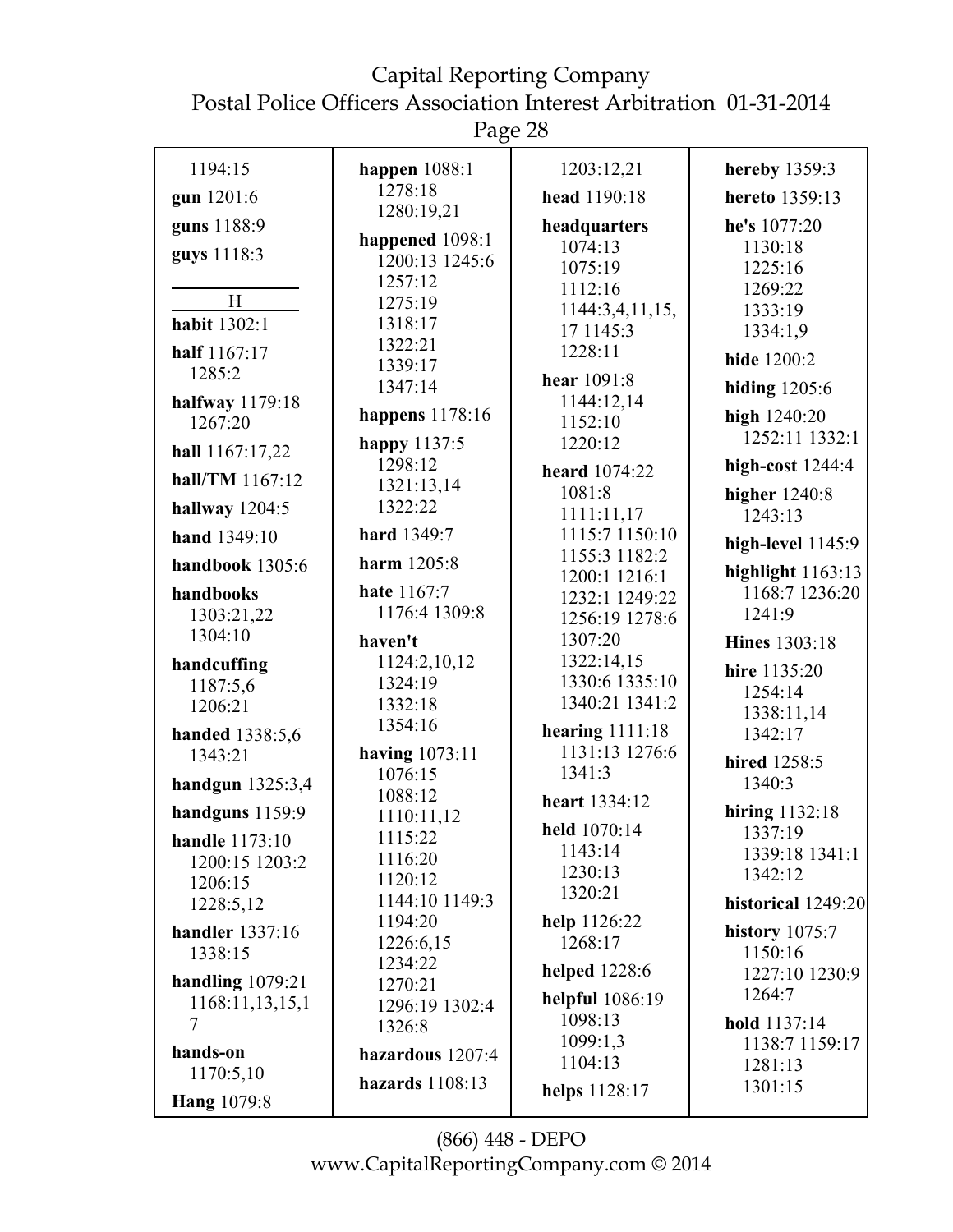Page 28

| 1194:15                | happen $1088:1$  | 1203:12,21                   | hereby 1359:3        |
|------------------------|------------------|------------------------------|----------------------|
| gun 1201:6             | 1278:18          | head 1190:18                 | hereto 1359:13       |
| guns 1188:9            | 1280:19,21       | headquarters                 | he's 1077:20         |
| guys 1118:3            | happened 1098:1  | 1074:13                      | 1130:18              |
|                        | 1200:13 1245:6   | 1075:19                      | 1225:16              |
|                        | 1257:12          | 1112:16                      | 1269:22              |
| H                      | 1275:19          | 1144:3,4,11,15,              | 1333:19              |
| habit 1302:1           | 1318:17          | 17 1145:3                    | 1334:1,9             |
| half 1167:17           | 1322:21          | 1228:11                      | hide 1200:2          |
| 1285:2                 | 1339:17          | hear 1091:8                  |                      |
| halfway 1179:18        | 1347:14          | 1144:12,14                   | hiding $1205:6$      |
| 1267:20                | happens 1178:16  | 1152:10                      | high 1240:20         |
|                        | happy 1137:5     | 1220:12                      | 1252:11 1332:1       |
| hall 1167:17,22        | 1298:12          |                              | high-cost $1244:4$   |
| hall/TM 1167:12        | 1321:13,14       | heard 1074:22<br>1081:8      |                      |
| hallway 1204:5         | 1322:22          |                              | higher 1240:8        |
| hand 1349:10           | hard 1349:7      | 1111:11,17<br>1115:7 1150:10 | 1243:13              |
|                        |                  | 1155:3 1182:2                | high-level $1145:9$  |
| handbook 1305:6        | harm 1205:8      | 1200:1 1216:1                | highlight $1163:13$  |
| handbooks              | hate 1167:7      | 1232:1 1249:22               | 1168:7 1236:20       |
| 1303:21,22             | 1176:4 1309:8    | 1256:19 1278:6               | 1241:9               |
| 1304:10                | haven't          | 1307:20                      | <b>Hines</b> 1303:18 |
| handcuffing            | 1124:2,10,12     | 1322:14,15                   | hire 1135:20         |
| 1187:5,6               | 1324:19          | 1330:6 1335:10               | 1254:14              |
| 1206:21                | 1332:18          | 1340:21 1341:2               | 1338:11,14           |
| handed 1338:5,6        | 1354:16          | hearing $1111:18$            | 1342:17              |
| 1343:21                | having 1073:11   | 1131:13 1276:6               |                      |
|                        | 1076:15          | 1341:3                       | hired 1258:5         |
| handgun $1325:3,4$     | 1088:12          | heart 1334:12                | 1340:3               |
| handguns 1159:9        | 1110:11,12       |                              | hiring 1132:18       |
| handle 1173:10         | 1115:22          | held 1070:14                 | 1337:19              |
| 1200:15 1203:2         | 1116:20          | 1143:14                      | 1339:18 1341:1       |
| 1206:15                | 1120:12          | 1230:13                      | 1342:12              |
| 1228:5,12              | 1144:10 1149:3   | 1320:21                      | historical 1249:20   |
| <b>handler</b> 1337:16 | 1194:20          | help 1126:22                 | history 1075:7       |
| 1338:15                | 1226:6,15        | 1268:17                      | 1150:16              |
|                        | 1234:22          | <b>helped</b> 1228:6         | 1227:10 1230:9       |
| handling $1079:21$     | 1270:21          | helpful 1086:19              | 1264:7               |
| 1168:11,13,15,1<br>7   | 1296:19 1302:4   | 1098:13                      | hold 1137:14         |
|                        | 1326:8           | 1099:1,3                     | 1138:7 1159:17       |
| hands-on               | hazardous 1207:4 | 1104:13                      | 1281:13              |
| 1170:5,10              | hazards 1108:13  |                              | 1301:15              |
| <b>Hang</b> 1079:8     |                  | helps 1128:17                |                      |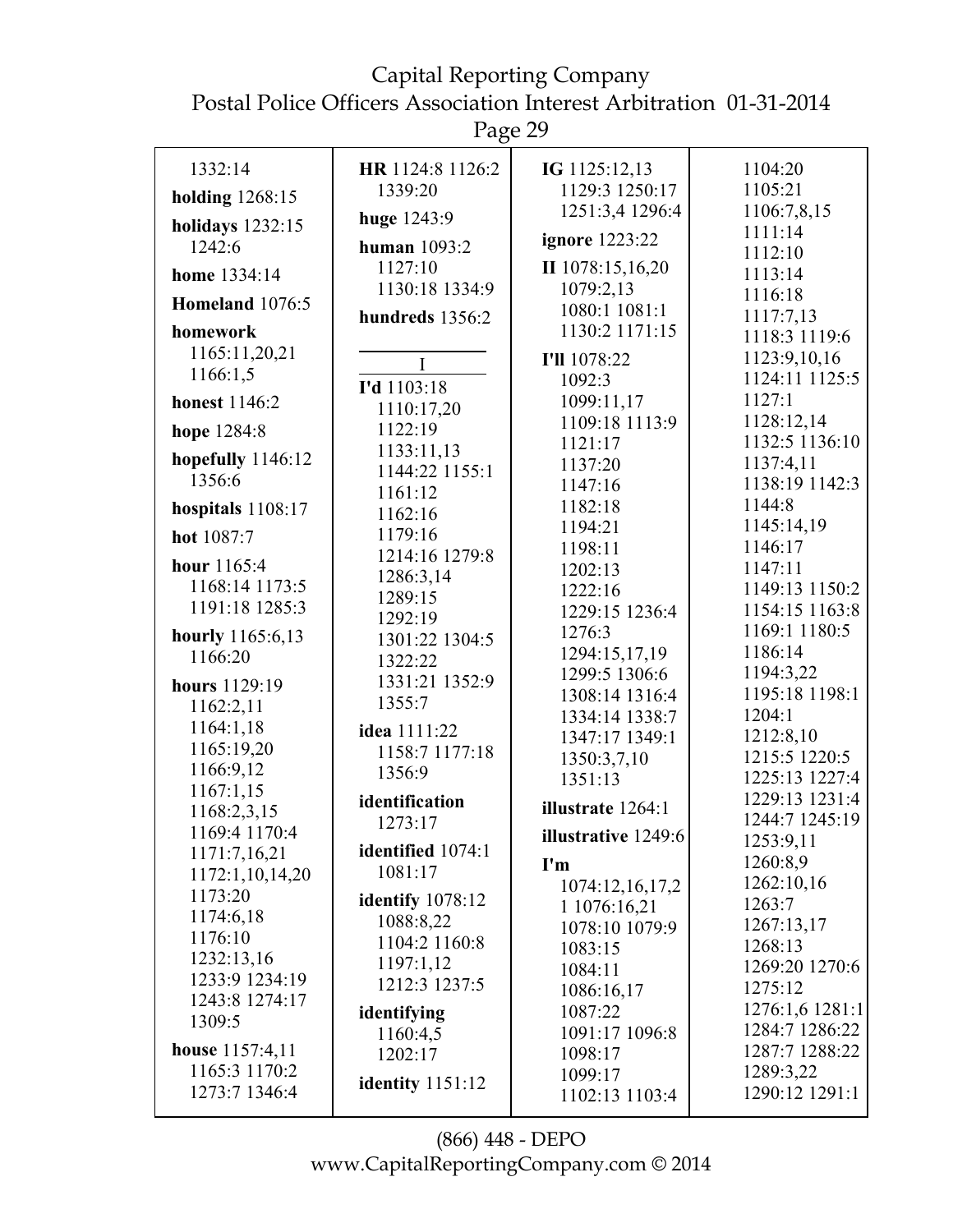Page 29

| 1332:14                 | HR 1124:8 1126:2<br>1339:20 | IG 1125:12,13                     | 1104:20<br>1105:21       |
|-------------------------|-----------------------------|-----------------------------------|--------------------------|
| <b>holding</b> 1268:15  |                             | 1129:3 1250:17<br>1251:3,4 1296:4 | 1106:7,8,15              |
| <b>holidays</b> 1232:15 | huge 1243:9                 |                                   | 1111:14                  |
| 1242:6                  | <b>human</b> 1093:2         | ignore 1223:22                    | 1112:10                  |
| home 1334:14            | 1127:10                     | II 1078:15,16,20                  | 1113:14                  |
| Homeland 1076:5         | 1130:18 1334:9              | 1079:2,13                         | 1116:18                  |
|                         | hundreds 1356:2             | 1080:1 1081:1                     | 1117:7,13                |
| homework                |                             | 1130:2 1171:15                    | 1118:3 1119:6            |
| 1165:11,20,21           | $\mathbf I$                 | I'll 1078:22                      | 1123:9,10,16             |
| 1166:1,5                | I'd 1103:18                 | 1092:3                            | 1124:11 1125:5           |
| honest 1146:2           | 1110:17,20                  | 1099:11,17                        | 1127:1                   |
| hope 1284:8             | 1122:19                     | 1109:18 1113:9                    | 1128:12,14               |
| hopefully 1146:12       | 1133:11,13                  | 1121:17                           | 1132:5 1136:10           |
| 1356:6                  | 1144:22 1155:1              | 1137:20                           | 1137:4,11                |
|                         | 1161:12                     | 1147:16                           | 1138:19 1142:3<br>1144:8 |
| hospitals 1108:17       | 1162:16                     | 1182:18                           | 1145:14,19               |
| hot 1087:7              | 1179:16                     | 1194:21<br>1198:11                | 1146:17                  |
| hour 1165:4             | 1214:16 1279:8              | 1202:13                           | 1147:11                  |
| 1168:14 1173:5          | 1286:3,14                   | 1222:16                           | 1149:13 1150:2           |
| 1191:18 1285:3          | 1289:15                     | 1229:15 1236:4                    | 1154:15 1163:8           |
| hourly 1165:6,13        | 1292:19                     | 1276:3                            | 1169:1 1180:5            |
| 1166:20                 | 1301:22 1304:5<br>1322:22   | 1294:15,17,19                     | 1186:14                  |
|                         | 1331:21 1352:9              | 1299:5 1306:6                     | 1194:3,22                |
| hours 1129:19           | 1355:7                      | 1308:14 1316:4                    | 1195:18 1198:1           |
| 1162:2,11               |                             | 1334:14 1338:7                    | 1204:1                   |
| 1164:1,18               | idea 1111:22                | 1347:17 1349:1                    | 1212:8,10                |
| 1165:19,20<br>1166:9,12 | 1158:7 1177:18              | 1350:3,7,10                       | 1215:5 1220:5            |
| 1167:1,15               | 1356:9                      | 1351:13                           | 1225:13 1227:4           |
| 1168:2,3,15             | identification              | illustrate 1264:1                 | 1229:13 1231:4           |
| 1169:4 1170:4           | 1273:17                     | illustrative 1249:6               | 1244:7 1245:19           |
| 1171:7,16,21            | identified 1074:1           |                                   | 1253:9,11                |
| 1172:1,10,14,20         | 1081:17                     | I'm                               | 1260:8,9                 |
| 1173:20                 | identify 1078:12            | 1074:12,16,17,2                   | 1262:10,16<br>1263:7     |
| 1174:6,18               | 1088:8,22                   | 1 1076:16,21                      | 1267:13,17               |
| 1176:10                 | 1104:2 1160:8               | 1078:10 1079:9<br>1083:15         | 1268:13                  |
| 1232:13,16              | 1197:1,12                   | 1084:11                           | 1269:20 1270:6           |
| 1233:9 1234:19          | 1212:3 1237:5               | 1086:16,17                        | 1275:12                  |
| 1243:8 1274:17          | identifying                 | 1087:22                           | 1276:1,6 1281:1          |
| 1309:5                  | 1160:4,5                    | 1091:17 1096:8                    | 1284:7 1286:22           |
| <b>house</b> 1157:4,11  | 1202:17                     | 1098:17                           | 1287:7 1288:22           |
| 1165:3 1170:2           |                             | 1099:17                           | 1289:3,22                |
| 1273:7 1346:4           | <b>identity</b> 1151:12     | 1102:13 1103:4                    | 1290:12 1291:1           |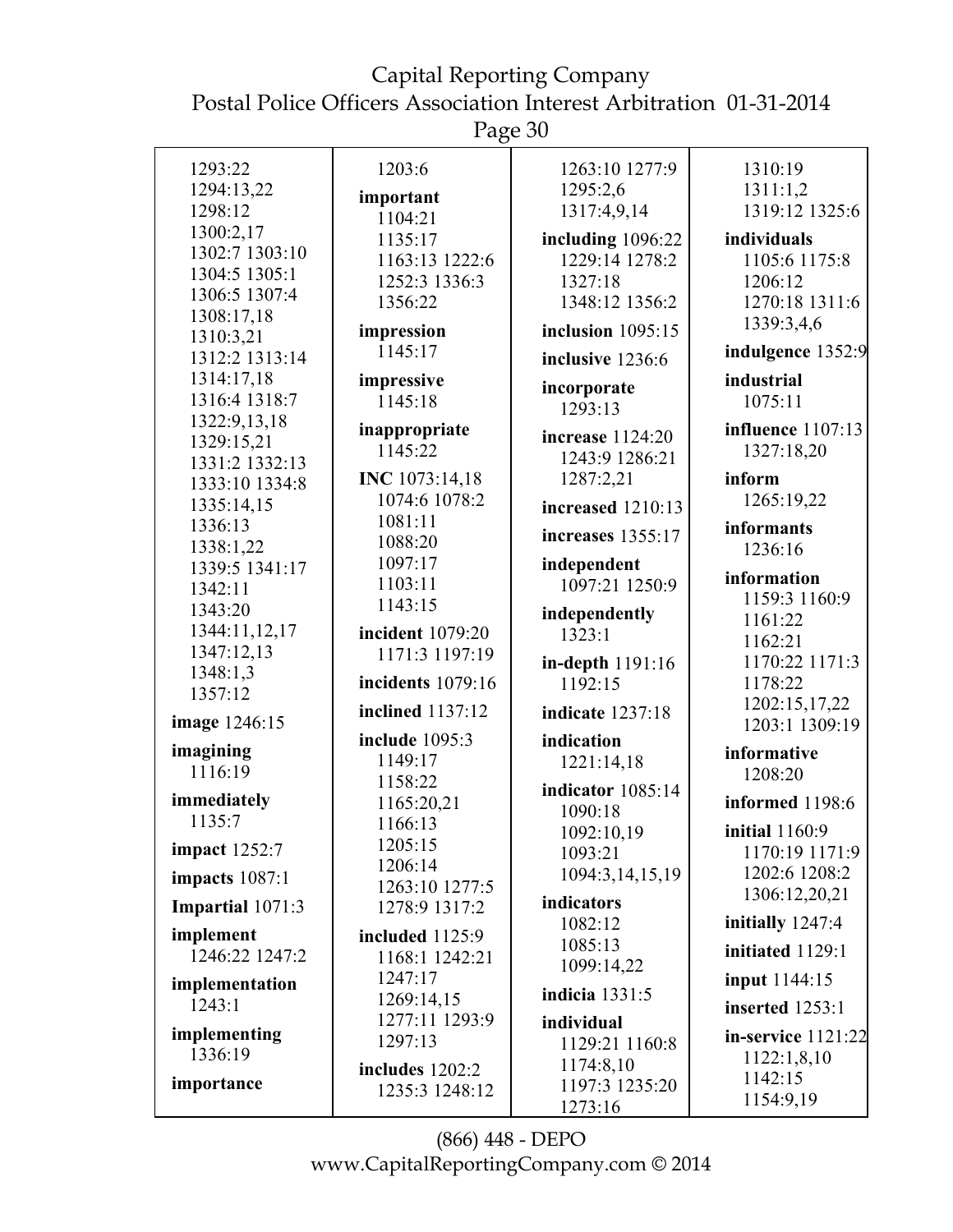Page 30

| 1293:22                     | 1203:6                          | 1263:10 1277:9        | 1310:19                  |
|-----------------------------|---------------------------------|-----------------------|--------------------------|
| 1294:13,22                  | important                       | 1295:2,6              | 1311:1,2                 |
| 1298:12                     | 1104:21                         | 1317:4,9,14           | 1319:12 1325:6           |
| 1300:2,17                   | 1135:17                         | including 1096:22     | individuals              |
| 1302:7 1303:10              | 1163:13 1222:6                  | 1229:14 1278:2        | 1105:6 1175:8            |
| 1304:5 1305:1               | 1252:3 1336:3                   | 1327:18               | 1206:12                  |
| 1306:5 1307:4               | 1356:22                         | 1348:12 1356:2        | 1270:18 1311:6           |
| 1308:17,18                  | impression                      | inclusion 1095:15     | 1339:3,4,6               |
| 1310:3,21<br>1312:2 1313:14 | 1145:17                         |                       | indulgence 1352:9        |
| 1314:17,18                  | impressive                      | inclusive 1236:6      | industrial               |
| 1316:4 1318:7               | 1145:18                         | incorporate           | 1075:11                  |
| 1322:9,13,18                |                                 | 1293:13               |                          |
| 1329:15,21                  | inappropriate                   | increase 1124:20      | <b>influence</b> 1107:13 |
| 1331:2 1332:13              | 1145:22                         | 1243:9 1286:21        | 1327:18,20               |
| 1333:10 1334:8              | <b>INC</b> 1073:14,18           | 1287:2,21             | inform                   |
| 1335:14,15                  | 1074:6 1078:2                   | increased 1210:13     | 1265:19,22               |
| 1336:13                     | 1081:11                         | increases 1355:17     | informants               |
| 1338:1,22                   | 1088:20                         |                       | 1236:16                  |
| 1339:5 1341:17              | 1097:17                         | independent           | information              |
| 1342:11                     | 1103:11                         | 1097:21 1250:9        | 1159:3 1160:9            |
| 1343:20                     | 1143:15                         | independently         | 1161:22                  |
| 1344:11,12,17               | incident 1079:20                | 1323:1                | 1162:21                  |
| 1347:12,13                  | 1171:3 1197:19                  | in-depth 1191:16      | 1170:22 1171:3           |
| 1348:1,3                    | incidents 1079:16               | 1192:15               | 1178:22                  |
| 1357:12                     | inclined 1137:12                |                       | 1202:15,17,22            |
| image 1246:15               |                                 | indicate 1237:18      | 1203:1 1309:19           |
| imagining                   | include 1095:3                  | indication            | informative              |
| 1116:19                     | 1149:17                         | 1221:14,18            | 1208:20                  |
|                             | 1158:22                         | indicator 1085:14     |                          |
| immediately                 | 1165:20,21                      | 1090:18               | informed 1198:6          |
| 1135:7                      | 1166:13                         | 1092:10,19            | <b>initial</b> 1160:9    |
| <b>impact</b> 1252:7        | 1205:15                         | 1093:21               | 1170:19 1171:9           |
| impacts $1087:1$            | 1206:14                         | 1094:3,14,15,19       | 1202:6 1208:2            |
| Impartial 1071:3            | 1263:10 1277:5<br>1278:9 1317:2 | indicators            | 1306:12,20,21            |
|                             |                                 | 1082:12               | initially 1247:4         |
| implement                   | included $1125:9$               | 1085:13               | initiated 1129:1         |
| 1246:22 1247:2              | 1168:1 1242:21                  | 1099:14,22            |                          |
| implementation              | 1247:17                         | <b>indicia</b> 1331:5 | <b>input</b> 1144:15     |
| 1243:1                      | 1269:14,15                      |                       | inserted 1253:1          |
| implementing                | 1277:11 1293:9                  | individual            | in-service 1121:22       |
| 1336:19                     | 1297:13                         | 1129:21 1160:8        | 1122:1,8,10              |
| importance                  | includes 1202:2                 | 1174:8,10             | 1142:15                  |
|                             | 1235:3 1248:12                  | 1197:3 1235:20        | 1154:9,19                |
|                             |                                 | 1273:16               |                          |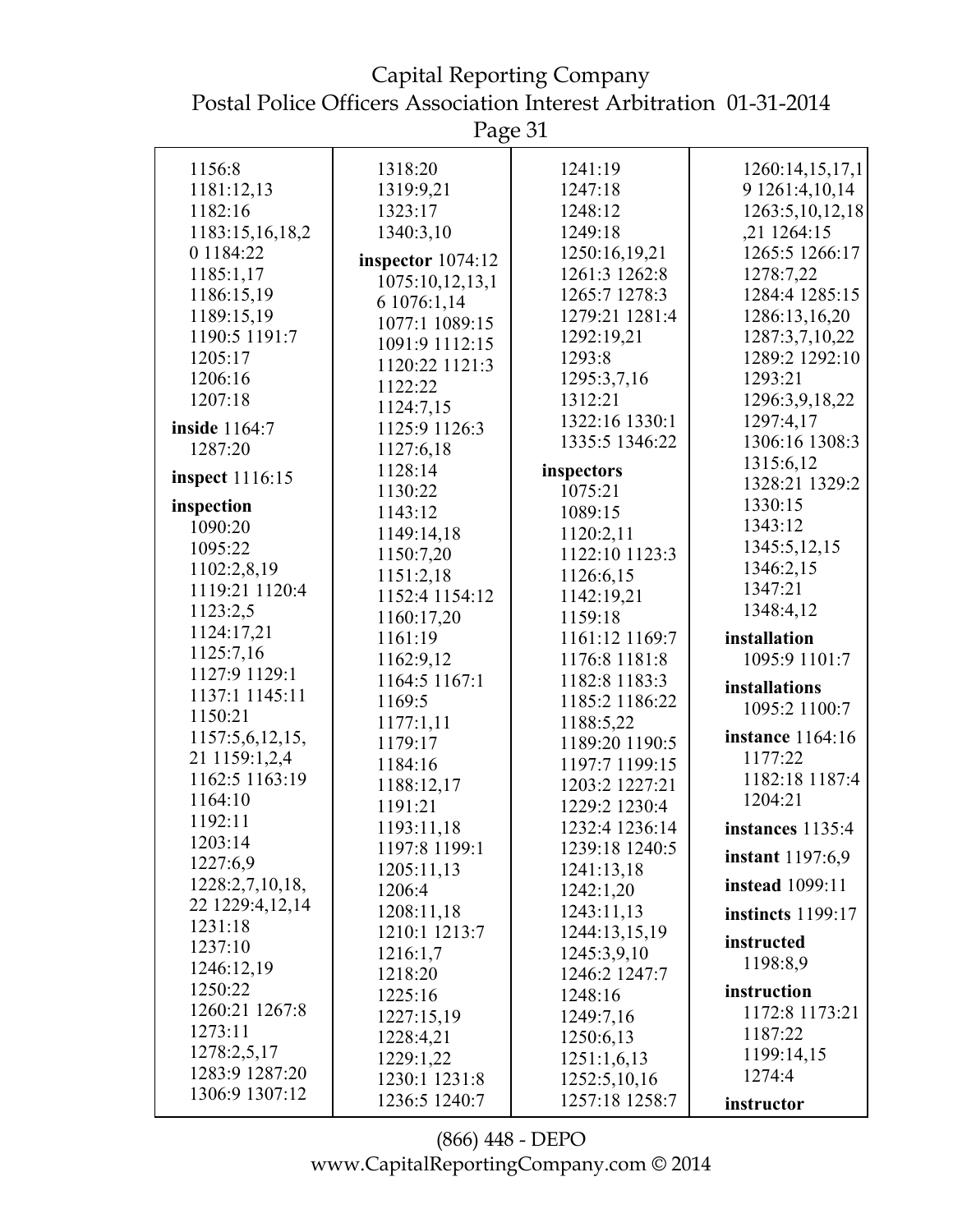Capital Reporting Company Postal Police Officers Association Interest Arbitration 01-31-2014

Page 31

| 1156:8                 | 1318:20             | 1241:19        | 1260:14,15,17,1          |
|------------------------|---------------------|----------------|--------------------------|
| 1181:12,13             | 1319:9,21           | 1247:18        | 9 1261:4,10,14           |
| 1182:16                | 1323:17             | 1248:12        | 1263:5, 10, 12, 18       |
| 1183:15,16,18,2        | 1340:3,10           | 1249:18        | ,21 1264:15              |
| 0 1184:22              | inspector $1074:12$ | 1250:16,19,21  | 1265:5 1266:17           |
| 1185:1,17              | 1075:10,12,13,1     | 1261:3 1262:8  | 1278:7,22                |
| 1186:15,19             | 6 1076:1,14         | 1265:7 1278:3  | 1284:4 1285:15           |
| 1189:15,19             | 1077:1 1089:15      | 1279:21 1281:4 | 1286:13,16,20            |
| 1190:5 1191:7          | 1091:9 1112:15      | 1292:19,21     | 1287:3,7,10,22           |
| 1205:17                | 1120:22 1121:3      | 1293:8         | 1289:2 1292:10           |
| 1206:16                | 1122:22             | 1295:3,7,16    | 1293:21                  |
| 1207:18                | 1124:7,15           | 1312:21        | 1296:3,9,18,22           |
| inside 1164:7          | 1125:9 1126:3       | 1322:16 1330:1 | 1297:4,17                |
| 1287:20                | 1127:6,18           | 1335:5 1346:22 | 1306:16 1308:3           |
|                        | 1128:14             | inspectors     | 1315:6,12                |
| <b>inspect</b> 1116:15 | 1130:22             | 1075:21        | 1328:21 1329:2           |
| inspection             | 1143:12             | 1089:15        | 1330:15                  |
| 1090:20                | 1149:14,18          | 1120:2,11      | 1343:12                  |
| 1095:22                | 1150:7,20           | 1122:10 1123:3 | 1345:5,12,15             |
| 1102:2,8,19            | 1151:2,18           | 1126:6,15      | 1346:2,15                |
| 1119:21 1120:4         | 1152:4 1154:12      | 1142:19,21     | 1347:21                  |
| 1123:2,5               | 1160:17,20          | 1159:18        | 1348:4,12                |
| 1124:17,21             | 1161:19             | 1161:12 1169:7 | installation             |
| 1125:7,16              | 1162:9,12           | 1176:8 1181:8  | 1095:9 1101:7            |
| 1127:9 1129:1          | 1164:5 1167:1       | 1182:8 1183:3  |                          |
| 1137:1 1145:11         | 1169:5              | 1185:2 1186:22 | installations            |
| 1150:21                | 1177:1,11           | 1188:5,22      | 1095:2 1100:7            |
| 1157:5,6,12,15,        | 1179:17             | 1189:20 1190:5 | <b>instance</b> 1164:16  |
| 21 1159:1,2,4          | 1184:16             | 1197:7 1199:15 | 1177:22                  |
| 1162:5 1163:19         | 1188:12,17          | 1203:2 1227:21 | 1182:18 1187:4           |
| 1164:10                | 1191:21             | 1229:2 1230:4  | 1204:21                  |
| 1192:11                | 1193:11,18          | 1232:4 1236:14 | instances 1135:4         |
| 1203:14                | 1197:8 1199:1       | 1239:18 1240:5 |                          |
| 1227:6,9               | 1205:11,13          | 1241:13,18     | <b>instant</b> 1197:6,9  |
| 1228:2,7,10,18,        | 1206:4              | 1242:1,20      | <b>instead</b> 1099:11   |
| 22 1229:4,12,14        | 1208:11,18          | 1243:11,13     | <b>instincts</b> 1199:17 |
| 1231:18                | 1210:1 1213:7       | 1244:13,15,19  |                          |
| 1237:10                | 1216:1,7            | 1245:3,9,10    | instructed<br>1198:8,9   |
| 1246:12,19             | 1218:20             | 1246:2 1247:7  |                          |
| 1250:22                | 1225:16             | 1248:16        | instruction              |
| 1260:21 1267:8         | 1227:15,19          | 1249:7,16      | 1172:8 1173:21           |
| 1273:11                | 1228:4,21           | 1250:6,13      | 1187:22                  |
| 1278:2,5,17            | 1229:1,22           | 1251:1,6,13    | 1199:14,15               |
| 1283:9 1287:20         | 1230:1 1231:8       | 1252:5, 10, 16 | 1274:4                   |
| 1306:9 1307:12         | 1236:5 1240:7       | 1257:18 1258:7 | instructor               |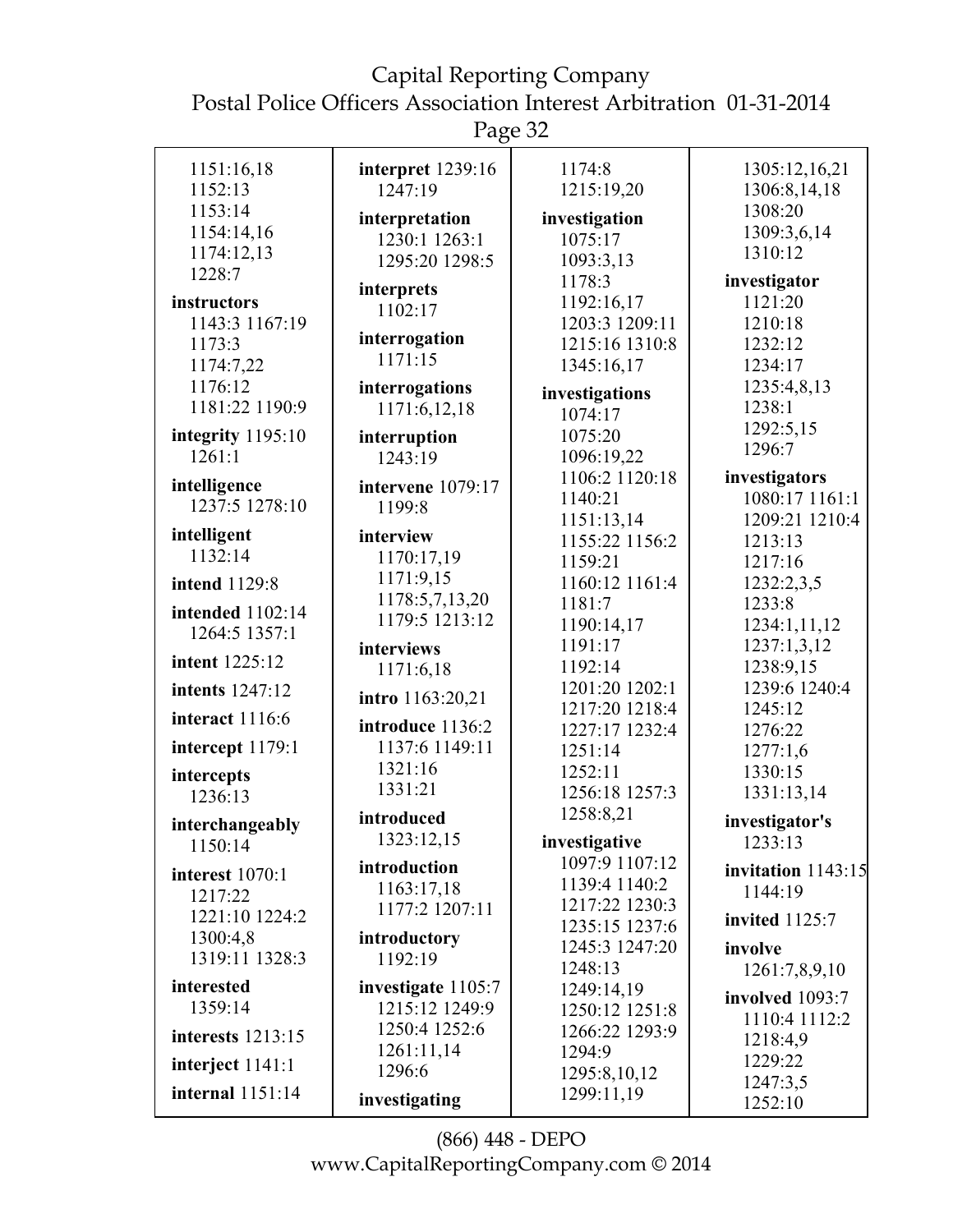Page 32

| 1151:16,18<br>1152:13          | interpret 1239:16<br>1247:19 | 1174:8<br>1215:19,20             | 1305:12,16,21<br>1306:8,14,18 |
|--------------------------------|------------------------------|----------------------------------|-------------------------------|
| 1153:14                        |                              |                                  | 1308:20                       |
| 1154:14,16                     | interpretation               | investigation                    | 1309:3,6,14                   |
| 1174:12,13                     | 1230:1 1263:1                | 1075:17                          | 1310:12                       |
| 1228:7                         | 1295:20 1298:5               | 1093:3,13<br>1178:3              | investigator                  |
| instructors                    | interprets                   | 1192:16,17                       | 1121:20                       |
| 1143:3 1167:19                 | 1102:17                      | 1203:3 1209:11                   | 1210:18                       |
| 1173:3                         | interrogation                | 1215:16 1310:8                   | 1232:12                       |
| 1174:7,22                      | 1171:15                      | 1345:16,17                       | 1234:17                       |
| 1176:12                        | interrogations               | investigations                   | 1235:4,8,13                   |
| 1181:22 1190:9                 | 1171:6,12,18                 | 1074:17                          | 1238:1                        |
| integrity 1195:10              | interruption                 | 1075:20                          | 1292:5,15                     |
| 1261:1                         | 1243:19                      | 1096:19,22                       | 1296:7                        |
|                                |                              | 1106:2 1120:18                   | investigators                 |
| intelligence<br>1237:5 1278:10 | intervene 1079:17            | 1140:21                          | 1080:17 1161:1                |
|                                | 1199:8                       | 1151:13,14                       | 1209:21 1210:4                |
| intelligent                    | interview                    | 1155:22 1156:2                   | 1213:13                       |
| 1132:14                        | 1170:17,19                   | 1159:21                          | 1217:16                       |
| <b>intend</b> 1129:8           | 1171:9,15                    | 1160:12 1161:4                   | 1232:2,3,5                    |
| intended 1102:14               | 1178:5,7,13,20               | 1181:7                           | 1233:8                        |
| 1264:5 1357:1                  | 1179:5 1213:12               | 1190:14,17                       | 1234:1,11,12                  |
| <b>intent</b> 1225:12          | interviews                   | 1191:17                          | 1237:1,3,12                   |
|                                | 1171:6,18                    | 1192:14                          | 1238:9,15                     |
| intents 1247:12                | intro 1163:20,21             | 1201:20 1202:1                   | 1239:6 1240:4                 |
| <b>interact</b> 1116:6         | introduce 1136:2             | 1217:20 1218:4<br>1227:17 1232:4 | 1245:12<br>1276:22            |
| intercept 1179:1               | 1137:6 1149:11               | 1251:14                          | 1277:1,6                      |
|                                | 1321:16                      | 1252:11                          | 1330:15                       |
| intercepts<br>1236:13          | 1331:21                      | 1256:18 1257:3                   | 1331:13,14                    |
|                                | introduced                   | 1258:8,21                        |                               |
| interchangeably                | 1323:12,15                   | investigative                    | investigator's<br>1233:13     |
| 1150:14                        |                              | 1097:9 1107:12                   |                               |
| interest 1070:1                | introduction                 | 1139:4 1140:2                    | invitation 1143:15            |
| 1217:22                        | 1163:17,18<br>1177:2 1207:11 | 1217:22 1230:3                   | 1144:19                       |
| 1221:10 1224:2                 |                              | 1235:15 1237:6                   | invited 1125:7                |
| 1300:4,8                       | introductory                 | 1245:3 1247:20                   | involve                       |
| 1319:11 1328:3                 | 1192:19                      | 1248:13                          | 1261:7,8,9,10                 |
| interested                     | investigate 1105:7           | 1249:14,19                       | involved 1093:7               |
| 1359:14                        | 1215:12 1249:9               | 1250:12 1251:8                   | 1110:4 1112:2                 |
| interests 1213:15              | 1250:4 1252:6                | 1266:22 1293:9                   | 1218:4,9                      |
| interject $1141:1$             | 1261:11,14                   | 1294:9                           | 1229:22                       |
|                                | 1296:6                       | 1295:8,10,12                     | 1247:3,5                      |
| <b>internal</b> 1151:14        | investigating                | 1299:11,19                       | 1252:10                       |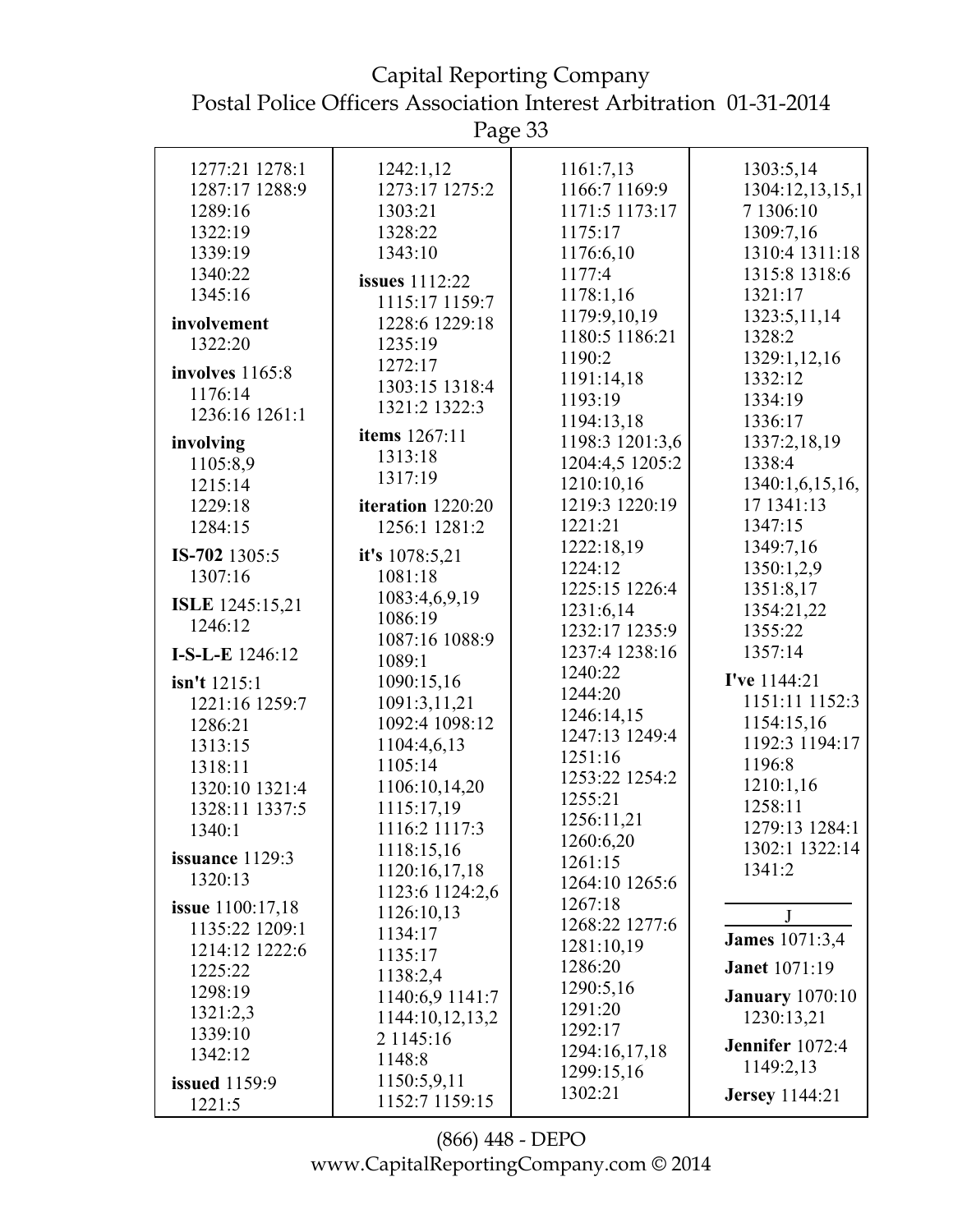Capital Reporting Company Postal Police Officers Association Interest Arbitration 01-31-2014

Page 33

| 1277:21 1278:1          | 1242:1,12         | 1161:7,13       | 1303:5,14              |
|-------------------------|-------------------|-----------------|------------------------|
|                         |                   |                 |                        |
| 1287:17 1288:9          | 1273:17 1275:2    | 1166:7 1169:9   | 1304:12,13,15,1        |
| 1289:16                 | 1303:21           | 1171:5 1173:17  | 7 1306:10              |
| 1322:19                 | 1328:22           | 1175:17         | 1309:7,16              |
|                         |                   |                 | 1310:4 1311:18         |
| 1339:19                 | 1343:10           | 1176:6,10       |                        |
| 1340:22                 | issues 1112:22    | 1177:4          | 1315:8 1318:6          |
| 1345:16                 | 1115:17 1159:7    | 1178:1,16       | 1321:17                |
|                         |                   | 1179:9,10,19    | 1323:5,11,14           |
| involvement             | 1228:6 1229:18    |                 |                        |
| 1322:20                 | 1235:19           | 1180:5 1186:21  | 1328:2                 |
|                         | 1272:17           | 1190:2          | 1329:1,12,16           |
| involves 1165:8         |                   | 1191:14,18      | 1332:12                |
| 1176:14                 | 1303:15 1318:4    | 1193:19         | 1334:19                |
| 1236:16 1261:1          | 1321:2 1322:3     |                 |                        |
|                         |                   | 1194:13,18      | 1336:17                |
| involving               | items 1267:11     | 1198:3 1201:3,6 | 1337:2,18,19           |
| 1105:8,9                | 1313:18           | 1204:4,5 1205:2 | 1338:4                 |
| 1215:14                 | 1317:19           | 1210:10,16      | 1340:1,6,15,16,        |
|                         |                   | 1219:3 1220:19  |                        |
| 1229:18                 | iteration 1220:20 |                 | 17 1341:13             |
| 1284:15                 | 1256:1 1281:2     | 1221:21         | 1347:15                |
| IS-702 1305:5           | it's 1078:5,21    | 1222:18,19      | 1349:7,16              |
|                         |                   | 1224:12         | 1350:1,2,9             |
| 1307:16                 | 1081:18           | 1225:15 1226:4  | 1351:8,17              |
| <b>ISLE</b> 1245:15,21  | 1083:4,6,9,19     |                 |                        |
|                         | 1086:19           | 1231:6,14       | 1354:21,22             |
| 1246:12                 | 1087:16 1088:9    | 1232:17 1235:9  | 1355:22                |
| I-S-L-E 1246:12         |                   | 1237:4 1238:16  | 1357:14                |
|                         | 1089:1            | 1240:22         |                        |
| isn't 1215:1            | 1090:15,16        | 1244:20         | I've 1144:21           |
| 1221:16 1259:7          | 1091:3,11,21      |                 | 1151:11 1152:3         |
| 1286:21                 | 1092:4 1098:12    | 1246:14,15      | 1154:15,16             |
|                         | 1104:4,6,13       | 1247:13 1249:4  | 1192:3 1194:17         |
| 1313:15                 |                   | 1251:16         |                        |
| 1318:11                 | 1105:14           | 1253:22 1254:2  | 1196:8                 |
| 1320:10 1321:4          | 1106:10,14,20     |                 | 1210:1,16              |
| 1328:11 1337:5          | 1115:17,19        | 1255:21         | 1258:11                |
| 1340:1                  | 1116:2 1117:3     | 1256:11,21      | 1279:13 1284:1         |
|                         |                   | 1260:6,20       | 1302:1 1322:14         |
| issuance $1129:3$       | 1118:15,16        | 1261:15         |                        |
| 1320:13                 | 1120:16,17,18     | 1264:10 1265:6  | 1341:2                 |
|                         | 1123:6 1124:2,6   |                 |                        |
| <b>issue</b> 1100:17,18 | 1126:10,13        | 1267:18         | J                      |
| 1135:22 1209:1          | 1134:17           | 1268:22 1277:6  |                        |
| 1214:12 1222:6          |                   | 1281:10,19      | <b>James</b> 1071:3,4  |
|                         | 1135:17           | 1286:20         | <b>Janet</b> 1071:19   |
| 1225:22                 | 1138:2,4          |                 |                        |
| 1298:19                 | 1140:6,9 1141:7   | 1290:5,16       | <b>January</b> 1070:10 |
| 1321:2,3                | 1144:10,12,13,2   | 1291:20         | 1230:13,21             |
| 1339:10                 | 2 1145:16         | 1292:17         |                        |
| 1342:12                 |                   | 1294:16,17,18   | Jennifer 1072:4        |
|                         | 1148:8            | 1299:15,16      | 1149:2,13              |
| <b>issued</b> 1159:9    | 1150:5,9,11       |                 |                        |
| 1221:5                  | 1152:7 1159:15    | 1302:21         | <b>Jersey</b> 1144:21  |
|                         |                   |                 |                        |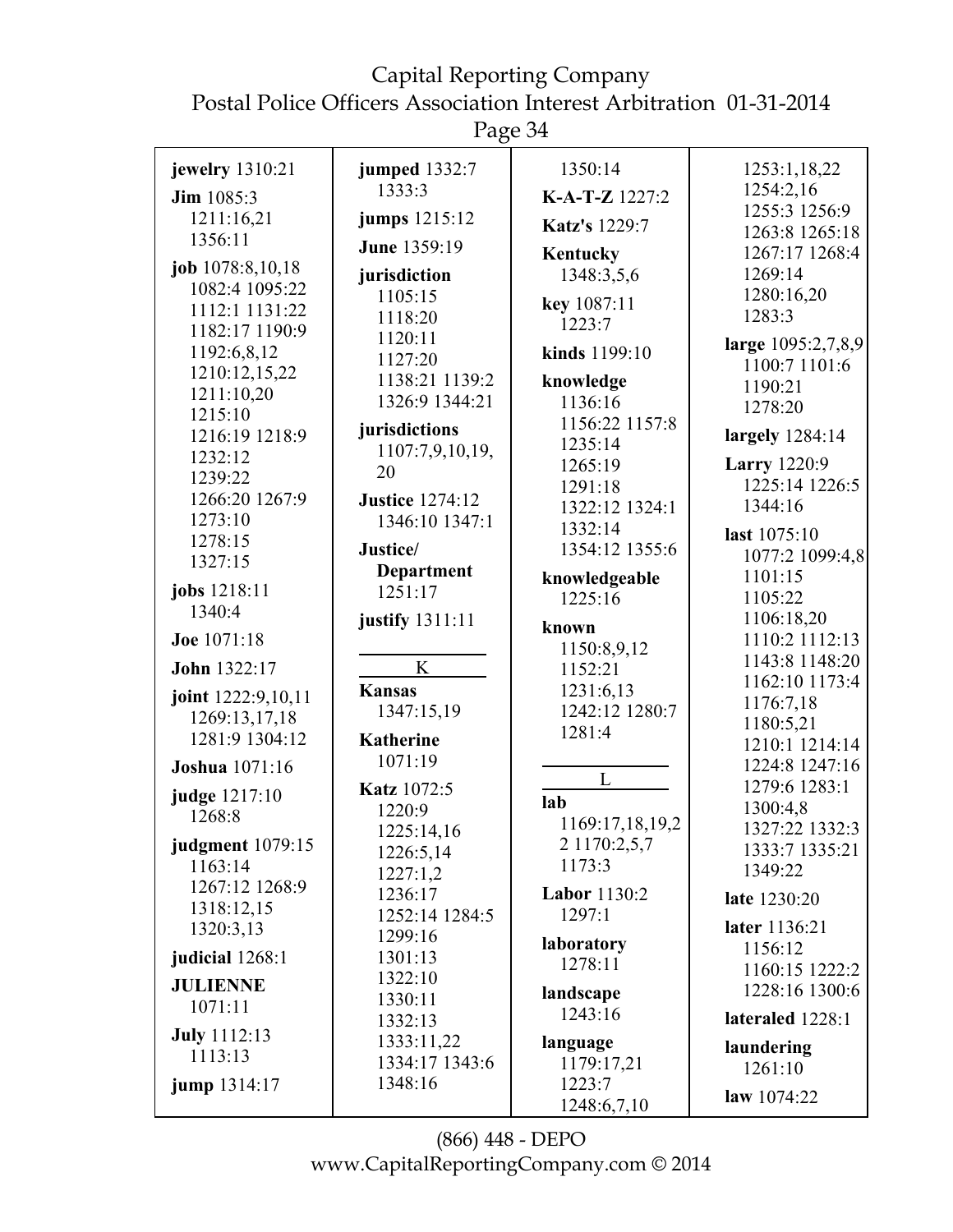Page 34

| jewelry 1310:21                | <b>jumped</b> 1332:7      | 1350:14                   | 1253:1,18,22                     |
|--------------------------------|---------------------------|---------------------------|----------------------------------|
| <b>Jim</b> $1085:3$            | 1333:3                    | K-A-T-Z 1227:2            | 1254:2,16                        |
| 1211:16,21                     | jumps 1215:12             | <b>Katz's</b> 1229:7      | 1255:3 1256:9                    |
| 1356:11                        | <b>June 1359:19</b>       |                           | 1263:8 1265:18                   |
| job 1078:8,10,18               |                           | <b>Kentucky</b>           | 1267:17 1268:4                   |
| 1082:4 1095:22                 | jurisdiction              | 1348:3,5,6                | 1269:14                          |
| 1112:1 1131:22                 | 1105:15                   | key 1087:11               | 1280:16,20<br>1283:3             |
| 1182:17 1190:9                 | 1118:20                   | 1223:7                    |                                  |
| 1192:6,8,12                    | 1120:11                   | kinds 1199:10             | large 1095:2,7,8,9               |
| 1210:12,15,22                  | 1127:20<br>1138:21 1139:2 |                           | 1100:7 1101:6                    |
| 1211:10,20                     | 1326:9 1344:21            | knowledge                 | 1190:21                          |
| 1215:10                        |                           | 1136:16                   | 1278:20                          |
| 1216:19 1218:9                 | jurisdictions             | 1156:22 1157:8<br>1235:14 | largely $1284:14$                |
| 1232:12                        | 1107:7,9,10,19,           | 1265:19                   | <b>Larry</b> 1220:9              |
| 1239:22                        | 20                        | 1291:18                   | 1225:14 1226:5                   |
| 1266:20 1267:9                 | <b>Justice</b> 1274:12    | 1322:12 1324:1            | 1344:16                          |
| 1273:10                        | 1346:10 1347:1            | 1332:14                   |                                  |
| 1278:15                        | Justice/                  | 1354:12 1355:6            | last 1075:10                     |
| 1327:15                        | <b>Department</b>         |                           | 1077:2 1099:4,8                  |
| jobs 1218:11                   | 1251:17                   | knowledgeable             | 1101:15                          |
| 1340:4                         |                           | 1225:16                   | 1105:22                          |
| Joe 1071:18                    | justify 1311:11           | known                     | 1106:18,20<br>1110:2 1112:13     |
|                                |                           | 1150:8,9,12               | 1143:8 1148:20                   |
| John 1322:17                   | K                         | 1152:21                   | 1162:10 1173:4                   |
| joint 1222:9,10,11             | <b>Kansas</b>             | 1231:6,13                 | 1176:7,18                        |
| 1269:13,17,18                  | 1347:15,19                | 1242:12 1280:7            | 1180:5,21                        |
| 1281:9 1304:12                 | <b>Katherine</b>          | 1281:4                    | 1210:1 1214:14                   |
| Joshua 1071:16                 | 1071:19                   |                           | 1224:8 1247:16                   |
|                                | Katz 1072:5               | L                         | 1279:6 1283:1                    |
| judge 1217:10                  | 1220:9                    | lab                       | 1300:4,8                         |
| 1268:8                         | 1225:14,16                | 1169:17,18,19,2           | 1327:22 1332:3                   |
| judgment 1079:15               | 1226:5,14                 | 2 1170:2,5,7              | 1333:7 1335:21                   |
| 1163:14                        | 1227:1,2                  | 1173:3                    | 1349:22                          |
| 1267:12 1268:9                 | 1236:17                   | <b>Labor</b> 1130:2       | late 1230:20                     |
| 1318:12,15                     | 1252:14 1284:5            | 1297:1                    |                                  |
| 1320:3,13                      | 1299:16                   | laboratory                | later 1136:21                    |
| judicial 1268:1                | 1301:13                   | 1278:11                   | 1156:12                          |
| <b>JULIENNE</b>                | 1322:10                   |                           | 1160:15 1222:2<br>1228:16 1300:6 |
| 1071:11                        | 1330:11                   | landscape                 |                                  |
|                                | 1332:13                   | 1243:16                   | lateraled 1228:1                 |
| <b>July</b> 1112:13<br>1113:13 | 1333:11,22                | language                  | laundering                       |
|                                | 1334:17 1343:6            | 1179:17,21                | 1261:10                          |
| jump 1314:17                   | 1348:16                   | 1223:7                    | law 1074:22                      |
|                                |                           | 1248:6,7,10               |                                  |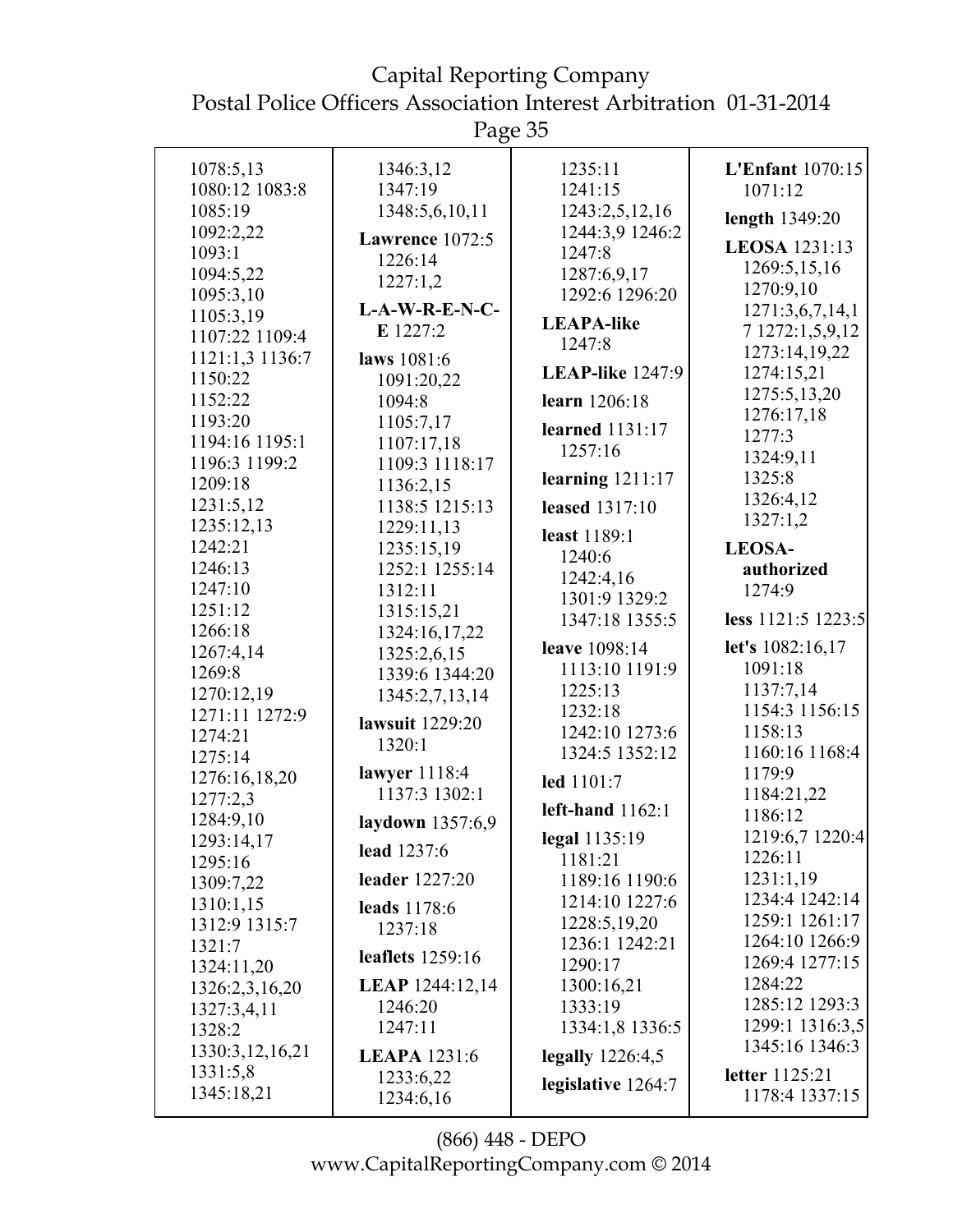| 1078:5,13             | 1346:3,12              | 1235:11                          | <b>L'Enfant</b> 1070:15   |
|-----------------------|------------------------|----------------------------------|---------------------------|
| 1080:12 1083:8        | 1347:19                | 1241:15                          | 1071:12                   |
| 1085:19               | 1348:5,6,10,11         | 1243:2,5,12,16                   | length 1349:20            |
| 1092:2,22             | Lawrence 1072:5        | 1244:3,9 1246:2                  |                           |
| 1093:1                | 1226:14                | 1247:8                           | LEOSA 1231:13             |
| 1094:5,22             | 1227:1,2               | 1287:6,9,17                      | 1269:5,15,16              |
| 1095:3,10             |                        | 1292:6 1296:20                   | 1270:9,10                 |
| 1105:3,19             | $L-A-W-R-E-N-C-$       | <b>LEAPA-like</b>                | 1271:3,6,7,14,1           |
| 1107:22 1109:4        | E 1227:2               | 1247:8                           | 7 1272:1,5,9,12           |
| 1121:1,3 1136:7       | laws 1081:6            |                                  | 1273:14,19,22             |
| 1150:22               | 1091:20,22             | <b>LEAP-like</b> 1247:9          | 1274:15,21                |
| 1152:22               | 1094:8                 | learn 1206:18                    | 1275:5,13,20              |
| 1193:20               | 1105:7,17              | <b>learned</b> 1131:17           | 1276:17,18                |
| 1194:16 1195:1        | 1107:17,18             | 1257:16                          | 1277:3                    |
| 1196:3 1199:2         | 1109:3 1118:17         |                                  | 1324:9,11                 |
| 1209:18               | 1136:2,15              | learning $1211:17$               | 1325:8                    |
| 1231:5,12             | 1138:5 1215:13         | <b>leased</b> 1317:10            | 1326:4,12                 |
| 1235:12,13            | 1229:11,13             | least 1189:1                     | 1327:1,2                  |
| 1242:21               | 1235:15,19             | 1240:6                           | <b>LEOSA-</b>             |
| 1246:13               | 1252:1 1255:14         | 1242:4,16                        | authorized                |
| 1247:10               | 1312:11                | 1301:9 1329:2                    | 1274:9                    |
| 1251:12               | 1315:15,21             | 1347:18 1355:5                   | less 1121:5 1223:5        |
| 1266:18               | 1324:16,17,22          |                                  |                           |
| 1267:4,14             | 1325:2,6,15            | leave 1098:14                    | let's 1082:16,17          |
| 1269:8                | 1339:6 1344:20         | 1113:10 1191:9                   | 1091:18                   |
| 1270:12,19            | 1345:2,7,13,14         | 1225:13                          | 1137:7,14                 |
| 1271:11 1272:9        | lawsuit 1229:20        | 1232:18                          | 1154:3 1156:15            |
| 1274:21               | 1320:1                 | 1242:10 1273:6<br>1324:5 1352:12 | 1158:13<br>1160:16 1168:4 |
| 1275:14               | lawyer 1118:4          |                                  |                           |
| 1276:16,18,20         | 1137:3 1302:1          | led 1101:7                       | 1179:9                    |
| 1277:2,3              |                        | left-hand $1162:1$               | 1184:21,22<br>1186:12     |
| 1284:9,10             | laydown 1357:6,9       |                                  | 1219:6,7 1220:4           |
| 1293:14,17            | lead 1237:6            | legal 1135:19<br>1181:21         | 1226:11                   |
| 1295:16               | <b>leader</b> 1227:20  | 1189:16 1190:6                   | 1231:1,19                 |
| 1309:7,22             |                        | 1214:10 1227:6                   | 1234:4 1242:14            |
| 1310:1,15             | leads 1178:6           |                                  | 1259:1 1261:17            |
| 1312:9 1315:7         | 1237:18                | 1228:5,19,20<br>1236:1 1242:21   | 1264:10 1266:9            |
| 1321:7                | leaflets 1259:16       | 1290:17                          | 1269:4 1277:15            |
| 1324:11,20            | <b>LEAP</b> 1244:12,14 | 1300:16,21                       | 1284:22                   |
| 1326:2,3,16,20        | 1246:20                | 1333:19                          | 1285:12 1293:3            |
| 1327:3,4,11<br>1328:2 | 1247:11                | 1334:1,8 1336:5                  | 1299:1 1316:3,5           |
|                       |                        |                                  | 1345:16 1346:3            |
| 1330:3,12,16,21       | <b>LEAPA</b> 1231:6    | legally $1226:4,5$               |                           |
| 1331:5,8              | 1233:6,22              | legislative 1264:7               | <b>letter</b> 1125:21     |
| 1345:18,21            | 1234:6,16              |                                  | 1178:4 1337:15            |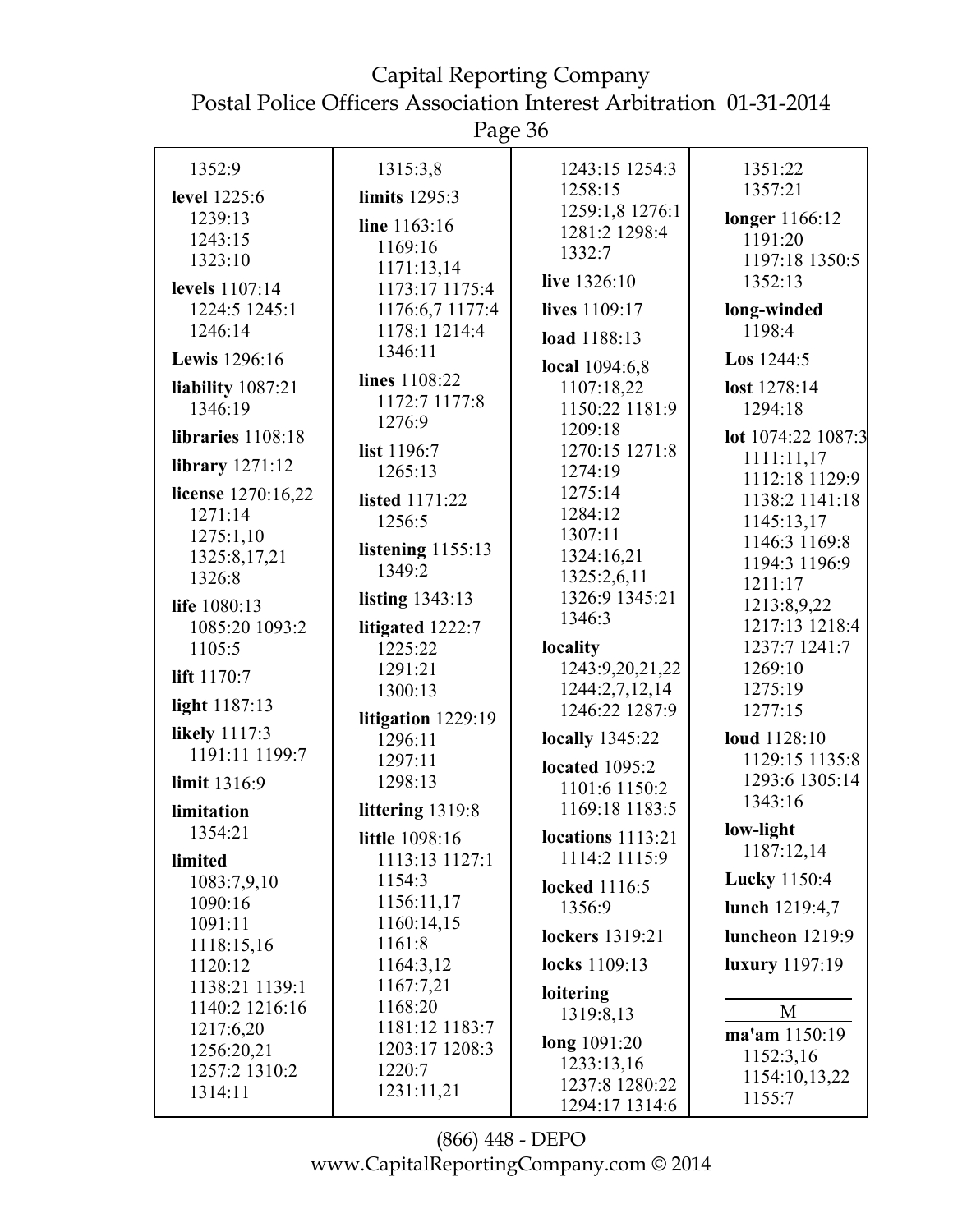Page 36

|                        | ັ                        |                                        |                              |
|------------------------|--------------------------|----------------------------------------|------------------------------|
| 1352:9                 | 1315:3,8                 | 1243:15 1254:3                         | 1351:22                      |
| level 1225:6           | limits 1295:3            | 1258:15                                | 1357:21                      |
| 1239:13                | line 1163:16             | 1259:1,8 1276:1                        | longer 1166:12               |
| 1243:15                | 1169:16                  | 1281:2 1298:4                          | 1191:20                      |
| 1323:10                | 1171:13,14               | 1332:7                                 | 1197:18 1350:5               |
| levels 1107:14         | 1173:17 1175:4           | live 1326:10                           | 1352:13                      |
| 1224:5 1245:1          | 1176:6,7 1177:4          | lives 1109:17                          | long-winded                  |
| 1246:14                | 1178:1 1214:4            | load 1188:13                           | 1198:4                       |
| Lewis 1296:16          | 1346:11                  | local 1094:6,8                         | <b>Los</b> $1244:5$          |
| liability 1087:21      | lines 1108:22            | 1107:18,22                             | lost 1278:14                 |
| 1346:19                | 1172:7 1177:8            | 1150:22 1181:9                         | 1294:18                      |
|                        | 1276:9                   | 1209:18                                |                              |
| libraries 1108:18      | list 1196:7              | 1270:15 1271:8                         | lot 1074:22 1087:3           |
| library 1271:12        | 1265:13                  | 1274:19                                | 1111:11,17<br>1112:18 1129:9 |
| license 1270:16,22     | listed 1171:22           | 1275:14                                | 1138:2 1141:18               |
| 1271:14                | 1256:5                   | 1284:12                                | 1145:13,17                   |
| 1275:1,10              |                          | 1307:11                                | 1146:3 1169:8                |
| 1325:8,17,21           | listening $1155:13$      | 1324:16,21                             | 1194:3 1196:9                |
| 1326:8                 | 1349:2                   | 1325:2,6,11                            | 1211:17                      |
| life 1080:13           | listing $1343:13$        | 1326:9 1345:21                         | 1213:8,9,22                  |
| 1085:20 1093:2         | litigated 1222:7         | 1346:3                                 | 1217:13 1218:4               |
| 1105:5                 | 1225:22                  | locality                               | 1237:7 1241:7                |
| lift 1170:7            | 1291:21                  | 1243:9,20,21,22                        | 1269:10                      |
|                        | 1300:13                  | 1244:2,7,12,14                         | 1275:19                      |
| light 1187:13          | litigation 1229:19       | 1246:22 1287:9                         | 1277:15                      |
| likely 1117:3          | 1296:11                  | locally 1345:22                        | loud 1128:10                 |
| 1191:11 1199:7         | 1297:11                  |                                        | 1129:15 1135:8               |
| limit 1316:9           | 1298:13                  | <b>located</b> 1095:2<br>1101:6 1150:2 | 1293:6 1305:14               |
|                        |                          | 1169:18 1183:5                         | 1343:16                      |
| limitation<br>1354:21  | littering 1319:8         |                                        | low-light                    |
|                        | little 1098:16           | locations 1113:21<br>1114:2 1115:9     | 1187:12,14                   |
| limited                | 1113:13 1127:1<br>1154:3 |                                        | <b>Lucky</b> 1150:4          |
| 1083:7,9,10<br>1090:16 | 1156:11,17               | locked 1116:5                          |                              |
| 1091:11                | 1160:14,15               | 1356:9                                 | lunch 1219:4,7               |
| 1118:15,16             | 1161:8                   | lockers 1319:21                        | luncheon $1219:9$            |
| 1120:12                | 1164:3,12                | locks 1109:13                          | <b>luxury</b> 1197:19        |
| 1138:21 1139:1         | 1167:7,21                | loitering                              |                              |
| 1140:2 1216:16         | 1168:20                  | 1319:8,13                              | M                            |
| 1217:6,20              | 1181:12 1183:7           | long 1091:20                           | ma'am 1150:19                |
| 1256:20,21             | 1203:17 1208:3           | 1233:13,16                             | 1152:3,16                    |
| 1257:2 1310:2          | 1220:7<br>1231:11,21     | 1237:8 1280:22                         | 1154:10,13,22                |
| 1314:11                |                          | 1294:17 1314:6                         | 1155:7                       |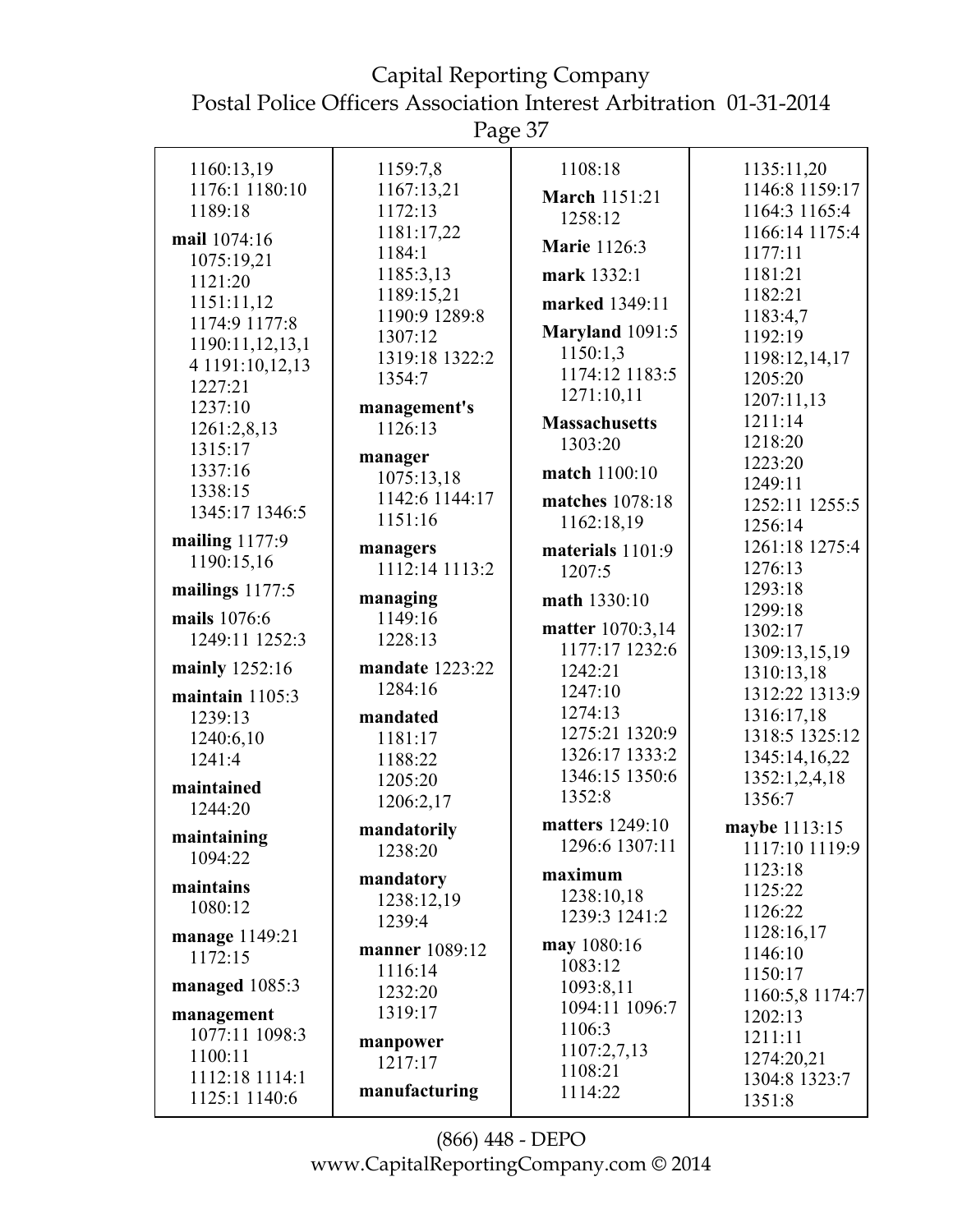Page 37

| 1160:13,19                   | 1159:7,8        | 1108:18                         | 1135:11,20      |
|------------------------------|-----------------|---------------------------------|-----------------|
| 1176:1 1180:10               | 1167:13,21      |                                 | 1146:8 1159:17  |
| 1189:18                      | 1172:13         | <b>March 1151:21</b><br>1258:12 | 1164:3 1165:4   |
| mail 1074:16                 | 1181:17,22      |                                 | 1166:14 1175:4  |
|                              | 1184:1          | <b>Marie</b> 1126:3             | 1177:11         |
| 1075:19,21<br>1121:20        | 1185:3,13       | mark 1332:1                     | 1181:21         |
| 1151:11,12                   | 1189:15,21      |                                 | 1182:21         |
| 1174:9 1177:8                | 1190:9 1289:8   | marked 1349:11                  | 1183:4,7        |
|                              | 1307:12         | Maryland 1091:5                 | 1192:19         |
| 1190:11,12,13,1              | 1319:18 1322:2  | 1150:1,3                        | 1198:12,14,17   |
| 4 1191:10,12,13<br>1227:21   | 1354:7          | 1174:12 1183:5                  | 1205:20         |
| 1237:10                      |                 | 1271:10,11                      | 1207:11,13      |
|                              | management's    | <b>Massachusetts</b>            | 1211:14         |
| 1261:2,8,13                  | 1126:13         | 1303:20                         | 1218:20         |
| 1315:17                      | manager         |                                 | 1223:20         |
| 1337:16                      | 1075:13,18      | match 1100:10                   | 1249:11         |
| 1338:15                      | 1142:6 1144:17  | matches 1078:18                 | 1252:11 1255:5  |
| 1345:17 1346:5               | 1151:16         | 1162:18,19                      | 1256:14         |
| mailing $1177:9$             | managers        | materials 1101:9                | 1261:18 1275:4  |
| 1190:15,16                   | 1112:14 1113:2  | 1207:5                          | 1276:13         |
| mailings $1177:5$            |                 |                                 | 1293:18         |
|                              | managing        | math 1330:10                    | 1299:18         |
| mails 1076:6                 | 1149:16         | matter 1070:3,14                | 1302:17         |
| 1249:11 1252:3               | 1228:13         | 1177:17 1232:6                  | 1309:13,15,19   |
| mainly 1252:16               | mandate 1223:22 | 1242:21                         | 1310:13,18      |
| maintain $1105:3$            | 1284:16         | 1247:10                         | 1312:22 1313:9  |
| 1239:13                      | mandated        | 1274:13                         | 1316:17,18      |
| 1240:6,10                    | 1181:17         | 1275:21 1320:9                  | 1318:5 1325:12  |
| 1241:4                       | 1188:22         | 1326:17 1333:2                  | 1345:14,16,22   |
|                              | 1205:20         | 1346:15 1350:6                  | 1352:1,2,4,18   |
| maintained                   | 1206:2,17       | 1352:8                          | 1356:7          |
| 1244:20                      |                 | matters 1249:10                 |                 |
| maintaining                  | mandatorily     | 1296:6 1307:11                  | maybe 1113:15   |
| 1094:22                      | 1238:20         |                                 | 1117:10 1119:9  |
| maintains                    | mandatory       | maximum                         | 1123:18         |
| 1080:12                      | 1238:12,19      | 1238:10,18                      | 1125:22         |
|                              | 1239:4          | 1239:3 1241:2                   | 1126:22         |
| manage 1149:21               | manner 1089:12  | may 1080:16                     | 1128:16,17      |
| 1172:15                      | 1116:14         | 1083:12                         | 1146:10         |
| managed $1085:3$             | 1232:20         | 1093:8,11                       | 1150:17         |
|                              | 1319:17         | 1094:11 1096:7                  | 1160:5,8 1174:7 |
| management<br>1077:11 1098:3 |                 | 1106:3                          | 1202:13         |
| 1100:11                      | manpower        | 1107:2,7,13                     | 1211:11         |
|                              | 1217:17         | 1108:21                         | 1274:20,21      |
| 1112:18 1114:1               | manufacturing   | 1114:22                         | 1304:8 1323:7   |
| 1125:1 1140:6                |                 |                                 | 1351:8          |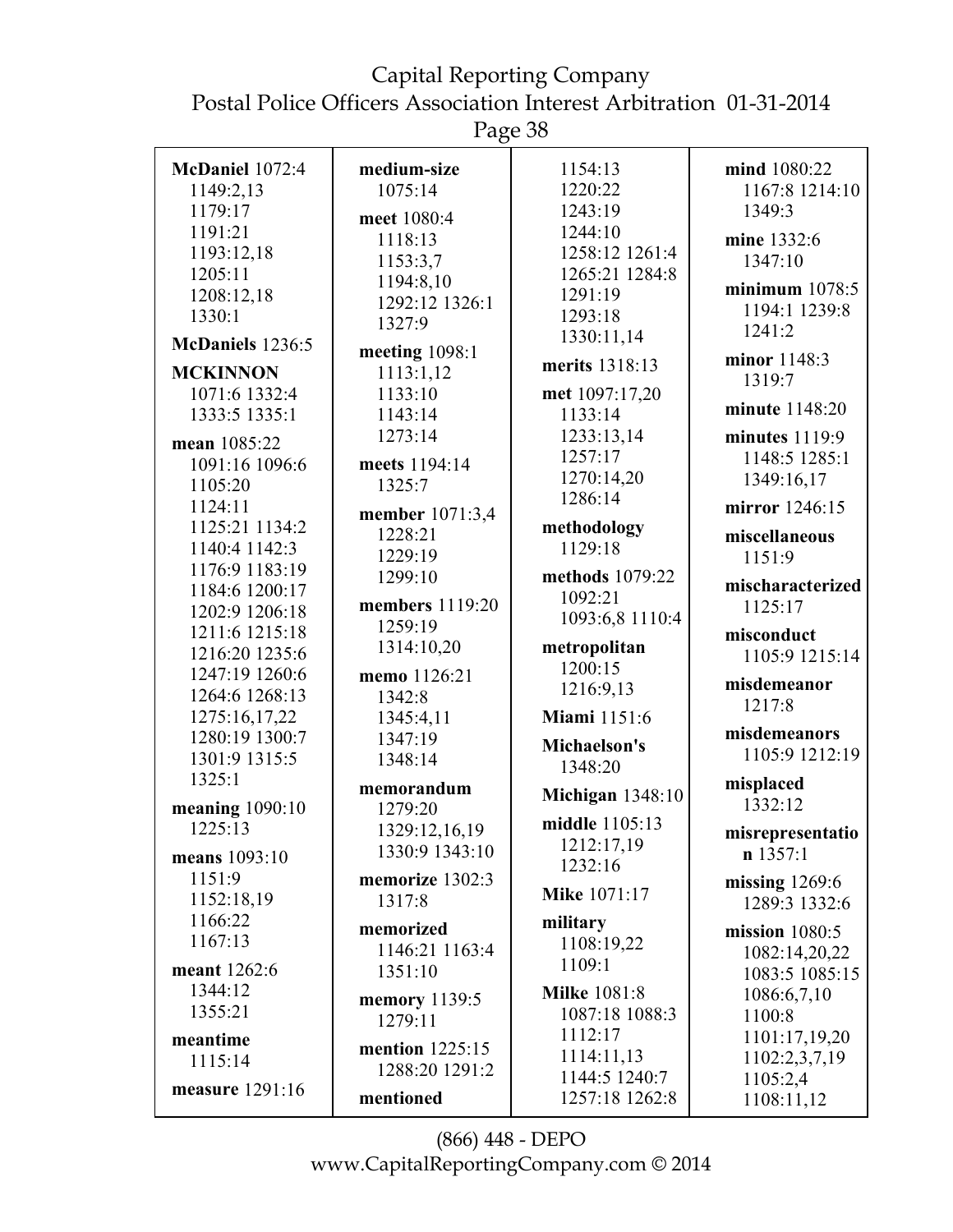Page 38

| McDaniel 1072:4   | medium-size            | 1154:13                 | mind 1080:22                 |
|-------------------|------------------------|-------------------------|------------------------------|
| 1149:2,13         | 1075:14                | 1220:22                 | 1167:8 1214:10               |
| 1179:17           | meet 1080:4            | 1243:19                 | 1349:3                       |
| 1191:21           | 1118:13                | 1244:10                 | mine 1332:6                  |
| 1193:12,18        | 1153:3,7               | 1258:12 1261:4          | 1347:10                      |
| 1205:11           | 1194:8,10              | 1265:21 1284:8          |                              |
| 1208:12,18        | 1292:12 1326:1         | 1291:19                 | minimum $1078:5$             |
| 1330:1            | 1327:9                 | 1293:18                 | 1194:1 1239:8                |
| McDaniels 1236:5  |                        | 1330:11,14              | 1241:2                       |
|                   | meeting $1098:1$       | merits 1318:13          | minor 1148:3                 |
| <b>MCKINNON</b>   | 1113:1,12              |                         | 1319:7                       |
| 1071:6 1332:4     | 1133:10                | met 1097:17,20          | minute 1148:20               |
| 1333:5 1335:1     | 1143:14                | 1133:14                 |                              |
| mean 1085:22      | 1273:14                | 1233:13,14              | minutes $1119:9$             |
| 1091:16 1096:6    | meets 1194:14          | 1257:17                 | 1148:5 1285:1                |
| 1105:20           | 1325:7                 | 1270:14,20              | 1349:16,17                   |
| 1124:11           | member 1071:3,4        | 1286:14                 | mirror 1246:15               |
| 1125:21 1134:2    | 1228:21                | methodology             | miscellaneous                |
| 1140:4 1142:3     | 1229:19                | 1129:18                 | 1151:9                       |
| 1176:9 1183:19    | 1299:10                | methods 1079:22         |                              |
| 1184:6 1200:17    |                        | 1092:21                 | mischaracterized             |
| 1202:9 1206:18    | members 1119:20        | 1093:6,8 1110:4         | 1125:17                      |
| 1211:6 1215:18    | 1259:19                |                         | misconduct                   |
| 1216:20 1235:6    | 1314:10,20             | metropolitan            | 1105:9 1215:14               |
| 1247:19 1260:6    | memo 1126:21           | 1200:15                 |                              |
| 1264:6 1268:13    | 1342:8                 | 1216:9,13               | misdemeanor<br>1217:8        |
| 1275:16,17,22     | 1345:4,11              | <b>Miami</b> 1151:6     |                              |
| 1280:19 1300:7    | 1347:19                | Michaelson's            | misdemeanors                 |
| 1301:9 1315:5     | 1348:14                | 1348:20                 | 1105:9 1212:19               |
| 1325:1            | memorandum             |                         | misplaced                    |
| meaning $1090:10$ | 1279:20                | <b>Michigan</b> 1348:10 | 1332:12                      |
| 1225:13           | 1329:12,16,19          | middle 1105:13          |                              |
|                   | 1330:9 1343:10         | 1212:17,19              | misrepresentatio<br>n 1357:1 |
| means 1093:10     |                        | 1232:16                 |                              |
| 1151:9            | memorize 1302:3        | <b>Mike 1071:17</b>     | missing $1269:6$             |
| 1152:18,19        | 1317:8                 |                         | 1289:3 1332:6                |
| 1166:22           | memorized              | military                | mission $1080:5$             |
| 1167:13           | 1146:21 1163:4         | 1108:19,22              | 1082:14,20,22                |
| meant 1262:6      | 1351:10                | 1109:1                  | 1083:5 1085:15               |
| 1344:12           | <b>memory</b> 1139:5   | <b>Milke 1081:8</b>     | 1086:6,7,10                  |
| 1355:21           | 1279:11                | 1087:18 1088:3          | 1100:8                       |
| meantime          |                        | 1112:17                 | 1101:17,19,20                |
| 1115:14           | <b>mention</b> 1225:15 | 1114:11,13              | 1102:2,3,7,19                |
|                   | 1288:20 1291:2         | 1144:5 1240:7           | 1105:2,4                     |
| measure 1291:16   | mentioned              | 1257:18 1262:8          | 1108:11,12                   |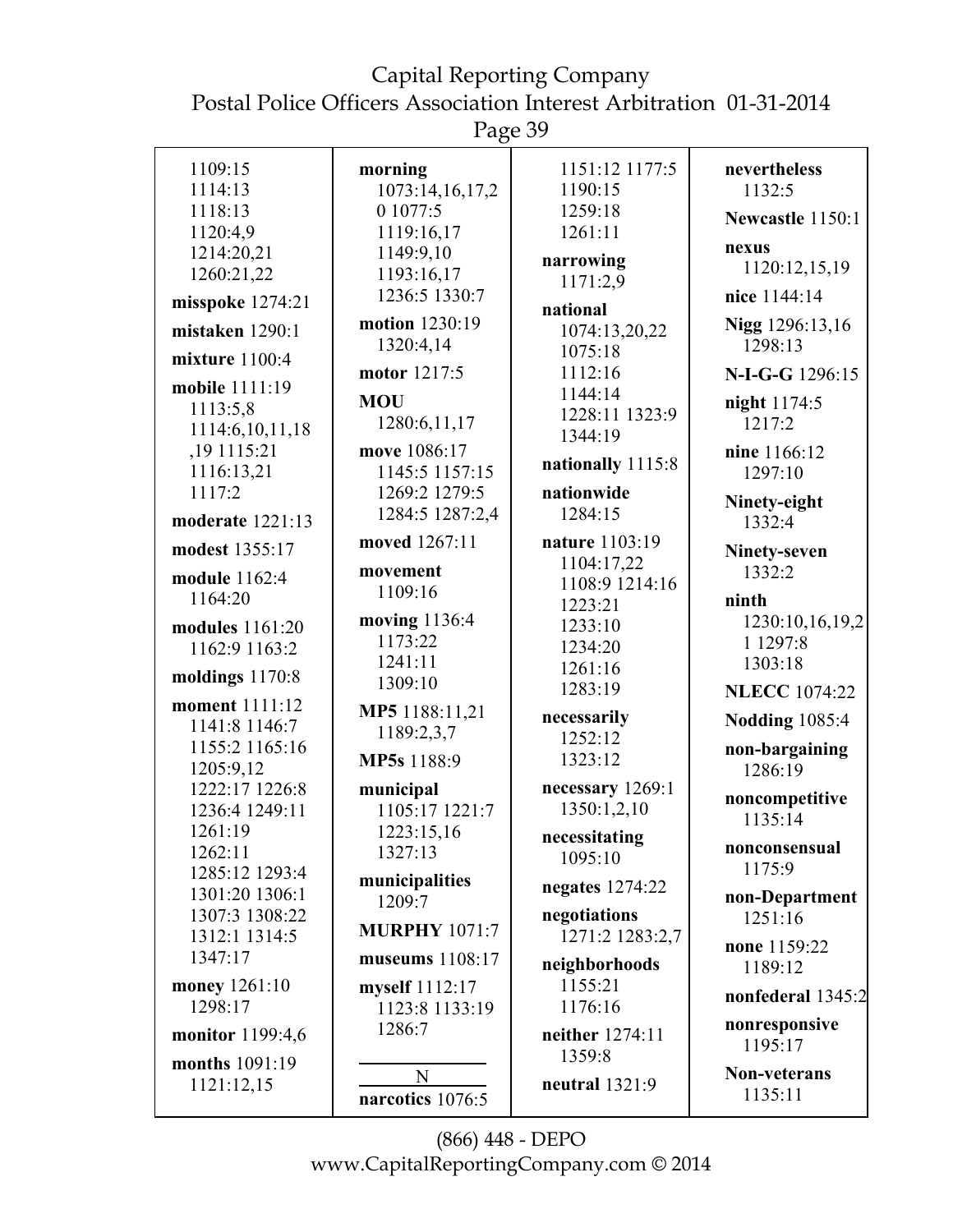Page 39

|                      | ັ                    |                   |                         |
|----------------------|----------------------|-------------------|-------------------------|
| 1109:15              | morning              | 1151:12 1177:5    | nevertheless            |
| 1114:13              | 1073:14,16,17,2      | 1190:15           | 1132:5                  |
| 1118:13              | 0 1077:5             | 1259:18           | Newcastle 1150:1        |
| 1120:4,9             | 1119:16,17           | 1261:11           |                         |
| 1214:20,21           | 1149:9,10            | narrowing         | nexus                   |
| 1260:21,22           | 1193:16,17           | 1171:2,9          | 1120:12,15,19           |
| misspoke 1274:21     | 1236:5 1330:7        | national          | nice 1144:14            |
| mistaken 1290:1      | motion 1230:19       | 1074:13,20,22     | Nigg 1296:13,16         |
|                      | 1320:4,14            | 1075:18           | 1298:13                 |
| mixture $1100:4$     | motor 1217:5         | 1112:16           | N-I-G-G 1296:15         |
| mobile 1111:19       | <b>MOU</b>           | 1144:14           | night 1174:5            |
| 1113:5,8             | 1280:6,11,17         | 1228:11 1323:9    | 1217:2                  |
| 1114:6,10,11,18      |                      | 1344:19           |                         |
| ,19 1115:21          | move 1086:17         | nationally 1115:8 | nine 1166:12            |
| 1116:13,21           | 1145:5 1157:15       |                   | 1297:10                 |
| 1117:2               | 1269:2 1279:5        | nationwide        | Ninety-eight            |
| moderate 1221:13     | 1284:5 1287:2,4      | 1284:15           | 1332:4                  |
| modest 1355:17       | moved 1267:11        | nature 1103:19    | Ninety-seven            |
| module 1162:4        | movement             | 1104:17,22        | 1332:2                  |
| 1164:20              | 1109:16              | 1108:9 1214:16    |                         |
|                      |                      | 1223:21           | ninth                   |
| modules 1161:20      | moving 1136:4        | 1233:10           | 1230:10,16,19,2         |
| 1162:9 1163:2        | 1173:22              | 1234:20           | 1 1297:8                |
| moldings 1170:8      | 1241:11              | 1261:16           | 1303:18                 |
|                      | 1309:10              | 1283:19           | <b>NLECC</b> 1074:22    |
| moment 1111:12       | MP5 1188:11,21       | necessarily       | <b>Nodding 1085:4</b>   |
| 1141:8 1146:7        | 1189:2,3,7           | 1252:12           |                         |
| 1155:2 1165:16       | MP5s 1188:9          | 1323:12           | non-bargaining          |
| 1205:9,12            |                      |                   | 1286:19                 |
| 1222:17 1226:8       | municipal            | necessary 1269:1  | noncompetitive          |
| 1236:4 1249:11       | 1105:17 1221:7       | 1350:1,2,10       | 1135:14                 |
| 1261:19              | 1223:15,16           | necessitating     |                         |
| 1262:11              | 1327:13              | 1095:10           | nonconsensual<br>1175:9 |
| 1285:12 1293:4       | municipalities       | negates $1274:22$ |                         |
| 1301:20 1306:1       | 1209:7               |                   | non-Department          |
| 1307:3 1308:22       | <b>MURPHY 1071:7</b> | negotiations      | 1251:16                 |
| 1312:1 1314:5        |                      | 1271:2 1283:2,7   | none 1159:22            |
| 1347:17              | museums 1108:17      | neighborhoods     | 1189:12                 |
| <b>money</b> 1261:10 | myself 1112:17       | 1155:21           | nonfederal 1345:2       |
| 1298:17              | 1123:8 1133:19       | 1176:16           |                         |
| monitor 1199:4,6     | 1286:7               | neither 1274:11   | nonresponsive           |
| months 1091:19       |                      | 1359:8            | 1195:17                 |
| 1121:12,15           | N                    | neutral 1321:9    | <b>Non-veterans</b>     |
|                      | narcotics 1076:5     |                   | 1135:11                 |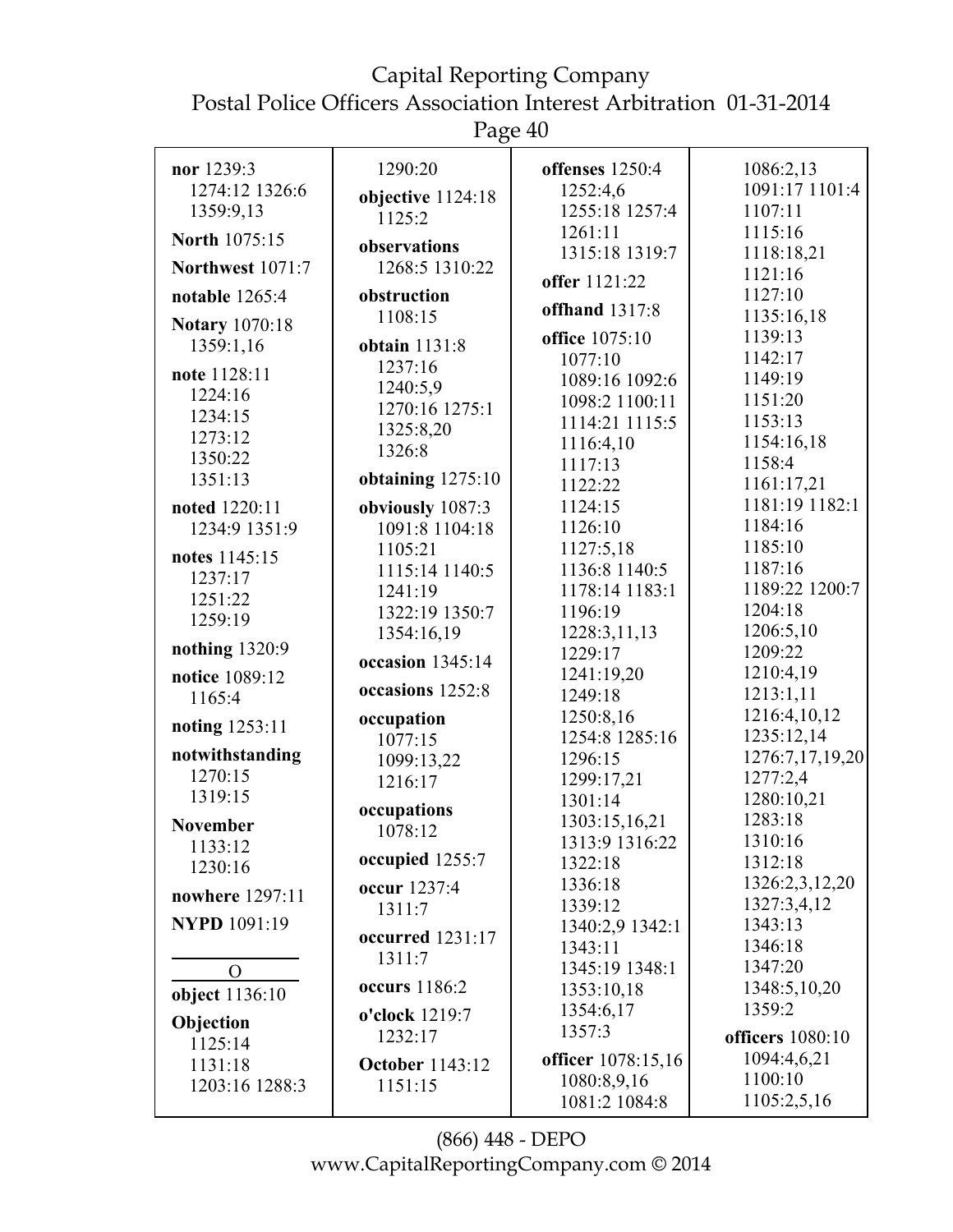Page 40

| nor 1239:3<br>1274:12 1326:6 | 1290:20                     | offenses 1250:4<br>1252:4,6  | 1086:2,13<br>1091:17 1101:4 |
|------------------------------|-----------------------------|------------------------------|-----------------------------|
| 1359:9,13                    | objective 1124:18<br>1125:2 | 1255:18 1257:4               | 1107:11                     |
| <b>North 1075:15</b>         |                             | 1261:11                      | 1115:16                     |
|                              | observations                | 1315:18 1319:7               | 1118:18,21                  |
| Northwest 1071:7             | 1268:5 1310:22              | offer 1121:22                | 1121:16                     |
| notable $1265:4$             | obstruction                 | offhand 1317:8               | 1127:10                     |
| <b>Notary</b> 1070:18        | 1108:15                     |                              | 1135:16,18                  |
| 1359:1,16                    | obtain 1131:8               | office 1075:10               | 1139:13                     |
| note 1128:11                 | 1237:16                     | 1077:10                      | 1142:17<br>1149:19          |
| 1224:16                      | 1240:5,9                    | 1089:16 1092:6               | 1151:20                     |
| 1234:15                      | 1270:16 1275:1              | 1098:2 1100:11               | 1153:13                     |
| 1273:12                      | 1325:8,20                   | 1114:21 1115:5<br>1116:4,10  | 1154:16,18                  |
| 1350:22                      | 1326:8                      | 1117:13                      | 1158:4                      |
| 1351:13                      | obtaining $1275:10$         | 1122:22                      | 1161:17,21                  |
| noted 1220:11                | obviously 1087:3            | 1124:15                      | 1181:19 1182:1              |
| 1234:9 1351:9                | 1091:8 1104:18              | 1126:10                      | 1184:16                     |
|                              | 1105:21                     | 1127:5,18                    | 1185:10                     |
| notes 1145:15                | 1115:14 1140:5              | 1136:8 1140:5                | 1187:16                     |
| 1237:17                      | 1241:19                     | 1178:14 1183:1               | 1189:22 1200:7              |
| 1251:22<br>1259:19           | 1322:19 1350:7              | 1196:19                      | 1204:18                     |
|                              | 1354:16,19                  | 1228:3,11,13                 | 1206:5,10                   |
| nothing 1320:9               | occasion $1345:14$          | 1229:17                      | 1209:22                     |
| notice 1089:12               |                             | 1241:19,20                   | 1210:4,19                   |
| 1165:4                       | occasions 1252:8            | 1249:18                      | 1213:1,11                   |
| noting 1253:11               | occupation                  | 1250:8,16                    | 1216:4,10,12                |
|                              | 1077:15                     | 1254:8 1285:16               | 1235:12,14                  |
| notwithstanding              | 1099:13,22                  | 1296:15                      | 1276:7,17,19,20             |
| 1270:15                      | 1216:17                     | 1299:17,21                   | 1277:2,4                    |
| 1319:15                      | occupations                 | 1301:14                      | 1280:10,21                  |
| <b>November</b>              | 1078:12                     | 1303:15,16,21                | 1283:18                     |
| 1133:12                      | occupied 1255:7             | 1313:9 1316:22               | 1310:16                     |
| 1230:16                      |                             | 1322:18                      | 1312:18<br>1326:2,3,12,20   |
| nowhere 1297:11              | occur 1237:4                | 1336:18<br>1339:12           | 1327:3,4,12                 |
| <b>NYPD</b> 1091:19          | 1311:7                      | 1340:2,9 1342:1              | 1343:13                     |
|                              | occurred 1231:17            | 1343:11                      | 1346:18                     |
|                              | 1311:7                      | 1345:19 1348:1               | 1347:20                     |
| $\Omega$                     | <b>occurs</b> 1186:2        | 1353:10,18                   | 1348:5,10,20                |
| object 1136:10               |                             | 1354:6,17                    | 1359:2                      |
| Objection                    | o'clock 1219:7              | 1357:3                       |                             |
| 1125:14                      | 1232:17                     |                              | officers 1080:10            |
| 1131:18                      | <b>October</b> 1143:12      | officer 1078:15,16           | 1094:4,6,21<br>1100:10      |
| 1203:16 1288:3               | 1151:15                     | 1080:8,9,16<br>1081:2 1084:8 | 1105:2,5,16                 |
|                              |                             |                              |                             |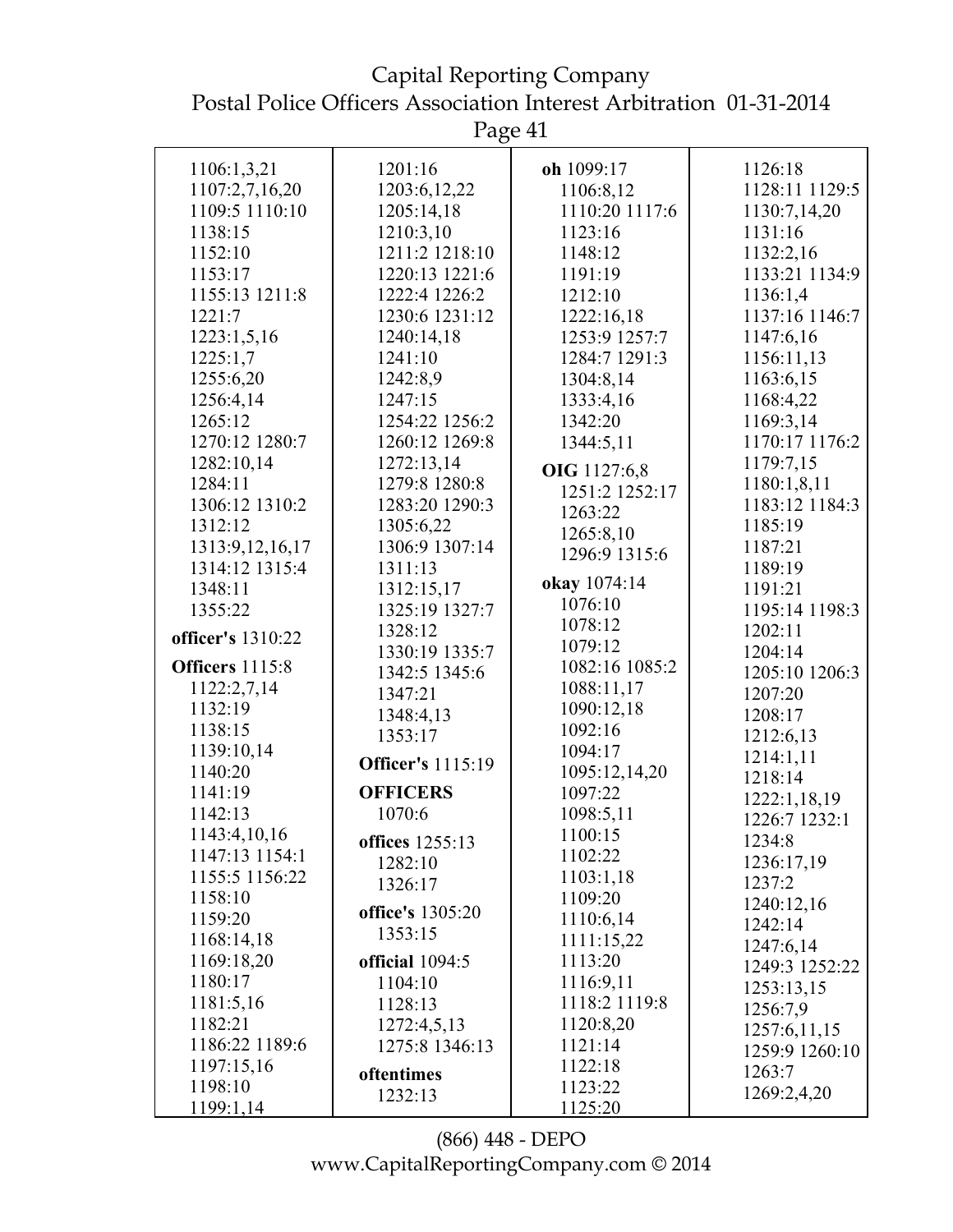Capital Reporting Company Postal Police Officers Association Interest Arbitration 01-31-2014

| 1106:1,3,21            | 1201:16                  | oh 1099:17     | 1126:18        |
|------------------------|--------------------------|----------------|----------------|
| 1107:2,7,16,20         | 1203:6, 12, 22           | 1106:8,12      | 1128:11 1129:5 |
| 1109:5 1110:10         | 1205:14,18               | 1110:20 1117:6 | 1130:7,14,20   |
| 1138:15                | 1210:3,10                | 1123:16        | 1131:16        |
| 1152:10                | 1211:2 1218:10           | 1148:12        | 1132:2,16      |
| 1153:17                | 1220:13 1221:6           | 1191:19        | 1133:21 1134:9 |
| 1155:13 1211:8         | 1222:4 1226:2            | 1212:10        | 1136:1,4       |
| 1221:7                 | 1230:6 1231:12           | 1222:16,18     | 1137:16 1146:7 |
| 1223:1,5,16            | 1240:14,18               | 1253:9 1257:7  | 1147:6,16      |
| 1225:1,7               | 1241:10                  | 1284:7 1291:3  | 1156:11,13     |
| 1255:6,20              | 1242:8,9                 | 1304:8,14      | 1163:6,15      |
| 1256:4,14              | 1247:15                  | 1333:4,16      | 1168:4,22      |
| 1265:12                | 1254:22 1256:2           | 1342:20        | 1169:3,14      |
| 1270:12 1280:7         | 1260:12 1269:8           | 1344:5,11      | 1170:17 1176:2 |
| 1282:10,14             | 1272:13,14               |                | 1179:7,15      |
| 1284:11                | 1279:8 1280:8            | OIG 1127:6,8   | 1180:1,8,11    |
| 1306:12 1310:2         | 1283:20 1290:3           | 1251:2 1252:17 | 1183:12 1184:3 |
| 1312:12                | 1305:6,22                | 1263:22        | 1185:19        |
| 1313:9, 12, 16, 17     | 1306:9 1307:14           | 1265:8,10      | 1187:21        |
| 1314:12 1315:4         | 1311:13                  | 1296:9 1315:6  | 1189:19        |
| 1348:11                | 1312:15,17               | okay 1074:14   | 1191:21        |
| 1355:22                | 1325:19 1327:7           | 1076:10        | 1195:14 1198:3 |
|                        | 1328:12                  | 1078:12        | 1202:11        |
| officer's 1310:22      | 1330:19 1335:7           | 1079:12        | 1204:14        |
| <b>Officers</b> 1115:8 | 1342:5 1345:6            | 1082:16 1085:2 | 1205:10 1206:3 |
| 1122:2,7,14            | 1347:21                  | 1088:11,17     | 1207:20        |
| 1132:19                | 1348:4,13                | 1090:12,18     | 1208:17        |
| 1138:15                | 1353:17                  | 1092:16        | 1212:6,13      |
| 1139:10,14             | <b>Officer's</b> 1115:19 | 1094:17        | 1214:1,11      |
| 1140:20                |                          | 1095:12,14,20  | 1218:14        |
| 1141:19                | <b>OFFICERS</b>          | 1097:22        | 1222:1,18,19   |
| 1142:13                | 1070:6                   | 1098:5,11      | 1226:7 1232:1  |
| 1143:4,10,16           | offices 1255:13          | 1100:15        | 1234:8         |
| 1147:13 1154:1         | 1282:10                  | 1102:22        | 1236:17,19     |
| 1155:5 1156:22         | 1326:17                  | 1103:1,18      | 1237:2         |
| 1158:10                | office's 1305:20         | 1109:20        | 1240:12,16     |
| 1159:20                | 1353:15                  | 1110:6,14      | 1242:14        |
| 1168:14,18             |                          | 1111:15,22     | 1247:6,14      |
| 1169:18,20             | official 1094:5          | 1113:20        | 1249:3 1252:22 |
| 1180:17                | 1104:10                  | 1116:9,11      | 1253:13,15     |
| 1181:5,16              | 1128:13                  | 1118:2 1119:8  | 1256:7,9       |
| 1182:21                | 1272:4,5,13              | 1120:8,20      | 1257:6,11,15   |
| 1186:22 1189:6         | 1275:8 1346:13           | 1121:14        | 1259:9 1260:10 |
| 1197:15,16             | oftentimes               | 1122:18        | 1263:7         |
| 1198:10                | 1232:13                  | 1123:22        | 1269:2,4,20    |
| 1199:1,14              |                          | 1125:20        |                |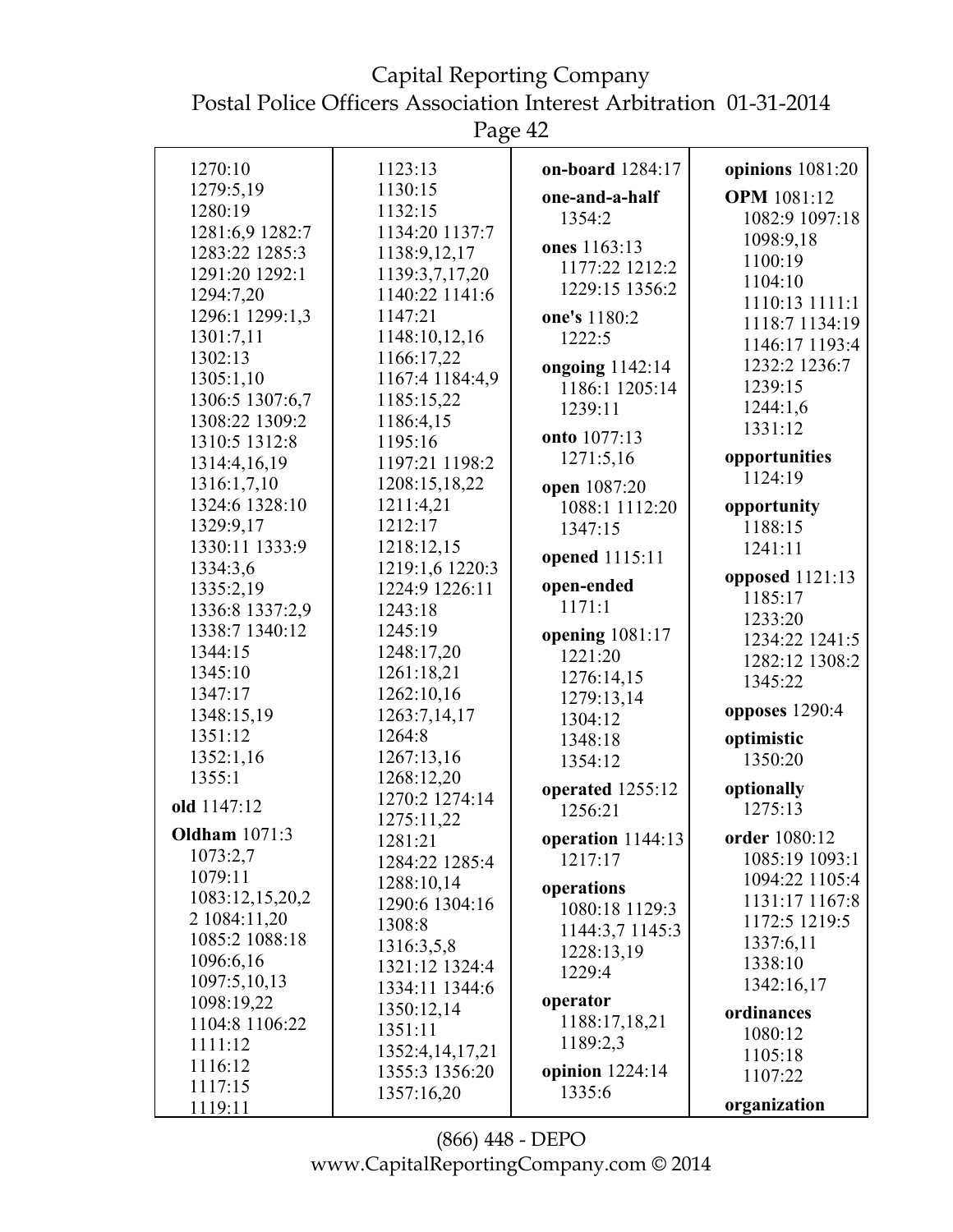Page 42

| 1270:10              | 1123:13         | on-board 1284:17    | opinions 1081:20   |
|----------------------|-----------------|---------------------|--------------------|
| 1279:5,19            | 1130:15         | one-and-a-half      | <b>OPM</b> 1081:12 |
| 1280:19              | 1132:15         | 1354:2              | 1082:9 1097:18     |
| 1281:6,9 1282:7      | 1134:20 1137:7  |                     | 1098:9,18          |
| 1283:22 1285:3       | 1138:9,12,17    | ones 1163:13        | 1100:19            |
| 1291:20 1292:1       | 1139:3,7,17,20  | 1177:22 1212:2      | 1104:10            |
| 1294:7,20            | 1140:22 1141:6  | 1229:15 1356:2      | 1110:13 1111:1     |
| 1296:1 1299:1,3      | 1147:21         | one's 1180:2        | 1118:7 1134:19     |
| 1301:7,11            | 1148:10,12,16   | 1222:5              | 1146:17 1193:4     |
| 1302:13              | 1166:17,22      | ongoing 1142:14     | 1232:2 1236:7      |
| 1305:1,10            | 1167:4 1184:4,9 | 1186:1 1205:14      | 1239:15            |
| 1306:5 1307:6,7      | 1185:15,22      | 1239:11             | 1244:1,6           |
| 1308:22 1309:2       | 1186:4,15       |                     | 1331:12            |
| 1310:5 1312:8        | 1195:16         | onto 1077:13        |                    |
| 1314:4,16,19         | 1197:21 1198:2  | 1271:5,16           | opportunities      |
| 1316:1,7,10          | 1208:15,18,22   | open 1087:20        | 1124:19            |
| 1324:6 1328:10       | 1211:4,21       | 1088:1 1112:20      | opportunity        |
| 1329:9,17            | 1212:17         | 1347:15             | 1188:15            |
| 1330:11 1333:9       | 1218:12,15      |                     | 1241:11            |
| 1334:3,6             | 1219:1,6 1220:3 | opened 1115:11      |                    |
| 1335:2,19            | 1224:9 1226:11  | open-ended          | opposed 1121:13    |
| 1336:8 1337:2,9      | 1243:18         | 1171:1              | 1185:17            |
| 1338:7 1340:12       | 1245:19         | opening $1081:17$   | 1233:20            |
| 1344:15              | 1248:17,20      | 1221:20             | 1234:22 1241:5     |
| 1345:10              | 1261:18,21      | 1276:14,15          | 1282:12 1308:2     |
| 1347:17              | 1262:10,16      | 1279:13,14          | 1345:22            |
| 1348:15,19           | 1263:7,14,17    | 1304:12             | opposes 1290:4     |
| 1351:12              | 1264:8          | 1348:18             | optimistic         |
| 1352:1,16            | 1267:13,16      | 1354:12             | 1350:20            |
| 1355:1               | 1268:12,20      |                     |                    |
|                      | 1270:2 1274:14  | operated 1255:12    | optionally         |
| old 1147:12          | 1275:11,22      | 1256:21             | 1275:13            |
| <b>Oldham</b> 1071:3 | 1281:21         | operation $1144:13$ | order 1080:12      |
| 1073:2,7             | 1284:22 1285:4  | 1217:17             | 1085:19 1093:1     |
| 1079:11              | 1288:10,14      | operations          | 1094:22 1105:4     |
| 1083:12,15,20,2      | 1290:6 1304:16  | 1080:18 1129:3      | 1131:17 1167:8     |
| 2 1084:11,20         | 1308:8          | 1144:3,7 1145:3     | 1172:5 1219:5      |
| 1085:2 1088:18       | 1316:3,5,8      | 1228:13,19          | 1337:6,11          |
| 1096:6,16            | 1321:12 1324:4  | 1229:4              | 1338:10            |
| 1097:5,10,13         | 1334:11 1344:6  |                     | 1342:16,17         |
| 1098:19,22           | 1350:12,14      | operator            | ordinances         |
| 1104:8 1106:22       | 1351:11         | 1188:17,18,21       | 1080:12            |
| 1111:12              | 1352:4,14,17,21 | 1189:2,3            | 1105:18            |
| 1116:12              | 1355:3 1356:20  | opinion $1224:14$   | 1107:22            |
| 1117:15              | 1357:16,20      | 1335:6              |                    |
| 1119:11              |                 |                     | organization       |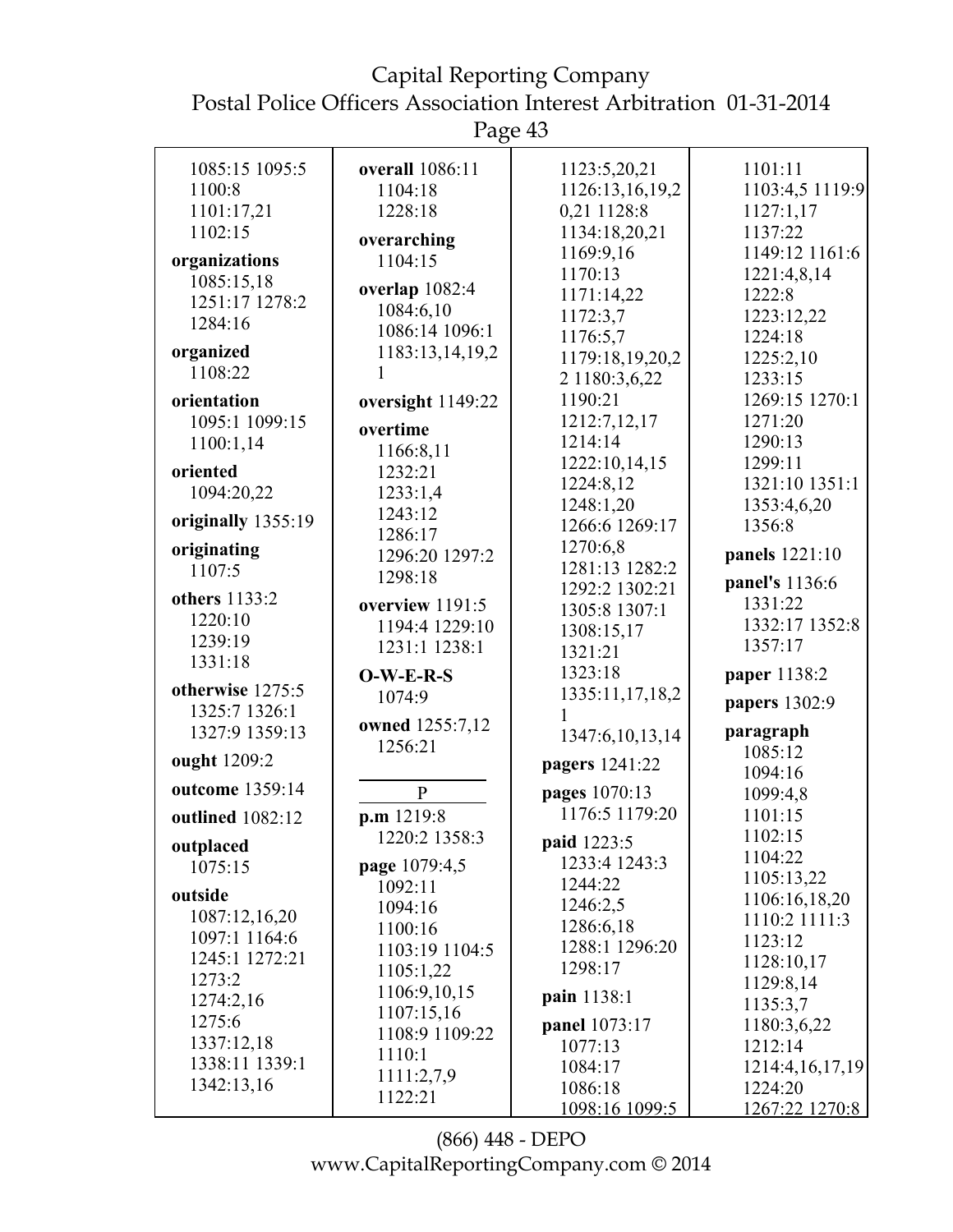| 1085:15 1095:5     | overall 1086:11   | 1123:5,20,21         | 1101:11              |
|--------------------|-------------------|----------------------|----------------------|
| 1100:8             | 1104:18           | 1126:13,16,19,2      | 1103:4,5 1119:9      |
| 1101:17,21         | 1228:18           | 0,21 1128:8          | 1127:1,17            |
| 1102:15            | overarching       | 1134:18,20,21        | 1137:22              |
| organizations      | 1104:15           | 1169:9,16            | 1149:12 1161:6       |
| 1085:15,18         |                   | 1170:13              | 1221:4,8,14          |
| 1251:17 1278:2     | overlap 1082:4    | 1171:14,22           | 1222:8               |
| 1284:16            | 1084:6,10         | 1172:3,7             | 1223:12,22           |
|                    | 1086:14 1096:1    | 1176:5,7             | 1224:18              |
| organized          | 1183:13,14,19,2   | 1179:18,19,20,2      | 1225:2,10            |
| 1108:22            |                   | 2 1180:3,6,22        | 1233:15              |
| orientation        | oversight 1149:22 | 1190:21              | 1269:15 1270:1       |
| 1095:1 1099:15     | overtime          | 1212:7,12,17         | 1271:20              |
| 1100:1,14          | 1166:8,11         | 1214:14              | 1290:13              |
| oriented           | 1232:21           | 1222:10,14,15        | 1299:11              |
| 1094:20,22         | 1233:1,4          | 1224:8,12            | 1321:10 1351:1       |
|                    | 1243:12           | 1248:1,20            | 1353:4,6,20          |
| originally 1355:19 | 1286:17           | 1266:6 1269:17       | 1356:8               |
| originating        | 1296:20 1297:2    | 1270:6,8             | panels 1221:10       |
| 1107:5             | 1298:18           | 1281:13 1282:2       |                      |
| others 1133:2      |                   | 1292:2 1302:21       | panel's 1136:6       |
| 1220:10            | overview 1191:5   | 1305:8 1307:1        | 1331:22              |
| 1239:19            | 1194:4 1229:10    | 1308:15,17           | 1332:17 1352:8       |
| 1331:18            | 1231:1 1238:1     | 1321:21              | 1357:17              |
|                    | $O-W-E-R-S$       | 1323:18              | paper 1138:2         |
| otherwise 1275:5   | 1074:9            | 1335:11,17,18,2      | papers 1302:9        |
| 1325:7 1326:1      | owned 1255:7,12   |                      |                      |
| 1327:9 1359:13     | 1256:21           | 1347:6,10,13,14      | paragraph<br>1085:12 |
| ought 1209:2       |                   | pagers 1241:22       | 1094:16              |
| outcome 1359:14    | $\mathbf{P}$      | pages 1070:13        | 1099:4,8             |
| outlined 1082:12   | p.m 1219:8        | 1176:5 1179:20       | 1101:15              |
|                    | 1220:2 1358:3     |                      | 1102:15              |
| outplaced          |                   | paid 1223:5          | 1104:22              |
| 1075:15            | page 1079:4,5     | 1233:4 1243:3        | 1105:13,22           |
| outside            | 1092:11           | 1244:22              | 1106:16,18,20        |
| 1087:12,16,20      | 1094:16           | 1246:2,5             | 1110:2 1111:3        |
| 1097:1 1164:6      | 1100:16           | 1286:6,18            | 1123:12              |
| 1245:1 1272:21     | 1103:19 1104:5    | 1288:1 1296:20       | 1128:10,17           |
| 1273:2             | 1105:1,22         | 1298:17              | 1129:8,14            |
| 1274:2,16          | 1106:9,10,15      | pain 1138:1          | 1135:3,7             |
| 1275:6             | 1107:15,16        | <b>panel</b> 1073:17 | 1180:3,6,22          |
| 1337:12,18         | 1108:9 1109:22    | 1077:13              | 1212:14              |
| 1338:11 1339:1     | 1110:1            | 1084:17              | 1214:4, 16, 17, 19   |
| 1342:13,16         | 1111:2,7,9        | 1086:18              | 1224:20              |
|                    | 1122:21           | 1098:16 1099:5       | 1267:22 1270:8       |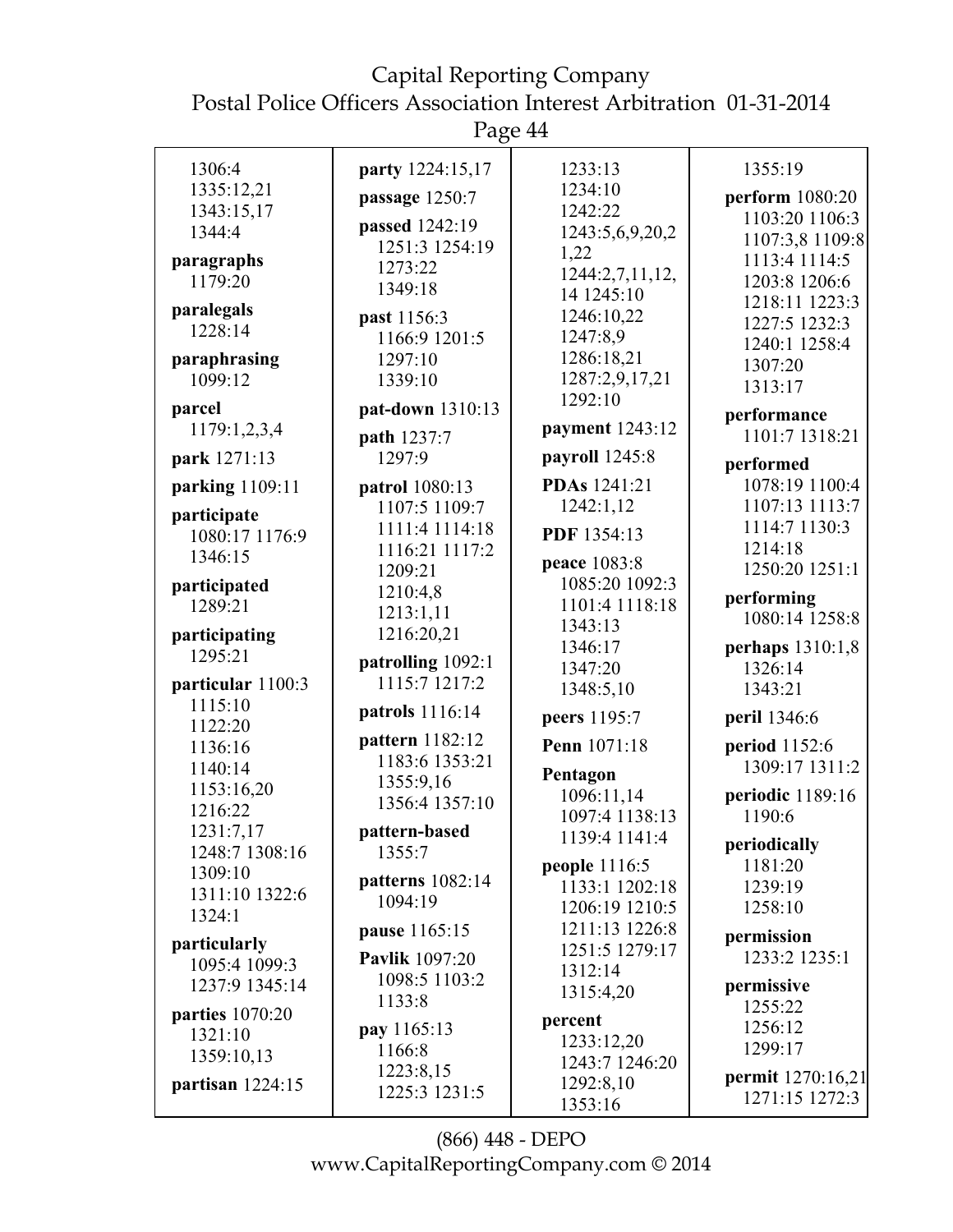Page 44

| 1306:4                        | party 1224:15,17                 | 1233:13                        | 1355:19           |
|-------------------------------|----------------------------------|--------------------------------|-------------------|
| 1335:12,21                    | passage 1250:7                   | 1234:10                        | perform 1080:20   |
| 1343:15,17                    |                                  | 1242:22                        | 1103:20 1106:3    |
| 1344:4                        | passed 1242:19<br>1251:3 1254:19 | 1243:5,6,9,20,2                | 1107:3,8 1109:8   |
| paragraphs                    | 1273:22                          | 1,22                           | 1113:4 1114:5     |
| 1179:20                       | 1349:18                          | 1244:2,7,11,12,                | 1203:8 1206:6     |
| paralegals                    |                                  | 14 1245:10                     | 1218:11 1223:3    |
| 1228:14                       | past 1156:3                      | 1246:10,22                     | 1227:5 1232:3     |
|                               | 1166:9 1201:5<br>1297:10         | 1247:8,9<br>1286:18,21         | 1240:1 1258:4     |
| paraphrasing<br>1099:12       | 1339:10                          | 1287:2,9,17,21                 | 1307:20           |
|                               |                                  | 1292:10                        | 1313:17           |
| parcel                        | pat-down 1310:13                 |                                | performance       |
| 1179:1,2,3,4                  | path 1237:7                      | payment 1243:12                | 1101:7 1318:21    |
| park 1271:13                  | 1297:9                           | payroll 1245:8                 | performed         |
| parking 1109:11               | <b>patrol</b> 1080:13            | PDAs 1241:21                   | 1078:19 1100:4    |
| participate                   | 1107:5 1109:7                    | 1242:1,12                      | 1107:13 1113:7    |
| 1080:17 1176:9                | 1111:4 1114:18                   | PDF 1354:13                    | 1114:7 1130:3     |
| 1346:15                       | 1116:21 1117:2                   |                                | 1214:18           |
|                               | 1209:21                          | peace 1083:8<br>1085:20 1092:3 | 1250:20 1251:1    |
| participated<br>1289:21       | 1210:4,8                         | 1101:4 1118:18                 | performing        |
|                               | 1213:1,11                        | 1343:13                        | 1080:14 1258:8    |
| participating                 | 1216:20,21                       | 1346:17                        | perhaps 1310:1,8  |
| 1295:21                       | patrolling 1092:1                | 1347:20                        | 1326:14           |
| particular 1100:3             | 1115:7 1217:2                    | 1348:5,10                      | 1343:21           |
| 1115:10                       | patrols 1116:14                  | peers 1195:7                   | peril 1346:6      |
| 1122:20                       | pattern 1182:12                  |                                |                   |
| 1136:16                       | 1183:6 1353:21                   | Penn 1071:18                   | period 1152:6     |
| 1140:14                       | 1355:9,16                        | Pentagon                       | 1309:17 1311:2    |
| 1153:16,20                    | 1356:4 1357:10                   | 1096:11,14                     | periodic 1189:16  |
| 1216:22<br>1231:7,17          |                                  | 1097:4 1138:13                 | 1190:6            |
| 1248:7 1308:16                | pattern-based<br>1355:7          | 1139.41141.4                   | periodically      |
| 1309:10                       |                                  | <b>people</b> 1116:5           | 1181:20           |
| 1311:10 1322:6                | patterns 1082:14                 | 1133:1 1202:18                 | 1239:19           |
| 1324:1                        | 1094:19                          | 1206:19 1210:5                 | 1258:10           |
|                               | pause 1165:15                    | 1211:13 1226:8                 | permission        |
| particularly<br>1095:4 1099:3 | <b>Pavlik</b> 1097:20            | 1251:5 1279:17                 | 1233:2 1235:1     |
| 1237:9 1345:14                | 1098:5 1103:2                    | 1312:14                        | permissive        |
|                               | 1133:8                           | 1315:4,20                      | 1255:22           |
| parties 1070:20               | pay 1165:13                      | percent                        | 1256:12           |
| 1321:10                       | 1166:8                           | 1233:12,20                     | 1299:17           |
| 1359:10,13                    | 1223:8,15                        | 1243:7 1246:20                 |                   |
| partisan $1224:15$            | 1225:3 1231:5                    | 1292:8,10                      | permit 1270:16,21 |
|                               |                                  | 1353:16                        | 1271:15 1272:3    |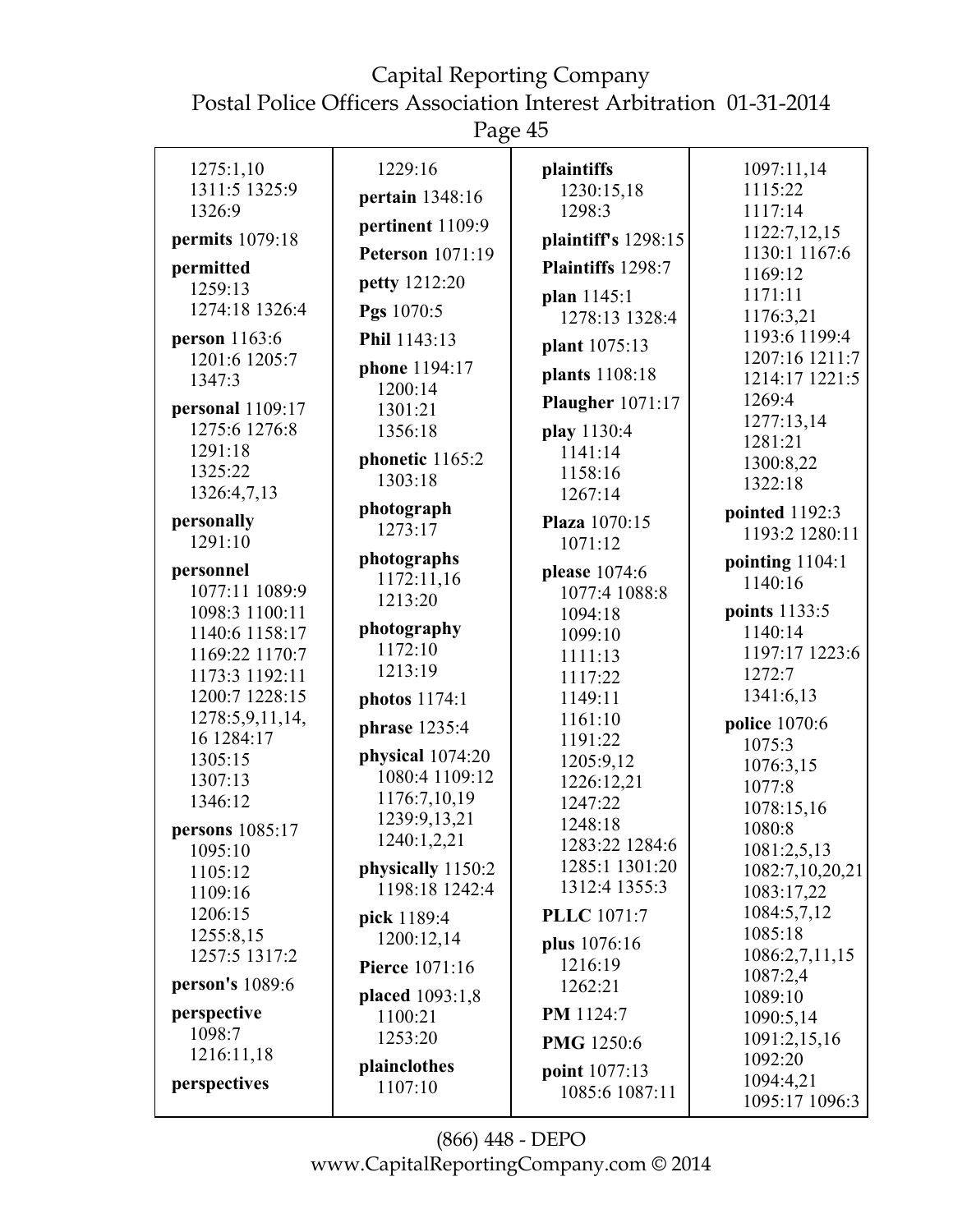#### Capital Reporting Company

Postal Police Officers Association Interest Arbitration 01-31-2014

| 1275:1,10<br>1311:5 1325:9 | 1229:16<br>pertain 1348:16 | plaintiffs<br>1230:15,18 | 1097:11,14<br>1115:22    |
|----------------------------|----------------------------|--------------------------|--------------------------|
| 1326:9                     |                            | 1298:3                   | 1117:14                  |
| permits 1079:18            | pertinent 1109:9           | plaintiff's 1298:15      | 1122:7,12,15             |
| permitted                  | <b>Peterson</b> 1071:19    | Plaintiffs 1298:7        | 1130:1 1167:6            |
| 1259:13                    | petty 1212:20              |                          | 1169:12                  |
| 1274:18 1326:4             | Pgs 1070:5                 | plan 1145:1              | 1171:11                  |
|                            |                            | 1278:13 1328:4           | 1176:3,21                |
| person 1163:6              | Phil 1143:13               | plant 1075:13            | 1193:6 1199:4            |
| 1201:6 1205:7              | phone 1194:17              | plants 1108:18           | 1207:16 1211:7           |
| 1347:3                     | 1200:14                    |                          | 1214:17 1221:5<br>1269:4 |
| personal 1109:17           | 1301:21                    | <b>Plaugher</b> 1071:17  | 1277:13,14               |
| 1275:6 1276:8              | 1356:18                    | play 1130:4              | 1281:21                  |
| 1291:18                    | phonetic 1165:2            | 1141:14                  | 1300:8,22                |
| 1325:22                    | 1303:18                    | 1158:16                  | 1322:18                  |
| 1326:4,7,13                |                            | 1267:14                  |                          |
| personally                 | photograph<br>1273:17      | Plaza 1070:15            | pointed 1192:3           |
| 1291:10                    |                            | 1071:12                  | 1193:2 1280:11           |
| personnel                  | photographs                | please 1074:6            | pointing $1104:1$        |
| 1077:11 1089:9             | 1172:11,16                 | 1077:4 1088:8            | 1140:16                  |
| 1098:3 1100:11             | 1213:20                    | 1094:18                  | points 1133:5            |
| 1140:6 1158:17             | photography                | 1099:10                  | 1140:14                  |
| 1169:22 1170:7             | 1172:10                    | 1111:13                  | 1197:17 1223:6           |
| 1173:3 1192:11             | 1213:19                    | 1117:22                  | 1272:7                   |
| 1200:7 1228:15             | photos 1174:1              | 1149:11                  | 1341:6,13                |
| 1278:5,9,11,14,            |                            | 1161:10                  | police 1070:6            |
| 16 1284:17                 | phrase 1235:4              | 1191:22                  | 1075:3                   |
| 1305:15                    | physical 1074:20           | 1205:9,12                | 1076:3,15                |
| 1307:13                    | 1080:4 1109:12             | 1226:12,21               | 1077:8                   |
| 1346:12                    | 1176:7,10,19               | 1247:22                  | 1078:15,16               |
| persons 1085:17            | 1239:9,13,21               | 1248:18                  | 1080:8                   |
| 1095:10                    | 1240:1,2,21                | 1283:22 1284:6           | 1081:2,5,13              |
| 1105:12                    | physically 1150:2          | 1285:1 1301:20           | 1082:7,10,20,21          |
| 1109:16                    | 1198:18 1242:4             | 1312:4 1355:3            | 1083:17,22               |
| 1206:15                    | pick 1189:4                | <b>PLLC</b> 1071:7       | 1084:5,7,12              |
| 1255:8,15                  | 1200:12,14                 |                          | 1085:18                  |
| 1257:5 1317:2              |                            | plus 1076:16             | 1086:2,7,11,15           |
| <b>person's</b> 1089:6     | <b>Pierce</b> 1071:16      | 1216:19<br>1262:21       | 1087:2,4                 |
|                            | placed 1093:1,8            |                          | 1089:10                  |
| perspective                | 1100:21                    | PM 1124:7                | 1090:5,14                |
| 1098:7                     | 1253:20                    | PMG 1250:6               | 1091:2,15,16             |
| 1216:11,18                 | plainclothes               | point 1077:13            | 1092:20                  |
| perspectives               | 1107:10                    | 1085:6 1087:11           | 1094:4,21                |
|                            |                            |                          | 1095:17 1096:3           |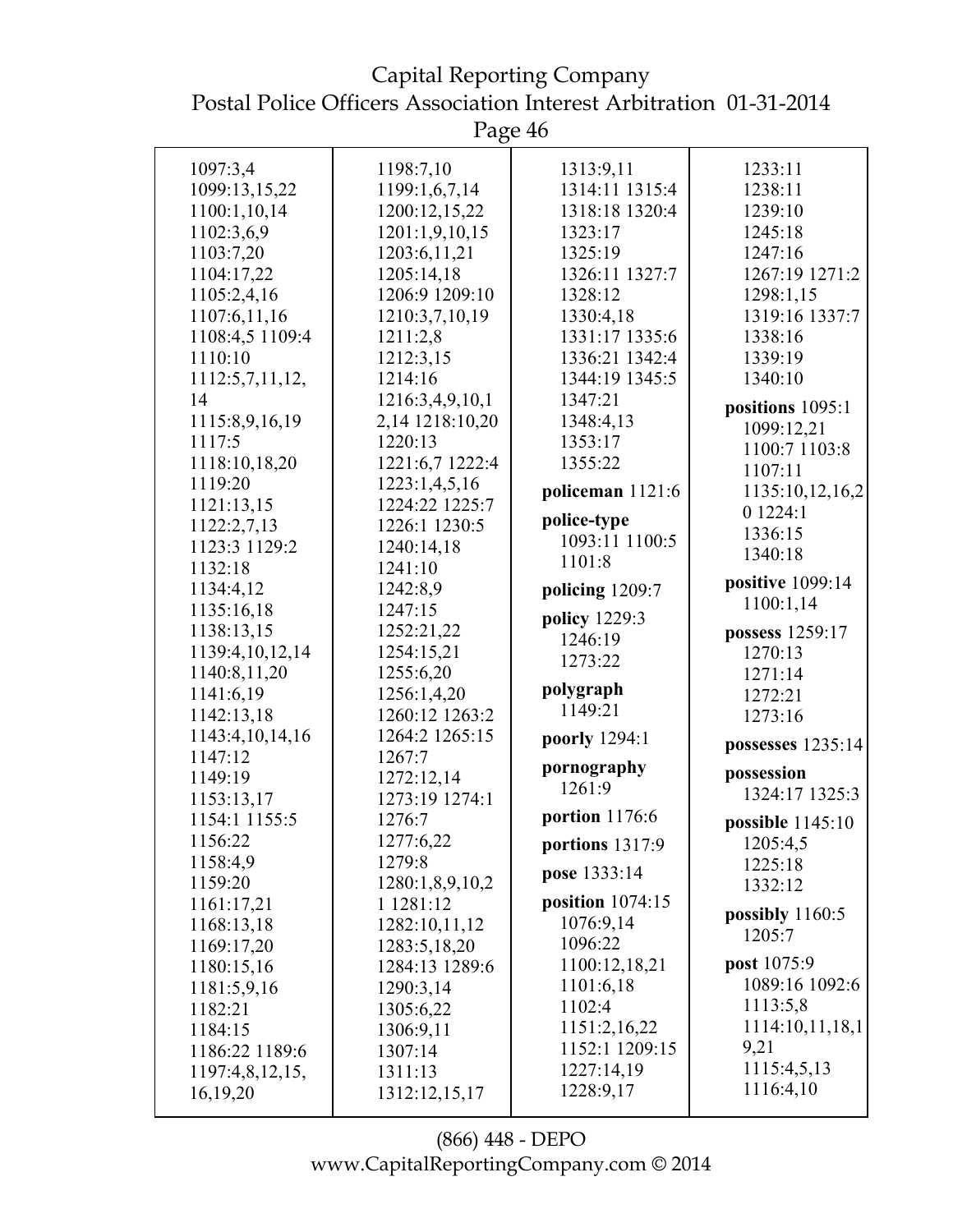Postal Police Officers Association Interest Arbitration 01-31-2014 Page 46 1097:3,4 1099:13,15,22 1100:1,10,14 1102:3,6,9 1103:7,20 1104:17,22 1105:2,4,16 1107:6,11,16 1108:4,5 1109:4 1110:10 1112:5,7,11,12, 14 1115:8,9,16,19 1117:5 1118:10,18,20 1119:20 1121:13,15 1122:2,7,13 1123:3 1129:2 1132:18 1134:4,12 1135:16,18 1138:13,15 1139:4,10,12,14 1140:8,11,20 1141:6,19 1142:13,18 1143:4,10,14,16 1147:12 1149:19 1153:13,17 1154:1 1155:5 1156:22 1158:4,9 1159:20 1161:17,21 1168:13,18 1169:17,20 1180:15,16 1181:5,9,16 1182:21 1184:15 1186:22 1189:6 1197:4,8,12,15, 16,19,20 1198:7,10 1199:1,6,7,14 1200:12,15,22 1201:1,9,10,15 1203:6,11,21 1205:14,18 1206:9 1209:10 1210:3,7,10,19 1211:2,8 1212:3,15 1214:16 1216:3,4,9,10,1 2,14 1218:10,20 1220:13 1221:6,7 1222:4 1223:1,4,5,16 1224:22 1225:7 1226:1 1230:5 1240:14,18 1241:10 1242:8,9 1247:15 1252:21,22 1254:15,21 1255:6,20 1256:1,4,20 1260:12 1263:2 1264:2 1265:15 1267:7 1272:12,14 1273:19 1274:1 1276:7 1277:6,22 1279:8 1280:1,8,9,10,2 1 1281:12 1282:10,11,12 1283:5,18,20 1284:13 1289:6 1290:3,14 1305:6,22 1306:9,11 1307:14 1311:13 1313:9,11 1314:11 1315:4 1318:18 1320:4 1323:17 1325:19 1326:11 1327:7 1328:12 1330:4,18 1331:17 1335:6 1336:21 1342:4 1344:19 1345:5 1347:21 1348:4,13 1353:17 1355:22 **policeman** 1121:6 **police-type** 1093:11 1100:5 1101:8 **policing** 1209:7 **policy** 1229:3 1246:19 1273:22 **polygraph** 1149:21 **poorly** 1294:1 **pornography** 1261:9 **portion** 1176:6 **portions** 1317:9 **pose** 1333:14 **position** 1074:15 1076:9,14 1096:22 1100:12,18,21 1101:6,18 1102:4 1151:2,16,22 1152:1 1209:15 1227:14,19 1228:9,17 1233:11 1238:11 1239:10 1245:18 1247:16 1267:19 1271:2 1298:1,15 1319:16 1337:7 1338:16 1339:19 1340:10 **positions** 1095:1 1099:12,21 1100:7 1103:8 1107:11 1135:10,12,16,2 0 1224:1 1336:15 1340:18 **positive** 1099:14 1100:1,14 **possess** 1259:17  $1270:13$ 1271:14 1272:21 1273:16 **possesses** 1235:14 **possession** 1324:17 1325:3 **possible** 1145:10 1205:4,5 1225:18 1332:12 **possibly** 1160:5 1205:7 **post** 1075:9 1089:16 1092:6 1113:5,8 1114:10,11,18,1 9,21 1115:4,5,13 1116:4,10

Capital Reporting Company

1312:12,15,17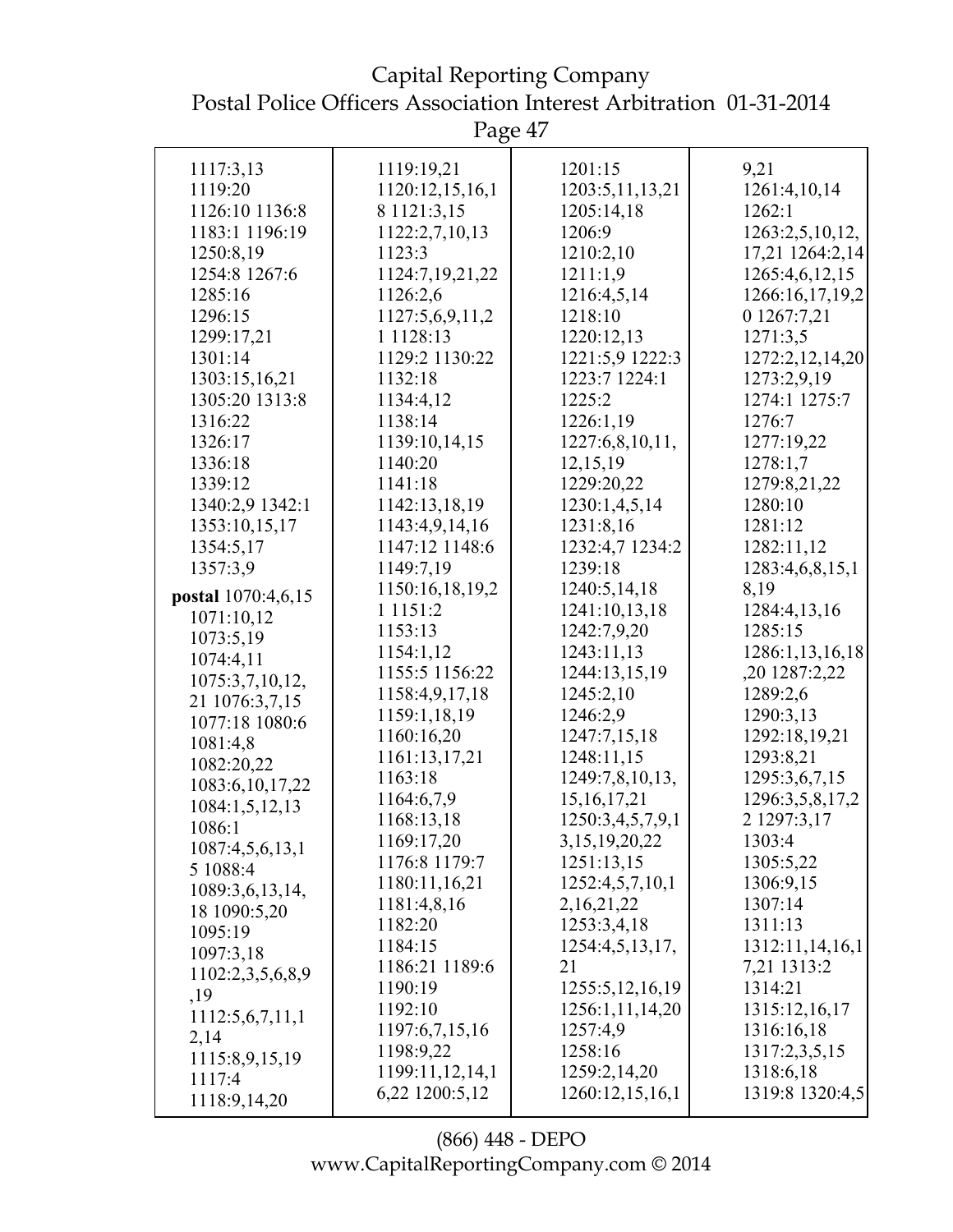Capital Reporting Company Postal Police Officers Association Interest Arbitration 01-31-2014

| 1117:3,13                | 1119:19,21      | 1201:15            | 9,21            |
|--------------------------|-----------------|--------------------|-----------------|
| 1119:20                  | 1120:12,15,16,1 | 1203:5, 11, 13, 21 | 1261:4,10,14    |
| 1126:10 1136:8           | 8 1121:3,15     | 1205:14,18         | 1262:1          |
| 1183:1 1196:19           | 1122:2,7,10,13  | 1206:9             | 1263:2,5,10,12, |
| 1250:8,19                | 1123:3          | 1210:2,10          | 17,21 1264:2,14 |
| 1254:8 1267:6            | 1124:7,19,21,22 | 1211:1,9           | 1265:4,6,12,15  |
| 1285:16                  | 1126:2,6        | 1216:4,5,14        | 1266:16,17,19,2 |
| 1296:15                  | 1127:5,6,9,11,2 | 1218:10            | 0 1267:7,21     |
| 1299:17,21               | 1 1 1 28:13     | 1220:12,13         | 1271:3,5        |
| 1301:14                  | 1129:2 1130:22  | 1221:5,9 1222:3    | 1272:2,12,14,20 |
| 1303:15,16,21            | 1132:18         | 1223:7 1224:1      | 1273:2,9,19     |
| 1305:20 1313:8           | 1134:4,12       | 1225:2             | 1274:1 1275:7   |
| 1316:22                  | 1138:14         | 1226:1,19          | 1276:7          |
| 1326:17                  | 1139:10,14,15   | 1227:6,8,10,11,    | 1277:19,22      |
| 1336:18                  | 1140:20         | 12,15,19           | 1278:1,7        |
| 1339:12                  | 1141:18         | 1229:20,22         | 1279:8,21,22    |
| 1340:2,9 1342:1          | 1142:13,18,19   | 1230:1,4,5,14      | 1280:10         |
| 1353:10,15,17            | 1143:4,9,14,16  | 1231:8,16          | 1281:12         |
| 1354:5,17                | 1147:12 1148:6  | 1232:4,7 1234:2    | 1282:11,12      |
| 1357:3,9                 | 1149:7,19       | 1239:18            | 1283:4,6,8,15,1 |
|                          | 1150:16,18,19,2 | 1240:5,14,18       | 8,19            |
| postal 1070:4,6,15       | 1 1 1 5 1 : 2   | 1241:10,13,18      | 1284:4,13,16    |
| 1071:10,12               | 1153:13         | 1242:7,9,20        | 1285:15         |
| 1073:5,19                | 1154:1,12       | 1243:11,13         | 1286:1,13,16,18 |
| 1074:4,11                | 1155:5 1156:22  | 1244:13,15,19      | ,20 1287:2,22   |
| 1075:3,7,10,12,          | 1158:4,9,17,18  | 1245:2,10          | 1289:2,6        |
| 21 1076:3,7,15           | 1159:1,18,19    | 1246:2,9           | 1290:3,13       |
| 1077:18 1080:6           | 1160:16,20      | 1247:7,15,18       | 1292:18,19,21   |
| 1081:4,8                 | 1161:13,17,21   | 1248:11,15         | 1293:8,21       |
| 1082:20,22               | 1163:18         | 1249:7,8,10,13,    | 1295:3,6,7,15   |
| 1083:6, 10, 17, 22       | 1164:6,7,9      | 15, 16, 17, 21     | 1296:3,5,8,17,2 |
| 1084:1,5,12,13<br>1086:1 | 1168:13,18      | 1250:3,4,5,7,9,1   | 2 1297:3,17     |
|                          | 1169:17,20      | 3, 15, 19, 20, 22  | 1303:4          |
| 1087:4,5,6,13,1          | 1176:8 1179:7   | 1251:13,15         | 1305:5,22       |
| 5 1088:4                 | 1180:11,16,21   | 1252:4,5,7,10,1    | 1306:9,15       |
| 1089:3,6,13,14,          | 1181:4,8,16     | 2, 16, 21, 22      | 1307:14         |
| 18 1090:5,20             | 1182:20         | 1253:3,4,18        | 1311:13         |
| 1095:19                  | 1184:15         | 1254:4,5,13,17,    | 1312:11,14,16,1 |
| 1097:3,18                | 1186:21 1189:6  | 21                 | 7,21 1313:2     |
| 1102:2,3,5,6,8,9         | 1190:19         | 1255:5, 12, 16, 19 | 1314:21         |
| ,19                      | 1192:10         | 1256:1,11,14,20    | 1315:12,16,17   |
| 1112:5,6,7,11,1          | 1197:6,7,15,16  | 1257:4,9           | 1316:16,18      |
| 2,14                     | 1198:9,22       | 1258:16            | 1317:2,3,5,15   |
| 1115:8,9,15,19           | 1199:11,12,14,1 | 1259:2,14,20       | 1318:6,18       |
| 1117:4                   | 6,22 1200:5,12  | 1260:12,15,16,1    | 1319:8 1320:4,5 |
| 1118:9,14,20             |                 |                    |                 |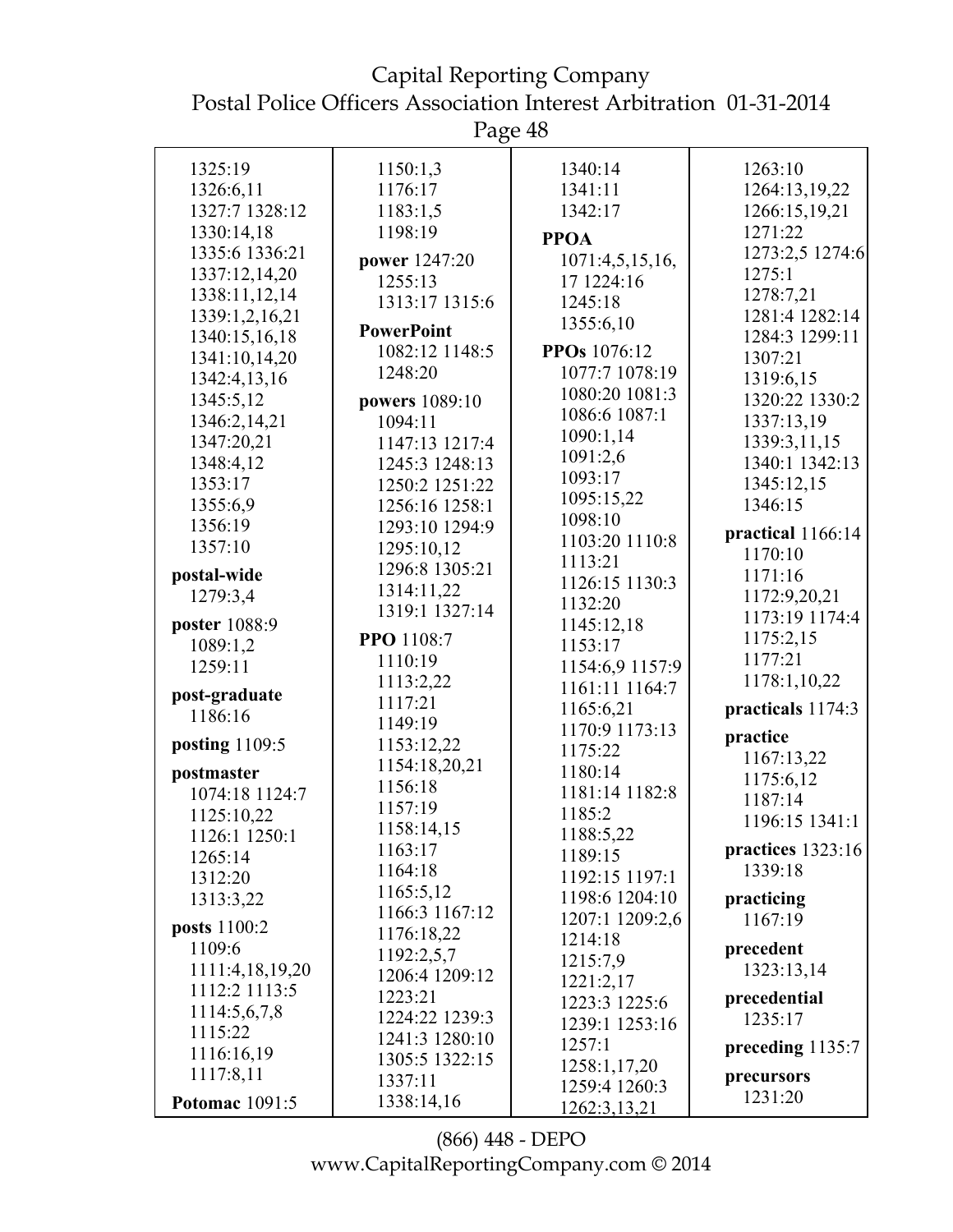Page 48

|                       | U                        |                               |                   |
|-----------------------|--------------------------|-------------------------------|-------------------|
| 1325:19               | 1150:1,3                 | 1340:14                       | 1263:10           |
| 1326:6,11             | 1176:17                  | 1341:11                       | 1264:13,19,22     |
| 1327:7 1328:12        | 1183:1,5                 | 1342:17                       | 1266:15,19,21     |
| 1330:14,18            | 1198:19                  | <b>PPOA</b>                   | 1271:22           |
| 1335:6 1336:21        |                          |                               | 1273:2,5 1274:6   |
| 1337:12,14,20         | power 1247:20<br>1255:13 | 1071:4,5,15,16,<br>17 1224:16 | 1275:1            |
| 1338:11,12,14         | 1313:17 1315:6           | 1245:18                       | 1278:7,21         |
| 1339:1,2,16,21        |                          |                               | 1281:4 1282:14    |
| 1340:15,16,18         | <b>PowerPoint</b>        | 1355:6,10                     | 1284:3 1299:11    |
| 1341:10,14,20         | 1082:12 1148:5           | PPOs 1076:12                  | 1307:21           |
| 1342:4,13,16          | 1248:20                  | 1077:7 1078:19                | 1319:6,15         |
| 1345:5,12             | powers 1089:10           | 1080:20 1081:3                | 1320:22 1330:2    |
| 1346:2,14,21          | 1094:11                  | 1086:6 1087:1                 | 1337:13,19        |
| 1347:20,21            | 1147:13 1217:4           | 1090:1,14                     | 1339:3,11,15      |
| 1348:4,12             | 1245:3 1248:13           | 1091:2,6                      | 1340:1 1342:13    |
| 1353:17               | 1250:2 1251:22           | 1093:17                       | 1345:12,15        |
| 1355:6,9              | 1256:16 1258:1           | 1095:15,22                    | 1346:15           |
| 1356:19               | 1293:10 1294:9           | 1098:10                       |                   |
| 1357:10               | 1295:10,12               | 1103:20 1110:8                | practical 1166:14 |
|                       | 1296:8 1305:21           | 1113:21                       | 1170:10           |
| postal-wide           | 1314:11,22               | 1126:15 1130:3                | 1171:16           |
| 1279:3,4              | 1319:1 1327:14           | 1132:20                       | 1172:9,20,21      |
| poster 1088:9         |                          | 1145:12,18                    | 1173:19 1174:4    |
| 1089:1,2              | PPO 1108:7               | 1153:17                       | 1175:2,15         |
| 1259:11               | 1110:19                  | 1154:6,9 1157:9               | 1177:21           |
| post-graduate         | 1113:2,22                | 1161:11 1164:7                | 1178:1,10,22      |
| 1186:16               | 1117:21                  | 1165:6,21                     | practicals 1174:3 |
|                       | 1149:19                  | 1170:9 1173:13                | practice          |
| posting 1109:5        | 1153:12,22               | 1175:22                       | 1167:13,22        |
| postmaster            | 1154:18,20,21            | 1180:14                       | 1175:6,12         |
| 1074:18 1124:7        | 1156:18                  | 1181:14 1182:8                | 1187:14           |
| 1125:10,22            | 1157:19                  | 1185:2                        | 1196:15 1341:1    |
| 1126:1 1250:1         | 1158:14,15               | 1188:5,22                     |                   |
| 1265:14               | 1163:17                  | 1189:15                       | practices 1323:16 |
| 1312:20               | 1164:18                  | 1192:15 1197:1                | 1339:18           |
| 1313:3,22             | 1165:5,12                | 1198:6 1204:10                | practicing        |
| posts 1100:2          | 1166:3 1167:12           | 1207:1 1209:2,6               | 1167:19           |
| 1109:6                | 1176:18,22               | 1214:18                       | precedent         |
| 1111:4,18,19,20       | 1192:2,5,7               | 1215:7,9                      | 1323:13,14        |
| 1112:2 1113:5         | 1206:4 1209:12           | 1221:2,17                     |                   |
| 1114:5,6,7,8          | 1223:21                  | 1223:3 1225:6                 | precedential      |
| 1115:22               | 1224:22 1239:3           | 1239:1 1253:16                | 1235:17           |
| 1116:16,19            | 1241:3 1280:10           | 1257:1                        | preceding 1135:7  |
| 1117:8,11             | 1305:5 1322:15           | 1258:1,17,20                  | precursors        |
|                       | 1337:11                  | 1259:4 1260:3                 | 1231:20           |
| <b>Potomac</b> 1091:5 | 1338:14,16               | 1262:3,13,21                  |                   |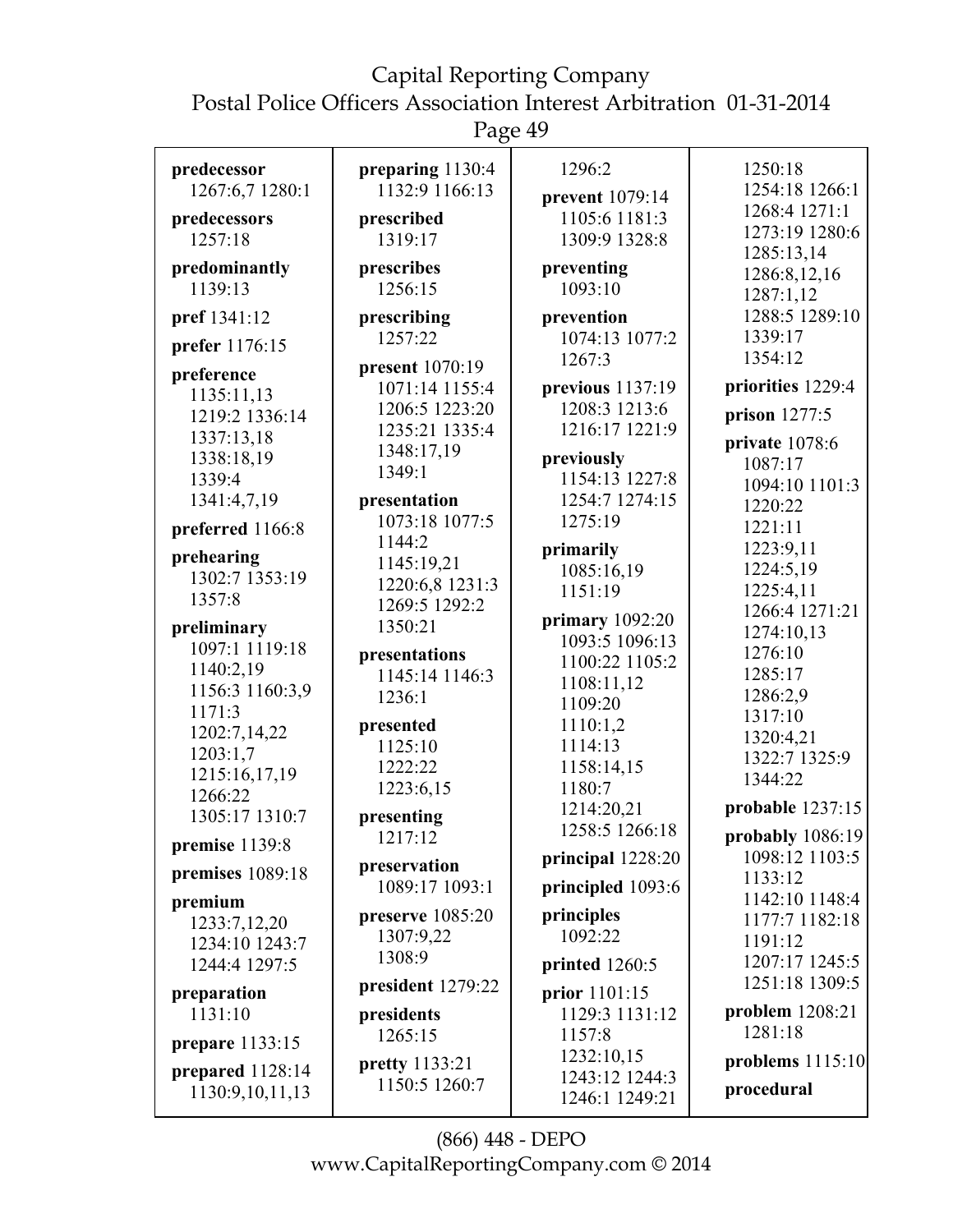# Capital Reporting Company

Postal Police Officers Association Interest Arbitration 01-31-2014

Page 49

| predecessor            | preparing 1130:4      | 1296:2            | 1250:18            |
|------------------------|-----------------------|-------------------|--------------------|
| 1267:6,7 1280:1        | 1132:9 1166:13        | prevent 1079:14   | 1254:18 1266:1     |
| predecessors           | prescribed            | 1105:6 1181:3     | 1268:4 1271:1      |
| 1257:18                | 1319:17               | 1309:9 1328:8     | 1273:19 1280:6     |
|                        |                       |                   | 1285:13,14         |
| predominantly          | prescribes            | preventing        | 1286:8,12,16       |
| 1139:13                | 1256:15               | 1093:10           | 1287:1,12          |
| pref 1341:12           | prescribing           | prevention        | 1288:5 1289:10     |
|                        | 1257:22               | 1074:13 1077:2    | 1339:17            |
| prefer 1176:15         |                       | 1267:3            | 1354:12            |
| preference             | present 1070:19       |                   |                    |
| 1135:11,13             | 1071:14 1155:4        | previous 1137:19  | priorities 1229:4  |
| 1219:2 1336:14         | 1206:5 1223:20        | 1208:3 1213:6     | prison 1277:5      |
| 1337:13,18             | 1235:21 1335:4        | 1216:17 1221:9    |                    |
| 1338:18,19             | 1348:17,19            | previously        | private 1078:6     |
| 1339:4                 | 1349:1                | 1154:13 1227:8    | 1087:17            |
|                        |                       |                   | 1094:10 1101:3     |
| 1341:4,7,19            | presentation          | 1254:7 1274:15    | 1220:22            |
| preferred 1166:8       | 1073:18 1077:5        | 1275:19           | 1221:11            |
|                        | 1144:2                | primarily         | 1223:9,11          |
| prehearing             | 1145:19,21            | 1085:16,19        | 1224:5,19          |
| 1302:7 1353:19         | 1220:6,8 1231:3       | 1151:19           | 1225:4,11          |
| 1357:8                 | 1269:5 1292:2         |                   | 1266:4 1271:21     |
| preliminary            | 1350:21               | primary $1092:20$ | 1274:10,13         |
| 1097:1 1119:18         |                       | 1093:5 1096:13    | 1276:10            |
| 1140:2,19              | presentations         | 1100:22 1105:2    |                    |
| 1156:3 1160:3,9        | 1145:14 1146:3        | 1108:11,12        | 1285:17            |
| 1171:3                 | 1236:1                | 1109:20           | 1286:2,9           |
| 1202:7,14,22           | presented             | 1110:1,2          | 1317:10            |
|                        | 1125:10               | 1114:13           | 1320:4,21          |
| 1203:1,7               | 1222:22               | 1158:14,15        | 1322:7 1325:9      |
| 1215:16,17,19          | 1223:6,15             | 1180:7            | 1344:22            |
| 1266:22                |                       | 1214:20,21        | probable $1237:15$ |
| 1305:17 1310:7         | presenting            | 1258:5 1266:18    |                    |
| premise 1139:8         | 1217:12               |                   | probably 1086:19   |
|                        | preservation          | principal 1228:20 | 1098:12 1103:5     |
| premises 1089:18       | 1089:17 1093:1        | principled 1093:6 | 1133:12            |
| premium                |                       |                   | 1142:10 1148:4     |
| 1233:7,12,20           | preserve 1085:20      | principles        | 1177:7 1182:18     |
| 1234:10 1243:7         | 1307:9,22             | 1092:22           | 1191:12            |
| 1244:4 1297:5          | 1308:9                | printed 1260:5    | 1207:17 1245:5     |
|                        | president 1279:22     |                   | 1251:18 1309:5     |
| preparation            |                       | prior 1101:15     |                    |
| 1131:10                | presidents            | 1129:3 1131:12    | problem $1208:21$  |
| <b>prepare</b> 1133:15 | 1265:15               | 1157:8            | 1281:18            |
|                        | <b>pretty</b> 1133:21 | 1232:10,15        | problems $1115:10$ |
| prepared 1128:14       | 1150:5 1260:7         | 1243:12 1244:3    | procedural         |
| 1130:9,10,11,13        |                       | 1246:1 1249:21    |                    |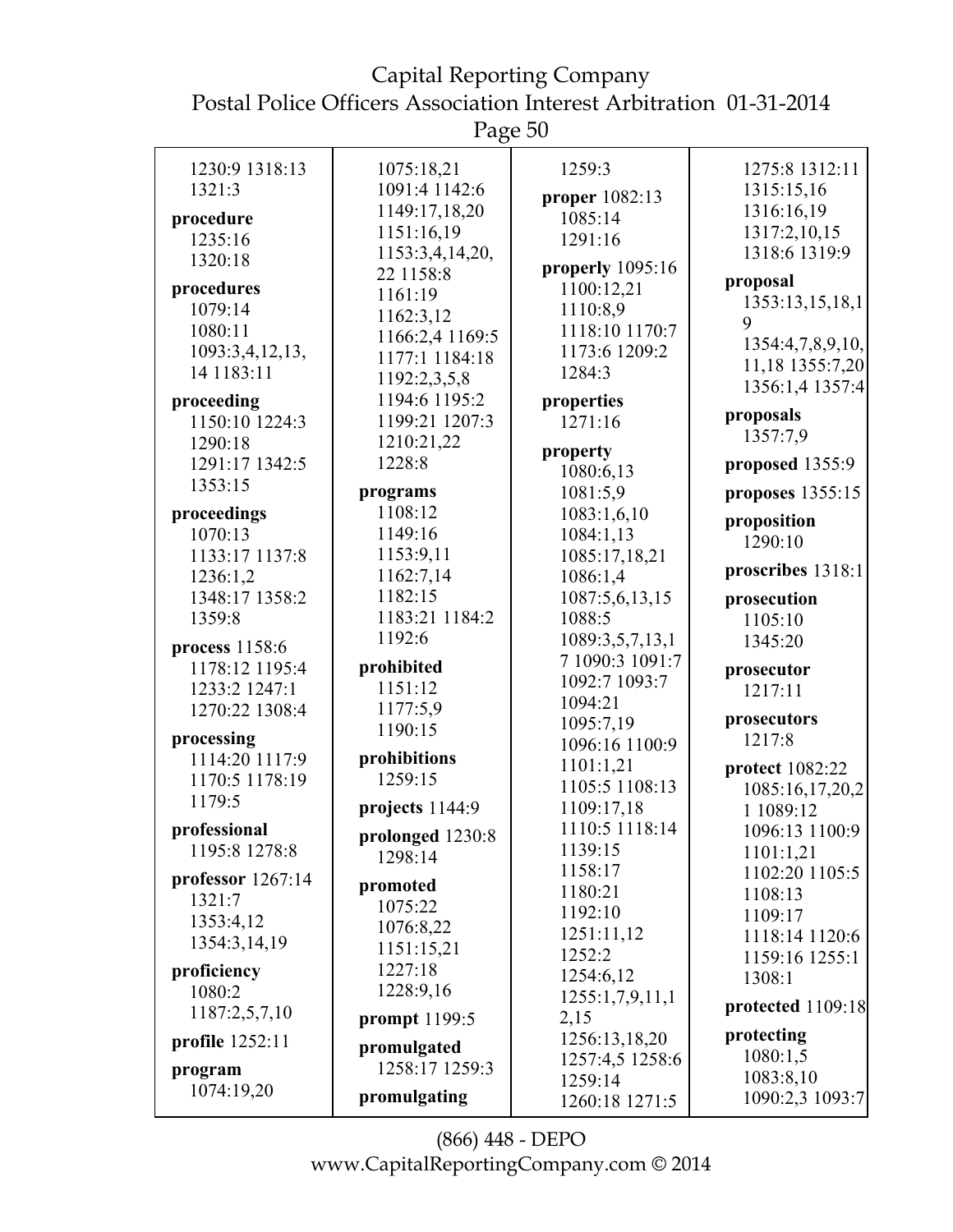Page 50

| 1230:9 1318:13               | 1075:18,21       | 1259:3             | 1275:8 1312:11    |
|------------------------------|------------------|--------------------|-------------------|
| 1321:3                       | 1091:4 1142:6    | proper 1082:13     | 1315:15,16        |
| procedure                    | 1149:17,18,20    | 1085:14            | 1316:16,19        |
| 1235:16                      | 1151:16,19       | 1291:16            | 1317:2,10,15      |
| 1320:18                      | 1153:3,4,14,20,  |                    | 1318:6 1319:9     |
|                              | 22 1158:8        | properly $1095:16$ | proposal          |
| procedures                   | 1161:19          | 1100:12,21         | 1353:13,15,18,1   |
| 1079:14                      | 1162:3,12        | 1110:8,9           | 9                 |
| 1080:11                      | 1166:2,4 1169:5  | 1118:10 1170:7     | 1354:4,7,8,9,10,  |
| 1093:3,4,12,13,              | 1177:1 1184:18   | 1173:6 1209:2      | 11,18 1355:7,20   |
| 14 1183:11                   | 1192:2,3,5,8     | 1284:3             | 1356:1,4 1357:4   |
| proceeding                   | 1194:6 1195:2    | properties         |                   |
| 1150:10 1224:3               | 1199:21 1207:3   | 1271:16            | proposals         |
| 1290:18                      | 1210:21,22       |                    | 1357:7,9          |
| 1291:17 1342:5               | 1228:8           | property           | proposed 1355:9   |
| 1353:15                      |                  | 1080:6,13          |                   |
|                              | programs         | 1081:5,9           | proposes 1355:15  |
| proceedings                  | 1108:12          | 1083:1,6,10        | proposition       |
| 1070:13                      | 1149:16          | 1084:1,13          | 1290:10           |
| 1133:17 1137:8               | 1153:9,11        | 1085:17,18,21      | proscribes 1318:1 |
| 1236:1,2                     | 1162:7,14        | 1086:1,4           |                   |
| 1348:17 1358:2               | 1182:15          | 1087:5,6,13,15     | prosecution       |
| 1359:8                       | 1183:21 1184:2   | 1088:5             | 1105:10           |
| process 1158:6               | 1192:6           | 1089:3,5,7,13,1    | 1345:20           |
| 1178:12 1195:4               | prohibited       | 7 1090:3 1091:7    | prosecutor        |
| 1233:2 1247:1                | 1151:12          | 1092:7 1093:7      | 1217:11           |
| 1270:22 1308:4               | 1177:5,9         | 1094:21            |                   |
|                              | 1190:15          | 1095:7,19          | prosecutors       |
| processing<br>1114:20 1117:9 | prohibitions     | 1096:16 1100:9     | 1217:8            |
| 1170:5 1178:19               | 1259:15          | 1101:1,21          | protect 1082:22   |
| 1179:5                       |                  | 1105:5 1108:13     | 1085:16,17,20,2   |
|                              | projects 1144:9  | 1109:17,18         | 1 1089:12         |
| professional                 | prolonged 1230:8 | 1110:5 1118:14     | 1096:13 1100:9    |
| 1195:8 1278:8                | 1298:14          | 1139:15            | 1101:1,21         |
| professor 1267:14            |                  | 1158:17            | 1102:20 1105:5    |
| 1321:7                       | promoted         | 1180:21            | 1108:13           |
| 1353:4,12                    | 1075:22          | 1192:10            | 1109:17           |
| 1354:3,14,19                 | 1076:8,22        | 1251:11,12         | 1118:14 1120:6    |
|                              | 1151:15,21       | 1252:2             | 1159:16 1255:1    |
| proficiency                  | 1227:18          | 1254:6,12          | 1308:1            |
| 1080:2                       | 1228:9,16        | 1255:1,7,9,11,1    | protected 1109:18 |
| 1187:2,5,7,10                | prompt 1199:5    | 2,15               |                   |
| <b>profile</b> 1252:11       | promulgated      | 1256:13,18,20      | protecting        |
|                              | 1258:17 1259:3   | 1257:4,5 1258:6    | 1080:1,5          |
| program<br>1074:19,20        |                  | 1259:14            | 1083:8,10         |
|                              | promulgating     | 1260:18 1271:5     | 1090:2,3 1093:7   |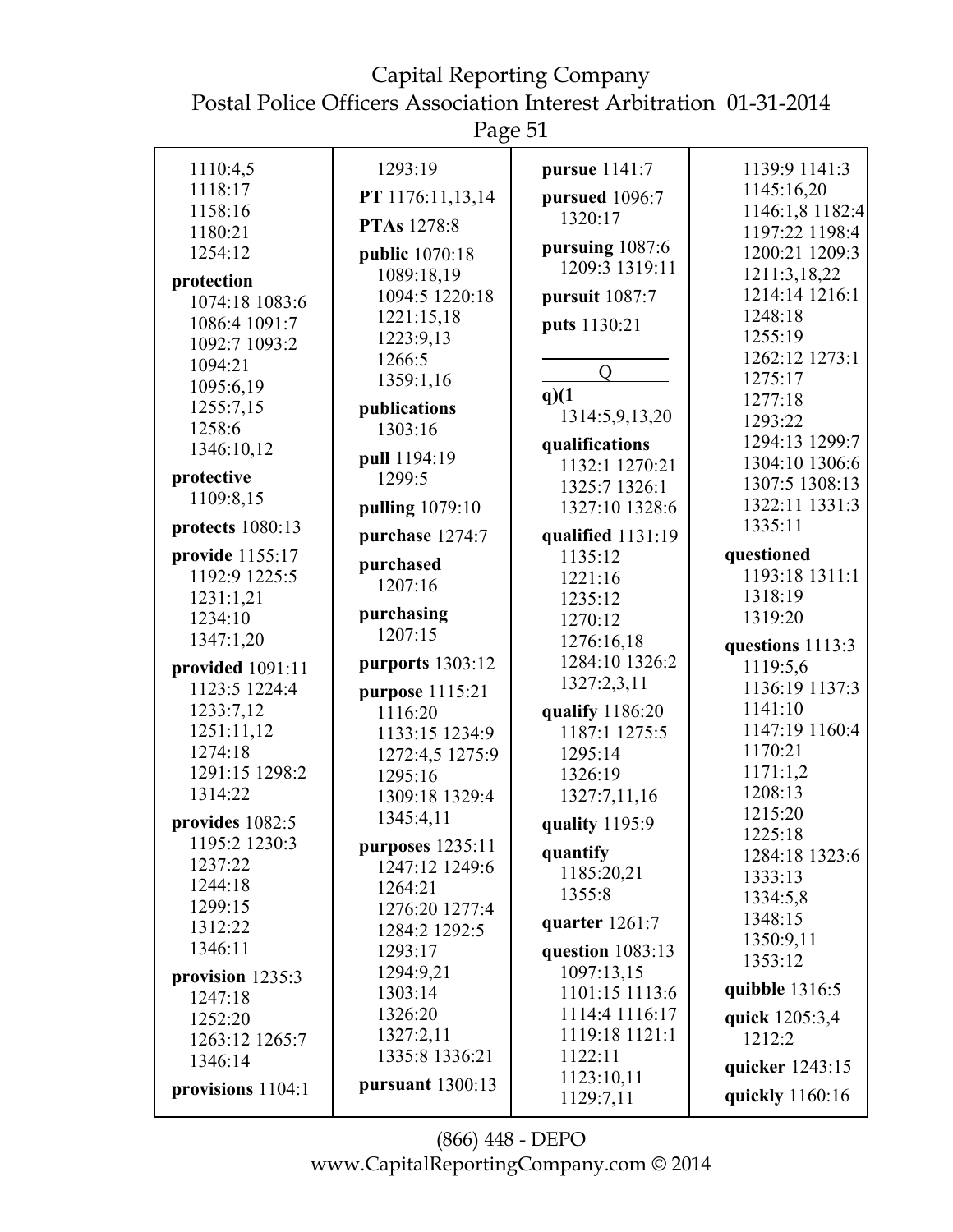Page 51

| 1110:4,5                     | 1293:19            | pursue 1141:7     | 1139:9 1141:3       |
|------------------------------|--------------------|-------------------|---------------------|
| 1118:17                      |                    |                   | 1145:16,20          |
| 1158:16                      | PT 1176:11,13,14   | pursued 1096:7    | 1146:1,8 1182:4     |
| 1180:21                      | <b>PTAs</b> 1278:8 | 1320:17           | 1197:22 1198:4      |
| 1254:12                      | public 1070:18     | pursuing 1087:6   | 1200:21 1209:3      |
|                              | 1089:18,19         | 1209:3 1319:11    | 1211:3,18,22        |
| protection<br>1074:18 1083:6 | 1094:5 1220:18     | pursuit 1087:7    | 1214:14 1216:1      |
| 1086:4 1091:7                | 1221:15,18         |                   | 1248:18             |
| 1092:7 1093:2                | 1223:9,13          | puts 1130:21      | 1255:19             |
| 1094:21                      | 1266:5             |                   | 1262:12 1273:1      |
| 1095:6,19                    | 1359:1,16          | $\overline{O}$    | 1275:17             |
| 1255:7,15                    | publications       | q(1)              | 1277:18             |
| 1258:6                       | 1303:16            | 1314:5,9,13,20    | 1293:22             |
| 1346:10,12                   |                    | qualifications    | 1294:13 1299:7      |
|                              | pull 1194:19       | 1132:1 1270:21    | 1304:10 1306:6      |
| protective                   | 1299:5             | 1325:7 1326:1     | 1307:5 1308:13      |
| 1109:8,15                    | pulling 1079:10    | 1327:10 1328:6    | 1322:11 1331:3      |
| protects 1080:13             | purchase 1274:7    | qualified 1131:19 | 1335:11             |
| provide 1155:17              | purchased          | 1135:12           | questioned          |
| 1192:9 1225:5                | 1207:16            | 1221:16           | 1193:18 1311:1      |
| 1231:1,21                    |                    | 1235:12           | 1318:19             |
| 1234:10                      | purchasing         | 1270:12           | 1319:20             |
| 1347:1,20                    | 1207:15            | 1276:16,18        | questions 1113:3    |
| provided 1091:11             | purports 1303:12   | 1284:10 1326:2    | 1119:5,6            |
| 1123:5 1224:4                | purpose 1115:21    | 1327:2,3,11       | 1136:19 1137:3      |
| 1233:7,12                    | 1116:20            | qualify 1186:20   | 1141:10             |
| 1251:11,12                   | 1133:15 1234:9     | 1187:1 1275:5     | 1147:19 1160:4      |
| 1274:18                      | 1272:4,5 1275:9    | 1295:14           | 1170:21             |
| 1291:15 1298:2               | 1295:16            | 1326:19           | 1171:1,2            |
| 1314:22                      | 1309:18 1329:4     | 1327:7,11,16      | 1208:13             |
| provides 1082:5              | 1345:4,11          | quality 1195:9    | 1215:20             |
| 1195:2 1230:3                | purposes 1235:11   | quantify          | 1225:18             |
| 1237:22                      | 1247:12 1249:6     | 1185:20,21        | 1284:18 1323:6      |
| 1244:18                      | 1264:21            | 1355:8            | 1333:13<br>1334:5,8 |
| 1299:15                      | 1276:20 1277:4     |                   | 1348:15             |
| 1312:22                      | 1284:2 1292:5      | quarter $1261:7$  | 1350:9,11           |
| 1346:11                      | 1293:17            | question 1083:13  | 1353:12             |
| provision 1235:3             | 1294:9,21          | 1097:13,15        |                     |
| 1247:18                      | 1303:14            | 1101:15 1113:6    | quibble $1316:5$    |
| 1252:20                      | 1326:20            | 1114:4 1116:17    | quick 1205:3,4      |
| 1263:12 1265:7               | 1327:2,11          | 1119:18 1121:1    | 1212:2              |
| 1346:14                      | 1335:8 1336:21     | 1122:11           | quicker 1243:15     |
| provisions 1104:1            | pursuant $1300:13$ | 1123:10,11        | quickly 1160:16     |
|                              |                    | 1129:7,11         |                     |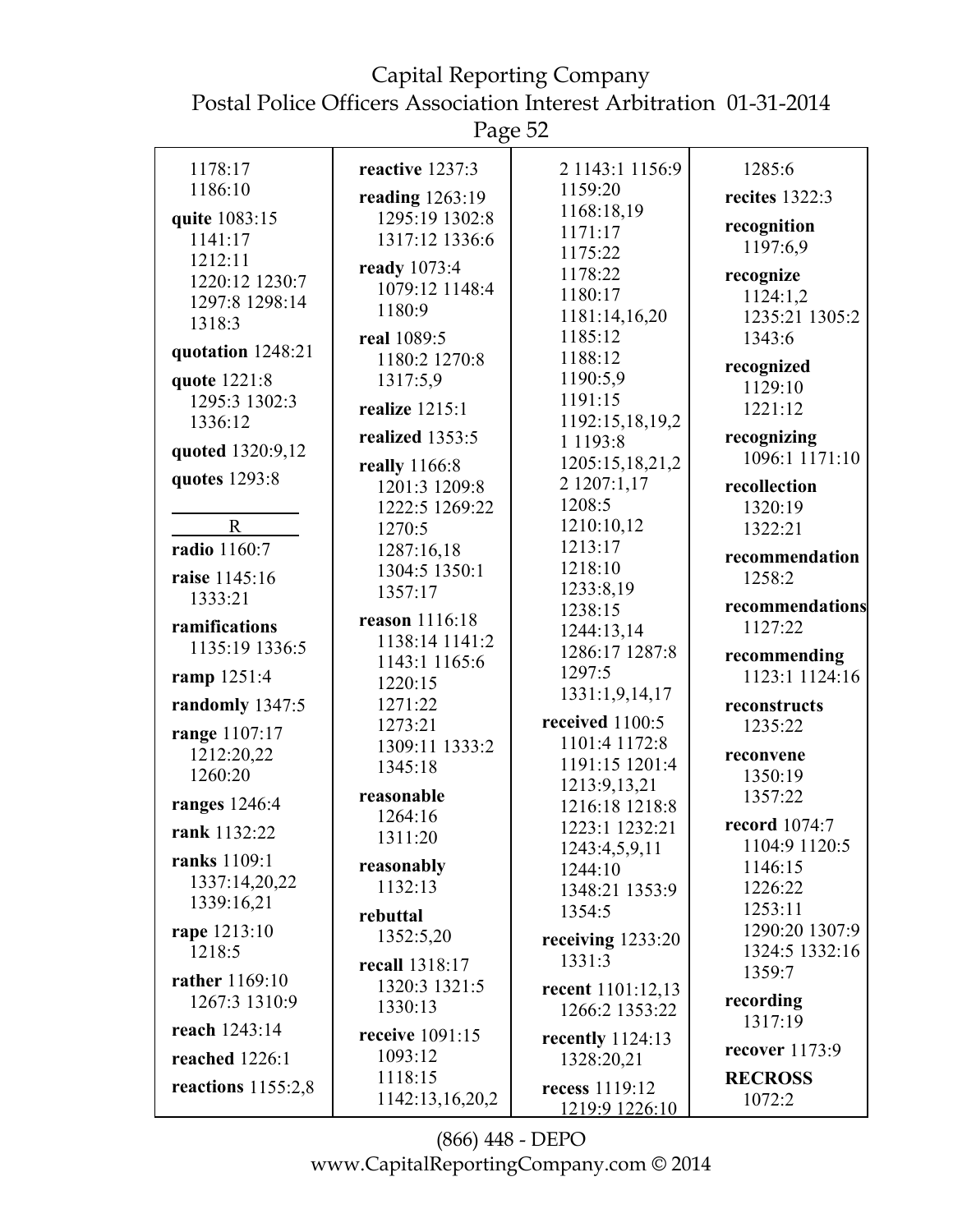Capital Reporting Company Postal Police Officers Association Interest Arbitration 01-31-2014

| 2 1143:1 1156:9<br>1178:17<br>1285:6<br>reactive 1237:3<br>1186:10<br>1159:20<br>recites 1322:3<br>reading 1263:19<br>1168:18,19<br>quite 1083:15<br>1295:19 1302:8<br>recognition<br>1171:17<br>1317:12 1336:6<br>1141:17<br>1197:6,9<br>1175:22<br>1212:11<br>ready 1073:4<br>1178:22<br>recognize<br>1220:12 1230:7<br>1079:12 1148:4<br>1180:17<br>1124:1,2<br>1297:8 1298:14<br>1180:9<br>1181:14,16,20<br>1235:21 1305:2<br>1318:3<br>1185:12<br>real 1089:5<br>1343:6<br>quotation 1248:21<br>1188:12<br>1180:2 1270:8<br>recognized<br>1190:5,9<br>1317:5,9<br>quote 1221:8<br>1129:10<br>1191:15<br>1295:3 1302:3<br>realize 1215:1<br>1221:12<br>1192:15,18,19,2<br>1336:12<br>realized 1353:5<br>recognizing<br>1 1 1 9 3 : 8<br>quoted 1320:9,12<br>1096:1 1171:10<br>1205:15,18,21,2<br>really 1166:8<br>quotes 1293:8<br>2 1207:1,17<br>1201:3 1209:8<br>recollection<br>1208:5<br>1222:5 1269:22<br>1320:19<br>1210:10,12<br>$\mathbf R$<br>1270:5<br>1322:21<br>1213:17<br>radio 1160:7<br>1287:16,18<br>recommendation<br>1218:10<br>1304:5 1350:1<br>raise 1145:16<br>1258:2<br>1233:8,19<br>1357:17<br>1333:21<br>recommendations<br>1238:15<br>reason 1116:18<br>ramifications<br>1127:22<br>1244:13,14<br>1138:14 1141:2<br>1135:19 1336:5<br>1286:17 1287:8<br>recommending<br>1143:1 1165:6<br>1297:5<br>1123:1 1124:16<br>ramp 1251:4<br>1220:15<br>1331:1,9,14,17<br>1271:22<br>randomly 1347:5<br>reconstructs<br>received 1100:5<br>1273:21<br>1235:22<br>range 1107:17<br>1101:4 1172:8<br>1309:11 1333:2<br>1212:20,22<br>reconvene<br>1191:15 1201:4<br>1345:18<br>1260:20<br>1350:19<br>1213:9,13,21<br>reasonable<br>1357:22<br>ranges 1246:4<br>1216:18 1218:8<br>1264:16<br>record 1074:7<br>1223:1 1232:21<br>rank 1132:22<br>1311:20<br>1104:9 1120:5<br>1243:4,5,9,11<br>ranks 1109:1<br>reasonably<br>1146:15<br>1244:10<br>1337:14,20,22<br>1132:13<br>1226:22<br>1348:21 1353:9<br>1339:16,21<br>1253:11<br>1354:5<br>rebuttal<br>1290:20 1307:9<br>rape 1213:10<br>1352:5,20<br>receiving 1233:20<br>1324:5 1332:16<br>1218:5<br>1331:3<br>recall 1318:17<br>1359:7<br>rather 1169:10<br>1320:3 1321:5<br>recent 1101:12,13<br>1267:3 1310:9<br>recording<br>1330:13<br>1266:2 1353:22<br>1317:19<br>reach 1243:14<br>receive 1091:15<br>recently $1124:13$<br><b>recover</b> 1173:9<br>1093:12<br>reached 1226:1<br>1328:20,21<br>1118:15<br><b>RECROSS</b><br>reactions $1155:2,8$<br>recess 1119:12<br>1142:13,16,20,2<br>1072:2 |  |                       |  |
|------------------------------------------------------------------------------------------------------------------------------------------------------------------------------------------------------------------------------------------------------------------------------------------------------------------------------------------------------------------------------------------------------------------------------------------------------------------------------------------------------------------------------------------------------------------------------------------------------------------------------------------------------------------------------------------------------------------------------------------------------------------------------------------------------------------------------------------------------------------------------------------------------------------------------------------------------------------------------------------------------------------------------------------------------------------------------------------------------------------------------------------------------------------------------------------------------------------------------------------------------------------------------------------------------------------------------------------------------------------------------------------------------------------------------------------------------------------------------------------------------------------------------------------------------------------------------------------------------------------------------------------------------------------------------------------------------------------------------------------------------------------------------------------------------------------------------------------------------------------------------------------------------------------------------------------------------------------------------------------------------------------------------------------------------------------------------------------------------------------------------------------------------------------------------------------------------------------------------------------------------------------------------------------------------------------------------------------------------------------------------------------------------------------------------------------------------------------------------|--|-----------------------|--|
|                                                                                                                                                                                                                                                                                                                                                                                                                                                                                                                                                                                                                                                                                                                                                                                                                                                                                                                                                                                                                                                                                                                                                                                                                                                                                                                                                                                                                                                                                                                                                                                                                                                                                                                                                                                                                                                                                                                                                                                                                                                                                                                                                                                                                                                                                                                                                                                                                                                                              |  |                       |  |
|                                                                                                                                                                                                                                                                                                                                                                                                                                                                                                                                                                                                                                                                                                                                                                                                                                                                                                                                                                                                                                                                                                                                                                                                                                                                                                                                                                                                                                                                                                                                                                                                                                                                                                                                                                                                                                                                                                                                                                                                                                                                                                                                                                                                                                                                                                                                                                                                                                                                              |  |                       |  |
|                                                                                                                                                                                                                                                                                                                                                                                                                                                                                                                                                                                                                                                                                                                                                                                                                                                                                                                                                                                                                                                                                                                                                                                                                                                                                                                                                                                                                                                                                                                                                                                                                                                                                                                                                                                                                                                                                                                                                                                                                                                                                                                                                                                                                                                                                                                                                                                                                                                                              |  |                       |  |
|                                                                                                                                                                                                                                                                                                                                                                                                                                                                                                                                                                                                                                                                                                                                                                                                                                                                                                                                                                                                                                                                                                                                                                                                                                                                                                                                                                                                                                                                                                                                                                                                                                                                                                                                                                                                                                                                                                                                                                                                                                                                                                                                                                                                                                                                                                                                                                                                                                                                              |  |                       |  |
|                                                                                                                                                                                                                                                                                                                                                                                                                                                                                                                                                                                                                                                                                                                                                                                                                                                                                                                                                                                                                                                                                                                                                                                                                                                                                                                                                                                                                                                                                                                                                                                                                                                                                                                                                                                                                                                                                                                                                                                                                                                                                                                                                                                                                                                                                                                                                                                                                                                                              |  |                       |  |
|                                                                                                                                                                                                                                                                                                                                                                                                                                                                                                                                                                                                                                                                                                                                                                                                                                                                                                                                                                                                                                                                                                                                                                                                                                                                                                                                                                                                                                                                                                                                                                                                                                                                                                                                                                                                                                                                                                                                                                                                                                                                                                                                                                                                                                                                                                                                                                                                                                                                              |  |                       |  |
|                                                                                                                                                                                                                                                                                                                                                                                                                                                                                                                                                                                                                                                                                                                                                                                                                                                                                                                                                                                                                                                                                                                                                                                                                                                                                                                                                                                                                                                                                                                                                                                                                                                                                                                                                                                                                                                                                                                                                                                                                                                                                                                                                                                                                                                                                                                                                                                                                                                                              |  |                       |  |
|                                                                                                                                                                                                                                                                                                                                                                                                                                                                                                                                                                                                                                                                                                                                                                                                                                                                                                                                                                                                                                                                                                                                                                                                                                                                                                                                                                                                                                                                                                                                                                                                                                                                                                                                                                                                                                                                                                                                                                                                                                                                                                                                                                                                                                                                                                                                                                                                                                                                              |  |                       |  |
|                                                                                                                                                                                                                                                                                                                                                                                                                                                                                                                                                                                                                                                                                                                                                                                                                                                                                                                                                                                                                                                                                                                                                                                                                                                                                                                                                                                                                                                                                                                                                                                                                                                                                                                                                                                                                                                                                                                                                                                                                                                                                                                                                                                                                                                                                                                                                                                                                                                                              |  |                       |  |
|                                                                                                                                                                                                                                                                                                                                                                                                                                                                                                                                                                                                                                                                                                                                                                                                                                                                                                                                                                                                                                                                                                                                                                                                                                                                                                                                                                                                                                                                                                                                                                                                                                                                                                                                                                                                                                                                                                                                                                                                                                                                                                                                                                                                                                                                                                                                                                                                                                                                              |  |                       |  |
|                                                                                                                                                                                                                                                                                                                                                                                                                                                                                                                                                                                                                                                                                                                                                                                                                                                                                                                                                                                                                                                                                                                                                                                                                                                                                                                                                                                                                                                                                                                                                                                                                                                                                                                                                                                                                                                                                                                                                                                                                                                                                                                                                                                                                                                                                                                                                                                                                                                                              |  |                       |  |
|                                                                                                                                                                                                                                                                                                                                                                                                                                                                                                                                                                                                                                                                                                                                                                                                                                                                                                                                                                                                                                                                                                                                                                                                                                                                                                                                                                                                                                                                                                                                                                                                                                                                                                                                                                                                                                                                                                                                                                                                                                                                                                                                                                                                                                                                                                                                                                                                                                                                              |  |                       |  |
|                                                                                                                                                                                                                                                                                                                                                                                                                                                                                                                                                                                                                                                                                                                                                                                                                                                                                                                                                                                                                                                                                                                                                                                                                                                                                                                                                                                                                                                                                                                                                                                                                                                                                                                                                                                                                                                                                                                                                                                                                                                                                                                                                                                                                                                                                                                                                                                                                                                                              |  |                       |  |
|                                                                                                                                                                                                                                                                                                                                                                                                                                                                                                                                                                                                                                                                                                                                                                                                                                                                                                                                                                                                                                                                                                                                                                                                                                                                                                                                                                                                                                                                                                                                                                                                                                                                                                                                                                                                                                                                                                                                                                                                                                                                                                                                                                                                                                                                                                                                                                                                                                                                              |  |                       |  |
|                                                                                                                                                                                                                                                                                                                                                                                                                                                                                                                                                                                                                                                                                                                                                                                                                                                                                                                                                                                                                                                                                                                                                                                                                                                                                                                                                                                                                                                                                                                                                                                                                                                                                                                                                                                                                                                                                                                                                                                                                                                                                                                                                                                                                                                                                                                                                                                                                                                                              |  |                       |  |
|                                                                                                                                                                                                                                                                                                                                                                                                                                                                                                                                                                                                                                                                                                                                                                                                                                                                                                                                                                                                                                                                                                                                                                                                                                                                                                                                                                                                                                                                                                                                                                                                                                                                                                                                                                                                                                                                                                                                                                                                                                                                                                                                                                                                                                                                                                                                                                                                                                                                              |  |                       |  |
|                                                                                                                                                                                                                                                                                                                                                                                                                                                                                                                                                                                                                                                                                                                                                                                                                                                                                                                                                                                                                                                                                                                                                                                                                                                                                                                                                                                                                                                                                                                                                                                                                                                                                                                                                                                                                                                                                                                                                                                                                                                                                                                                                                                                                                                                                                                                                                                                                                                                              |  |                       |  |
|                                                                                                                                                                                                                                                                                                                                                                                                                                                                                                                                                                                                                                                                                                                                                                                                                                                                                                                                                                                                                                                                                                                                                                                                                                                                                                                                                                                                                                                                                                                                                                                                                                                                                                                                                                                                                                                                                                                                                                                                                                                                                                                                                                                                                                                                                                                                                                                                                                                                              |  |                       |  |
|                                                                                                                                                                                                                                                                                                                                                                                                                                                                                                                                                                                                                                                                                                                                                                                                                                                                                                                                                                                                                                                                                                                                                                                                                                                                                                                                                                                                                                                                                                                                                                                                                                                                                                                                                                                                                                                                                                                                                                                                                                                                                                                                                                                                                                                                                                                                                                                                                                                                              |  |                       |  |
|                                                                                                                                                                                                                                                                                                                                                                                                                                                                                                                                                                                                                                                                                                                                                                                                                                                                                                                                                                                                                                                                                                                                                                                                                                                                                                                                                                                                                                                                                                                                                                                                                                                                                                                                                                                                                                                                                                                                                                                                                                                                                                                                                                                                                                                                                                                                                                                                                                                                              |  |                       |  |
|                                                                                                                                                                                                                                                                                                                                                                                                                                                                                                                                                                                                                                                                                                                                                                                                                                                                                                                                                                                                                                                                                                                                                                                                                                                                                                                                                                                                                                                                                                                                                                                                                                                                                                                                                                                                                                                                                                                                                                                                                                                                                                                                                                                                                                                                                                                                                                                                                                                                              |  |                       |  |
|                                                                                                                                                                                                                                                                                                                                                                                                                                                                                                                                                                                                                                                                                                                                                                                                                                                                                                                                                                                                                                                                                                                                                                                                                                                                                                                                                                                                                                                                                                                                                                                                                                                                                                                                                                                                                                                                                                                                                                                                                                                                                                                                                                                                                                                                                                                                                                                                                                                                              |  |                       |  |
|                                                                                                                                                                                                                                                                                                                                                                                                                                                                                                                                                                                                                                                                                                                                                                                                                                                                                                                                                                                                                                                                                                                                                                                                                                                                                                                                                                                                                                                                                                                                                                                                                                                                                                                                                                                                                                                                                                                                                                                                                                                                                                                                                                                                                                                                                                                                                                                                                                                                              |  |                       |  |
|                                                                                                                                                                                                                                                                                                                                                                                                                                                                                                                                                                                                                                                                                                                                                                                                                                                                                                                                                                                                                                                                                                                                                                                                                                                                                                                                                                                                                                                                                                                                                                                                                                                                                                                                                                                                                                                                                                                                                                                                                                                                                                                                                                                                                                                                                                                                                                                                                                                                              |  |                       |  |
|                                                                                                                                                                                                                                                                                                                                                                                                                                                                                                                                                                                                                                                                                                                                                                                                                                                                                                                                                                                                                                                                                                                                                                                                                                                                                                                                                                                                                                                                                                                                                                                                                                                                                                                                                                                                                                                                                                                                                                                                                                                                                                                                                                                                                                                                                                                                                                                                                                                                              |  |                       |  |
|                                                                                                                                                                                                                                                                                                                                                                                                                                                                                                                                                                                                                                                                                                                                                                                                                                                                                                                                                                                                                                                                                                                                                                                                                                                                                                                                                                                                                                                                                                                                                                                                                                                                                                                                                                                                                                                                                                                                                                                                                                                                                                                                                                                                                                                                                                                                                                                                                                                                              |  |                       |  |
|                                                                                                                                                                                                                                                                                                                                                                                                                                                                                                                                                                                                                                                                                                                                                                                                                                                                                                                                                                                                                                                                                                                                                                                                                                                                                                                                                                                                                                                                                                                                                                                                                                                                                                                                                                                                                                                                                                                                                                                                                                                                                                                                                                                                                                                                                                                                                                                                                                                                              |  |                       |  |
|                                                                                                                                                                                                                                                                                                                                                                                                                                                                                                                                                                                                                                                                                                                                                                                                                                                                                                                                                                                                                                                                                                                                                                                                                                                                                                                                                                                                                                                                                                                                                                                                                                                                                                                                                                                                                                                                                                                                                                                                                                                                                                                                                                                                                                                                                                                                                                                                                                                                              |  |                       |  |
|                                                                                                                                                                                                                                                                                                                                                                                                                                                                                                                                                                                                                                                                                                                                                                                                                                                                                                                                                                                                                                                                                                                                                                                                                                                                                                                                                                                                                                                                                                                                                                                                                                                                                                                                                                                                                                                                                                                                                                                                                                                                                                                                                                                                                                                                                                                                                                                                                                                                              |  |                       |  |
|                                                                                                                                                                                                                                                                                                                                                                                                                                                                                                                                                                                                                                                                                                                                                                                                                                                                                                                                                                                                                                                                                                                                                                                                                                                                                                                                                                                                                                                                                                                                                                                                                                                                                                                                                                                                                                                                                                                                                                                                                                                                                                                                                                                                                                                                                                                                                                                                                                                                              |  |                       |  |
|                                                                                                                                                                                                                                                                                                                                                                                                                                                                                                                                                                                                                                                                                                                                                                                                                                                                                                                                                                                                                                                                                                                                                                                                                                                                                                                                                                                                                                                                                                                                                                                                                                                                                                                                                                                                                                                                                                                                                                                                                                                                                                                                                                                                                                                                                                                                                                                                                                                                              |  |                       |  |
|                                                                                                                                                                                                                                                                                                                                                                                                                                                                                                                                                                                                                                                                                                                                                                                                                                                                                                                                                                                                                                                                                                                                                                                                                                                                                                                                                                                                                                                                                                                                                                                                                                                                                                                                                                                                                                                                                                                                                                                                                                                                                                                                                                                                                                                                                                                                                                                                                                                                              |  |                       |  |
|                                                                                                                                                                                                                                                                                                                                                                                                                                                                                                                                                                                                                                                                                                                                                                                                                                                                                                                                                                                                                                                                                                                                                                                                                                                                                                                                                                                                                                                                                                                                                                                                                                                                                                                                                                                                                                                                                                                                                                                                                                                                                                                                                                                                                                                                                                                                                                                                                                                                              |  |                       |  |
|                                                                                                                                                                                                                                                                                                                                                                                                                                                                                                                                                                                                                                                                                                                                                                                                                                                                                                                                                                                                                                                                                                                                                                                                                                                                                                                                                                                                                                                                                                                                                                                                                                                                                                                                                                                                                                                                                                                                                                                                                                                                                                                                                                                                                                                                                                                                                                                                                                                                              |  |                       |  |
|                                                                                                                                                                                                                                                                                                                                                                                                                                                                                                                                                                                                                                                                                                                                                                                                                                                                                                                                                                                                                                                                                                                                                                                                                                                                                                                                                                                                                                                                                                                                                                                                                                                                                                                                                                                                                                                                                                                                                                                                                                                                                                                                                                                                                                                                                                                                                                                                                                                                              |  |                       |  |
|                                                                                                                                                                                                                                                                                                                                                                                                                                                                                                                                                                                                                                                                                                                                                                                                                                                                                                                                                                                                                                                                                                                                                                                                                                                                                                                                                                                                                                                                                                                                                                                                                                                                                                                                                                                                                                                                                                                                                                                                                                                                                                                                                                                                                                                                                                                                                                                                                                                                              |  |                       |  |
|                                                                                                                                                                                                                                                                                                                                                                                                                                                                                                                                                                                                                                                                                                                                                                                                                                                                                                                                                                                                                                                                                                                                                                                                                                                                                                                                                                                                                                                                                                                                                                                                                                                                                                                                                                                                                                                                                                                                                                                                                                                                                                                                                                                                                                                                                                                                                                                                                                                                              |  |                       |  |
|                                                                                                                                                                                                                                                                                                                                                                                                                                                                                                                                                                                                                                                                                                                                                                                                                                                                                                                                                                                                                                                                                                                                                                                                                                                                                                                                                                                                                                                                                                                                                                                                                                                                                                                                                                                                                                                                                                                                                                                                                                                                                                                                                                                                                                                                                                                                                                                                                                                                              |  |                       |  |
|                                                                                                                                                                                                                                                                                                                                                                                                                                                                                                                                                                                                                                                                                                                                                                                                                                                                                                                                                                                                                                                                                                                                                                                                                                                                                                                                                                                                                                                                                                                                                                                                                                                                                                                                                                                                                                                                                                                                                                                                                                                                                                                                                                                                                                                                                                                                                                                                                                                                              |  |                       |  |
|                                                                                                                                                                                                                                                                                                                                                                                                                                                                                                                                                                                                                                                                                                                                                                                                                                                                                                                                                                                                                                                                                                                                                                                                                                                                                                                                                                                                                                                                                                                                                                                                                                                                                                                                                                                                                                                                                                                                                                                                                                                                                                                                                                                                                                                                                                                                                                                                                                                                              |  |                       |  |
|                                                                                                                                                                                                                                                                                                                                                                                                                                                                                                                                                                                                                                                                                                                                                                                                                                                                                                                                                                                                                                                                                                                                                                                                                                                                                                                                                                                                                                                                                                                                                                                                                                                                                                                                                                                                                                                                                                                                                                                                                                                                                                                                                                                                                                                                                                                                                                                                                                                                              |  |                       |  |
|                                                                                                                                                                                                                                                                                                                                                                                                                                                                                                                                                                                                                                                                                                                                                                                                                                                                                                                                                                                                                                                                                                                                                                                                                                                                                                                                                                                                                                                                                                                                                                                                                                                                                                                                                                                                                                                                                                                                                                                                                                                                                                                                                                                                                                                                                                                                                                                                                                                                              |  |                       |  |
|                                                                                                                                                                                                                                                                                                                                                                                                                                                                                                                                                                                                                                                                                                                                                                                                                                                                                                                                                                                                                                                                                                                                                                                                                                                                                                                                                                                                                                                                                                                                                                                                                                                                                                                                                                                                                                                                                                                                                                                                                                                                                                                                                                                                                                                                                                                                                                                                                                                                              |  |                       |  |
|                                                                                                                                                                                                                                                                                                                                                                                                                                                                                                                                                                                                                                                                                                                                                                                                                                                                                                                                                                                                                                                                                                                                                                                                                                                                                                                                                                                                                                                                                                                                                                                                                                                                                                                                                                                                                                                                                                                                                                                                                                                                                                                                                                                                                                                                                                                                                                                                                                                                              |  | <u>1219:9 1226:10</u> |  |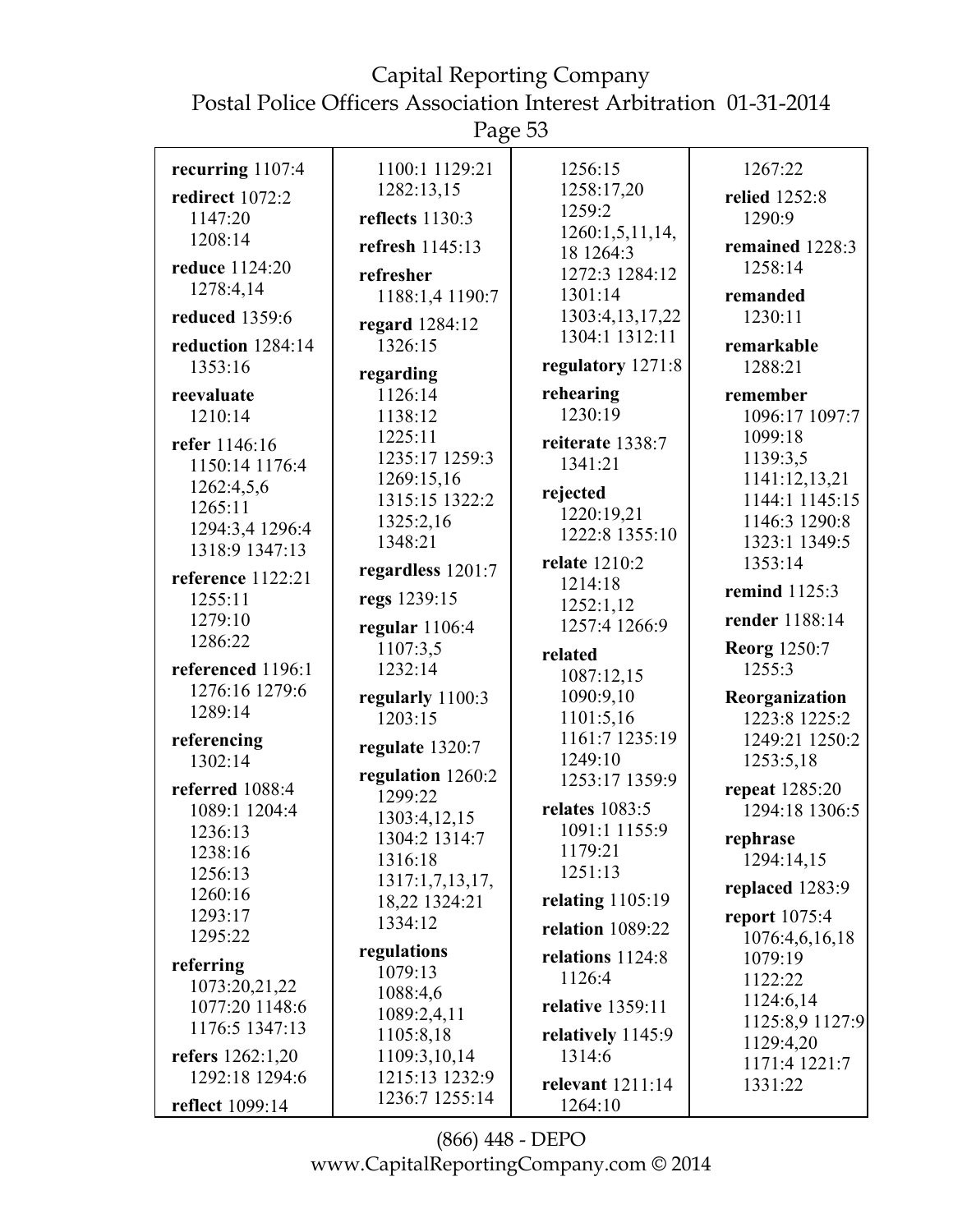Page 53

| recurring 1107:4   | 1100:1 1129:21    | 1256:15               | 1267:22                      |
|--------------------|-------------------|-----------------------|------------------------------|
| redirect 1072:2    | 1282:13,15        | 1258:17,20            | relied 1252:8                |
| 1147:20            | reflects 1130:3   | 1259:2                | 1290:9                       |
| 1208:14            |                   | 1260:1,5,11,14,       |                              |
|                    | refresh 1145:13   | 18 1264:3             | remained 1228:3              |
| reduce 1124:20     | refresher         | 1272:3 1284:12        | 1258:14                      |
| 1278:4,14          | 1188:1,4 1190:7   | 1301:14               | remanded                     |
| reduced 1359:6     | regard 1284:12    | 1303:4, 13, 17, 22    | 1230:11                      |
| reduction 1284:14  | 1326:15           | 1304:1 1312:11        | remarkable                   |
| 1353:16            | regarding         | regulatory 1271:8     | 1288:21                      |
| reevaluate         | 1126:14           | rehearing             | remember                     |
| 1210:14            | 1138:12           | 1230:19               | 1096:17 1097:7               |
| refer 1146:16      | 1225:11           | reiterate 1338:7      | 1099:18                      |
| 1150:14 1176:4     | 1235:17 1259:3    | 1341:21               | 1139:3,5                     |
| 1262:4,5,6         | 1269:15,16        |                       | 1141:12,13,21                |
| 1265:11            | 1315:15 1322:2    | rejected              | 1144:1 1145:15               |
| 1294:3,4 1296:4    | 1325:2,16         | 1220:19,21            | 1146:3 1290:8                |
| 1318:9 1347:13     | 1348:21           | 1222:8 1355:10        | 1323:1 1349:5                |
|                    | regardless 1201:7 | relate 1210:2         | 1353:14                      |
| reference 1122:21  |                   | 1214:18               | remind 1125:3                |
| 1255:11<br>1279:10 | regs 1239:15      | 1252:1,12             | render 1188:14               |
| 1286:22            | regular $1106:4$  | 1257:4 1266:9         |                              |
|                    | 1107:3,5          | related               | <b>Reorg</b> 1250:7          |
| referenced 1196:1  | 1232:14           | 1087:12,15            | 1255:3                       |
| 1276:16 1279:6     | regularly 1100:3  | 1090:9,10             | Reorganization               |
| 1289:14            | 1203:15           | 1101:5,16             | 1223:8 1225:2                |
| referencing        | regulate 1320:7   | 1161:7 1235:19        | 1249:21 1250:2               |
| 1302:14            | regulation 1260:2 | 1249:10               | 1253:5,18                    |
| referred 1088:4    | 1299:22           | 1253:17 1359:9        | repeat 1285:20               |
| 1089:1 1204:4      | 1303:4,12,15      | <b>relates</b> 1083:5 | 1294:18 1306:5               |
| 1236:13            | 1304:2 1314:7     | 1091:1 1155:9         | rephrase                     |
| 1238:16            | 1316:18           | 1179:21               | 1294:14,15                   |
| 1256:13            | 1317:1,7,13,17,   | 1251:13               | replaced 1283:9              |
| 1260:16            | 18,22 1324:21     | relating $1105:19$    |                              |
| 1293:17            | 1334:12           | relation 1089:22      | report $1075:4$              |
| 1295:22            | regulations       |                       | 1076:4,6,16,18               |
| referring          | 1079:13           | relations 1124:8      | 1079:19                      |
| 1073:20,21,22      | 1088:4,6          | 1126:4                | 1122:22                      |
| 1077:20 1148:6     | 1089:2,4,11       | relative 1359:11      | 1124:6,14                    |
| 1176:5 1347:13     | 1105:8,18         | relatively 1145:9     | 1125:8,9 1127:9<br>1129:4,20 |
| refers 1262:1,20   | 1109:3,10,14      | 1314:6                | 1171:4 1221:7                |
| 1292:18 1294:6     | 1215:13 1232:9    | relevant 1211:14      | 1331:22                      |
| reflect 1099:14    | 1236:7 1255:14    | 1264:10               |                              |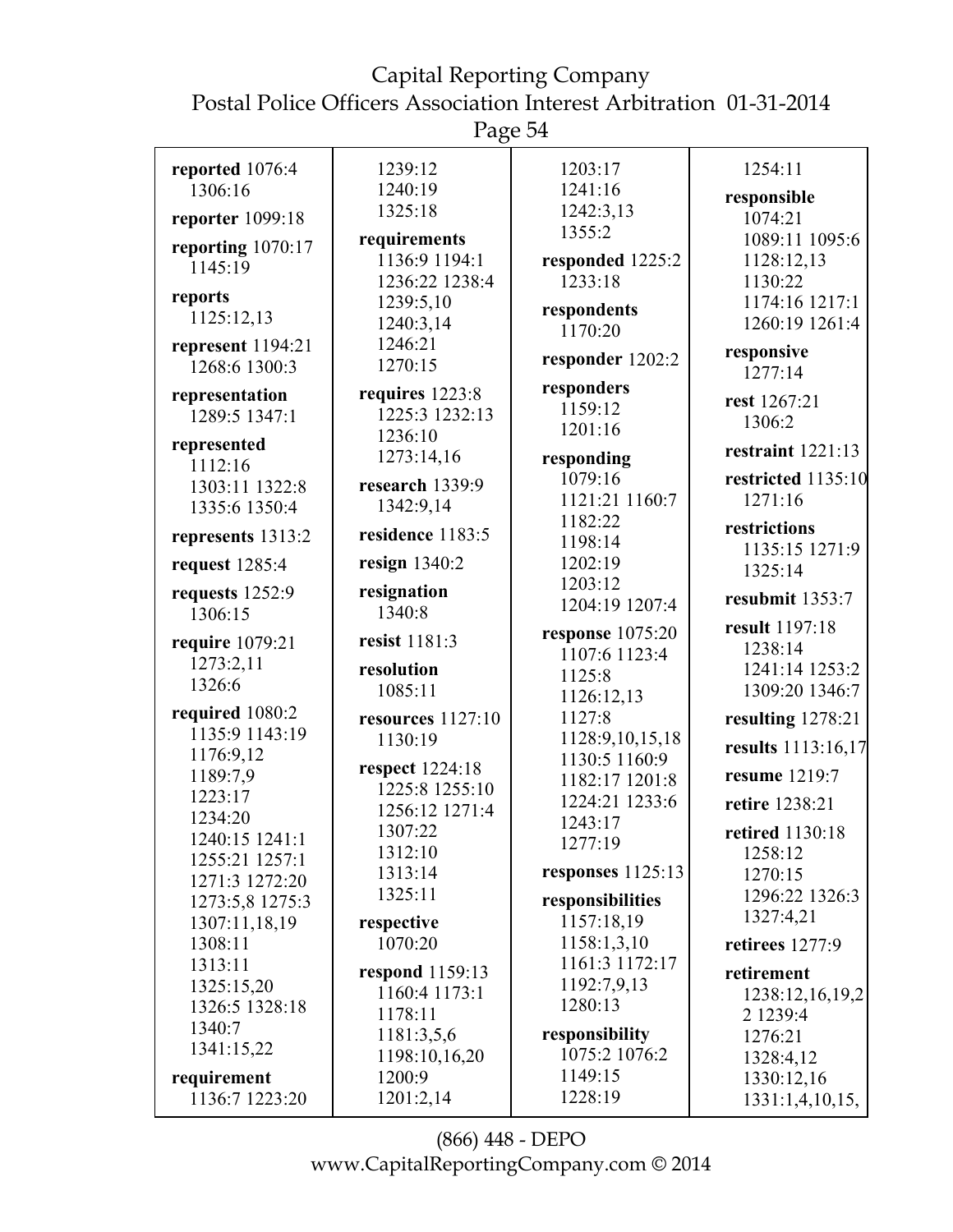| reported 1076:4               | 1239:12                 | 1203:17                        | 1254:11                          |
|-------------------------------|-------------------------|--------------------------------|----------------------------------|
| 1306:16                       | 1240:19                 | 1241:16                        | responsible                      |
| reporter 1099:18              | 1325:18                 | 1242:3,13                      | 1074:21                          |
| reporting 1070:17             | requirements            | 1355:2                         | 1089:11 1095:6                   |
| 1145:19                       | 1136:9 1194:1           | responded 1225:2               | 1128:12,13                       |
|                               | 1236:22 1238:4          | 1233:18                        | 1130:22                          |
| reports                       | 1239:5,10               | respondents                    | 1174:16 1217:1                   |
| 1125:12,13                    | 1240:3,14               | 1170:20                        | 1260:19 1261:4                   |
| represent 1194:21             | 1246:21                 |                                | responsive                       |
| 1268:6 1300:3                 | 1270:15                 | responder 1202:2               | 1277:14                          |
| representation                | requires 1223:8         | responders                     | rest 1267:21                     |
| 1289:5 1347:1                 | 1225:3 1232:13          | 1159:12                        | 1306:2                           |
| represented                   | 1236:10                 | 1201:16                        |                                  |
| 1112:16                       | 1273:14,16              | responding                     | restraint $1221:13$              |
| 1303:11 1322:8                | research 1339:9         | 1079:16                        | restricted 1135:10               |
| 1335:6 1350:4                 | 1342:9,14               | 1121:21 1160:7                 | 1271:16                          |
|                               | residence 1183:5        | 1182:22                        | restrictions                     |
| represents 1313:2             |                         | 1198:14                        | 1135:15 1271:9                   |
| request 1285:4                | resign $1340:2$         | 1202:19                        | 1325:14                          |
| requests 1252:9               | resignation             | 1203:12                        | resubmit 1353:7                  |
| 1306:15                       | 1340:8                  | 1204:19 1207:4                 |                                  |
| require 1079:21               | resist 1181:3           | response 1075:20               | result 1197:18                   |
| 1273:2,11                     |                         | 1107:6 1123:4                  | 1238:14                          |
| 1326:6                        | resolution<br>1085:11   | 1125:8                         | 1241:14 1253:2<br>1309:20 1346:7 |
|                               |                         | 1126:12,13                     |                                  |
|                               |                         |                                |                                  |
| required 1080:2               | resources 1127:10       | 1127:8                         | resulting 1278:21                |
| 1135:9 1143:19                | 1130:19                 | 1128:9,10,15,18                | results 1113:16,17               |
| 1176:9,12                     | respect 1224:18         | 1130:5 1160:9                  |                                  |
| 1189:7,9                      | 1225:8 1255:10          | 1182:17 1201:8                 | resume 1219:7                    |
| 1223:17                       | 1256:12 1271:4          | 1224:21 1233:6                 | retire 1238:21                   |
| 1234:20                       | 1307:22                 | 1243:17                        | retired 1130:18                  |
| 1240:15 1241:1                | 1312:10                 | 1277:19                        | 1258:12                          |
| 1255:21 1257:1                | 1313:14                 | responses $1125:13$            | 1270:15                          |
| 1271:3 1272:20                | 1325:11                 |                                | 1296:22 1326:3                   |
| 1273:5,8 1275:3               |                         | responsibilities<br>1157:18,19 | 1327:4,21                        |
| 1307:11,18,19<br>1308:11      | respective<br>1070:20   | 1158:1,3,10                    | retirees 1277:9                  |
| 1313:11                       |                         | 1161:3 1172:17                 |                                  |
| 1325:15,20                    | respond 1159:13         | 1192:7,9,13                    | retirement                       |
| 1326:5 1328:18                | 1160:4 1173:1           | 1280:13                        | 1238:12,16,19,2                  |
| 1340:7                        | 1178:11                 |                                | 2 1239:4                         |
| 1341:15,22                    | 1181:3,5,6              | responsibility                 | 1276:21                          |
|                               | 1198:10,16,20<br>1200:9 | 1075:2 1076:2<br>1149:15       | 1328:4,12                        |
| requirement<br>1136:7 1223:20 | 1201:2,14               | 1228:19                        | 1330:12,16<br>1331:1,4,10,15,    |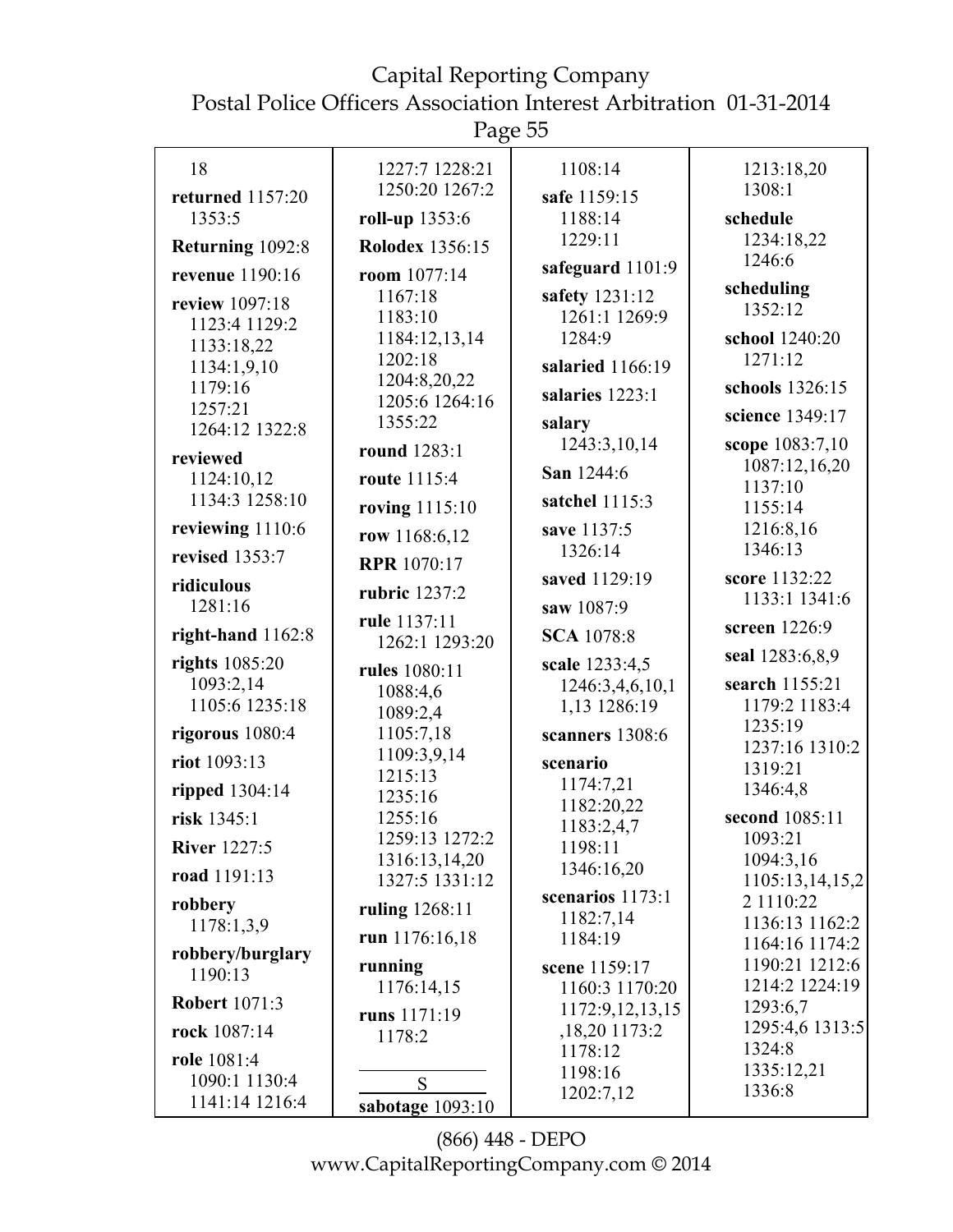## Capital Reporting Company

Postal Police Officers Association Interest Arbitration 01-31-2014

Page 55

| 18                        | 1227:7 1228:21          | 1108:14                           | 1213:18,20                       |
|---------------------------|-------------------------|-----------------------------------|----------------------------------|
| returned 1157:20          | 1250:20 1267:2          | safe 1159:15                      | 1308:1                           |
| 1353:5                    | roll-up 1353:6          | 1188:14                           | schedule                         |
| Returning 1092:8          | <b>Rolodex 1356:15</b>  | 1229:11                           | 1234:18,22                       |
| revenue 1190:16           | room 1077:14            | safeguard 1101:9                  | 1246:6                           |
| review 1097:18            | 1167:18                 | safety 1231:12                    | scheduling                       |
| 1123:4 1129:2             | 1183:10                 | 1261:1 1269:9                     | 1352:12                          |
| 1133:18,22                | 1184:12,13,14           | 1284:9                            | school 1240:20                   |
| 1134:1,9,10               | 1202:18<br>1204:8,20,22 | salaried 1166:19                  | 1271:12                          |
| 1179:16                   | 1205:6 1264:16          | salaries 1223:1                   | schools 1326:15                  |
| 1257:21<br>1264:12 1322:8 | 1355:22                 | salary                            | science 1349:17                  |
|                           | round 1283:1            | 1243:3,10,14                      | scope 1083:7,10                  |
| reviewed<br>1124:10,12    | route 1115:4            | San 1244:6                        | 1087:12,16,20                    |
| 1134:3 1258:10            | roving 1115:10          | satchel 1115:3                    | 1137:10<br>1155:14               |
| reviewing 1110:6          |                         | save 1137:5                       | 1216:8,16                        |
| revised 1353:7            | row 1168:6,12           | 1326:14                           | 1346:13                          |
| ridiculous                | <b>RPR</b> 1070:17      | saved 1129:19                     | score 1132:22                    |
| 1281:16                   | rubric 1237:2           | saw 1087:9                        | 1133:1 1341:6                    |
| right-hand $1162:8$       | rule 1137:11            | <b>SCA</b> 1078:8                 | screen 1226:9                    |
| rights 1085:20            | 1262:1 1293:20          |                                   | seal 1283:6,8,9                  |
| 1093:2,14                 | rules 1080:11           | scale 1233:4,5<br>1246:3,4,6,10,1 | search 1155:21                   |
| 1105:6 1235:18            | 1088:4,6<br>1089:2,4    | 1,13 1286:19                      | 1179:2 1183:4                    |
| rigorous 1080:4           | 1105:7,18               | scanners 1308:6                   | 1235:19                          |
| riot 1093:13              | 1109:3,9,14             | scenario                          | 1237:16 1310:2                   |
| ripped 1304:14            | 1215:13                 | 1174:7,21                         | 1319:21<br>1346:4,8              |
|                           | 1235:16<br>1255:16      | 1182:20,22                        | second 1085:11                   |
| risk 1345:1               | 1259:13 1272:2          | 1183:2,4,7                        | 1093:21                          |
| <b>River</b> 1227:5       | 1316:13,14,20           | 1198:11<br>1346:16,20             | 1094:3,16                        |
| road 1191:13              | 1327:5 1331:12          |                                   | 1105:13,14,15,2                  |
| robbery                   | ruling 1268:11          | scenarios 1173:1<br>1182:7,14     | 2 1110:22                        |
| 1178:1,3,9                | run 1176:16,18          | 1184:19                           | 1136:13 1162:2<br>1164:16 1174:2 |
| robbery/burglary          | running                 | scene 1159:17                     | 1190:21 1212:6                   |
| 1190:13                   | 1176:14,15              | 1160:3 1170:20                    | 1214:2 1224:19                   |
| <b>Robert 1071:3</b>      | runs 1171:19            | 1172:9,12,13,15                   | 1293:6,7                         |
| rock 1087:14              | 1178:2                  | ,18,20 1173:2                     | 1295:4,6 1313:5<br>1324:8        |
| role 1081:4               |                         | 1178:12<br>1198:16                | 1335:12,21                       |
| 1090:1 1130:4             | S                       | 1202:7,12                         | 1336:8                           |
| 1141:14 1216:4            | sabotage 1093:10        |                                   |                                  |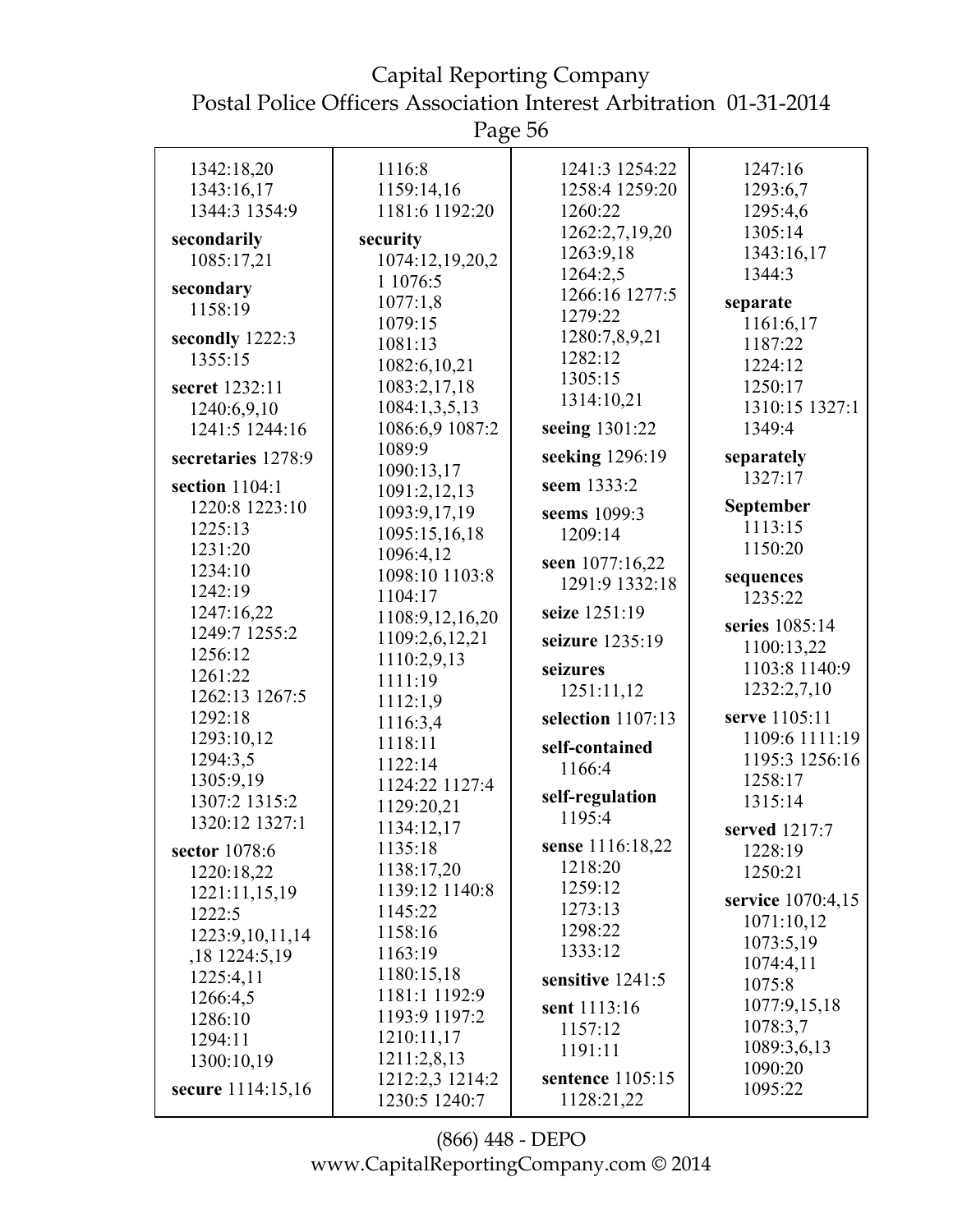Page 56

| 1342:18,20         | 1116:8                     | 1241:3 1254:22    | 1247:16           |
|--------------------|----------------------------|-------------------|-------------------|
| 1343:16,17         | 1159:14,16                 | 1258:4 1259:20    | 1293:6,7          |
| 1344:3 1354:9      | 1181:6 1192:20             | 1260:22           | 1295:4,6          |
|                    | security                   | 1262:2,7,19,20    | 1305:14           |
| secondarily        |                            | 1263:9,18         | 1343:16,17        |
| 1085:17,21         | 1074:12,19,20,2            | 1264:2,5          | 1344:3            |
| secondary          | 1 1076:5                   | 1266:16 1277:5    |                   |
| 1158:19            | 1077:1,8                   | 1279:22           | separate          |
| secondly 1222:3    | 1079:15                    | 1280:7,8,9,21     | 1161:6,17         |
| 1355:15            | 1081:13                    | 1282:12           | 1187:22           |
|                    | 1082:6,10,21               | 1305:15           | 1224:12           |
| secret 1232:11     | 1083:2,17,18               | 1314:10,21        | 1250:17           |
| 1240:6,9,10        | 1084:1,3,5,13              |                   | 1310:15 1327:1    |
| 1241:5 1244:16     | 1086:6,9 1087:2            | seeing 1301:22    | 1349:4            |
| secretaries 1278:9 | 1089:9                     | seeking 1296:19   | separately        |
| section $1104:1$   | 1090:13,17<br>1091:2,12,13 | seem 1333:2       | 1327:17           |
| 1220:8 1223:10     | 1093:9,17,19               | seems 1099:3      | <b>September</b>  |
| 1225:13            | 1095:15,16,18              | 1209:14           | 1113:15           |
| 1231:20            | 1096:4,12                  |                   | 1150:20           |
| 1234:10            | 1098:10 1103:8             | seen 1077:16,22   |                   |
| 1242:19            | 1104:17                    | 1291:9 1332:18    | sequences         |
| 1247:16,22         |                            | seize 1251:19     | 1235:22           |
| 1249:7 1255:2      | 1108:9,12,16,20            |                   | series 1085:14    |
| 1256:12            | 1109:2,6,12,21             | seizure 1235:19   | 1100:13,22        |
| 1261:22            | 1110:2,9,13                | seizures          | 1103:8 1140:9     |
| 1262:13 1267:5     | 1111:19                    | 1251:11,12        | 1232:2,7,10       |
| 1292:18            | 1112:1,9                   | selection 1107:13 | serve 1105:11     |
|                    | 1116:3,4                   |                   | 1109:6 1111:19    |
| 1293:10,12         | 1118:11                    | self-contained    | 1195:3 1256:16    |
| 1294:3,5           | 1122:14                    | 1166:4            | 1258:17           |
| 1305:9,19          | 1124:22 1127:4             | self-regulation   |                   |
| 1307:2 1315:2      | 1129:20,21                 | 1195:4            | 1315:14           |
| 1320:12 1327:1     | 1134:12,17                 |                   | served 1217:7     |
| sector 1078:6      | 1135:18                    | sense 1116:18,22  | 1228:19           |
| 1220:18,22         | 1138:17,20                 | 1218:20           | 1250:21           |
| 1221:11,15,19      | 1139:12 1140:8             | 1259:12           | service 1070:4,15 |
| 1222:5             | 1145:22                    | 1273:13           | 1071:10,12        |
| 1223:9, 10, 11, 14 | 1158:16                    | 1298:22           | 1073:5,19         |
| ,18 1224:5,19      | 1163:19                    | 1333:12           | 1074:4,11         |
| 1225:4,11          | 1180:15,18                 | sensitive 1241:5  | 1075:8            |
| 1266:4,5           | 1181:1 1192:9              |                   |                   |
| 1286:10            | 1193:9 1197:2              | sent 1113:16      | 1077:9,15,18      |
| 1294:11            | 1210:11,17                 | 1157:12           | 1078:3,7          |
| 1300:10,19         | 1211:2,8,13                | 1191:11           | 1089:3,6,13       |
|                    | 1212:2,3 1214:2            | sentence 1105:15  | 1090:20           |
| secure 1114:15,16  | 1230:5 1240:7              | 1128:21,22        | 1095:22           |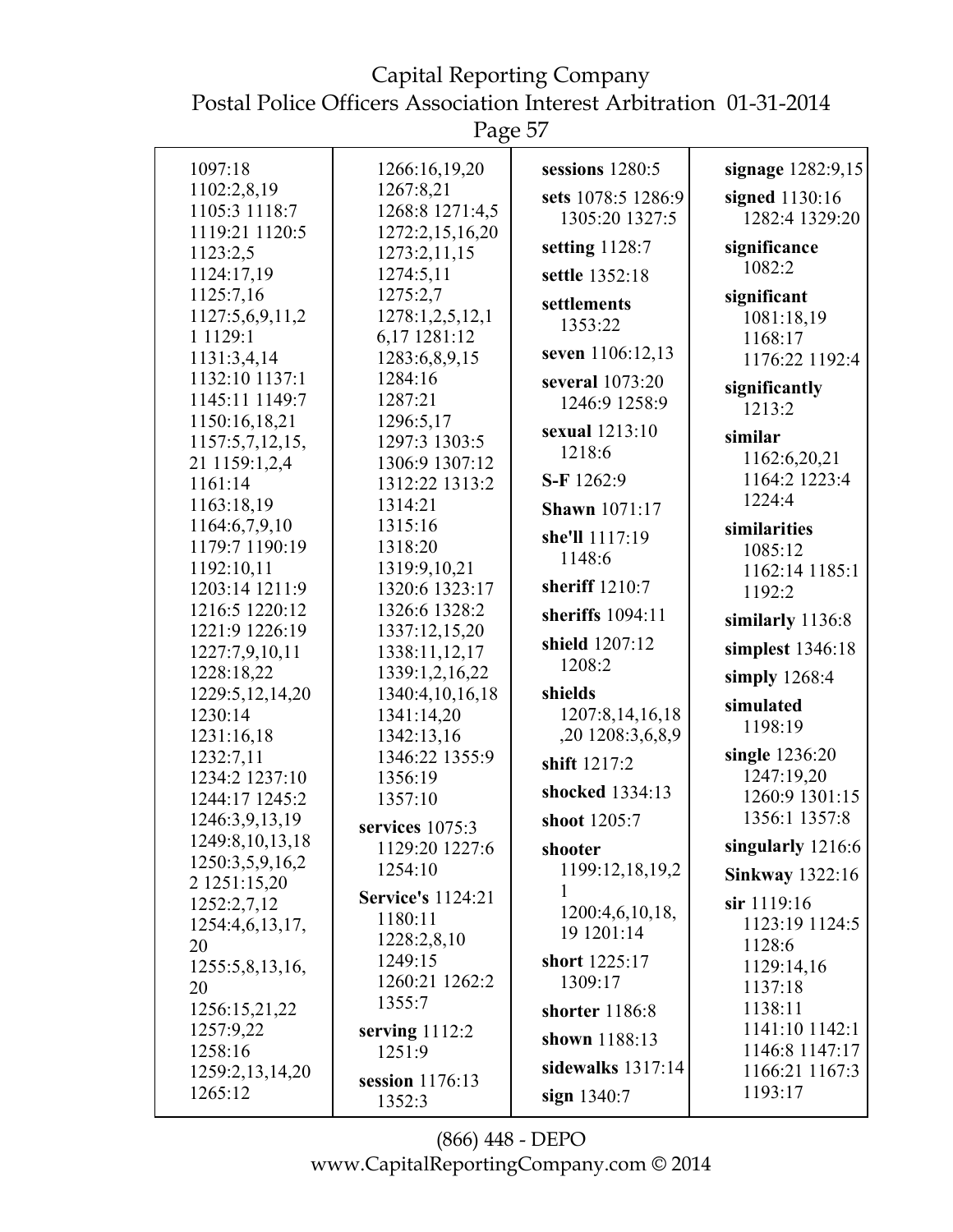Capital Reporting Company Postal Police Officers Association Interest Arbitration 01-31-2014

| 1097:18                          | 1266:16,19,20              | sessions 1280:5      | signage 1282:9,15            |
|----------------------------------|----------------------------|----------------------|------------------------------|
| 1102:2,8,19                      | 1267:8,21                  | sets 1078:5 1286:9   | signed 1130:16               |
| 1105:3 1118:7                    | 1268:8 1271:4,5            | 1305:20 1327:5       | 1282:4 1329:20               |
| 1119:21 1120:5                   | 1272:2,15,16,20            | setting 1128:7       | significance                 |
| 1123:2,5                         | 1273:2,11,15               |                      | 1082:2                       |
| 1124:17,19                       | 1274:5,11                  | settle 1352:18       |                              |
| 1125:7,16                        | 1275:2,7                   | settlements          | significant                  |
| 1127:5,6,9,11,2                  | 1278:1,2,5,12,1            | 1353:22              | 1081:18,19                   |
| 1 1 1 2 9 : 1                    | 6,17 1281:12               | seven 1106:12,13     | 1168:17                      |
| 1131:3,4,14                      | 1283:6,8,9,15              |                      | 1176:22 1192:4               |
| 1132:10 1137:1                   | 1284:16                    | several 1073:20      | significantly                |
| 1145:11 1149:7                   | 1287:21                    | 1246:9 1258:9        | 1213:2                       |
| 1150:16,18,21                    | 1296:5,17<br>1297:3 1303:5 | sexual 1213:10       | similar                      |
| 1157:5,7,12,15,                  | 1306:9 1307:12             | 1218:6               | 1162:6,20,21                 |
| 21 1159:1,2,4<br>1161:14         | 1312:22 1313:2             | S-F 1262:9           | 1164:2 1223:4                |
| 1163:18,19                       | 1314:21                    | <b>Shawn</b> 1071:17 | 1224:4                       |
| 1164:6,7,9,10                    | 1315:16                    |                      | similarities                 |
| 1179:7 1190:19                   | 1318:20                    | she'll 1117:19       | 1085:12                      |
| 1192:10,11                       | 1319:9,10,21               | 1148:6               | 1162:14 1185:1               |
| 1203:14 1211:9                   | 1320:6 1323:17             | sheriff 1210:7       | 1192:2                       |
| 1216:5 1220:12                   | 1326:6 1328:2              | sheriffs 1094:11     | similarly 1136:8             |
| 1221:9 1226:19                   | 1337:12,15,20              | shield 1207:12       |                              |
| 1227:7,9,10,11                   | 1338:11,12,17              | 1208:2               | simplest 1346:18             |
| 1228:18,22                       | 1339:1,2,16,22             |                      | simply $1268:4$              |
| 1229:5, 12, 14, 20               | 1340:4, 10, 16, 18         | shields              | simulated                    |
| 1230:14                          | 1341:14,20                 | 1207:8,14,16,18      | 1198:19                      |
| 1231:16,18                       | 1342:13,16                 | ,20 1208:3,6,8,9     |                              |
| 1232:7,11                        | 1346:22 1355:9             | shift 1217:2         | single 1236:20<br>1247:19,20 |
| 1234:2 1237:10<br>1244:17 1245:2 | 1356:19<br>1357:10         | shocked 1334:13      | 1260:9 1301:15               |
| 1246:3,9,13,19                   |                            | shoot 1205:7         | 1356:1 1357:8                |
| 1249:8,10,13,18                  | services 1075:3            |                      |                              |
| 1250:3,5,9,16,2                  | 1129:20 1227:6             | shooter              | singularly 1216:6            |
| 2 1251:15,20                     | 1254:10                    | 1199:12,18,19,2      | <b>Sinkway</b> 1322:16       |
| 1252:2,7,12                      | <b>Service's 1124:21</b>   | 1                    | sir 1119:16                  |
| 1254:4,6,13,17,                  | 1180:11                    | 1200:4,6,10,18,      | 1123:19 1124:5               |
| 20                               | 1228:2,8,10                | 19 1201:14           | 1128:6                       |
| 1255:5,8,13,16,                  | 1249:15                    | short 1225:17        | 1129:14,16                   |
| 20                               | 1260:21 1262:2             | 1309:17              | 1137:18                      |
| 1256:15,21,22                    | 1355:7                     | shorter 1186:8       | 1138:11                      |
| 1257:9,22                        | serving $1112:2$           | shown 1188:13        | 1141:10 1142:1               |
| 1258:16                          | 1251:9                     |                      | 1146:8 1147:17               |
| 1259:2,13,14,20                  | session 1176:13            | sidewalks $1317:14$  | 1166:21 1167:3               |
| 1265:12                          | 1352:3                     | sign $1340:7$        | 1193:17                      |
|                                  |                            |                      |                              |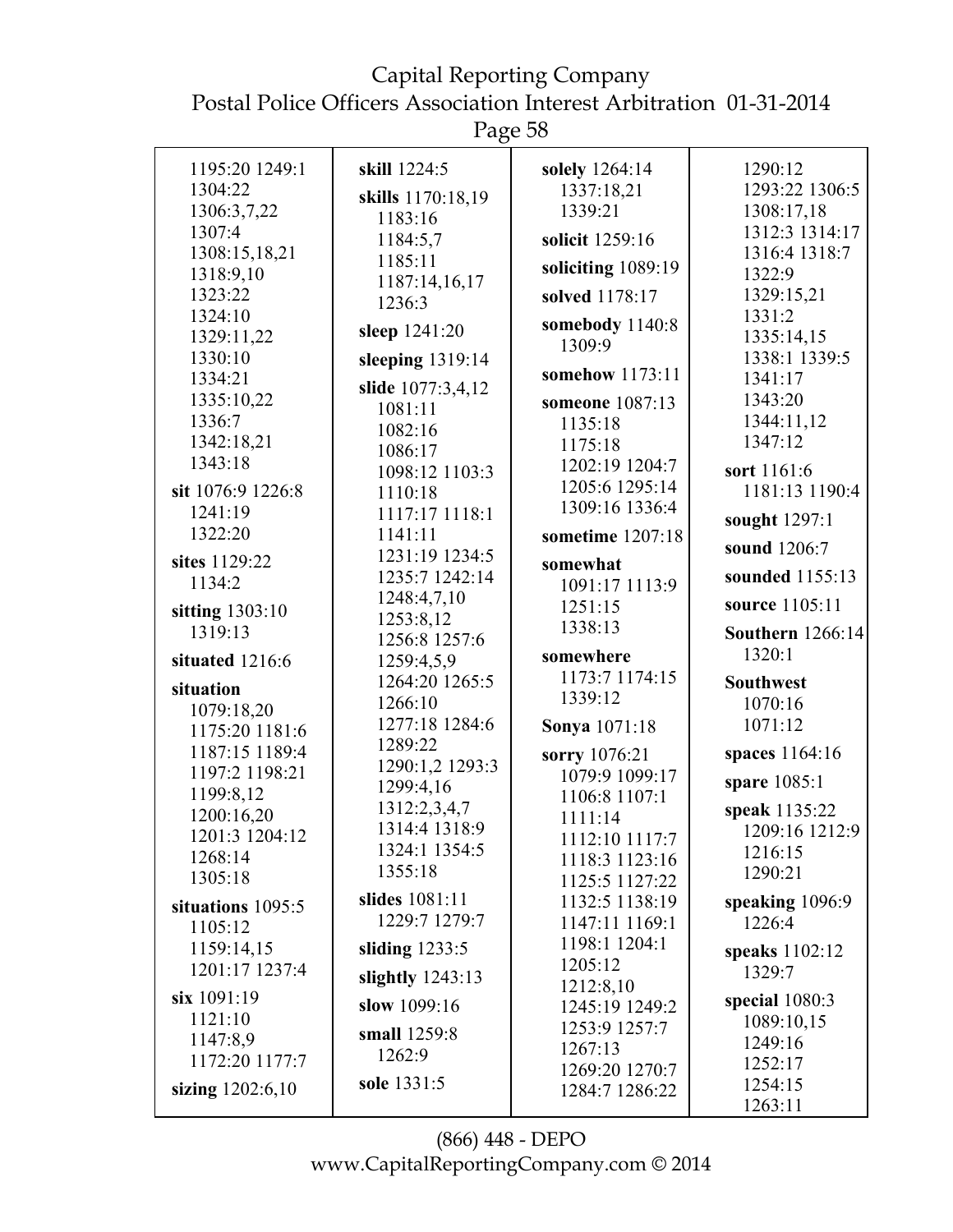Capital Reporting Company Postal Police Officers Association Interest Arbitration 01-31-2014

| 1195:20 1249:1    | skill 1224:5              | solely 1264:14              | 1290:12                 |
|-------------------|---------------------------|-----------------------------|-------------------------|
| 1304:22           |                           | 1337:18,21                  | 1293:22 1306:5          |
| 1306:3,7,22       | skills 1170:18,19         | 1339:21                     | 1308:17,18              |
| 1307:4            | 1183:16<br>1184:5,7       | solicit 1259:16             | 1312:3 1314:17          |
| 1308:15,18,21     | 1185:11                   |                             | 1316:4 1318:7           |
| 1318:9,10         | 1187:14,16,17             | soliciting 1089:19          | 1322:9                  |
| 1323:22           | 1236:3                    | solved 1178:17              | 1329:15,21              |
| 1324:10           |                           | somebody 1140:8             | 1331:2                  |
| 1329:11,22        | sleep 1241:20             | 1309:9                      | 1335:14,15              |
| 1330:10           | sleeping $1319:14$        |                             | 1338:1 1339:5           |
| 1334:21           | slide 1077:3,4,12         | somehow 1173:11             | 1341:17                 |
| 1335:10,22        | 1081:11                   | someone 1087:13             | 1343:20                 |
| 1336:7            | 1082:16                   | 1135:18                     | 1344:11,12              |
| 1342:18,21        | 1086:17                   | 1175:18                     | 1347:12                 |
| 1343:18           | 1098:12 1103:3            | 1202:19 1204:7              | sort 1161:6             |
| sit 1076:9 1226:8 | 1110:18                   | 1205:6 1295:14              | 1181:13 1190:4          |
| 1241:19           | 1117:17 1118:1            | 1309:16 1336:4              | sought 1297:1           |
| 1322:20           | 1141:11                   | sometime 1207:18            |                         |
| sites 1129:22     | 1231:19 1234:5            | somewhat                    | sound 1206:7            |
| 1134:2            | 1235:7 1242:14            | 1091:17 1113:9              | sounded 1155:13         |
| sitting 1303:10   | 1248:4,7,10               | 1251:15                     | source 1105:11          |
| 1319:13           | 1253:8,12                 | 1338:13                     | <b>Southern</b> 1266:14 |
|                   | 1256:8 1257:6             |                             | 1320:1                  |
| situated 1216:6   | 1259:4,5,9                | somewhere<br>1173:7 1174:15 |                         |
| situation         | 1264:20 1265:5            | 1339:12                     | <b>Southwest</b>        |
| 1079:18,20        | 1266:10                   |                             | 1070:16                 |
| 1175:20 1181:6    | 1277:18 1284:6            | <b>Sonya</b> 1071:18        | 1071:12                 |
| 1187:15 1189:4    | 1289:22                   | sorry 1076:21               | spaces 1164:16          |
| 1197:2 1198:21    | 1290:1,2 1293:3           | 1079:9 1099:17              | spare 1085:1            |
| 1199:8,12         | 1299:4,16<br>1312:2,3,4,7 | 1106:8 1107:1               |                         |
| 1200:16,20        | 1314:4 1318:9             | 1111:14                     | speak 1135:22           |
| 1201:3 1204:12    | 1324:1 1354:5             | 1112:10 1117:7              | 1209:16 1212:9          |
| 1268:14           | 1355:18                   | 1118:3 1123:16              | 1216:15<br>1290:21      |
| 1305:18           |                           | 1125:5 1127:22              |                         |
| situations 1095:5 | slides 1081:11            | 1132:5 1138:19              | speaking 1096:9         |
| 1105:12           | 1229:7 1279:7             | 1147:11 1169:1              | 1226:4                  |
| 1159:14,15        | sliding $1233:5$          | 1198:1 1204:1               | speaks 1102:12          |
| 1201:17 1237:4    | slightly $1243:13$        | 1205:12                     | 1329:7                  |
| six 1091:19       | slow 1099:16              | 1212:8,10                   | special 1080:3          |
| 1121:10           |                           | 1245:19 1249:2              | 1089:10,15              |
| 1147:8,9          | small 1259:8              | 1253:9 1257:7<br>1267:13    | 1249:16                 |
| 1172:20 1177:7    | 1262:9                    | 1269:20 1270:7              | 1252:17                 |
| sizing 1202:6,10  | sole 1331:5               | 1284:7 1286:22              | 1254:15                 |
|                   |                           |                             | 1263:11                 |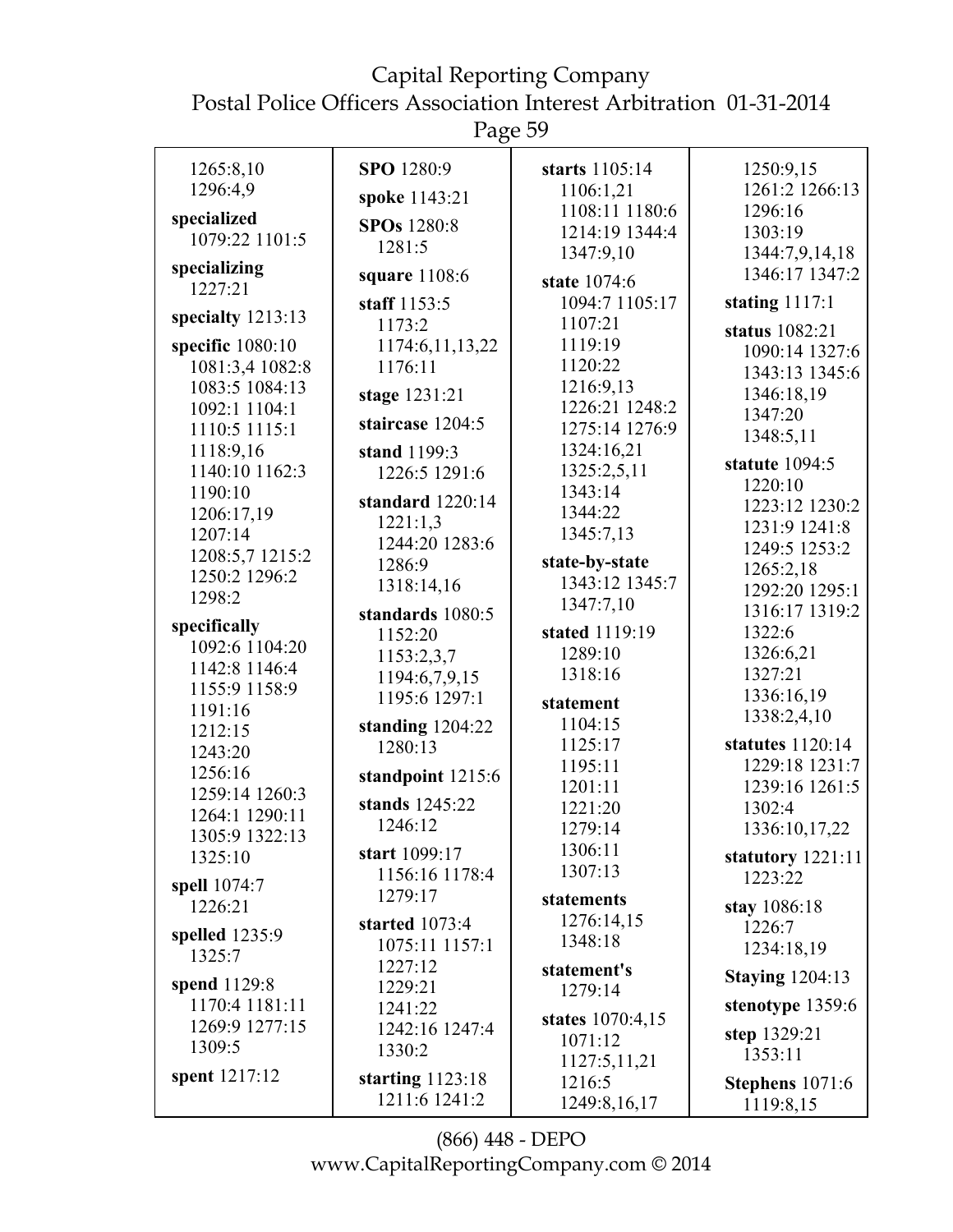Page 59

| 1265:8,10         | SPO 1280:9         | starts 1105:14   | 1250:9,15              |
|-------------------|--------------------|------------------|------------------------|
| 1296:4,9          | spoke 1143:21      | 1106:1,21        | 1261:2 1266:13         |
| specialized       |                    | 1108:11 1180:6   | 1296:16                |
| 1079:22 1101:5    | SPOs 1280:8        | 1214:19 1344:4   | 1303:19                |
|                   | 1281:5             | 1347:9,10        | 1344:7,9,14,18         |
| specializing      | square 1108:6      |                  | 1346:17 1347:2         |
| 1227:21           |                    | state 1074:6     |                        |
| specialty 1213:13 | staff 1153:5       | 1094:7 1105:17   | stating $1117:1$       |
|                   | 1173:2             | 1107:21          | status 1082:21         |
| specific 1080:10  | 1174:6, 11, 13, 22 | 1119:19          | 1090:14 1327:6         |
| 1081:3,4 1082:8   | 1176:11            | 1120:22          | 1343:13 1345:6         |
| 1083:5 1084:13    | stage 1231:21      | 1216:9,13        | 1346:18,19             |
| 1092:1 1104:1     |                    | 1226:21 1248:2   | 1347:20                |
| 1110:5 1115:1     | staircase 1204:5   | 1275:14 1276:9   | 1348:5,11              |
| 1118:9,16         | stand 1199:3       | 1324:16,21       |                        |
| 1140:10 1162:3    | 1226:5 1291:6      | 1325:2,5,11      | statute 1094:5         |
| 1190:10           |                    | 1343:14          | 1220:10                |
| 1206:17,19        | standard 1220:14   | 1344:22          | 1223:12 1230:2         |
| 1207:14           | 1221:1,3           | 1345:7,13        | 1231:9 1241:8          |
| 1208:5,7 1215:2   | 1244:20 1283:6     |                  | 1249:5 1253:2          |
| 1250:2 1296:2     | 1286:9             | state-by-state   | 1265:2,18              |
| 1298:2            | 1318:14,16         | 1343:12 1345:7   | 1292:20 1295:1         |
|                   | standards 1080:5   | 1347:7,10        | 1316:17 1319:2         |
| specifically      | 1152:20            | stated 1119:19   | 1322:6                 |
| 1092:6 1104:20    | 1153:2,3,7         | 1289:10          | 1326:6,21              |
| 1142:8 1146:4     | 1194:6,7,9,15      | 1318:16          | 1327:21                |
| 1155:9 1158:9     | 1195:6 1297:1      |                  | 1336:16,19             |
| 1191:16           |                    | statement        | 1338:2,4,10            |
| 1212:15           | standing $1204:22$ | 1104:15          |                        |
| 1243:20           | 1280:13            | 1125:17          | statutes 1120:14       |
| 1256:16           | standpoint 1215:6  | 1195:11          | 1229:18 1231:7         |
| 1259:14 1260:3    |                    | 1201:11          | 1239:16 1261:5         |
| 1264:1 1290:11    | stands 1245:22     | 1221:20          | 1302:4                 |
| 1305:9 1322:13    | 1246:12            | 1279:14          | 1336:10,17,22          |
| 1325:10           | start 1099:17      | 1306:11          | statutory 1221:11      |
|                   | 1156:16 1178:4     | 1307:13          | 1223:22                |
| spell 1074:7      | 1279:17            | statements       |                        |
| 1226:21           | started 1073:4     | 1276:14,15       | stay 1086:18           |
| spelled 1235:9    | 1075:11 1157:1     | 1348:18          | 1226:7                 |
| 1325:7            | 1227:12            |                  | 1234:18,19             |
| spend 1129:8      | 1229:21            | statement's      | <b>Staying 1204:13</b> |
| 1170:4 1181:11    |                    | 1279:14          | stenotype 1359:6       |
| 1269:9 1277:15    | 1241:22            | states 1070:4,15 |                        |
| 1309:5            | 1242:16 1247:4     | 1071:12          | step 1329:21           |
|                   | 1330:2             | 1127:5,11,21     | 1353:11                |
| spent 1217:12     | starting $1123:18$ | 1216:5           | Stephens 1071:6        |
|                   | 1211:6 1241:2      | 1249:8,16,17     | 1119:8,15              |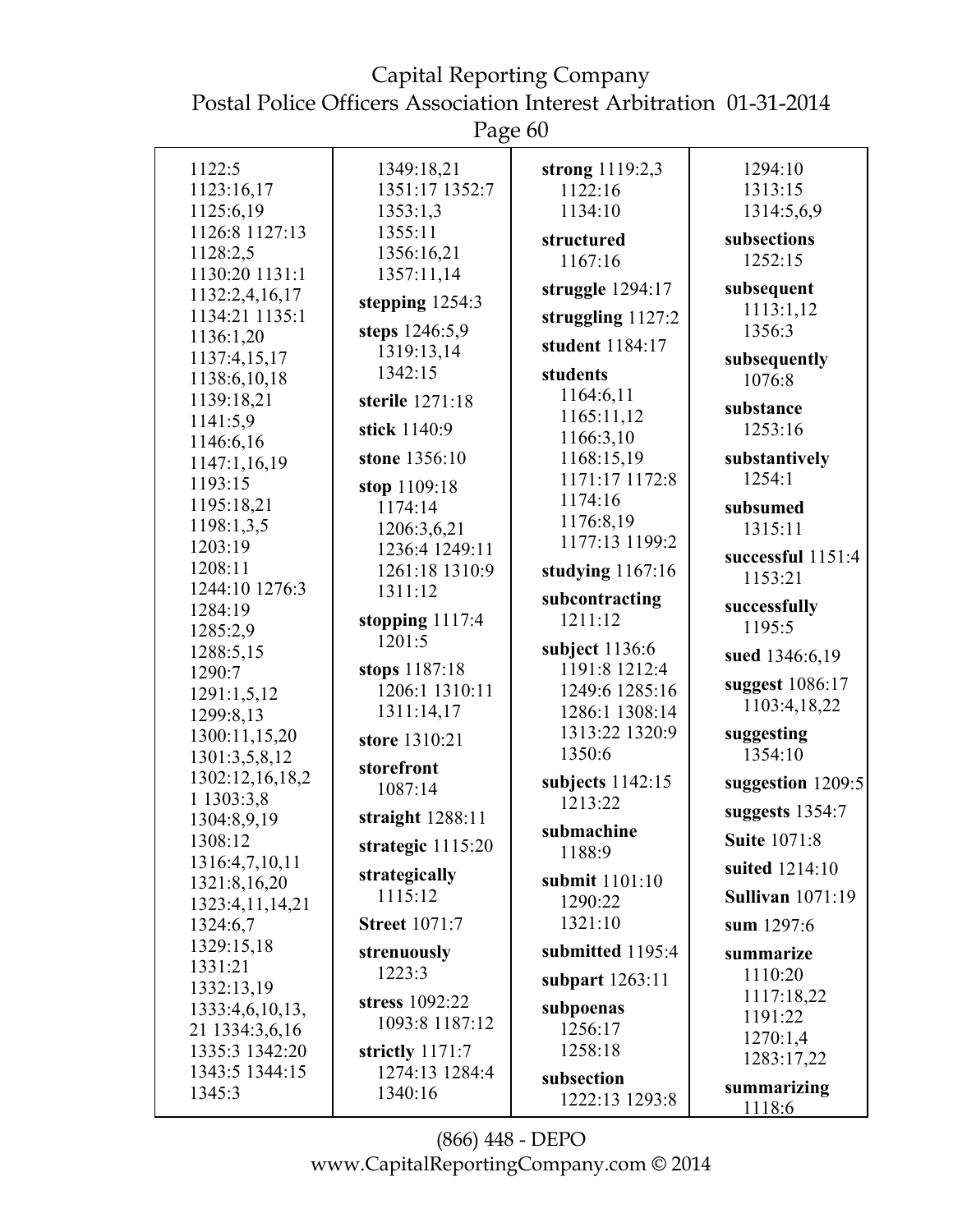Page 60

| 1122:5                           | 1349:18,21           | strong $1119:2,3$         | 1294:10                 |
|----------------------------------|----------------------|---------------------------|-------------------------|
| 1123:16,17                       | 1351:17 1352:7       | 1122:16                   | 1313:15                 |
| 1125:6,19                        | 1353:1,3             | 1134:10                   | 1314:5,6,9              |
| 1126:8 1127:13                   | 1355:11              |                           | subsections             |
| 1128:2,5                         | 1356:16,21           | structured                | 1252:15                 |
| 1130:20 1131:1                   | 1357:11,14           | 1167:16                   |                         |
| 1132:2,4,16,17                   | stepping 1254:3      | struggle $1294:17$        | subsequent              |
| 1134:21 1135:1                   |                      | struggling $1127:2$       | 1113:1,12               |
| 1136:1,20                        | steps 1246:5,9       | student 1184:17           | 1356:3                  |
| 1137:4,15,17                     | 1319:13,14           |                           | subsequently            |
| 1138:6,10,18                     | 1342:15              | students                  | 1076:8                  |
| 1139:18,21                       | sterile 1271:18      | 1164:6,11                 | substance               |
| 1141:5,9                         | stick 1140:9         | 1165:11,12                | 1253:16                 |
| 1146:6,16                        |                      | 1166:3,10                 |                         |
| 1147:1,16,19                     | stone 1356:10        | 1168:15,19                | substantively           |
| 1193:15                          | stop 1109:18         | 1171:17 1172:8            | 1254:1                  |
| 1195:18,21                       | 1174:14              | 1174:16                   | subsumed                |
| 1198:1,3,5                       | 1206:3,6,21          | 1176:8,19                 | 1315:11                 |
| 1203:19                          | 1236:4 1249:11       | 1177:13 1199:2            | successful 1151:4       |
| 1208:11                          | 1261:18 1310:9       | studying $1167:16$        | 1153:21                 |
| 1244:10 1276:3                   | 1311:12              | subcontracting            |                         |
| 1284:19                          | stopping 1117:4      | 1211:12                   | successfully<br>1195:5  |
| 1285:2,9                         | 1201:5               | subject $1136:6$          |                         |
| 1288:5,15                        | stops 1187:18        | 1191:8 1212:4             | sued 1346:6,19          |
| 1290:7                           | 1206:1 1310:11       | 1249:6 1285:16            | suggest 1086:17         |
| 1291:1,5,12                      | 1311:14,17           | 1286:1 1308:14            | 1103:4,18,22            |
| 1299:8,13                        |                      | 1313:22 1320:9            | suggesting              |
| 1300:11,15,20                    | store 1310:21        | 1350:6                    | 1354:10                 |
| 1301:3,5,8,12<br>1302:12,16,18,2 | storefront           |                           |                         |
| 1 1303:3,8                       | 1087:14              | subjects $1142:15$        | suggestion 1209:5       |
| 1304:8,9,19                      | straight $1288:11$   | 1213:22                   | suggests $1354:7$       |
| 1308:12                          | strategic $1115:20$  | submachine<br>1188:9      | <b>Suite 1071:8</b>     |
| 1316:4,7,10,11                   | strategically        |                           | suited 1214:10          |
| 1321:8,16,20                     | 1115:12              | submit 1101:10<br>1290:22 | <b>Sullivan</b> 1071:19 |
| 1323:4,11,14,21                  | <b>Street 1071:7</b> | 1321:10                   |                         |
| 1324:6,7<br>1329:15,18           |                      |                           | sum 1297:6              |
| 1331:21                          | strenuously          | submitted 1195:4          | summarize               |
| 1332:13,19                       | 1223:3               | subpart $1263:11$         | 1110:20                 |
| 1333:4,6,10,13,                  | stress 1092:22       | subpoenas                 | 1117:18,22              |
| 21 1334:3,6,16                   | 1093:8 1187:12       | 1256:17                   | 1191:22                 |
| 1335:3 1342:20                   | strictly 1171:7      | 1258:18                   | 1270:1,4                |
| 1343:5 1344:15                   | 1274:13 1284:4       |                           | 1283:17,22              |
| 1345:3                           | 1340:16              | subsection                | summarizing             |
|                                  |                      | 1222:13 1293:8            | 1118:6                  |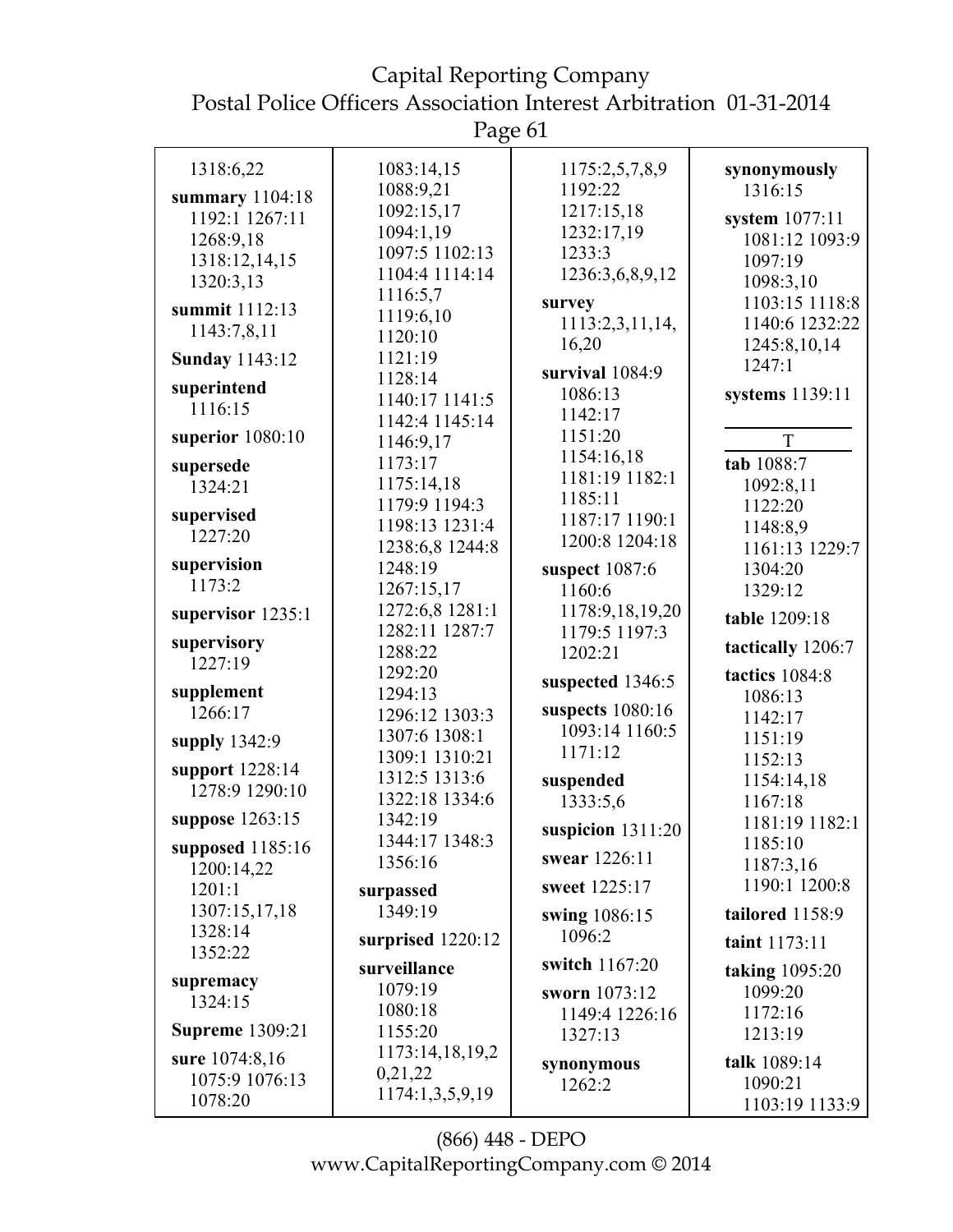Page 61

| 1318:6,22              | 1083:14,15        | 1175:2,5,7,8,9      | synonymously      |
|------------------------|-------------------|---------------------|-------------------|
| summary 1104:18        | 1088:9,21         | 1192:22             | 1316:15           |
| 1192:1 1267:11         | 1092:15,17        | 1217:15,18          | system 1077:11    |
| 1268:9,18              | 1094:1,19         | 1232:17,19          | 1081:12 1093:9    |
| 1318:12,14,15          | 1097:5 1102:13    | 1233:3              | 1097:19           |
| 1320:3,13              | 1104:4 1114:14    | 1236:3,6,8,9,12     | 1098:3,10         |
|                        | 1116:5,7          | survey              | 1103:15 1118:8    |
| summit 1112:13         | 1119:6,10         | 1113:2,3,11,14,     | 1140:6 1232:22    |
| 1143:7,8,11            | 1120:10           | 16,20               | 1245:8,10,14      |
| <b>Sunday 1143:12</b>  | 1121:19           |                     | 1247:1            |
| superintend            | 1128:14           | survival 1084:9     |                   |
| 1116:15                | 1140:17 1141:5    | 1086:13             | systems 1139:11   |
|                        | 1142:4 1145:14    | 1142:17             |                   |
| superior 1080:10       | 1146:9,17         | 1151:20             | T                 |
| supersede              | 1173:17           | 1154:16,18          | tab 1088:7        |
| 1324:21                | 1175:14,18        | 1181:19 1182:1      | 1092:8,11         |
|                        | 1179:9 1194:3     | 1185:11             | 1122:20           |
| supervised             | 1198:13 1231:4    | 1187:17 1190:1      | 1148:8,9          |
| 1227:20                | 1238:6,8 1244:8   | 1200:8 1204:18      | 1161:13 1229:7    |
| supervision            | 1248:19           | suspect 1087:6      | 1304:20           |
| 1173:2                 | 1267:15,17        | 1160:6              | 1329:12           |
| supervisor 1235:1      | 1272:6,8 1281:1   | 1178:9,18,19,20     | table 1209:18     |
|                        | 1282:11 1287:7    | 1179:5 1197:3       |                   |
| supervisory            | 1288:22           | 1202:21             | tactically 1206:7 |
| 1227:19                | 1292:20           |                     | tactics 1084:8    |
| supplement             | 1294:13           | suspected 1346:5    | 1086:13           |
| 1266:17                | 1296:12 1303:3    | suspects $1080:16$  | 1142:17           |
| supply 1342:9          | 1307:6 1308:1     | 1093:14 1160:5      | 1151:19           |
|                        | 1309:1 1310:21    | 1171:12             | 1152:13           |
| support 1228:14        | 1312:5 1313:6     | suspended           | 1154:14,18        |
| 1278:9 1290:10         | 1322:18 1334:6    | 1333:5,6            | 1167:18           |
| suppose 1263:15        | 1342:19           |                     | 1181:19 1182:1    |
| supposed $1185:16$     | 1344:17 1348:3    | suspicion $1311:20$ | 1185:10           |
| 1200:14,22             | 1356:16           | swear 1226:11       | 1187:3,16         |
| 1201:1                 | surpassed         | sweet 1225:17       | 1190:1 1200:8     |
| 1307:15,17,18          | 1349:19           | swing 1086:15       | tailored 1158:9   |
| 1328:14                | surprised 1220:12 | 1096:2              |                   |
| 1352:22                |                   |                     | taint 1173:11     |
| supremacy              | surveillance      | switch 1167:20      | taking 1095:20    |
| 1324:15                | 1079:19           | sworn 1073:12       | 1099:20           |
|                        | 1080:18           | 1149:4 1226:16      | 1172:16           |
| <b>Supreme</b> 1309:21 | 1155:20           | 1327:13             | 1213:19           |
| sure 1074:8,16         | 1173:14,18,19,2   | synonymous          | talk 1089:14      |
| 1075:9 1076:13         | 0,21,22           | 1262:2              | 1090:21           |
| 1078:20                | 1174:1,3,5,9,19   |                     | 1103:19 1133:9    |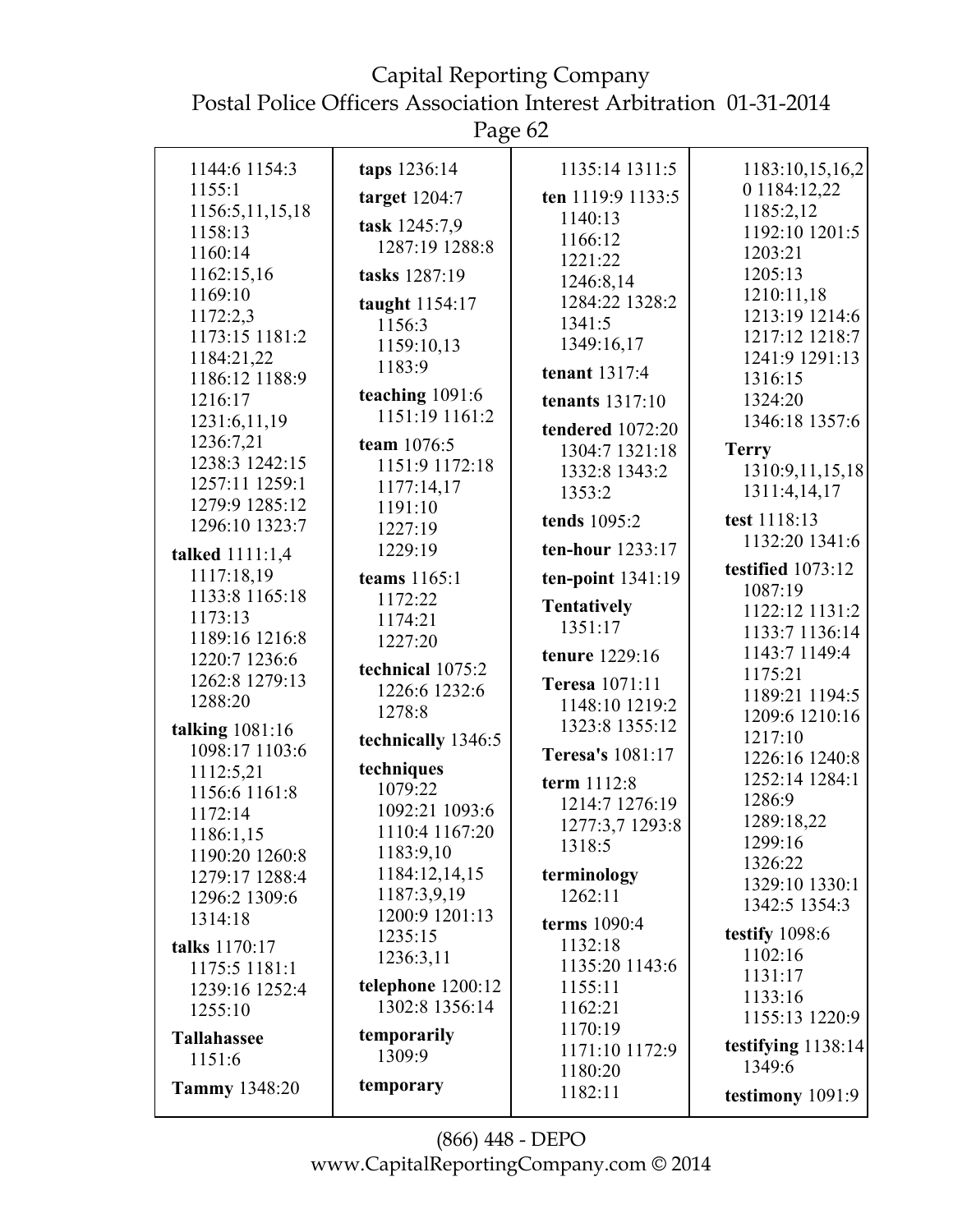## Capital Reporting Company

Postal Police Officers Association Interest Arbitration 01-31-2014

| 1144:6 1154:3        | taps 1236:14         | 1135:14 1311:5                | 1183:10,15,16,2                |
|----------------------|----------------------|-------------------------------|--------------------------------|
| 1155:1               | target $1204:7$      | ten 1119:9 1133:5             | 0 1184:12,22                   |
| 1156:5,11,15,18      |                      | 1140:13                       | 1185:2,12                      |
| 1158:13              | task 1245:7,9        | 1166:12                       | 1192:10 1201:5                 |
| 1160:14              | 1287:19 1288:8       | 1221:22                       | 1203:21                        |
| 1162:15,16           | tasks 1287:19        | 1246:8,14                     | 1205:13                        |
| 1169:10              | taught $1154:17$     | 1284:22 1328:2                | 1210:11,18                     |
| 1172:2,3             | 1156:3               | 1341:5                        | 1213:19 1214:6                 |
| 1173:15 1181:2       |                      | 1349:16,17                    | 1217:12 1218:7                 |
| 1184:21,22           | 1159:10,13<br>1183:9 |                               | 1241:9 1291:13                 |
| 1186:12 1188:9       |                      | tenant 1317:4                 | 1316:15                        |
| 1216:17              | teaching $1091:6$    | tenants $1317:10$             | 1324:20                        |
| 1231:6,11,19         | 1151:19 1161:2       | tendered 1072:20              | 1346:18 1357:6                 |
| 1236:7,21            | team 1076:5          | 1304:7 1321:18                | <b>Terry</b>                   |
| 1238:3 1242:15       | 1151:9 1172:18       | 1332:8 1343:2                 | 1310:9,11,15,18                |
| 1257:11 1259:1       | 1177:14,17           | 1353:2                        | 1311:4,14,17                   |
| 1279:9 1285:12       | 1191:10              |                               |                                |
| 1296:10 1323:7       | 1227:19              | tends 1095:2                  | test 1118:13                   |
| talked 1111:1,4      | 1229:19              | ten-hour 1233:17              | 1132:20 1341:6                 |
| 1117:18,19           | teams 1165:1         | ten-point $1341:19$           | testified 1073:12              |
| 1133:8 1165:18       | 1172:22              |                               | 1087:19                        |
| 1173:13              | 1174:21              | <b>Tentatively</b><br>1351:17 | 1122:12 1131:2                 |
| 1189:16 1216:8       | 1227:20              |                               | 1133:7 1136:14                 |
| 1220:7 1236:6        |                      | tenure 1229:16                | 1143:7 1149:4                  |
| 1262:8 1279:13       | technical 1075:2     | <b>Teresa</b> 1071:11         | 1175:21                        |
| 1288:20              | 1226:6 1232:6        | 1148:10 1219:2                | 1189:21 1194:5                 |
| talking $1081:16$    | 1278:8               | 1323:8 1355:12                | 1209:6 1210:16                 |
| 1098:17 1103:6       | technically 1346:5   |                               | 1217:10                        |
| 1112:5,21            | techniques           | Teresa's 1081:17              | 1226:16 1240:8                 |
| 1156:6 1161:8        | 1079:22              | term 1112:8                   | 1252:14 1284:1                 |
| 1172:14              | 1092:21 1093:6       | 1214:7 1276:19                | 1286:9                         |
| 1186:1,15            | 1110:4 1167:20       | 1277:3,7 1293:8               | 1289:18,22                     |
| 1190:20 1260:8       | 1183:9,10            | 1318:5                        | 1299:16                        |
| 1279:17 1288:4       | 1184:12,14,15        | terminology                   | 1326:22                        |
|                      | 1187:3,9,19          | 1262:11                       | 1329:10 1330:1                 |
| 1296:2 1309:6        | 1200:9 1201:13       |                               | 1342:5 1354:3                  |
| 1314:18              | 1235:15              | terms 1090:4                  | testify $1098:6$               |
| talks 1170:17        | 1236:3,11            | 1132:18                       | 1102:16                        |
| 1175:5 1181:1        |                      | 1135:20 1143:6                | 1131:17                        |
| 1239:16 1252:4       | telephone 1200:12    | 1155:11                       | 1133:16                        |
| 1255:10              | 1302:8 1356:14       | 1162:21                       | 1155:13 1220:9                 |
| <b>Tallahassee</b>   | temporarily          | 1170:19                       |                                |
| 1151:6               | 1309:9               | 1171:10 1172:9                | testifying $1138:14$<br>1349:6 |
| <b>Tammy</b> 1348:20 | temporary            | 1180:20<br>1182:11            |                                |
|                      |                      |                               | testimony 1091:9               |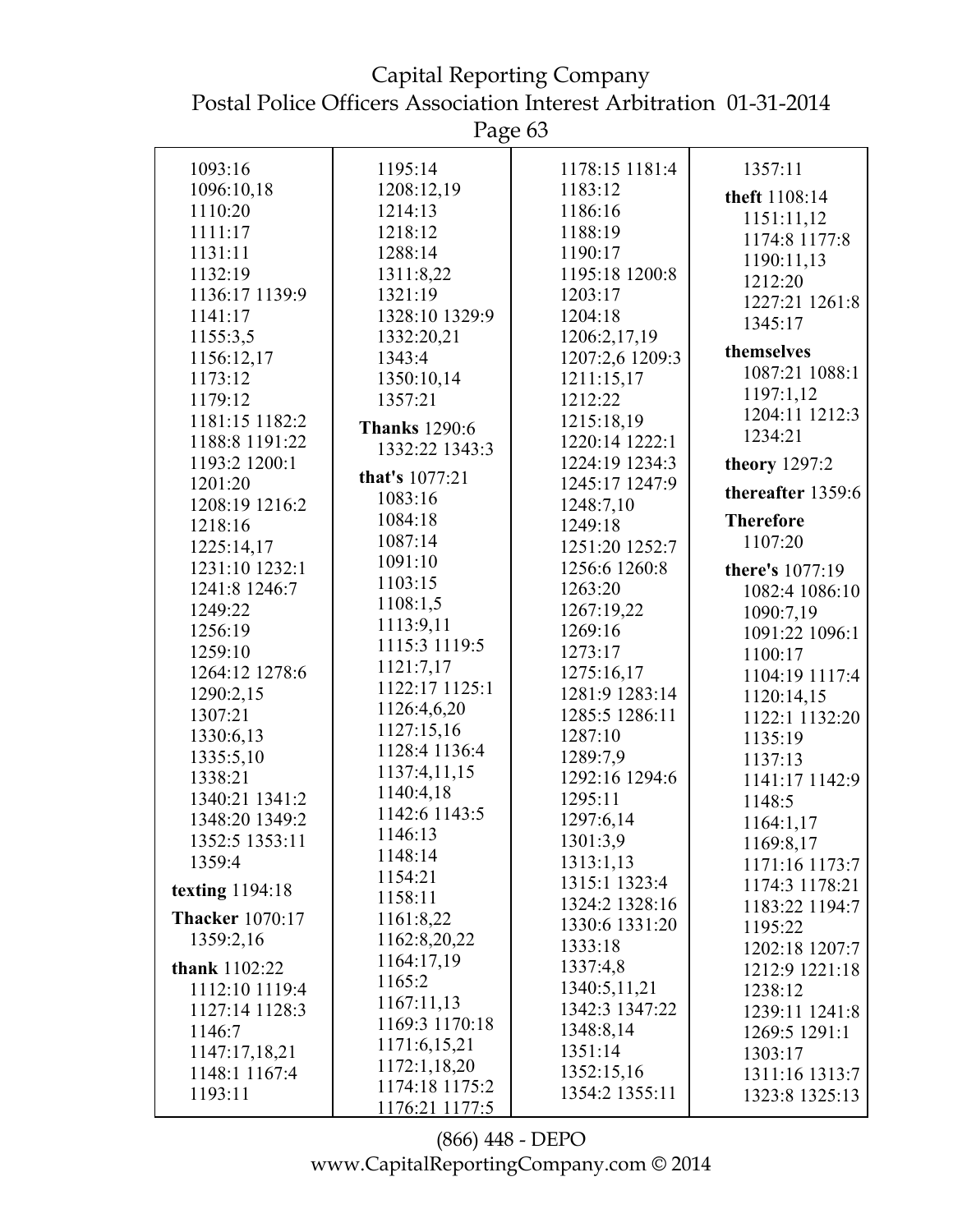Capital Reporting Company Postal Police Officers Association Interest Arbitration 01-31-2014

| 1093:16<br>1195:14<br>1178:15 1181:4<br>1357:11<br>1096:10,18<br>1208:12,19<br>1183:12<br>theft 1108:14<br>1110:20<br>1214:13<br>1186:16<br>1151:11,12<br>1111:17<br>1218:12<br>1188:19<br>1174:8 1177:8<br>1131:11<br>1288:14<br>1190:17<br>1190:11,13<br>1132:19<br>1311:8,22<br>1195:18 1200:8<br>1212:20<br>1136:17 1139:9<br>1321:19<br>1203:17<br>1227:21 1261:8<br>1328:10 1329:9<br>1204:18<br>1141:17<br>1345:17<br>1206:2,17,19<br>1155:3,5<br>1332:20,21<br>themselves<br>1207:2,6 1209:3<br>1156:12,17<br>1343:4<br>1087:21 1088:1<br>1350:10,14<br>1173:12<br>1211:15,17<br>1197:1,12<br>1212:22<br>1179:12<br>1357:21<br>1204:11 1212:3<br>1215:18,19<br>1181:15 1182:2<br><b>Thanks</b> 1290:6<br>1234:21<br>1188:8 1191:22<br>1220:14 1222:1<br>1332:22 1343:3<br>1224:19 1234:3<br>1193:2 1200:1<br>theory 1297:2<br>that's 1077:21<br>1245:17 1247:9<br>1201:20<br>thereafter 1359:6<br>1083:16<br>1208:19 1216:2<br>1248:7,10<br>1084:18<br><b>Therefore</b><br>1249:18<br>1218:16<br>1087:14<br>1107:20<br>1251:20 1252:7<br>1225:14,17<br>1091:10<br>1231:10 1232:1<br>1256:6 1260:8<br>there's 1077:19<br>1103:15<br>1241:8 1246:7<br>1263:20<br>1082:4 1086:10<br>1108:1,5<br>1267:19,22<br>1249:22<br>1090:7,19<br>1113:9,11<br>1256:19<br>1269:16<br>1091:22 1096:1<br>1115:3 1119:5<br>1259:10<br>1273:17<br>1100:17<br>1121:7,17<br>1264:12 1278:6<br>1275:16,17<br>1104:19 1117:4<br>1122:17 1125:1<br>1290:2,15<br>1281:9 1283:14<br>1120:14,15<br>1126:4,6,20<br>1285:5 1286:11<br>1307:21<br>1122:1 1132:20<br>1127:15,16<br>1330:6,13<br>1287:10<br>1135:19<br>1128:4 1136:4<br>1335:5,10<br>1289:7,9<br>1137:13<br>1137:4,11,15<br>1338:21<br>1292:16 1294:6<br>1141:17 1142:9<br>1140:4,18<br>1340:21 1341:2<br>1295:11<br>1148:5<br>1142:6 1143:5<br>1348:20 1349:2<br>1297:6,14<br>1164:1,17<br>1146:13<br>1352:5 1353:11<br>1301:3,9<br>1169:8,17<br>1148:14<br>1313:1,13<br>1359:4<br>1171:16 1173:7<br>1154:21<br>1315:1 1323:4<br>1174:3 1178:21<br>texting $1194:18$<br>1158:11<br>1324:2 1328:16<br>1183:22 1194:7<br><b>Thacker</b> 1070:17<br>1161:8,22<br>1330:6 1331:20<br>1195:22<br>1162:8,20,22<br>1359:2,16<br>1333:18<br>1202:18 1207:7<br>1164:17,19<br>1337:4,8<br>thank 1102:22<br>1212:9 1221:18<br>1165:2<br>1340:5,11,21<br>1112:10 1119:4<br>1238:12<br>1167:11,13<br>1342:3 1347:22<br>1127:14 1128:3<br>1239:11 1241:8<br>1169:3 1170:18<br>1348:8,14<br>1146:7<br>1269:5 1291:1<br>1171:6,15,21<br>1351:14<br>1147:17,18,21<br>1303:17<br>1172:1,18,20<br>1352:15,16<br>1148:1 1167:4<br>1311:16 1313:7<br>1174:18 1175:2<br>1354:2 1355:11 |         |                |                |
|----------------------------------------------------------------------------------------------------------------------------------------------------------------------------------------------------------------------------------------------------------------------------------------------------------------------------------------------------------------------------------------------------------------------------------------------------------------------------------------------------------------------------------------------------------------------------------------------------------------------------------------------------------------------------------------------------------------------------------------------------------------------------------------------------------------------------------------------------------------------------------------------------------------------------------------------------------------------------------------------------------------------------------------------------------------------------------------------------------------------------------------------------------------------------------------------------------------------------------------------------------------------------------------------------------------------------------------------------------------------------------------------------------------------------------------------------------------------------------------------------------------------------------------------------------------------------------------------------------------------------------------------------------------------------------------------------------------------------------------------------------------------------------------------------------------------------------------------------------------------------------------------------------------------------------------------------------------------------------------------------------------------------------------------------------------------------------------------------------------------------------------------------------------------------------------------------------------------------------------------------------------------------------------------------------------------------------------------------------------------------------------------------------------------------------------------------------------------------------------------------------------------------------------------------------------------------------------------------------|---------|----------------|----------------|
|                                                                                                                                                                                                                                                                                                                                                                                                                                                                                                                                                                                                                                                                                                                                                                                                                                                                                                                                                                                                                                                                                                                                                                                                                                                                                                                                                                                                                                                                                                                                                                                                                                                                                                                                                                                                                                                                                                                                                                                                                                                                                                                                                                                                                                                                                                                                                                                                                                                                                                                                                                                                          |         |                |                |
|                                                                                                                                                                                                                                                                                                                                                                                                                                                                                                                                                                                                                                                                                                                                                                                                                                                                                                                                                                                                                                                                                                                                                                                                                                                                                                                                                                                                                                                                                                                                                                                                                                                                                                                                                                                                                                                                                                                                                                                                                                                                                                                                                                                                                                                                                                                                                                                                                                                                                                                                                                                                          |         |                |                |
|                                                                                                                                                                                                                                                                                                                                                                                                                                                                                                                                                                                                                                                                                                                                                                                                                                                                                                                                                                                                                                                                                                                                                                                                                                                                                                                                                                                                                                                                                                                                                                                                                                                                                                                                                                                                                                                                                                                                                                                                                                                                                                                                                                                                                                                                                                                                                                                                                                                                                                                                                                                                          |         |                |                |
|                                                                                                                                                                                                                                                                                                                                                                                                                                                                                                                                                                                                                                                                                                                                                                                                                                                                                                                                                                                                                                                                                                                                                                                                                                                                                                                                                                                                                                                                                                                                                                                                                                                                                                                                                                                                                                                                                                                                                                                                                                                                                                                                                                                                                                                                                                                                                                                                                                                                                                                                                                                                          |         |                |                |
|                                                                                                                                                                                                                                                                                                                                                                                                                                                                                                                                                                                                                                                                                                                                                                                                                                                                                                                                                                                                                                                                                                                                                                                                                                                                                                                                                                                                                                                                                                                                                                                                                                                                                                                                                                                                                                                                                                                                                                                                                                                                                                                                                                                                                                                                                                                                                                                                                                                                                                                                                                                                          |         |                |                |
|                                                                                                                                                                                                                                                                                                                                                                                                                                                                                                                                                                                                                                                                                                                                                                                                                                                                                                                                                                                                                                                                                                                                                                                                                                                                                                                                                                                                                                                                                                                                                                                                                                                                                                                                                                                                                                                                                                                                                                                                                                                                                                                                                                                                                                                                                                                                                                                                                                                                                                                                                                                                          |         |                |                |
|                                                                                                                                                                                                                                                                                                                                                                                                                                                                                                                                                                                                                                                                                                                                                                                                                                                                                                                                                                                                                                                                                                                                                                                                                                                                                                                                                                                                                                                                                                                                                                                                                                                                                                                                                                                                                                                                                                                                                                                                                                                                                                                                                                                                                                                                                                                                                                                                                                                                                                                                                                                                          |         |                |                |
|                                                                                                                                                                                                                                                                                                                                                                                                                                                                                                                                                                                                                                                                                                                                                                                                                                                                                                                                                                                                                                                                                                                                                                                                                                                                                                                                                                                                                                                                                                                                                                                                                                                                                                                                                                                                                                                                                                                                                                                                                                                                                                                                                                                                                                                                                                                                                                                                                                                                                                                                                                                                          |         |                |                |
|                                                                                                                                                                                                                                                                                                                                                                                                                                                                                                                                                                                                                                                                                                                                                                                                                                                                                                                                                                                                                                                                                                                                                                                                                                                                                                                                                                                                                                                                                                                                                                                                                                                                                                                                                                                                                                                                                                                                                                                                                                                                                                                                                                                                                                                                                                                                                                                                                                                                                                                                                                                                          |         |                |                |
|                                                                                                                                                                                                                                                                                                                                                                                                                                                                                                                                                                                                                                                                                                                                                                                                                                                                                                                                                                                                                                                                                                                                                                                                                                                                                                                                                                                                                                                                                                                                                                                                                                                                                                                                                                                                                                                                                                                                                                                                                                                                                                                                                                                                                                                                                                                                                                                                                                                                                                                                                                                                          |         |                |                |
|                                                                                                                                                                                                                                                                                                                                                                                                                                                                                                                                                                                                                                                                                                                                                                                                                                                                                                                                                                                                                                                                                                                                                                                                                                                                                                                                                                                                                                                                                                                                                                                                                                                                                                                                                                                                                                                                                                                                                                                                                                                                                                                                                                                                                                                                                                                                                                                                                                                                                                                                                                                                          |         |                |                |
|                                                                                                                                                                                                                                                                                                                                                                                                                                                                                                                                                                                                                                                                                                                                                                                                                                                                                                                                                                                                                                                                                                                                                                                                                                                                                                                                                                                                                                                                                                                                                                                                                                                                                                                                                                                                                                                                                                                                                                                                                                                                                                                                                                                                                                                                                                                                                                                                                                                                                                                                                                                                          |         |                |                |
|                                                                                                                                                                                                                                                                                                                                                                                                                                                                                                                                                                                                                                                                                                                                                                                                                                                                                                                                                                                                                                                                                                                                                                                                                                                                                                                                                                                                                                                                                                                                                                                                                                                                                                                                                                                                                                                                                                                                                                                                                                                                                                                                                                                                                                                                                                                                                                                                                                                                                                                                                                                                          |         |                |                |
|                                                                                                                                                                                                                                                                                                                                                                                                                                                                                                                                                                                                                                                                                                                                                                                                                                                                                                                                                                                                                                                                                                                                                                                                                                                                                                                                                                                                                                                                                                                                                                                                                                                                                                                                                                                                                                                                                                                                                                                                                                                                                                                                                                                                                                                                                                                                                                                                                                                                                                                                                                                                          |         |                |                |
|                                                                                                                                                                                                                                                                                                                                                                                                                                                                                                                                                                                                                                                                                                                                                                                                                                                                                                                                                                                                                                                                                                                                                                                                                                                                                                                                                                                                                                                                                                                                                                                                                                                                                                                                                                                                                                                                                                                                                                                                                                                                                                                                                                                                                                                                                                                                                                                                                                                                                                                                                                                                          |         |                |                |
|                                                                                                                                                                                                                                                                                                                                                                                                                                                                                                                                                                                                                                                                                                                                                                                                                                                                                                                                                                                                                                                                                                                                                                                                                                                                                                                                                                                                                                                                                                                                                                                                                                                                                                                                                                                                                                                                                                                                                                                                                                                                                                                                                                                                                                                                                                                                                                                                                                                                                                                                                                                                          |         |                |                |
|                                                                                                                                                                                                                                                                                                                                                                                                                                                                                                                                                                                                                                                                                                                                                                                                                                                                                                                                                                                                                                                                                                                                                                                                                                                                                                                                                                                                                                                                                                                                                                                                                                                                                                                                                                                                                                                                                                                                                                                                                                                                                                                                                                                                                                                                                                                                                                                                                                                                                                                                                                                                          |         |                |                |
|                                                                                                                                                                                                                                                                                                                                                                                                                                                                                                                                                                                                                                                                                                                                                                                                                                                                                                                                                                                                                                                                                                                                                                                                                                                                                                                                                                                                                                                                                                                                                                                                                                                                                                                                                                                                                                                                                                                                                                                                                                                                                                                                                                                                                                                                                                                                                                                                                                                                                                                                                                                                          |         |                |                |
|                                                                                                                                                                                                                                                                                                                                                                                                                                                                                                                                                                                                                                                                                                                                                                                                                                                                                                                                                                                                                                                                                                                                                                                                                                                                                                                                                                                                                                                                                                                                                                                                                                                                                                                                                                                                                                                                                                                                                                                                                                                                                                                                                                                                                                                                                                                                                                                                                                                                                                                                                                                                          |         |                |                |
|                                                                                                                                                                                                                                                                                                                                                                                                                                                                                                                                                                                                                                                                                                                                                                                                                                                                                                                                                                                                                                                                                                                                                                                                                                                                                                                                                                                                                                                                                                                                                                                                                                                                                                                                                                                                                                                                                                                                                                                                                                                                                                                                                                                                                                                                                                                                                                                                                                                                                                                                                                                                          |         |                |                |
|                                                                                                                                                                                                                                                                                                                                                                                                                                                                                                                                                                                                                                                                                                                                                                                                                                                                                                                                                                                                                                                                                                                                                                                                                                                                                                                                                                                                                                                                                                                                                                                                                                                                                                                                                                                                                                                                                                                                                                                                                                                                                                                                                                                                                                                                                                                                                                                                                                                                                                                                                                                                          |         |                |                |
|                                                                                                                                                                                                                                                                                                                                                                                                                                                                                                                                                                                                                                                                                                                                                                                                                                                                                                                                                                                                                                                                                                                                                                                                                                                                                                                                                                                                                                                                                                                                                                                                                                                                                                                                                                                                                                                                                                                                                                                                                                                                                                                                                                                                                                                                                                                                                                                                                                                                                                                                                                                                          |         |                |                |
|                                                                                                                                                                                                                                                                                                                                                                                                                                                                                                                                                                                                                                                                                                                                                                                                                                                                                                                                                                                                                                                                                                                                                                                                                                                                                                                                                                                                                                                                                                                                                                                                                                                                                                                                                                                                                                                                                                                                                                                                                                                                                                                                                                                                                                                                                                                                                                                                                                                                                                                                                                                                          |         |                |                |
|                                                                                                                                                                                                                                                                                                                                                                                                                                                                                                                                                                                                                                                                                                                                                                                                                                                                                                                                                                                                                                                                                                                                                                                                                                                                                                                                                                                                                                                                                                                                                                                                                                                                                                                                                                                                                                                                                                                                                                                                                                                                                                                                                                                                                                                                                                                                                                                                                                                                                                                                                                                                          |         |                |                |
|                                                                                                                                                                                                                                                                                                                                                                                                                                                                                                                                                                                                                                                                                                                                                                                                                                                                                                                                                                                                                                                                                                                                                                                                                                                                                                                                                                                                                                                                                                                                                                                                                                                                                                                                                                                                                                                                                                                                                                                                                                                                                                                                                                                                                                                                                                                                                                                                                                                                                                                                                                                                          |         |                |                |
|                                                                                                                                                                                                                                                                                                                                                                                                                                                                                                                                                                                                                                                                                                                                                                                                                                                                                                                                                                                                                                                                                                                                                                                                                                                                                                                                                                                                                                                                                                                                                                                                                                                                                                                                                                                                                                                                                                                                                                                                                                                                                                                                                                                                                                                                                                                                                                                                                                                                                                                                                                                                          |         |                |                |
|                                                                                                                                                                                                                                                                                                                                                                                                                                                                                                                                                                                                                                                                                                                                                                                                                                                                                                                                                                                                                                                                                                                                                                                                                                                                                                                                                                                                                                                                                                                                                                                                                                                                                                                                                                                                                                                                                                                                                                                                                                                                                                                                                                                                                                                                                                                                                                                                                                                                                                                                                                                                          |         |                |                |
|                                                                                                                                                                                                                                                                                                                                                                                                                                                                                                                                                                                                                                                                                                                                                                                                                                                                                                                                                                                                                                                                                                                                                                                                                                                                                                                                                                                                                                                                                                                                                                                                                                                                                                                                                                                                                                                                                                                                                                                                                                                                                                                                                                                                                                                                                                                                                                                                                                                                                                                                                                                                          |         |                |                |
|                                                                                                                                                                                                                                                                                                                                                                                                                                                                                                                                                                                                                                                                                                                                                                                                                                                                                                                                                                                                                                                                                                                                                                                                                                                                                                                                                                                                                                                                                                                                                                                                                                                                                                                                                                                                                                                                                                                                                                                                                                                                                                                                                                                                                                                                                                                                                                                                                                                                                                                                                                                                          |         |                |                |
|                                                                                                                                                                                                                                                                                                                                                                                                                                                                                                                                                                                                                                                                                                                                                                                                                                                                                                                                                                                                                                                                                                                                                                                                                                                                                                                                                                                                                                                                                                                                                                                                                                                                                                                                                                                                                                                                                                                                                                                                                                                                                                                                                                                                                                                                                                                                                                                                                                                                                                                                                                                                          |         |                |                |
|                                                                                                                                                                                                                                                                                                                                                                                                                                                                                                                                                                                                                                                                                                                                                                                                                                                                                                                                                                                                                                                                                                                                                                                                                                                                                                                                                                                                                                                                                                                                                                                                                                                                                                                                                                                                                                                                                                                                                                                                                                                                                                                                                                                                                                                                                                                                                                                                                                                                                                                                                                                                          |         |                |                |
|                                                                                                                                                                                                                                                                                                                                                                                                                                                                                                                                                                                                                                                                                                                                                                                                                                                                                                                                                                                                                                                                                                                                                                                                                                                                                                                                                                                                                                                                                                                                                                                                                                                                                                                                                                                                                                                                                                                                                                                                                                                                                                                                                                                                                                                                                                                                                                                                                                                                                                                                                                                                          |         |                |                |
|                                                                                                                                                                                                                                                                                                                                                                                                                                                                                                                                                                                                                                                                                                                                                                                                                                                                                                                                                                                                                                                                                                                                                                                                                                                                                                                                                                                                                                                                                                                                                                                                                                                                                                                                                                                                                                                                                                                                                                                                                                                                                                                                                                                                                                                                                                                                                                                                                                                                                                                                                                                                          |         |                |                |
|                                                                                                                                                                                                                                                                                                                                                                                                                                                                                                                                                                                                                                                                                                                                                                                                                                                                                                                                                                                                                                                                                                                                                                                                                                                                                                                                                                                                                                                                                                                                                                                                                                                                                                                                                                                                                                                                                                                                                                                                                                                                                                                                                                                                                                                                                                                                                                                                                                                                                                                                                                                                          |         |                |                |
|                                                                                                                                                                                                                                                                                                                                                                                                                                                                                                                                                                                                                                                                                                                                                                                                                                                                                                                                                                                                                                                                                                                                                                                                                                                                                                                                                                                                                                                                                                                                                                                                                                                                                                                                                                                                                                                                                                                                                                                                                                                                                                                                                                                                                                                                                                                                                                                                                                                                                                                                                                                                          |         |                |                |
|                                                                                                                                                                                                                                                                                                                                                                                                                                                                                                                                                                                                                                                                                                                                                                                                                                                                                                                                                                                                                                                                                                                                                                                                                                                                                                                                                                                                                                                                                                                                                                                                                                                                                                                                                                                                                                                                                                                                                                                                                                                                                                                                                                                                                                                                                                                                                                                                                                                                                                                                                                                                          |         |                |                |
|                                                                                                                                                                                                                                                                                                                                                                                                                                                                                                                                                                                                                                                                                                                                                                                                                                                                                                                                                                                                                                                                                                                                                                                                                                                                                                                                                                                                                                                                                                                                                                                                                                                                                                                                                                                                                                                                                                                                                                                                                                                                                                                                                                                                                                                                                                                                                                                                                                                                                                                                                                                                          |         |                |                |
|                                                                                                                                                                                                                                                                                                                                                                                                                                                                                                                                                                                                                                                                                                                                                                                                                                                                                                                                                                                                                                                                                                                                                                                                                                                                                                                                                                                                                                                                                                                                                                                                                                                                                                                                                                                                                                                                                                                                                                                                                                                                                                                                                                                                                                                                                                                                                                                                                                                                                                                                                                                                          |         |                |                |
|                                                                                                                                                                                                                                                                                                                                                                                                                                                                                                                                                                                                                                                                                                                                                                                                                                                                                                                                                                                                                                                                                                                                                                                                                                                                                                                                                                                                                                                                                                                                                                                                                                                                                                                                                                                                                                                                                                                                                                                                                                                                                                                                                                                                                                                                                                                                                                                                                                                                                                                                                                                                          |         |                |                |
|                                                                                                                                                                                                                                                                                                                                                                                                                                                                                                                                                                                                                                                                                                                                                                                                                                                                                                                                                                                                                                                                                                                                                                                                                                                                                                                                                                                                                                                                                                                                                                                                                                                                                                                                                                                                                                                                                                                                                                                                                                                                                                                                                                                                                                                                                                                                                                                                                                                                                                                                                                                                          |         |                |                |
|                                                                                                                                                                                                                                                                                                                                                                                                                                                                                                                                                                                                                                                                                                                                                                                                                                                                                                                                                                                                                                                                                                                                                                                                                                                                                                                                                                                                                                                                                                                                                                                                                                                                                                                                                                                                                                                                                                                                                                                                                                                                                                                                                                                                                                                                                                                                                                                                                                                                                                                                                                                                          |         |                |                |
|                                                                                                                                                                                                                                                                                                                                                                                                                                                                                                                                                                                                                                                                                                                                                                                                                                                                                                                                                                                                                                                                                                                                                                                                                                                                                                                                                                                                                                                                                                                                                                                                                                                                                                                                                                                                                                                                                                                                                                                                                                                                                                                                                                                                                                                                                                                                                                                                                                                                                                                                                                                                          |         |                |                |
|                                                                                                                                                                                                                                                                                                                                                                                                                                                                                                                                                                                                                                                                                                                                                                                                                                                                                                                                                                                                                                                                                                                                                                                                                                                                                                                                                                                                                                                                                                                                                                                                                                                                                                                                                                                                                                                                                                                                                                                                                                                                                                                                                                                                                                                                                                                                                                                                                                                                                                                                                                                                          |         |                |                |
|                                                                                                                                                                                                                                                                                                                                                                                                                                                                                                                                                                                                                                                                                                                                                                                                                                                                                                                                                                                                                                                                                                                                                                                                                                                                                                                                                                                                                                                                                                                                                                                                                                                                                                                                                                                                                                                                                                                                                                                                                                                                                                                                                                                                                                                                                                                                                                                                                                                                                                                                                                                                          |         |                |                |
|                                                                                                                                                                                                                                                                                                                                                                                                                                                                                                                                                                                                                                                                                                                                                                                                                                                                                                                                                                                                                                                                                                                                                                                                                                                                                                                                                                                                                                                                                                                                                                                                                                                                                                                                                                                                                                                                                                                                                                                                                                                                                                                                                                                                                                                                                                                                                                                                                                                                                                                                                                                                          | 1193:11 | 1176:21 1177:5 | 1323:8 1325:13 |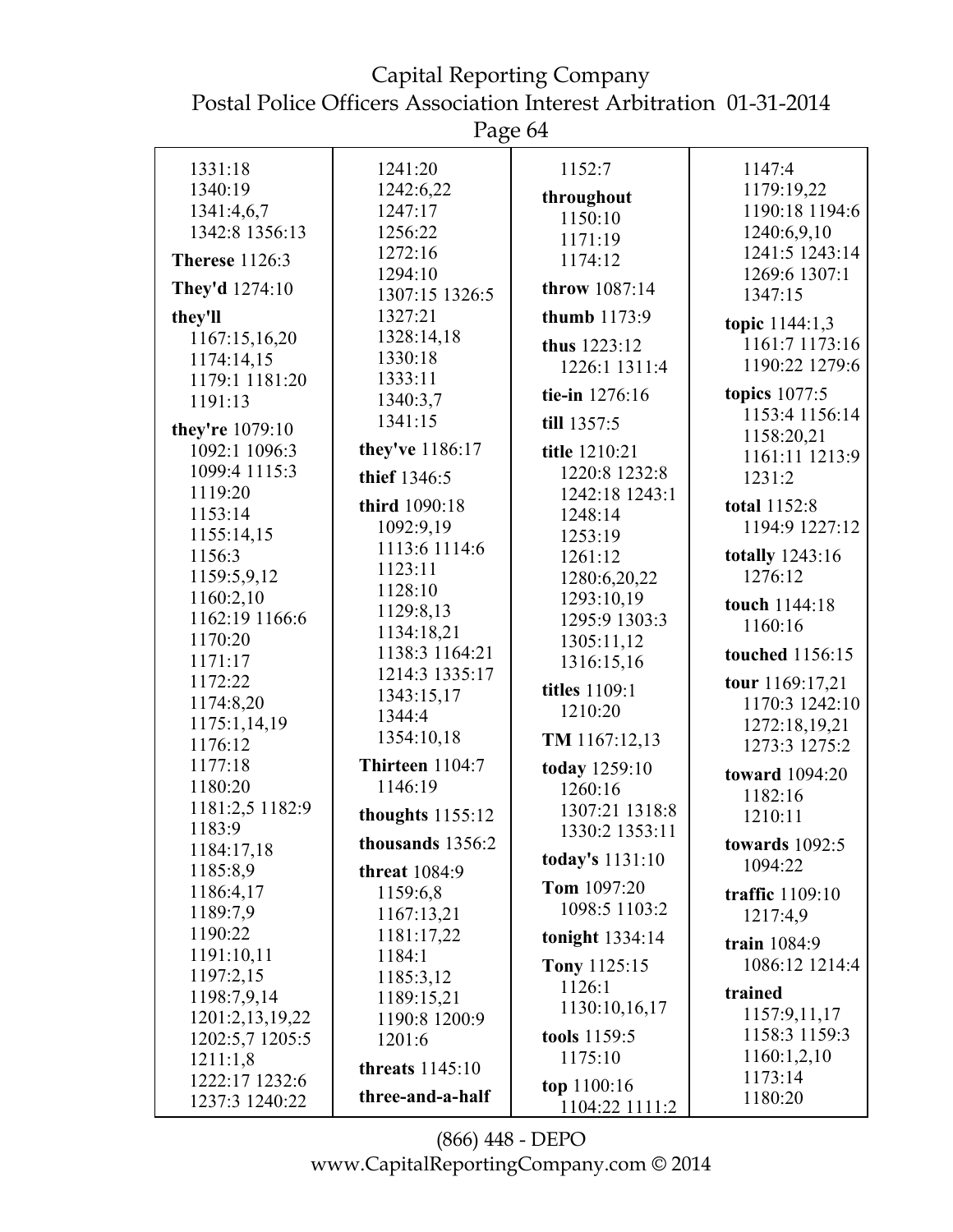Page 64

| 1331:18               | 1241:20                | 1152:7               | 1147:4                |
|-----------------------|------------------------|----------------------|-----------------------|
| 1340:19               | 1242:6,22              |                      | 1179:19,22            |
| 1341:4,6,7            | 1247:17                | throughout           | 1190:18 1194:6        |
| 1342:8 1356:13        | 1256:22                | 1150:10              | 1240:6,9,10           |
|                       | 1272:16                | 1171:19              | 1241:5 1243:14        |
| <b>Therese</b> 1126:3 | 1294:10                | 1174:12              | 1269:6 1307:1         |
| They'd 1274:10        |                        | throw 1087:14        |                       |
|                       | 1307:15 1326:5         |                      | 1347:15               |
| they'll               | 1327:21                | thumb 1173:9         | topic $1144:1,3$      |
| 1167:15,16,20         | 1328:14,18             | thus 1223:12         | 1161:7 1173:16        |
| 1174:14,15            | 1330:18                | 1226:1 1311:4        | 1190:22 1279:6        |
| 1179:1 1181:20        | 1333:11                |                      | <b>topics</b> 1077:5  |
| 1191:13               | 1340:3,7               | tie-in 1276:16       |                       |
| they're 1079:10       | 1341:15                | till 1357:5          | 1153:4 1156:14        |
| 1092:1 1096:3         | they've 1186:17        | title 1210:21        | 1158:20,21            |
| 1099:4 1115:3         |                        | 1220:8 1232:8        | 1161:11 1213:9        |
| 1119:20               | thief 1346:5           | 1242:18 1243:1       | 1231:2                |
| 1153:14               | third 1090:18          | 1248:14              | total 1152:8          |
| 1155:14,15            | 1092:9,19              |                      | 1194:9 1227:12        |
| 1156:3                | 1113:6 1114:6          | 1253:19              | totally 1243:16       |
|                       | 1123:11                | 1261:12              |                       |
| 1159:5,9,12           | 1128:10                | 1280:6,20,22         | 1276:12               |
| 1160:2,10             | 1129:8,13              | 1293:10,19           | touch 1144:18         |
| 1162:19 1166:6        | 1134:18,21             | 1295:9 1303:3        | 1160:16               |
| 1170:20               | 1138:3 1164:21         | 1305:11,12           | touched 1156:15       |
| 1171:17               | 1214:3 1335:17         | 1316:15,16           |                       |
| 1172:22               | 1343:15,17             | <b>titles</b> 1109:1 | tour 1169:17,21       |
| 1174:8,20             | 1344:4                 | 1210:20              | 1170:3 1242:10        |
| 1175:1,14,19          |                        |                      | 1272:18,19,21         |
| 1176:12               | 1354:10,18             | TM 1167:12,13        | 1273:3 1275:2         |
| 1177:18               | Thirteen 1104:7        | today 1259:10        | toward 1094:20        |
| 1180:20               | 1146:19                | 1260:16              | 1182:16               |
| 1181:2,5 1182:9       | thoughts $1155:12$     | 1307:21 1318:8       | 1210:11               |
| 1183:9                |                        | 1330:2 1353:11       |                       |
| 1184:17,18            | thousands 1356:2       | today's 1131:10      | <b>towards</b> 1092:5 |
| 1185:8,9              | <b>threat</b> 1084:9   |                      | 1094:22               |
| 1186:4,17             | 1159:6,8               | Tom 1097:20          | traffic 1109:10       |
| 1189:7,9              | 1167:13,21             | 1098:5 1103:2        | 1217:4,9              |
| 1190:22               | 1181:17,22             | tonight 1334:14      | train 1084:9          |
| 1191:10,11            | 1184:1                 |                      |                       |
| 1197:2,15             | 1185:3,12              | <b>Tony 1125:15</b>  | 1086:12 1214:4        |
| 1198:7,9,14           | 1189:15,21             | 1126:1               | trained               |
| 1201:2,13,19,22       | 1190:8 1200:9          | 1130:10,16,17        | 1157:9,11,17          |
| 1202:5,7 1205:5       | 1201:6                 | tools 1159:5         | 1158:3 1159:3         |
| 1211:1,8              |                        | 1175:10              | 1160:1,2,10           |
| 1222:17 1232:6        | <b>threats</b> 1145:10 |                      | 1173:14               |
| 1237:3 1240:22        | three-and-a-half       | top 1100:16          | 1180:20               |
|                       |                        | 1104:22 1111:2       |                       |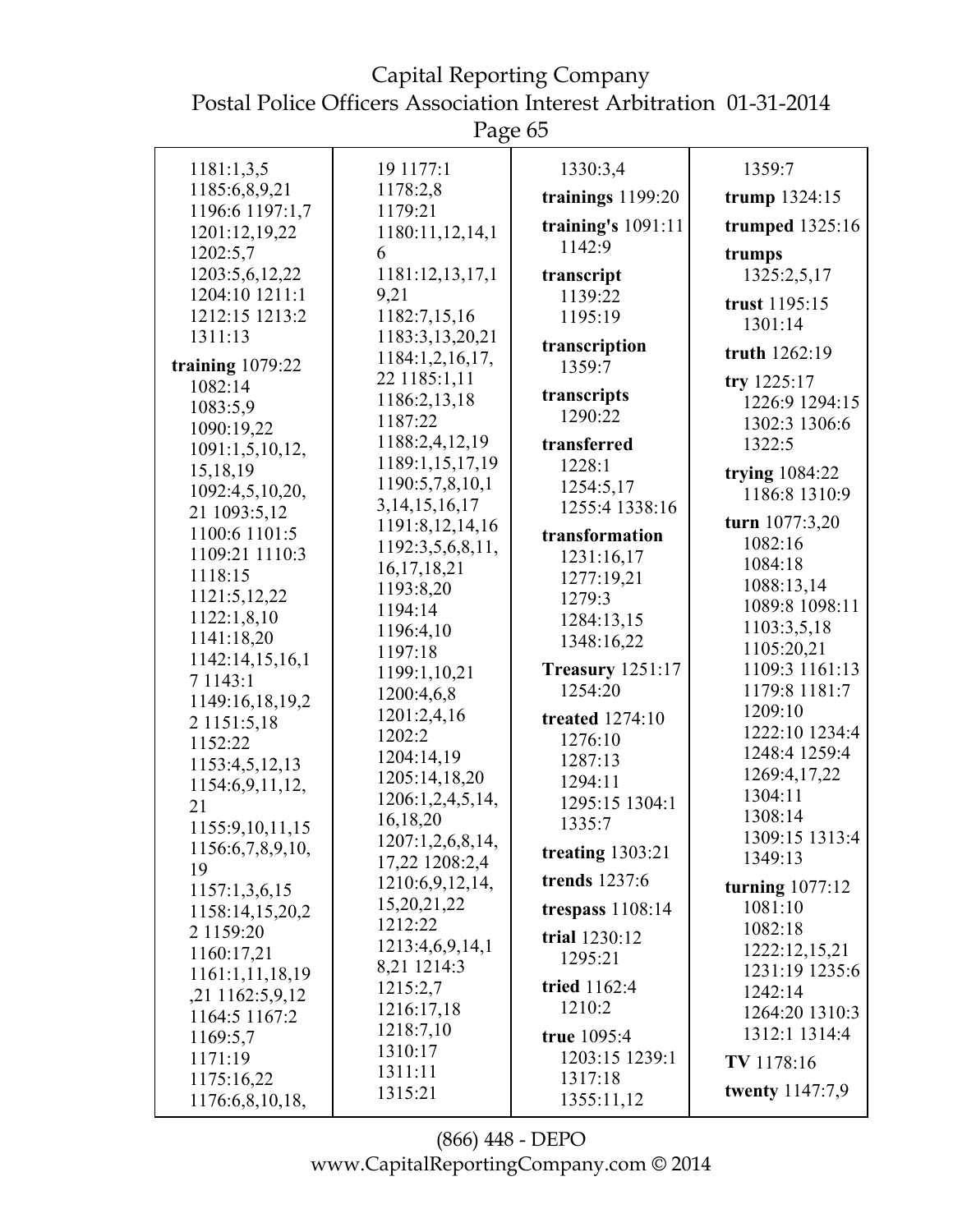Capital Reporting Company Postal Police Officers Association Interest Arbitration 01-31-2014

|                                  | U                           |                           |                           |
|----------------------------------|-----------------------------|---------------------------|---------------------------|
| 1181:1,3,5                       | 19 1177:1                   | 1330:3,4                  | 1359:7                    |
| 1185:6,8,9,21                    | 1178:2,8                    | trainings 1199:20         | trump $1324:15$           |
| 1196:6 1197:1,7<br>1201:12,19,22 | 1179:21<br>1180:11,12,14,1  | training's $1091:11$      | trumped 1325:16           |
| 1202:5,7                         | 6                           | 1142:9                    | trumps                    |
| 1203:5,6,12,22                   | 1181:12,13,17,1             | transcript                | 1325:2,5,17               |
| 1204:10 1211:1                   | 9,21                        | 1139:22                   |                           |
| 1212:15 1213:2                   | 1182:7,15,16                | 1195:19                   | trust 1195:15             |
| 1311:13                          | 1183:3,13,20,21             |                           | 1301:14                   |
| training 1079:22                 | 1184:1,2,16,17,             | transcription<br>1359:7   | truth 1262:19             |
| 1082:14                          | 22 1185:1,11                |                           | try 1225:17               |
| 1083:5,9                         | 1186:2,13,18                | transcripts               | 1226:9 1294:15            |
| 1090:19,22                       | 1187:22                     | 1290:22                   | 1302:3 1306:6             |
| 1091:1,5,10,12,                  | 1188:2,4,12,19              | transferred               | 1322:5                    |
| 15, 18, 19                       | 1189:1,15,17,19             | 1228:1                    | trying $1084:22$          |
| 1092:4,5,10,20,                  | 1190:5,7,8,10,1             | 1254:5,17                 | 1186:8 1310:9             |
| 21 1093:5,12                     | 3, 14, 15, 16, 17           | 1255:4 1338:16            | turn 1077:3,20            |
| 1100:6 1101:5                    | 1191:8,12,14,16             | transformation            | 1082:16                   |
| 1109:21 1110:3                   | 1192:3,5,6,8,11,            | 1231:16,17                | 1084:18                   |
| 1118:15                          | 16, 17, 18, 21<br>1193:8,20 | 1277:19,21                | 1088:13,14                |
| 1121:5,12,22                     | 1194:14                     | 1279:3                    | 1089:8 1098:11            |
| 1122:1,8,10                      | 1196:4,10                   | 1284:13,15                | 1103:3,5,18               |
| 1141:18,20                       | 1197:18                     | 1348:16,22                | 1105:20,21                |
| 1142:14,15,16,1                  | 1199:1,10,21                | <b>Treasury 1251:17</b>   | 1109:3 1161:13            |
| 7 1 1 4 3 : 1                    | 1200:4,6,8                  | 1254:20                   | 1179:8 1181:7             |
| 1149:16,18,19,2<br>2 1151:5,18   | 1201:2,4,16                 | <b>treated</b> 1274:10    | 1209:10                   |
| 1152:22                          | 1202:2                      | 1276:10                   | 1222:10 1234:4            |
| 1153:4,5,12,13                   | 1204:14,19                  | 1287:13                   | 1248:4 1259:4             |
| 1154:6,9,11,12,                  | 1205:14,18,20               | 1294:11                   | 1269:4,17,22              |
| 21                               | 1206:1,2,4,5,14,            | 1295:15 1304:1            | 1304:11                   |
| 1155:9,10,11,15                  | 16,18,20                    | 1335:7                    | 1308:14                   |
| 1156:6,7,8,9,10,                 | 1207:1,2,6,8,14,            | treating $1303:21$        | 1309:15 1313:4            |
| 19                               | 17,22 1208:2,4              |                           | 1349:13                   |
| 1157:1,3,6,15                    | 1210:6,9,12,14,             | trends 1237:6             | turning $1077:12$         |
| 1158:14,15,20,2                  | 15,20,21,22                 | trespass $1108:14$        | 1081:10                   |
| 2 1159:20                        | 1212:22<br>1213:4,6,9,14,1  | trial 1230:12             | 1082:18                   |
| 1160:17,21                       | 8,21 1214:3                 | 1295:21                   | 1222:12,15,21             |
| 1161:1,11,18,19                  | 1215:2,7                    | tried 1162:4              | 1231:19 1235:6            |
| ,21 1162:5,9,12                  | 1216:17,18                  | 1210:2                    | 1242:14<br>1264:20 1310:3 |
| 1164:5 1167:2                    | 1218:7,10                   |                           | 1312:1 1314:4             |
| 1169:5,7                         | 1310:17                     | true 1095:4               |                           |
| 1171:19<br>1175:16,22            | 1311:11                     | 1203:15 1239:1<br>1317:18 | TV 1178:16                |
| 1176:6,8,10,18,                  | 1315:21                     | 1355:11,12                | <b>twenty</b> 1147:7,9    |
|                                  |                             |                           |                           |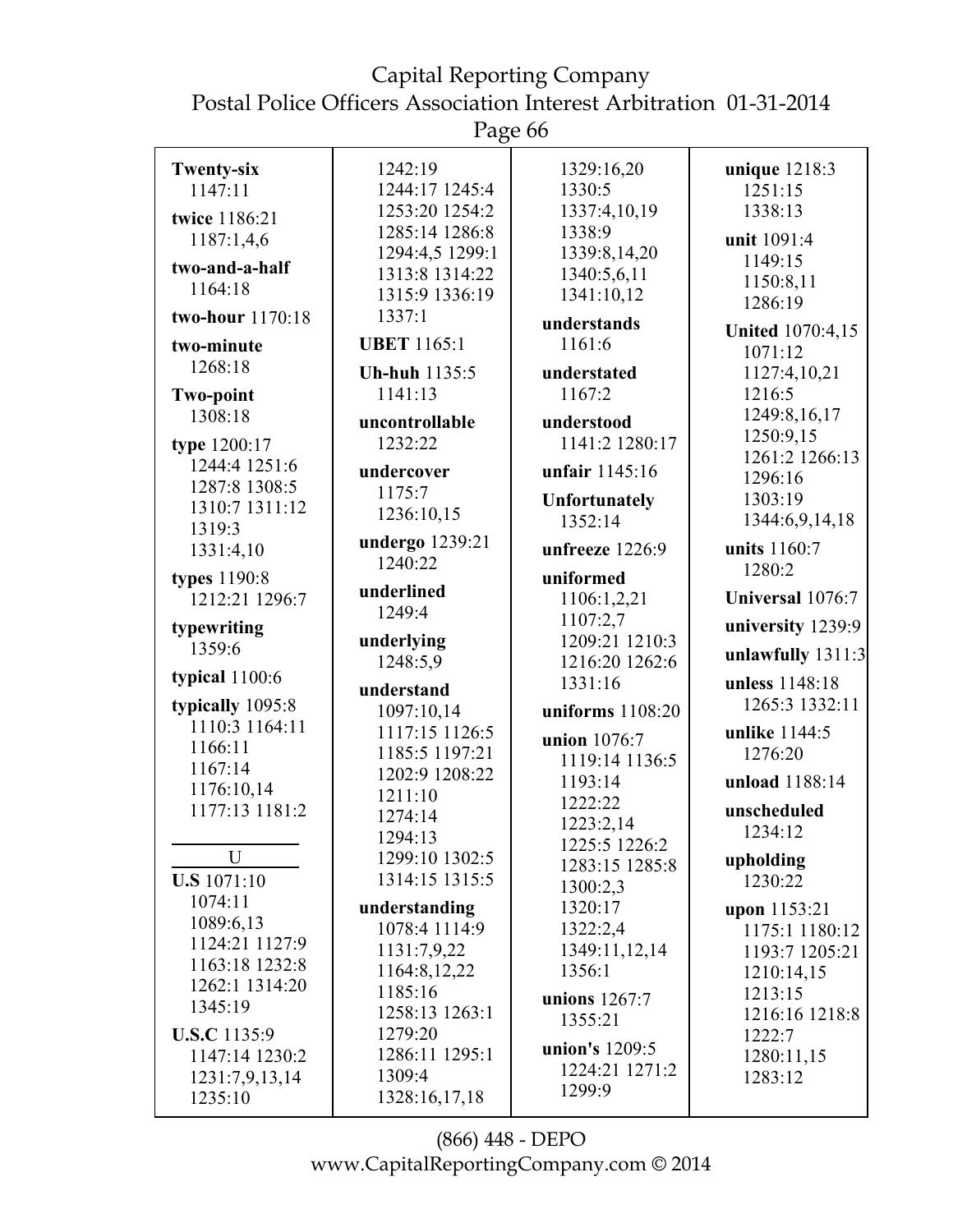Page 66

| <b>Twenty-six</b>         | 1242:19                 | 1329:16,20           | unique 1218:3           |
|---------------------------|-------------------------|----------------------|-------------------------|
| 1147:11                   | 1244:17 1245:4          | 1330:5               | 1251:15                 |
| twice 1186:21             | 1253:20 1254:2          | 1337:4,10,19         | 1338:13                 |
| 1187:1,4,6                | 1285:14 1286:8          | 1338:9               | unit 1091:4             |
|                           | 1294:4,5 1299:1         | 1339:8,14,20         | 1149:15                 |
| two-and-a-half            | 1313:8 1314:22          | 1340:5,6,11          | 1150:8,11               |
| 1164:18                   | 1315:9 1336:19          | 1341:10,12           | 1286:19                 |
| two-hour 1170:18          | 1337:1                  | understands          | <b>United 1070:4,15</b> |
| two-minute                | <b>UBET 1165:1</b>      | 1161:6               | 1071:12                 |
| 1268:18                   | <b>Uh-huh</b> 1135:5    | understated          | 1127:4,10,21            |
| <b>Two-point</b>          | 1141:13                 | 1167:2               | 1216:5                  |
| 1308:18                   |                         |                      | 1249:8,16,17            |
|                           | uncontrollable          | understood           | 1250:9,15               |
| type 1200:17              | 1232:22                 | 1141:2 1280:17       | 1261:2 1266:13          |
| 1244:4 1251:6             | undercover              | unfair 1145:16       | 1296:16                 |
| 1287:8 1308:5             | 1175:7                  | <b>Unfortunately</b> | 1303:19                 |
| 1310:7 1311:12            | 1236:10,15              | 1352:14              | 1344:6,9,14,18          |
| 1319:3                    | undergo 1239:21         |                      | units 1160:7            |
| 1331:4,10                 | 1240:22                 | unfreeze 1226:9      | 1280:2                  |
| types 1190:8              |                         | uniformed            |                         |
| 1212:21 1296:7            | underlined              | 1106:1,2,21          | Universal 1076:7        |
| typewriting               | 1249:4                  | 1107:2,7             | university 1239:9       |
| 1359:6                    | underlying              | 1209:21 1210:3       |                         |
|                           | 1248:5,9                | 1216:20 1262:6       | unlawfully 1311:3       |
| typical 1100:6            | understand              | 1331:16              | unless 1148:18          |
| typically 1095:8          | 1097:10,14              | uniforms $1108:20$   | 1265:3 1332:11          |
| 1110:3 1164:11            | 1117:15 1126:5          | union 1076:7         | unlike 1144:5           |
| 1166:11                   | 1185:5 1197:21          | 1119:14 1136:5       | 1276:20                 |
| 1167:14                   | 1202:9 1208:22          | 1193:14              | unload 1188:14          |
| 1176:10,14                | 1211:10                 | 1222:22              |                         |
| 1177:13 1181:2            | 1274:14                 | 1223:2,14            | unscheduled             |
|                           | 1294:13                 | 1225:5 1226:2        | 1234:12                 |
| U                         | 1299:10 1302:5          | 1283:15 1285:8       | upholding               |
| <b>U.S</b> 1071:10        | 1314:15 1315:5          | 1300:2,3             | 1230:22                 |
| 1074:11                   | understanding           | 1320:17              | upon 1153:21            |
| 1089:6,13                 | 1078:4 1114:9           | 1322:2,4             | 1175:1 1180:12          |
| 1124:21 1127:9            | 1131:7,9,22             | 1349:11,12,14        | 1193:7 1205:21          |
| 1163:18 1232:8            | 1164:8,12,22            | 1356:1               | 1210:14,15              |
| 1262:1 1314:20            | 1185:16                 |                      | 1213:15                 |
| 1345:19                   | 1258:13 1263:1          | unions $1267:7$      | 1216:16 1218:8          |
| <b>U.S.C</b> 1135:9       | 1279:20                 | 1355:21              | 1222:7                  |
|                           |                         |                      |                         |
|                           |                         | union's 1209:5       |                         |
| 1147:14 1230:2            | 1286:11 1295:1          | 1224:21 1271:2       | 1280:11,15              |
| 1231:7,9,13,14<br>1235:10 | 1309:4<br>1328:16,17,18 | 1299:9               | 1283:12                 |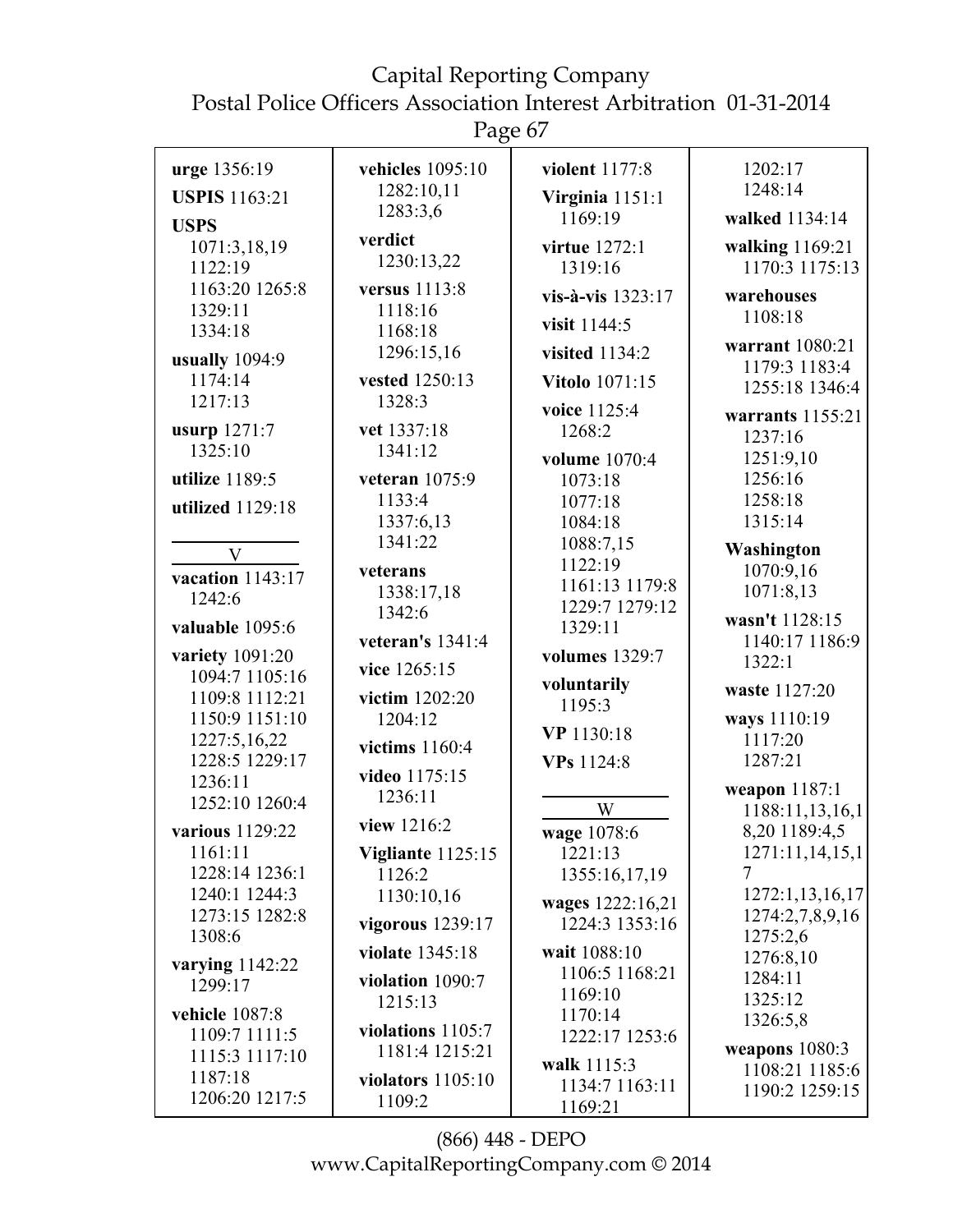Page 67

| urge 1356:19               | vehicles 1095:10            | violent 1177:8                     | 1202:17                            |
|----------------------------|-----------------------------|------------------------------------|------------------------------------|
| <b>USPIS</b> 1163:21       | 1282:10,11                  | Virginia 1151:1                    | 1248:14                            |
| <b>USPS</b>                | 1283:3,6                    | 1169:19                            | walked 1134:14                     |
| 1071:3,18,19               | verdict                     | virtue 1272:1                      | walking 1169:21                    |
| 1122:19                    | 1230:13,22                  | 1319:16                            | 1170:3 1175:13                     |
| 1163:20 1265:8             | versus 1113:8               | vis-à-vis 1323:17                  | warehouses                         |
| 1329:11                    | 1118:16                     |                                    | 1108:18                            |
| 1334:18                    | 1168:18                     | visit 1144:5                       | warrant 1080:21                    |
| usually 1094:9             | 1296:15,16                  | visited 1134:2                     | 1179:3 1183:4                      |
| 1174:14                    | vested 1250:13              | <b>Vitolo</b> 1071:15              | 1255:18 1346:4                     |
| 1217:13                    | 1328:3                      | voice 1125:4                       | warrants $1155:21$                 |
| usurp 1271:7               | vet 1337:18                 | 1268:2                             | 1237:16                            |
| 1325:10                    | 1341:12                     | volume 1070:4                      | 1251:9,10                          |
| utilize 1189:5             | veteran 1075:9              | 1073:18                            | 1256:16                            |
| utilized 1129:18           | 1133:4                      | 1077:18                            | 1258:18                            |
|                            | 1337:6,13                   | 1084:18                            | 1315:14                            |
| $\mathbf{V}$               | 1341:22                     | 1088:7,15                          | Washington                         |
| vacation 1143:17           | veterans                    | 1122:19<br>1161:13 1179:8          | 1070:9,16                          |
| 1242:6                     | 1338:17,18                  | 1229:7 1279:12                     | 1071:8,13                          |
| valuable 1095:6            | 1342:6                      | 1329:11                            | wasn't 1128:15                     |
| variety 1091:20            | veteran's $1341:4$          | volumes 1329:7                     | 1140:17 1186:9                     |
| 1094:7 1105:16             | vice 1265:15                |                                    | 1322:1                             |
| 1109:8 1112:21             | victim 1202:20              | voluntarily<br>1195:3              | waste 1127:20                      |
| 1150:9 1151:10             | 1204:12                     |                                    | ways 1110:19                       |
| 1227:5,16,22               | victims 1160:4              | VP 1130:18                         | 1117:20                            |
| 1228:5 1229:17             | video 1175:15               | VPs 1124:8                         | 1287:21                            |
| 1236:11<br>1252:10 1260:4  | 1236:11                     |                                    | weapon 1187:1                      |
|                            | view 1216:2                 | W                                  | 1188:11,13,16,1                    |
| various 1129:22<br>1161:11 |                             | wage 1078:6<br>1221:13             | 8,20 1189:4,5<br>1271:11,14,15,1   |
| 1228:14 1236:1             | Vigliante 1125:15<br>1126:2 | 1355:16,17,19                      |                                    |
| 1240:1 1244:3              | 1130:10,16                  |                                    | 1272:1,13,16,17                    |
| 1273:15 1282:8             | vigorous $1239:17$          | wages 1222:16,21<br>1224:3 1353:16 | 1274:2,7,8,9,16                    |
| 1308:6                     |                             |                                    | 1275:2,6                           |
| varying $1142:22$          | violate 1345:18             | wait 1088:10<br>1106:5 1168:21     | 1276:8,10                          |
| 1299:17                    | violation $1090:7$          | 1169:10                            | 1284:11                            |
| vehicle 1087:8             | 1215:13                     | 1170:14                            | 1325:12<br>1326:5,8                |
| 1109:7 1111:5              | violations $1105:7$         | 1222:17 1253:6                     |                                    |
| 1115:3 1117:10             | 1181:4 1215:21              | walk 1115:3                        | weapons $1080:3$<br>1108:21 1185:6 |
| 1187:18                    | violators $1105:10$         | 1134:7 1163:11                     | 1190:2 1259:15                     |
| 1206:20 1217:5             | 1109:2                      | 1169:21                            |                                    |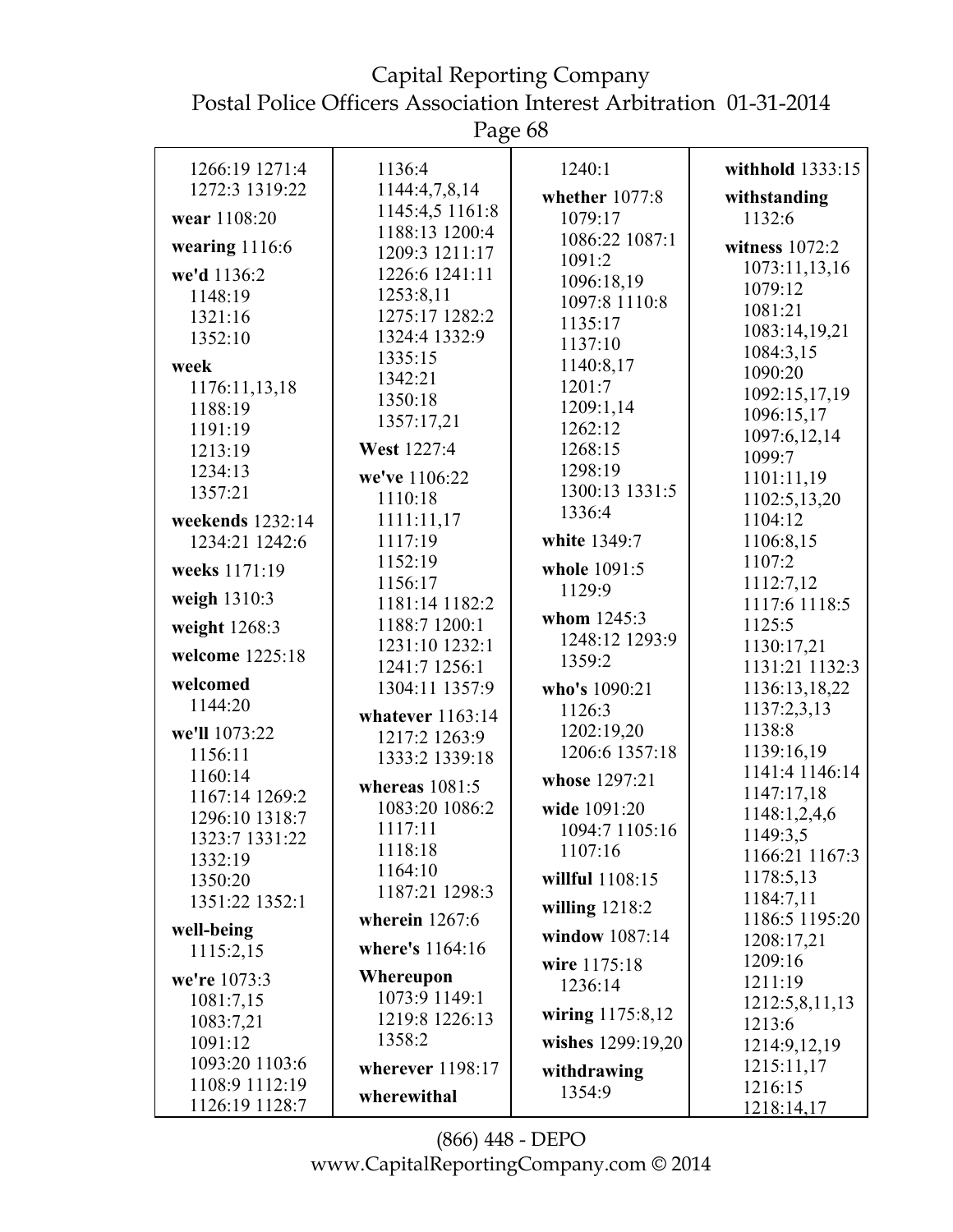Page 68

| 1266:19 1271:4            | 1136:4                           | 1240:1                      | withhold 1333:15             |
|---------------------------|----------------------------------|-----------------------------|------------------------------|
| 1272:3 1319:22            | 1144:4,7,8,14                    | whether 1077:8              | withstanding                 |
| wear 1108:20              | 1145:4,5 1161:8                  | 1079:17                     | 1132:6                       |
| wearing $1116:6$          | 1188:13 1200:4<br>1209:3 1211:17 | 1086:22 1087:1              | witness $1072:2$             |
| we'd 1136:2               | 1226:6 1241:11                   | 1091:2                      | 1073:11,13,16                |
| 1148:19                   | 1253:8,11                        | 1096:18,19<br>1097:8 1110:8 | 1079:12                      |
| 1321:16                   | 1275:17 1282:2                   |                             | 1081:21                      |
| 1352:10                   | 1324:4 1332:9                    | 1135:17                     | 1083:14,19,21                |
|                           | 1335:15                          | 1137:10                     | 1084:3,15                    |
| week                      | 1342:21                          | 1140:8,17                   | 1090:20                      |
| 1176:11,13,18             | 1350:18                          | 1201:7                      | 1092:15,17,19                |
| 1188:19                   | 1357:17,21                       | 1209:1,14                   | 1096:15,17                   |
| 1191:19                   |                                  | 1262:12                     | 1097:6,12,14                 |
| 1213:19                   | West 1227:4                      | 1268:15                     | 1099:7                       |
| 1234:13                   | we've 1106:22                    | 1298:19                     | 1101:11,19                   |
| 1357:21                   | 1110:18                          | 1300:13 1331:5              | 1102:5,13,20                 |
| weekends 1232:14          | 1111:11,17                       | 1336:4                      | 1104:12                      |
| 1234:21 1242:6            | 1117:19                          | white 1349:7                | 1106:8,15                    |
| weeks 1171:19             | 1152:19                          | whole 1091:5                | 1107:2                       |
|                           | 1156:17                          | 1129:9                      | 1112:7,12                    |
| weigh 1310:3              | 1181:14 1182:2                   | whom 1245:3                 | 1117:6 1118:5                |
| weight 1268:3             | 1188:7 1200:1                    | 1248:12 1293:9              | 1125:5                       |
| welcome 1225:18           | 1231:10 1232:1<br>1241:7 1256:1  | 1359:2                      | 1130:17,21<br>1131:21 1132:3 |
| welcomed                  | 1304:11 1357:9                   | who's 1090:21               | 1136:13,18,22                |
| 1144:20                   |                                  | 1126:3                      | 1137:2,3,13                  |
| we'll 1073:22             | whatever $1163:14$               | 1202:19,20                  | 1138:8                       |
| 1156:11                   | 1217:2 1263:9                    | 1206:6 1357:18              | 1139:16,19                   |
|                           | 1333:2 1339:18                   |                             | 1141:4 1146:14               |
| 1160:14<br>1167:14 1269:2 | whereas $1081:5$                 | whose 1297:21               | 1147:17,18                   |
| 1296:10 1318:7            | 1083:20 1086:2                   | wide 1091:20                | 1148:1,2,4,6                 |
|                           | 1117:11                          | 1094:7 1105:16              | 1149:3.5                     |
| 1323:7 1331:22            | 1118:18                          | 1107:16                     | 1166:21 1167:3               |
| 1332:19                   | 1164:10                          | willful 1108:15             | 1178:5,13                    |
| 1350:20                   | 1187:21 1298:3                   |                             | 1184:7,11                    |
| 1351:22 1352:1            | wherein $1267:6$                 | willing $1218:2$            | 1186:5 1195:20               |
| well-being                |                                  | window 1087:14              | 1208:17,21                   |
| 1115:2,15                 | where's 1164:16                  | wire 1175:18                | 1209:16                      |
| we're 1073:3              | Whereupon                        | 1236:14                     | 1211:19                      |
| 1081:7,15                 | 1073:9 1149:1                    |                             | 1212:5,8,11,13               |
| 1083:7,21                 | 1219:8 1226:13                   | wiring 1175:8,12            | 1213:6                       |
| 1091:12                   | 1358:2                           | wishes 1299:19,20           | 1214:9,12,19                 |
| 1093:20 1103:6            | wherever $1198:17$               | withdrawing                 | 1215:11,17                   |
| 1108:9 1112:19            |                                  | 1354:9                      | 1216:15                      |
| 1126:19 1128:7            | wherewithal                      |                             | 1218:14,17                   |